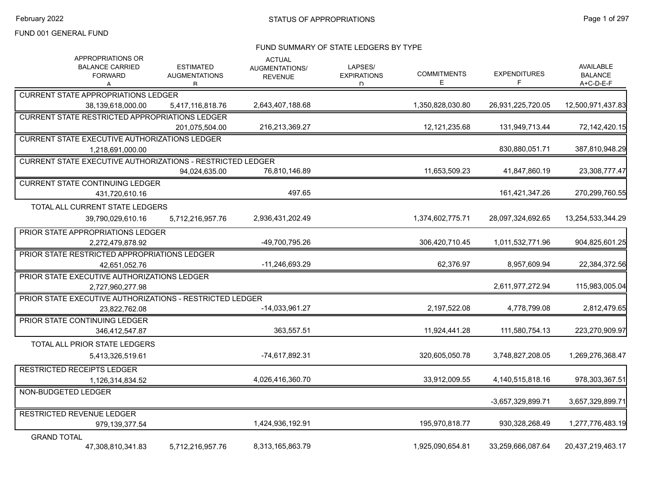#### FUND SUMMARY OF STATE LEDGERS BY TYPE

| APPROPRIATIONS OR<br><b>BALANCE CARRIED</b><br><b>FORWARD</b><br>А | <b>ESTIMATED</b><br><b>AUGMENTATIONS</b><br>R | <b>ACTUAL</b><br>AUGMENTATIONS/<br><b>REVENUE</b> | LAPSES/<br><b>EXPIRATIONS</b><br>D. | <b>COMMITMENTS</b><br>Е | <b>EXPENDITURES</b><br>F | AVAILABLE<br><b>BALANCE</b><br>A+C-D-E-F |
|--------------------------------------------------------------------|-----------------------------------------------|---------------------------------------------------|-------------------------------------|-------------------------|--------------------------|------------------------------------------|
| <b>CURRENT STATE APPROPRIATIONS LEDGER</b>                         |                                               |                                                   |                                     |                         |                          |                                          |
| 38,139,618,000.00                                                  | 5,417,116,818.76                              | 2,643,407,188.68                                  |                                     | 1,350,828,030.80        | 26,931,225,720.05        | 12,500,971,437.83                        |
| <b>CURRENT STATE RESTRICTED APPROPRIATIONS LEDGER</b>              |                                               |                                                   |                                     |                         |                          |                                          |
|                                                                    | 201.075.504.00                                | 216,213,369.27                                    |                                     | 12, 121, 235.68         | 131,949,713.44           | 72,142,420.15                            |
| <b>CURRENT STATE EXECUTIVE AUTHORIZATIONS LEDGER</b>               |                                               |                                                   |                                     |                         |                          |                                          |
| 1,218,691,000.00                                                   |                                               |                                                   |                                     |                         | 830,880,051.71           | 387,810,948.29                           |
| <b>CURRENT STATE EXECUTIVE AUTHORIZATIONS - RESTRICTED LEDGER</b>  |                                               |                                                   |                                     |                         |                          |                                          |
|                                                                    | 94,024,635.00                                 | 76,810,146.89                                     |                                     | 11,653,509.23           | 41,847,860.19            | 23,308,777.47                            |
| <b>CURRENT STATE CONTINUING LEDGER</b>                             |                                               |                                                   |                                     |                         |                          |                                          |
| 431,720,610.16                                                     |                                               | 497.65                                            |                                     |                         | 161,421,347.26           | 270,299,760.55                           |
| TOTAL ALL CURRENT STATE LEDGERS                                    |                                               |                                                   |                                     |                         |                          |                                          |
| 39,790,029,610.16                                                  | 5,712,216,957.76                              | 2,936,431,202.49                                  |                                     | 1,374,602,775.71        | 28,097,324,692.65        | 13,254,533,344.29                        |
| PRIOR STATE APPROPRIATIONS LEDGER                                  |                                               |                                                   |                                     |                         |                          |                                          |
| 2,272,479,878.92                                                   |                                               | -49,700,795.26                                    |                                     | 306,420,710.45          | 1,011,532,771.96         | 904,825,601.25                           |
| PRIOR STATE RESTRICTED APPROPRIATIONS LEDGER                       |                                               |                                                   |                                     |                         |                          |                                          |
| 42,651,052.76                                                      |                                               | -11,246,693.29                                    |                                     | 62,376.97               | 8,957,609.94             | 22,384,372.56                            |
| PRIOR STATE EXECUTIVE AUTHORIZATIONS LEDGER                        |                                               |                                                   |                                     |                         |                          |                                          |
| 2,727,960,277.98                                                   |                                               |                                                   |                                     |                         | 2,611,977,272.94         | 115,983,005.04                           |
| PRIOR STATE EXECUTIVE AUTHORIZATIONS - RESTRICTED LEDGER           |                                               |                                                   |                                     |                         |                          |                                          |
| 23.822.762.08                                                      |                                               | $-14,033,961.27$                                  |                                     | 2,197,522.08            | 4,778,799.08             | 2,812,479.65                             |
| PRIOR STATE CONTINUING LEDGER                                      |                                               |                                                   |                                     |                         |                          |                                          |
| 346,412,547.87                                                     |                                               | 363,557.51                                        |                                     | 11,924,441.28           | 111,580,754.13           | 223,270,909.97                           |
| TOTAL ALL PRIOR STATE LEDGERS                                      |                                               |                                                   |                                     |                         |                          |                                          |
| 5,413,326,519.61                                                   |                                               | -74,617,892.31                                    |                                     | 320,605,050.78          | 3,748,827,208.05         | 1,269,276,368.47                         |
| <b>RESTRICTED RECEIPTS LEDGER</b>                                  |                                               |                                                   |                                     |                         |                          |                                          |
| 1,126,314,834.52                                                   |                                               | 4,026,416,360.70                                  |                                     | 33,912,009.55           | 4,140,515,818.16         | 978,303,367.51                           |
| NON-BUDGETED LEDGER                                                |                                               |                                                   |                                     |                         |                          |                                          |
|                                                                    |                                               |                                                   |                                     |                         | -3.657.329.899.71        | 3.657.329.899.71                         |
| <b>RESTRICTED REVENUE LEDGER</b>                                   |                                               |                                                   |                                     |                         |                          |                                          |
| 979,139,377.54                                                     |                                               | 1,424,936,192.91                                  |                                     | 195,970,818.77          | 930,328,268.49           | 1,277,776,483.19                         |
| <b>GRAND TOTAL</b>                                                 |                                               |                                                   |                                     |                         |                          |                                          |
| 47,308,810,341.83                                                  | 5,712,216,957.76                              | 8,313,165,863.79                                  |                                     | 1,925,090,654.81        | 33.259.666.087.64        | 20,437,219,463.17                        |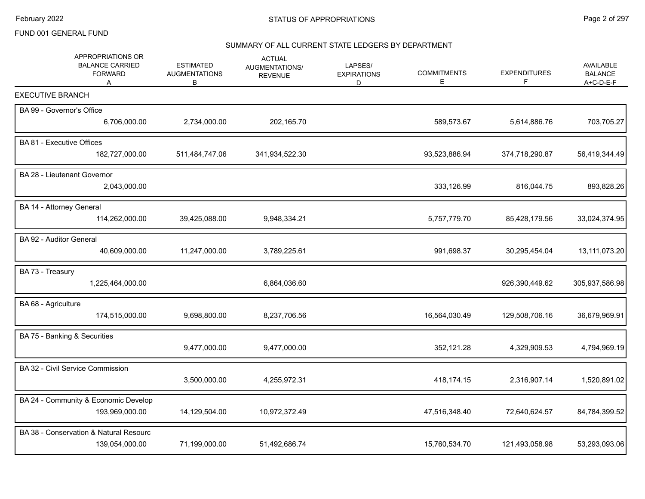# SUMMARY OF ALL CURRENT STATE LEDGERS BY DEPARTMENT

| APPROPRIATIONS OR<br><b>BALANCE CARRIED</b><br><b>FORWARD</b><br>A | <b>ESTIMATED</b><br><b>AUGMENTATIONS</b><br>В | <b>ACTUAL</b><br>AUGMENTATIONS/<br><b>REVENUE</b> | LAPSES/<br><b>EXPIRATIONS</b><br>D | <b>COMMITMENTS</b><br>Е | <b>EXPENDITURES</b><br>F. | <b>AVAILABLE</b><br><b>BALANCE</b><br>A+C-D-E-F |
|--------------------------------------------------------------------|-----------------------------------------------|---------------------------------------------------|------------------------------------|-------------------------|---------------------------|-------------------------------------------------|
| <b>EXECUTIVE BRANCH</b>                                            |                                               |                                                   |                                    |                         |                           |                                                 |
| BA 99 - Governor's Office                                          |                                               |                                                   |                                    |                         |                           |                                                 |
| 6,706,000.00                                                       | 2,734,000.00                                  | 202,165.70                                        |                                    | 589,573.67              | 5,614,886.76              | 703,705.27                                      |
| BA 81 - Executive Offices                                          |                                               |                                                   |                                    |                         |                           |                                                 |
| 182,727,000.00                                                     | 511,484,747.06                                | 341,934,522.30                                    |                                    | 93,523,886.94           | 374,718,290.87            | 56,419,344.49                                   |
| BA 28 - Lieutenant Governor                                        |                                               |                                                   |                                    |                         |                           |                                                 |
| 2,043,000.00                                                       |                                               |                                                   |                                    | 333,126.99              | 816,044.75                | 893,828.26                                      |
| BA 14 - Attorney General                                           |                                               |                                                   |                                    |                         |                           |                                                 |
| 114,262,000.00                                                     | 39,425,088.00                                 | 9,948,334.21                                      |                                    | 5,757,779.70            | 85,428,179.56             | 33,024,374.95                                   |
| BA 92 - Auditor General                                            |                                               |                                                   |                                    |                         |                           |                                                 |
| 40,609,000.00                                                      | 11,247,000.00                                 | 3,789,225.61                                      |                                    | 991,698.37              | 30,295,454.04             | 13,111,073.20                                   |
| BA 73 - Treasury                                                   |                                               |                                                   |                                    |                         |                           |                                                 |
| 1,225,464,000.00                                                   |                                               | 6,864,036.60                                      |                                    |                         | 926,390,449.62            | 305,937,586.98                                  |
| BA 68 - Agriculture                                                |                                               |                                                   |                                    |                         |                           |                                                 |
| 174,515,000.00                                                     | 9,698,800.00                                  | 8,237,706.56                                      |                                    | 16,564,030.49           | 129,508,706.16            | 36,679,969.91                                   |
| BA 75 - Banking & Securities                                       |                                               |                                                   |                                    |                         |                           |                                                 |
|                                                                    | 9,477,000.00                                  | 9,477,000.00                                      |                                    | 352,121.28              | 4,329,909.53              | 4,794,969.19                                    |
| BA 32 - Civil Service Commission                                   |                                               |                                                   |                                    |                         |                           |                                                 |
|                                                                    | 3,500,000.00                                  | 4,255,972.31                                      |                                    | 418,174.15              | 2,316,907.14              | 1,520,891.02                                    |
| BA 24 - Community & Economic Develop                               |                                               |                                                   |                                    |                         |                           |                                                 |
| 193,969,000.00                                                     | 14,129,504.00                                 | 10,972,372.49                                     |                                    | 47,516,348.40           | 72,640,624.57             | 84,784,399.52                                   |
| BA 38 - Conservation & Natural Resourc                             |                                               |                                                   |                                    |                         |                           |                                                 |
| 139,054,000.00                                                     | 71,199,000.00                                 | 51,492,686.74                                     |                                    | 15,760,534.70           | 121,493,058.98            | 53,293,093.06                                   |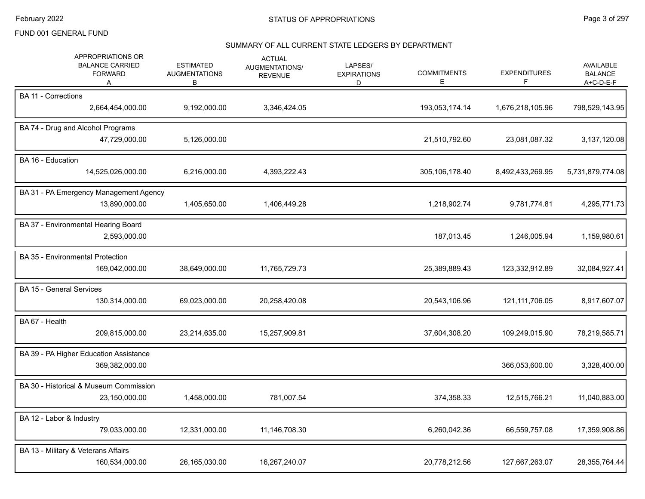# SUMMARY OF ALL CURRENT STATE LEDGERS BY DEPARTMENT

| APPROPRIATIONS OR<br><b>BALANCE CARRIED</b><br><b>FORWARD</b><br>A | <b>ESTIMATED</b><br><b>AUGMENTATIONS</b><br>В | <b>ACTUAL</b><br>AUGMENTATIONS/<br><b>REVENUE</b> | LAPSES/<br><b>EXPIRATIONS</b><br>D | <b>COMMITMENTS</b><br>E. | <b>EXPENDITURES</b> | <b>AVAILABLE</b><br><b>BALANCE</b><br>A+C-D-E-F |
|--------------------------------------------------------------------|-----------------------------------------------|---------------------------------------------------|------------------------------------|--------------------------|---------------------|-------------------------------------------------|
| <b>BA 11 - Corrections</b><br>2,664,454,000.00                     | 9,192,000.00                                  | 3,346,424.05                                      |                                    | 193,053,174.14           | 1,676,218,105.96    | 798,529,143.95                                  |
|                                                                    |                                               |                                                   |                                    |                          |                     |                                                 |
| BA 74 - Drug and Alcohol Programs<br>47,729,000.00                 | 5,126,000.00                                  |                                                   |                                    | 21,510,792.60            | 23,081,087.32       | 3,137,120.08                                    |
| BA 16 - Education<br>14,525,026,000.00                             | 6,216,000.00                                  | 4,393,222.43                                      |                                    | 305,106,178.40           | 8,492,433,269.95    | 5,731,879,774.08                                |
| BA 31 - PA Emergency Management Agency<br>13,890,000.00            | 1,405,650.00                                  | 1,406,449.28                                      |                                    | 1,218,902.74             | 9,781,774.81        | 4,295,771.73                                    |
| BA 37 - Environmental Hearing Board<br>2,593,000.00                |                                               |                                                   |                                    | 187,013.45               | 1,246,005.94        | 1,159,980.61                                    |
| <b>BA 35 - Environmental Protection</b><br>169,042,000.00          | 38,649,000.00                                 | 11,765,729.73                                     |                                    | 25,389,889.43            | 123,332,912.89      | 32,084,927.41                                   |
| <b>BA 15 - General Services</b><br>130,314,000.00                  | 69,023,000.00                                 | 20,258,420.08                                     |                                    | 20,543,106.96            | 121, 111, 706.05    | 8,917,607.07                                    |
| BA 67 - Health<br>209,815,000.00                                   | 23,214,635.00                                 | 15,257,909.81                                     |                                    | 37,604,308.20            | 109,249,015.90      | 78,219,585.71                                   |
| BA 39 - PA Higher Education Assistance<br>369,382,000.00           |                                               |                                                   |                                    |                          | 366,053,600.00      | 3,328,400.00                                    |
| BA 30 - Historical & Museum Commission<br>23,150,000.00            | 1,458,000.00                                  | 781,007.54                                        |                                    | 374,358.33               | 12,515,766.21       | 11,040,883.00                                   |
| BA 12 - Labor & Industry<br>79,033,000.00                          | 12,331,000.00                                 | 11,146,708.30                                     |                                    | 6,260,042.36             | 66,559,757.08       | 17,359,908.86                                   |
| BA 13 - Military & Veterans Affairs<br>160,534,000.00              | 26,165,030.00                                 | 16,267,240.07                                     |                                    | 20,778,212.56            | 127,667,263.07      | 28,355,764.44                                   |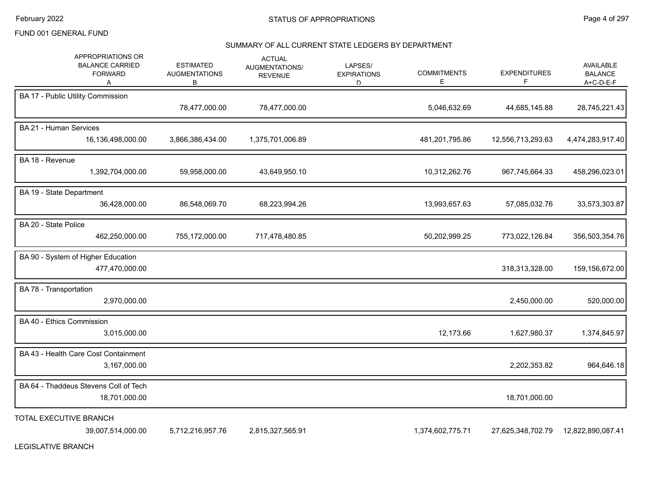## SUMMARY OF ALL CURRENT STATE LEDGERS BY DEPARTMENT

| APPROPRIATIONS OR<br><b>BALANCE CARRIED</b><br><b>FORWARD</b><br>A | <b>ESTIMATED</b><br><b>AUGMENTATIONS</b><br>В | <b>ACTUAL</b><br>AUGMENTATIONS/<br><b>REVENUE</b> | LAPSES/<br><b>EXPIRATIONS</b><br>D. | <b>COMMITMENTS</b><br>E | <b>EXPENDITURES</b><br>F | AVAILABLE<br><b>BALANCE</b><br>A+C-D-E-F |
|--------------------------------------------------------------------|-----------------------------------------------|---------------------------------------------------|-------------------------------------|-------------------------|--------------------------|------------------------------------------|
| BA 17 - Public Utility Commission                                  | 78,477,000.00                                 | 78,477,000.00                                     |                                     | 5,046,632.69            | 44,685,145.88            | 28,745,221.43                            |
| <b>BA 21 - Human Services</b><br>16,136,498,000.00                 | 3,866,386,434.00                              | 1,375,701,006.89                                  |                                     | 481,201,795.86          | 12,556,713,293.63        | 4,474,283,917.40                         |
| BA 18 - Revenue<br>1,392,704,000.00                                | 59,958,000.00                                 | 43,649,950.10                                     |                                     | 10,312,262.76           | 967,745,664.33           | 458,296,023.01                           |
| BA 19 - State Department<br>36,428,000.00                          | 86,548,069.70                                 | 68,223,994.26                                     |                                     | 13,993,657.63           | 57,085,032.76            | 33,573,303.87                            |
| BA 20 - State Police<br>462,250,000.00                             | 755,172,000.00                                | 717,478,480.85                                    |                                     | 50,202,999.25           | 773,022,126.84           | 356,503,354.76                           |
| BA 90 - System of Higher Education<br>477,470,000.00               |                                               |                                                   |                                     |                         | 318,313,328.00           | 159,156,672.00                           |
| BA 78 - Transportation<br>2,970,000.00                             |                                               |                                                   |                                     |                         | 2,450,000.00             | 520,000.00                               |
| BA 40 - Ethics Commission<br>3,015,000.00                          |                                               |                                                   |                                     | 12,173.66               | 1,627,980.37             | 1,374,845.97                             |
| BA 43 - Health Care Cost Containment<br>3,167,000.00               |                                               |                                                   |                                     |                         | 2,202,353.82             | 964,646.18                               |
| BA 64 - Thaddeus Stevens Coll of Tech<br>18,701,000.00             |                                               |                                                   |                                     |                         | 18,701,000.00            |                                          |
| TOTAL EXECUTIVE BRANCH<br>39,007,514,000.00                        | 5,712,216,957.76                              | 2,815,327,565.91                                  |                                     | 1,374,602,775.71        | 27,625,348,702.79        | 12,822,890,087.41                        |

LEGISLATIVE BRANCH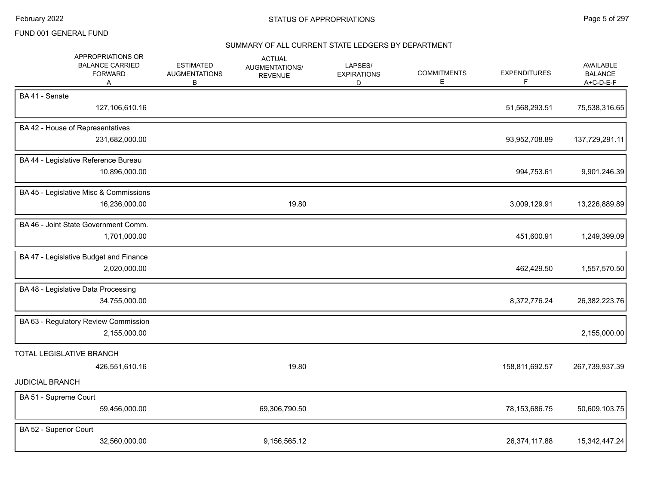### SUMMARY OF ALL CURRENT STATE LEDGERS BY DEPARTMENT

| BA41 - Senate<br>127,106,610.16<br>BA 42 - House of Representatives<br>231,682,000.00<br>BA 44 - Legislative Reference Bureau<br>10,896,000.00 |               |  | 51,568,293.51<br>93,952,708.89<br>994,753.61 | 75,538,316.65<br>137,729,291.11<br>9,901,246.39 |
|------------------------------------------------------------------------------------------------------------------------------------------------|---------------|--|----------------------------------------------|-------------------------------------------------|
|                                                                                                                                                |               |  |                                              |                                                 |
|                                                                                                                                                |               |  |                                              |                                                 |
|                                                                                                                                                |               |  |                                              |                                                 |
|                                                                                                                                                |               |  |                                              |                                                 |
| BA 45 - Legislative Misc & Commissions<br>16,236,000.00                                                                                        | 19.80         |  | 3,009,129.91                                 | 13,226,889.89                                   |
| BA 46 - Joint State Government Comm.<br>1,701,000.00                                                                                           |               |  | 451,600.91                                   | 1,249,399.09                                    |
| BA 47 - Legislative Budget and Finance<br>2,020,000.00                                                                                         |               |  | 462,429.50                                   | 1,557,570.50                                    |
| BA 48 - Legislative Data Processing<br>34,755,000.00                                                                                           |               |  | 8,372,776.24                                 | 26,382,223.76                                   |
| BA 63 - Regulatory Review Commission<br>2,155,000.00                                                                                           |               |  |                                              | 2,155,000.00                                    |
| TOTAL LEGISLATIVE BRANCH<br>426,551,610.16                                                                                                     | 19.80         |  | 158,811,692.57                               | 267,739,937.39                                  |
| <b>JUDICIAL BRANCH</b>                                                                                                                         |               |  |                                              |                                                 |
| BA 51 - Supreme Court<br>59,456,000.00                                                                                                         | 69,306,790.50 |  | 78,153,686.75                                | 50,609,103.75                                   |
| BA 52 - Superior Court<br>32,560,000.00                                                                                                        | 9,156,565.12  |  | 26,374,117.88                                | 15,342,447.24                                   |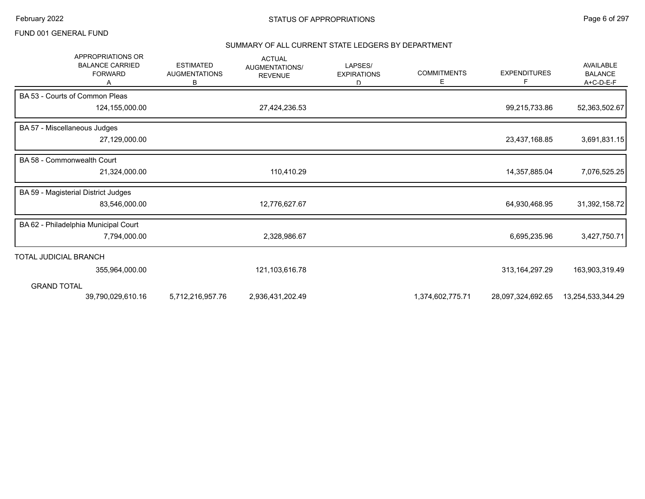#### SUMMARY OF ALL CURRENT STATE LEDGERS BY DEPARTMENT

| <b>APPROPRIATIONS OR</b><br><b>BALANCE CARRIED</b><br><b>FORWARD</b> | <b>ESTIMATED</b><br><b>AUGMENTATIONS</b><br>В | <b>ACTUAL</b><br><b>AUGMENTATIONS/</b><br><b>REVENUE</b> | LAPSES/<br><b>EXPIRATIONS</b><br>D. | <b>COMMITMENTS</b><br>Е | <b>EXPENDITURES</b><br>F | AVAILABLE<br><b>BALANCE</b><br>A+C-D-E-F |
|----------------------------------------------------------------------|-----------------------------------------------|----------------------------------------------------------|-------------------------------------|-------------------------|--------------------------|------------------------------------------|
| BA 53 - Courts of Common Pleas                                       |                                               |                                                          |                                     |                         |                          |                                          |
| 124,155,000.00                                                       |                                               | 27,424,236.53                                            |                                     |                         | 99,215,733.86            | 52,363,502.67                            |
| BA 57 - Miscellaneous Judges                                         |                                               |                                                          |                                     |                         |                          |                                          |
| 27,129,000.00                                                        |                                               |                                                          |                                     |                         | 23,437,168.85            | 3,691,831.15                             |
| BA 58 - Commonwealth Court                                           |                                               |                                                          |                                     |                         |                          |                                          |
| 21,324,000.00                                                        |                                               | 110,410.29                                               |                                     |                         | 14,357,885.04            | 7,076,525.25                             |
| BA 59 - Magisterial District Judges                                  |                                               |                                                          |                                     |                         |                          |                                          |
| 83,546,000.00                                                        |                                               | 12,776,627.67                                            |                                     |                         | 64,930,468.95            | 31,392,158.72                            |
| BA 62 - Philadelphia Municipal Court                                 |                                               |                                                          |                                     |                         |                          |                                          |
| 7,794,000.00                                                         |                                               | 2,328,986.67                                             |                                     |                         | 6,695,235.96             | 3,427,750.71                             |
| TOTAL JUDICIAL BRANCH                                                |                                               |                                                          |                                     |                         |                          |                                          |
| 355,964,000.00                                                       |                                               | 121,103,616.78                                           |                                     |                         | 313, 164, 297. 29        | 163,903,319.49                           |
| <b>GRAND TOTAL</b>                                                   |                                               |                                                          |                                     |                         |                          |                                          |
| 39,790,029,610.16                                                    | 5,712,216,957.76                              | 2,936,431,202.49                                         |                                     | 1,374,602,775.71        | 28,097,324,692.65        | 13,254,533,344.29                        |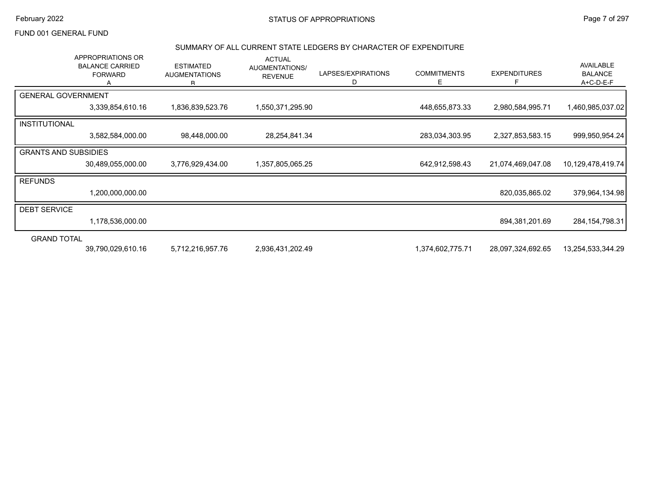#### February 2022 **STATUS OF APPROPRIATIONS** STATUS OF APPROPRIATIONS

FUND 001 GENERAL FUND

#### SUMMARY OF ALL CURRENT STATE LEDGERS BY CHARACTER OF EXPENDITURE

|                             | APPROPRIATIONS OR<br><b>BALANCE CARRIED</b><br><b>FORWARD</b> | <b>ESTIMATED</b><br><b>AUGMENTATIONS</b><br>R. | <b>ACTUAL</b><br>AUGMENTATIONS/<br><b>REVENUE</b> | LAPSES/EXPIRATIONS<br>D | <b>COMMITMENTS</b><br>Е | <b>EXPENDITURES</b> | AVAILABLE<br><b>BALANCE</b><br>$A+C-D-E-F$ |
|-----------------------------|---------------------------------------------------------------|------------------------------------------------|---------------------------------------------------|-------------------------|-------------------------|---------------------|--------------------------------------------|
| <b>GENERAL GOVERNMENT</b>   |                                                               |                                                |                                                   |                         |                         |                     |                                            |
|                             | 3,339,854,610.16                                              | 1,836,839,523.76                               | 1,550,371,295.90                                  |                         | 448,655,873.33          | 2,980,584,995.71    | 1,460,985,037.02                           |
| INSTITUTIONAL               |                                                               |                                                |                                                   |                         |                         |                     |                                            |
|                             | 3,582,584,000.00                                              | 98,448,000.00                                  | 28,254,841.34                                     |                         | 283,034,303.95          | 2,327,853,583.15    | 999,950,954.24                             |
| <b>GRANTS AND SUBSIDIES</b> |                                                               |                                                |                                                   |                         |                         |                     |                                            |
|                             | 30,489,055,000.00                                             | 3,776,929,434.00                               | 1,357,805,065.25                                  |                         | 642,912,598.43          | 21,074,469,047.08   | 10,129,478,419.74                          |
| <b>REFUNDS</b>              |                                                               |                                                |                                                   |                         |                         |                     |                                            |
|                             | 1,200,000,000.00                                              |                                                |                                                   |                         |                         | 820,035,865.02      | 379,964,134.98                             |
| <b>DEBT SERVICE</b>         |                                                               |                                                |                                                   |                         |                         |                     |                                            |
|                             | 1,178,536,000.00                                              |                                                |                                                   |                         |                         | 894,381,201.69      | 284, 154, 798. 31                          |
| <b>GRAND TOTAL</b>          |                                                               |                                                |                                                   |                         |                         |                     |                                            |
|                             | 39,790,029,610.16                                             | 5,712,216,957.76                               | 2,936,431,202.49                                  |                         | 1,374,602,775.71        | 28,097,324,692.65   | 13,254,533,344.29                          |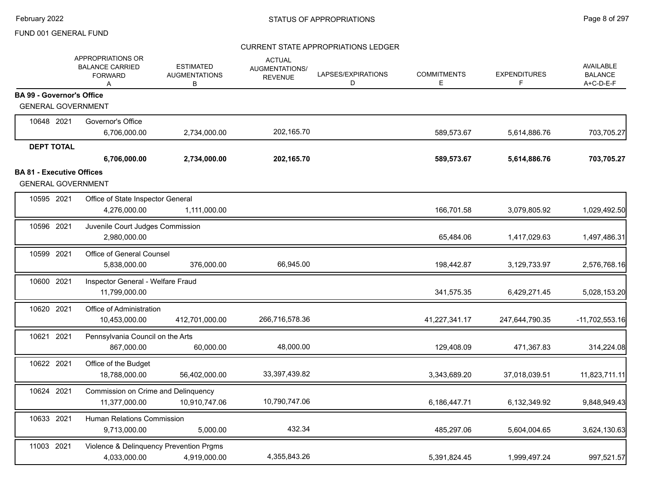|                                                               | APPROPRIATIONS OR<br><b>BALANCE CARRIED</b><br><b>FORWARD</b><br>A | <b>ESTIMATED</b><br><b>AUGMENTATIONS</b><br>В | <b>ACTUAL</b><br><b>AUGMENTATIONS/</b><br><b>REVENUE</b> | LAPSES/EXPIRATIONS<br>D | <b>COMMITMENTS</b><br>E | <b>EXPENDITURES</b><br>F. | AVAILABLE<br><b>BALANCE</b><br>A+C-D-E-F |
|---------------------------------------------------------------|--------------------------------------------------------------------|-----------------------------------------------|----------------------------------------------------------|-------------------------|-------------------------|---------------------------|------------------------------------------|
| <b>BA 99 - Governor's Office</b>                              |                                                                    |                                               |                                                          |                         |                         |                           |                                          |
| <b>GENERAL GOVERNMENT</b>                                     |                                                                    |                                               |                                                          |                         |                         |                           |                                          |
| 10648 2021                                                    | Governor's Office                                                  |                                               |                                                          |                         |                         |                           |                                          |
|                                                               | 6,706,000.00                                                       | 2,734,000.00                                  | 202,165.70                                               |                         | 589,573.67              | 5,614,886.76              | 703,705.27                               |
| <b>DEPT TOTAL</b>                                             |                                                                    |                                               |                                                          |                         |                         |                           |                                          |
|                                                               | 6,706,000.00                                                       | 2,734,000.00                                  | 202,165.70                                               |                         | 589,573.67              | 5,614,886.76              | 703,705.27                               |
| <b>BA 81 - Executive Offices</b><br><b>GENERAL GOVERNMENT</b> |                                                                    |                                               |                                                          |                         |                         |                           |                                          |
| 10595 2021                                                    | Office of State Inspector General                                  |                                               |                                                          |                         |                         |                           |                                          |
|                                                               | 4,276,000.00                                                       | 1,111,000.00                                  |                                                          |                         | 166,701.58              | 3,079,805.92              | 1,029,492.50                             |
| 10596 2021                                                    | Juvenile Court Judges Commission<br>2,980,000.00                   |                                               |                                                          |                         | 65,484.06               | 1,417,029.63              | 1,497,486.31                             |
| 10599 2021                                                    | Office of General Counsel<br>5,838,000.00                          | 376,000.00                                    | 66,945.00                                                |                         | 198,442.87              | 3,129,733.97              | 2,576,768.16                             |
| 10600 2021                                                    | Inspector General - Welfare Fraud<br>11.799.000.00                 |                                               |                                                          |                         | 341,575.35              | 6,429,271.45              | 5,028,153.20                             |
| 10620 2021                                                    | Office of Administration<br>10,453,000.00                          | 412,701,000.00                                | 266,716,578.36                                           |                         | 41,227,341.17           | 247,644,790.35            | $-11,702,553.16$                         |
| 10621 2021                                                    | Pennsylvania Council on the Arts<br>867,000.00                     | 60,000.00                                     | 48,000.00                                                |                         | 129,408.09              | 471,367.83                | 314,224.08                               |
| 10622 2021                                                    | Office of the Budget<br>18,788,000.00                              | 56,402,000.00                                 | 33,397,439.82                                            |                         | 3,343,689.20            | 37,018,039.51             | 11,823,711.11                            |
| 10624 2021                                                    | Commission on Crime and Delinquency<br>11,377,000.00               | 10,910,747.06                                 | 10,790,747.06                                            |                         | 6,186,447.71            | 6,132,349.92              | 9,848,949.43                             |
| 10633 2021                                                    | Human Relations Commission<br>9,713,000.00                         | 5,000.00                                      | 432.34                                                   |                         | 485,297.06              | 5,604,004.65              | 3,624,130.63                             |
| 11003 2021                                                    | Violence & Delinquency Prevention Prgms<br>4,033,000.00            | 4,919,000.00                                  | 4,355,843.26                                             |                         | 5,391,824.45            | 1,999,497.24              | 997,521.57                               |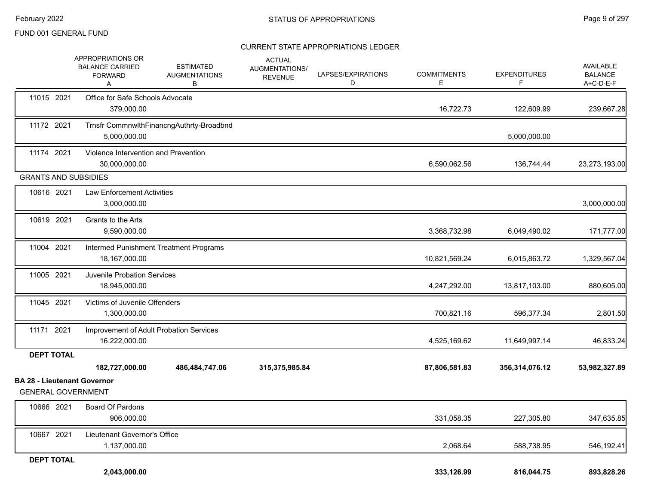|                                                                 | APPROPRIATIONS OR<br><b>BALANCE CARRIED</b><br><b>FORWARD</b><br>A | <b>ESTIMATED</b><br><b>AUGMENTATIONS</b><br>В | <b>ACTUAL</b><br>AUGMENTATIONS/<br><b>REVENUE</b> | LAPSES/EXPIRATIONS<br>D | <b>COMMITMENTS</b><br>E. | <b>EXPENDITURES</b><br>F | AVAILABLE<br><b>BALANCE</b><br>A+C-D-E-F |
|-----------------------------------------------------------------|--------------------------------------------------------------------|-----------------------------------------------|---------------------------------------------------|-------------------------|--------------------------|--------------------------|------------------------------------------|
| 11015 2021                                                      | Office for Safe Schools Advocate<br>379,000.00                     |                                               |                                                   |                         | 16,722.73                | 122,609.99               | 239,667.28                               |
| 11172 2021                                                      | 5,000,000.00                                                       | Trnsfr CommnwlthFinancngAuthrty-Broadbnd      |                                                   |                         |                          | 5,000,000.00             |                                          |
| 11174 2021                                                      | Violence Intervention and Prevention<br>30,000,000.00              |                                               |                                                   |                         | 6,590,062.56             | 136,744.44               | 23,273,193.00                            |
| <b>GRANTS AND SUBSIDIES</b>                                     |                                                                    |                                               |                                                   |                         |                          |                          |                                          |
| 10616 2021                                                      | <b>Law Enforcement Activities</b><br>3,000,000.00                  |                                               |                                                   |                         |                          |                          | 3,000,000.00                             |
| 10619 2021                                                      | Grants to the Arts<br>9,590,000.00                                 |                                               |                                                   |                         | 3,368,732.98             | 6,049,490.02             | 171,777.00                               |
| 11004 2021                                                      | 18,167,000.00                                                      | Intermed Punishment Treatment Programs        |                                                   |                         | 10,821,569.24            | 6,015,863.72             | 1,329,567.04                             |
| 11005 2021                                                      | <b>Juvenile Probation Services</b><br>18,945,000.00                |                                               |                                                   |                         | 4,247,292.00             | 13,817,103.00            | 880,605.00                               |
| 11045 2021                                                      | Victims of Juvenile Offenders<br>1,300,000.00                      |                                               |                                                   |                         | 700,821.16               | 596,377.34               | 2,801.50                                 |
| 11171 2021                                                      | 16,222,000.00                                                      | Improvement of Adult Probation Services       |                                                   |                         | 4,525,169.62             | 11,649,997.14            | 46,833.24                                |
| <b>DEPT TOTAL</b>                                               |                                                                    |                                               |                                                   |                         |                          |                          |                                          |
|                                                                 | 182,727,000.00                                                     | 486,484,747.06                                | 315,375,985.84                                    |                         | 87,806,581.83            | 356,314,076.12           | 53,982,327.89                            |
| <b>BA 28 - Lieutenant Governor</b><br><b>GENERAL GOVERNMENT</b> |                                                                    |                                               |                                                   |                         |                          |                          |                                          |
| 10666 2021                                                      | Board Of Pardons<br>906,000.00                                     |                                               |                                                   |                         | 331,058.35               | 227,305.80               | 347,635.85                               |
| 10667 2021                                                      | Lieutenant Governor's Office<br>1,137,000.00                       |                                               |                                                   |                         | 2,068.64                 | 588,738.95               | 546,192.41                               |
| <b>DEPT TOTAL</b>                                               | 2,043,000.00                                                       |                                               |                                                   |                         | 333,126.99               |                          | 893,828.26                               |
|                                                                 |                                                                    |                                               |                                                   |                         |                          | 816,044.75               |                                          |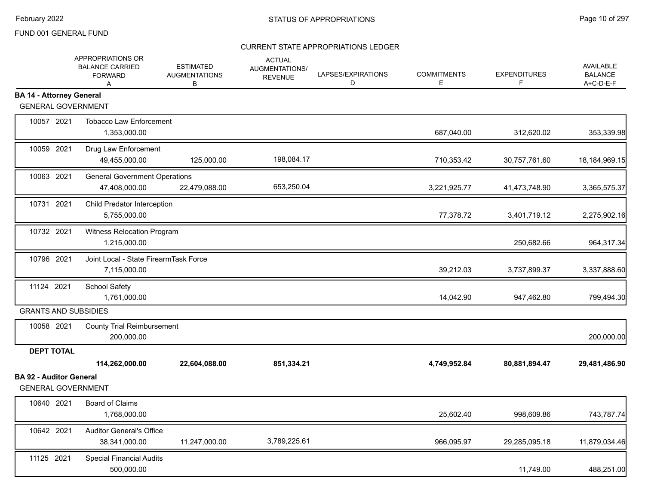|                                                             | APPROPRIATIONS OR<br><b>BALANCE CARRIED</b><br><b>FORWARD</b><br>A | <b>ESTIMATED</b><br><b>AUGMENTATIONS</b><br>B | <b>ACTUAL</b><br><b>AUGMENTATIONS/</b><br><b>REVENUE</b> | LAPSES/EXPIRATIONS<br>D | <b>COMMITMENTS</b><br>Е | <b>EXPENDITURES</b><br>F. | AVAILABLE<br><b>BALANCE</b><br>A+C-D-E-F |
|-------------------------------------------------------------|--------------------------------------------------------------------|-----------------------------------------------|----------------------------------------------------------|-------------------------|-------------------------|---------------------------|------------------------------------------|
| <b>BA 14 - Attorney General</b>                             |                                                                    |                                               |                                                          |                         |                         |                           |                                          |
| <b>GENERAL GOVERNMENT</b>                                   |                                                                    |                                               |                                                          |                         |                         |                           |                                          |
| 10057 2021                                                  | <b>Tobacco Law Enforcement</b><br>1,353,000.00                     |                                               |                                                          |                         | 687,040.00              | 312,620.02                | 353,339.98                               |
| 10059 2021                                                  | Drug Law Enforcement<br>49,455,000.00                              | 125,000.00                                    | 198,084.17                                               |                         | 710,353.42              | 30,757,761.60             | 18, 184, 969. 15                         |
| 10063 2021                                                  | <b>General Government Operations</b><br>47,408,000.00              | 22,479,088.00                                 | 653,250.04                                               |                         | 3,221,925.77            | 41,473,748.90             | 3,365,575.37                             |
| 10731 2021                                                  | Child Predator Interception<br>5,755,000.00                        |                                               |                                                          |                         | 77,378.72               | 3,401,719.12              | 2,275,902.16                             |
| 10732 2021                                                  | Witness Relocation Program<br>1,215,000.00                         |                                               |                                                          |                         |                         | 250,682.66                | 964,317.34                               |
| 10796 2021                                                  | Joint Local - State FirearmTask Force<br>7,115,000.00              |                                               |                                                          |                         | 39,212.03               | 3,737,899.37              | 3,337,888.60                             |
| 11124 2021                                                  | <b>School Safety</b><br>1,761,000.00                               |                                               |                                                          |                         | 14,042.90               | 947,462.80                | 799,494.30                               |
| <b>GRANTS AND SUBSIDIES</b>                                 |                                                                    |                                               |                                                          |                         |                         |                           |                                          |
| 10058 2021                                                  | <b>County Trial Reimbursement</b><br>200,000.00                    |                                               |                                                          |                         |                         |                           | 200,000.00                               |
| <b>DEPT TOTAL</b>                                           |                                                                    |                                               |                                                          |                         |                         |                           |                                          |
|                                                             | 114,262,000.00                                                     | 22,604,088.00                                 | 851,334.21                                               |                         | 4,749,952.84            | 80,881,894.47             | 29,481,486.90                            |
| <b>BA 92 - Auditor General</b><br><b>GENERAL GOVERNMENT</b> |                                                                    |                                               |                                                          |                         |                         |                           |                                          |
| 10640 2021                                                  | <b>Board of Claims</b><br>1,768,000.00                             |                                               |                                                          |                         | 25,602.40               | 998,609.86                | 743,787.74                               |
| 10642 2021                                                  | <b>Auditor General's Office</b><br>38,341,000.00                   | 11,247,000.00                                 | 3,789,225.61                                             |                         | 966,095.97              | 29,285,095.18             | 11,879,034.46                            |
| 11125 2021                                                  | <b>Special Financial Audits</b><br>500,000.00                      |                                               |                                                          |                         |                         | 11,749.00                 | 488,251.00                               |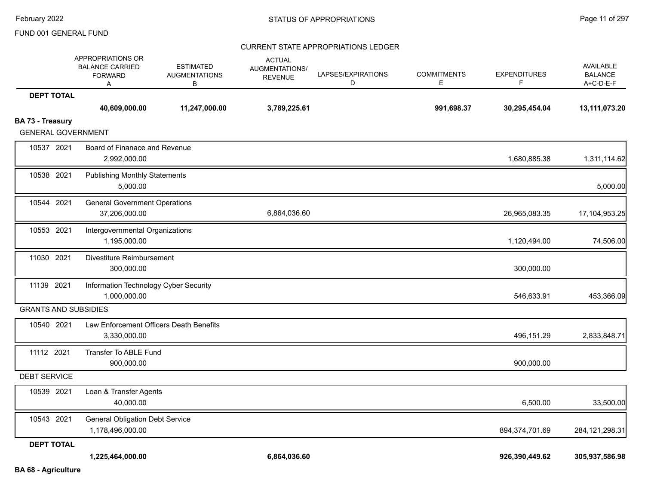|                             | APPROPRIATIONS OR<br><b>BALANCE CARRIED</b><br><b>FORWARD</b><br>Α | <b>ESTIMATED</b><br><b>AUGMENTATIONS</b><br>в | <b>ACTUAL</b><br>AUGMENTATIONS/<br><b>REVENUE</b> | LAPSES/EXPIRATIONS<br>D | <b>COMMITMENTS</b><br>Е | <b>EXPENDITURES</b><br>F | <b>AVAILABLE</b><br><b>BALANCE</b><br>A+C-D-E-F |
|-----------------------------|--------------------------------------------------------------------|-----------------------------------------------|---------------------------------------------------|-------------------------|-------------------------|--------------------------|-------------------------------------------------|
| <b>DEPT TOTAL</b>           |                                                                    |                                               |                                                   |                         |                         |                          |                                                 |
|                             | 40,609,000.00                                                      | 11,247,000.00                                 | 3,789,225.61                                      |                         | 991,698.37              | 30,295,454.04            | 13,111,073.20                                   |
| BA 73 - Treasury            |                                                                    |                                               |                                                   |                         |                         |                          |                                                 |
| <b>GENERAL GOVERNMENT</b>   |                                                                    |                                               |                                                   |                         |                         |                          |                                                 |
| 10537 2021                  | Board of Finanace and Revenue<br>2,992,000.00                      |                                               |                                                   |                         |                         | 1,680,885.38             | 1,311,114.62                                    |
| 10538 2021                  | <b>Publishing Monthly Statements</b><br>5,000.00                   |                                               |                                                   |                         |                         |                          | 5,000.00                                        |
| 10544 2021                  | <b>General Government Operations</b><br>37,206,000.00              |                                               | 6,864,036.60                                      |                         |                         | 26,965,083.35            | 17,104,953.25                                   |
|                             |                                                                    |                                               |                                                   |                         |                         |                          |                                                 |
| 10553 2021                  | Intergovernmental Organizations<br>1,195,000.00                    |                                               |                                                   |                         |                         | 1,120,494.00             | 74,506.00                                       |
| 11030 2021                  | Divestiture Reimbursement<br>300,000.00                            |                                               |                                                   |                         |                         | 300,000.00               |                                                 |
| 11139 2021                  | Information Technology Cyber Security<br>1,000,000.00              |                                               |                                                   |                         |                         | 546,633.91               | 453,366.09                                      |
| <b>GRANTS AND SUBSIDIES</b> |                                                                    |                                               |                                                   |                         |                         |                          |                                                 |
| 10540 2021                  | Law Enforcement Officers Death Benefits<br>3,330,000.00            |                                               |                                                   |                         |                         | 496,151.29               | 2,833,848.71                                    |
| 11112 2021                  | Transfer To ABLE Fund<br>900,000.00                                |                                               |                                                   |                         |                         | 900,000.00               |                                                 |
| <b>DEBT SERVICE</b>         |                                                                    |                                               |                                                   |                         |                         |                          |                                                 |
| 10539 2021                  | Loan & Transfer Agents<br>40,000.00                                |                                               |                                                   |                         |                         | 6,500.00                 | 33,500.00                                       |
| 10543 2021                  | <b>General Obligation Debt Service</b><br>1,178,496,000.00         |                                               |                                                   |                         |                         | 894,374,701.69           | 284, 121, 298. 31                               |
| <b>DEPT TOTAL</b>           |                                                                    |                                               |                                                   |                         |                         |                          |                                                 |
|                             | 1,225,464,000.00                                                   |                                               | 6,864,036.60                                      |                         |                         | 926,390,449.62           | 305,937,586.98                                  |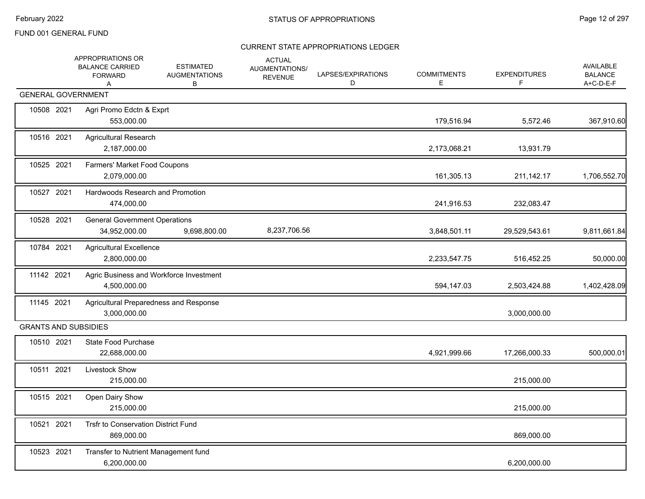|            | APPROPRIATIONS OR<br><b>BALANCE CARRIED</b><br><b>FORWARD</b><br>A | <b>ESTIMATED</b><br><b>AUGMENTATIONS</b><br>В | <b>ACTUAL</b><br>AUGMENTATIONS/<br><b>REVENUE</b> | LAPSES/EXPIRATIONS<br>D | <b>COMMITMENTS</b><br>Е | <b>EXPENDITURES</b><br>F. | <b>AVAILABLE</b><br><b>BALANCE</b><br>A+C-D-E-F |
|------------|--------------------------------------------------------------------|-----------------------------------------------|---------------------------------------------------|-------------------------|-------------------------|---------------------------|-------------------------------------------------|
|            | <b>GENERAL GOVERNMENT</b>                                          |                                               |                                                   |                         |                         |                           |                                                 |
| 10508 2021 | Agri Promo Edctn & Exprt<br>553,000.00                             |                                               |                                                   |                         | 179,516.94              | 5,572.46                  | 367,910.60                                      |
| 10516 2021 | <b>Agricultural Research</b><br>2,187,000.00                       |                                               |                                                   |                         | 2,173,068.21            | 13,931.79                 |                                                 |
| 10525 2021 | Farmers' Market Food Coupons<br>2,079,000.00                       |                                               |                                                   |                         | 161,305.13              | 211, 142. 17              | 1,706,552.70                                    |
| 10527 2021 | Hardwoods Research and Promotion<br>474,000.00                     |                                               |                                                   |                         | 241,916.53              | 232,083.47                |                                                 |
| 10528 2021 | <b>General Government Operations</b><br>34,952,000.00              | 9,698,800.00                                  | 8,237,706.56                                      |                         | 3,848,501.11            | 29,529,543.61             | 9,811,661.84                                    |
| 10784 2021 | <b>Agricultural Excellence</b><br>2,800,000.00                     |                                               |                                                   |                         | 2,233,547.75            | 516,452.25                | 50,000.00                                       |
| 11142 2021 | Agric Business and Workforce Investment<br>4,500,000.00            |                                               |                                                   |                         | 594,147.03              | 2,503,424.88              | 1,402,428.09                                    |
| 11145 2021 | Agricultural Preparedness and Response<br>3,000,000.00             |                                               |                                                   |                         |                         | 3,000,000.00              |                                                 |
|            | <b>GRANTS AND SUBSIDIES</b>                                        |                                               |                                                   |                         |                         |                           |                                                 |
| 10510 2021 | State Food Purchase<br>22,688,000.00                               |                                               |                                                   |                         | 4,921,999.66            | 17,266,000.33             | 500,000.01                                      |
| 10511 2021 | Livestock Show<br>215,000.00                                       |                                               |                                                   |                         |                         | 215,000.00                |                                                 |
| 10515 2021 | Open Dairy Show<br>215,000.00                                      |                                               |                                                   |                         |                         | 215,000.00                |                                                 |
| 10521 2021 | Trsfr to Conservation District Fund<br>869,000.00                  |                                               |                                                   |                         |                         | 869,000.00                |                                                 |
| 10523 2021 | Transfer to Nutrient Management fund<br>6,200,000.00               |                                               |                                                   |                         |                         | 6,200,000.00              |                                                 |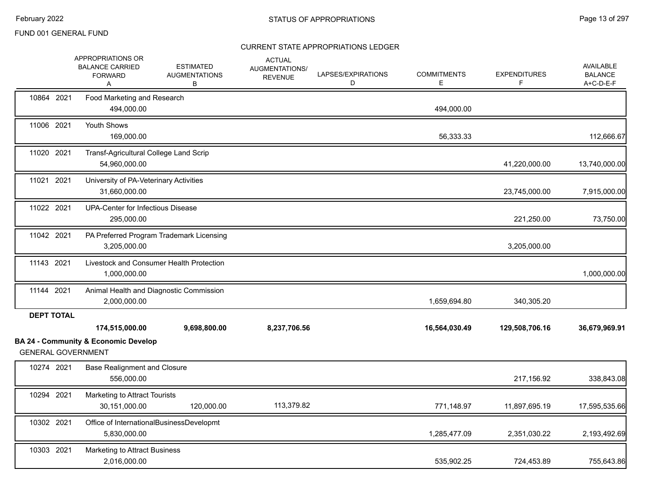|                           | APPROPRIATIONS OR<br><b>BALANCE CARRIED</b><br><b>FORWARD</b><br>Α | <b>ESTIMATED</b><br><b>AUGMENTATIONS</b><br>В | <b>ACTUAL</b><br>AUGMENTATIONS/<br><b>REVENUE</b> | LAPSES/EXPIRATIONS<br>D | <b>COMMITMENTS</b><br>E. | <b>EXPENDITURES</b> | AVAILABLE<br><b>BALANCE</b><br>A+C-D-E-F |
|---------------------------|--------------------------------------------------------------------|-----------------------------------------------|---------------------------------------------------|-------------------------|--------------------------|---------------------|------------------------------------------|
| 10864 2021                | Food Marketing and Research<br>494,000.00                          |                                               |                                                   |                         | 494,000.00               |                     |                                          |
| 11006 2021                | Youth Shows<br>169,000.00                                          |                                               |                                                   |                         | 56,333.33                |                     | 112,666.67                               |
| 11020 2021                | Transf-Agricultural College Land Scrip<br>54,960,000.00            |                                               |                                                   |                         |                          | 41,220,000.00       | 13,740,000.00                            |
| 11021 2021                | University of PA-Veterinary Activities<br>31,660,000.00            |                                               |                                                   |                         |                          | 23,745,000.00       | 7,915,000.00                             |
| 11022 2021                | UPA-Center for Infectious Disease<br>295,000.00                    |                                               |                                                   |                         |                          | 221,250.00          | 73,750.00                                |
| 11042 2021                | 3,205,000.00                                                       | PA Preferred Program Trademark Licensing      |                                                   |                         |                          | 3,205,000.00        |                                          |
| 11143 2021                | 1,000,000.00                                                       | Livestock and Consumer Health Protection      |                                                   |                         |                          |                     | 1,000,000.00                             |
| 11144 2021                | 2,000,000.00                                                       | Animal Health and Diagnostic Commission       |                                                   |                         | 1,659,694.80             | 340,305.20          |                                          |
| <b>DEPT TOTAL</b>         | 174,515,000.00                                                     | 9,698,800.00                                  | 8,237,706.56                                      |                         | 16,564,030.49            | 129,508,706.16      | 36,679,969.91                            |
| <b>GENERAL GOVERNMENT</b> | <b>BA 24 - Community &amp; Economic Develop</b>                    |                                               |                                                   |                         |                          |                     |                                          |
| 10274 2021                | <b>Base Realignment and Closure</b><br>556,000.00                  |                                               |                                                   |                         |                          | 217,156.92          | 338,843.08                               |
| 10294 2021                | Marketing to Attract Tourists<br>30,151,000.00                     | 120,000.00                                    | 113,379.82                                        |                         | 771,148.97               | 11,897,695.19       | 17,595,535.66                            |
| 10302 2021                | 5,830,000.00                                                       | Office of InternationalBusinessDevelopmt      |                                                   |                         | 1,285,477.09             | 2,351,030.22        | 2,193,492.69                             |
| 10303 2021                | Marketing to Attract Business<br>2,016,000.00                      |                                               |                                                   |                         | 535,902.25               | 724,453.89          | 755,643.86                               |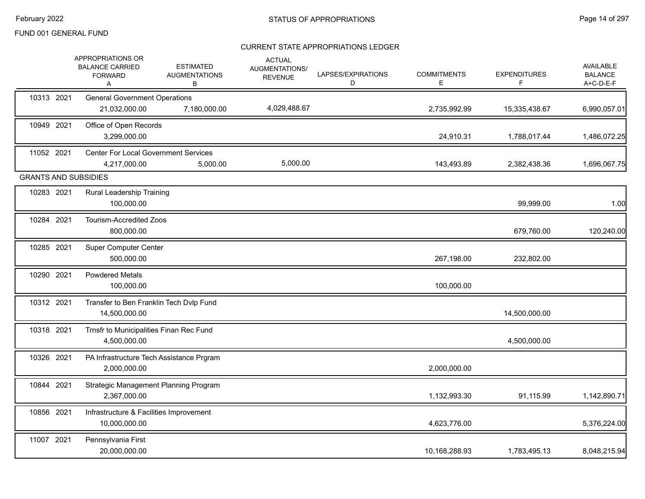|                             | APPROPRIATIONS OR<br><b>BALANCE CARRIED</b><br><b>FORWARD</b><br>Α | <b>ESTIMATED</b><br><b>AUGMENTATIONS</b><br>B | <b>ACTUAL</b><br>AUGMENTATIONS/<br><b>REVENUE</b> | LAPSES/EXPIRATIONS<br>D | <b>COMMITMENTS</b><br>Е | <b>EXPENDITURES</b><br>F. | <b>AVAILABLE</b><br><b>BALANCE</b><br>$A+C-D-E-F$ |
|-----------------------------|--------------------------------------------------------------------|-----------------------------------------------|---------------------------------------------------|-------------------------|-------------------------|---------------------------|---------------------------------------------------|
| 10313 2021                  | <b>General Government Operations</b><br>21,032,000.00              | 7,180,000.00                                  | 4,029,488.67                                      |                         | 2,735,992.99            | 15,335,438.67             | 6,990,057.01                                      |
| 10949 2021                  | Office of Open Records<br>3,299,000.00                             |                                               |                                                   |                         | 24,910.31               | 1,788,017.44              | 1,486,072.25                                      |
| 11052 2021                  | <b>Center For Local Government Services</b><br>4,217,000.00        | 5,000.00                                      | 5,000.00                                          |                         | 143,493.89              | 2,382,438.36              | 1,696,067.75                                      |
| <b>GRANTS AND SUBSIDIES</b> |                                                                    |                                               |                                                   |                         |                         |                           |                                                   |
| 10283 2021                  | Rural Leadership Training<br>100,000.00                            |                                               |                                                   |                         |                         | 99,999.00                 | 1.00                                              |
| 10284 2021                  | Tourism-Accredited Zoos<br>800,000.00                              |                                               |                                                   |                         |                         | 679,760.00                | 120,240.00                                        |
| 10285 2021                  | <b>Super Computer Center</b><br>500,000.00                         |                                               |                                                   |                         | 267,198.00              | 232,802.00                |                                                   |
| 10290 2021                  | <b>Powdered Metals</b><br>100,000.00                               |                                               |                                                   |                         | 100,000.00              |                           |                                                   |
| 10312 2021                  | Transfer to Ben Franklin Tech Dvlp Fund<br>14,500,000.00           |                                               |                                                   |                         |                         | 14,500,000.00             |                                                   |
| 10318 2021                  | Trnsfr to Municipalities Finan Rec Fund<br>4,500,000.00            |                                               |                                                   |                         |                         | 4,500,000.00              |                                                   |
| 10326 2021                  | PA Infrastructure Tech Assistance Prgram<br>2,000,000.00           |                                               |                                                   |                         | 2,000,000.00            |                           |                                                   |
| 10844 2021                  | Strategic Management Planning Program<br>2,367,000.00              |                                               |                                                   |                         | 1,132,993.30            | 91,115.99                 | 1,142,890.71                                      |
| 10856 2021                  | Infrastructure & Facilities Improvement<br>10,000,000.00           |                                               |                                                   |                         | 4,623,776.00            |                           | 5,376,224.00                                      |
| 11007 2021                  | Pennsylvania First<br>20,000,000.00                                |                                               |                                                   |                         | 10,168,288.93           | 1,783,495.13              | 8,048,215.94                                      |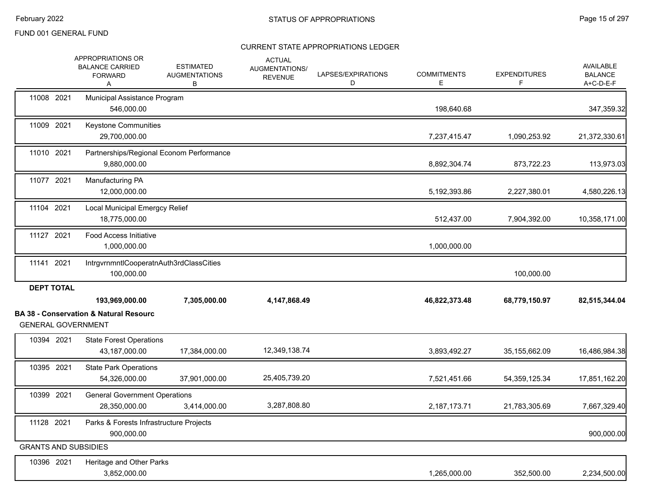|                                                | APPROPRIATIONS OR<br><b>BALANCE CARRIED</b><br><b>FORWARD</b><br>A  | <b>ESTIMATED</b><br><b>AUGMENTATIONS</b><br>В | <b>ACTUAL</b><br>AUGMENTATIONS/<br><b>REVENUE</b> | LAPSES/EXPIRATIONS<br>D | <b>COMMITMENTS</b><br>Е | <b>EXPENDITURES</b><br>F | AVAILABLE<br><b>BALANCE</b><br>$A+C-D-E-F$ |
|------------------------------------------------|---------------------------------------------------------------------|-----------------------------------------------|---------------------------------------------------|-------------------------|-------------------------|--------------------------|--------------------------------------------|
| 11008 2021                                     | Municipal Assistance Program<br>546,000.00                          |                                               |                                                   |                         | 198,640.68              |                          | 347,359.32                                 |
| 11009 2021                                     | Keystone Communities<br>29,700,000.00                               |                                               |                                                   |                         | 7,237,415.47            | 1,090,253.92             | 21,372,330.61                              |
| 11010 2021                                     | Partnerships/Regional Econom Performance<br>9,880,000.00            |                                               |                                                   |                         | 8,892,304.74            | 873,722.23               | 113,973.03                                 |
| 11077 2021                                     | Manufacturing PA<br>12,000,000.00                                   |                                               |                                                   |                         | 5,192,393.86            | 2,227,380.01             | 4,580,226.13                               |
| 11104 2021                                     | <b>Local Municipal Emergcy Relief</b><br>18,775,000.00              |                                               |                                                   |                         | 512,437.00              | 7,904,392.00             | 10,358,171.00                              |
| 11127 2021                                     | <b>Food Access Initiative</b><br>1,000,000.00                       |                                               |                                                   |                         | 1,000,000.00            |                          |                                            |
| 11141 2021                                     | IntrgvrnmntlCooperatnAuth3rdClassCities<br>100,000.00               |                                               |                                                   |                         |                         | 100,000.00               |                                            |
| <b>DEPT TOTAL</b><br><b>GENERAL GOVERNMENT</b> | 193,969,000.00<br><b>BA 38 - Conservation &amp; Natural Resourc</b> | 7,305,000.00                                  | 4,147,868.49                                      |                         | 46,822,373.48           | 68,779,150.97            | 82,515,344.04                              |
| 10394 2021                                     | <b>State Forest Operations</b><br>43,187,000.00                     | 17,384,000.00                                 | 12,349,138.74                                     |                         | 3,893,492.27            | 35,155,662.09            | 16,486,984.38                              |
| 10395 2021                                     | <b>State Park Operations</b><br>54,326,000.00                       | 37,901,000.00                                 | 25,405,739.20                                     |                         | 7,521,451.66            | 54, 359, 125. 34         | 17,851,162.20                              |
| 10399 2021                                     | <b>General Government Operations</b><br>28,350,000.00               | 3,414,000.00                                  | 3,287,808.80                                      |                         | 2,187,173.71            | 21,783,305.69            | 7,667,329.40                               |
| 11128 2021                                     | Parks & Forests Infrastructure Projects<br>900,000.00               |                                               |                                                   |                         |                         |                          | 900,000.00                                 |
| <b>GRANTS AND SUBSIDIES</b>                    |                                                                     |                                               |                                                   |                         |                         |                          |                                            |
| 10396 2021                                     | Heritage and Other Parks<br>3,852,000.00                            |                                               |                                                   |                         | 1,265,000.00            | 352,500.00               | 2,234,500.00                               |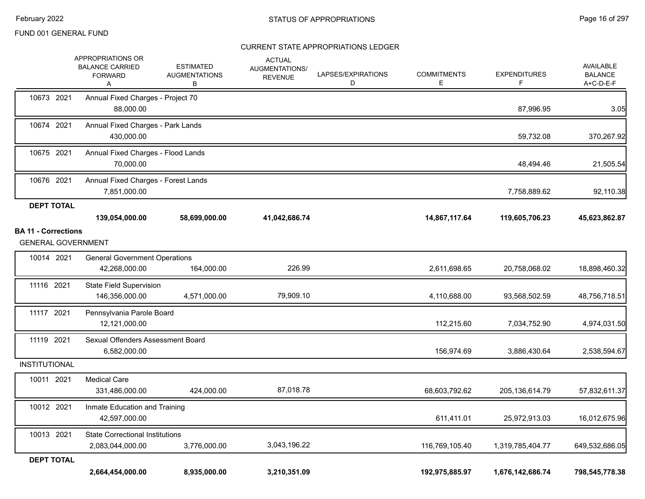|                            | APPROPRIATIONS OR<br><b>BALANCE CARRIED</b><br><b>FORWARD</b><br>Α |                                                       | <b>ESTIMATED</b><br><b>AUGMENTATIONS</b><br>в | <b>ACTUAL</b><br>AUGMENTATIONS/<br><b>REVENUE</b> | LAPSES/EXPIRATIONS<br>D | <b>COMMITMENTS</b><br>Е | <b>EXPENDITURES</b><br>F. | <b>AVAILABLE</b><br><b>BALANCE</b><br>A+C-D-E-F |
|----------------------------|--------------------------------------------------------------------|-------------------------------------------------------|-----------------------------------------------|---------------------------------------------------|-------------------------|-------------------------|---------------------------|-------------------------------------------------|
| 10673 2021                 |                                                                    | Annual Fixed Charges - Project 70<br>88,000.00        |                                               |                                                   |                         |                         | 87,996.95                 | 3.05                                            |
| 10674 2021                 |                                                                    | Annual Fixed Charges - Park Lands<br>430,000.00       |                                               |                                                   |                         |                         | 59,732.08                 | 370,267.92                                      |
| 10675 2021                 |                                                                    | Annual Fixed Charges - Flood Lands<br>70,000.00       |                                               |                                                   |                         |                         | 48,494.46                 | 21,505.54                                       |
| 10676 2021                 |                                                                    | Annual Fixed Charges - Forest Lands<br>7,851,000.00   |                                               |                                                   |                         |                         | 7,758,889.62              | 92,110.38                                       |
| <b>DEPT TOTAL</b>          |                                                                    |                                                       |                                               |                                                   |                         |                         |                           |                                                 |
|                            | 139,054,000.00                                                     |                                                       | 58,699,000.00                                 | 41,042,686.74                                     |                         | 14,867,117.64           | 119,605,706.23            | 45,623,862.87                                   |
| <b>BA 11 - Corrections</b> | <b>GENERAL GOVERNMENT</b>                                          |                                                       |                                               |                                                   |                         |                         |                           |                                                 |
| 10014 2021                 |                                                                    | <b>General Government Operations</b><br>42,268,000.00 | 164,000.00                                    | 226.99                                            |                         | 2,611,698.65            | 20,758,068.02             | 18,898,460.32                                   |
| 11116 2021                 | 146,356,000.00                                                     | <b>State Field Supervision</b>                        | 4,571,000.00                                  | 79,909.10                                         |                         | 4,110,688.00            | 93,568,502.59             | 48,756,718.51                                   |
| 11117 2021                 |                                                                    | Pennsylvania Parole Board<br>12,121,000.00            |                                               |                                                   |                         | 112,215.60              | 7,034,752.90              | 4,974,031.50                                    |
| 11119 2021                 |                                                                    | Sexual Offenders Assessment Board<br>6,582,000.00     |                                               |                                                   |                         | 156,974.69              | 3,886,430.64              | 2,538,594.67                                    |
| <b>INSTITUTIONAL</b>       |                                                                    |                                                       |                                               |                                                   |                         |                         |                           |                                                 |
| 10011 2021                 | <b>Medical Care</b><br>331,486,000.00                              |                                                       | 424,000.00                                    | 87,018.78                                         |                         | 68,603,792.62           | 205,136,614.79            | 57,832,611.37                                   |
| 10012 2021                 |                                                                    | Inmate Education and Training<br>42,597,000.00        |                                               |                                                   |                         | 611,411.01              | 25,972,913.03             | 16,012,675.96                                   |
| 10013 2021                 | 2,083,044,000.00                                                   | <b>State Correctional Institutions</b>                | 3,776,000.00                                  | 3,043,196.22                                      |                         | 116,769,105.40          | 1,319,785,404.77          | 649,532,686.05                                  |
| <b>DEPT TOTAL</b>          | 2,664,454,000.00                                                   |                                                       | 8,935,000.00                                  | 3,210,351.09                                      |                         | 192,975,885.97          | 1,676,142,686.74          | 798,545,778.38                                  |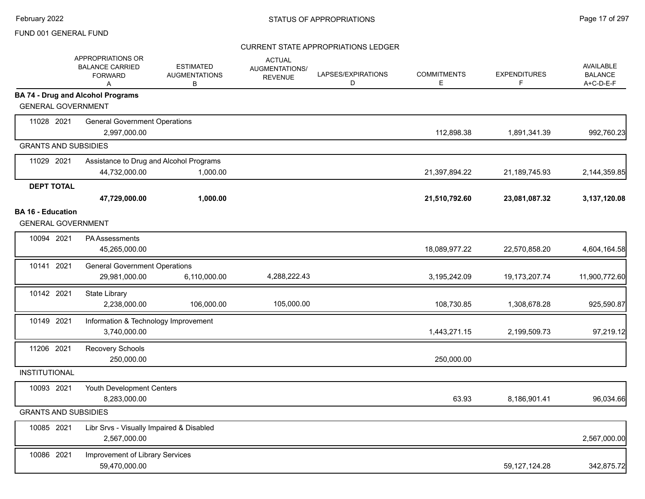|                             | APPROPRIATIONS OR<br><b>BALANCE CARRIED</b><br><b>FORWARD</b><br>Α | <b>ESTIMATED</b><br><b>AUGMENTATIONS</b><br>В | <b>ACTUAL</b><br><b>AUGMENTATIONS/</b><br><b>REVENUE</b> | LAPSES/EXPIRATIONS<br>D | <b>COMMITMENTS</b><br>Е | <b>EXPENDITURES</b><br>F. | <b>AVAILABLE</b><br><b>BALANCE</b><br>A+C-D-E-F |
|-----------------------------|--------------------------------------------------------------------|-----------------------------------------------|----------------------------------------------------------|-------------------------|-------------------------|---------------------------|-------------------------------------------------|
| <b>GENERAL GOVERNMENT</b>   | <b>BA 74 - Drug and Alcohol Programs</b>                           |                                               |                                                          |                         |                         |                           |                                                 |
|                             |                                                                    |                                               |                                                          |                         |                         |                           |                                                 |
| 11028 2021                  | <b>General Government Operations</b><br>2,997,000.00               |                                               |                                                          |                         | 112,898.38              | 1,891,341.39              | 992,760.23                                      |
| <b>GRANTS AND SUBSIDIES</b> |                                                                    |                                               |                                                          |                         |                         |                           |                                                 |
| 11029 2021                  | Assistance to Drug and Alcohol Programs                            |                                               |                                                          |                         |                         |                           |                                                 |
|                             | 44,732,000.00                                                      | 1,000.00                                      |                                                          |                         | 21,397,894.22           | 21,189,745.93             | 2,144,359.85                                    |
| <b>DEPT TOTAL</b>           |                                                                    |                                               |                                                          |                         |                         |                           |                                                 |
|                             | 47,729,000.00                                                      | 1,000.00                                      |                                                          |                         | 21,510,792.60           | 23,081,087.32             | 3,137,120.08                                    |
| <b>BA 16 - Education</b>    |                                                                    |                                               |                                                          |                         |                         |                           |                                                 |
| <b>GENERAL GOVERNMENT</b>   |                                                                    |                                               |                                                          |                         |                         |                           |                                                 |
| 10094 2021                  | <b>PA Assessments</b><br>45,265,000.00                             |                                               |                                                          |                         | 18,089,977.22           | 22,570,858.20             | 4,604,164.58                                    |
| 10141 2021                  | <b>General Government Operations</b>                               |                                               |                                                          |                         |                         |                           |                                                 |
|                             | 29,981,000.00                                                      | 6,110,000.00                                  | 4,288,222.43                                             |                         | 3,195,242.09            | 19, 173, 207. 74          | 11,900,772.60                                   |
| 10142 2021                  | State Library<br>2,238,000.00                                      | 106,000.00                                    | 105,000.00                                               |                         | 108,730.85              | 1,308,678.28              | 925,590.87                                      |
| 10149 2021                  | Information & Technology Improvement                               |                                               |                                                          |                         |                         |                           |                                                 |
|                             | 3,740,000.00                                                       |                                               |                                                          |                         | 1,443,271.15            | 2,199,509.73              | 97,219.12                                       |
| 11206 2021                  | Recovery Schools                                                   |                                               |                                                          |                         |                         |                           |                                                 |
|                             | 250,000.00                                                         |                                               |                                                          |                         | 250,000.00              |                           |                                                 |
| <b>INSTITUTIONAL</b>        |                                                                    |                                               |                                                          |                         |                         |                           |                                                 |
| 10093 2021                  | Youth Development Centers                                          |                                               |                                                          |                         |                         |                           |                                                 |
|                             | 8,283,000.00                                                       |                                               |                                                          |                         | 63.93                   | 8,186,901.41              | 96,034.66                                       |
| <b>GRANTS AND SUBSIDIES</b> |                                                                    |                                               |                                                          |                         |                         |                           |                                                 |
| 10085 2021                  | Libr Srvs - Visually Impaired & Disabled<br>2,567,000.00           |                                               |                                                          |                         |                         |                           | 2,567,000.00                                    |
| 10086 2021                  | Improvement of Library Services<br>59,470,000.00                   |                                               |                                                          |                         |                         | 59, 127, 124. 28          | 342,875.72                                      |
|                             |                                                                    |                                               |                                                          |                         |                         |                           |                                                 |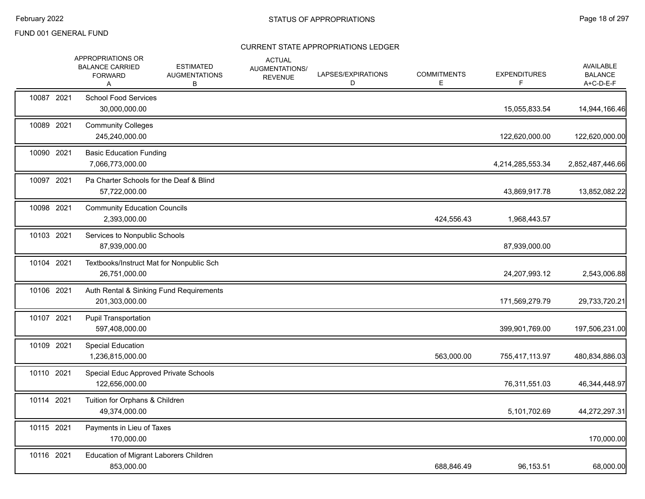|            | APPROPRIATIONS OR<br><b>BALANCE CARRIED</b><br><b>FORWARD</b><br>Α | <b>ESTIMATED</b><br><b>AUGMENTATIONS</b><br>В | <b>ACTUAL</b><br><b>AUGMENTATIONS/</b><br><b>REVENUE</b> | LAPSES/EXPIRATIONS<br>D | <b>COMMITMENTS</b><br>Е | <b>EXPENDITURES</b><br>F. | <b>AVAILABLE</b><br><b>BALANCE</b><br>A+C-D-E-F |
|------------|--------------------------------------------------------------------|-----------------------------------------------|----------------------------------------------------------|-------------------------|-------------------------|---------------------------|-------------------------------------------------|
| 10087 2021 | <b>School Food Services</b><br>30,000,000.00                       |                                               |                                                          |                         |                         | 15,055,833.54             | 14,944,166.46                                   |
| 10089 2021 | <b>Community Colleges</b><br>245,240,000.00                        |                                               |                                                          |                         |                         | 122,620,000.00            | 122,620,000.00                                  |
| 10090 2021 | <b>Basic Education Funding</b><br>7,066,773,000.00                 |                                               |                                                          |                         |                         | 4,214,285,553.34          | 2,852,487,446.66                                |
| 10097 2021 | Pa Charter Schools for the Deaf & Blind<br>57,722,000.00           |                                               |                                                          |                         |                         | 43,869,917.78             | 13,852,082.22                                   |
| 10098 2021 | <b>Community Education Councils</b><br>2,393,000.00                |                                               |                                                          |                         | 424,556.43              | 1,968,443.57              |                                                 |
| 10103 2021 | Services to Nonpublic Schools<br>87,939,000.00                     |                                               |                                                          |                         |                         | 87,939,000.00             |                                                 |
| 10104 2021 | Textbooks/Instruct Mat for Nonpublic Sch<br>26,751,000.00          |                                               |                                                          |                         |                         | 24,207,993.12             | 2,543,006.88                                    |
| 10106 2021 | Auth Rental & Sinking Fund Requirements<br>201,303,000.00          |                                               |                                                          |                         |                         | 171,569,279.79            | 29,733,720.21                                   |
| 10107 2021 | <b>Pupil Transportation</b><br>597,408,000.00                      |                                               |                                                          |                         |                         | 399,901,769.00            | 197,506,231.00                                  |
| 10109 2021 | <b>Special Education</b><br>1,236,815,000.00                       |                                               |                                                          |                         | 563,000.00              | 755,417,113.97            | 480,834,886.03                                  |
| 10110 2021 | Special Educ Approved Private Schools<br>122,656,000.00            |                                               |                                                          |                         |                         | 76,311,551.03             | 46,344,448.97                                   |
| 10114 2021 | Tuition for Orphans & Children<br>49,374,000.00                    |                                               |                                                          |                         |                         | 5,101,702.69              | 44,272,297.31                                   |
| 10115 2021 | Payments in Lieu of Taxes<br>170,000.00                            |                                               |                                                          |                         |                         |                           | 170,000.00                                      |
| 10116 2021 | Education of Migrant Laborers Children<br>853,000.00               |                                               |                                                          |                         | 688,846.49              | 96,153.51                 | 68,000.00                                       |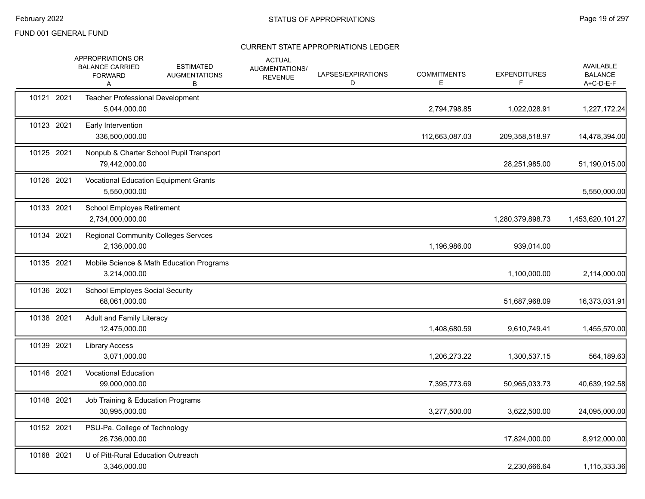|            | APPROPRIATIONS OR<br><b>BALANCE CARRIED</b><br><b>FORWARD</b><br>A | <b>ESTIMATED</b><br><b>AUGMENTATIONS</b><br>в | <b>ACTUAL</b><br><b>AUGMENTATIONS/</b><br><b>REVENUE</b> | LAPSES/EXPIRATIONS<br>D | <b>COMMITMENTS</b><br>E | <b>EXPENDITURES</b><br>F. | AVAILABLE<br><b>BALANCE</b><br>A+C-D-E-F |
|------------|--------------------------------------------------------------------|-----------------------------------------------|----------------------------------------------------------|-------------------------|-------------------------|---------------------------|------------------------------------------|
| 10121 2021 | Teacher Professional Development<br>5,044,000.00                   |                                               |                                                          |                         | 2,794,798.85            | 1,022,028.91              | 1,227,172.24                             |
| 10123 2021 | Early Intervention<br>336,500,000.00                               |                                               |                                                          |                         | 112,663,087.03          | 209,358,518.97            | 14,478,394.00                            |
| 10125 2021 | 79,442,000.00                                                      | Nonpub & Charter School Pupil Transport       |                                                          |                         |                         | 28,251,985.00             | 51,190,015.00                            |
| 10126 2021 | 5,550,000.00                                                       | Vocational Education Equipment Grants         |                                                          |                         |                         |                           | 5,550,000.00                             |
| 10133 2021 | School Employes Retirement<br>2,734,000,000.00                     |                                               |                                                          |                         |                         | 1,280,379,898.73          | 1,453,620,101.27                         |
| 10134 2021 | <b>Regional Community Colleges Servces</b><br>2,136,000.00         |                                               |                                                          |                         | 1,196,986.00            | 939,014.00                |                                          |
| 10135 2021 | 3,214,000.00                                                       | Mobile Science & Math Education Programs      |                                                          |                         |                         | 1,100,000.00              | 2,114,000.00                             |
| 10136 2021 | <b>School Employes Social Security</b><br>68,061,000.00            |                                               |                                                          |                         |                         | 51,687,968.09             | 16,373,031.91                            |
| 10138 2021 | Adult and Family Literacy<br>12,475,000.00                         |                                               |                                                          |                         | 1,408,680.59            | 9,610,749.41              | 1,455,570.00                             |
| 10139 2021 | <b>Library Access</b><br>3,071,000.00                              |                                               |                                                          |                         | 1,206,273.22            | 1,300,537.15              | 564,189.63                               |
| 10146 2021 | <b>Vocational Education</b><br>99,000,000.00                       |                                               |                                                          |                         | 7,395,773.69            | 50,965,033.73             | 40,639,192.58                            |
| 10148 2021 | Job Training & Education Programs<br>30,995,000.00                 |                                               |                                                          |                         | 3,277,500.00            | 3,622,500.00              | 24,095,000.00                            |
| 10152 2021 | PSU-Pa. College of Technology<br>26,736,000.00                     |                                               |                                                          |                         |                         | 17,824,000.00             | 8,912,000.00                             |
| 10168 2021 | U of Pitt-Rural Education Outreach<br>3,346,000.00                 |                                               |                                                          |                         |                         | 2,230,666.64              | 1,115,333.36                             |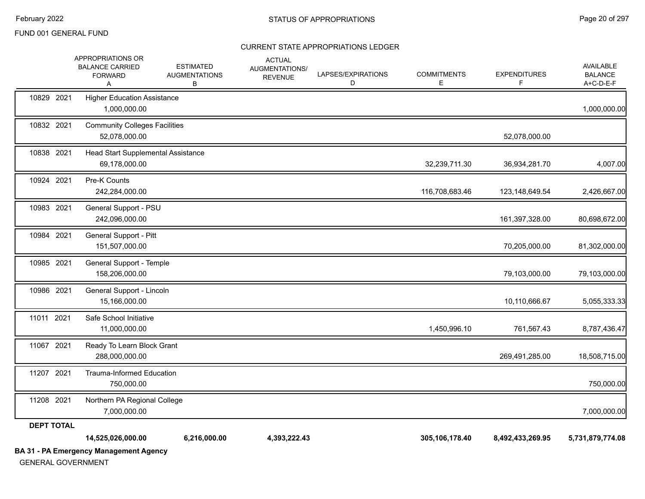| <b>GENERAL GOVERNMENT</b> | <b>BA 31 - PA Emergency Management Agency</b>                      |                                               |                                                   |                         |                         |                           |                                          |
|---------------------------|--------------------------------------------------------------------|-----------------------------------------------|---------------------------------------------------|-------------------------|-------------------------|---------------------------|------------------------------------------|
|                           | 14,525,026,000.00                                                  | 6,216,000.00                                  | 4,393,222.43                                      |                         | 305,106,178.40          | 8,492,433,269.95          | 5,731,879,774.08                         |
| <b>DEPT TOTAL</b>         |                                                                    |                                               |                                                   |                         |                         |                           |                                          |
| 11208 2021                | Northern PA Regional College<br>7,000,000.00                       |                                               |                                                   |                         |                         |                           | 7,000,000.00                             |
| 11207 2021                | <b>Trauma-Informed Education</b><br>750,000.00                     |                                               |                                                   |                         |                         |                           | 750,000.00                               |
| 11067 2021                | Ready To Learn Block Grant<br>288,000,000.00                       |                                               |                                                   |                         |                         | 269,491,285.00            | 18,508,715.00                            |
| 11011 2021                | Safe School Initiative<br>11,000,000.00                            |                                               |                                                   |                         | 1,450,996.10            | 761,567.43                | 8,787,436.47                             |
| 10986 2021                | General Support - Lincoln<br>15,166,000.00                         |                                               |                                                   |                         |                         | 10,110,666.67             | 5,055,333.33                             |
| 10985 2021                | General Support - Temple<br>158,206,000.00                         |                                               |                                                   |                         |                         | 79,103,000.00             | 79,103,000.00                            |
| 10984 2021                | General Support - Pitt<br>151,507,000.00                           |                                               |                                                   |                         |                         | 70,205,000.00             | 81,302,000.00                            |
| 10983 2021                | General Support - PSU<br>242,096,000.00                            |                                               |                                                   |                         |                         | 161,397,328.00            | 80,698,672.00                            |
| 10924 2021                | Pre-K Counts<br>242,284,000.00                                     |                                               |                                                   |                         | 116,708,683.46          | 123,148,649.54            | 2,426,667.00                             |
| 10838 2021                | Head Start Supplemental Assistance<br>69,178,000.00                |                                               |                                                   |                         | 32,239,711.30           | 36,934,281.70             | 4,007.00                                 |
| 10832 2021                | <b>Community Colleges Facilities</b><br>52,078,000.00              |                                               |                                                   |                         |                         | 52,078,000.00             |                                          |
| 10829 2021                | <b>Higher Education Assistance</b><br>1,000,000.00                 |                                               |                                                   |                         |                         |                           | 1,000,000.00                             |
|                           | APPROPRIATIONS OR<br><b>BALANCE CARRIED</b><br><b>FORWARD</b><br>Α | <b>ESTIMATED</b><br><b>AUGMENTATIONS</b><br>В | <b>ACTUAL</b><br>AUGMENTATIONS/<br><b>REVENUE</b> | LAPSES/EXPIRATIONS<br>D | <b>COMMITMENTS</b><br>Е | <b>EXPENDITURES</b><br>F. | AVAILABLE<br><b>BALANCE</b><br>A+C-D-E-F |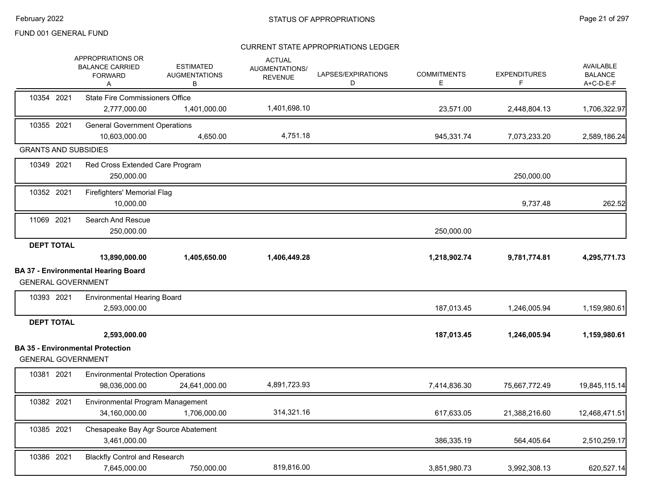|                             | <b>APPROPRIATIONS OR</b><br><b>BALANCE CARRIED</b><br><b>FORWARD</b><br>Α | <b>ESTIMATED</b><br><b>AUGMENTATIONS</b><br>В | <b>ACTUAL</b><br>AUGMENTATIONS/<br><b>REVENUE</b> | LAPSES/EXPIRATIONS<br>D | <b>COMMITMENTS</b><br>E. | <b>EXPENDITURES</b><br>F | <b>AVAILABLE</b><br><b>BALANCE</b><br>A+C-D-E-F |
|-----------------------------|---------------------------------------------------------------------------|-----------------------------------------------|---------------------------------------------------|-------------------------|--------------------------|--------------------------|-------------------------------------------------|
| 10354 2021                  | <b>State Fire Commissioners Office</b>                                    |                                               |                                                   |                         |                          |                          |                                                 |
|                             | 2,777,000.00                                                              | 1,401,000.00                                  | 1,401,698.10                                      |                         | 23,571.00                | 2,448,804.13             | 1,706,322.97                                    |
| 10355 2021                  | <b>General Government Operations</b><br>10,603,000.00                     | 4,650.00                                      | 4,751.18                                          |                         | 945,331.74               | 7,073,233.20             | 2,589,186.24                                    |
| <b>GRANTS AND SUBSIDIES</b> |                                                                           |                                               |                                                   |                         |                          |                          |                                                 |
| 10349 2021                  | Red Cross Extended Care Program<br>250,000.00                             |                                               |                                                   |                         |                          | 250,000.00               |                                                 |
| 10352 2021                  | Firefighters' Memorial Flag<br>10,000.00                                  |                                               |                                                   |                         |                          | 9,737.48                 | 262.52                                          |
| 11069 2021                  | Search And Rescue<br>250,000.00                                           |                                               |                                                   |                         | 250,000.00               |                          |                                                 |
| <b>DEPT TOTAL</b>           | 13,890,000.00                                                             | 1,405,650.00                                  | 1,406,449.28                                      |                         | 1,218,902.74             | 9,781,774.81             | 4,295,771.73                                    |
| <b>GENERAL GOVERNMENT</b>   | <b>BA 37 - Environmental Hearing Board</b>                                |                                               |                                                   |                         |                          |                          |                                                 |
| 10393 2021                  | <b>Environmental Hearing Board</b><br>2,593,000.00                        |                                               |                                                   |                         | 187,013.45               | 1,246,005.94             | 1,159,980.61                                    |
| <b>DEPT TOTAL</b>           | 2,593,000.00                                                              |                                               |                                                   |                         | 187,013.45               | 1,246,005.94             | 1,159,980.61                                    |
| <b>GENERAL GOVERNMENT</b>   | <b>BA 35 - Environmental Protection</b>                                   |                                               |                                                   |                         |                          |                          |                                                 |
| 10381 2021                  | <b>Environmental Protection Operations</b><br>98,036,000.00               | 24,641,000.00                                 | 4,891,723.93                                      |                         | 7,414,836.30             | 75,667,772.49            | 19,845,115.14                                   |
| 10382 2021                  | Environmental Program Management<br>34,160,000.00                         | 1,706,000.00                                  | 314,321.16                                        |                         | 617,633.05               | 21,388,216.60            | 12,468,471.51                                   |
| 10385 2021                  | Chesapeake Bay Agr Source Abatement<br>3,461,000.00                       |                                               |                                                   |                         | 386,335.19               | 564,405.64               | 2,510,259.17                                    |
| 10386 2021                  | <b>Blackfly Control and Research</b><br>7,645,000.00                      | 750,000.00                                    | 819,816.00                                        |                         | 3,851,980.73             | 3,992,308.13             | 620,527.14                                      |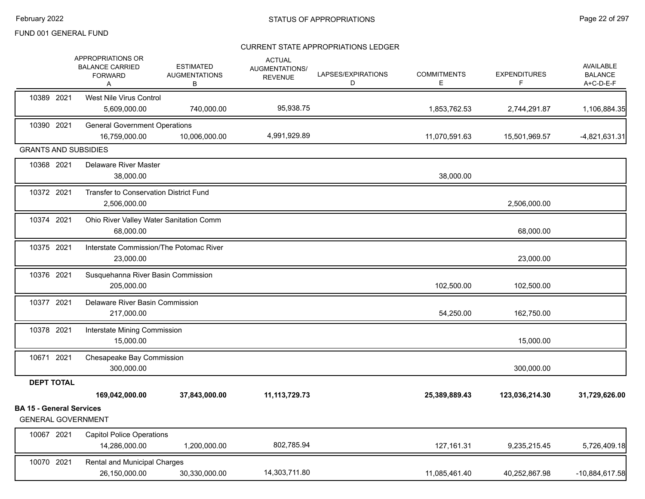|                                                              | APPROPRIATIONS OR<br><b>BALANCE CARRIED</b><br><b>FORWARD</b><br>Α | <b>ESTIMATED</b><br><b>AUGMENTATIONS</b><br>В | <b>ACTUAL</b><br>AUGMENTATIONS/<br><b>REVENUE</b> | LAPSES/EXPIRATIONS<br>D | <b>COMMITMENTS</b><br>Е | <b>EXPENDITURES</b><br>F | AVAILABLE<br><b>BALANCE</b><br>A+C-D-E-F |
|--------------------------------------------------------------|--------------------------------------------------------------------|-----------------------------------------------|---------------------------------------------------|-------------------------|-------------------------|--------------------------|------------------------------------------|
| 10389 2021                                                   | West Nile Virus Control<br>5,609,000.00                            | 740,000.00                                    | 95,938.75                                         |                         | 1,853,762.53            | 2,744,291.87             | 1,106,884.35                             |
| 10390 2021                                                   | <b>General Government Operations</b><br>16,759,000.00              | 10,006,000.00                                 | 4,991,929.89                                      |                         | 11,070,591.63           | 15,501,969.57            | $-4,821,631.31$                          |
| <b>GRANTS AND SUBSIDIES</b>                                  |                                                                    |                                               |                                                   |                         |                         |                          |                                          |
| 10368 2021                                                   | <b>Delaware River Master</b><br>38,000.00                          |                                               |                                                   |                         | 38,000.00               |                          |                                          |
| 10372 2021                                                   | Transfer to Conservation District Fund<br>2,506,000.00             |                                               |                                                   |                         |                         | 2,506,000.00             |                                          |
| 10374 2021                                                   | Ohio River Valley Water Sanitation Comm<br>68,000.00               |                                               |                                                   |                         |                         | 68,000.00                |                                          |
| 10375 2021                                                   | Interstate Commission/The Potomac River<br>23,000.00               |                                               |                                                   |                         |                         | 23,000.00                |                                          |
| 10376 2021                                                   | Susquehanna River Basin Commission<br>205,000.00                   |                                               |                                                   |                         | 102,500.00              | 102,500.00               |                                          |
| 10377 2021                                                   | Delaware River Basin Commission<br>217,000.00                      |                                               |                                                   |                         | 54,250.00               | 162,750.00               |                                          |
| 10378 2021                                                   | Interstate Mining Commission<br>15,000.00                          |                                               |                                                   |                         |                         | 15,000.00                |                                          |
| 10671 2021                                                   | Chesapeake Bay Commission<br>300,000.00                            |                                               |                                                   |                         |                         | 300,000.00               |                                          |
| <b>DEPT TOTAL</b>                                            |                                                                    |                                               |                                                   |                         |                         |                          |                                          |
|                                                              | 169,042,000.00                                                     | 37,843,000.00                                 | 11,113,729.73                                     |                         | 25,389,889.43           | 123,036,214.30           | 31,729,626.00                            |
| <b>BA 15 - General Services</b><br><b>GENERAL GOVERNMENT</b> |                                                                    |                                               |                                                   |                         |                         |                          |                                          |
| 10067 2021                                                   | <b>Capitol Police Operations</b><br>14,286,000.00                  | 1,200,000.00                                  | 802,785.94                                        |                         | 127, 161.31             | 9,235,215.45             | 5,726,409.18                             |
| 10070 2021                                                   | <b>Rental and Municipal Charges</b><br>26,150,000.00               | 30,330,000.00                                 | 14,303,711.80                                     |                         | 11,085,461.40           | 40,252,867.98            | $-10,884,617.58$                         |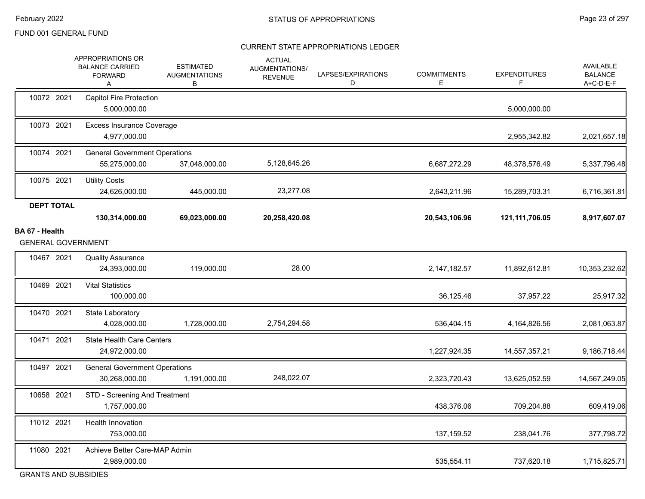|                                     | APPROPRIATIONS OR<br><b>BALANCE CARRIED</b><br><b>FORWARD</b><br>Α | <b>ESTIMATED</b><br><b>AUGMENTATIONS</b><br>В | <b>ACTUAL</b><br>AUGMENTATIONS/<br><b>REVENUE</b> | LAPSES/EXPIRATIONS<br>D | <b>COMMITMENTS</b><br>Е | <b>EXPENDITURES</b><br>F. | <b>AVAILABLE</b><br><b>BALANCE</b><br>A+C-D-E-F |
|-------------------------------------|--------------------------------------------------------------------|-----------------------------------------------|---------------------------------------------------|-------------------------|-------------------------|---------------------------|-------------------------------------------------|
| 10072 2021                          | <b>Capitol Fire Protection</b><br>5,000,000.00                     |                                               |                                                   |                         |                         | 5,000,000.00              |                                                 |
| 10073 2021                          | <b>Excess Insurance Coverage</b><br>4,977,000.00                   |                                               |                                                   |                         |                         | 2,955,342.82              | 2,021,657.18                                    |
| 10074 2021                          | <b>General Government Operations</b><br>55,275,000.00              | 37,048,000.00                                 | 5,128,645.26                                      |                         | 6,687,272.29            | 48,378,576.49             | 5,337,796.48                                    |
| 10075 2021                          | <b>Utility Costs</b><br>24,626,000.00                              | 445,000.00                                    | 23,277.08                                         |                         | 2,643,211.96            | 15,289,703.31             | 6,716,361.81                                    |
| <b>DEPT TOTAL</b><br>BA 67 - Health | 130,314,000.00                                                     | 69,023,000.00                                 | 20,258,420.08                                     |                         | 20,543,106.96           | 121,111,706.05            | 8,917,607.07                                    |
| <b>GENERAL GOVERNMENT</b>           |                                                                    |                                               |                                                   |                         |                         |                           |                                                 |
| 10467 2021                          | <b>Quality Assurance</b><br>24,393,000.00                          | 119,000.00                                    | 28.00                                             |                         | 2,147,182.57            | 11,892,612.81             | 10,353,232.62                                   |
| 10469 2021                          | <b>Vital Statistics</b><br>100,000.00                              |                                               |                                                   |                         | 36,125.46               | 37,957.22                 | 25,917.32                                       |
| 10470 2021                          | State Laboratory<br>4,028,000.00                                   | 1,728,000.00                                  | 2,754,294.58                                      |                         | 536,404.15              | 4,164,826.56              | 2,081,063.87                                    |
| 10471 2021                          | <b>State Health Care Centers</b><br>24,972,000.00                  |                                               |                                                   |                         | 1,227,924.35            | 14,557,357.21             | 9,186,718.44                                    |
| 10497 2021                          | <b>General Government Operations</b><br>30,268,000.00              | 1,191,000.00                                  | 248,022.07                                        |                         | 2,323,720.43            | 13,625,052.59             | 14,567,249.05                                   |
| 10658 2021                          | STD - Screening And Treatment<br>1,757,000.00                      |                                               |                                                   |                         | 438,376.06              | 709,204.88                | 609,419.06                                      |
| 11012 2021                          | Health Innovation<br>753,000.00                                    |                                               |                                                   |                         | 137, 159.52             | 238,041.76                | 377,798.72                                      |
| 11080 2021                          | Achieve Better Care-MAP Admin<br>2,989,000.00                      |                                               |                                                   |                         | 535,554.11              | 737,620.18                | 1,715,825.71                                    |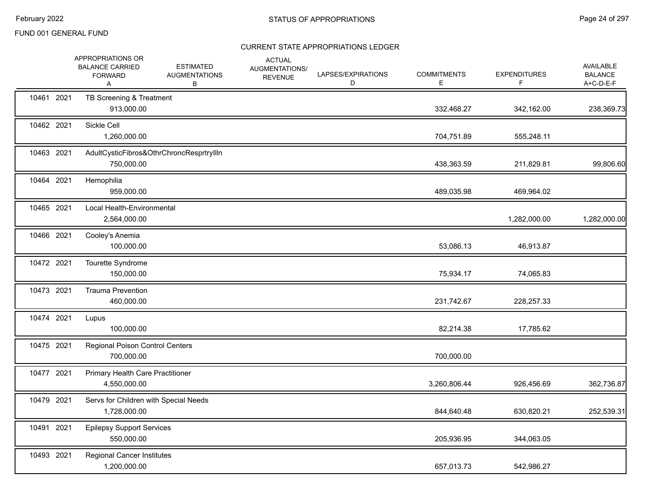|            | APPROPRIATIONS OR<br><b>BALANCE CARRIED</b><br><b>FORWARD</b><br>Α | <b>ESTIMATED</b><br><b>AUGMENTATIONS</b><br>В | <b>ACTUAL</b><br><b>AUGMENTATIONS/</b><br><b>REVENUE</b> | LAPSES/EXPIRATIONS<br>D | <b>COMMITMENTS</b><br>Е | <b>EXPENDITURES</b><br>F. | <b>AVAILABLE</b><br><b>BALANCE</b><br>A+C-D-E-F |
|------------|--------------------------------------------------------------------|-----------------------------------------------|----------------------------------------------------------|-------------------------|-------------------------|---------------------------|-------------------------------------------------|
| 10461 2021 | TB Screening & Treatment<br>913,000.00                             |                                               |                                                          |                         | 332,468.27              | 342,162.00                | 238,369.73                                      |
| 10462 2021 | Sickle Cell<br>1,260,000.00                                        |                                               |                                                          |                         | 704,751.89              | 555,248.11                |                                                 |
| 10463 2021 | 750,000.00                                                         | AdultCysticFibros&OthrChroncResprtryllIn      |                                                          |                         | 438,363.59              | 211,829.81                | 99,806.60                                       |
| 10464 2021 | Hemophilia<br>959,000.00                                           |                                               |                                                          |                         | 489,035.98              | 469,964.02                |                                                 |
| 10465 2021 | Local Health-Environmental<br>2,564,000.00                         |                                               |                                                          |                         |                         | 1,282,000.00              | 1,282,000.00                                    |
| 10466 2021 | Cooley's Anemia<br>100,000.00                                      |                                               |                                                          |                         | 53,086.13               | 46,913.87                 |                                                 |
| 10472 2021 | Tourette Syndrome<br>150,000.00                                    |                                               |                                                          |                         | 75,934.17               | 74,065.83                 |                                                 |
| 10473 2021 | <b>Trauma Prevention</b><br>460,000.00                             |                                               |                                                          |                         | 231,742.67              | 228,257.33                |                                                 |
| 10474 2021 | Lupus<br>100,000.00                                                |                                               |                                                          |                         | 82,214.38               | 17,785.62                 |                                                 |
| 10475 2021 | Regional Poison Control Centers<br>700,000.00                      |                                               |                                                          |                         | 700,000.00              |                           |                                                 |
| 10477 2021 | <b>Primary Health Care Practitioner</b><br>4,550,000.00            |                                               |                                                          |                         | 3,260,806.44            | 926,456.69                | 362,736.87                                      |
| 10479 2021 | Servs for Children with Special Needs<br>1,728,000.00              |                                               |                                                          |                         | 844,640.48              | 630,820.21                | 252,539.31                                      |
| 10491 2021 | <b>Epilepsy Support Services</b><br>550,000.00                     |                                               |                                                          |                         | 205,936.95              | 344,063.05                |                                                 |
| 10493 2021 | <b>Regional Cancer Institutes</b><br>1,200,000.00                  |                                               |                                                          |                         | 657,013.73              | 542,986.27                |                                                 |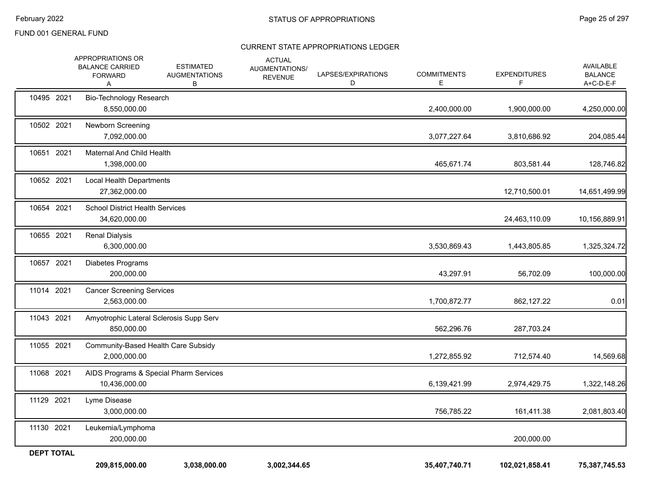|                   | APPROPRIATIONS OR<br><b>BALANCE CARRIED</b><br><b>FORWARD</b><br>Α | <b>ESTIMATED</b><br><b>AUGMENTATIONS</b><br>В | <b>ACTUAL</b><br><b>AUGMENTATIONS/</b><br><b>REVENUE</b> | LAPSES/EXPIRATIONS<br>D | <b>COMMITMENTS</b><br>E | <b>EXPENDITURES</b><br>F | AVAILABLE<br><b>BALANCE</b><br>A+C-D-E-F |
|-------------------|--------------------------------------------------------------------|-----------------------------------------------|----------------------------------------------------------|-------------------------|-------------------------|--------------------------|------------------------------------------|
| 10495 2021        | Bio-Technology Research<br>8,550,000.00                            |                                               |                                                          |                         | 2,400,000.00            | 1,900,000.00             | 4,250,000.00                             |
| 10502 2021        | Newborn Screening<br>7,092,000.00                                  |                                               |                                                          |                         | 3,077,227.64            | 3,810,686.92             | 204,085.44                               |
| 10651 2021        | Maternal And Child Health<br>1,398,000.00                          |                                               |                                                          |                         | 465,671.74              | 803,581.44               | 128,746.82                               |
| 10652 2021        | Local Health Departments<br>27,362,000.00                          |                                               |                                                          |                         |                         | 12,710,500.01            | 14,651,499.99                            |
| 10654 2021        | <b>School District Health Services</b><br>34,620,000.00            |                                               |                                                          |                         |                         | 24,463,110.09            | 10,156,889.91                            |
| 10655 2021        | <b>Renal Dialysis</b><br>6,300,000.00                              |                                               |                                                          |                         | 3,530,869.43            | 1,443,805.85             | 1,325,324.72                             |
| 10657 2021        | Diabetes Programs<br>200,000.00                                    |                                               |                                                          |                         | 43,297.91               | 56,702.09                | 100,000.00                               |
| 11014 2021        | <b>Cancer Screening Services</b><br>2,563,000.00                   |                                               |                                                          |                         | 1,700,872.77            | 862,127.22               | 0.01                                     |
| 11043 2021        | 850,000.00                                                         | Amyotrophic Lateral Sclerosis Supp Serv       |                                                          |                         | 562,296.76              | 287,703.24               |                                          |
| 11055 2021        | 2,000,000.00                                                       | Community-Based Health Care Subsidy           |                                                          |                         | 1,272,855.92            | 712,574.40               | 14,569.68                                |
| 11068 2021        | 10,436,000.00                                                      | AIDS Programs & Special Pharm Services        |                                                          |                         | 6,139,421.99            | 2,974,429.75             | 1,322,148.26                             |
| 11129 2021        | Lyme Disease<br>3,000,000.00                                       |                                               |                                                          |                         | 756,785.22              | 161,411.38               | 2,081,803.40                             |
| 11130 2021        | Leukemia/Lymphoma<br>200,000.00                                    |                                               |                                                          |                         |                         | 200,000.00               |                                          |
| <b>DEPT TOTAL</b> | 209,815,000.00                                                     | 3,038,000.00                                  | 3,002,344.65                                             |                         | 35,407,740.71           | 102,021,858.41           | 75,387,745.53                            |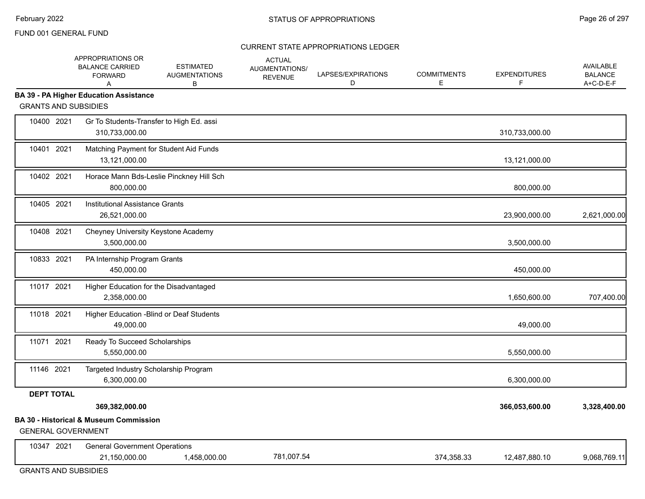#### CURRENT STATE APPROPRIATIONS LEDGER

|                                         | APPROPRIATIONS OR<br><b>BALANCE CARRIED</b><br><b>FORWARD</b><br>A  | <b>ESTIMATED</b><br><b>AUGMENTATIONS</b><br>В | <b>ACTUAL</b><br>AUGMENTATIONS/<br><b>REVENUE</b> | LAPSES/EXPIRATIONS<br>D | <b>COMMITMENTS</b><br>E | <b>EXPENDITURES</b><br>F. | AVAILABLE<br><b>BALANCE</b><br>A+C-D-E-F |
|-----------------------------------------|---------------------------------------------------------------------|-----------------------------------------------|---------------------------------------------------|-------------------------|-------------------------|---------------------------|------------------------------------------|
| <b>GRANTS AND SUBSIDIES</b>             | <b>BA 39 - PA Higher Education Assistance</b>                       |                                               |                                                   |                         |                         |                           |                                          |
| 10400 2021                              | Gr To Students-Transfer to High Ed. assi<br>310,733,000.00          |                                               |                                                   |                         |                         | 310,733,000.00            |                                          |
| 10401 2021                              | Matching Payment for Student Aid Funds<br>13,121,000.00             |                                               |                                                   |                         |                         | 13,121,000.00             |                                          |
| 10402 2021                              | 800,000.00                                                          | Horace Mann Bds-Leslie Pinckney Hill Sch      |                                                   |                         |                         | 800,000.00                |                                          |
| 10405 2021                              | Institutional Assistance Grants<br>26,521,000.00                    |                                               |                                                   |                         |                         | 23,900,000.00             | 2,621,000.00                             |
| 10408 2021                              | Cheyney University Keystone Academy<br>3,500,000.00                 |                                               |                                                   |                         |                         | 3,500,000.00              |                                          |
| 10833 2021                              | PA Internship Program Grants<br>450,000.00                          |                                               |                                                   |                         |                         | 450,000.00                |                                          |
| 11017 2021                              | Higher Education for the Disadvantaged<br>2,358,000.00              |                                               |                                                   |                         |                         | 1,650,600.00              | 707,400.00                               |
| 11018 2021                              | Higher Education - Blind or Deaf Students<br>49,000.00              |                                               |                                                   |                         |                         | 49,000.00                 |                                          |
| 11071 2021                              | Ready To Succeed Scholarships<br>5,550,000.00                       |                                               |                                                   |                         |                         | 5,550,000.00              |                                          |
| 11146 2021                              | Targeted Industry Scholarship Program<br>6,300,000.00               |                                               |                                                   |                         |                         | 6,300,000.00              |                                          |
| <b>DEPT TOTAL</b>                       | 369,382,000.00<br><b>BA 30 - Historical &amp; Museum Commission</b> |                                               |                                                   |                         |                         | 366,053,600.00            | 3,328,400.00                             |
| <b>GENERAL GOVERNMENT</b><br>10347 2021 | <b>General Government Operations</b>                                |                                               |                                                   |                         |                         |                           |                                          |
|                                         | 21,150,000.00                                                       | 1,458,000.00                                  | 781,007.54                                        |                         | 374,358.33              | 12,487,880.10             | 9,068,769.11                             |

GRANTS AND SUBSIDIES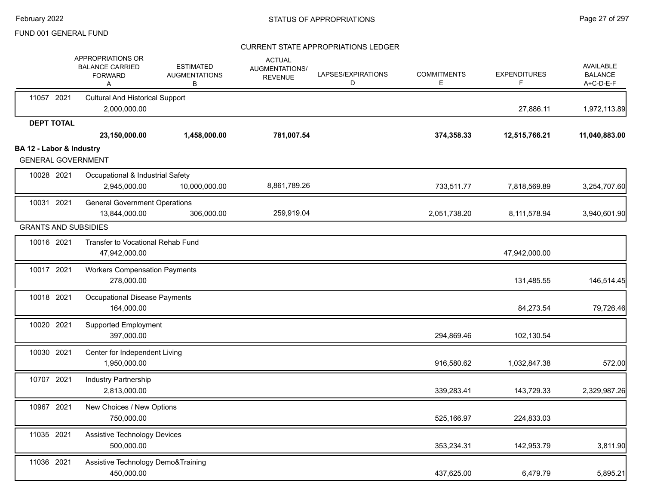|                          | APPROPRIATIONS OR<br><b>BALANCE CARRIED</b><br><b>FORWARD</b><br>Α | <b>ESTIMATED</b><br><b>AUGMENTATIONS</b><br>В | <b>ACTUAL</b><br>AUGMENTATIONS/<br><b>REVENUE</b> | LAPSES/EXPIRATIONS<br>D | <b>COMMITMENTS</b><br>Ε | <b>EXPENDITURES</b> | <b>AVAILABLE</b><br><b>BALANCE</b><br>A+C-D-E-F |
|--------------------------|--------------------------------------------------------------------|-----------------------------------------------|---------------------------------------------------|-------------------------|-------------------------|---------------------|-------------------------------------------------|
| 11057 2021               | <b>Cultural And Historical Support</b><br>2,000,000.00             |                                               |                                                   |                         |                         | 27,886.11           | 1,972,113.89                                    |
| <b>DEPT TOTAL</b>        | 23,150,000.00                                                      | 1,458,000.00                                  | 781,007.54                                        |                         | 374,358.33              | 12,515,766.21       | 11,040,883.00                                   |
| BA 12 - Labor & Industry | <b>GENERAL GOVERNMENT</b>                                          |                                               |                                                   |                         |                         |                     |                                                 |
| 10028 2021               | Occupational & Industrial Safety<br>2,945,000.00                   | 10,000,000.00                                 | 8,861,789.26                                      |                         | 733,511.77              | 7,818,569.89        | 3,254,707.60                                    |
| 10031 2021               | <b>General Government Operations</b><br>13,844,000.00              | 306,000.00                                    | 259,919.04                                        |                         | 2,051,738.20            | 8,111,578.94        | 3,940,601.90                                    |
|                          | <b>GRANTS AND SUBSIDIES</b>                                        |                                               |                                                   |                         |                         |                     |                                                 |
| 10016 2021               | Transfer to Vocational Rehab Fund<br>47,942,000.00                 |                                               |                                                   |                         |                         | 47,942,000.00       |                                                 |
| 10017 2021               | <b>Workers Compensation Payments</b><br>278,000.00                 |                                               |                                                   |                         |                         | 131,485.55          | 146,514.45                                      |
| 10018 2021               | <b>Occupational Disease Payments</b><br>164,000.00                 |                                               |                                                   |                         |                         | 84,273.54           | 79,726.46                                       |
| 10020 2021               | <b>Supported Employment</b><br>397,000.00                          |                                               |                                                   |                         | 294,869.46              | 102,130.54          |                                                 |
| 10030 2021               | Center for Independent Living<br>1,950,000.00                      |                                               |                                                   |                         | 916,580.62              | 1,032,847.38        | 572.00                                          |
| 10707 2021               | Industry Partnership<br>2,813,000.00                               |                                               |                                                   |                         | 339,283.41              | 143,729.33          | 2,329,987.26                                    |
| 10967 2021               | New Choices / New Options<br>750,000.00                            |                                               |                                                   |                         | 525,166.97              | 224,833.03          |                                                 |
| 11035 2021               | Assistive Technology Devices<br>500,000.00                         |                                               |                                                   |                         | 353,234.31              | 142,953.79          | 3,811.90                                        |
| 11036 2021               | Assistive Technology Demo&Training<br>450,000.00                   |                                               |                                                   |                         | 437,625.00              | 6,479.79            | 5,895.21                                        |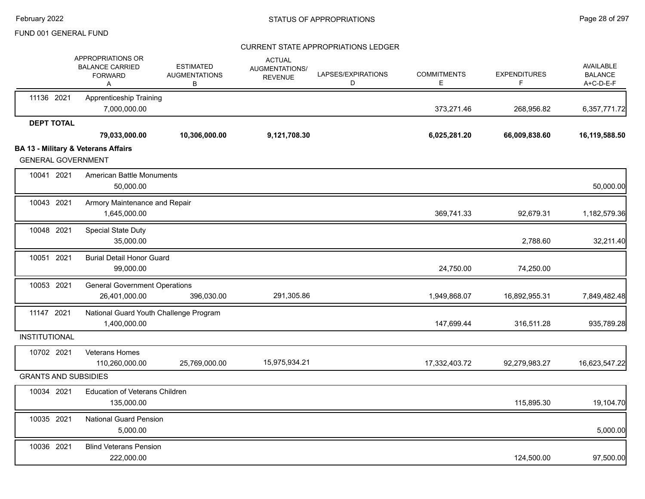|                             | APPROPRIATIONS OR<br><b>BALANCE CARRIED</b><br><b>FORWARD</b><br>A | <b>ESTIMATED</b><br><b>AUGMENTATIONS</b><br>В | <b>ACTUAL</b><br><b>AUGMENTATIONS/</b><br><b>REVENUE</b> | LAPSES/EXPIRATIONS<br>D | <b>COMMITMENTS</b><br>Е | <b>EXPENDITURES</b><br>F | <b>AVAILABLE</b><br><b>BALANCE</b><br>A+C-D-E-F |
|-----------------------------|--------------------------------------------------------------------|-----------------------------------------------|----------------------------------------------------------|-------------------------|-------------------------|--------------------------|-------------------------------------------------|
| 11136 2021                  | <b>Apprenticeship Training</b><br>7,000,000.00                     |                                               |                                                          |                         | 373,271.46              | 268,956.82               | 6,357,771.72                                    |
| <b>DEPT TOTAL</b>           |                                                                    |                                               |                                                          |                         |                         |                          |                                                 |
|                             | 79,033,000.00                                                      | 10,306,000.00                                 | 9,121,708.30                                             |                         | 6,025,281.20            | 66,009,838.60            | 16,119,588.50                                   |
| <b>GENERAL GOVERNMENT</b>   | <b>BA 13 - Military &amp; Veterans Affairs</b>                     |                                               |                                                          |                         |                         |                          |                                                 |
| 10041 2021                  | <b>American Battle Monuments</b><br>50,000.00                      |                                               |                                                          |                         |                         |                          | 50,000.00                                       |
| 10043 2021                  | Armory Maintenance and Repair<br>1,645,000.00                      |                                               |                                                          |                         | 369,741.33              | 92,679.31                | 1,182,579.36                                    |
| 10048 2021                  | Special State Duty<br>35,000.00                                    |                                               |                                                          |                         |                         | 2,788.60                 | 32,211.40                                       |
| 10051 2021                  | <b>Burial Detail Honor Guard</b><br>99,000.00                      |                                               |                                                          |                         | 24,750.00               | 74,250.00                |                                                 |
| 10053 2021                  | <b>General Government Operations</b><br>26,401,000.00              | 396,030.00                                    | 291,305.86                                               |                         | 1,949,868.07            | 16,892,955.31            | 7,849,482.48                                    |
| 11147 2021                  | National Guard Youth Challenge Program<br>1,400,000.00             |                                               |                                                          |                         | 147,699.44              | 316,511.28               | 935,789.28                                      |
| <b>INSTITUTIONAL</b>        |                                                                    |                                               |                                                          |                         |                         |                          |                                                 |
| 10702 2021                  | Veterans Homes<br>110,260,000.00                                   | 25,769,000.00                                 | 15,975,934.21                                            |                         | 17,332,403.72           | 92,279,983.27            | 16,623,547.22                                   |
| <b>GRANTS AND SUBSIDIES</b> |                                                                    |                                               |                                                          |                         |                         |                          |                                                 |
| 10034 2021                  | <b>Education of Veterans Children</b><br>135,000.00                |                                               |                                                          |                         |                         | 115,895.30               | 19,104.70                                       |
| 10035 2021                  | <b>National Guard Pension</b><br>5,000.00                          |                                               |                                                          |                         |                         |                          | 5,000.00                                        |
| 10036 2021                  | <b>Blind Veterans Pension</b><br>222,000.00                        |                                               |                                                          |                         |                         | 124,500.00               | 97,500.00                                       |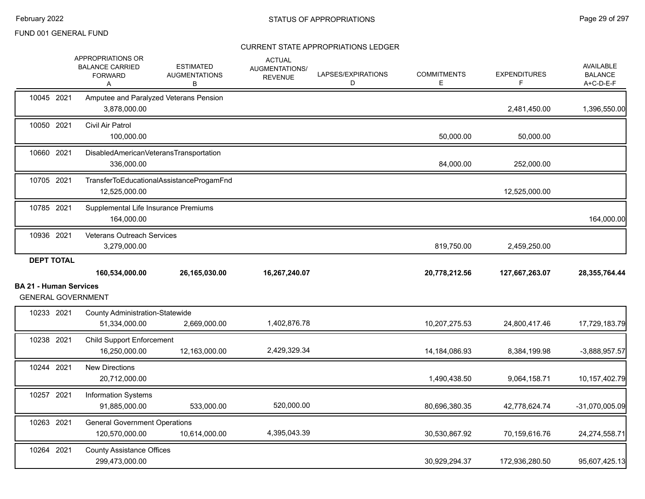|                               | APPROPRIATIONS OR<br><b>BALANCE CARRIED</b><br><b>FORWARD</b><br>Α | <b>ESTIMATED</b><br><b>AUGMENTATIONS</b><br>В | <b>ACTUAL</b><br><b>AUGMENTATIONS/</b><br><b>REVENUE</b> | LAPSES/EXPIRATIONS<br>D | <b>COMMITMENTS</b><br>Е | <b>EXPENDITURES</b><br>F. | <b>AVAILABLE</b><br><b>BALANCE</b><br>A+C-D-E-F |
|-------------------------------|--------------------------------------------------------------------|-----------------------------------------------|----------------------------------------------------------|-------------------------|-------------------------|---------------------------|-------------------------------------------------|
| 10045 2021                    | Amputee and Paralyzed Veterans Pension<br>3,878,000.00             |                                               |                                                          |                         |                         | 2,481,450.00              | 1,396,550.00                                    |
| 10050 2021                    | Civil Air Patrol<br>100,000.00                                     |                                               |                                                          |                         | 50,000.00               | 50,000.00                 |                                                 |
| 10660 2021                    | DisabledAmericanVeteransTransportation<br>336,000.00               |                                               |                                                          |                         | 84,000.00               | 252,000.00                |                                                 |
| 10705 2021                    | 12,525,000.00                                                      | TransferToEducationalAssistanceProgamFnd      |                                                          |                         |                         | 12,525,000.00             |                                                 |
| 10785 2021                    | Supplemental Life Insurance Premiums<br>164,000.00                 |                                               |                                                          |                         |                         |                           | 164,000.00                                      |
| 10936 2021                    | <b>Veterans Outreach Services</b><br>3,279,000.00                  |                                               |                                                          |                         | 819,750.00              | 2,459,250.00              |                                                 |
| <b>DEPT TOTAL</b>             | 160,534,000.00                                                     | 26,165,030.00                                 | 16,267,240.07                                            |                         | 20,778,212.56           | 127,667,263.07            | 28,355,764.44                                   |
| <b>BA 21 - Human Services</b> |                                                                    |                                               |                                                          |                         |                         |                           |                                                 |
|                               | <b>GENERAL GOVERNMENT</b>                                          |                                               |                                                          |                         |                         |                           |                                                 |
| 10233 2021                    | <b>County Administration-Statewide</b><br>51,334,000.00            | 2,669,000.00                                  | 1,402,876.78                                             |                         | 10,207,275.53           | 24,800,417.46             | 17,729,183.79                                   |
| 10238 2021                    | <b>Child Support Enforcement</b><br>16.250.000.00                  | 12,163,000.00                                 | 2,429,329.34                                             |                         | 14, 184, 086. 93        | 8,384,199.98              | $-3,888,957.57$                                 |
| 10244 2021                    | <b>New Directions</b><br>20,712,000.00                             |                                               |                                                          |                         | 1,490,438.50            | 9,064,158.71              | 10,157,402.79                                   |
| 10257 2021                    | <b>Information Systems</b><br>91,885,000.00                        | 533,000.00                                    | 520,000.00                                               |                         | 80,696,380.35           | 42,778,624.74             | $-31,070,005.09$                                |
| 10263 2021                    | <b>General Government Operations</b><br>120,570,000.00             | 10,614,000.00                                 | 4,395,043.39                                             |                         | 30,530,867.92           | 70,159,616.76             | 24,274,558.71                                   |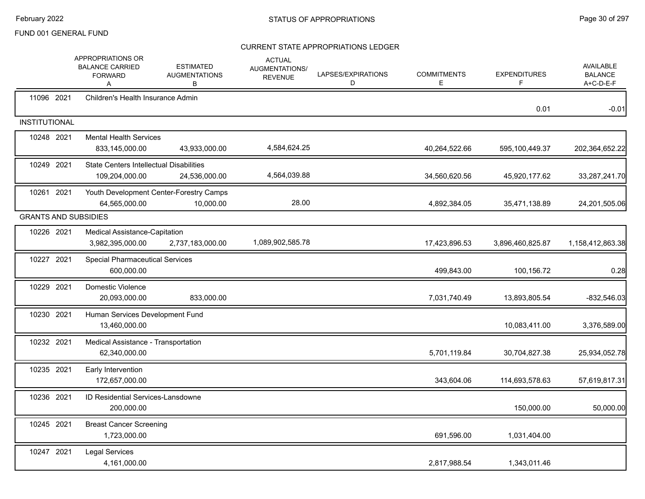|                      | APPROPRIATIONS OR<br><b>BALANCE CARRIED</b><br><b>FORWARD</b><br>Α | <b>ESTIMATED</b><br><b>AUGMENTATIONS</b><br>В        | <b>ACTUAL</b><br>AUGMENTATIONS/<br><b>REVENUE</b> | LAPSES/EXPIRATIONS<br>D | <b>COMMITMENTS</b><br>E. | <b>EXPENDITURES</b><br>F | AVAILABLE<br><b>BALANCE</b><br>A+C-D-E-F |
|----------------------|--------------------------------------------------------------------|------------------------------------------------------|---------------------------------------------------|-------------------------|--------------------------|--------------------------|------------------------------------------|
| 11096 2021           | Children's Health Insurance Admin                                  |                                                      |                                                   |                         |                          | 0.01                     | $-0.01$                                  |
| <b>INSTITUTIONAL</b> |                                                                    |                                                      |                                                   |                         |                          |                          |                                          |
| 10248 2021           | <b>Mental Health Services</b><br>833,145,000.00                    | 43,933,000.00                                        | 4,584,624.25                                      |                         | 40,264,522.66            | 595,100,449.37           | 202,364,652.22                           |
| 10249 2021           | <b>State Centers Intellectual Disabilities</b><br>109,204,000.00   | 24,536,000.00                                        | 4,564,039.88                                      |                         | 34,560,620.56            | 45,920,177.62            | 33,287,241.70                            |
| 10261 2021           | 64,565,000.00                                                      | Youth Development Center-Forestry Camps<br>10,000.00 | 28.00                                             |                         | 4,892,384.05             | 35,471,138.89            | 24,201,505.06                            |
|                      | <b>GRANTS AND SUBSIDIES</b>                                        |                                                      |                                                   |                         |                          |                          |                                          |
| 10226 2021           | <b>Medical Assistance-Capitation</b><br>3,982,395,000.00           | 2,737,183,000.00                                     | 1,089,902,585.78                                  |                         | 17,423,896.53            | 3,896,460,825.87         | 1,158,412,863.38                         |
| 10227 2021           | <b>Special Pharmaceutical Services</b><br>600,000.00               |                                                      |                                                   |                         | 499,843.00               | 100,156.72               | 0.28                                     |
| 10229 2021           | Domestic Violence<br>20,093,000.00                                 | 833,000.00                                           |                                                   |                         | 7,031,740.49             | 13,893,805.54            | $-832,546.03$                            |
| 10230 2021           | Human Services Development Fund<br>13,460,000.00                   |                                                      |                                                   |                         |                          | 10,083,411.00            | 3,376,589.00                             |
| 10232 2021           | Medical Assistance - Transportation<br>62,340,000.00               |                                                      |                                                   |                         | 5,701,119.84             | 30,704,827.38            | 25,934,052.78                            |
| 10235 2021           | Early Intervention<br>172,657,000.00                               |                                                      |                                                   |                         | 343,604.06               | 114,693,578.63           | 57,619,817.31                            |
| 10236 2021           | ID Residential Services-Lansdowne<br>200,000.00                    |                                                      |                                                   |                         |                          | 150,000.00               | 50,000.00                                |
| 10245 2021           | <b>Breast Cancer Screening</b><br>1,723,000.00                     |                                                      |                                                   |                         | 691,596.00               | 1,031,404.00             |                                          |
| 10247 2021           | <b>Legal Services</b><br>4,161,000.00                              |                                                      |                                                   |                         | 2,817,988.54             | 1,343,011.46             |                                          |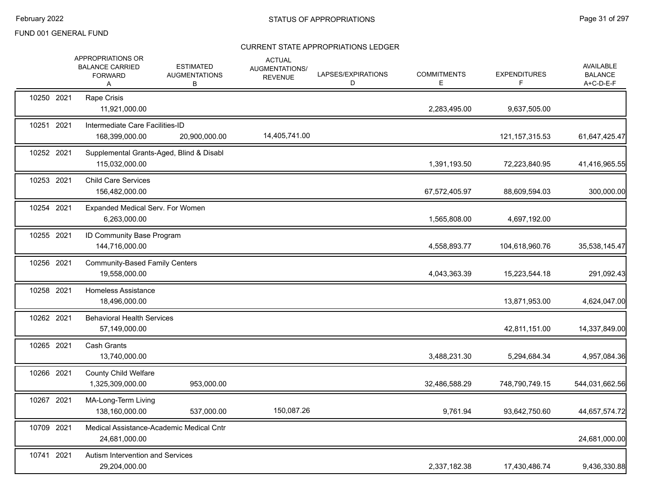|            | APPROPRIATIONS OR<br><b>BALANCE CARRIED</b><br><b>FORWARD</b><br>A | <b>ESTIMATED</b><br><b>AUGMENTATIONS</b><br>В | <b>ACTUAL</b><br>AUGMENTATIONS/<br><b>REVENUE</b> | LAPSES/EXPIRATIONS<br>D | <b>COMMITMENTS</b><br>E. | <b>EXPENDITURES</b><br>F. | AVAILABLE<br><b>BALANCE</b><br>A+C-D-E-F |
|------------|--------------------------------------------------------------------|-----------------------------------------------|---------------------------------------------------|-------------------------|--------------------------|---------------------------|------------------------------------------|
| 10250 2021 | Rape Crisis<br>11,921,000.00                                       |                                               |                                                   |                         | 2,283,495.00             | 9,637,505.00              |                                          |
| 10251 2021 | Intermediate Care Facilities-ID<br>168,399,000.00                  | 20,900,000.00                                 | 14,405,741.00                                     |                         |                          | 121, 157, 315.53          | 61,647,425.47                            |
| 10252 2021 | Supplemental Grants-Aged, Blind & Disabl<br>115,032,000.00         |                                               |                                                   |                         | 1,391,193.50             | 72,223,840.95             | 41,416,965.55                            |
| 10253 2021 | <b>Child Care Services</b><br>156,482,000.00                       |                                               |                                                   |                         | 67,572,405.97            | 88,609,594.03             | 300,000.00                               |
| 10254 2021 | Expanded Medical Serv. For Women<br>6,263,000.00                   |                                               |                                                   |                         | 1,565,808.00             | 4,697,192.00              |                                          |
| 10255 2021 | ID Community Base Program<br>144,716,000.00                        |                                               |                                                   |                         | 4,558,893.77             | 104,618,960.76            | 35,538,145.47                            |
| 10256 2021 | <b>Community-Based Family Centers</b><br>19,558,000.00             |                                               |                                                   |                         | 4,043,363.39             | 15,223,544.18             | 291,092.43                               |
| 10258 2021 | Homeless Assistance<br>18,496,000.00                               |                                               |                                                   |                         |                          | 13,871,953.00             | 4,624,047.00                             |
| 10262 2021 | <b>Behavioral Health Services</b><br>57,149,000.00                 |                                               |                                                   |                         |                          | 42,811,151.00             | 14,337,849.00                            |
| 10265 2021 | <b>Cash Grants</b><br>13,740,000.00                                |                                               |                                                   |                         | 3,488,231.30             | 5,294,684.34              | 4,957,084.36                             |
| 10266 2021 | <b>County Child Welfare</b><br>1,325,309,000.00                    | 953,000.00                                    |                                                   |                         | 32,486,588.29            | 748,790,749.15            | 544,031,662.56                           |
| 10267 2021 | MA-Long-Term Living<br>138,160,000.00                              | 537,000.00                                    | 150,087.26                                        |                         | 9,761.94                 | 93,642,750.60             | 44,657,574.72                            |
| 10709 2021 | Medical Assistance-Academic Medical Cntr<br>24,681,000.00          |                                               |                                                   |                         |                          |                           | 24,681,000.00                            |
| 10741 2021 | <b>Autism Intervention and Services</b><br>29,204,000.00           |                                               |                                                   |                         | 2,337,182.38             | 17,430,486.74             | 9,436,330.88                             |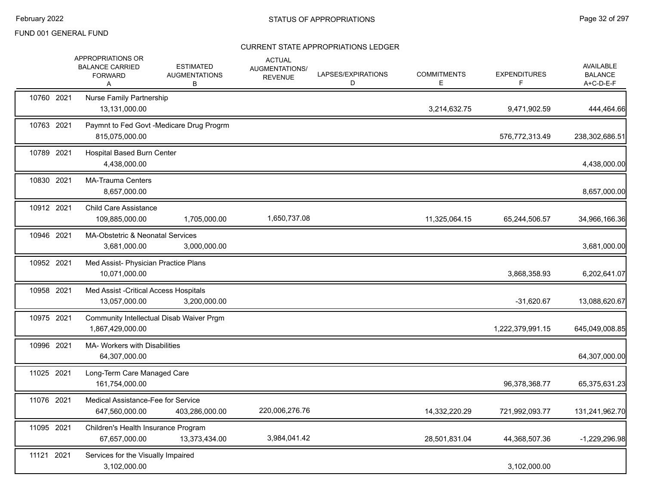|            | APPROPRIATIONS OR<br><b>BALANCE CARRIED</b><br><b>FORWARD</b><br>A | <b>ESTIMATED</b><br><b>AUGMENTATIONS</b><br>В | <b>ACTUAL</b><br>AUGMENTATIONS/<br><b>REVENUE</b> | LAPSES/EXPIRATIONS<br>D | <b>COMMITMENTS</b><br>E. | <b>EXPENDITURES</b><br>F | <b>AVAILABLE</b><br><b>BALANCE</b><br>A+C-D-E-F |
|------------|--------------------------------------------------------------------|-----------------------------------------------|---------------------------------------------------|-------------------------|--------------------------|--------------------------|-------------------------------------------------|
| 10760 2021 | <b>Nurse Family Partnership</b><br>13,131,000.00                   |                                               |                                                   |                         | 3,214,632.75             | 9,471,902.59             | 444,464.66                                      |
| 10763 2021 | 815,075,000.00                                                     | Paymnt to Fed Govt -Medicare Drug Progrm      |                                                   |                         |                          | 576,772,313.49           | 238,302,686.51                                  |
| 10789 2021 | <b>Hospital Based Burn Center</b><br>4,438,000.00                  |                                               |                                                   |                         |                          |                          | 4,438,000.00                                    |
| 10830 2021 | <b>MA-Trauma Centers</b><br>8,657,000.00                           |                                               |                                                   |                         |                          |                          | 8,657,000.00                                    |
| 10912 2021 | <b>Child Care Assistance</b><br>109,885,000.00                     | 1,705,000.00                                  | 1,650,737.08                                      |                         | 11,325,064.15            | 65,244,506.57            | 34,966,166.36                                   |
| 10946 2021 | MA-Obstetric & Neonatal Services<br>3,681,000.00                   | 3,000,000.00                                  |                                                   |                         |                          |                          | 3,681,000.00                                    |
| 10952 2021 | Med Assist- Physician Practice Plans<br>10,071,000.00              |                                               |                                                   |                         |                          | 3,868,358.93             | 6,202,641.07                                    |
| 10958 2021 | Med Assist - Critical Access Hospitals<br>13,057,000.00            | 3,200,000.00                                  |                                                   |                         |                          | $-31,620.67$             | 13,088,620.67                                   |
| 10975 2021 | 1,867,429,000.00                                                   | Community Intellectual Disab Waiver Prgm      |                                                   |                         |                          | 1,222,379,991.15         | 645,049,008.85                                  |
| 10996 2021 | <b>MA- Workers with Disabilities</b><br>64,307,000.00              |                                               |                                                   |                         |                          |                          | 64,307,000.00                                   |
| 11025 2021 | Long-Term Care Managed Care<br>161,754,000.00                      |                                               |                                                   |                         |                          | 96,378,368.77            | 65,375,631.23                                   |
| 11076 2021 | Medical Assistance-Fee for Service<br>647,560,000.00               | 403,286,000.00                                | 220,006,276.76                                    |                         | 14,332,220.29            | 721,992,093.77           | 131,241,962.70                                  |
| 11095 2021 | Children's Health Insurance Program<br>67,657,000.00               | 13,373,434.00                                 | 3,984,041.42                                      |                         | 28,501,831.04            | 44,368,507.36            | $-1,229,296.98$                                 |
| 11121 2021 | Services for the Visually Impaired<br>3,102,000.00                 |                                               |                                                   |                         |                          | 3,102,000.00             |                                                 |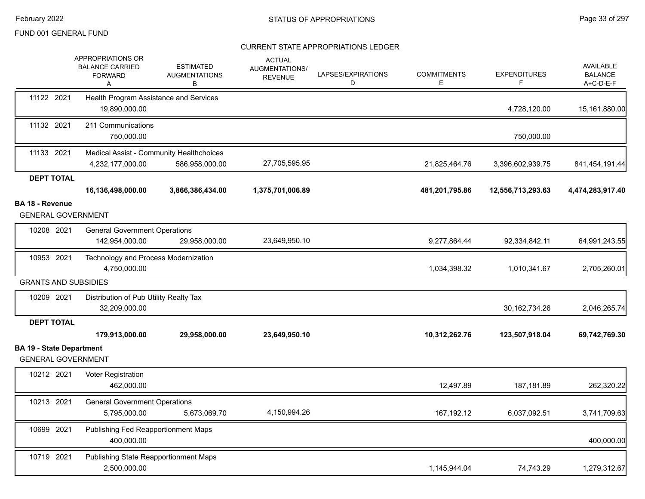|                                                              | APPROPRIATIONS OR<br><b>BALANCE CARRIED</b><br><b>FORWARD</b><br>Α | <b>ESTIMATED</b><br><b>AUGMENTATIONS</b><br>в              | <b>ACTUAL</b><br>AUGMENTATIONS/<br><b>REVENUE</b> | LAPSES/EXPIRATIONS<br>D | <b>COMMITMENTS</b><br>E. | <b>EXPENDITURES</b> | <b>AVAILABLE</b><br><b>BALANCE</b><br>A+C-D-E-F |
|--------------------------------------------------------------|--------------------------------------------------------------------|------------------------------------------------------------|---------------------------------------------------|-------------------------|--------------------------|---------------------|-------------------------------------------------|
| 11122 2021                                                   | 19,890,000.00                                                      | Health Program Assistance and Services                     |                                                   |                         |                          | 4,728,120.00        | 15,161,880.00                                   |
| 11132 2021                                                   | 211 Communications<br>750,000.00                                   |                                                            |                                                   |                         |                          | 750,000.00          |                                                 |
| 11133 2021                                                   | 4,232,177,000.00                                                   | Medical Assist - Community Healthchoices<br>586,958,000.00 | 27,705,595.95                                     |                         | 21,825,464.76            | 3,396,602,939.75    | 841,454,191.44                                  |
| <b>DEPT TOTAL</b>                                            |                                                                    |                                                            |                                                   |                         |                          |                     |                                                 |
|                                                              | 16,136,498,000.00                                                  | 3,866,386,434.00                                           | 1,375,701,006.89                                  |                         | 481,201,795.86           | 12,556,713,293.63   | 4,474,283,917.40                                |
| <b>BA 18 - Revenue</b><br><b>GENERAL GOVERNMENT</b>          |                                                                    |                                                            |                                                   |                         |                          |                     |                                                 |
| 10208 2021                                                   | <b>General Government Operations</b><br>142,954,000.00             | 29,958,000.00                                              | 23,649,950.10                                     |                         | 9,277,864.44             | 92,334,842.11       | 64,991,243.55                                   |
| 10953 2021                                                   | 4,750,000.00                                                       | Technology and Process Modernization                       |                                                   |                         | 1,034,398.32             | 1,010,341.67        | 2,705,260.01                                    |
| <b>GRANTS AND SUBSIDIES</b>                                  |                                                                    |                                                            |                                                   |                         |                          |                     |                                                 |
| 10209 2021                                                   | Distribution of Pub Utility Realty Tax<br>32,209,000.00            |                                                            |                                                   |                         |                          | 30, 162, 734. 26    | 2,046,265.74                                    |
| <b>DEPT TOTAL</b>                                            |                                                                    |                                                            |                                                   |                         |                          |                     |                                                 |
|                                                              | 179,913,000.00                                                     | 29,958,000.00                                              | 23,649,950.10                                     |                         | 10,312,262.76            | 123,507,918.04      | 69,742,769.30                                   |
| <b>BA 19 - State Department</b><br><b>GENERAL GOVERNMENT</b> |                                                                    |                                                            |                                                   |                         |                          |                     |                                                 |
| 10212 2021                                                   | Voter Registration<br>462,000.00                                   |                                                            |                                                   |                         | 12,497.89                | 187,181.89          | 262,320.22                                      |
| 10213 2021                                                   | <b>General Government Operations</b>                               |                                                            |                                                   |                         |                          |                     |                                                 |
|                                                              | 5,795,000.00                                                       | 5,673,069.70                                               | 4,150,994.26                                      |                         | 167,192.12               | 6,037,092.51        | 3,741,709.63                                    |
| 10699 2021                                                   | 400,000.00                                                         | Publishing Fed Reapportionment Maps                        |                                                   |                         |                          |                     | 400,000.00                                      |
| 10719 2021                                                   | 2,500,000.00                                                       | Publishing State Reapportionment Maps                      |                                                   |                         | 1,145,944.04             | 74,743.29           | 1,279,312.67                                    |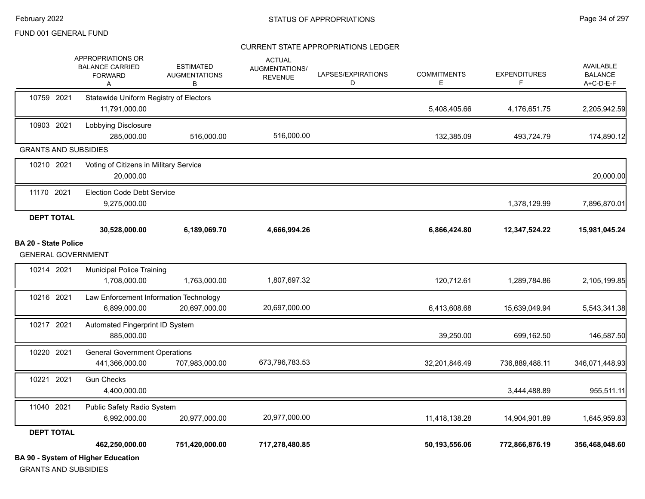#### CURRENT STATE APPROPRIATIONS LEDGER

|                                                          | <b>BA 90 - System of Higher Education</b>                          |                                               |                                                          |                         |                         |                          |                                                 |
|----------------------------------------------------------|--------------------------------------------------------------------|-----------------------------------------------|----------------------------------------------------------|-------------------------|-------------------------|--------------------------|-------------------------------------------------|
|                                                          | 462,250,000.00                                                     | 751,420,000.00                                | 717,278,480.85                                           |                         | 50,193,556.06           | 772,866,876.19           | 356,468,048.60                                  |
| <b>DEPT TOTAL</b>                                        |                                                                    |                                               |                                                          |                         |                         |                          |                                                 |
|                                                          | 6,992,000.00                                                       | 20,977,000.00                                 | 20,977,000.00                                            |                         | 11,418,138.28           | 14,904,901.89            | 1,645,959.83                                    |
| 11040 2021                                               | Public Safety Radio System                                         |                                               |                                                          |                         |                         |                          |                                                 |
| 10221 2021                                               | <b>Gun Checks</b><br>4,400,000.00                                  |                                               |                                                          |                         |                         | 3,444,488.89             | 955,511.11                                      |
| 10220 2021                                               | <b>General Government Operations</b><br>441,366,000.00             | 707,983,000.00                                | 673,796,783.53                                           |                         | 32,201,846.49           | 736,889,488.11           | 346,071,448.93                                  |
| 10217 2021                                               | Automated Fingerprint ID System<br>885,000.00                      |                                               |                                                          |                         | 39,250.00               | 699,162.50               | 146,587.50                                      |
| 10216 2021                                               | Law Enforcement Information Technology<br>6,899,000.00             | 20,697,000.00                                 | 20,697,000.00                                            |                         | 6,413,608.68            | 15,639,049.94            | 5,543,341.38                                    |
| 10214 2021                                               | <b>Municipal Police Training</b><br>1,708,000.00                   | 1,763,000.00                                  | 1,807,697.32                                             |                         | 120,712.61              | 1,289,784.86             | 2,105,199.85                                    |
| <b>BA 20 - State Police</b><br><b>GENERAL GOVERNMENT</b> |                                                                    |                                               |                                                          |                         |                         |                          |                                                 |
|                                                          | 30,528,000.00                                                      | 6,189,069.70                                  | 4,666,994.26                                             |                         | 6,866,424.80            | 12,347,524.22            | 15,981,045.24                                   |
| <b>DEPT TOTAL</b>                                        |                                                                    |                                               |                                                          |                         |                         |                          |                                                 |
| 11170 2021                                               | <b>Election Code Debt Service</b><br>9,275,000.00                  |                                               |                                                          |                         |                         | 1,378,129.99             | 7,896,870.01                                    |
| 10210 2021                                               | Voting of Citizens in Military Service<br>20,000.00                |                                               |                                                          |                         |                         |                          | 20,000.00                                       |
| <b>GRANTS AND SUBSIDIES</b>                              |                                                                    |                                               |                                                          |                         |                         |                          |                                                 |
| 10903 2021                                               | Lobbying Disclosure<br>285,000.00                                  | 516,000.00                                    | 516,000.00                                               |                         | 132,385.09              | 493,724.79               | 174,890.12                                      |
| 10759 2021                                               | Statewide Uniform Registry of Electors<br>11,791,000.00            |                                               |                                                          |                         | 5,408,405.66            | 4,176,651.75             | 2,205,942.59                                    |
|                                                          | APPROPRIATIONS OR<br><b>BALANCE CARRIED</b><br><b>FORWARD</b><br>A | <b>ESTIMATED</b><br><b>AUGMENTATIONS</b><br>В | <b>ACTUAL</b><br><b>AUGMENTATIONS/</b><br><b>REVENUE</b> | LAPSES/EXPIRATIONS<br>D | <b>COMMITMENTS</b><br>E | <b>EXPENDITURES</b><br>F | <b>AVAILABLE</b><br><b>BALANCE</b><br>A+C-D-E-F |

GRANTS AND SUBSIDIES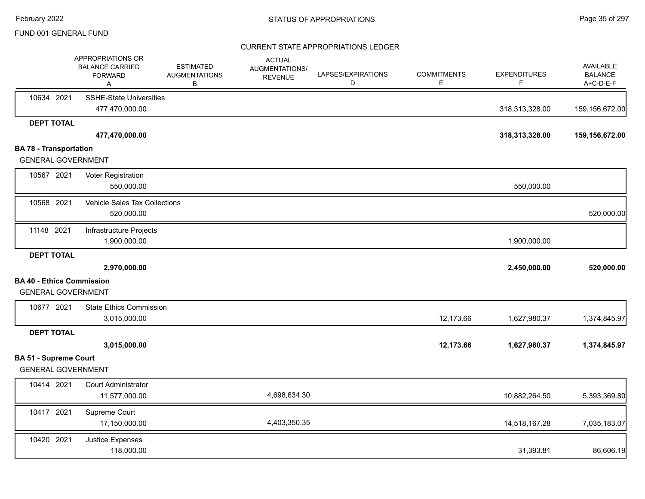|                                                           | APPROPRIATIONS OR<br><b>BALANCE CARRIED</b><br><b>FORWARD</b><br>A | <b>ESTIMATED</b><br><b>AUGMENTATIONS</b><br>В | <b>ACTUAL</b><br><b>AUGMENTATIONS/</b><br><b>REVENUE</b> | LAPSES/EXPIRATIONS<br>D | <b>COMMITMENTS</b><br>Ε | <b>EXPENDITURES</b><br>F | AVAILABLE<br><b>BALANCE</b><br>A+C-D-E-F |
|-----------------------------------------------------------|--------------------------------------------------------------------|-----------------------------------------------|----------------------------------------------------------|-------------------------|-------------------------|--------------------------|------------------------------------------|
| 10634 2021                                                | <b>SSHE-State Universities</b>                                     |                                               |                                                          |                         |                         |                          |                                          |
|                                                           | 477,470,000.00                                                     |                                               |                                                          |                         |                         | 318,313,328.00           | 159,156,672.00                           |
| <b>DEPT TOTAL</b>                                         |                                                                    |                                               |                                                          |                         |                         |                          |                                          |
|                                                           | 477,470,000.00                                                     |                                               |                                                          |                         |                         | 318,313,328.00           | 159,156,672.00                           |
| <b>BA 78 - Transportation</b>                             |                                                                    |                                               |                                                          |                         |                         |                          |                                          |
| <b>GENERAL GOVERNMENT</b>                                 |                                                                    |                                               |                                                          |                         |                         |                          |                                          |
| 10567 2021                                                | Voter Registration                                                 |                                               |                                                          |                         |                         |                          |                                          |
|                                                           | 550,000.00                                                         |                                               |                                                          |                         |                         | 550,000.00               |                                          |
| 10568 2021                                                | Vehicle Sales Tax Collections                                      |                                               |                                                          |                         |                         |                          |                                          |
|                                                           | 520,000.00                                                         |                                               |                                                          |                         |                         |                          | 520,000.00                               |
| 11148 2021                                                | Infrastructure Projects                                            |                                               |                                                          |                         |                         |                          |                                          |
|                                                           | 1,900,000.00                                                       |                                               |                                                          |                         |                         | 1,900,000.00             |                                          |
| <b>DEPT TOTAL</b>                                         |                                                                    |                                               |                                                          |                         |                         |                          |                                          |
|                                                           | 2,970,000.00                                                       |                                               |                                                          |                         |                         | 2,450,000.00             | 520,000.00                               |
| <b>BA 40 - Ethics Commission</b>                          |                                                                    |                                               |                                                          |                         |                         |                          |                                          |
| <b>GENERAL GOVERNMENT</b>                                 |                                                                    |                                               |                                                          |                         |                         |                          |                                          |
| 10677 2021                                                | <b>State Ethics Commission</b>                                     |                                               |                                                          |                         |                         |                          |                                          |
|                                                           | 3,015,000.00                                                       |                                               |                                                          |                         | 12,173.66               | 1,627,980.37             | 1,374,845.97                             |
| <b>DEPT TOTAL</b>                                         |                                                                    |                                               |                                                          |                         |                         |                          |                                          |
|                                                           | 3,015,000.00                                                       |                                               |                                                          |                         | 12,173.66               | 1,627,980.37             | 1,374,845.97                             |
| <b>BA 51 - Supreme Court</b><br><b>GENERAL GOVERNMENT</b> |                                                                    |                                               |                                                          |                         |                         |                          |                                          |
|                                                           |                                                                    |                                               |                                                          |                         |                         |                          |                                          |
| 10414 2021                                                | <b>Court Administrator</b>                                         |                                               | 4,698,634.30                                             |                         |                         |                          |                                          |
|                                                           | 11,577,000.00                                                      |                                               |                                                          |                         |                         | 10,882,264.50            | 5,393,369.80                             |
| 10417 2021                                                | Supreme Court                                                      |                                               |                                                          |                         |                         |                          |                                          |
|                                                           | 17,150,000.00                                                      |                                               | 4,403,350.35                                             |                         |                         | 14,518,167.28            | 7,035,183.07                             |
| 10420 2021                                                | Justice Expenses                                                   |                                               |                                                          |                         |                         |                          |                                          |
|                                                           | 118,000.00                                                         |                                               |                                                          |                         |                         | 31,393.81                | 86,606.19                                |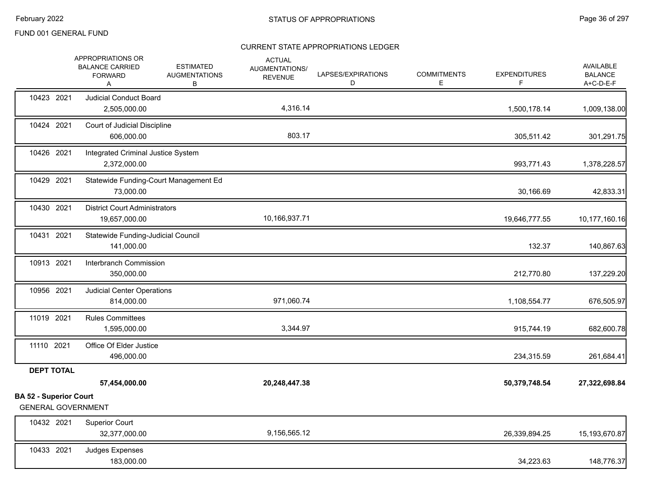|                                                            | APPROPRIATIONS OR<br><b>BALANCE CARRIED</b><br><b>FORWARD</b><br>Α | <b>ESTIMATED</b><br><b>AUGMENTATIONS</b><br>В | <b>ACTUAL</b><br>AUGMENTATIONS/<br><b>REVENUE</b> | LAPSES/EXPIRATIONS<br>D | <b>COMMITMENTS</b><br>Е | <b>EXPENDITURES</b><br>F. | <b>AVAILABLE</b><br><b>BALANCE</b><br>A+C-D-E-F |
|------------------------------------------------------------|--------------------------------------------------------------------|-----------------------------------------------|---------------------------------------------------|-------------------------|-------------------------|---------------------------|-------------------------------------------------|
| 10423 2021                                                 | <b>Judicial Conduct Board</b><br>2,505,000.00                      |                                               | 4,316.14                                          |                         |                         | 1,500,178.14              | 1,009,138.00                                    |
| 10424 2021                                                 | Court of Judicial Discipline<br>606,000.00                         |                                               | 803.17                                            |                         |                         | 305,511.42                | 301,291.75                                      |
| 10426 2021                                                 | Integrated Criminal Justice System<br>2,372,000.00                 |                                               |                                                   |                         |                         | 993,771.43                | 1,378,228.57                                    |
| 10429 2021                                                 | 73,000.00                                                          | Statewide Funding-Court Management Ed         |                                                   |                         |                         | 30,166.69                 | 42,833.31                                       |
| 10430 2021                                                 | <b>District Court Administrators</b><br>19,657,000.00              |                                               | 10,166,937.71                                     |                         |                         | 19,646,777.55             | 10,177,160.16                                   |
| 10431 2021                                                 | Statewide Funding-Judicial Council<br>141,000.00                   |                                               |                                                   |                         |                         | 132.37                    | 140,867.63                                      |
| 10913 2021                                                 | Interbranch Commission<br>350,000.00                               |                                               |                                                   |                         |                         | 212,770.80                | 137,229.20                                      |
| 10956 2021                                                 | <b>Judicial Center Operations</b><br>814,000.00                    |                                               | 971,060.74                                        |                         |                         | 1,108,554.77              | 676,505.97                                      |
| 11019 2021                                                 | <b>Rules Committees</b><br>1,595,000.00                            |                                               | 3,344.97                                          |                         |                         | 915,744.19                | 682,600.78                                      |
| 11110 2021                                                 | Office Of Elder Justice<br>496,000.00                              |                                               |                                                   |                         |                         | 234,315.59                | 261,684.41                                      |
| <b>DEPT TOTAL</b>                                          |                                                                    |                                               |                                                   |                         |                         |                           |                                                 |
|                                                            | 57,454,000.00                                                      |                                               | 20,248,447.38                                     |                         |                         | 50,379,748.54             | 27,322,698.84                                   |
| <b>BA 52 - Superior Court</b><br><b>GENERAL GOVERNMENT</b> |                                                                    |                                               |                                                   |                         |                         |                           |                                                 |
| 10432 2021                                                 | <b>Superior Court</b><br>32,377,000.00                             |                                               | 9,156,565.12                                      |                         |                         | 26,339,894.25             | 15,193,670.87                                   |
| 10433 2021                                                 | Judges Expenses<br>183,000.00                                      |                                               |                                                   |                         |                         | 34,223.63                 | 148,776.37                                      |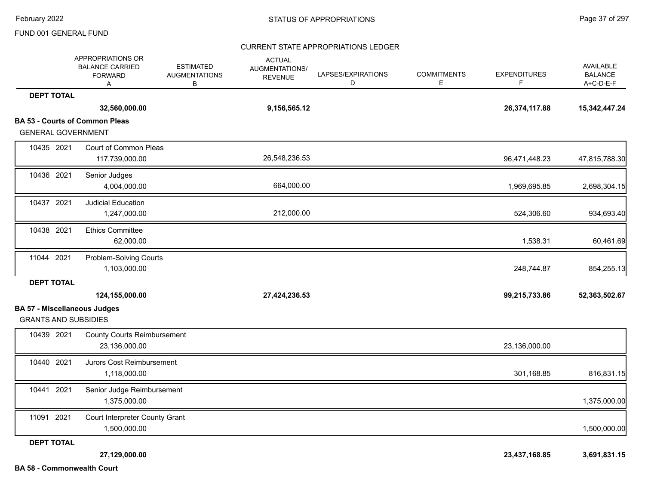# CURRENT STATE APPROPRIATIONS LEDGER

|                                                                    | APPROPRIATIONS OR<br><b>BALANCE CARRIED</b><br><b>FORWARD</b><br>A | <b>ESTIMATED</b><br><b>AUGMENTATIONS</b><br>В | <b>ACTUAL</b><br>AUGMENTATIONS/<br><b>REVENUE</b> | LAPSES/EXPIRATIONS<br>D | <b>COMMITMENTS</b><br>Е | <b>EXPENDITURES</b><br>F | <b>AVAILABLE</b><br><b>BALANCE</b><br>A+C-D-E-F |
|--------------------------------------------------------------------|--------------------------------------------------------------------|-----------------------------------------------|---------------------------------------------------|-------------------------|-------------------------|--------------------------|-------------------------------------------------|
| <b>DEPT TOTAL</b>                                                  |                                                                    |                                               |                                                   |                         |                         |                          |                                                 |
|                                                                    | 32,560,000.00                                                      |                                               | 9,156,565.12                                      |                         |                         | 26,374,117.88            | 15,342,447.24                                   |
| <b>GENERAL GOVERNMENT</b>                                          | <b>BA 53 - Courts of Common Pleas</b>                              |                                               |                                                   |                         |                         |                          |                                                 |
| 10435 2021                                                         | Court of Common Pleas<br>117,739,000.00                            |                                               | 26,548,236.53                                     |                         |                         | 96,471,448.23            | 47,815,788.30                                   |
| 10436 2021                                                         | Senior Judges<br>4,004,000.00                                      |                                               | 664,000.00                                        |                         |                         | 1,969,695.85             | 2,698,304.15                                    |
| 10437 2021                                                         | <b>Judicial Education</b><br>1,247,000.00                          |                                               | 212,000.00                                        |                         |                         | 524,306.60               | 934,693.40                                      |
| 10438 2021                                                         | <b>Ethics Committee</b><br>62,000.00                               |                                               |                                                   |                         |                         | 1,538.31                 | 60,461.69                                       |
| 11044 2021                                                         | Problem-Solving Courts<br>1,103,000.00                             |                                               |                                                   |                         |                         | 248,744.87               | 854,255.13                                      |
| <b>DEPT TOTAL</b>                                                  | 124,155,000.00                                                     |                                               | 27,424,236.53                                     |                         |                         | 99,215,733.86            | 52,363,502.67                                   |
| <b>BA 57 - Miscellaneous Judges</b><br><b>GRANTS AND SUBSIDIES</b> |                                                                    |                                               |                                                   |                         |                         |                          |                                                 |
| 10439 2021                                                         | <b>County Courts Reimbursement</b><br>23,136,000.00                |                                               |                                                   |                         |                         | 23,136,000.00            |                                                 |
| 10440 2021                                                         | Jurors Cost Reimbursement<br>1,118,000.00                          |                                               |                                                   |                         |                         | 301,168.85               | 816,831.15                                      |
| 10441 2021                                                         | Senior Judge Reimbursement<br>1,375,000.00                         |                                               |                                                   |                         |                         |                          | 1,375,000.00                                    |
| 11091 2021                                                         | Court Interpreter County Grant<br>1,500,000.00                     |                                               |                                                   |                         |                         |                          | 1,500,000.00                                    |
| <b>DEPT TOTAL</b>                                                  |                                                                    |                                               |                                                   |                         |                         |                          |                                                 |
| <b>BA 58 - Commonwealth Court</b>                                  | 27,129,000.00                                                      |                                               |                                                   |                         |                         | 23,437,168.85            | 3,691,831.15                                    |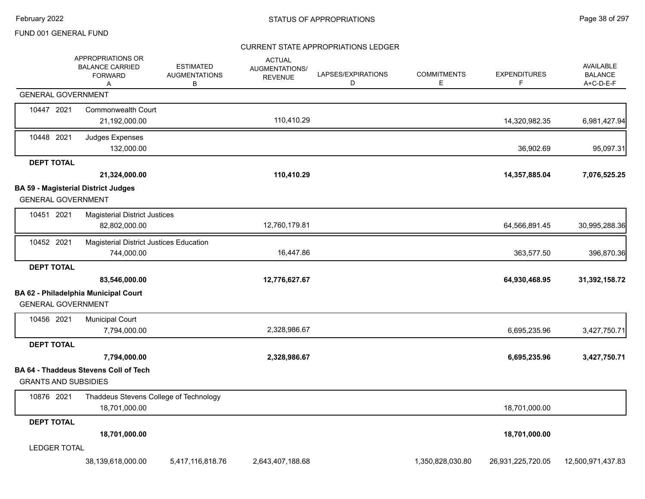# CURRENT STATE APPROPRIATIONS LEDGER

|                             | APPROPRIATIONS OR<br><b>BALANCE CARRIED</b><br><b>FORWARD</b><br>A | <b>ESTIMATED</b><br><b>AUGMENTATIONS</b><br>В | <b>ACTUAL</b><br><b>AUGMENTATIONS/</b><br><b>REVENUE</b> | LAPSES/EXPIRATIONS<br>D | <b>COMMITMENTS</b><br>E | <b>EXPENDITURES</b><br>F | <b>AVAILABLE</b><br><b>BALANCE</b><br>A+C-D-E-F |
|-----------------------------|--------------------------------------------------------------------|-----------------------------------------------|----------------------------------------------------------|-------------------------|-------------------------|--------------------------|-------------------------------------------------|
| <b>GENERAL GOVERNMENT</b>   |                                                                    |                                               |                                                          |                         |                         |                          |                                                 |
| 10447 2021                  | <b>Commonwealth Court</b><br>21,192,000.00                         |                                               | 110,410.29                                               |                         |                         | 14,320,982.35            | 6,981,427.94                                    |
| 10448 2021                  | <b>Judges Expenses</b><br>132,000.00                               |                                               |                                                          |                         |                         | 36,902.69                | 95,097.31                                       |
| <b>DEPT TOTAL</b>           |                                                                    |                                               |                                                          |                         |                         |                          |                                                 |
|                             | 21,324,000.00                                                      |                                               | 110,410.29                                               |                         |                         | 14,357,885.04            | 7,076,525.25                                    |
|                             | <b>BA 59 - Magisterial District Judges</b>                         |                                               |                                                          |                         |                         |                          |                                                 |
| <b>GENERAL GOVERNMENT</b>   |                                                                    |                                               |                                                          |                         |                         |                          |                                                 |
| 10451 2021                  | <b>Magisterial District Justices</b><br>82,802,000.00              |                                               | 12,760,179.81                                            |                         |                         | 64,566,891.45            | 30,995,288.36                                   |
| 10452 2021                  | Magisterial District Justices Education                            |                                               |                                                          |                         |                         |                          |                                                 |
|                             | 744,000.00                                                         |                                               | 16,447.86                                                |                         |                         | 363,577.50               | 396,870.36                                      |
| <b>DEPT TOTAL</b>           |                                                                    |                                               |                                                          |                         |                         |                          |                                                 |
|                             | 83,546,000.00                                                      |                                               | 12,776,627.67                                            |                         |                         | 64,930,468.95            | 31,392,158.72                                   |
| <b>GENERAL GOVERNMENT</b>   | BA 62 - Philadelphia Municipal Court                               |                                               |                                                          |                         |                         |                          |                                                 |
| 10456 2021                  | <b>Municipal Court</b>                                             |                                               |                                                          |                         |                         |                          |                                                 |
|                             | 7,794,000.00                                                       |                                               | 2,328,986.67                                             |                         |                         | 6,695,235.96             | 3,427,750.71                                    |
| <b>DEPT TOTAL</b>           |                                                                    |                                               |                                                          |                         |                         |                          |                                                 |
|                             | 7,794,000.00                                                       |                                               | 2,328,986.67                                             |                         |                         | 6,695,235.96             | 3,427,750.71                                    |
| <b>GRANTS AND SUBSIDIES</b> | <b>BA 64 - Thaddeus Stevens Coll of Tech</b>                       |                                               |                                                          |                         |                         |                          |                                                 |
| 10876 2021                  | Thaddeus Stevens College of Technology<br>18,701,000.00            |                                               |                                                          |                         |                         | 18,701,000.00            |                                                 |
| <b>DEPT TOTAL</b>           |                                                                    |                                               |                                                          |                         |                         |                          |                                                 |
|                             | 18,701,000.00                                                      |                                               |                                                          |                         |                         | 18,701,000.00            |                                                 |
| <b>LEDGER TOTAL</b>         |                                                                    |                                               |                                                          |                         |                         |                          |                                                 |
|                             | 38,139,618,000.00                                                  | 5,417,116,818.76                              | 2,643,407,188.68                                         |                         | 1,350,828,030.80        | 26,931,225,720.05        | 12,500,971,437.83                               |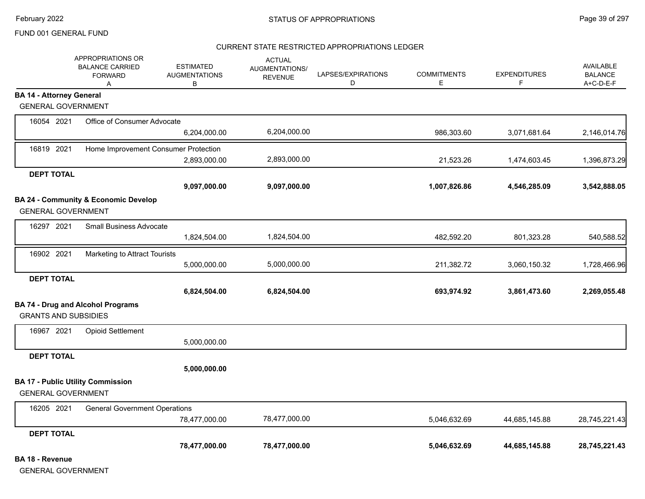#### CURRENT STATE RESTRICTED APPROPRIATIONS LEDGER

|                                 | APPROPRIATIONS OR<br><b>BALANCE CARRIED</b><br><b>FORWARD</b><br>Α | <b>ESTIMATED</b><br><b>AUGMENTATIONS</b><br>В | <b>ACTUAL</b><br>AUGMENTATIONS/<br><b>REVENUE</b> | LAPSES/EXPIRATIONS<br>D | <b>COMMITMENTS</b><br>E | <b>EXPENDITURES</b><br>F | <b>AVAILABLE</b><br><b>BALANCE</b><br>A+C-D-E-F |
|---------------------------------|--------------------------------------------------------------------|-----------------------------------------------|---------------------------------------------------|-------------------------|-------------------------|--------------------------|-------------------------------------------------|
| <b>BA 14 - Attorney General</b> |                                                                    |                                               |                                                   |                         |                         |                          |                                                 |
| <b>GENERAL GOVERNMENT</b>       |                                                                    |                                               |                                                   |                         |                         |                          |                                                 |
| 16054 2021                      | Office of Consumer Advocate                                        |                                               |                                                   |                         |                         |                          |                                                 |
|                                 |                                                                    | 6,204,000.00                                  | 6,204,000.00                                      |                         | 986,303.60              | 3,071,681.64             | 2,146,014.76                                    |
| 16819 2021                      | Home Improvement Consumer Protection                               |                                               |                                                   |                         |                         |                          |                                                 |
|                                 |                                                                    | 2,893,000.00                                  | 2,893,000.00                                      |                         | 21,523.26               | 1,474,603.45             | 1,396,873.29                                    |
| <b>DEPT TOTAL</b>               |                                                                    |                                               |                                                   |                         |                         |                          |                                                 |
|                                 |                                                                    | 9,097,000.00                                  | 9,097,000.00                                      |                         | 1,007,826.86            | 4,546,285.09             | 3,542,888.05                                    |
|                                 | BA 24 - Community & Economic Develop                               |                                               |                                                   |                         |                         |                          |                                                 |
| <b>GENERAL GOVERNMENT</b>       |                                                                    |                                               |                                                   |                         |                         |                          |                                                 |
| 16297 2021                      | <b>Small Business Advocate</b>                                     |                                               |                                                   |                         |                         |                          |                                                 |
|                                 |                                                                    | 1,824,504.00                                  | 1,824,504.00                                      |                         | 482,592.20              | 801,323.28               | 540,588.52                                      |
| 16902 2021                      | Marketing to Attract Tourists                                      |                                               |                                                   |                         |                         |                          |                                                 |
|                                 |                                                                    | 5,000,000.00                                  | 5,000,000.00                                      |                         | 211,382.72              | 3,060,150.32             | 1,728,466.96                                    |
| <b>DEPT TOTAL</b>               |                                                                    |                                               |                                                   |                         |                         |                          |                                                 |
|                                 |                                                                    | 6,824,504.00                                  | 6,824,504.00                                      |                         | 693,974.92              | 3,861,473.60             | 2,269,055.48                                    |
|                                 | <b>BA 74 - Drug and Alcohol Programs</b>                           |                                               |                                                   |                         |                         |                          |                                                 |
| <b>GRANTS AND SUBSIDIES</b>     |                                                                    |                                               |                                                   |                         |                         |                          |                                                 |
| 16967 2021                      | <b>Opioid Settlement</b>                                           |                                               |                                                   |                         |                         |                          |                                                 |
|                                 |                                                                    | 5,000,000.00                                  |                                                   |                         |                         |                          |                                                 |
| <b>DEPT TOTAL</b>               |                                                                    |                                               |                                                   |                         |                         |                          |                                                 |
|                                 |                                                                    | 5,000,000.00                                  |                                                   |                         |                         |                          |                                                 |
|                                 | <b>BA 17 - Public Utility Commission</b>                           |                                               |                                                   |                         |                         |                          |                                                 |
| <b>GENERAL GOVERNMENT</b>       |                                                                    |                                               |                                                   |                         |                         |                          |                                                 |
| 16205 2021                      | <b>General Government Operations</b>                               |                                               |                                                   |                         |                         |                          |                                                 |
|                                 |                                                                    | 78,477,000.00                                 | 78,477,000.00                                     |                         | 5,046,632.69            | 44,685,145.88            | 28,745,221.43                                   |
| <b>DEPT TOTAL</b>               |                                                                    |                                               |                                                   |                         |                         |                          |                                                 |
|                                 |                                                                    | 78,477,000.00                                 | 78,477,000.00                                     |                         | 5,046,632.69            | 44,685,145.88            | 28,745,221.43                                   |

**BA 18 - Revenue**

GENERAL GOVERNMENT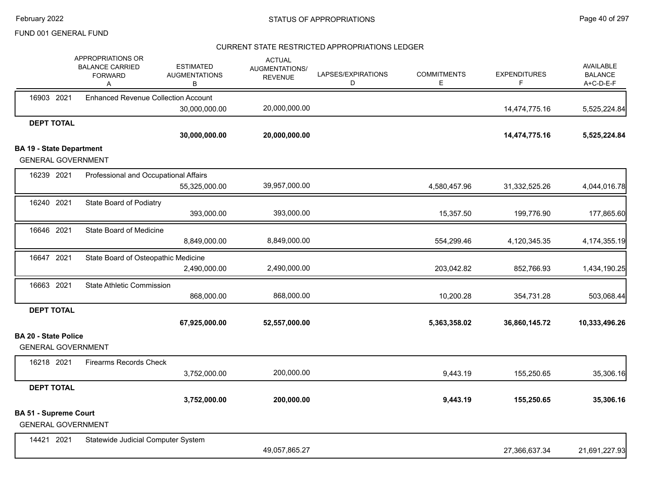# CURRENT STATE RESTRICTED APPROPRIATIONS LEDGER

|                                 | APPROPRIATIONS OR<br><b>BALANCE CARRIED</b><br><b>FORWARD</b><br>A | <b>ESTIMATED</b><br><b>AUGMENTATIONS</b><br>в | <b>ACTUAL</b><br>AUGMENTATIONS/<br><b>REVENUE</b> | LAPSES/EXPIRATIONS<br>D | <b>COMMITMENTS</b><br>Е | <b>EXPENDITURES</b><br>F | <b>AVAILABLE</b><br><b>BALANCE</b><br>A+C-D-E-F |
|---------------------------------|--------------------------------------------------------------------|-----------------------------------------------|---------------------------------------------------|-------------------------|-------------------------|--------------------------|-------------------------------------------------|
| 16903 2021                      | <b>Enhanced Revenue Collection Account</b>                         |                                               |                                                   |                         |                         |                          |                                                 |
|                                 |                                                                    | 30,000,000.00                                 | 20,000,000.00                                     |                         |                         | 14,474,775.16            | 5,525,224.84                                    |
| <b>DEPT TOTAL</b>               |                                                                    |                                               |                                                   |                         |                         |                          |                                                 |
|                                 |                                                                    | 30,000,000.00                                 | 20,000,000.00                                     |                         |                         | 14,474,775.16            | 5,525,224.84                                    |
| <b>BA 19 - State Department</b> |                                                                    |                                               |                                                   |                         |                         |                          |                                                 |
|                                 | <b>GENERAL GOVERNMENT</b>                                          |                                               |                                                   |                         |                         |                          |                                                 |
| 16239 2021                      | Professional and Occupational Affairs                              |                                               |                                                   |                         |                         |                          |                                                 |
|                                 |                                                                    | 55,325,000.00                                 | 39,957,000.00                                     |                         | 4,580,457.96            | 31,332,525.26            | 4,044,016.78                                    |
| 16240 2021                      | State Board of Podiatry                                            |                                               |                                                   |                         |                         |                          |                                                 |
|                                 |                                                                    | 393,000.00                                    | 393,000.00                                        |                         | 15,357.50               | 199,776.90               | 177,865.60                                      |
| 16646 2021                      | <b>State Board of Medicine</b>                                     |                                               |                                                   |                         |                         |                          |                                                 |
|                                 |                                                                    | 8,849,000.00                                  | 8,849,000.00                                      |                         | 554,299.46              | 4,120,345.35             | 4,174,355.19                                    |
| 16647 2021                      | State Board of Osteopathic Medicine                                |                                               |                                                   |                         |                         |                          |                                                 |
|                                 |                                                                    | 2,490,000.00                                  | 2,490,000.00                                      |                         | 203,042.82              | 852,766.93               | 1,434,190.25                                    |
| 16663 2021                      | <b>State Athletic Commission</b>                                   |                                               |                                                   |                         |                         |                          |                                                 |
|                                 |                                                                    | 868,000.00                                    | 868,000.00                                        |                         | 10,200.28               | 354,731.28               | 503,068.44                                      |
| <b>DEPT TOTAL</b>               |                                                                    |                                               |                                                   |                         |                         |                          |                                                 |
|                                 |                                                                    | 67,925,000.00                                 | 52,557,000.00                                     |                         | 5,363,358.02            | 36,860,145.72            | 10,333,496.26                                   |
| <b>BA 20 - State Police</b>     |                                                                    |                                               |                                                   |                         |                         |                          |                                                 |
|                                 | <b>GENERAL GOVERNMENT</b>                                          |                                               |                                                   |                         |                         |                          |                                                 |
| 16218 2021                      | <b>Firearms Records Check</b>                                      |                                               |                                                   |                         |                         |                          |                                                 |
|                                 |                                                                    | 3,752,000.00                                  | 200,000.00                                        |                         | 9,443.19                | 155,250.65               | 35,306.16                                       |
| <b>DEPT TOTAL</b>               |                                                                    |                                               |                                                   |                         |                         |                          |                                                 |
|                                 |                                                                    | 3,752,000.00                                  | 200,000.00                                        |                         | 9,443.19                | 155,250.65               | 35,306.16                                       |
| <b>BA 51 - Supreme Court</b>    |                                                                    |                                               |                                                   |                         |                         |                          |                                                 |
|                                 | <b>GENERAL GOVERNMENT</b>                                          |                                               |                                                   |                         |                         |                          |                                                 |
| 14421 2021                      | Statewide Judicial Computer System                                 |                                               |                                                   |                         |                         |                          |                                                 |
|                                 |                                                                    |                                               | 49,057,865.27                                     |                         |                         | 27,366,637.34            | 21,691,227.93                                   |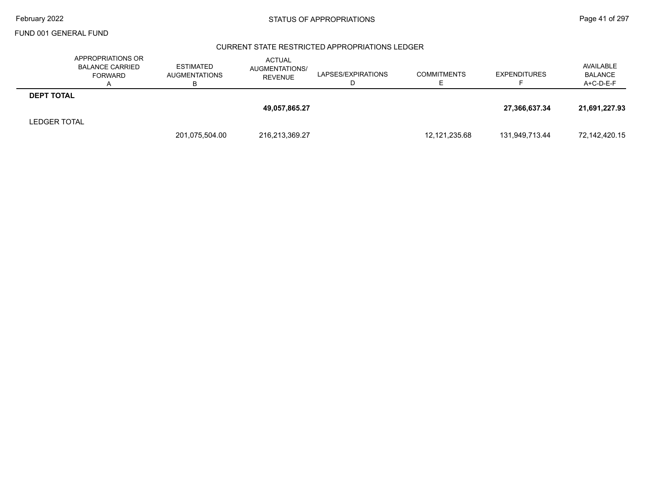### CURRENT STATE RESTRICTED APPROPRIATIONS LEDGER

|                     | APPROPRIATIONS OR<br><b>BALANCE CARRIED</b><br><b>FORWARD</b><br>$\mathsf{A}$ | ESTIMATED<br><b>AUGMENTATIONS</b><br>в | <b>ACTUAL</b><br>AUGMENTATIONS/<br><b>REVENUE</b> | LAPSES/EXPIRATIONS | <b>COMMITMENTS</b> | <b>EXPENDITURES</b> | AVAILABLE<br><b>BALANCE</b><br>A+C-D-E-F |
|---------------------|-------------------------------------------------------------------------------|----------------------------------------|---------------------------------------------------|--------------------|--------------------|---------------------|------------------------------------------|
| <b>DEPT TOTAL</b>   |                                                                               |                                        |                                                   |                    |                    |                     |                                          |
|                     |                                                                               |                                        | 49,057,865.27                                     |                    |                    | 27,366,637.34       | 21,691,227.93                            |
| <b>LEDGER TOTAL</b> |                                                                               |                                        |                                                   |                    |                    |                     |                                          |
|                     |                                                                               | 201,075,504.00                         | 216,213,369.27                                    |                    | 12,121,235.68      | 131,949,713.44      | 72,142,420.15                            |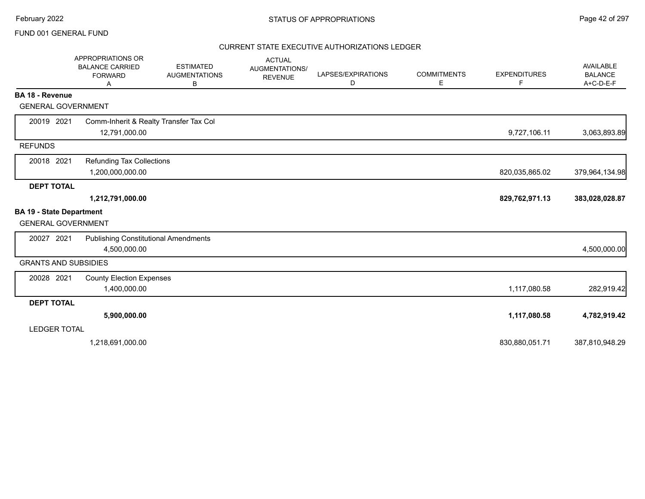### CURRENT STATE EXECUTIVE AUTHORIZATIONS LEDGER

|                                 | APPROPRIATIONS OR<br><b>BALANCE CARRIED</b><br><b>FORWARD</b><br>Α | <b>ESTIMATED</b><br><b>AUGMENTATIONS</b><br>в | <b>ACTUAL</b><br>AUGMENTATIONS/<br><b>REVENUE</b> | LAPSES/EXPIRATIONS<br>D | <b>COMMITMENTS</b><br>Е | <b>EXPENDITURES</b><br>F | AVAILABLE<br><b>BALANCE</b><br>A+C-D-E-F |
|---------------------------------|--------------------------------------------------------------------|-----------------------------------------------|---------------------------------------------------|-------------------------|-------------------------|--------------------------|------------------------------------------|
| <b>BA 18 - Revenue</b>          |                                                                    |                                               |                                                   |                         |                         |                          |                                          |
| <b>GENERAL GOVERNMENT</b>       |                                                                    |                                               |                                                   |                         |                         |                          |                                          |
| 20019 2021                      | Comm-Inherit & Realty Transfer Tax Col                             |                                               |                                                   |                         |                         |                          |                                          |
|                                 | 12,791,000.00                                                      |                                               |                                                   |                         |                         | 9,727,106.11             | 3,063,893.89                             |
| <b>REFUNDS</b>                  |                                                                    |                                               |                                                   |                         |                         |                          |                                          |
| 20018 2021                      | <b>Refunding Tax Collections</b>                                   |                                               |                                                   |                         |                         |                          |                                          |
|                                 | 1,200,000,000.00                                                   |                                               |                                                   |                         |                         | 820,035,865.02           | 379,964,134.98                           |
| <b>DEPT TOTAL</b>               |                                                                    |                                               |                                                   |                         |                         |                          |                                          |
|                                 | 1,212,791,000.00                                                   |                                               |                                                   |                         |                         | 829,762,971.13           | 383,028,028.87                           |
| <b>BA 19 - State Department</b> |                                                                    |                                               |                                                   |                         |                         |                          |                                          |
| <b>GENERAL GOVERNMENT</b>       |                                                                    |                                               |                                                   |                         |                         |                          |                                          |
| 20027 2021                      | <b>Publishing Constitutional Amendments</b>                        |                                               |                                                   |                         |                         |                          |                                          |
|                                 | 4,500,000.00                                                       |                                               |                                                   |                         |                         |                          | 4,500,000.00                             |
| <b>GRANTS AND SUBSIDIES</b>     |                                                                    |                                               |                                                   |                         |                         |                          |                                          |
| 20028 2021                      | <b>County Election Expenses</b>                                    |                                               |                                                   |                         |                         |                          |                                          |
|                                 | 1,400,000.00                                                       |                                               |                                                   |                         |                         | 1,117,080.58             | 282,919.42                               |
| <b>DEPT TOTAL</b>               |                                                                    |                                               |                                                   |                         |                         |                          |                                          |
|                                 | 5,900,000.00                                                       |                                               |                                                   |                         |                         | 1,117,080.58             | 4,782,919.42                             |
| <b>LEDGER TOTAL</b>             |                                                                    |                                               |                                                   |                         |                         |                          |                                          |
|                                 | 1,218,691,000.00                                                   |                                               |                                                   |                         |                         | 830,880,051.71           | 387,810,948.29                           |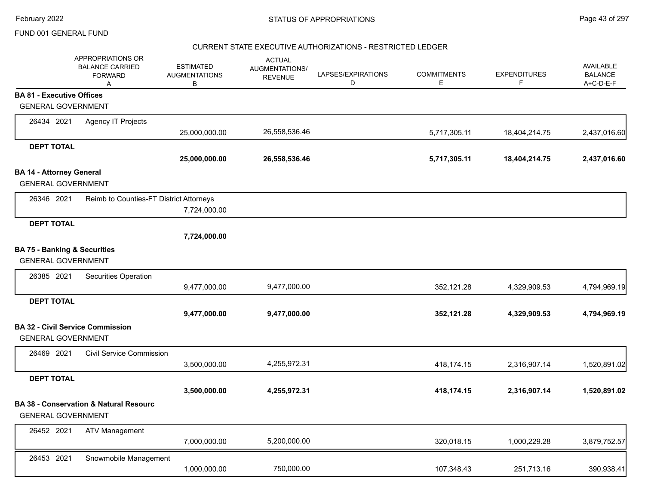### CURRENT STATE EXECUTIVE AUTHORIZATIONS - RESTRICTED LEDGER

|                                                                      | APPROPRIATIONS OR<br><b>BALANCE CARRIED</b><br><b>FORWARD</b><br>Α | <b>ESTIMATED</b><br><b>AUGMENTATIONS</b><br>B | <b>ACTUAL</b><br>AUGMENTATIONS/<br><b>REVENUE</b> | LAPSES/EXPIRATIONS<br>D | <b>COMMITMENTS</b><br>Е | <b>EXPENDITURES</b><br>F | <b>AVAILABLE</b><br><b>BALANCE</b><br>A+C-D-E-F |
|----------------------------------------------------------------------|--------------------------------------------------------------------|-----------------------------------------------|---------------------------------------------------|-------------------------|-------------------------|--------------------------|-------------------------------------------------|
| <b>BA 81 - Executive Offices</b>                                     |                                                                    |                                               |                                                   |                         |                         |                          |                                                 |
| <b>GENERAL GOVERNMENT</b>                                            |                                                                    |                                               |                                                   |                         |                         |                          |                                                 |
| 26434 2021                                                           | Agency IT Projects                                                 |                                               |                                                   |                         |                         |                          |                                                 |
|                                                                      |                                                                    | 25,000,000.00                                 | 26,558,536.46                                     |                         | 5,717,305.11            | 18,404,214.75            | 2,437,016.60                                    |
| <b>DEPT TOTAL</b>                                                    |                                                                    |                                               |                                                   |                         |                         |                          |                                                 |
|                                                                      |                                                                    | 25,000,000.00                                 | 26,558,536.46                                     |                         | 5,717,305.11            | 18,404,214.75            | 2,437,016.60                                    |
| <b>BA 14 - Attorney General</b><br><b>GENERAL GOVERNMENT</b>         |                                                                    |                                               |                                                   |                         |                         |                          |                                                 |
| 26346 2021                                                           | Reimb to Counties-FT District Attorneys                            | 7,724,000.00                                  |                                                   |                         |                         |                          |                                                 |
| <b>DEPT TOTAL</b>                                                    |                                                                    | 7,724,000.00                                  |                                                   |                         |                         |                          |                                                 |
| <b>BA 75 - Banking &amp; Securities</b><br><b>GENERAL GOVERNMENT</b> |                                                                    |                                               |                                                   |                         |                         |                          |                                                 |
| 26385 2021                                                           | Securities Operation                                               |                                               |                                                   |                         |                         |                          |                                                 |
|                                                                      |                                                                    | 9,477,000.00                                  | 9,477,000.00                                      |                         | 352,121.28              | 4,329,909.53             | 4,794,969.19                                    |
| <b>DEPT TOTAL</b>                                                    |                                                                    | 9,477,000.00                                  | 9,477,000.00                                      |                         | 352,121.28              | 4,329,909.53             | 4,794,969.19                                    |
| <b>GENERAL GOVERNMENT</b>                                            | <b>BA 32 - Civil Service Commission</b>                            |                                               |                                                   |                         |                         |                          |                                                 |
| 26469 2021                                                           | <b>Civil Service Commission</b>                                    | 3,500,000.00                                  | 4,255,972.31                                      |                         | 418,174.15              | 2,316,907.14             | 1,520,891.02                                    |
| <b>DEPT TOTAL</b>                                                    |                                                                    | 3,500,000.00                                  | 4,255,972.31                                      |                         | 418,174.15              | 2,316,907.14             | 1,520,891.02                                    |
| <b>GENERAL GOVERNMENT</b>                                            | <b>BA 38 - Conservation &amp; Natural Resourc</b>                  |                                               |                                                   |                         |                         |                          |                                                 |
| 26452 2021                                                           | <b>ATV Management</b>                                              | 7,000,000.00                                  | 5,200,000.00                                      |                         | 320,018.15              | 1,000,229.28             | 3,879,752.57                                    |
| 26453 2021                                                           | Snowmobile Management                                              | 1,000,000.00                                  | 750,000.00                                        |                         | 107,348.43              | 251,713.16               | 390,938.41                                      |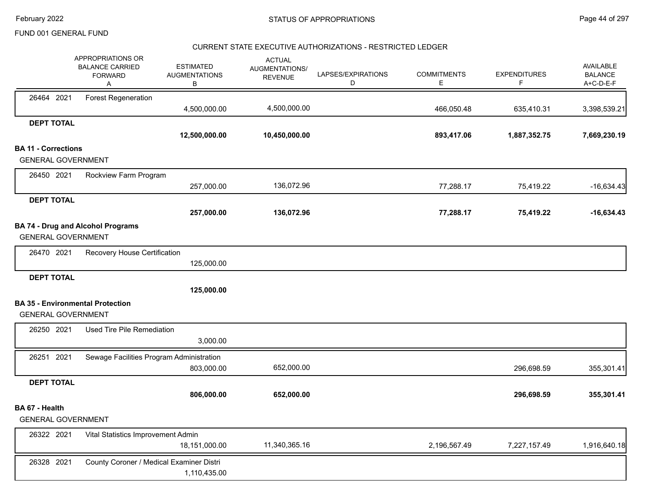### CURRENT STATE EXECUTIVE AUTHORIZATIONS - RESTRICTED LEDGER

|                            | APPROPRIATIONS OR<br><b>BALANCE CARRIED</b><br><b>FORWARD</b><br>Α | <b>ESTIMATED</b><br><b>AUGMENTATIONS</b><br>В | <b>ACTUAL</b><br>AUGMENTATIONS/<br><b>REVENUE</b> | LAPSES/EXPIRATIONS<br>D | <b>COMMITMENTS</b><br>Е | <b>EXPENDITURES</b><br>F | AVAILABLE<br><b>BALANCE</b><br>A+C-D-E-F |
|----------------------------|--------------------------------------------------------------------|-----------------------------------------------|---------------------------------------------------|-------------------------|-------------------------|--------------------------|------------------------------------------|
| 26464 2021                 | <b>Forest Regeneration</b>                                         |                                               |                                                   |                         |                         |                          |                                          |
|                            |                                                                    | 4,500,000.00                                  | 4,500,000.00                                      |                         | 466,050.48              | 635,410.31               | 3,398,539.21                             |
| <b>DEPT TOTAL</b>          |                                                                    | 12,500,000.00                                 | 10,450,000.00                                     |                         | 893,417.06              | 1,887,352.75             | 7,669,230.19                             |
| <b>BA 11 - Corrections</b> |                                                                    |                                               |                                                   |                         |                         |                          |                                          |
| <b>GENERAL GOVERNMENT</b>  |                                                                    |                                               |                                                   |                         |                         |                          |                                          |
| 26450 2021                 | Rockview Farm Program                                              |                                               |                                                   |                         |                         |                          |                                          |
|                            |                                                                    | 257,000.00                                    | 136,072.96                                        |                         | 77,288.17               | 75,419.22                | $-16,634.43$                             |
| <b>DEPT TOTAL</b>          |                                                                    |                                               |                                                   |                         |                         |                          |                                          |
|                            |                                                                    | 257,000.00                                    | 136,072.96                                        |                         | 77,288.17               | 75,419.22                | $-16,634.43$                             |
| <b>GENERAL GOVERNMENT</b>  | <b>BA 74 - Drug and Alcohol Programs</b>                           |                                               |                                                   |                         |                         |                          |                                          |
| 26470 2021                 | Recovery House Certification                                       |                                               |                                                   |                         |                         |                          |                                          |
|                            |                                                                    | 125,000.00                                    |                                                   |                         |                         |                          |                                          |
| <b>DEPT TOTAL</b>          |                                                                    |                                               |                                                   |                         |                         |                          |                                          |
|                            |                                                                    | 125,000.00                                    |                                                   |                         |                         |                          |                                          |
|                            | <b>BA 35 - Environmental Protection</b>                            |                                               |                                                   |                         |                         |                          |                                          |
| <b>GENERAL GOVERNMENT</b>  |                                                                    |                                               |                                                   |                         |                         |                          |                                          |
| 26250 2021                 | Used Tire Pile Remediation                                         |                                               |                                                   |                         |                         |                          |                                          |
|                            |                                                                    | 3,000.00                                      |                                                   |                         |                         |                          |                                          |
| 26251 2021                 | Sewage Facilities Program Administration                           |                                               |                                                   |                         |                         |                          |                                          |
|                            |                                                                    | 803,000.00                                    | 652,000.00                                        |                         |                         | 296,698.59               | 355,301.41                               |
| <b>DEPT TOTAL</b>          |                                                                    |                                               |                                                   |                         |                         |                          |                                          |
|                            |                                                                    | 806,000.00                                    | 652,000.00                                        |                         |                         | 296,698.59               | 355,301.41                               |
| BA 67 - Health             |                                                                    |                                               |                                                   |                         |                         |                          |                                          |
| <b>GENERAL GOVERNMENT</b>  |                                                                    |                                               |                                                   |                         |                         |                          |                                          |
| 26322 2021                 | Vital Statistics Improvement Admin                                 |                                               |                                                   |                         |                         |                          |                                          |
|                            |                                                                    | 18,151,000.00                                 | 11,340,365.16                                     |                         | 2,196,567.49            | 7,227,157.49             | 1,916,640.18                             |
| 26328 2021                 | County Coroner / Medical Examiner Distri                           |                                               |                                                   |                         |                         |                          |                                          |
|                            |                                                                    | 1,110,435.00                                  |                                                   |                         |                         |                          |                                          |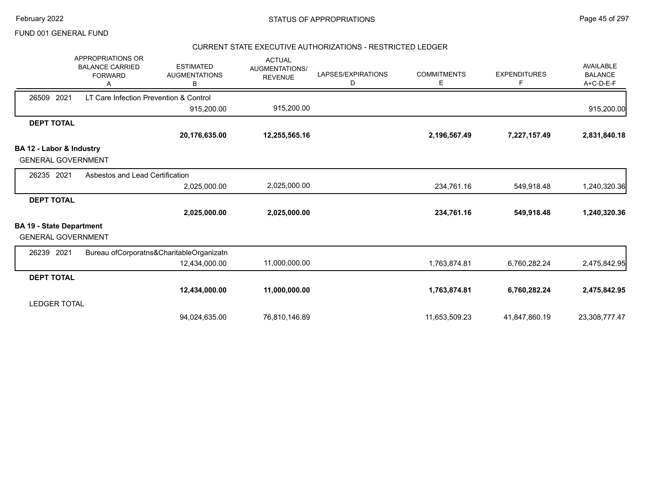### CURRENT STATE EXECUTIVE AUTHORIZATIONS - RESTRICTED LEDGER

|                                 | APPROPRIATIONS OR<br><b>BALANCE CARRIED</b><br><b>FORWARD</b> | <b>ESTIMATED</b><br><b>AUGMENTATIONS</b><br>B | <b>ACTUAL</b><br>AUGMENTATIONS/<br><b>REVENUE</b> | LAPSES/EXPIRATIONS<br>D | <b>COMMITMENTS</b><br>Е | <b>EXPENDITURES</b><br>F | AVAILABLE<br><b>BALANCE</b><br>A+C-D-E-F |
|---------------------------------|---------------------------------------------------------------|-----------------------------------------------|---------------------------------------------------|-------------------------|-------------------------|--------------------------|------------------------------------------|
| 26509<br>2021                   | LT Care Infection Prevention & Control                        |                                               |                                                   |                         |                         |                          |                                          |
|                                 |                                                               | 915,200.00                                    | 915,200.00                                        |                         |                         |                          | 915,200.00                               |
| <b>DEPT TOTAL</b>               |                                                               |                                               |                                                   |                         |                         |                          |                                          |
|                                 |                                                               | 20,176,635.00                                 | 12,255,565.16                                     |                         | 2,196,567.49            | 7,227,157.49             | 2,831,840.18                             |
| BA 12 - Labor & Industry        |                                                               |                                               |                                                   |                         |                         |                          |                                          |
| <b>GENERAL GOVERNMENT</b>       |                                                               |                                               |                                                   |                         |                         |                          |                                          |
| 26235 2021                      | Asbestos and Lead Certification                               |                                               |                                                   |                         |                         |                          |                                          |
|                                 |                                                               | 2,025,000.00                                  | 2,025,000.00                                      |                         | 234,761.16              | 549,918.48               | 1,240,320.36                             |
| <b>DEPT TOTAL</b>               |                                                               |                                               |                                                   |                         |                         |                          |                                          |
|                                 |                                                               | 2,025,000.00                                  | 2,025,000.00                                      |                         | 234,761.16              | 549,918.48               | 1,240,320.36                             |
| <b>BA 19 - State Department</b> |                                                               |                                               |                                                   |                         |                         |                          |                                          |
| <b>GENERAL GOVERNMENT</b>       |                                                               |                                               |                                                   |                         |                         |                          |                                          |
| 26239 2021                      |                                                               | Bureau ofCorporatns&CharitableOrganizatn      |                                                   |                         |                         |                          |                                          |
|                                 |                                                               | 12,434,000.00                                 | 11,000,000.00                                     |                         | 1,763,874.81            | 6,760,282.24             | 2,475,842.95                             |
| <b>DEPT TOTAL</b>               |                                                               |                                               |                                                   |                         |                         |                          |                                          |
|                                 |                                                               | 12,434,000.00                                 | 11,000,000.00                                     |                         | 1,763,874.81            | 6,760,282.24             | 2,475,842.95                             |
| <b>LEDGER TOTAL</b>             |                                                               |                                               |                                                   |                         |                         |                          |                                          |
|                                 |                                                               | 94,024,635.00                                 | 76,810,146.89                                     |                         | 11,653,509.23           | 41,847,860.19            | 23,308,777.47                            |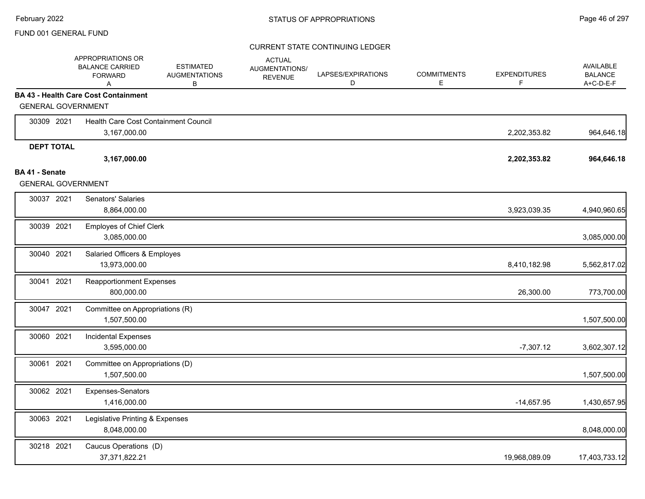|                           | APPROPRIATIONS OR<br><b>BALANCE CARRIED</b><br><b>FORWARD</b><br>A | <b>ESTIMATED</b><br><b>AUGMENTATIONS</b><br>В | <b>ACTUAL</b><br>AUGMENTATIONS/<br><b>REVENUE</b> | LAPSES/EXPIRATIONS<br>D | <b>COMMITMENTS</b><br>Е | <b>EXPENDITURES</b><br>F. | AVAILABLE<br><b>BALANCE</b><br>A+C-D-E-F |
|---------------------------|--------------------------------------------------------------------|-----------------------------------------------|---------------------------------------------------|-------------------------|-------------------------|---------------------------|------------------------------------------|
|                           | <b>BA 43 - Health Care Cost Containment</b>                        |                                               |                                                   |                         |                         |                           |                                          |
| <b>GENERAL GOVERNMENT</b> |                                                                    |                                               |                                                   |                         |                         |                           |                                          |
| 30309 2021                | Health Care Cost Containment Council                               |                                               |                                                   |                         |                         |                           |                                          |
|                           | 3,167,000.00                                                       |                                               |                                                   |                         |                         | 2,202,353.82              | 964,646.18                               |
| <b>DEPT TOTAL</b>         |                                                                    |                                               |                                                   |                         |                         |                           |                                          |
|                           | 3,167,000.00                                                       |                                               |                                                   |                         |                         | 2,202,353.82              | 964,646.18                               |
| BA 41 - Senate            |                                                                    |                                               |                                                   |                         |                         |                           |                                          |
| <b>GENERAL GOVERNMENT</b> |                                                                    |                                               |                                                   |                         |                         |                           |                                          |
| 30037 2021                | Senators' Salaries<br>8,864,000.00                                 |                                               |                                                   |                         |                         | 3,923,039.35              | 4,940,960.65                             |
|                           |                                                                    |                                               |                                                   |                         |                         |                           |                                          |
| 30039 2021                | <b>Employes of Chief Clerk</b><br>3,085,000.00                     |                                               |                                                   |                         |                         |                           | 3,085,000.00                             |
| 30040 2021                | Salaried Officers & Employes                                       |                                               |                                                   |                         |                         |                           |                                          |
|                           | 13,973,000.00                                                      |                                               |                                                   |                         |                         | 8,410,182.98              | 5,562,817.02                             |
| 30041 2021                | <b>Reapportionment Expenses</b>                                    |                                               |                                                   |                         |                         |                           |                                          |
|                           | 800,000.00                                                         |                                               |                                                   |                         |                         | 26,300.00                 | 773,700.00                               |
| 30047 2021                | Committee on Appropriations (R)                                    |                                               |                                                   |                         |                         |                           |                                          |
|                           | 1,507,500.00                                                       |                                               |                                                   |                         |                         |                           | 1,507,500.00                             |
| 30060 2021                | Incidental Expenses                                                |                                               |                                                   |                         |                         |                           |                                          |
|                           | 3,595,000.00                                                       |                                               |                                                   |                         |                         | $-7,307.12$               | 3,602,307.12                             |
| 30061 2021                | Committee on Appropriations (D)                                    |                                               |                                                   |                         |                         |                           |                                          |
|                           | 1,507,500.00                                                       |                                               |                                                   |                         |                         |                           | 1,507,500.00                             |
| 30062 2021                | Expenses-Senators                                                  |                                               |                                                   |                         |                         |                           |                                          |
|                           | 1,416,000.00                                                       |                                               |                                                   |                         |                         | $-14,657.95$              | 1,430,657.95                             |
| 30063 2021                | Legislative Printing & Expenses                                    |                                               |                                                   |                         |                         |                           |                                          |
|                           | 8,048,000.00                                                       |                                               |                                                   |                         |                         |                           | 8,048,000.00                             |
| 30218 2021                | Caucus Operations (D)                                              |                                               |                                                   |                         |                         |                           |                                          |
|                           | 37,371,822.21                                                      |                                               |                                                   |                         |                         | 19,968,089.09             | 17,403,733.12                            |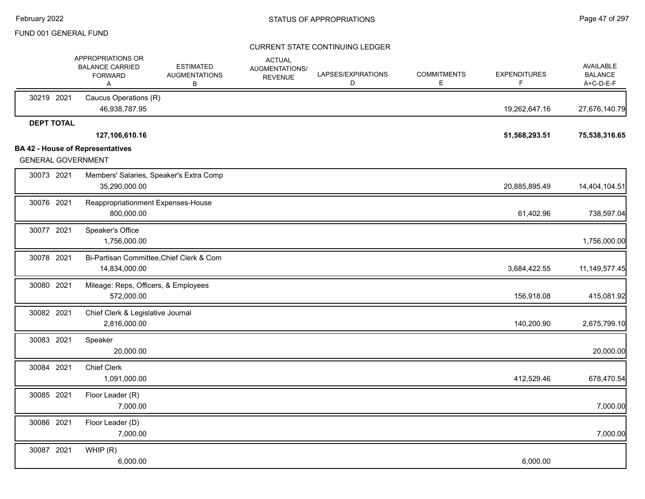|                           | APPROPRIATIONS OR<br><b>BALANCE CARRIED</b><br><b>FORWARD</b><br>A | <b>ESTIMATED</b><br><b>AUGMENTATIONS</b><br>В | <b>ACTUAL</b><br>AUGMENTATIONS/<br><b>REVENUE</b> | LAPSES/EXPIRATIONS<br>D | <b>COMMITMENTS</b><br>Е | <b>EXPENDITURES</b><br>F | <b>AVAILABLE</b><br><b>BALANCE</b><br>A+C-D-E-F |
|---------------------------|--------------------------------------------------------------------|-----------------------------------------------|---------------------------------------------------|-------------------------|-------------------------|--------------------------|-------------------------------------------------|
| 30219 2021                | Caucus Operations (R)<br>46,938,787.95                             |                                               |                                                   |                         |                         | 19,262,647.16            | 27,676,140.79                                   |
| <b>DEPT TOTAL</b>         |                                                                    |                                               |                                                   |                         |                         |                          |                                                 |
|                           | 127,106,610.16                                                     |                                               |                                                   |                         |                         | 51,568,293.51            | 75,538,316.65                                   |
| <b>GENERAL GOVERNMENT</b> | <b>BA 42 - House of Representatives</b>                            |                                               |                                                   |                         |                         |                          |                                                 |
| 30073 2021                | 35,290,000.00                                                      | Members' Salaries, Speaker's Extra Comp       |                                                   |                         |                         | 20,885,895.49            | 14,404,104.51                                   |
| 30076 2021                | Reappropriationment Expenses-House<br>800,000.00                   |                                               |                                                   |                         |                         | 61,402.96                | 738,597.04                                      |
| 30077 2021                | Speaker's Office<br>1,756,000.00                                   |                                               |                                                   |                         |                         |                          | 1,756,000.00                                    |
| 30078 2021                | 14,834,000.00                                                      | Bi-Partisan Committee, Chief Clerk & Com      |                                                   |                         |                         | 3,684,422.55             | 11, 149, 577. 45                                |
| 30080 2021                | Mileage: Reps, Officers, & Employees<br>572,000.00                 |                                               |                                                   |                         |                         | 156,918.08               | 415,081.92                                      |
| 30082 2021                | Chief Clerk & Legislative Journal<br>2,816,000.00                  |                                               |                                                   |                         |                         | 140,200.90               | 2,675,799.10                                    |
| 30083 2021                | Speaker<br>20,000.00                                               |                                               |                                                   |                         |                         |                          | 20,000.00                                       |
| 30084 2021                | <b>Chief Clerk</b><br>1,091,000.00                                 |                                               |                                                   |                         |                         | 412,529.46               | 678,470.54                                      |
| 30085 2021                | Floor Leader (R)<br>7,000.00                                       |                                               |                                                   |                         |                         |                          | 7,000.00                                        |
| 30086 2021                | Floor Leader (D)<br>7,000.00                                       |                                               |                                                   |                         |                         |                          | 7,000.00                                        |
| 30087 2021                | WHIP(R)<br>6,000.00                                                |                                               |                                                   |                         |                         | 6,000.00                 |                                                 |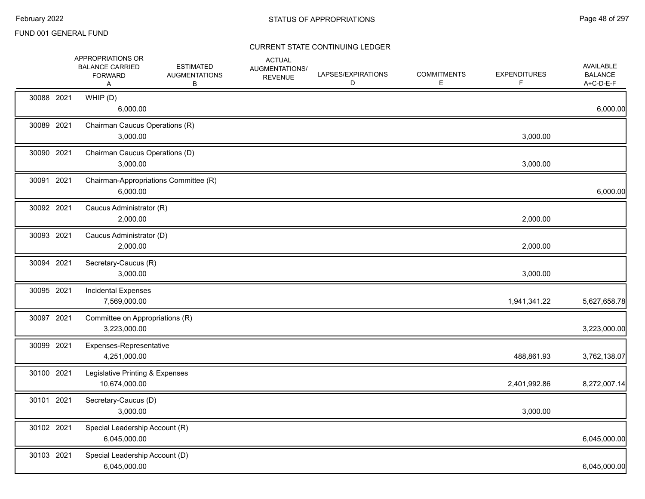|            | APPROPRIATIONS OR<br><b>BALANCE CARRIED</b><br><b>FORWARD</b><br>A | <b>ESTIMATED</b><br><b>AUGMENTATIONS</b><br>В | <b>ACTUAL</b><br>AUGMENTATIONS/<br><b>REVENUE</b> | LAPSES/EXPIRATIONS<br>D | <b>COMMITMENTS</b><br>E. | <b>EXPENDITURES</b><br>F | <b>AVAILABLE</b><br><b>BALANCE</b><br>A+C-D-E-F |
|------------|--------------------------------------------------------------------|-----------------------------------------------|---------------------------------------------------|-------------------------|--------------------------|--------------------------|-------------------------------------------------|
| 30088 2021 | WHIP (D)<br>6,000.00                                               |                                               |                                                   |                         |                          |                          | 6,000.00                                        |
| 30089 2021 | Chairman Caucus Operations (R)<br>3,000.00                         |                                               |                                                   |                         |                          | 3,000.00                 |                                                 |
| 30090 2021 | Chairman Caucus Operations (D)<br>3,000.00                         |                                               |                                                   |                         |                          | 3,000.00                 |                                                 |
| 30091 2021 | Chairman-Appropriations Committee (R)<br>6,000.00                  |                                               |                                                   |                         |                          |                          | 6,000.00                                        |
| 30092 2021 | Caucus Administrator (R)<br>2,000.00                               |                                               |                                                   |                         |                          | 2,000.00                 |                                                 |
| 30093 2021 | Caucus Administrator (D)<br>2,000.00                               |                                               |                                                   |                         |                          | 2,000.00                 |                                                 |
| 30094 2021 | Secretary-Caucus (R)<br>3,000.00                                   |                                               |                                                   |                         |                          | 3,000.00                 |                                                 |
| 30095 2021 | <b>Incidental Expenses</b><br>7,569,000.00                         |                                               |                                                   |                         |                          | 1,941,341.22             | 5,627,658.78                                    |
| 30097 2021 | Committee on Appropriations (R)<br>3,223,000.00                    |                                               |                                                   |                         |                          |                          | 3,223,000.00                                    |
| 30099 2021 | Expenses-Representative<br>4,251,000.00                            |                                               |                                                   |                         |                          | 488,861.93               | 3,762,138.07                                    |
| 30100 2021 | Legislative Printing & Expenses<br>10,674,000.00                   |                                               |                                                   |                         |                          | 2,401,992.86             | 8,272,007.14                                    |
| 30101 2021 | Secretary-Caucus (D)<br>3,000.00                                   |                                               |                                                   |                         |                          | 3,000.00                 |                                                 |
| 30102 2021 | Special Leadership Account (R)<br>6,045,000.00                     |                                               |                                                   |                         |                          |                          | 6,045,000.00                                    |
| 30103 2021 | Special Leadership Account (D)<br>6,045,000.00                     |                                               |                                                   |                         |                          |                          | 6,045,000.00                                    |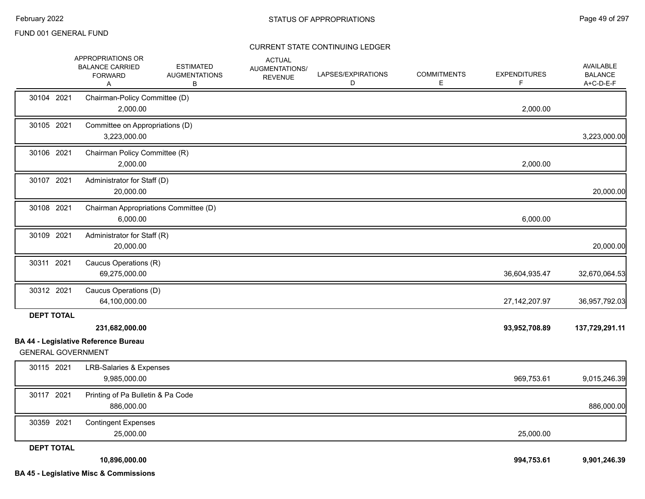|                           | APPROPRIATIONS OR<br><b>BALANCE CARRIED</b><br><b>FORWARD</b><br>Α | <b>ESTIMATED</b><br><b>AUGMENTATIONS</b><br>В | <b>ACTUAL</b><br>AUGMENTATIONS/<br><b>REVENUE</b> | LAPSES/EXPIRATIONS<br>D | <b>COMMITMENTS</b><br>E. | <b>EXPENDITURES</b><br>F | AVAILABLE<br><b>BALANCE</b><br>A+C-D-E-F |
|---------------------------|--------------------------------------------------------------------|-----------------------------------------------|---------------------------------------------------|-------------------------|--------------------------|--------------------------|------------------------------------------|
| 30104 2021                | Chairman-Policy Committee (D)<br>2,000.00                          |                                               |                                                   |                         |                          | 2,000.00                 |                                          |
| 30105 2021                | Committee on Appropriations (D)<br>3,223,000.00                    |                                               |                                                   |                         |                          |                          | 3,223,000.00                             |
| 30106 2021                | Chairman Policy Committee (R)<br>2,000.00                          |                                               |                                                   |                         |                          | 2,000.00                 |                                          |
| 30107 2021                | Administrator for Staff (D)<br>20,000.00                           |                                               |                                                   |                         |                          |                          | 20,000.00                                |
| 30108 2021                | Chairman Appropriations Committee (D)<br>6,000.00                  |                                               |                                                   |                         |                          | 6,000.00                 |                                          |
| 30109 2021                | Administrator for Staff (R)<br>20,000.00                           |                                               |                                                   |                         |                          |                          | 20,000.00                                |
| 30311 2021                | Caucus Operations (R)<br>69,275,000.00                             |                                               |                                                   |                         |                          | 36,604,935.47            | 32,670,064.53                            |
| 30312 2021                | Caucus Operations (D)<br>64,100,000.00                             |                                               |                                                   |                         |                          | 27, 142, 207. 97         | 36,957,792.03                            |
| <b>DEPT TOTAL</b>         | 231,682,000.00<br><b>BA 44 - Legislative Reference Bureau</b>      |                                               |                                                   |                         |                          | 93,952,708.89            | 137,729,291.11                           |
| <b>GENERAL GOVERNMENT</b> |                                                                    |                                               |                                                   |                         |                          |                          |                                          |
| 30115 2021                | <b>LRB-Salaries &amp; Expenses</b><br>9,985,000.00                 |                                               |                                                   |                         |                          | 969,753.61               | 9,015,246.39                             |
| 30117 2021                | Printing of Pa Bulletin & Pa Code<br>886,000.00                    |                                               |                                                   |                         |                          |                          | 886,000.00                               |
| 30359 2021                | <b>Contingent Expenses</b><br>25,000.00                            |                                               |                                                   |                         |                          | 25,000.00                |                                          |
| <b>DEPT TOTAL</b>         | 10,896,000.00<br><b>BA 45 - Legislative Misc &amp; Commissions</b> |                                               |                                                   |                         |                          | 994,753.61               | 9,901,246.39                             |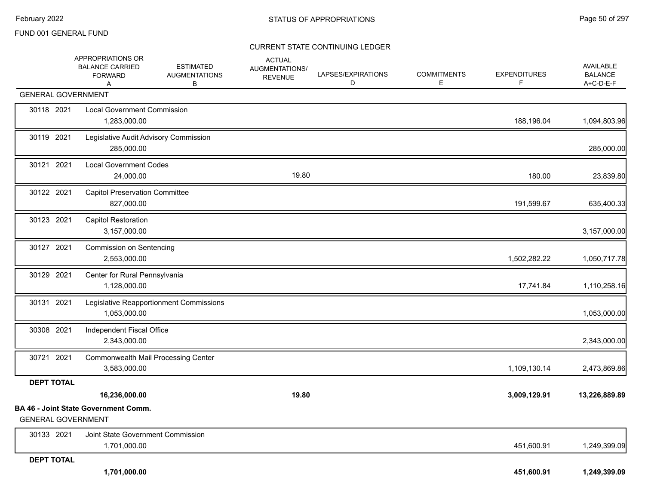|                           | APPROPRIATIONS OR<br><b>BALANCE CARRIED</b><br><b>FORWARD</b><br>A | <b>ESTIMATED</b><br><b>AUGMENTATIONS</b><br>В | <b>ACTUAL</b><br>AUGMENTATIONS/<br><b>REVENUE</b> | LAPSES/EXPIRATIONS<br>D | <b>COMMITMENTS</b><br>Е | <b>EXPENDITURES</b><br>F | AVAILABLE<br><b>BALANCE</b><br>A+C-D-E-F |
|---------------------------|--------------------------------------------------------------------|-----------------------------------------------|---------------------------------------------------|-------------------------|-------------------------|--------------------------|------------------------------------------|
| <b>GENERAL GOVERNMENT</b> |                                                                    |                                               |                                                   |                         |                         |                          |                                          |
| 30118 2021                | <b>Local Government Commission</b><br>1,283,000.00                 |                                               |                                                   |                         |                         | 188,196.04               | 1,094,803.96                             |
| 30119 2021                | Legislative Audit Advisory Commission<br>285,000.00                |                                               |                                                   |                         |                         |                          | 285,000.00                               |
| 30121 2021                | <b>Local Government Codes</b><br>24,000.00                         |                                               | 19.80                                             |                         |                         | 180.00                   | 23,839.80                                |
| 30122 2021                | <b>Capitol Preservation Committee</b><br>827,000.00                |                                               |                                                   |                         |                         | 191,599.67               | 635,400.33                               |
| 30123 2021                | <b>Capitol Restoration</b><br>3,157,000.00                         |                                               |                                                   |                         |                         |                          | 3,157,000.00                             |
| 30127 2021                | <b>Commission on Sentencing</b><br>2,553,000.00                    |                                               |                                                   |                         |                         | 1,502,282.22             | 1,050,717.78                             |
| 30129 2021                | Center for Rural Pennsylvania<br>1,128,000.00                      |                                               |                                                   |                         |                         | 17,741.84                | 1,110,258.16                             |
| 30131 2021                | 1,053,000.00                                                       | Legislative Reapportionment Commissions       |                                                   |                         |                         |                          | 1,053,000.00                             |
| 30308 2021                | Independent Fiscal Office<br>2,343,000.00                          |                                               |                                                   |                         |                         |                          | 2,343,000.00                             |
| 30721 2021                | <b>Commonwealth Mail Processing Center</b><br>3,583,000.00         |                                               |                                                   |                         |                         | 1,109,130.14             | 2,473,869.86                             |
| <b>DEPT TOTAL</b>         |                                                                    |                                               |                                                   |                         |                         |                          |                                          |
|                           | 16,236,000.00                                                      |                                               | 19.80                                             |                         |                         | 3,009,129.91             | 13,226,889.89                            |
| <b>GENERAL GOVERNMENT</b> | <b>BA 46 - Joint State Government Comm.</b>                        |                                               |                                                   |                         |                         |                          |                                          |
| 30133 2021                | Joint State Government Commission<br>1,701,000.00                  |                                               |                                                   |                         |                         | 451,600.91               | 1,249,399.09                             |
| <b>DEPT TOTAL</b>         | 1,701,000.00                                                       |                                               |                                                   |                         |                         | 451,600.91               | 1,249,399.09                             |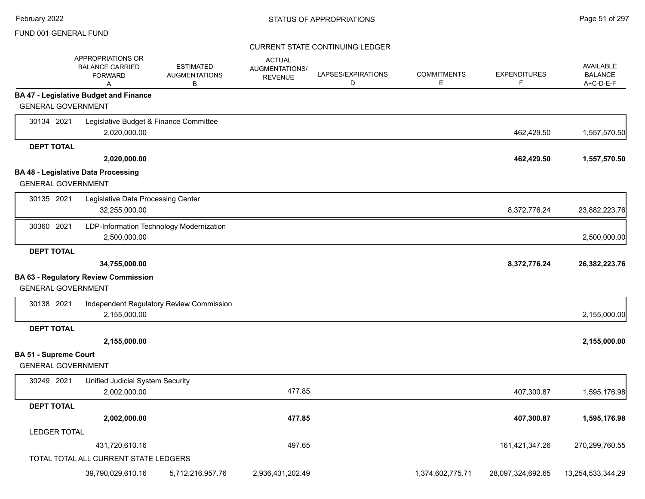|                              | APPROPRIATIONS OR<br><b>BALANCE CARRIED</b><br><b>FORWARD</b><br>Α | <b>ESTIMATED</b><br><b>AUGMENTATIONS</b><br>B | <b>ACTUAL</b><br>AUGMENTATIONS/<br><b>REVENUE</b> | LAPSES/EXPIRATIONS<br>D | <b>COMMITMENTS</b><br>Е | <b>EXPENDITURES</b><br>F | <b>AVAILABLE</b><br><b>BALANCE</b><br>A+C-D-E-F |
|------------------------------|--------------------------------------------------------------------|-----------------------------------------------|---------------------------------------------------|-------------------------|-------------------------|--------------------------|-------------------------------------------------|
|                              | <b>BA 47 - Legislative Budget and Finance</b>                      |                                               |                                                   |                         |                         |                          |                                                 |
| <b>GENERAL GOVERNMENT</b>    |                                                                    |                                               |                                                   |                         |                         |                          |                                                 |
| 30134 2021                   | Legislative Budget & Finance Committee                             |                                               |                                                   |                         |                         |                          |                                                 |
|                              | 2,020,000.00                                                       |                                               |                                                   |                         |                         | 462,429.50               | 1,557,570.50                                    |
| <b>DEPT TOTAL</b>            |                                                                    |                                               |                                                   |                         |                         |                          |                                                 |
|                              | 2,020,000.00                                                       |                                               |                                                   |                         |                         | 462,429.50               | 1,557,570.50                                    |
|                              | <b>BA 48 - Legislative Data Processing</b>                         |                                               |                                                   |                         |                         |                          |                                                 |
| <b>GENERAL GOVERNMENT</b>    |                                                                    |                                               |                                                   |                         |                         |                          |                                                 |
| 30135 2021                   | Legislative Data Processing Center                                 |                                               |                                                   |                         |                         |                          |                                                 |
|                              | 32,255,000.00                                                      |                                               |                                                   |                         |                         | 8,372,776.24             | 23,882,223.76                                   |
| 30360 2021                   |                                                                    | LDP-Information Technology Modernization      |                                                   |                         |                         |                          |                                                 |
|                              | 2,500,000.00                                                       |                                               |                                                   |                         |                         |                          | 2,500,000.00                                    |
| <b>DEPT TOTAL</b>            |                                                                    |                                               |                                                   |                         |                         |                          |                                                 |
|                              | 34,755,000.00                                                      |                                               |                                                   |                         |                         | 8,372,776.24             | 26,382,223.76                                   |
|                              | <b>BA 63 - Regulatory Review Commission</b>                        |                                               |                                                   |                         |                         |                          |                                                 |
| <b>GENERAL GOVERNMENT</b>    |                                                                    |                                               |                                                   |                         |                         |                          |                                                 |
| 30138 2021                   |                                                                    | Independent Regulatory Review Commission      |                                                   |                         |                         |                          |                                                 |
|                              | 2,155,000.00                                                       |                                               |                                                   |                         |                         |                          | 2,155,000.00                                    |
| <b>DEPT TOTAL</b>            |                                                                    |                                               |                                                   |                         |                         |                          |                                                 |
|                              | 2,155,000.00                                                       |                                               |                                                   |                         |                         |                          | 2,155,000.00                                    |
| <b>BA 51 - Supreme Court</b> |                                                                    |                                               |                                                   |                         |                         |                          |                                                 |
| <b>GENERAL GOVERNMENT</b>    |                                                                    |                                               |                                                   |                         |                         |                          |                                                 |
| 30249 2021                   | <b>Unified Judicial System Security</b>                            |                                               |                                                   |                         |                         |                          |                                                 |
|                              | 2,002,000.00                                                       |                                               | 477.85                                            |                         |                         | 407,300.87               | 1,595,176.98                                    |
| <b>DEPT TOTAL</b>            |                                                                    |                                               |                                                   |                         |                         |                          |                                                 |
|                              | 2,002,000.00                                                       |                                               | 477.85                                            |                         |                         | 407,300.87               | 1,595,176.98                                    |
| <b>LEDGER TOTAL</b>          |                                                                    |                                               |                                                   |                         |                         |                          |                                                 |
|                              | 431,720,610.16                                                     |                                               | 497.65                                            |                         |                         | 161,421,347.26           | 270,299,760.55                                  |
|                              | TOTAL TOTAL ALL CURRENT STATE LEDGERS                              |                                               |                                                   |                         |                         |                          |                                                 |
|                              | 39,790,029,610.16                                                  | 5,712,216,957.76                              | 2,936,431,202.49                                  |                         | 1,374,602,775.71        | 28,097,324,692.65        | 13,254,533,344.29                               |
|                              |                                                                    |                                               |                                                   |                         |                         |                          |                                                 |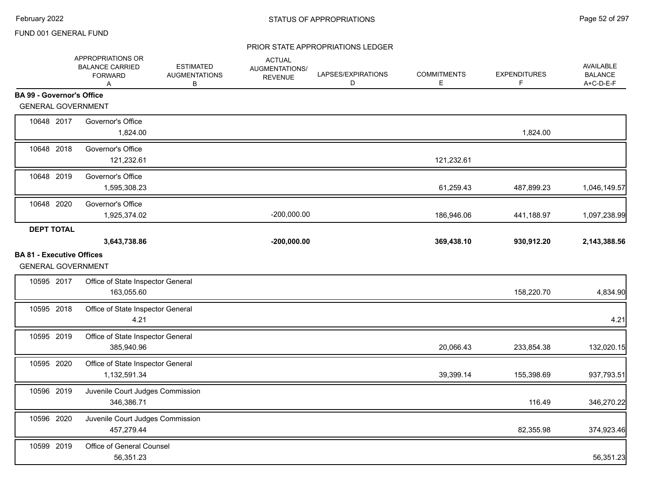|                                                               | APPROPRIATIONS OR<br><b>BALANCE CARRIED</b><br><b>FORWARD</b><br>Α | <b>ESTIMATED</b><br><b>AUGMENTATIONS</b><br>в | <b>ACTUAL</b><br>AUGMENTATIONS/<br><b>REVENUE</b> | LAPSES/EXPIRATIONS<br>D | <b>COMMITMENTS</b><br>Е | <b>EXPENDITURES</b><br>F | AVAILABLE<br><b>BALANCE</b><br>A+C-D-E-F |
|---------------------------------------------------------------|--------------------------------------------------------------------|-----------------------------------------------|---------------------------------------------------|-------------------------|-------------------------|--------------------------|------------------------------------------|
| <b>BA 99 - Governor's Office</b>                              |                                                                    |                                               |                                                   |                         |                         |                          |                                          |
| <b>GENERAL GOVERNMENT</b>                                     |                                                                    |                                               |                                                   |                         |                         |                          |                                          |
| 10648 2017                                                    | Governor's Office<br>1,824.00                                      |                                               |                                                   |                         |                         | 1,824.00                 |                                          |
| 10648 2018                                                    | Governor's Office<br>121,232.61                                    |                                               |                                                   |                         | 121,232.61              |                          |                                          |
| 10648 2019                                                    | Governor's Office<br>1,595,308.23                                  |                                               |                                                   |                         | 61,259.43               | 487,899.23               | 1,046,149.57                             |
| 10648 2020                                                    | Governor's Office<br>1,925,374.02                                  |                                               | $-200,000.00$                                     |                         | 186,946.06              | 441,188.97               | 1,097,238.99                             |
| <b>DEPT TOTAL</b>                                             |                                                                    |                                               |                                                   |                         |                         |                          |                                          |
|                                                               | 3,643,738.86                                                       |                                               | $-200,000.00$                                     |                         | 369,438.10              | 930,912.20               | 2,143,388.56                             |
| <b>BA 81 - Executive Offices</b><br><b>GENERAL GOVERNMENT</b> |                                                                    |                                               |                                                   |                         |                         |                          |                                          |
| 10595 2017                                                    | Office of State Inspector General<br>163,055.60                    |                                               |                                                   |                         |                         | 158,220.70               | 4,834.90                                 |
| 10595 2018                                                    | Office of State Inspector General<br>4.21                          |                                               |                                                   |                         |                         |                          | 4.21                                     |
| 10595 2019                                                    | Office of State Inspector General<br>385,940.96                    |                                               |                                                   |                         | 20,066.43               | 233,854.38               | 132,020.15                               |
| 10595 2020                                                    | Office of State Inspector General<br>1,132,591.34                  |                                               |                                                   |                         | 39,399.14               | 155,398.69               | 937,793.51                               |
| 10596 2019                                                    | Juvenile Court Judges Commission<br>346,386.71                     |                                               |                                                   |                         |                         | 116.49                   | 346,270.22                               |
| 10596 2020                                                    | Juvenile Court Judges Commission<br>457,279.44                     |                                               |                                                   |                         |                         | 82,355.98                | 374,923.46                               |
| 10599 2019                                                    | Office of General Counsel<br>56,351.23                             |                                               |                                                   |                         |                         |                          | 56,351.23                                |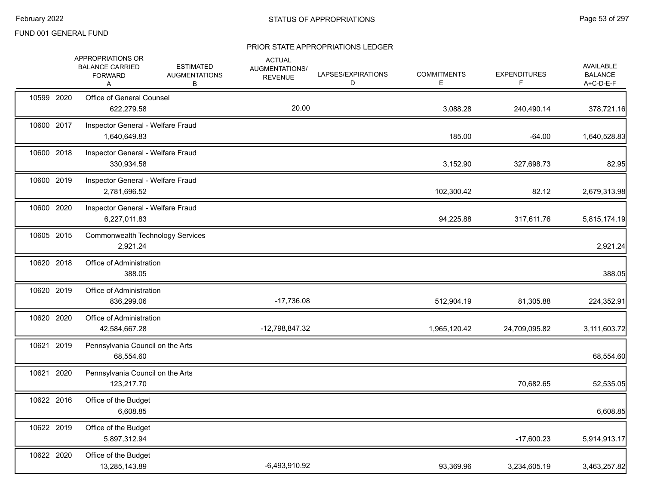|            | APPROPRIATIONS OR<br><b>BALANCE CARRIED</b><br><b>FORWARD</b><br>Α | <b>ESTIMATED</b><br><b>AUGMENTATIONS</b><br>В | <b>ACTUAL</b><br>AUGMENTATIONS/<br><b>REVENUE</b> | LAPSES/EXPIRATIONS<br>D | <b>COMMITMENTS</b><br>E | <b>EXPENDITURES</b><br>F. | AVAILABLE<br><b>BALANCE</b><br>A+C-D-E-F |
|------------|--------------------------------------------------------------------|-----------------------------------------------|---------------------------------------------------|-------------------------|-------------------------|---------------------------|------------------------------------------|
| 10599 2020 | Office of General Counsel<br>622,279.58                            |                                               | 20.00                                             |                         | 3,088.28                | 240,490.14                | 378,721.16                               |
| 10600 2017 | Inspector General - Welfare Fraud<br>1,640,649.83                  |                                               |                                                   |                         | 185.00                  | $-64.00$                  | 1,640,528.83                             |
| 10600 2018 | Inspector General - Welfare Fraud<br>330,934.58                    |                                               |                                                   |                         | 3,152.90                | 327,698.73                | 82.95                                    |
| 10600 2019 | Inspector General - Welfare Fraud<br>2,781,696.52                  |                                               |                                                   |                         | 102,300.42              | 82.12                     | 2,679,313.98                             |
| 10600 2020 | Inspector General - Welfare Fraud<br>6,227,011.83                  |                                               |                                                   |                         | 94,225.88               | 317,611.76                | 5,815,174.19                             |
| 10605 2015 | <b>Commonwealth Technology Services</b><br>2,921.24                |                                               |                                                   |                         |                         |                           | 2,921.24                                 |
| 10620 2018 | Office of Administration<br>388.05                                 |                                               |                                                   |                         |                         |                           | 388.05                                   |
| 10620 2019 | Office of Administration<br>836,299.06                             |                                               | $-17,736.08$                                      |                         | 512,904.19              | 81,305.88                 | 224,352.91                               |
| 10620 2020 | Office of Administration<br>42,584,667.28                          |                                               | -12,798,847.32                                    |                         | 1,965,120.42            | 24,709,095.82             | 3,111,603.72                             |
| 10621 2019 | Pennsylvania Council on the Arts<br>68,554.60                      |                                               |                                                   |                         |                         |                           | 68,554.60                                |
| 10621 2020 | Pennsylvania Council on the Arts<br>123,217.70                     |                                               |                                                   |                         |                         | 70,682.65                 | 52,535.05                                |
| 10622 2016 | Office of the Budget<br>6,608.85                                   |                                               |                                                   |                         |                         |                           | 6,608.85                                 |
| 10622 2019 | Office of the Budget<br>5,897,312.94                               |                                               |                                                   |                         |                         | $-17,600.23$              | 5,914,913.17                             |
| 10622 2020 | Office of the Budget<br>13,285,143.89                              |                                               | $-6,493,910.92$                                   |                         | 93,369.96               | 3,234,605.19              | 3,463,257.82                             |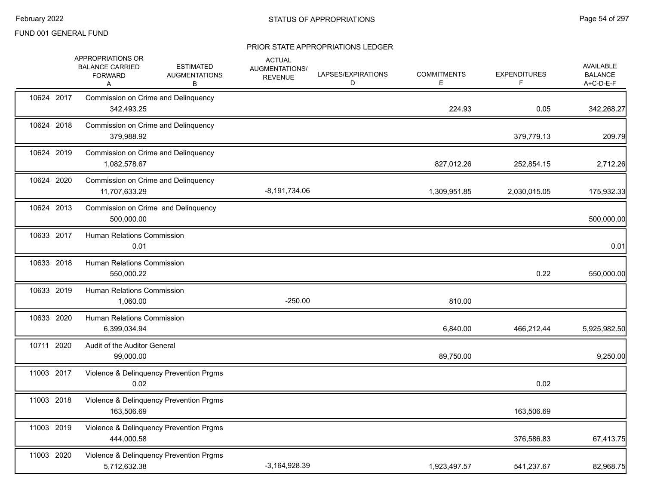|            | APPROPRIATIONS OR<br><b>BALANCE CARRIED</b><br><b>FORWARD</b><br>Α | <b>ESTIMATED</b><br><b>AUGMENTATIONS</b><br>В | <b>ACTUAL</b><br>AUGMENTATIONS/<br><b>REVENUE</b> | LAPSES/EXPIRATIONS<br>D | <b>COMMITMENTS</b><br>Е | <b>EXPENDITURES</b><br>F | AVAILABLE<br><b>BALANCE</b><br>A+C-D-E-F |
|------------|--------------------------------------------------------------------|-----------------------------------------------|---------------------------------------------------|-------------------------|-------------------------|--------------------------|------------------------------------------|
| 10624 2017 | Commission on Crime and Delinquency<br>342,493.25                  |                                               |                                                   |                         | 224.93                  | 0.05                     | 342,268.27                               |
| 10624 2018 | Commission on Crime and Delinquency<br>379,988.92                  |                                               |                                                   |                         |                         | 379,779.13               | 209.79                                   |
| 10624 2019 | Commission on Crime and Delinquency<br>1,082,578.67                |                                               |                                                   |                         | 827,012.26              | 252,854.15               | 2,712.26                                 |
| 10624 2020 | Commission on Crime and Delinquency<br>11,707,633.29               |                                               | $-8,191,734.06$                                   |                         | 1,309,951.85            | 2,030,015.05             | 175,932.33                               |
| 10624 2013 | Commission on Crime and Delinquency<br>500,000.00                  |                                               |                                                   |                         |                         |                          | 500,000.00                               |
| 10633 2017 | <b>Human Relations Commission</b><br>0.01                          |                                               |                                                   |                         |                         |                          | 0.01                                     |
| 10633 2018 | Human Relations Commission<br>550,000.22                           |                                               |                                                   |                         |                         | 0.22                     | 550,000.00                               |
| 10633 2019 | <b>Human Relations Commission</b><br>1,060.00                      |                                               | $-250.00$                                         |                         | 810.00                  |                          |                                          |
| 10633 2020 | Human Relations Commission<br>6,399,034.94                         |                                               |                                                   |                         | 6,840.00                | 466,212.44               | 5,925,982.50                             |
| 10711 2020 | Audit of the Auditor General<br>99,000.00                          |                                               |                                                   |                         | 89,750.00               |                          | 9,250.00                                 |
| 11003 2017 | Violence & Delinquency Prevention Prgms<br>0.02                    |                                               |                                                   |                         |                         | 0.02                     |                                          |
| 11003 2018 | Violence & Delinquency Prevention Prgms<br>163,506.69              |                                               |                                                   |                         |                         | 163,506.69               |                                          |
| 11003 2019 | Violence & Delinquency Prevention Prgms<br>444.000.58              |                                               |                                                   |                         |                         | 376,586.83               | 67,413.75                                |
| 11003 2020 | Violence & Delinquency Prevention Prgms<br>5,712,632.38            |                                               | $-3,164,928.39$                                   |                         | 1,923,497.57            | 541,237.67               | 82,968.75                                |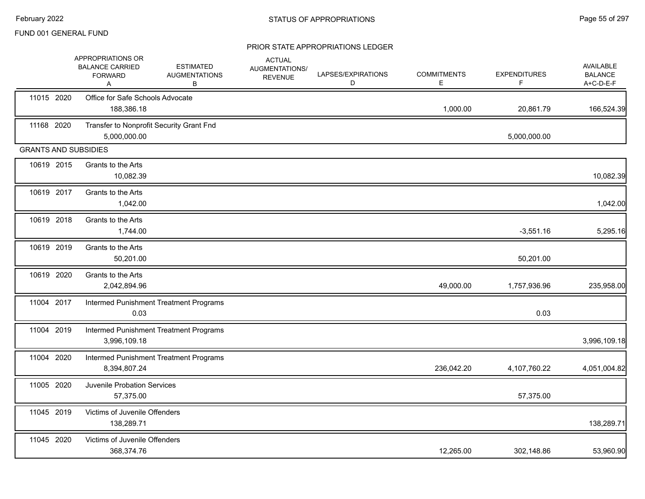|                             | APPROPRIATIONS OR<br><b>BALANCE CARRIED</b><br><b>FORWARD</b><br>A | <b>ESTIMATED</b><br><b>AUGMENTATIONS</b><br>в | <b>ACTUAL</b><br>AUGMENTATIONS/<br><b>REVENUE</b> | LAPSES/EXPIRATIONS<br>D | <b>COMMITMENTS</b><br>Е | <b>EXPENDITURES</b><br>F. | <b>AVAILABLE</b><br><b>BALANCE</b><br>A+C-D-E-F |
|-----------------------------|--------------------------------------------------------------------|-----------------------------------------------|---------------------------------------------------|-------------------------|-------------------------|---------------------------|-------------------------------------------------|
| 11015 2020                  | Office for Safe Schools Advocate<br>188,386.18                     |                                               |                                                   |                         | 1,000.00                | 20,861.79                 | 166,524.39                                      |
| 11168 2020                  | Transfer to Nonprofit Security Grant Fnd<br>5,000,000.00           |                                               |                                                   |                         |                         | 5,000,000.00              |                                                 |
| <b>GRANTS AND SUBSIDIES</b> |                                                                    |                                               |                                                   |                         |                         |                           |                                                 |
| 10619 2015                  | Grants to the Arts<br>10,082.39                                    |                                               |                                                   |                         |                         |                           | 10,082.39                                       |
| 10619 2017                  | Grants to the Arts<br>1,042.00                                     |                                               |                                                   |                         |                         |                           | 1,042.00                                        |
| 10619 2018                  | Grants to the Arts<br>1,744.00                                     |                                               |                                                   |                         |                         | $-3,551.16$               | 5,295.16                                        |
| 10619 2019                  | Grants to the Arts<br>50,201.00                                    |                                               |                                                   |                         |                         | 50,201.00                 |                                                 |
| 10619 2020                  | Grants to the Arts<br>2,042,894.96                                 |                                               |                                                   |                         | 49,000.00               | 1,757,936.96              | 235,958.00                                      |
| 11004 2017                  | 0.03                                                               | Intermed Punishment Treatment Programs        |                                                   |                         |                         | 0.03                      |                                                 |
| 11004 2019                  | 3,996,109.18                                                       | Intermed Punishment Treatment Programs        |                                                   |                         |                         |                           | 3,996,109.18                                    |
| 11004 2020                  | 8,394,807.24                                                       | Intermed Punishment Treatment Programs        |                                                   |                         | 236,042.20              | 4,107,760.22              | 4,051,004.82                                    |
| 11005 2020                  | <b>Juvenile Probation Services</b><br>57,375.00                    |                                               |                                                   |                         |                         | 57,375.00                 |                                                 |
| 11045 2019                  | Victims of Juvenile Offenders<br>138,289.71                        |                                               |                                                   |                         |                         |                           | 138,289.71                                      |
| 11045 2020                  | Victims of Juvenile Offenders<br>368,374.76                        |                                               |                                                   |                         | 12,265.00               | 302,148.86                | 53,960.90                                       |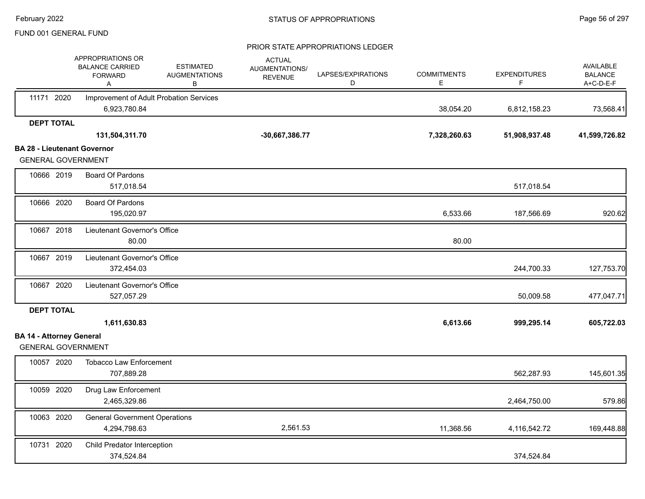|                                                              | APPROPRIATIONS OR<br><b>BALANCE CARRIED</b><br><b>FORWARD</b><br>Α | <b>ESTIMATED</b><br><b>AUGMENTATIONS</b><br>В | <b>ACTUAL</b><br>AUGMENTATIONS/<br><b>REVENUE</b> | LAPSES/EXPIRATIONS<br>D | <b>COMMITMENTS</b><br>E. | <b>EXPENDITURES</b><br>F | <b>AVAILABLE</b><br><b>BALANCE</b><br>A+C-D-E-F |
|--------------------------------------------------------------|--------------------------------------------------------------------|-----------------------------------------------|---------------------------------------------------|-------------------------|--------------------------|--------------------------|-------------------------------------------------|
| 11171 2020                                                   | Improvement of Adult Probation Services<br>6,923,780.84            |                                               |                                                   |                         | 38,054.20                | 6,812,158.23             | 73,568.41                                       |
| <b>DEPT TOTAL</b>                                            |                                                                    |                                               |                                                   |                         |                          |                          |                                                 |
|                                                              | 131,504,311.70                                                     |                                               | -30,667,386.77                                    |                         | 7,328,260.63             | 51,908,937.48            | 41,599,726.82                                   |
| <b>BA 28 - Lieutenant Governor</b>                           |                                                                    |                                               |                                                   |                         |                          |                          |                                                 |
| <b>GENERAL GOVERNMENT</b>                                    |                                                                    |                                               |                                                   |                         |                          |                          |                                                 |
| 10666 2019                                                   | <b>Board Of Pardons</b><br>517,018.54                              |                                               |                                                   |                         |                          | 517,018.54               |                                                 |
| 10666 2020                                                   | <b>Board Of Pardons</b><br>195,020.97                              |                                               |                                                   |                         | 6,533.66                 | 187,566.69               | 920.62                                          |
| 10667 2018                                                   | Lieutenant Governor's Office<br>80.00                              |                                               |                                                   |                         | 80.00                    |                          |                                                 |
| 10667 2019                                                   | Lieutenant Governor's Office<br>372,454.03                         |                                               |                                                   |                         |                          | 244,700.33               | 127,753.70                                      |
| 10667 2020                                                   | Lieutenant Governor's Office<br>527,057.29                         |                                               |                                                   |                         |                          | 50,009.58                | 477,047.71                                      |
| <b>DEPT TOTAL</b>                                            |                                                                    |                                               |                                                   |                         |                          |                          |                                                 |
|                                                              | 1,611,630.83                                                       |                                               |                                                   |                         | 6,613.66                 | 999,295.14               | 605,722.03                                      |
| <b>BA 14 - Attorney General</b><br><b>GENERAL GOVERNMENT</b> |                                                                    |                                               |                                                   |                         |                          |                          |                                                 |
| 10057 2020                                                   | <b>Tobacco Law Enforcement</b><br>707,889.28                       |                                               |                                                   |                         |                          | 562,287.93               | 145,601.35                                      |
| 10059 2020                                                   | Drug Law Enforcement<br>2,465,329.86                               |                                               |                                                   |                         |                          | 2,464,750.00             | 579.86                                          |
| 10063 2020                                                   | <b>General Government Operations</b><br>4,294,798.63               |                                               | 2,561.53                                          |                         | 11,368.56                | 4,116,542.72             | 169,448.88                                      |
| 10731 2020                                                   | Child Predator Interception<br>374,524.84                          |                                               |                                                   |                         |                          | 374,524.84               |                                                 |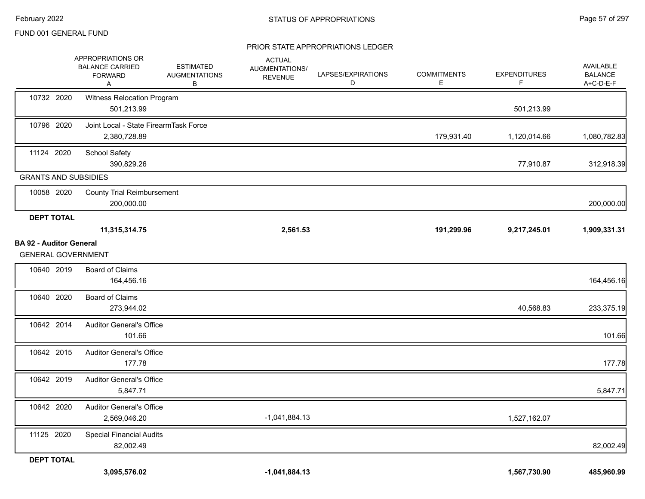|                                                             | APPROPRIATIONS OR<br><b>BALANCE CARRIED</b><br><b>FORWARD</b><br>A | <b>ESTIMATED</b><br><b>AUGMENTATIONS</b><br>B | <b>ACTUAL</b><br>AUGMENTATIONS/<br><b>REVENUE</b> | LAPSES/EXPIRATIONS<br>D | <b>COMMITMENTS</b><br>Е | <b>EXPENDITURES</b><br>F | AVAILABLE<br><b>BALANCE</b><br>A+C-D-E-F |
|-------------------------------------------------------------|--------------------------------------------------------------------|-----------------------------------------------|---------------------------------------------------|-------------------------|-------------------------|--------------------------|------------------------------------------|
| 10732 2020                                                  | Witness Relocation Program<br>501,213.99                           |                                               |                                                   |                         |                         | 501,213.99               |                                          |
| 10796 2020                                                  | Joint Local - State FirearmTask Force<br>2,380,728.89              |                                               |                                                   |                         | 179,931.40              | 1,120,014.66             | 1,080,782.83                             |
| 11124 2020                                                  | <b>School Safety</b><br>390,829.26                                 |                                               |                                                   |                         |                         | 77,910.87                | 312,918.39                               |
| <b>GRANTS AND SUBSIDIES</b>                                 |                                                                    |                                               |                                                   |                         |                         |                          |                                          |
| 10058 2020                                                  | <b>County Trial Reimbursement</b><br>200,000.00                    |                                               |                                                   |                         |                         |                          | 200,000.00                               |
| <b>DEPT TOTAL</b>                                           |                                                                    |                                               |                                                   |                         |                         |                          |                                          |
|                                                             | 11,315,314.75                                                      |                                               | 2,561.53                                          |                         | 191,299.96              | 9,217,245.01             | 1,909,331.31                             |
| <b>BA 92 - Auditor General</b><br><b>GENERAL GOVERNMENT</b> |                                                                    |                                               |                                                   |                         |                         |                          |                                          |
| 10640 2019                                                  | <b>Board of Claims</b><br>164,456.16                               |                                               |                                                   |                         |                         |                          | 164,456.16                               |
| 10640 2020                                                  | <b>Board of Claims</b><br>273,944.02                               |                                               |                                                   |                         |                         | 40,568.83                | 233,375.19                               |
| 10642 2014                                                  | <b>Auditor General's Office</b><br>101.66                          |                                               |                                                   |                         |                         |                          | 101.66                                   |
| 10642 2015                                                  | <b>Auditor General's Office</b><br>177.78                          |                                               |                                                   |                         |                         |                          | 177.78                                   |
| 10642 2019                                                  | <b>Auditor General's Office</b><br>5,847.71                        |                                               |                                                   |                         |                         |                          | 5,847.71                                 |
| 10642 2020                                                  | <b>Auditor General's Office</b><br>2,569,046.20                    |                                               | $-1,041,884.13$                                   |                         |                         | 1,527,162.07             |                                          |
| 11125 2020                                                  | <b>Special Financial Audits</b><br>82,002.49                       |                                               |                                                   |                         |                         |                          | 82,002.49                                |
| <b>DEPT TOTAL</b>                                           |                                                                    |                                               |                                                   |                         |                         |                          |                                          |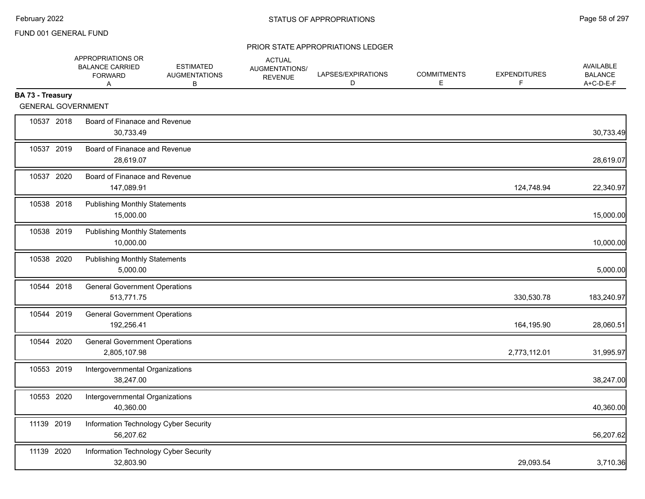|                  | APPROPRIATIONS OR<br><b>BALANCE CARRIED</b><br><b>FORWARD</b><br>A | <b>ESTIMATED</b><br><b>AUGMENTATIONS</b><br>В | <b>ACTUAL</b><br>AUGMENTATIONS/<br><b>REVENUE</b> | LAPSES/EXPIRATIONS<br>D | <b>COMMITMENTS</b><br>Е | <b>EXPENDITURES</b><br>F | <b>AVAILABLE</b><br><b>BALANCE</b><br>A+C-D-E-F |
|------------------|--------------------------------------------------------------------|-----------------------------------------------|---------------------------------------------------|-------------------------|-------------------------|--------------------------|-------------------------------------------------|
| BA 73 - Treasury |                                                                    |                                               |                                                   |                         |                         |                          |                                                 |
|                  | <b>GENERAL GOVERNMENT</b>                                          |                                               |                                                   |                         |                         |                          |                                                 |
| 10537 2018       | Board of Finanace and Revenue<br>30,733.49                         |                                               |                                                   |                         |                         |                          | 30,733.49                                       |
| 10537 2019       | Board of Finanace and Revenue<br>28,619.07                         |                                               |                                                   |                         |                         |                          | 28,619.07                                       |
| 10537 2020       | Board of Finanace and Revenue<br>147,089.91                        |                                               |                                                   |                         |                         | 124,748.94               | 22,340.97                                       |
| 10538 2018       | <b>Publishing Monthly Statements</b><br>15,000.00                  |                                               |                                                   |                         |                         |                          | 15,000.00                                       |
| 10538 2019       | <b>Publishing Monthly Statements</b><br>10,000.00                  |                                               |                                                   |                         |                         |                          | 10,000.00                                       |
| 10538 2020       | <b>Publishing Monthly Statements</b><br>5,000.00                   |                                               |                                                   |                         |                         |                          | 5,000.00                                        |
| 10544 2018       | <b>General Government Operations</b><br>513,771.75                 |                                               |                                                   |                         |                         | 330,530.78               | 183,240.97                                      |
| 10544 2019       | <b>General Government Operations</b><br>192,256.41                 |                                               |                                                   |                         |                         | 164,195.90               | 28,060.51                                       |
| 10544 2020       | <b>General Government Operations</b><br>2,805,107.98               |                                               |                                                   |                         |                         | 2,773,112.01             | 31,995.97                                       |
| 10553 2019       | Intergovernmental Organizations<br>38,247.00                       |                                               |                                                   |                         |                         |                          | 38,247.00                                       |
| 10553 2020       | Intergovernmental Organizations<br>40,360.00                       |                                               |                                                   |                         |                         |                          | 40,360.00                                       |
| 11139 2019       | Information Technology Cyber Security<br>56,207.62                 |                                               |                                                   |                         |                         |                          | 56,207.62                                       |
| 11139 2020       | Information Technology Cyber Security<br>32,803.90                 |                                               |                                                   |                         |                         | 29,093.54                | 3,710.36                                        |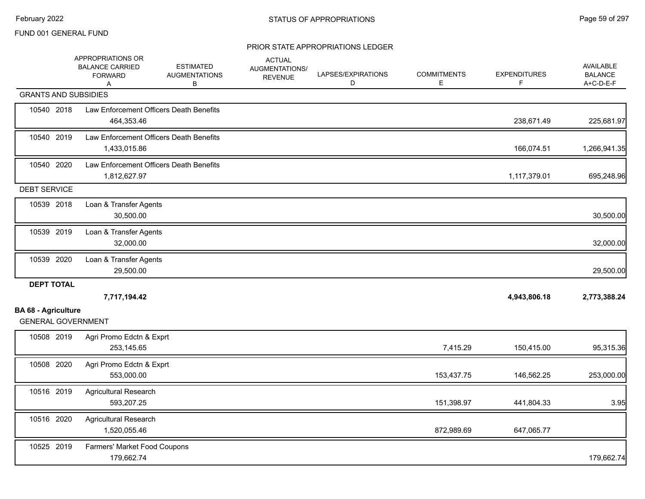|                                                         | APPROPRIATIONS OR<br><b>BALANCE CARRIED</b><br><b>FORWARD</b><br>Α | <b>ESTIMATED</b><br><b>AUGMENTATIONS</b><br>в | <b>ACTUAL</b><br>AUGMENTATIONS/<br><b>REVENUE</b> | LAPSES/EXPIRATIONS<br>D | <b>COMMITMENTS</b><br>Е | <b>EXPENDITURES</b><br>F. | AVAILABLE<br><b>BALANCE</b><br>A+C-D-E-F |
|---------------------------------------------------------|--------------------------------------------------------------------|-----------------------------------------------|---------------------------------------------------|-------------------------|-------------------------|---------------------------|------------------------------------------|
| <b>GRANTS AND SUBSIDIES</b>                             |                                                                    |                                               |                                                   |                         |                         |                           |                                          |
| 10540 2018                                              | Law Enforcement Officers Death Benefits<br>464,353.46              |                                               |                                                   |                         |                         | 238,671.49                | 225,681.97                               |
| 10540 2019                                              | Law Enforcement Officers Death Benefits<br>1,433,015.86            |                                               |                                                   |                         |                         | 166,074.51                | 1,266,941.35                             |
| 10540 2020                                              | Law Enforcement Officers Death Benefits<br>1,812,627.97            |                                               |                                                   |                         |                         | 1,117,379.01              | 695,248.96                               |
| <b>DEBT SERVICE</b>                                     |                                                                    |                                               |                                                   |                         |                         |                           |                                          |
| 10539 2018                                              | Loan & Transfer Agents<br>30,500.00                                |                                               |                                                   |                         |                         |                           | 30,500.00                                |
| 10539 2019                                              | Loan & Transfer Agents<br>32,000.00                                |                                               |                                                   |                         |                         |                           | 32,000.00                                |
| 10539 2020                                              | Loan & Transfer Agents<br>29,500.00                                |                                               |                                                   |                         |                         |                           | 29,500.00                                |
| <b>DEPT TOTAL</b>                                       |                                                                    |                                               |                                                   |                         |                         |                           |                                          |
|                                                         | 7,717,194.42                                                       |                                               |                                                   |                         |                         | 4,943,806.18              | 2,773,388.24                             |
| <b>BA 68 - Agriculture</b><br><b>GENERAL GOVERNMENT</b> |                                                                    |                                               |                                                   |                         |                         |                           |                                          |
| 10508 2019                                              | Agri Promo Edctn & Exprt<br>253,145.65                             |                                               |                                                   |                         | 7,415.29                | 150,415.00                | 95,315.36                                |
| 10508 2020                                              | Agri Promo Edctn & Exprt<br>553,000.00                             |                                               |                                                   |                         | 153,437.75              | 146,562.25                | 253,000.00                               |
| 10516 2019                                              | <b>Agricultural Research</b><br>593,207.25                         |                                               |                                                   |                         | 151,398.97              | 441,804.33                | 3.95                                     |
| 10516 2020                                              | <b>Agricultural Research</b><br>1,520,055.46                       |                                               |                                                   |                         | 872,989.69              | 647,065.77                |                                          |
| 10525 2019                                              | Farmers' Market Food Coupons<br>179,662.74                         |                                               |                                                   |                         |                         |                           | 179,662.74                               |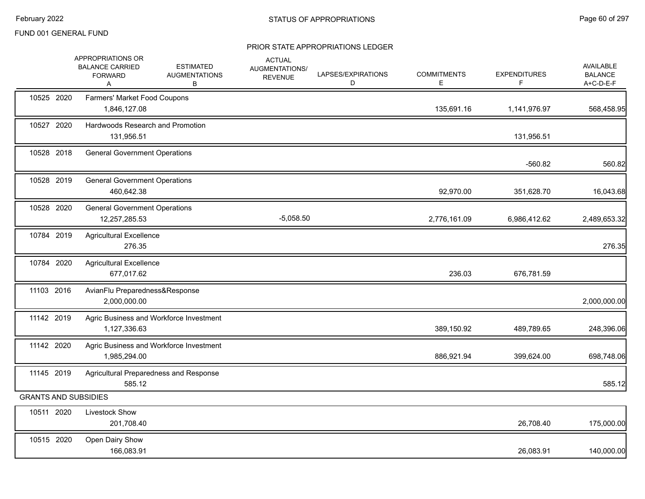|                             | APPROPRIATIONS OR<br><b>BALANCE CARRIED</b><br><b>FORWARD</b><br>A | <b>ESTIMATED</b><br><b>AUGMENTATIONS</b><br>В | <b>ACTUAL</b><br>AUGMENTATIONS/<br><b>REVENUE</b> | LAPSES/EXPIRATIONS<br>D | <b>COMMITMENTS</b><br>Е | <b>EXPENDITURES</b><br>F | <b>AVAILABLE</b><br><b>BALANCE</b><br>A+C-D-E-F |
|-----------------------------|--------------------------------------------------------------------|-----------------------------------------------|---------------------------------------------------|-------------------------|-------------------------|--------------------------|-------------------------------------------------|
| 10525 2020                  | Farmers' Market Food Coupons<br>1,846,127.08                       |                                               |                                                   |                         | 135,691.16              | 1,141,976.97             | 568,458.95                                      |
| 10527 2020                  | Hardwoods Research and Promotion<br>131,956.51                     |                                               |                                                   |                         |                         | 131,956.51               |                                                 |
| 10528 2018                  | <b>General Government Operations</b>                               |                                               |                                                   |                         |                         | $-560.82$                | 560.82                                          |
| 10528 2019                  | <b>General Government Operations</b><br>460,642.38                 |                                               |                                                   |                         | 92,970.00               | 351,628.70               | 16,043.68                                       |
| 10528 2020                  | <b>General Government Operations</b><br>12,257,285.53              |                                               | $-5,058.50$                                       |                         | 2,776,161.09            | 6,986,412.62             | 2,489,653.32                                    |
| 10784 2019                  | <b>Agricultural Excellence</b><br>276.35                           |                                               |                                                   |                         |                         |                          | 276.35                                          |
| 10784 2020                  | <b>Agricultural Excellence</b><br>677,017.62                       |                                               |                                                   |                         | 236.03                  | 676,781.59               |                                                 |
| 11103 2016                  | AvianFlu Preparedness&Response<br>2,000,000.00                     |                                               |                                                   |                         |                         |                          | 2,000,000.00                                    |
| 11142 2019                  | 1,127,336.63                                                       | Agric Business and Workforce Investment       |                                                   |                         | 389,150.92              | 489,789.65               | 248,396.06                                      |
| 11142 2020                  | 1,985,294.00                                                       | Agric Business and Workforce Investment       |                                                   |                         | 886,921.94              | 399,624.00               | 698,748.06                                      |
| 11145 2019                  | 585.12                                                             | Agricultural Preparedness and Response        |                                                   |                         |                         |                          | 585.12                                          |
| <b>GRANTS AND SUBSIDIES</b> |                                                                    |                                               |                                                   |                         |                         |                          |                                                 |
| 10511 2020                  | Livestock Show<br>201,708.40                                       |                                               |                                                   |                         |                         | 26,708.40                | 175,000.00                                      |
| 10515 2020                  | Open Dairy Show<br>166,083.91                                      |                                               |                                                   |                         |                         | 26,083.91                | 140,000.00                                      |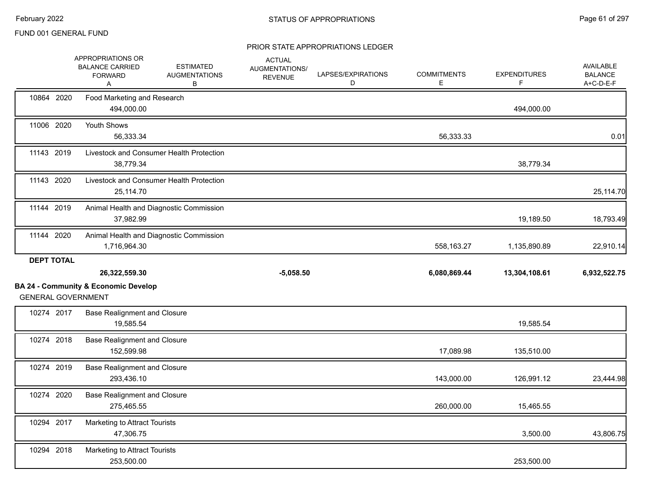|                   | APPROPRIATIONS OR<br><b>BALANCE CARRIED</b><br><b>FORWARD</b><br>Α           | <b>ESTIMATED</b><br><b>AUGMENTATIONS</b><br>В | <b>ACTUAL</b><br>AUGMENTATIONS/<br><b>REVENUE</b> | LAPSES/EXPIRATIONS<br>D | <b>COMMITMENTS</b><br>Е | <b>EXPENDITURES</b><br>F. | <b>AVAILABLE</b><br><b>BALANCE</b><br>A+C-D-E-F |
|-------------------|------------------------------------------------------------------------------|-----------------------------------------------|---------------------------------------------------|-------------------------|-------------------------|---------------------------|-------------------------------------------------|
| 10864 2020        | Food Marketing and Research<br>494,000.00                                    |                                               |                                                   |                         |                         | 494,000.00                |                                                 |
| 11006 2020        | Youth Shows<br>56,333.34                                                     |                                               |                                                   |                         | 56,333.33               |                           | 0.01                                            |
| 11143 2019        | 38,779.34                                                                    | Livestock and Consumer Health Protection      |                                                   |                         |                         | 38,779.34                 |                                                 |
| 11143 2020        | 25,114.70                                                                    | Livestock and Consumer Health Protection      |                                                   |                         |                         |                           | 25,114.70                                       |
| 11144 2019        | 37,982.99                                                                    | Animal Health and Diagnostic Commission       |                                                   |                         |                         | 19,189.50                 | 18,793.49                                       |
| 11144 2020        | 1,716,964.30                                                                 | Animal Health and Diagnostic Commission       |                                                   |                         | 558,163.27              | 1,135,890.89              | 22,910.14                                       |
| <b>DEPT TOTAL</b> |                                                                              |                                               |                                                   |                         |                         |                           |                                                 |
|                   | 26,322,559.30                                                                |                                               | $-5,058.50$                                       |                         | 6,080,869.44            | 13,304,108.61             | 6,932,522.75                                    |
|                   | <b>BA 24 - Community &amp; Economic Develop</b><br><b>GENERAL GOVERNMENT</b> |                                               |                                                   |                         |                         |                           |                                                 |
| 10274 2017        | <b>Base Realignment and Closure</b><br>19,585.54                             |                                               |                                                   |                         |                         | 19,585.54                 |                                                 |
| 10274 2018        | <b>Base Realignment and Closure</b><br>152,599.98                            |                                               |                                                   |                         | 17,089.98               | 135,510.00                |                                                 |
| 10274 2019        |                                                                              |                                               |                                                   |                         |                         |                           |                                                 |
|                   | <b>Base Realignment and Closure</b><br>293,436.10                            |                                               |                                                   |                         | 143,000.00              | 126,991.12                | 23,444.98                                       |
| 10274 2020        | <b>Base Realignment and Closure</b><br>275,465.55                            |                                               |                                                   |                         | 260,000.00              | 15,465.55                 |                                                 |
| 10294 2017        | Marketing to Attract Tourists<br>47,306.75                                   |                                               |                                                   |                         |                         | 3,500.00                  | 43,806.75                                       |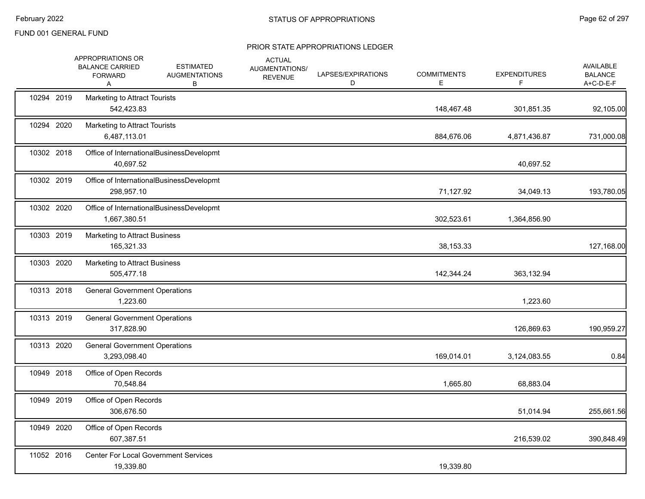|            | APPROPRIATIONS OR<br><b>BALANCE CARRIED</b><br><b>FORWARD</b><br>A | <b>ESTIMATED</b><br><b>AUGMENTATIONS</b><br>В | <b>ACTUAL</b><br>AUGMENTATIONS/<br><b>REVENUE</b> | LAPSES/EXPIRATIONS<br>D | <b>COMMITMENTS</b><br>Е | <b>EXPENDITURES</b><br>F | <b>AVAILABLE</b><br><b>BALANCE</b><br>A+C-D-E-F |
|------------|--------------------------------------------------------------------|-----------------------------------------------|---------------------------------------------------|-------------------------|-------------------------|--------------------------|-------------------------------------------------|
| 10294 2019 | Marketing to Attract Tourists<br>542,423.83                        |                                               |                                                   |                         | 148,467.48              | 301,851.35               | 92,105.00                                       |
| 10294 2020 | Marketing to Attract Tourists<br>6,487,113.01                      |                                               |                                                   |                         | 884,676.06              | 4,871,436.87             | 731,000.08                                      |
| 10302 2018 | 40,697.52                                                          | Office of InternationalBusinessDevelopmt      |                                                   |                         |                         | 40,697.52                |                                                 |
| 10302 2019 | 298,957.10                                                         | Office of InternationalBusinessDevelopmt      |                                                   |                         | 71,127.92               | 34,049.13                | 193,780.05                                      |
| 10302 2020 | 1,667,380.51                                                       | Office of InternationalBusinessDevelopmt      |                                                   |                         | 302,523.61              | 1,364,856.90             |                                                 |
| 10303 2019 | <b>Marketing to Attract Business</b><br>165,321.33                 |                                               |                                                   |                         | 38,153.33               |                          | 127,168.00                                      |
| 10303 2020 | <b>Marketing to Attract Business</b><br>505,477.18                 |                                               |                                                   |                         | 142,344.24              | 363,132.94               |                                                 |
| 10313 2018 | <b>General Government Operations</b><br>1,223.60                   |                                               |                                                   |                         |                         | 1,223.60                 |                                                 |
| 10313 2019 | <b>General Government Operations</b><br>317,828.90                 |                                               |                                                   |                         |                         | 126,869.63               | 190,959.27                                      |
| 10313 2020 | <b>General Government Operations</b><br>3,293,098.40               |                                               |                                                   |                         | 169,014.01              | 3,124,083.55             | 0.84                                            |
| 10949 2018 | Office of Open Records<br>70,548.84                                |                                               |                                                   |                         | 1,665.80                | 68,883.04                |                                                 |
| 10949 2019 | Office of Open Records<br>306,676.50                               |                                               |                                                   |                         |                         | 51,014.94                | 255,661.56                                      |
| 10949 2020 | Office of Open Records<br>607,387.51                               |                                               |                                                   |                         |                         | 216,539.02               | 390,848.49                                      |
| 11052 2016 | 19,339.80                                                          | <b>Center For Local Government Services</b>   |                                                   |                         | 19,339.80               |                          |                                                 |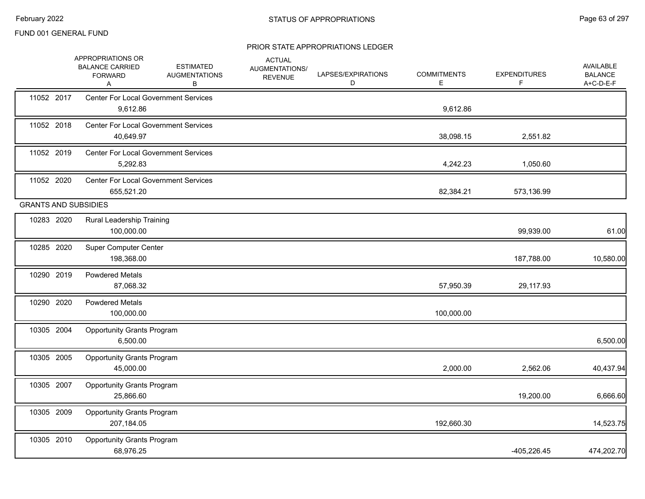|                             | APPROPRIATIONS OR<br><b>BALANCE CARRIED</b><br><b>FORWARD</b><br>Α | <b>ESTIMATED</b><br><b>AUGMENTATIONS</b><br>В | <b>ACTUAL</b><br>AUGMENTATIONS/<br><b>REVENUE</b> | LAPSES/EXPIRATIONS<br>D | <b>COMMITMENTS</b><br>Ε | <b>EXPENDITURES</b><br>F | AVAILABLE<br><b>BALANCE</b><br>A+C-D-E-F |
|-----------------------------|--------------------------------------------------------------------|-----------------------------------------------|---------------------------------------------------|-------------------------|-------------------------|--------------------------|------------------------------------------|
| 11052 2017                  | <b>Center For Local Government Services</b><br>9,612.86            |                                               |                                                   |                         | 9,612.86                |                          |                                          |
| 11052 2018                  | <b>Center For Local Government Services</b><br>40,649.97           |                                               |                                                   |                         | 38,098.15               | 2,551.82                 |                                          |
| 11052 2019                  | <b>Center For Local Government Services</b><br>5,292.83            |                                               |                                                   |                         | 4,242.23                | 1,050.60                 |                                          |
| 11052 2020                  | <b>Center For Local Government Services</b><br>655,521.20          |                                               |                                                   |                         | 82,384.21               | 573,136.99               |                                          |
| <b>GRANTS AND SUBSIDIES</b> |                                                                    |                                               |                                                   |                         |                         |                          |                                          |
| 10283 2020                  | Rural Leadership Training<br>100,000.00                            |                                               |                                                   |                         |                         | 99,939.00                | 61.00                                    |
| 10285 2020                  | <b>Super Computer Center</b><br>198,368.00                         |                                               |                                                   |                         |                         | 187,788.00               | 10,580.00                                |
| 10290 2019                  | <b>Powdered Metals</b><br>87,068.32                                |                                               |                                                   |                         | 57,950.39               | 29,117.93                |                                          |
| 10290 2020                  | <b>Powdered Metals</b><br>100,000.00                               |                                               |                                                   |                         | 100,000.00              |                          |                                          |
| 10305 2004                  | <b>Opportunity Grants Program</b><br>6,500.00                      |                                               |                                                   |                         |                         |                          | 6,500.00                                 |
| 10305 2005                  | <b>Opportunity Grants Program</b><br>45,000.00                     |                                               |                                                   |                         | 2,000.00                | 2,562.06                 | 40,437.94                                |
| 10305 2007                  | <b>Opportunity Grants Program</b><br>25,866.60                     |                                               |                                                   |                         |                         | 19,200.00                | 6,666.60                                 |
| 10305 2009                  | <b>Opportunity Grants Program</b><br>207,184.05                    |                                               |                                                   |                         | 192,660.30              |                          | 14,523.75                                |
| 10305 2010                  | <b>Opportunity Grants Program</b><br>68,976.25                     |                                               |                                                   |                         |                         | $-405,226.45$            | 474,202.70                               |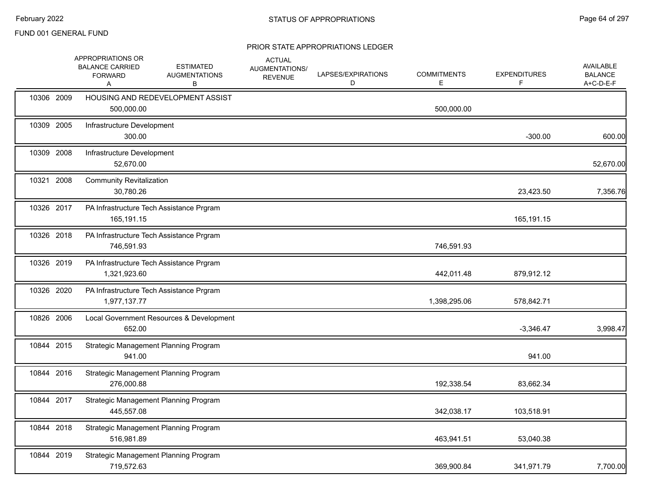|            | APPROPRIATIONS OR<br><b>BALANCE CARRIED</b><br><b>FORWARD</b><br>Α | <b>ESTIMATED</b><br><b>AUGMENTATIONS</b><br>В | <b>ACTUAL</b><br>AUGMENTATIONS/<br><b>REVENUE</b> | LAPSES/EXPIRATIONS<br>D | <b>COMMITMENTS</b><br>Е | <b>EXPENDITURES</b><br>F | <b>AVAILABLE</b><br><b>BALANCE</b><br>A+C-D-E-F |
|------------|--------------------------------------------------------------------|-----------------------------------------------|---------------------------------------------------|-------------------------|-------------------------|--------------------------|-------------------------------------------------|
| 10306 2009 | 500,000.00                                                         | HOUSING AND REDEVELOPMENT ASSIST              |                                                   |                         | 500,000.00              |                          |                                                 |
| 10309 2005 | Infrastructure Development<br>300.00                               |                                               |                                                   |                         |                         | $-300.00$                | 600.00                                          |
| 10309 2008 | Infrastructure Development<br>52,670.00                            |                                               |                                                   |                         |                         |                          | 52,670.00                                       |
| 10321 2008 | <b>Community Revitalization</b><br>30,780.26                       |                                               |                                                   |                         |                         | 23,423.50                | 7,356.76                                        |
| 10326 2017 | 165,191.15                                                         | PA Infrastructure Tech Assistance Prgram      |                                                   |                         |                         | 165,191.15               |                                                 |
| 10326 2018 | 746,591.93                                                         | PA Infrastructure Tech Assistance Prgram      |                                                   |                         | 746,591.93              |                          |                                                 |
| 10326 2019 | 1,321,923.60                                                       | PA Infrastructure Tech Assistance Prgram      |                                                   |                         | 442,011.48              | 879,912.12               |                                                 |
| 10326 2020 | 1,977,137.77                                                       | PA Infrastructure Tech Assistance Prgram      |                                                   |                         | 1,398,295.06            | 578,842.71               |                                                 |
| 10826 2006 | 652.00                                                             | Local Government Resources & Development      |                                                   |                         |                         | $-3,346.47$              | 3,998.47                                        |
| 10844 2015 | 941.00                                                             | Strategic Management Planning Program         |                                                   |                         |                         | 941.00                   |                                                 |
| 10844 2016 | 276,000.88                                                         | Strategic Management Planning Program         |                                                   |                         | 192,338.54              | 83,662.34                |                                                 |
| 10844 2017 | 445,557.08                                                         | Strategic Management Planning Program         |                                                   |                         | 342,038.17              | 103,518.91               |                                                 |
| 10844 2018 | 516,981.89                                                         | Strategic Management Planning Program         |                                                   |                         | 463,941.51              | 53,040.38                |                                                 |
| 10844 2019 | 719,572.63                                                         | Strategic Management Planning Program         |                                                   |                         | 369,900.84              | 341,971.79               | 7,700.00                                        |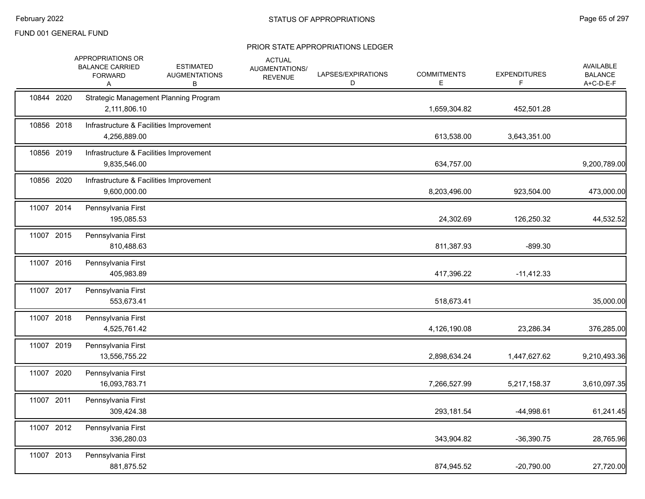|            | APPROPRIATIONS OR<br><b>BALANCE CARRIED</b><br><b>FORWARD</b><br>A | <b>ESTIMATED</b><br><b>AUGMENTATIONS</b><br>В | <b>ACTUAL</b><br>AUGMENTATIONS/<br><b>REVENUE</b> | LAPSES/EXPIRATIONS<br>D | <b>COMMITMENTS</b><br>E | <b>EXPENDITURES</b><br>F | AVAILABLE<br><b>BALANCE</b><br>A+C-D-E-F |
|------------|--------------------------------------------------------------------|-----------------------------------------------|---------------------------------------------------|-------------------------|-------------------------|--------------------------|------------------------------------------|
| 10844 2020 | 2,111,806.10                                                       | Strategic Management Planning Program         |                                                   |                         | 1,659,304.82            | 452,501.28               |                                          |
| 10856 2018 | Infrastructure & Facilities Improvement<br>4,256,889.00            |                                               |                                                   |                         | 613,538.00              | 3,643,351.00             |                                          |
| 10856 2019 | Infrastructure & Facilities Improvement<br>9,835,546.00            |                                               |                                                   |                         | 634,757.00              |                          | 9,200,789.00                             |
| 10856 2020 | Infrastructure & Facilities Improvement<br>9,600,000.00            |                                               |                                                   |                         | 8,203,496.00            | 923,504.00               | 473,000.00                               |
| 11007 2014 | Pennsylvania First<br>195,085.53                                   |                                               |                                                   |                         | 24,302.69               | 126,250.32               | 44,532.52                                |
| 11007 2015 | Pennsylvania First<br>810,488.63                                   |                                               |                                                   |                         | 811,387.93              | $-899.30$                |                                          |
| 11007 2016 | Pennsylvania First<br>405,983.89                                   |                                               |                                                   |                         | 417,396.22              | $-11,412.33$             |                                          |
| 11007 2017 | Pennsylvania First<br>553,673.41                                   |                                               |                                                   |                         | 518,673.41              |                          | 35,000.00                                |
| 11007 2018 | Pennsylvania First<br>4,525,761.42                                 |                                               |                                                   |                         | 4,126,190.08            | 23,286.34                | 376,285.00                               |
| 11007 2019 | Pennsylvania First<br>13,556,755.22                                |                                               |                                                   |                         | 2,898,634.24            | 1,447,627.62             | 9,210,493.36                             |
| 11007 2020 | Pennsylvania First<br>16,093,783.71                                |                                               |                                                   |                         | 7,266,527.99            | 5,217,158.37             | 3,610,097.35                             |
| 11007 2011 | Pennsylvania First<br>309,424.38                                   |                                               |                                                   |                         | 293,181.54              | $-44,998.61$             | 61,241.45                                |
| 11007 2012 | Pennsylvania First<br>336,280.03                                   |                                               |                                                   |                         | 343,904.82              | $-36,390.75$             | 28,765.96                                |
| 11007 2013 | Pennsylvania First<br>881,875.52                                   |                                               |                                                   |                         | 874,945.52              | $-20,790.00$             | 27,720.00                                |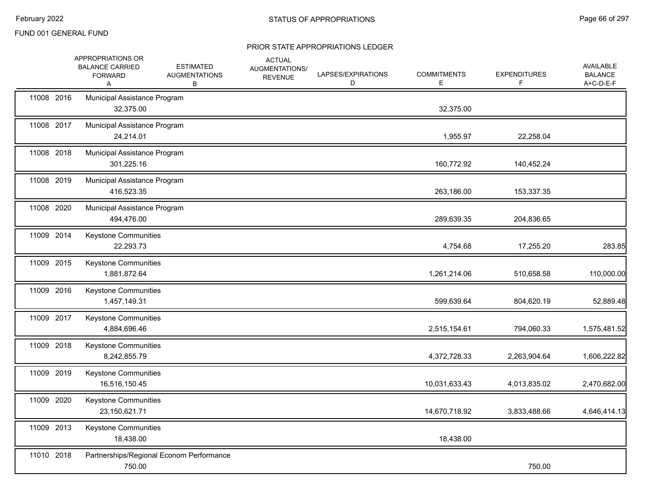|            | APPROPRIATIONS OR<br><b>BALANCE CARRIED</b><br><b>FORWARD</b><br>A | <b>ESTIMATED</b><br><b>AUGMENTATIONS</b><br>В | <b>ACTUAL</b><br>AUGMENTATIONS/<br><b>REVENUE</b> | LAPSES/EXPIRATIONS<br>D | <b>COMMITMENTS</b><br>Е | <b>EXPENDITURES</b><br>F. | <b>AVAILABLE</b><br><b>BALANCE</b><br>A+C-D-E-F |
|------------|--------------------------------------------------------------------|-----------------------------------------------|---------------------------------------------------|-------------------------|-------------------------|---------------------------|-------------------------------------------------|
| 11008 2016 | Municipal Assistance Program<br>32,375.00                          |                                               |                                                   |                         | 32,375.00               |                           |                                                 |
| 11008 2017 | Municipal Assistance Program<br>24,214.01                          |                                               |                                                   |                         | 1,955.97                | 22,258.04                 |                                                 |
| 11008 2018 | Municipal Assistance Program<br>301,225.16                         |                                               |                                                   |                         | 160,772.92              | 140,452.24                |                                                 |
| 11008 2019 | Municipal Assistance Program<br>416,523.35                         |                                               |                                                   |                         | 263,186.00              | 153,337.35                |                                                 |
| 11008 2020 | Municipal Assistance Program<br>494,476.00                         |                                               |                                                   |                         | 289,639.35              | 204,836.65                |                                                 |
| 11009 2014 | Keystone Communities<br>22,293.73                                  |                                               |                                                   |                         | 4,754.68                | 17,255.20                 | 283.85                                          |
| 11009 2015 | <b>Keystone Communities</b><br>1,881,872.64                        |                                               |                                                   |                         | 1,261,214.06            | 510,658.58                | 110,000.00                                      |
| 11009 2016 | Keystone Communities<br>1,457,149.31                               |                                               |                                                   |                         | 599,639.64              | 804,620.19                | 52,889.48                                       |
| 11009 2017 | <b>Keystone Communities</b><br>4,884,696.46                        |                                               |                                                   |                         | 2,515,154.61            | 794,060.33                | 1,575,481.52                                    |
| 11009 2018 | Keystone Communities<br>8,242,855.79                               |                                               |                                                   |                         | 4,372,728.33            | 2,263,904.64              | 1,606,222.82                                    |
| 11009 2019 | <b>Keystone Communities</b><br>16,516,150.45                       |                                               |                                                   |                         | 10,031,633.43           | 4,013,835.02              | 2,470,682.00                                    |
| 11009 2020 | Keystone Communities<br>23,150,621.71                              |                                               |                                                   |                         | 14,670,718.92           | 3,833,488.66              | 4,646,414.13                                    |
| 11009 2013 | <b>Keystone Communities</b><br>18,438.00                           |                                               |                                                   |                         | 18,438.00               |                           |                                                 |
| 11010 2018 | 750.00                                                             | Partnerships/Regional Econom Performance      |                                                   |                         |                         | 750.00                    |                                                 |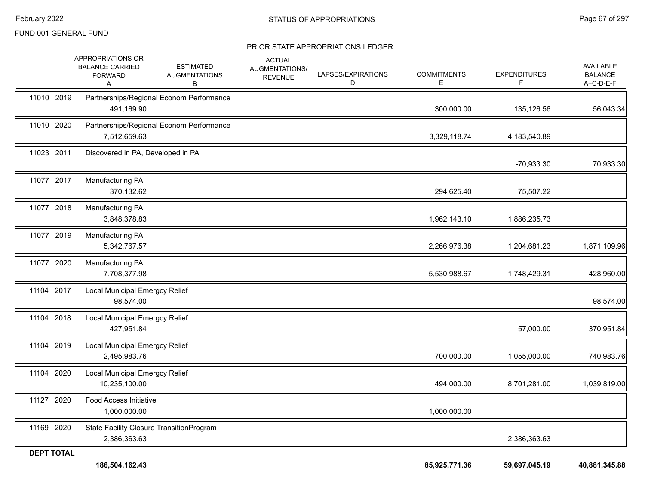|                   | APPROPRIATIONS OR<br><b>BALANCE CARRIED</b><br><b>FORWARD</b><br>Α | <b>ESTIMATED</b><br><b>AUGMENTATIONS</b><br>В | <b>ACTUAL</b><br>AUGMENTATIONS/<br><b>REVENUE</b> | LAPSES/EXPIRATIONS<br>D | <b>COMMITMENTS</b><br>Е | <b>EXPENDITURES</b><br>F | <b>AVAILABLE</b><br><b>BALANCE</b><br>A+C-D-E-F |
|-------------------|--------------------------------------------------------------------|-----------------------------------------------|---------------------------------------------------|-------------------------|-------------------------|--------------------------|-------------------------------------------------|
| 11010 2019        | 491,169.90                                                         | Partnerships/Regional Econom Performance      |                                                   |                         | 300,000.00              | 135,126.56               | 56,043.34                                       |
| 11010 2020        | 7,512,659.63                                                       | Partnerships/Regional Econom Performance      |                                                   |                         | 3,329,118.74            | 4,183,540.89             |                                                 |
| 11023 2011        | Discovered in PA, Developed in PA                                  |                                               |                                                   |                         |                         | -70,933.30               | 70,933.30                                       |
| 11077 2017        | Manufacturing PA<br>370,132.62                                     |                                               |                                                   |                         | 294,625.40              | 75,507.22                |                                                 |
| 11077 2018        | Manufacturing PA<br>3,848,378.83                                   |                                               |                                                   |                         | 1,962,143.10            | 1,886,235.73             |                                                 |
| 11077 2019        | Manufacturing PA<br>5,342,767.57                                   |                                               |                                                   |                         | 2,266,976.38            | 1,204,681.23             | 1,871,109.96                                    |
| 11077 2020        | Manufacturing PA<br>7,708,377.98                                   |                                               |                                                   |                         | 5,530,988.67            | 1,748,429.31             | 428,960.00                                      |
| 11104 2017        | Local Municipal Emergcy Relief<br>98,574.00                        |                                               |                                                   |                         |                         |                          | 98,574.00                                       |
| 11104 2018        | <b>Local Municipal Emergcy Relief</b><br>427,951.84                |                                               |                                                   |                         |                         | 57,000.00                | 370,951.84                                      |
| 11104 2019        | Local Municipal Emergcy Relief<br>2,495,983.76                     |                                               |                                                   |                         | 700,000.00              | 1,055,000.00             | 740,983.76                                      |
| 11104 2020        | Local Municipal Emergcy Relief<br>10,235,100.00                    |                                               |                                                   |                         | 494,000.00              | 8,701,281.00             | 1,039,819.00                                    |
| 11127 2020        | Food Access Initiative<br>1,000,000.00                             |                                               |                                                   |                         | 1,000,000.00            |                          |                                                 |
| 11169 2020        | State Facility Closure TransitionProgram<br>2,386,363.63           |                                               |                                                   |                         |                         | 2,386,363.63             |                                                 |
| <b>DEPT TOTAL</b> |                                                                    |                                               |                                                   |                         |                         |                          |                                                 |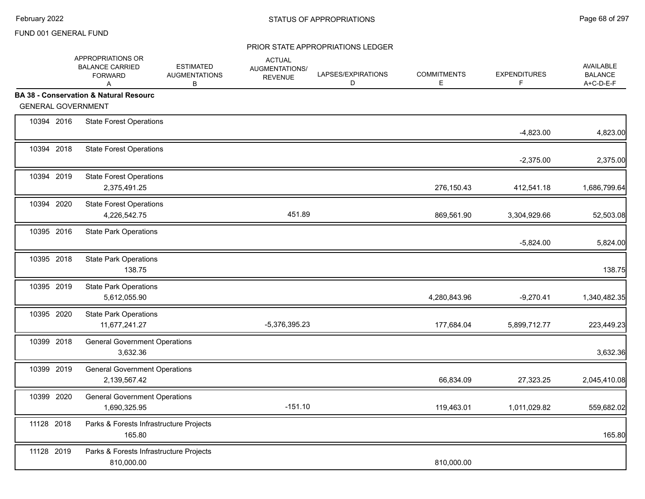|            | APPROPRIATIONS OR<br><b>BALANCE CARRIED</b><br><b>FORWARD</b><br>A             | <b>ESTIMATED</b><br><b>AUGMENTATIONS</b><br>В | <b>ACTUAL</b><br>AUGMENTATIONS/<br><b>REVENUE</b> | LAPSES/EXPIRATIONS<br>D | <b>COMMITMENTS</b><br>E | <b>EXPENDITURES</b><br>F | <b>AVAILABLE</b><br><b>BALANCE</b><br>A+C-D-E-F |
|------------|--------------------------------------------------------------------------------|-----------------------------------------------|---------------------------------------------------|-------------------------|-------------------------|--------------------------|-------------------------------------------------|
|            | <b>BA 38 - Conservation &amp; Natural Resourc</b><br><b>GENERAL GOVERNMENT</b> |                                               |                                                   |                         |                         |                          |                                                 |
| 10394 2016 | <b>State Forest Operations</b>                                                 |                                               |                                                   |                         |                         | $-4,823.00$              | 4,823.00                                        |
| 10394 2018 | <b>State Forest Operations</b>                                                 |                                               |                                                   |                         |                         | $-2,375.00$              | 2,375.00                                        |
| 10394 2019 | <b>State Forest Operations</b><br>2,375,491.25                                 |                                               |                                                   |                         | 276,150.43              | 412,541.18               | 1,686,799.64                                    |
| 10394 2020 | <b>State Forest Operations</b><br>4,226,542.75                                 |                                               | 451.89                                            |                         | 869,561.90              | 3,304,929.66             | 52,503.08                                       |
| 10395 2016 | <b>State Park Operations</b>                                                   |                                               |                                                   |                         |                         | $-5,824.00$              | 5,824.00                                        |
| 10395 2018 | <b>State Park Operations</b><br>138.75                                         |                                               |                                                   |                         |                         |                          | 138.75                                          |
| 10395 2019 | <b>State Park Operations</b><br>5,612,055.90                                   |                                               |                                                   |                         | 4,280,843.96            | $-9,270.41$              | 1,340,482.35                                    |
| 10395 2020 | <b>State Park Operations</b><br>11,677,241.27                                  |                                               | $-5,376,395.23$                                   |                         | 177,684.04              | 5,899,712.77             | 223,449.23                                      |
| 10399 2018 | <b>General Government Operations</b><br>3,632.36                               |                                               |                                                   |                         |                         |                          | 3,632.36                                        |
| 10399 2019 | <b>General Government Operations</b><br>2,139,567.42                           |                                               |                                                   |                         | 66,834.09               | 27,323.25                | 2,045,410.08                                    |
| 10399 2020 | <b>General Government Operations</b><br>1,690,325.95                           |                                               | $-151.10$                                         |                         | 119,463.01              | 1,011,029.82             | 559,682.02                                      |
| 11128 2018 | 165.80                                                                         | Parks & Forests Infrastructure Projects       |                                                   |                         |                         |                          | 165.80                                          |
| 11128 2019 | 810,000.00                                                                     | Parks & Forests Infrastructure Projects       |                                                   |                         | 810,000.00              |                          |                                                 |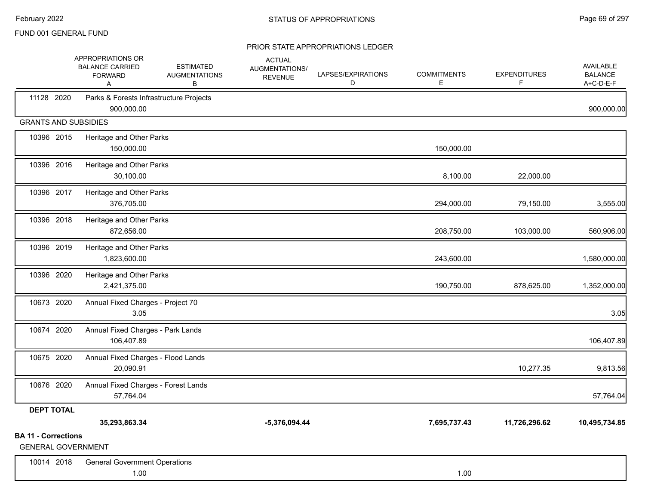|                                                         | APPROPRIATIONS OR<br><b>BALANCE CARRIED</b><br><b>FORWARD</b><br>Α | <b>ESTIMATED</b><br><b>AUGMENTATIONS</b><br>В | <b>ACTUAL</b><br>AUGMENTATIONS/<br><b>REVENUE</b> | LAPSES/EXPIRATIONS<br>D | <b>COMMITMENTS</b><br>E. | <b>EXPENDITURES</b><br>F | <b>AVAILABLE</b><br><b>BALANCE</b><br>A+C-D-E-F |
|---------------------------------------------------------|--------------------------------------------------------------------|-----------------------------------------------|---------------------------------------------------|-------------------------|--------------------------|--------------------------|-------------------------------------------------|
| 11128 2020                                              | Parks & Forests Infrastructure Projects<br>900,000.00              |                                               |                                                   |                         |                          |                          | 900,000.00                                      |
| <b>GRANTS AND SUBSIDIES</b>                             |                                                                    |                                               |                                                   |                         |                          |                          |                                                 |
| 10396 2015                                              | Heritage and Other Parks<br>150,000.00                             |                                               |                                                   |                         | 150,000.00               |                          |                                                 |
| 10396 2016                                              | Heritage and Other Parks<br>30,100.00                              |                                               |                                                   |                         | 8,100.00                 | 22,000.00                |                                                 |
| 10396 2017                                              | Heritage and Other Parks<br>376,705.00                             |                                               |                                                   |                         | 294,000.00               | 79,150.00                | 3,555.00                                        |
| 10396 2018                                              | Heritage and Other Parks<br>872,656.00                             |                                               |                                                   |                         | 208,750.00               | 103,000.00               | 560,906.00                                      |
| 10396 2019                                              | Heritage and Other Parks<br>1,823,600.00                           |                                               |                                                   |                         | 243,600.00               |                          | 1,580,000.00                                    |
| 10396 2020                                              | Heritage and Other Parks<br>2,421,375.00                           |                                               |                                                   |                         | 190,750.00               | 878,625.00               | 1,352,000.00                                    |
| 10673 2020                                              | Annual Fixed Charges - Project 70<br>3.05                          |                                               |                                                   |                         |                          |                          | 3.05                                            |
| 10674 2020                                              | Annual Fixed Charges - Park Lands<br>106,407.89                    |                                               |                                                   |                         |                          |                          | 106,407.89                                      |
| 10675 2020                                              | Annual Fixed Charges - Flood Lands<br>20,090.91                    |                                               |                                                   |                         |                          | 10,277.35                | 9,813.56                                        |
| 10676 2020                                              | Annual Fixed Charges - Forest Lands<br>57,764.04                   |                                               |                                                   |                         |                          |                          | 57,764.04                                       |
| <b>DEPT TOTAL</b>                                       |                                                                    |                                               |                                                   |                         |                          |                          |                                                 |
|                                                         | 35,293,863.34                                                      |                                               | $-5,376,094.44$                                   |                         | 7,695,737.43             | 11,726,296.62            | 10,495,734.85                                   |
| <b>BA 11 - Corrections</b><br><b>GENERAL GOVERNMENT</b> |                                                                    |                                               |                                                   |                         |                          |                          |                                                 |
| 10014 2018                                              | <b>General Government Operations</b><br>1.00                       |                                               |                                                   |                         | 1.00                     |                          |                                                 |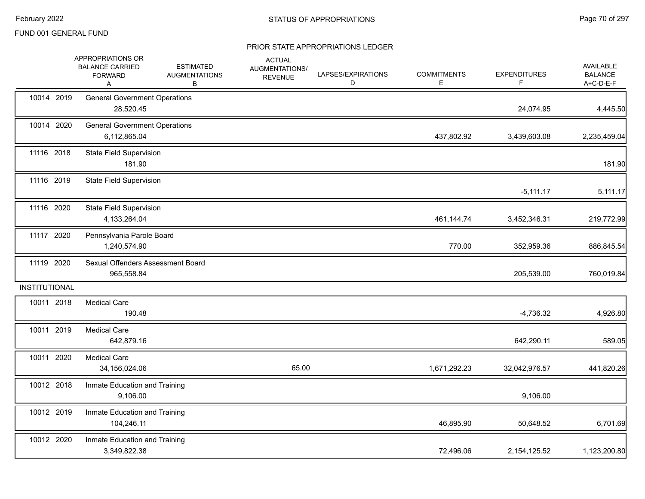|                      | APPROPRIATIONS OR<br><b>BALANCE CARRIED</b><br><b>FORWARD</b><br>A | <b>ESTIMATED</b><br><b>AUGMENTATIONS</b><br>В | <b>ACTUAL</b><br>AUGMENTATIONS/<br><b>REVENUE</b> | LAPSES/EXPIRATIONS<br>D | <b>COMMITMENTS</b><br>Е | <b>EXPENDITURES</b><br>F | AVAILABLE<br><b>BALANCE</b><br>A+C-D-E-F |
|----------------------|--------------------------------------------------------------------|-----------------------------------------------|---------------------------------------------------|-------------------------|-------------------------|--------------------------|------------------------------------------|
| 10014 2019           | <b>General Government Operations</b><br>28,520.45                  |                                               |                                                   |                         |                         | 24,074.95                | 4,445.50                                 |
| 10014 2020           | <b>General Government Operations</b><br>6,112,865.04               |                                               |                                                   |                         | 437,802.92              | 3,439,603.08             | 2,235,459.04                             |
| 11116 2018           | <b>State Field Supervision</b><br>181.90                           |                                               |                                                   |                         |                         |                          | 181.90                                   |
| 11116 2019           | <b>State Field Supervision</b>                                     |                                               |                                                   |                         |                         | $-5,111.17$              | 5,111.17                                 |
| 11116 2020           | <b>State Field Supervision</b><br>4,133,264.04                     |                                               |                                                   |                         | 461,144.74              | 3,452,346.31             | 219,772.99                               |
| 11117 2020           | Pennsylvania Parole Board<br>1,240,574.90                          |                                               |                                                   |                         | 770.00                  | 352,959.36               | 886,845.54                               |
| 11119 2020           | Sexual Offenders Assessment Board<br>965,558.84                    |                                               |                                                   |                         |                         | 205,539.00               | 760,019.84                               |
| <b>INSTITUTIONAL</b> |                                                                    |                                               |                                                   |                         |                         |                          |                                          |
| 10011 2018           | <b>Medical Care</b><br>190.48                                      |                                               |                                                   |                         |                         | $-4,736.32$              | 4,926.80                                 |
| 10011 2019           | <b>Medical Care</b><br>642,879.16                                  |                                               |                                                   |                         |                         | 642,290.11               | 589.05                                   |
| 10011 2020           | <b>Medical Care</b><br>34,156,024.06                               |                                               | 65.00                                             |                         | 1,671,292.23            | 32,042,976.57            | 441,820.26                               |
| 10012 2018           | Inmate Education and Training<br>9,106.00                          |                                               |                                                   |                         |                         | 9,106.00                 |                                          |
| 10012 2019           | Inmate Education and Training<br>104,246.11                        |                                               |                                                   |                         | 46,895.90               | 50,648.52                | 6,701.69                                 |
| 10012 2020           | Inmate Education and Training<br>3,349,822.38                      |                                               |                                                   |                         | 72,496.06               | 2, 154, 125.52           | 1,123,200.80                             |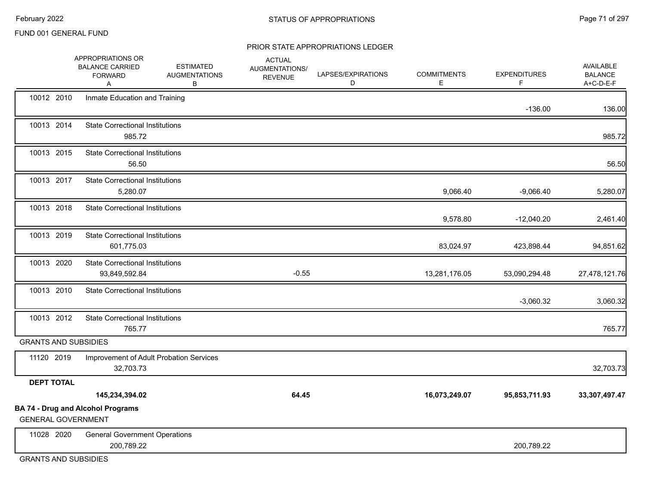#### PRIOR STATE APPROPRIATIONS LEDGER

|                             | APPROPRIATIONS OR<br><b>BALANCE CARRIED</b><br><b>FORWARD</b><br>A | <b>ESTIMATED</b><br><b>AUGMENTATIONS</b><br>В | <b>ACTUAL</b><br>AUGMENTATIONS/<br><b>REVENUE</b> | LAPSES/EXPIRATIONS<br>D | <b>COMMITMENTS</b><br>E | <b>EXPENDITURES</b><br>F | <b>AVAILABLE</b><br><b>BALANCE</b><br>A+C-D-E-F |
|-----------------------------|--------------------------------------------------------------------|-----------------------------------------------|---------------------------------------------------|-------------------------|-------------------------|--------------------------|-------------------------------------------------|
| 10012 2010                  | Inmate Education and Training                                      |                                               |                                                   |                         |                         | $-136.00$                | 136.00                                          |
| 10013 2014                  | <b>State Correctional Institutions</b><br>985.72                   |                                               |                                                   |                         |                         |                          | 985.72                                          |
| 10013 2015                  | <b>State Correctional Institutions</b><br>56.50                    |                                               |                                                   |                         |                         |                          | 56.50                                           |
| 10013 2017                  | <b>State Correctional Institutions</b><br>5,280.07                 |                                               |                                                   |                         | 9,066.40                | $-9,066.40$              | 5,280.07                                        |
| 10013 2018                  | <b>State Correctional Institutions</b>                             |                                               |                                                   |                         | 9,578.80                | $-12,040.20$             | 2,461.40                                        |
| 10013 2019                  | <b>State Correctional Institutions</b><br>601,775.03               |                                               |                                                   |                         | 83,024.97               | 423,898.44               | 94,851.62                                       |
| 10013 2020                  | <b>State Correctional Institutions</b><br>93,849,592.84            |                                               | $-0.55$                                           |                         | 13,281,176.05           | 53,090,294.48            | 27,478,121.76                                   |
| 10013 2010                  | <b>State Correctional Institutions</b>                             |                                               |                                                   |                         |                         | $-3,060.32$              | 3,060.32                                        |
| 10013 2012                  | <b>State Correctional Institutions</b><br>765.77                   |                                               |                                                   |                         |                         |                          | 765.77                                          |
| <b>GRANTS AND SUBSIDIES</b> |                                                                    |                                               |                                                   |                         |                         |                          |                                                 |
| 11120 2019                  | Improvement of Adult Probation Services<br>32,703.73               |                                               |                                                   |                         |                         |                          | 32,703.73                                       |
| <b>DEPT TOTAL</b>           |                                                                    |                                               |                                                   |                         |                         |                          |                                                 |
|                             | 145,234,394.02                                                     |                                               | 64.45                                             |                         | 16,073,249.07           | 95,853,711.93            | 33,307,497.47                                   |
| <b>GENERAL GOVERNMENT</b>   | <b>BA 74 - Drug and Alcohol Programs</b>                           |                                               |                                                   |                         |                         |                          |                                                 |
| 11028 2020                  | <b>General Government Operations</b><br>200,789.22                 |                                               |                                                   |                         |                         | 200,789.22               |                                                 |

GRANTS AND SUBSIDIES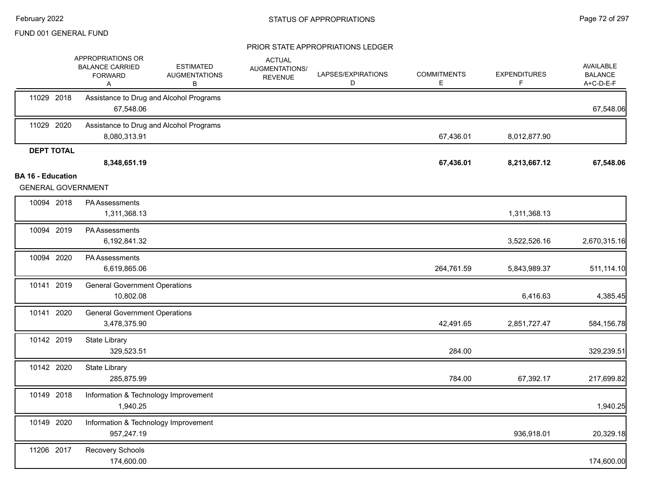|                                                       | APPROPRIATIONS OR<br><b>BALANCE CARRIED</b><br><b>FORWARD</b><br>Α | <b>ESTIMATED</b><br><b>AUGMENTATIONS</b><br>В | <b>ACTUAL</b><br>AUGMENTATIONS/<br><b>REVENUE</b> | LAPSES/EXPIRATIONS<br>D | <b>COMMITMENTS</b><br>E | <b>EXPENDITURES</b><br>F | AVAILABLE<br><b>BALANCE</b><br>A+C-D-E-F |
|-------------------------------------------------------|--------------------------------------------------------------------|-----------------------------------------------|---------------------------------------------------|-------------------------|-------------------------|--------------------------|------------------------------------------|
| 11029 2018                                            | 67,548.06                                                          | Assistance to Drug and Alcohol Programs       |                                                   |                         |                         |                          | 67,548.06                                |
| 11029 2020                                            | 8,080,313.91                                                       | Assistance to Drug and Alcohol Programs       |                                                   |                         | 67,436.01               | 8,012,877.90             |                                          |
| <b>DEPT TOTAL</b>                                     | 8,348,651.19                                                       |                                               |                                                   |                         | 67,436.01               | 8,213,667.12             | 67,548.06                                |
| <b>BA 16 - Education</b><br><b>GENERAL GOVERNMENT</b> |                                                                    |                                               |                                                   |                         |                         |                          |                                          |
| 10094 2018                                            | PA Assessments<br>1,311,368.13                                     |                                               |                                                   |                         |                         | 1,311,368.13             |                                          |
| 10094 2019                                            | <b>PA Assessments</b><br>6,192,841.32                              |                                               |                                                   |                         |                         | 3,522,526.16             | 2,670,315.16                             |
| 10094 2020                                            | PA Assessments<br>6,619,865.06                                     |                                               |                                                   |                         | 264,761.59              | 5,843,989.37             | 511,114.10                               |
| 10141 2019                                            | <b>General Government Operations</b><br>10,802.08                  |                                               |                                                   |                         |                         | 6,416.63                 | 4,385.45                                 |
| 10141 2020                                            | <b>General Government Operations</b><br>3,478,375.90               |                                               |                                                   |                         | 42,491.65               | 2,851,727.47             | 584,156.78                               |
| 10142 2019                                            | State Library<br>329,523.51                                        |                                               |                                                   |                         | 284.00                  |                          | 329,239.51                               |
| 10142 2020                                            | State Library<br>285,875.99                                        |                                               |                                                   |                         | 784.00                  | 67,392.17                | 217,699.82                               |
| 10149 2018                                            | Information & Technology Improvement<br>1,940.25                   |                                               |                                                   |                         |                         |                          | 1,940.25                                 |
| 10149 2020                                            | Information & Technology Improvement<br>957,247.19                 |                                               |                                                   |                         |                         | 936,918.01               | 20,329.18                                |
| 11206 2017                                            | Recovery Schools<br>174,600.00                                     |                                               |                                                   |                         |                         |                          | 174,600.00                               |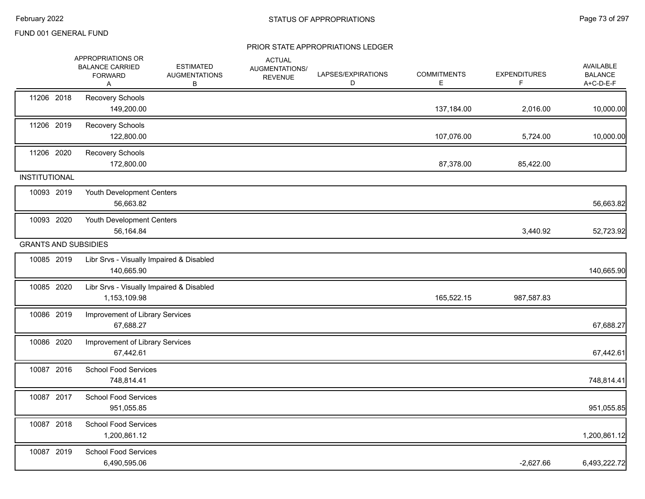|                      | APPROPRIATIONS OR<br><b>BALANCE CARRIED</b><br><b>FORWARD</b><br>A | <b>ESTIMATED</b><br><b>AUGMENTATIONS</b><br>В | <b>ACTUAL</b><br>AUGMENTATIONS/<br><b>REVENUE</b> | LAPSES/EXPIRATIONS<br>D | <b>COMMITMENTS</b><br>E. | <b>EXPENDITURES</b><br>F. | AVAILABLE<br><b>BALANCE</b><br>A+C-D-E-F |
|----------------------|--------------------------------------------------------------------|-----------------------------------------------|---------------------------------------------------|-------------------------|--------------------------|---------------------------|------------------------------------------|
| 11206 2018           | <b>Recovery Schools</b><br>149,200.00                              |                                               |                                                   |                         | 137,184.00               | 2,016.00                  | 10,000.00                                |
| 11206 2019           | Recovery Schools<br>122,800.00                                     |                                               |                                                   |                         | 107,076.00               | 5,724.00                  | 10,000.00                                |
| 11206 2020           | Recovery Schools<br>172,800.00                                     |                                               |                                                   |                         | 87,378.00                | 85,422.00                 |                                          |
| <b>INSTITUTIONAL</b> |                                                                    |                                               |                                                   |                         |                          |                           |                                          |
| 10093 2019           | Youth Development Centers<br>56,663.82                             |                                               |                                                   |                         |                          |                           | 56,663.82                                |
| 10093 2020           | Youth Development Centers<br>56,164.84                             |                                               |                                                   |                         |                          | 3,440.92                  | 52,723.92                                |
|                      | <b>GRANTS AND SUBSIDIES</b>                                        |                                               |                                                   |                         |                          |                           |                                          |
| 10085 2019           | Libr Srvs - Visually Impaired & Disabled<br>140,665.90             |                                               |                                                   |                         |                          |                           | 140,665.90                               |
| 10085 2020           | Libr Srvs - Visually Impaired & Disabled<br>1,153,109.98           |                                               |                                                   |                         | 165,522.15               | 987,587.83                |                                          |
| 10086 2019           | Improvement of Library Services<br>67,688.27                       |                                               |                                                   |                         |                          |                           | 67,688.27                                |
| 10086 2020           | Improvement of Library Services<br>67,442.61                       |                                               |                                                   |                         |                          |                           | 67,442.61                                |
| 10087 2016           | School Food Services<br>748,814.41                                 |                                               |                                                   |                         |                          |                           | 748,814.41                               |
| 10087 2017           | <b>School Food Services</b><br>951,055.85                          |                                               |                                                   |                         |                          |                           | 951,055.85                               |
| 10087 2018           | <b>School Food Services</b><br>1,200,861.12                        |                                               |                                                   |                         |                          |                           | 1,200,861.12                             |
| 10087 2019           | <b>School Food Services</b><br>6,490,595.06                        |                                               |                                                   |                         |                          | $-2,627.66$               | 6,493,222.72                             |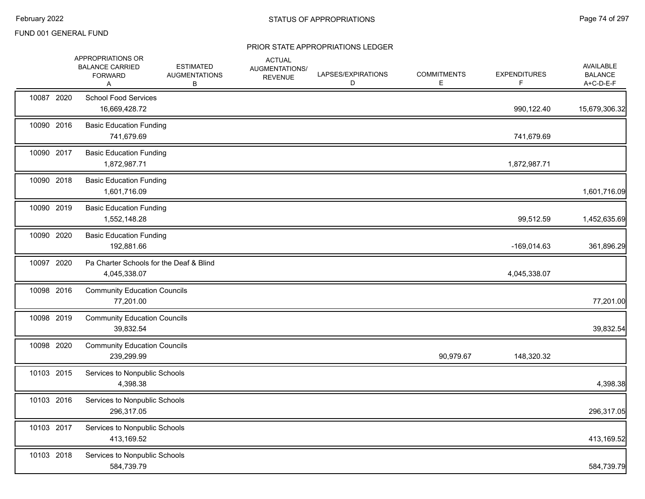|            | APPROPRIATIONS OR<br><b>BALANCE CARRIED</b><br><b>FORWARD</b><br>A | <b>ESTIMATED</b><br><b>AUGMENTATIONS</b><br>В | <b>ACTUAL</b><br>AUGMENTATIONS/<br><b>REVENUE</b> | LAPSES/EXPIRATIONS<br>D | <b>COMMITMENTS</b><br>E | <b>EXPENDITURES</b><br>F. | AVAILABLE<br><b>BALANCE</b><br>A+C-D-E-F |
|------------|--------------------------------------------------------------------|-----------------------------------------------|---------------------------------------------------|-------------------------|-------------------------|---------------------------|------------------------------------------|
| 10087 2020 | <b>School Food Services</b><br>16,669,428.72                       |                                               |                                                   |                         |                         | 990,122.40                | 15,679,306.32                            |
| 10090 2016 | <b>Basic Education Funding</b><br>741,679.69                       |                                               |                                                   |                         |                         | 741,679.69                |                                          |
| 10090 2017 | <b>Basic Education Funding</b><br>1,872,987.71                     |                                               |                                                   |                         |                         | 1,872,987.71              |                                          |
| 10090 2018 | <b>Basic Education Funding</b><br>1,601,716.09                     |                                               |                                                   |                         |                         |                           | 1,601,716.09                             |
| 10090 2019 | <b>Basic Education Funding</b><br>1,552,148.28                     |                                               |                                                   |                         |                         | 99,512.59                 | 1,452,635.69                             |
| 10090 2020 | <b>Basic Education Funding</b><br>192,881.66                       |                                               |                                                   |                         |                         | $-169,014.63$             | 361,896.29                               |
| 10097 2020 | Pa Charter Schools for the Deaf & Blind<br>4,045,338.07            |                                               |                                                   |                         |                         | 4,045,338.07              |                                          |
| 10098 2016 | <b>Community Education Councils</b><br>77,201.00                   |                                               |                                                   |                         |                         |                           | 77,201.00                                |
| 10098 2019 | <b>Community Education Councils</b><br>39,832.54                   |                                               |                                                   |                         |                         |                           | 39,832.54                                |
| 10098 2020 | <b>Community Education Councils</b><br>239,299.99                  |                                               |                                                   |                         | 90,979.67               | 148,320.32                |                                          |
| 10103 2015 | Services to Nonpublic Schools<br>4,398.38                          |                                               |                                                   |                         |                         |                           | 4,398.38                                 |
| 10103 2016 | Services to Nonpublic Schools<br>296,317.05                        |                                               |                                                   |                         |                         |                           | 296,317.05                               |
| 10103 2017 | Services to Nonpublic Schools<br>413,169.52                        |                                               |                                                   |                         |                         |                           | 413,169.52                               |
| 10103 2018 | Services to Nonpublic Schools<br>584,739.79                        |                                               |                                                   |                         |                         |                           | 584,739.79                               |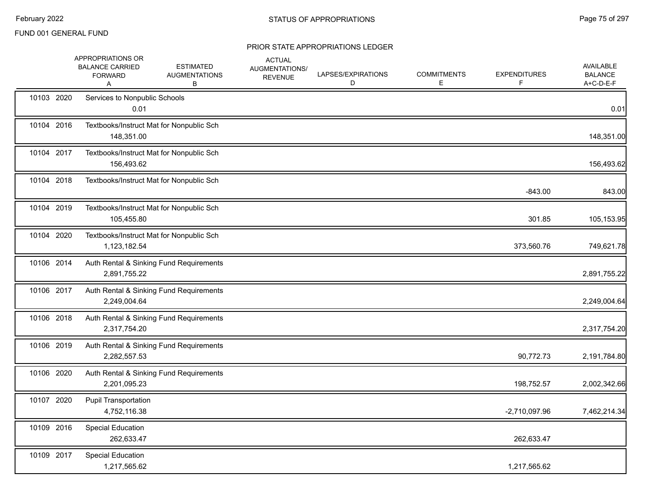|            | APPROPRIATIONS OR<br><b>BALANCE CARRIED</b><br><b>FORWARD</b><br>Α | <b>ESTIMATED</b><br><b>AUGMENTATIONS</b><br>В | <b>ACTUAL</b><br>AUGMENTATIONS/<br><b>REVENUE</b> | LAPSES/EXPIRATIONS<br>D | <b>COMMITMENTS</b><br>Е | <b>EXPENDITURES</b> | <b>AVAILABLE</b><br><b>BALANCE</b><br>A+C-D-E-F |
|------------|--------------------------------------------------------------------|-----------------------------------------------|---------------------------------------------------|-------------------------|-------------------------|---------------------|-------------------------------------------------|
| 10103 2020 | Services to Nonpublic Schools<br>0.01                              |                                               |                                                   |                         |                         |                     | 0.01                                            |
| 10104 2016 | Textbooks/Instruct Mat for Nonpublic Sch<br>148,351.00             |                                               |                                                   |                         |                         |                     | 148,351.00                                      |
| 10104 2017 | Textbooks/Instruct Mat for Nonpublic Sch<br>156,493.62             |                                               |                                                   |                         |                         |                     | 156,493.62                                      |
| 10104 2018 | Textbooks/Instruct Mat for Nonpublic Sch                           |                                               |                                                   |                         |                         | $-843.00$           | 843.00                                          |
| 10104 2019 | Textbooks/Instruct Mat for Nonpublic Sch<br>105,455.80             |                                               |                                                   |                         |                         | 301.85              | 105,153.95                                      |
| 10104 2020 | Textbooks/Instruct Mat for Nonpublic Sch<br>1,123,182.54           |                                               |                                                   |                         |                         | 373,560.76          | 749,621.78                                      |
| 10106 2014 | 2,891,755.22                                                       | Auth Rental & Sinking Fund Requirements       |                                                   |                         |                         |                     | 2,891,755.22                                    |
| 10106 2017 | 2,249,004.64                                                       | Auth Rental & Sinking Fund Requirements       |                                                   |                         |                         |                     | 2,249,004.64                                    |
| 10106 2018 | 2,317,754.20                                                       | Auth Rental & Sinking Fund Requirements       |                                                   |                         |                         |                     | 2,317,754.20                                    |
| 10106 2019 | 2,282,557.53                                                       | Auth Rental & Sinking Fund Requirements       |                                                   |                         |                         | 90,772.73           | 2,191,784.80                                    |
| 10106 2020 | 2,201,095.23                                                       | Auth Rental & Sinking Fund Requirements       |                                                   |                         |                         | 198,752.57          | 2,002,342.66                                    |
| 10107 2020 | <b>Pupil Transportation</b><br>4,752,116.38                        |                                               |                                                   |                         |                         | $-2,710,097.96$     | 7,462,214.34                                    |
| 10109 2016 | <b>Special Education</b><br>262,633.47                             |                                               |                                                   |                         |                         | 262,633.47          |                                                 |
| 10109 2017 | <b>Special Education</b><br>1,217,565.62                           |                                               |                                                   |                         |                         | 1,217,565.62        |                                                 |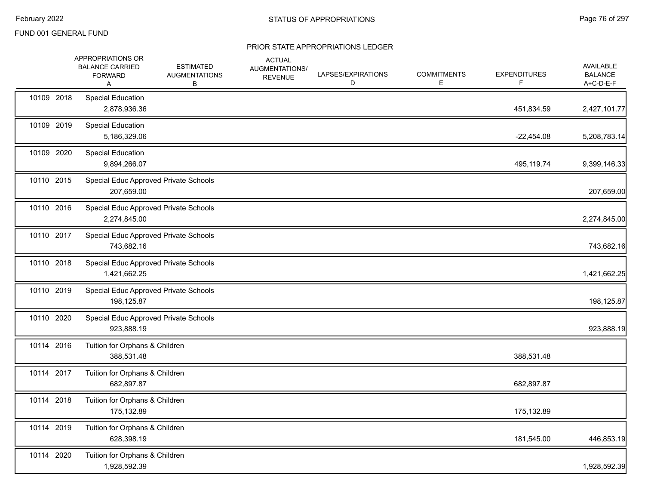|            | APPROPRIATIONS OR<br><b>BALANCE CARRIED</b><br><b>FORWARD</b><br>A | <b>ESTIMATED</b><br><b>AUGMENTATIONS</b><br>В | <b>ACTUAL</b><br>AUGMENTATIONS/<br><b>REVENUE</b> | LAPSES/EXPIRATIONS<br>D | <b>COMMITMENTS</b><br>Е | <b>EXPENDITURES</b><br>F. | AVAILABLE<br><b>BALANCE</b><br>A+C-D-E-F |
|------------|--------------------------------------------------------------------|-----------------------------------------------|---------------------------------------------------|-------------------------|-------------------------|---------------------------|------------------------------------------|
| 10109 2018 | <b>Special Education</b><br>2,878,936.36                           |                                               |                                                   |                         |                         | 451,834.59                | 2,427,101.77                             |
| 10109 2019 | Special Education<br>5,186,329.06                                  |                                               |                                                   |                         |                         | $-22,454.08$              | 5,208,783.14                             |
| 10109 2020 | Special Education<br>9,894,266.07                                  |                                               |                                                   |                         |                         | 495,119.74                | 9,399,146.33                             |
| 10110 2015 | 207,659.00                                                         | Special Educ Approved Private Schools         |                                                   |                         |                         |                           | 207,659.00                               |
| 10110 2016 | 2,274,845.00                                                       | Special Educ Approved Private Schools         |                                                   |                         |                         |                           | 2,274,845.00                             |
| 10110 2017 | 743,682.16                                                         | Special Educ Approved Private Schools         |                                                   |                         |                         |                           | 743,682.16                               |
| 10110 2018 | 1,421,662.25                                                       | Special Educ Approved Private Schools         |                                                   |                         |                         |                           | 1,421,662.25                             |
| 10110 2019 | 198,125.87                                                         | Special Educ Approved Private Schools         |                                                   |                         |                         |                           | 198,125.87                               |
| 10110 2020 | 923,888.19                                                         | Special Educ Approved Private Schools         |                                                   |                         |                         |                           | 923,888.19                               |
| 10114 2016 | Tuition for Orphans & Children<br>388,531.48                       |                                               |                                                   |                         |                         | 388,531.48                |                                          |
| 10114 2017 | Tuition for Orphans & Children<br>682,897.87                       |                                               |                                                   |                         |                         | 682,897.87                |                                          |
| 10114 2018 | Tuition for Orphans & Children<br>175,132.89                       |                                               |                                                   |                         |                         | 175,132.89                |                                          |
| 10114 2019 | Tuition for Orphans & Children<br>628,398.19                       |                                               |                                                   |                         |                         | 181,545.00                | 446,853.19                               |
| 10114 2020 | Tuition for Orphans & Children<br>1,928,592.39                     |                                               |                                                   |                         |                         |                           | 1,928,592.39                             |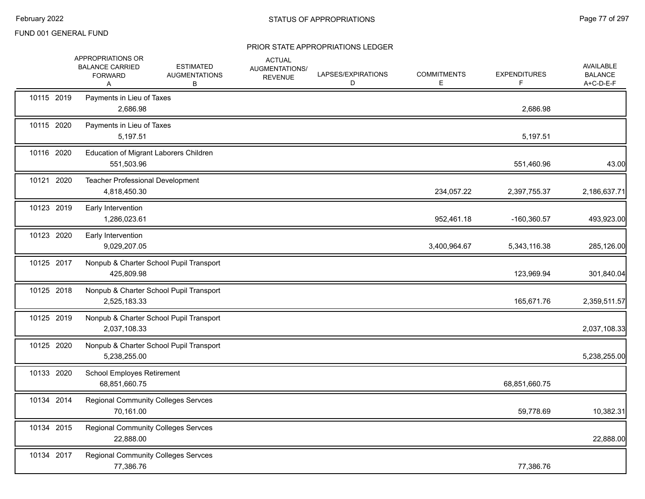|            | APPROPRIATIONS OR<br><b>BALANCE CARRIED</b><br><b>FORWARD</b><br>A | <b>ESTIMATED</b><br><b>AUGMENTATIONS</b><br>В | <b>ACTUAL</b><br>AUGMENTATIONS/<br><b>REVENUE</b> | LAPSES/EXPIRATIONS<br>D | <b>COMMITMENTS</b><br>Е | <b>EXPENDITURES</b><br>F | AVAILABLE<br><b>BALANCE</b><br>A+C-D-E-F |
|------------|--------------------------------------------------------------------|-----------------------------------------------|---------------------------------------------------|-------------------------|-------------------------|--------------------------|------------------------------------------|
| 10115 2019 | Payments in Lieu of Taxes<br>2,686.98                              |                                               |                                                   |                         |                         | 2,686.98                 |                                          |
| 10115 2020 | Payments in Lieu of Taxes<br>5,197.51                              |                                               |                                                   |                         |                         | 5,197.51                 |                                          |
| 10116 2020 | Education of Migrant Laborers Children<br>551,503.96               |                                               |                                                   |                         |                         | 551,460.96               | 43.00                                    |
| 10121 2020 | <b>Teacher Professional Development</b><br>4,818,450.30            |                                               |                                                   |                         | 234,057.22              | 2,397,755.37             | 2,186,637.71                             |
| 10123 2019 | Early Intervention<br>1,286,023.61                                 |                                               |                                                   |                         | 952,461.18              | -160,360.57              | 493,923.00                               |
| 10123 2020 | Early Intervention<br>9,029,207.05                                 |                                               |                                                   |                         | 3,400,964.67            | 5,343,116.38             | 285,126.00                               |
| 10125 2017 | 425,809.98                                                         | Nonpub & Charter School Pupil Transport       |                                                   |                         |                         | 123,969.94               | 301,840.04                               |
| 10125 2018 | 2,525,183.33                                                       | Nonpub & Charter School Pupil Transport       |                                                   |                         |                         | 165,671.76               | 2,359,511.57                             |
| 10125 2019 | 2,037,108.33                                                       | Nonpub & Charter School Pupil Transport       |                                                   |                         |                         |                          | 2,037,108.33                             |
| 10125 2020 | 5,238,255.00                                                       | Nonpub & Charter School Pupil Transport       |                                                   |                         |                         |                          | 5,238,255.00                             |
| 10133 2020 | School Employes Retirement<br>68,851,660.75                        |                                               |                                                   |                         |                         | 68,851,660.75            |                                          |
| 10134 2014 | <b>Regional Community Colleges Servces</b><br>70,161.00            |                                               |                                                   |                         |                         | 59,778.69                | 10,382.31                                |
| 10134 2015 | <b>Regional Community Colleges Servces</b><br>22,888.00            |                                               |                                                   |                         |                         |                          | 22,888.00                                |
| 10134 2017 | Regional Community Colleges Servces<br>77,386.76                   |                                               |                                                   |                         |                         | 77,386.76                |                                          |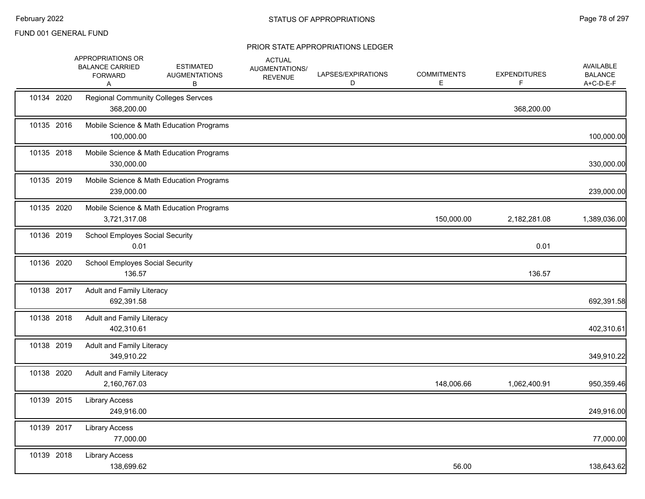|            | APPROPRIATIONS OR<br><b>BALANCE CARRIED</b><br><b>FORWARD</b><br>Α | <b>ESTIMATED</b><br><b>AUGMENTATIONS</b><br>В | <b>ACTUAL</b><br>AUGMENTATIONS/<br><b>REVENUE</b> | LAPSES/EXPIRATIONS<br>D | <b>COMMITMENTS</b><br>Е | <b>EXPENDITURES</b><br>F | <b>AVAILABLE</b><br><b>BALANCE</b><br>A+C-D-E-F |
|------------|--------------------------------------------------------------------|-----------------------------------------------|---------------------------------------------------|-------------------------|-------------------------|--------------------------|-------------------------------------------------|
| 10134 2020 | <b>Regional Community Colleges Servces</b><br>368,200.00           |                                               |                                                   |                         |                         | 368,200.00               |                                                 |
| 10135 2016 | 100,000.00                                                         | Mobile Science & Math Education Programs      |                                                   |                         |                         |                          | 100,000.00                                      |
| 10135 2018 | 330,000.00                                                         | Mobile Science & Math Education Programs      |                                                   |                         |                         |                          | 330,000.00                                      |
| 10135 2019 | 239,000.00                                                         | Mobile Science & Math Education Programs      |                                                   |                         |                         |                          | 239,000.00                                      |
| 10135 2020 | 3,721,317.08                                                       | Mobile Science & Math Education Programs      |                                                   |                         | 150,000.00              | 2,182,281.08             | 1,389,036.00                                    |
| 10136 2019 | <b>School Employes Social Security</b><br>0.01                     |                                               |                                                   |                         |                         | 0.01                     |                                                 |
| 10136 2020 | <b>School Employes Social Security</b><br>136.57                   |                                               |                                                   |                         |                         | 136.57                   |                                                 |
| 10138 2017 | Adult and Family Literacy<br>692,391.58                            |                                               |                                                   |                         |                         |                          | 692,391.58                                      |
| 10138 2018 | <b>Adult and Family Literacy</b><br>402,310.61                     |                                               |                                                   |                         |                         |                          | 402,310.61                                      |
| 10138 2019 | <b>Adult and Family Literacy</b><br>349,910.22                     |                                               |                                                   |                         |                         |                          | 349,910.22                                      |
| 10138 2020 | Adult and Family Literacy<br>2,160,767.03                          |                                               |                                                   |                         | 148,006.66              | 1,062,400.91             | 950,359.46                                      |
| 10139 2015 | <b>Library Access</b><br>249,916.00                                |                                               |                                                   |                         |                         |                          | 249,916.00                                      |
| 10139 2017 | <b>Library Access</b><br>77,000.00                                 |                                               |                                                   |                         |                         |                          | 77,000.00                                       |
| 10139 2018 | <b>Library Access</b><br>138,699.62                                |                                               |                                                   |                         | 56.00                   |                          | 138,643.62                                      |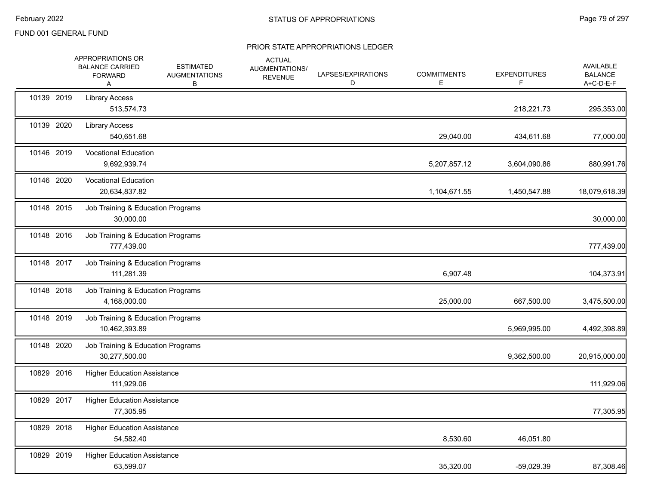|            | APPROPRIATIONS OR<br><b>BALANCE CARRIED</b><br><b>FORWARD</b><br>A | <b>ESTIMATED</b><br><b>AUGMENTATIONS</b><br>В | <b>ACTUAL</b><br>AUGMENTATIONS/<br><b>REVENUE</b> | LAPSES/EXPIRATIONS<br>D | <b>COMMITMENTS</b><br>E. | <b>EXPENDITURES</b> | AVAILABLE<br><b>BALANCE</b><br>A+C-D-E-F |
|------------|--------------------------------------------------------------------|-----------------------------------------------|---------------------------------------------------|-------------------------|--------------------------|---------------------|------------------------------------------|
| 10139 2019 | <b>Library Access</b><br>513,574.73                                |                                               |                                                   |                         |                          | 218,221.73          | 295,353.00                               |
| 10139 2020 | <b>Library Access</b><br>540,651.68                                |                                               |                                                   |                         | 29,040.00                | 434,611.68          | 77,000.00                                |
| 10146 2019 | <b>Vocational Education</b><br>9,692,939.74                        |                                               |                                                   |                         | 5,207,857.12             | 3,604,090.86        | 880,991.76                               |
| 10146 2020 | <b>Vocational Education</b><br>20,634,837.82                       |                                               |                                                   |                         | 1,104,671.55             | 1,450,547.88        | 18,079,618.39                            |
| 10148 2015 | Job Training & Education Programs<br>30,000.00                     |                                               |                                                   |                         |                          |                     | 30,000.00                                |
| 10148 2016 | Job Training & Education Programs<br>777,439.00                    |                                               |                                                   |                         |                          |                     | 777,439.00                               |
| 10148 2017 | Job Training & Education Programs<br>111,281.39                    |                                               |                                                   |                         | 6,907.48                 |                     | 104,373.91                               |
| 10148 2018 | Job Training & Education Programs<br>4,168,000.00                  |                                               |                                                   |                         | 25,000.00                | 667,500.00          | 3,475,500.00                             |
| 10148 2019 | Job Training & Education Programs<br>10,462,393.89                 |                                               |                                                   |                         |                          | 5,969,995.00        | 4,492,398.89                             |
| 10148 2020 | Job Training & Education Programs<br>30,277,500.00                 |                                               |                                                   |                         |                          | 9,362,500.00        | 20,915,000.00                            |
| 10829 2016 | <b>Higher Education Assistance</b><br>111,929.06                   |                                               |                                                   |                         |                          |                     | 111,929.06                               |
| 10829 2017 | <b>Higher Education Assistance</b><br>77,305.95                    |                                               |                                                   |                         |                          |                     | 77,305.95                                |
| 10829 2018 | <b>Higher Education Assistance</b><br>54,582.40                    |                                               |                                                   |                         | 8,530.60                 | 46,051.80           |                                          |
| 10829 2019 | <b>Higher Education Assistance</b><br>63,599.07                    |                                               |                                                   |                         | 35,320.00                | -59,029.39          | 87,308.46                                |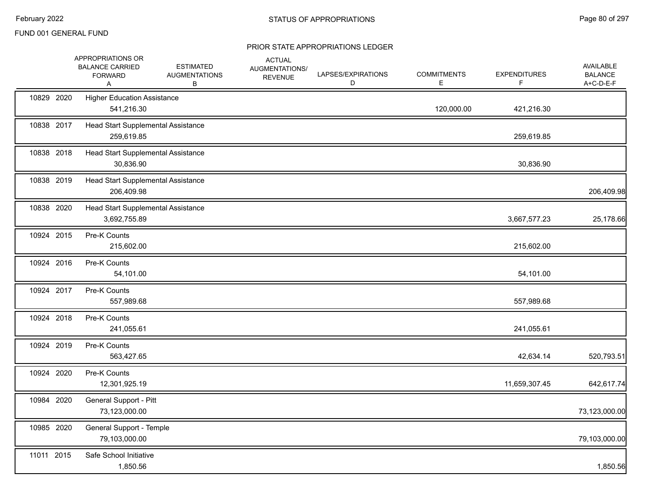|            | APPROPRIATIONS OR<br><b>BALANCE CARRIED</b><br><b>FORWARD</b><br>Α | <b>ESTIMATED</b><br><b>AUGMENTATIONS</b><br>В | <b>ACTUAL</b><br>AUGMENTATIONS/<br><b>REVENUE</b> | LAPSES/EXPIRATIONS<br>D | <b>COMMITMENTS</b><br>E | <b>EXPENDITURES</b><br>F | <b>AVAILABLE</b><br><b>BALANCE</b><br>A+C-D-E-F |
|------------|--------------------------------------------------------------------|-----------------------------------------------|---------------------------------------------------|-------------------------|-------------------------|--------------------------|-------------------------------------------------|
| 10829 2020 | <b>Higher Education Assistance</b><br>541,216.30                   |                                               |                                                   |                         | 120,000.00              | 421,216.30               |                                                 |
| 10838 2017 | Head Start Supplemental Assistance<br>259,619.85                   |                                               |                                                   |                         |                         | 259,619.85               |                                                 |
| 10838 2018 | Head Start Supplemental Assistance<br>30,836.90                    |                                               |                                                   |                         |                         | 30,836.90                |                                                 |
| 10838 2019 | Head Start Supplemental Assistance<br>206,409.98                   |                                               |                                                   |                         |                         |                          | 206,409.98                                      |
| 10838 2020 | Head Start Supplemental Assistance<br>3,692,755.89                 |                                               |                                                   |                         |                         | 3,667,577.23             | 25,178.66                                       |
| 10924 2015 | Pre-K Counts<br>215,602.00                                         |                                               |                                                   |                         |                         | 215,602.00               |                                                 |
| 10924 2016 | Pre-K Counts<br>54,101.00                                          |                                               |                                                   |                         |                         | 54,101.00                |                                                 |
| 10924 2017 | Pre-K Counts<br>557,989.68                                         |                                               |                                                   |                         |                         | 557,989.68               |                                                 |
| 10924 2018 | Pre-K Counts<br>241,055.61                                         |                                               |                                                   |                         |                         | 241,055.61               |                                                 |
| 10924 2019 | Pre-K Counts<br>563,427.65                                         |                                               |                                                   |                         |                         | 42,634.14                | 520,793.51                                      |
| 10924 2020 | Pre-K Counts<br>12,301,925.19                                      |                                               |                                                   |                         |                         | 11,659,307.45            | 642,617.74                                      |
| 10984 2020 | General Support - Pitt<br>73,123,000.00                            |                                               |                                                   |                         |                         |                          | 73,123,000.00                                   |
| 10985 2020 | General Support - Temple<br>79,103,000.00                          |                                               |                                                   |                         |                         |                          | 79,103,000.00                                   |
| 11011 2015 | Safe School Initiative<br>1,850.56                                 |                                               |                                                   |                         |                         |                          | 1,850.56                                        |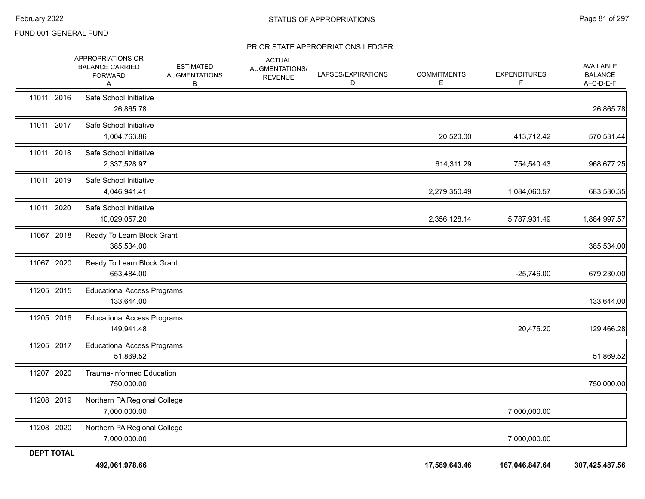|                   | APPROPRIATIONS OR<br><b>BALANCE CARRIED</b><br><b>FORWARD</b><br>A | <b>ESTIMATED</b><br><b>AUGMENTATIONS</b><br>В | <b>ACTUAL</b><br>AUGMENTATIONS/<br><b>REVENUE</b> | LAPSES/EXPIRATIONS<br>D | <b>COMMITMENTS</b><br>E. | <b>EXPENDITURES</b><br>F. | <b>AVAILABLE</b><br><b>BALANCE</b><br>A+C-D-E-F |
|-------------------|--------------------------------------------------------------------|-----------------------------------------------|---------------------------------------------------|-------------------------|--------------------------|---------------------------|-------------------------------------------------|
| 11011 2016        | Safe School Initiative<br>26,865.78                                |                                               |                                                   |                         |                          |                           | 26,865.78                                       |
| 11011 2017        | Safe School Initiative<br>1,004,763.86                             |                                               |                                                   |                         | 20,520.00                | 413,712.42                | 570,531.44                                      |
| 11011 2018        | Safe School Initiative<br>2,337,528.97                             |                                               |                                                   |                         | 614,311.29               | 754,540.43                | 968,677.25                                      |
| 11011 2019        | Safe School Initiative<br>4,046,941.41                             |                                               |                                                   |                         | 2,279,350.49             | 1,084,060.57              | 683,530.35                                      |
| 11011 2020        | Safe School Initiative<br>10,029,057.20                            |                                               |                                                   |                         | 2,356,128.14             | 5,787,931.49              | 1,884,997.57                                    |
| 11067 2018        | Ready To Learn Block Grant<br>385,534.00                           |                                               |                                                   |                         |                          |                           | 385,534.00                                      |
| 11067 2020        | Ready To Learn Block Grant<br>653,484.00                           |                                               |                                                   |                         |                          | $-25,746.00$              | 679,230.00                                      |
| 11205 2015        | <b>Educational Access Programs</b><br>133,644.00                   |                                               |                                                   |                         |                          |                           | 133,644.00                                      |
| 11205 2016        | <b>Educational Access Programs</b><br>149,941.48                   |                                               |                                                   |                         |                          | 20,475.20                 | 129,466.28                                      |
| 11205 2017        | <b>Educational Access Programs</b><br>51,869.52                    |                                               |                                                   |                         |                          |                           | 51,869.52                                       |
| 11207 2020        | <b>Trauma-Informed Education</b><br>750,000.00                     |                                               |                                                   |                         |                          |                           | 750,000.00                                      |
| 11208 2019        | Northern PA Regional College<br>7,000,000.00                       |                                               |                                                   |                         |                          | 7,000,000.00              |                                                 |
| 11208 2020        | Northern PA Regional College<br>7,000,000.00                       |                                               |                                                   |                         |                          | 7,000,000.00              |                                                 |
| <b>DEPT TOTAL</b> |                                                                    |                                               |                                                   |                         |                          |                           |                                                 |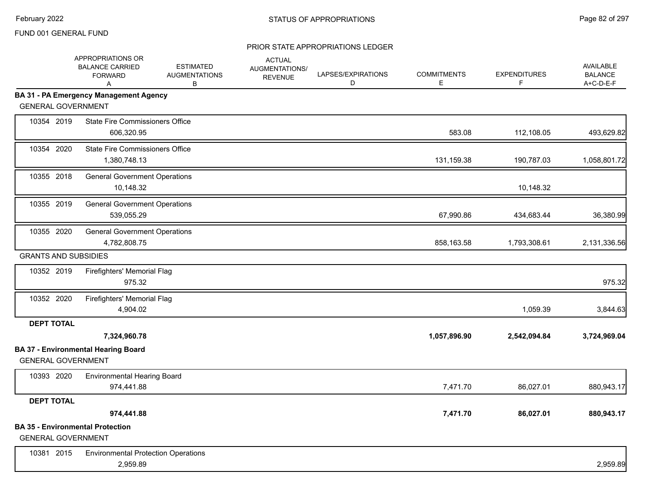|                             | APPROPRIATIONS OR<br><b>BALANCE CARRIED</b><br><b>FORWARD</b><br>Α | <b>ESTIMATED</b><br><b>AUGMENTATIONS</b><br>В | <b>ACTUAL</b><br>AUGMENTATIONS/<br><b>REVENUE</b> | LAPSES/EXPIRATIONS<br>D | <b>COMMITMENTS</b><br>E | <b>EXPENDITURES</b><br>F | <b>AVAILABLE</b><br><b>BALANCE</b><br>A+C-D-E-F |
|-----------------------------|--------------------------------------------------------------------|-----------------------------------------------|---------------------------------------------------|-------------------------|-------------------------|--------------------------|-------------------------------------------------|
|                             | BA 31 - PA Emergency Management Agency                             |                                               |                                                   |                         |                         |                          |                                                 |
| <b>GENERAL GOVERNMENT</b>   |                                                                    |                                               |                                                   |                         |                         |                          |                                                 |
| 10354 2019                  | <b>State Fire Commissioners Office</b><br>606,320.95               |                                               |                                                   |                         | 583.08                  | 112,108.05               | 493,629.82                                      |
| 10354 2020                  | <b>State Fire Commissioners Office</b><br>1,380,748.13             |                                               |                                                   |                         | 131,159.38              | 190,787.03               | 1,058,801.72                                    |
| 10355 2018                  | <b>General Government Operations</b><br>10,148.32                  |                                               |                                                   |                         |                         | 10,148.32                |                                                 |
| 10355 2019                  | <b>General Government Operations</b><br>539,055.29                 |                                               |                                                   |                         | 67,990.86               | 434,683.44               | 36,380.99                                       |
| 10355 2020                  | <b>General Government Operations</b><br>4,782,808.75               |                                               |                                                   |                         | 858,163.58              | 1,793,308.61             | 2,131,336.56                                    |
| <b>GRANTS AND SUBSIDIES</b> |                                                                    |                                               |                                                   |                         |                         |                          |                                                 |
| 10352 2019                  | Firefighters' Memorial Flag<br>975.32                              |                                               |                                                   |                         |                         |                          | 975.32                                          |
| 10352 2020                  | Firefighters' Memorial Flag<br>4,904.02                            |                                               |                                                   |                         |                         | 1,059.39                 | 3,844.63                                        |
| <b>DEPT TOTAL</b>           |                                                                    |                                               |                                                   |                         |                         |                          |                                                 |
|                             | 7,324,960.78                                                       |                                               |                                                   |                         | 1,057,896.90            | 2,542,094.84             | 3,724,969.04                                    |
|                             | <b>BA 37 - Environmental Hearing Board</b>                         |                                               |                                                   |                         |                         |                          |                                                 |
| <b>GENERAL GOVERNMENT</b>   |                                                                    |                                               |                                                   |                         |                         |                          |                                                 |
| 10393 2020                  | <b>Environmental Hearing Board</b><br>974,441.88                   |                                               |                                                   |                         | 7,471.70                | 86,027.01                | 880,943.17                                      |
| <b>DEPT TOTAL</b>           |                                                                    |                                               |                                                   |                         |                         |                          |                                                 |
|                             | 974,441.88                                                         |                                               |                                                   |                         | 7,471.70                | 86,027.01                | 880,943.17                                      |
| <b>GENERAL GOVERNMENT</b>   | <b>BA 35 - Environmental Protection</b>                            |                                               |                                                   |                         |                         |                          |                                                 |
| 10381 2015                  | <b>Environmental Protection Operations</b><br>2,959.89             |                                               |                                                   |                         |                         |                          | 2,959.89                                        |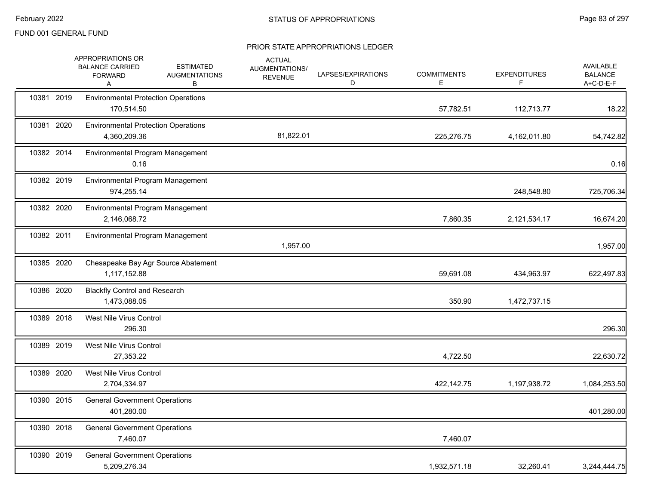|            | APPROPRIATIONS OR<br><b>BALANCE CARRIED</b><br><b>FORWARD</b><br>Α | <b>ESTIMATED</b><br><b>AUGMENTATIONS</b><br>В | <b>ACTUAL</b><br>AUGMENTATIONS/<br><b>REVENUE</b> | LAPSES/EXPIRATIONS<br>D | <b>COMMITMENTS</b><br>E. | <b>EXPENDITURES</b><br>F. | <b>AVAILABLE</b><br><b>BALANCE</b><br>A+C-D-E-F |
|------------|--------------------------------------------------------------------|-----------------------------------------------|---------------------------------------------------|-------------------------|--------------------------|---------------------------|-------------------------------------------------|
| 10381 2019 | <b>Environmental Protection Operations</b><br>170,514.50           |                                               |                                                   |                         | 57,782.51                | 112,713.77                | 18.22                                           |
| 10381 2020 | <b>Environmental Protection Operations</b><br>4,360,209.36         |                                               | 81,822.01                                         |                         | 225,276.75               | 4,162,011.80              | 54,742.82                                       |
| 10382 2014 | Environmental Program Management<br>0.16                           |                                               |                                                   |                         |                          |                           | 0.16                                            |
| 10382 2019 | Environmental Program Management<br>974,255.14                     |                                               |                                                   |                         |                          | 248,548.80                | 725,706.34                                      |
| 10382 2020 | Environmental Program Management<br>2,146,068.72                   |                                               |                                                   |                         | 7,860.35                 | 2,121,534.17              | 16,674.20                                       |
| 10382 2011 | Environmental Program Management                                   |                                               | 1,957.00                                          |                         |                          |                           | 1,957.00                                        |
| 10385 2020 | 1,117,152.88                                                       | Chesapeake Bay Agr Source Abatement           |                                                   |                         | 59,691.08                | 434,963.97                | 622,497.83                                      |
| 10386 2020 | <b>Blackfly Control and Research</b><br>1,473,088.05               |                                               |                                                   |                         | 350.90                   | 1,472,737.15              |                                                 |
| 10389 2018 | West Nile Virus Control<br>296.30                                  |                                               |                                                   |                         |                          |                           | 296.30                                          |
| 10389 2019 | West Nile Virus Control<br>27,353.22                               |                                               |                                                   |                         | 4,722.50                 |                           | 22,630.72                                       |
| 10389 2020 | West Nile Virus Control<br>2,704,334.97                            |                                               |                                                   |                         | 422,142.75               | 1,197,938.72              | 1,084,253.50                                    |
| 10390 2015 | <b>General Government Operations</b><br>401,280.00                 |                                               |                                                   |                         |                          |                           | 401,280.00                                      |
| 10390 2018 | <b>General Government Operations</b><br>7,460.07                   |                                               |                                                   |                         | 7,460.07                 |                           |                                                 |
| 10390 2019 | <b>General Government Operations</b><br>5,209,276.34               |                                               |                                                   |                         | 1,932,571.18             | 32,260.41                 | 3,244,444.75                                    |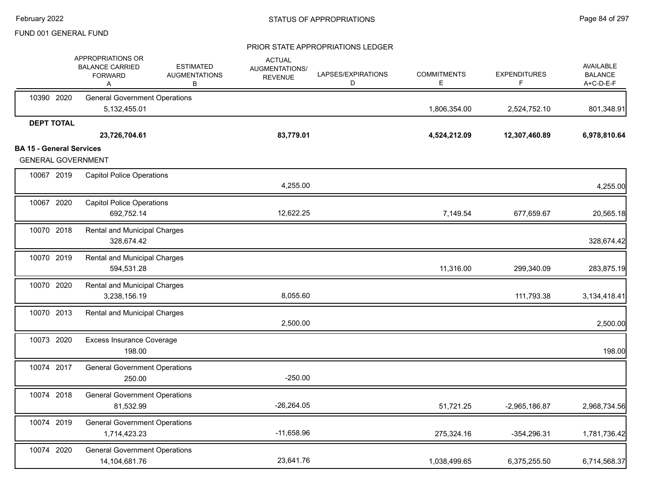|                                                              | APPROPRIATIONS OR<br><b>BALANCE CARRIED</b><br><b>FORWARD</b><br>Α | <b>ESTIMATED</b><br><b>AUGMENTATIONS</b><br>В | <b>ACTUAL</b><br><b>AUGMENTATIONS/</b><br><b>REVENUE</b> | LAPSES/EXPIRATIONS<br>D | <b>COMMITMENTS</b><br>Е | <b>EXPENDITURES</b><br>F | <b>AVAILABLE</b><br><b>BALANCE</b><br>A+C-D-E-F |
|--------------------------------------------------------------|--------------------------------------------------------------------|-----------------------------------------------|----------------------------------------------------------|-------------------------|-------------------------|--------------------------|-------------------------------------------------|
| 10390 2020                                                   | <b>General Government Operations</b><br>5,132,455.01               |                                               |                                                          |                         | 1,806,354.00            | 2,524,752.10             | 801,348.91                                      |
| <b>DEPT TOTAL</b>                                            | 23,726,704.61                                                      |                                               | 83,779.01                                                |                         | 4,524,212.09            | 12,307,460.89            | 6,978,810.64                                    |
| <b>BA 15 - General Services</b><br><b>GENERAL GOVERNMENT</b> |                                                                    |                                               |                                                          |                         |                         |                          |                                                 |
| 10067 2019                                                   | <b>Capitol Police Operations</b>                                   |                                               | 4,255.00                                                 |                         |                         |                          | 4,255.00                                        |
| 10067 2020                                                   | <b>Capitol Police Operations</b><br>692,752.14                     |                                               | 12,622.25                                                |                         | 7,149.54                | 677,659.67               | 20,565.18                                       |
| 10070 2018                                                   | <b>Rental and Municipal Charges</b><br>328,674.42                  |                                               |                                                          |                         |                         |                          | 328,674.42                                      |
| 10070 2019                                                   | Rental and Municipal Charges<br>594,531.28                         |                                               |                                                          |                         | 11,316.00               | 299,340.09               | 283,875.19                                      |
| 10070 2020                                                   | <b>Rental and Municipal Charges</b><br>3,238,156.19                |                                               | 8,055.60                                                 |                         |                         | 111,793.38               | 3,134,418.41                                    |
| 10070 2013                                                   | Rental and Municipal Charges                                       |                                               | 2,500.00                                                 |                         |                         |                          | 2,500.00                                        |
| 10073 2020                                                   | <b>Excess Insurance Coverage</b><br>198.00                         |                                               |                                                          |                         |                         |                          | 198.00                                          |
| 10074 2017                                                   | <b>General Government Operations</b><br>250.00                     |                                               | $-250.00$                                                |                         |                         |                          |                                                 |
| 10074 2018                                                   | <b>General Government Operations</b><br>81,532.99                  |                                               | $-26,264.05$                                             |                         | 51,721.25               | $-2,965,186.87$          | 2,968,734.56                                    |
| 10074 2019                                                   | <b>General Government Operations</b><br>1,714,423.23               |                                               | $-11,658.96$                                             |                         | 275,324.16              | $-354,296.31$            | 1,781,736.42                                    |
| 10074 2020                                                   | <b>General Government Operations</b><br>14,104,681.76              |                                               | 23,641.76                                                |                         | 1,038,499.65            | 6,375,255.50             | 6,714,568.37                                    |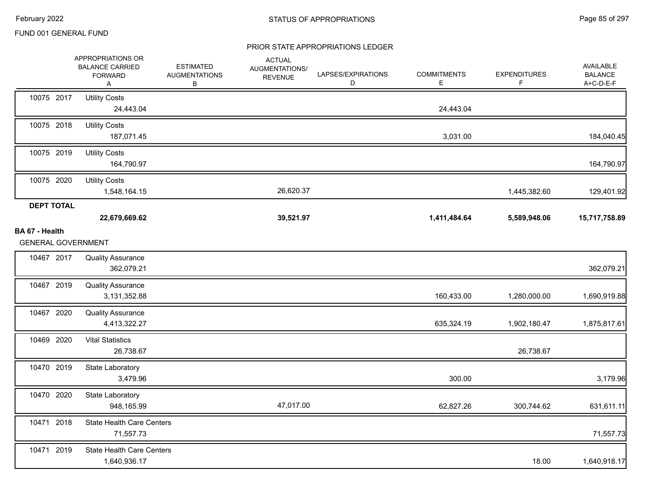|                                             | APPROPRIATIONS OR<br><b>BALANCE CARRIED</b><br><b>FORWARD</b><br>Α | <b>ESTIMATED</b><br><b>AUGMENTATIONS</b><br>В | <b>ACTUAL</b><br>AUGMENTATIONS/<br><b>REVENUE</b> | LAPSES/EXPIRATIONS<br>D | <b>COMMITMENTS</b><br>Е | <b>EXPENDITURES</b><br>F | AVAILABLE<br><b>BALANCE</b><br>A+C-D-E-F |
|---------------------------------------------|--------------------------------------------------------------------|-----------------------------------------------|---------------------------------------------------|-------------------------|-------------------------|--------------------------|------------------------------------------|
| 10075 2017                                  | <b>Utility Costs</b><br>24,443.04                                  |                                               |                                                   |                         | 24,443.04               |                          |                                          |
| 10075 2018                                  | <b>Utility Costs</b><br>187,071.45                                 |                                               |                                                   |                         | 3,031.00                |                          | 184,040.45                               |
| 10075 2019                                  | <b>Utility Costs</b><br>164,790.97                                 |                                               |                                                   |                         |                         |                          | 164,790.97                               |
| 10075 2020                                  | <b>Utility Costs</b><br>1,548,164.15                               |                                               | 26,620.37                                         |                         |                         | 1,445,382.60             | 129,401.92                               |
| <b>DEPT TOTAL</b>                           | 22,679,669.62                                                      |                                               | 39,521.97                                         |                         | 1,411,484.64            | 5,589,948.06             | 15,717,758.89                            |
| BA 67 - Health<br><b>GENERAL GOVERNMENT</b> |                                                                    |                                               |                                                   |                         |                         |                          |                                          |
| 10467 2017                                  | <b>Quality Assurance</b><br>362,079.21                             |                                               |                                                   |                         |                         |                          | 362,079.21                               |
| 10467 2019                                  | <b>Quality Assurance</b><br>3,131,352.88                           |                                               |                                                   |                         | 160,433.00              | 1,280,000.00             | 1,690,919.88                             |
| 10467 2020                                  | <b>Quality Assurance</b><br>4,413,322.27                           |                                               |                                                   |                         | 635,324.19              | 1,902,180.47             | 1,875,817.61                             |
| 10469 2020                                  | <b>Vital Statistics</b><br>26,738.67                               |                                               |                                                   |                         |                         | 26,738.67                |                                          |
| 10470 2019                                  | State Laboratory<br>3,479.96                                       |                                               |                                                   |                         | 300.00                  |                          | 3,179.96                                 |
| 10470 2020                                  | State Laboratory<br>948,165.99                                     |                                               | 47,017.00                                         |                         | 62,827.26               | 300,744.62               | 631,611.11                               |
| 10471 2018                                  | <b>State Health Care Centers</b><br>71,557.73                      |                                               |                                                   |                         |                         |                          | 71,557.73                                |
| 10471 2019                                  | <b>State Health Care Centers</b><br>1,640,936.17                   |                                               |                                                   |                         |                         | 18.00                    | 1,640,918.17                             |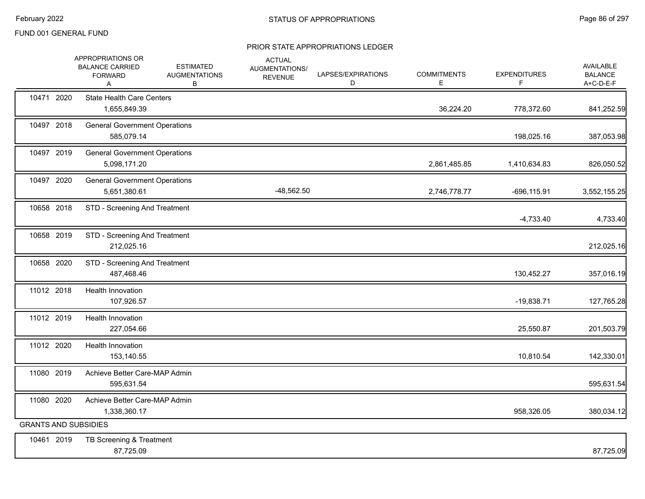|                             | APPROPRIATIONS OR<br><b>BALANCE CARRIED</b><br><b>FORWARD</b><br>Α | <b>ESTIMATED</b><br><b>AUGMENTATIONS</b><br>В | <b>ACTUAL</b><br>AUGMENTATIONS/<br><b>REVENUE</b> | LAPSES/EXPIRATIONS<br>D | <b>COMMITMENTS</b><br>Е | <b>EXPENDITURES</b><br>F | AVAILABLE<br><b>BALANCE</b><br>A+C-D-E-F |
|-----------------------------|--------------------------------------------------------------------|-----------------------------------------------|---------------------------------------------------|-------------------------|-------------------------|--------------------------|------------------------------------------|
| 10471 2020                  | <b>State Health Care Centers</b><br>1,655,849.39                   |                                               |                                                   |                         | 36,224.20               | 778,372.60               | 841,252.59                               |
| 10497 2018                  | <b>General Government Operations</b><br>585,079.14                 |                                               |                                                   |                         |                         | 198,025.16               | 387,053.98                               |
| 10497 2019                  | <b>General Government Operations</b><br>5,098,171.20               |                                               |                                                   |                         | 2,861,485.85            | 1,410,634.83             | 826,050.52                               |
| 10497 2020                  | <b>General Government Operations</b><br>5,651,380.61               |                                               | $-48,562.50$                                      |                         | 2,746,778.77            | $-696, 115.91$           | 3,552,155.25                             |
| 10658 2018                  | STD - Screening And Treatment                                      |                                               |                                                   |                         |                         | $-4,733.40$              | 4,733.40                                 |
| 10658 2019                  | STD - Screening And Treatment<br>212,025.16                        |                                               |                                                   |                         |                         |                          | 212,025.16                               |
| 10658 2020                  | STD - Screening And Treatment<br>487,468.46                        |                                               |                                                   |                         |                         | 130,452.27               | 357,016.19                               |
| 11012 2018                  | <b>Health Innovation</b><br>107,926.57                             |                                               |                                                   |                         |                         | $-19,838.71$             | 127,765.28                               |
| 11012 2019                  | Health Innovation<br>227,054.66                                    |                                               |                                                   |                         |                         | 25,550.87                | 201,503.79                               |
| 11012 2020                  | Health Innovation<br>153,140.55                                    |                                               |                                                   |                         |                         | 10,810.54                | 142,330.01                               |
| 11080 2019                  | Achieve Better Care-MAP Admin<br>595,631.54                        |                                               |                                                   |                         |                         |                          | 595,631.54                               |
| 11080 2020                  | Achieve Better Care-MAP Admin<br>1,338,360.17                      |                                               |                                                   |                         |                         | 958,326.05               | 380,034.12                               |
| <b>GRANTS AND SUBSIDIES</b> |                                                                    |                                               |                                                   |                         |                         |                          |                                          |
| 10461 2019                  | TB Screening & Treatment<br>87,725.09                              |                                               |                                                   |                         |                         |                          | 87,725.09                                |
|                             |                                                                    |                                               |                                                   |                         |                         |                          |                                          |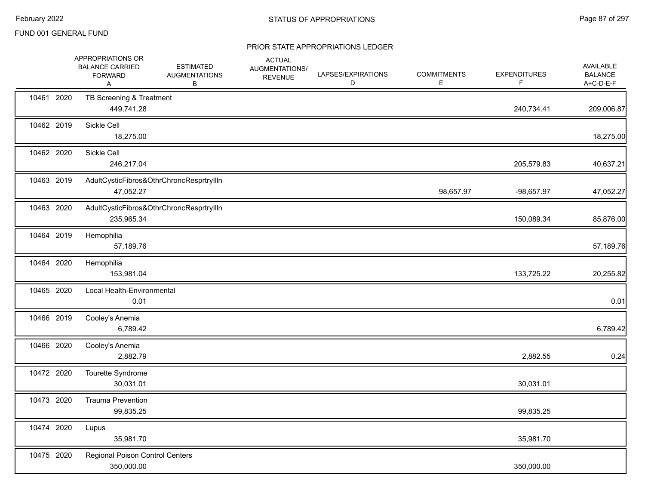|            | APPROPRIATIONS OR<br><b>BALANCE CARRIED</b><br><b>FORWARD</b><br>Α | <b>ESTIMATED</b><br><b>AUGMENTATIONS</b><br>В | <b>ACTUAL</b><br>AUGMENTATIONS/<br><b>REVENUE</b> | LAPSES/EXPIRATIONS<br>D | <b>COMMITMENTS</b><br>E. | <b>EXPENDITURES</b><br>F | <b>AVAILABLE</b><br><b>BALANCE</b><br>A+C-D-E-F |
|------------|--------------------------------------------------------------------|-----------------------------------------------|---------------------------------------------------|-------------------------|--------------------------|--------------------------|-------------------------------------------------|
| 10461 2020 | TB Screening & Treatment<br>449,741.28                             |                                               |                                                   |                         |                          | 240,734.41               | 209,006.87                                      |
| 10462 2019 | Sickle Cell<br>18,275.00                                           |                                               |                                                   |                         |                          |                          | 18,275.00                                       |
| 10462 2020 | Sickle Cell<br>246,217.04                                          |                                               |                                                   |                         |                          | 205,579.83               | 40,637.21                                       |
| 10463 2019 | 47,052.27                                                          | AdultCysticFibros&OthrChroncResprtryIlln      |                                                   |                         | 98,657.97                | -98,657.97               | 47,052.27                                       |
| 10463 2020 | 235,965.34                                                         | AdultCysticFibros&OthrChroncResprtryIlln      |                                                   |                         |                          | 150,089.34               | 85,876.00                                       |
| 10464 2019 | Hemophilia<br>57,189.76                                            |                                               |                                                   |                         |                          |                          | 57,189.76                                       |
| 10464 2020 | Hemophilia<br>153,981.04                                           |                                               |                                                   |                         |                          | 133,725.22               | 20,255.82                                       |
| 10465 2020 | Local Health-Environmental<br>0.01                                 |                                               |                                                   |                         |                          |                          | 0.01                                            |
| 10466 2019 | Cooley's Anemia<br>6,789.42                                        |                                               |                                                   |                         |                          |                          | 6,789.42                                        |
| 10466 2020 | Cooley's Anemia<br>2,882.79                                        |                                               |                                                   |                         |                          | 2,882.55                 | 0.24                                            |
| 10472 2020 | Tourette Syndrome<br>30,031.01                                     |                                               |                                                   |                         |                          | 30,031.01                |                                                 |
| 10473 2020 | <b>Trauma Prevention</b><br>99,835.25                              |                                               |                                                   |                         |                          | 99,835.25                |                                                 |
| 10474 2020 | Lupus<br>35,981.70                                                 |                                               |                                                   |                         |                          | 35,981.70                |                                                 |
| 10475 2020 | Regional Poison Control Centers<br>350,000.00                      |                                               |                                                   |                         |                          | 350,000.00               |                                                 |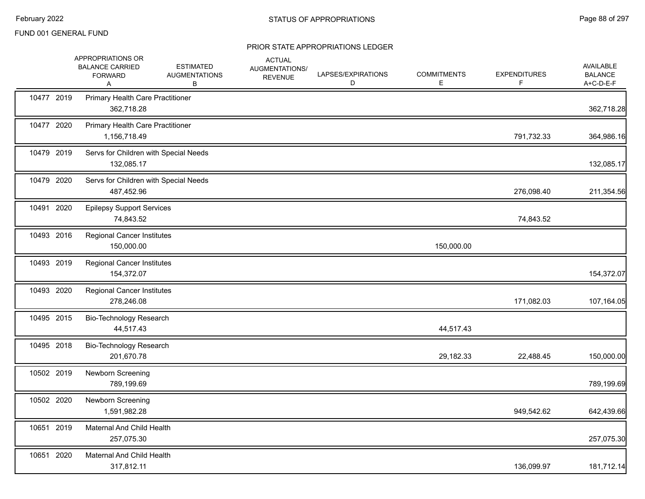|            | APPROPRIATIONS OR<br><b>BALANCE CARRIED</b><br><b>FORWARD</b><br>Α | <b>ESTIMATED</b><br><b>AUGMENTATIONS</b><br>В | <b>ACTUAL</b><br>AUGMENTATIONS/<br><b>REVENUE</b> | LAPSES/EXPIRATIONS<br>D | <b>COMMITMENTS</b><br>E | <b>EXPENDITURES</b><br>F | AVAILABLE<br><b>BALANCE</b><br>A+C-D-E-F |
|------------|--------------------------------------------------------------------|-----------------------------------------------|---------------------------------------------------|-------------------------|-------------------------|--------------------------|------------------------------------------|
| 10477 2019 | Primary Health Care Practitioner<br>362,718.28                     |                                               |                                                   |                         |                         |                          | 362,718.28                               |
| 10477 2020 | Primary Health Care Practitioner<br>1,156,718.49                   |                                               |                                                   |                         |                         | 791,732.33               | 364,986.16                               |
| 10479 2019 | Servs for Children with Special Needs<br>132,085.17                |                                               |                                                   |                         |                         |                          | 132,085.17                               |
| 10479 2020 | Servs for Children with Special Needs<br>487,452.96                |                                               |                                                   |                         |                         | 276,098.40               | 211,354.56                               |
| 10491 2020 | <b>Epilepsy Support Services</b><br>74,843.52                      |                                               |                                                   |                         |                         | 74,843.52                |                                          |
| 10493 2016 | <b>Regional Cancer Institutes</b><br>150,000.00                    |                                               |                                                   |                         | 150,000.00              |                          |                                          |
| 10493 2019 | <b>Regional Cancer Institutes</b><br>154,372.07                    |                                               |                                                   |                         |                         |                          | 154,372.07                               |
| 10493 2020 | <b>Regional Cancer Institutes</b><br>278,246.08                    |                                               |                                                   |                         |                         | 171,082.03               | 107,164.05                               |
| 10495 2015 | Bio-Technology Research<br>44,517.43                               |                                               |                                                   |                         | 44,517.43               |                          |                                          |
| 10495 2018 | Bio-Technology Research<br>201,670.78                              |                                               |                                                   |                         | 29,182.33               | 22,488.45                | 150,000.00                               |
| 10502 2019 | Newborn Screening<br>789,199.69                                    |                                               |                                                   |                         |                         |                          | 789,199.69                               |
| 10502 2020 | Newborn Screening<br>1,591,982.28                                  |                                               |                                                   |                         |                         | 949,542.62               | 642,439.66                               |
| 10651 2019 | Maternal And Child Health<br>257,075.30                            |                                               |                                                   |                         |                         |                          | 257,075.30                               |
| 10651 2020 | Maternal And Child Health<br>317,812.11                            |                                               |                                                   |                         |                         | 136,099.97               | 181,712.14                               |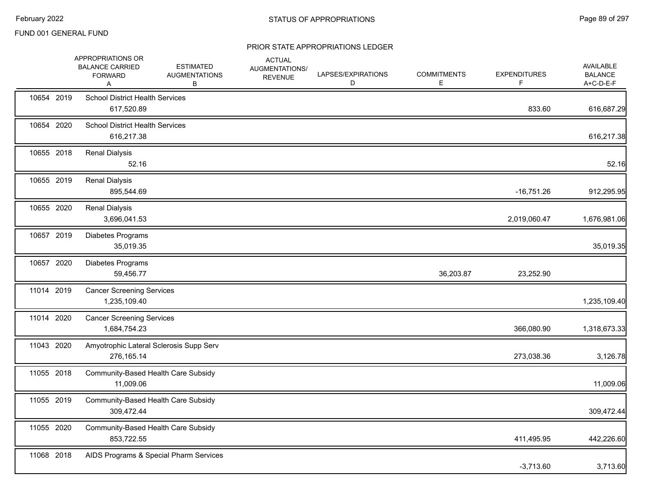|            | APPROPRIATIONS OR<br><b>BALANCE CARRIED</b><br><b>FORWARD</b><br>Α | <b>ESTIMATED</b><br><b>AUGMENTATIONS</b><br>В | <b>ACTUAL</b><br><b>AUGMENTATIONS/</b><br><b>REVENUE</b> | LAPSES/EXPIRATIONS<br>D | <b>COMMITMENTS</b><br>E. | <b>EXPENDITURES</b><br>F | <b>AVAILABLE</b><br><b>BALANCE</b><br>A+C-D-E-F |
|------------|--------------------------------------------------------------------|-----------------------------------------------|----------------------------------------------------------|-------------------------|--------------------------|--------------------------|-------------------------------------------------|
| 10654 2019 | <b>School District Health Services</b><br>617,520.89               |                                               |                                                          |                         |                          | 833.60                   | 616,687.29                                      |
| 10654 2020 | <b>School District Health Services</b><br>616,217.38               |                                               |                                                          |                         |                          |                          | 616,217.38                                      |
| 10655 2018 | <b>Renal Dialysis</b><br>52.16                                     |                                               |                                                          |                         |                          |                          | 52.16                                           |
| 10655 2019 | <b>Renal Dialysis</b><br>895,544.69                                |                                               |                                                          |                         |                          | $-16,751.26$             | 912,295.95                                      |
| 10655 2020 | <b>Renal Dialysis</b><br>3,696,041.53                              |                                               |                                                          |                         |                          | 2,019,060.47             | 1,676,981.06                                    |
| 10657 2019 | Diabetes Programs<br>35,019.35                                     |                                               |                                                          |                         |                          |                          | 35,019.35                                       |
| 10657 2020 | Diabetes Programs<br>59,456.77                                     |                                               |                                                          |                         | 36,203.87                | 23,252.90                |                                                 |
| 11014 2019 | <b>Cancer Screening Services</b><br>1,235,109.40                   |                                               |                                                          |                         |                          |                          | 1,235,109.40                                    |
| 11014 2020 | <b>Cancer Screening Services</b><br>1,684,754.23                   |                                               |                                                          |                         |                          | 366,080.90               | 1,318,673.33                                    |
| 11043 2020 | Amyotrophic Lateral Sclerosis Supp Serv<br>276,165.14              |                                               |                                                          |                         |                          | 273,038.36               | 3,126.78                                        |
| 11055 2018 | Community-Based Health Care Subsidy<br>11,009.06                   |                                               |                                                          |                         |                          |                          | 11,009.06                                       |
| 11055 2019 | Community-Based Health Care Subsidy<br>309,472.44                  |                                               |                                                          |                         |                          |                          | 309,472.44                                      |
| 11055 2020 | Community-Based Health Care Subsidy<br>853,722.55                  |                                               |                                                          |                         |                          | 411,495.95               | 442,226.60                                      |
| 11068 2018 |                                                                    | AIDS Programs & Special Pharm Services        |                                                          |                         |                          | $-3,713.60$              | 3,713.60                                        |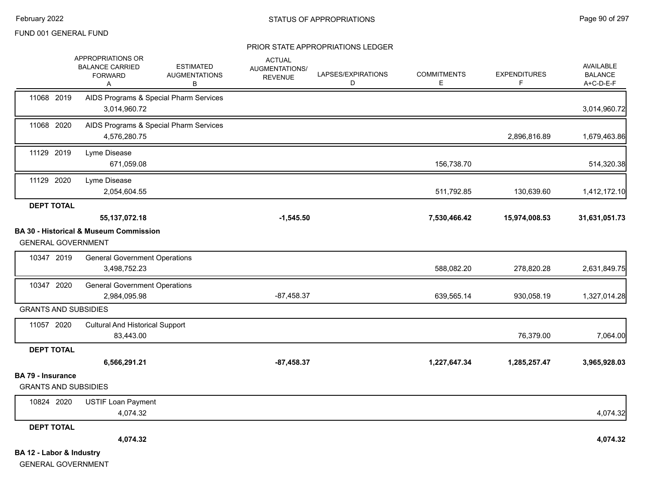|                                                         | APPROPRIATIONS OR<br><b>BALANCE CARRIED</b><br><b>FORWARD</b><br>Α | <b>ESTIMATED</b><br><b>AUGMENTATIONS</b><br>B | <b>ACTUAL</b><br><b>AUGMENTATIONS/</b><br><b>REVENUE</b> | LAPSES/EXPIRATIONS<br>D | <b>COMMITMENTS</b><br>E. | <b>EXPENDITURES</b><br>F | <b>AVAILABLE</b><br><b>BALANCE</b><br>A+C-D-E-F |
|---------------------------------------------------------|--------------------------------------------------------------------|-----------------------------------------------|----------------------------------------------------------|-------------------------|--------------------------|--------------------------|-------------------------------------------------|
| 11068 2019                                              | 3,014,960.72                                                       | AIDS Programs & Special Pharm Services        |                                                          |                         |                          |                          | 3,014,960.72                                    |
| 11068 2020                                              | 4,576,280.75                                                       | AIDS Programs & Special Pharm Services        |                                                          |                         |                          | 2,896,816.89             | 1,679,463.86                                    |
| 11129 2019                                              | Lyme Disease<br>671,059.08                                         |                                               |                                                          |                         | 156,738.70               |                          | 514,320.38                                      |
| 11129 2020                                              | Lyme Disease<br>2,054,604.55                                       |                                               |                                                          |                         | 511,792.85               | 130,639.60               | 1,412,172.10                                    |
| <b>DEPT TOTAL</b>                                       | 55, 137, 072. 18                                                   |                                               | $-1,545.50$                                              |                         | 7,530,466.42             | 15,974,008.53            | 31,631,051.73                                   |
| <b>GENERAL GOVERNMENT</b>                               | <b>BA 30 - Historical &amp; Museum Commission</b>                  |                                               |                                                          |                         |                          |                          |                                                 |
| 10347 2019                                              | <b>General Government Operations</b><br>3,498,752.23               |                                               |                                                          |                         | 588,082.20               | 278,820.28               | 2,631,849.75                                    |
| 10347 2020                                              | <b>General Government Operations</b><br>2,984,095.98               |                                               | $-87,458.37$                                             |                         | 639,565.14               | 930,058.19               | 1,327,014.28                                    |
| <b>GRANTS AND SUBSIDIES</b>                             |                                                                    |                                               |                                                          |                         |                          |                          |                                                 |
| 11057 2020                                              | <b>Cultural And Historical Support</b><br>83,443.00                |                                               |                                                          |                         |                          | 76,379.00                | 7,064.00                                        |
| <b>DEPT TOTAL</b>                                       |                                                                    |                                               |                                                          |                         |                          |                          |                                                 |
|                                                         | 6,566,291.21                                                       |                                               | $-87,458.37$                                             |                         | 1,227,647.34             | 1,285,257.47             | 3,965,928.03                                    |
| <b>BA 79 - Insurance</b><br><b>GRANTS AND SUBSIDIES</b> |                                                                    |                                               |                                                          |                         |                          |                          |                                                 |
| 10824 2020                                              | <b>USTIF Loan Payment</b><br>4,074.32                              |                                               |                                                          |                         |                          |                          | 4,074.32                                        |
| <b>DEPT TOTAL</b>                                       |                                                                    |                                               |                                                          |                         |                          |                          |                                                 |
|                                                         | 4,074.32                                                           |                                               |                                                          |                         |                          |                          | 4,074.32                                        |
| BA 12 - Labor & Industry<br><b>GENERAL GOVERNMENT</b>   |                                                                    |                                               |                                                          |                         |                          |                          |                                                 |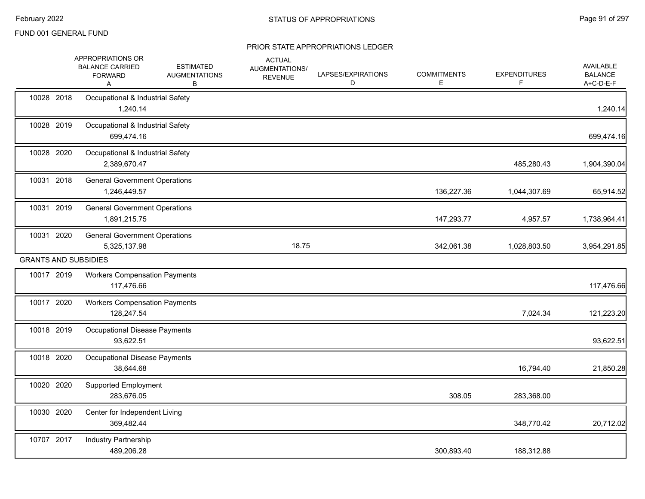|            | APPROPRIATIONS OR<br><b>BALANCE CARRIED</b><br><b>FORWARD</b><br>A | <b>ESTIMATED</b><br><b>AUGMENTATIONS</b><br>B | <b>ACTUAL</b><br>AUGMENTATIONS/<br><b>REVENUE</b> | LAPSES/EXPIRATIONS<br>D | <b>COMMITMENTS</b><br>Е | <b>EXPENDITURES</b><br>F | <b>AVAILABLE</b><br><b>BALANCE</b><br>A+C-D-E-F |
|------------|--------------------------------------------------------------------|-----------------------------------------------|---------------------------------------------------|-------------------------|-------------------------|--------------------------|-------------------------------------------------|
| 10028 2018 | Occupational & Industrial Safety<br>1,240.14                       |                                               |                                                   |                         |                         |                          | 1,240.14                                        |
| 10028 2019 | Occupational & Industrial Safety<br>699,474.16                     |                                               |                                                   |                         |                         |                          | 699,474.16                                      |
| 10028 2020 | Occupational & Industrial Safety<br>2,389,670.47                   |                                               |                                                   |                         |                         | 485,280.43               | 1,904,390.04                                    |
| 10031 2018 | <b>General Government Operations</b><br>1,246,449.57               |                                               |                                                   |                         | 136,227.36              | 1,044,307.69             | 65,914.52                                       |
| 10031 2019 | <b>General Government Operations</b><br>1,891,215.75               |                                               |                                                   |                         | 147,293.77              | 4,957.57                 | 1,738,964.41                                    |
| 10031 2020 | <b>General Government Operations</b><br>5,325,137.98               |                                               | 18.75                                             |                         | 342,061.38              | 1,028,803.50             | 3,954,291.85                                    |
|            | <b>GRANTS AND SUBSIDIES</b>                                        |                                               |                                                   |                         |                         |                          |                                                 |
| 10017 2019 | <b>Workers Compensation Payments</b><br>117,476.66                 |                                               |                                                   |                         |                         |                          | 117,476.66                                      |
| 10017 2020 | <b>Workers Compensation Payments</b><br>128,247.54                 |                                               |                                                   |                         |                         | 7,024.34                 | 121,223.20                                      |
| 10018 2019 | Occupational Disease Payments<br>93,622.51                         |                                               |                                                   |                         |                         |                          | 93,622.51                                       |
| 10018 2020 | Occupational Disease Payments<br>38,644.68                         |                                               |                                                   |                         |                         | 16,794.40                | 21,850.28                                       |
| 10020 2020 | <b>Supported Employment</b><br>283,676.05                          |                                               |                                                   |                         | 308.05                  | 283,368.00               |                                                 |
| 10030 2020 | Center for Independent Living<br>369,482.44                        |                                               |                                                   |                         |                         | 348,770.42               | 20,712.02                                       |
| 10707 2017 | Industry Partnership<br>489,206.28                                 |                                               |                                                   |                         | 300,893.40              | 188,312.88               |                                                 |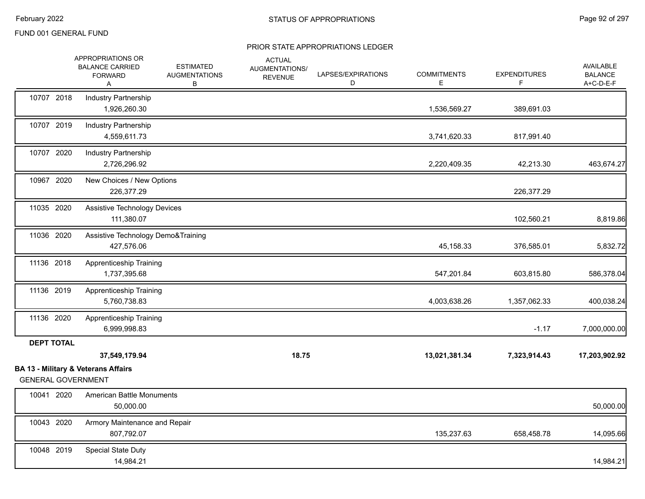|                   | APPROPRIATIONS OR<br><b>BALANCE CARRIED</b><br><b>FORWARD</b><br>A | <b>ESTIMATED</b><br><b>AUGMENTATIONS</b><br>В | <b>ACTUAL</b><br>AUGMENTATIONS/<br><b>REVENUE</b> | LAPSES/EXPIRATIONS<br>D | <b>COMMITMENTS</b><br>E | <b>EXPENDITURES</b><br>F. | <b>AVAILABLE</b><br><b>BALANCE</b><br>A+C-D-E-F |
|-------------------|--------------------------------------------------------------------|-----------------------------------------------|---------------------------------------------------|-------------------------|-------------------------|---------------------------|-------------------------------------------------|
| 10707 2018        | Industry Partnership<br>1,926,260.30                               |                                               |                                                   |                         | 1,536,569.27            | 389,691.03                |                                                 |
| 10707 2019        | <b>Industry Partnership</b><br>4,559,611.73                        |                                               |                                                   |                         | 3,741,620.33            | 817,991.40                |                                                 |
| 10707 2020        | <b>Industry Partnership</b><br>2,726,296.92                        |                                               |                                                   |                         | 2,220,409.35            | 42,213.30                 | 463,674.27                                      |
| 10967 2020        | New Choices / New Options<br>226,377.29                            |                                               |                                                   |                         |                         | 226,377.29                |                                                 |
| 11035 2020        | <b>Assistive Technology Devices</b><br>111,380.07                  |                                               |                                                   |                         |                         | 102,560.21                | 8,819.86                                        |
| 11036 2020        | Assistive Technology Demo&Training<br>427,576.06                   |                                               |                                                   |                         | 45,158.33               | 376,585.01                | 5,832.72                                        |
| 11136 2018        | Apprenticeship Training<br>1,737,395.68                            |                                               |                                                   |                         | 547,201.84              | 603,815.80                | 586,378.04                                      |
| 11136 2019        | Apprenticeship Training<br>5,760,738.83                            |                                               |                                                   |                         | 4,003,638.26            | 1,357,062.33              | 400,038.24                                      |
| 11136 2020        | Apprenticeship Training<br>6,999,998.83                            |                                               |                                                   |                         |                         | $-1.17$                   | 7,000,000.00                                    |
| <b>DEPT TOTAL</b> | 37,549,179.94<br><b>BA 13 - Military &amp; Veterans Affairs</b>    |                                               | 18.75                                             |                         | 13,021,381.34           | 7,323,914.43              | 17,203,902.92                                   |
| 10041 2020        | <b>GENERAL GOVERNMENT</b><br><b>American Battle Monuments</b>      |                                               |                                                   |                         |                         |                           |                                                 |
|                   | 50,000.00                                                          |                                               |                                                   |                         |                         |                           | 50,000.00                                       |
| 10043 2020        | Armory Maintenance and Repair<br>807,792.07                        |                                               |                                                   |                         | 135,237.63              | 658,458.78                | 14,095.66                                       |
| 10048 2019        | <b>Special State Duty</b><br>14,984.21                             |                                               |                                                   |                         |                         |                           | 14,984.21                                       |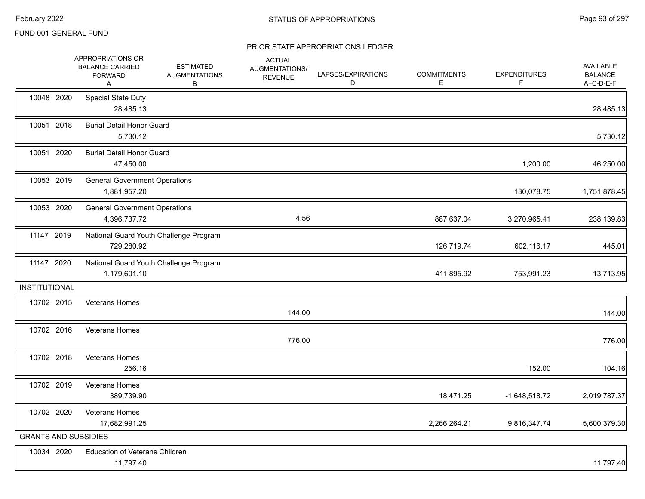|                      | APPROPRIATIONS OR<br><b>BALANCE CARRIED</b><br><b>FORWARD</b><br>A | <b>ESTIMATED</b><br><b>AUGMENTATIONS</b><br>В | <b>ACTUAL</b><br>AUGMENTATIONS/<br><b>REVENUE</b> | LAPSES/EXPIRATIONS<br>D | <b>COMMITMENTS</b><br>Е | <b>EXPENDITURES</b><br>F | AVAILABLE<br><b>BALANCE</b><br>A+C-D-E-F |
|----------------------|--------------------------------------------------------------------|-----------------------------------------------|---------------------------------------------------|-------------------------|-------------------------|--------------------------|------------------------------------------|
| 10048 2020           | <b>Special State Duty</b><br>28,485.13                             |                                               |                                                   |                         |                         |                          | 28,485.13                                |
| 10051 2018           | <b>Burial Detail Honor Guard</b><br>5,730.12                       |                                               |                                                   |                         |                         |                          | 5,730.12                                 |
| 10051 2020           | <b>Burial Detail Honor Guard</b><br>47,450.00                      |                                               |                                                   |                         |                         | 1,200.00                 | 46,250.00                                |
| 10053 2019           | <b>General Government Operations</b><br>1,881,957.20               |                                               |                                                   |                         |                         | 130,078.75               | 1,751,878.45                             |
| 10053 2020           | <b>General Government Operations</b><br>4,396,737.72               |                                               | 4.56                                              |                         | 887,637.04              | 3,270,965.41             | 238,139.83                               |
| 11147 2019           | 729,280.92                                                         | National Guard Youth Challenge Program        |                                                   |                         | 126,719.74              | 602,116.17               | 445.01                                   |
| 11147 2020           | National Guard Youth Challenge Program<br>1,179,601.10             |                                               |                                                   |                         | 411,895.92              | 753,991.23               | 13,713.95                                |
| <b>INSTITUTIONAL</b> |                                                                    |                                               |                                                   |                         |                         |                          |                                          |
| 10702 2015           | <b>Veterans Homes</b>                                              |                                               | 144.00                                            |                         |                         |                          | 144.00                                   |
| 10702 2016           | <b>Veterans Homes</b>                                              |                                               | 776.00                                            |                         |                         |                          | 776.00                                   |
| 10702 2018           | <b>Veterans Homes</b><br>256.16                                    |                                               |                                                   |                         |                         | 152.00                   | 104.16                                   |
| 10702 2019           | <b>Veterans Homes</b><br>389,739.90                                |                                               |                                                   |                         | 18,471.25               | $-1,648,518.72$          | 2,019,787.37                             |
| 10702 2020           | <b>Veterans Homes</b><br>17,682,991.25                             |                                               |                                                   |                         | 2,266,264.21            | 9,816,347.74             | 5,600,379.30                             |
|                      | <b>GRANTS AND SUBSIDIES</b>                                        |                                               |                                                   |                         |                         |                          |                                          |
| 10034 2020           | Education of Veterans Children<br>11,797.40                        |                                               |                                                   |                         |                         |                          | 11,797.40                                |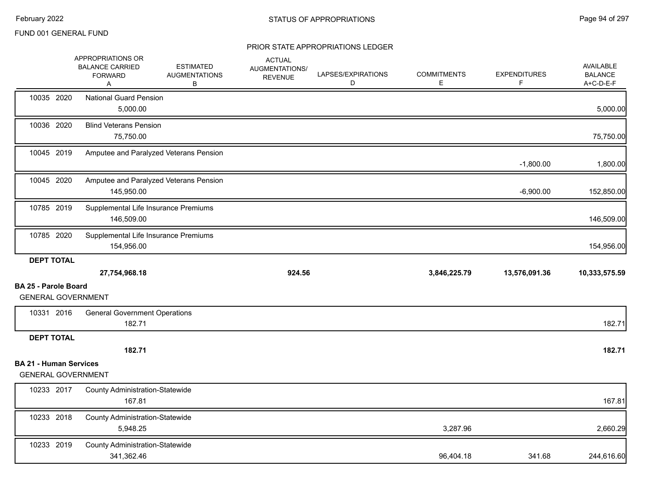|                               | APPROPRIATIONS OR<br><b>BALANCE CARRIED</b><br><b>FORWARD</b><br>A | <b>ESTIMATED</b><br><b>AUGMENTATIONS</b><br>В | <b>ACTUAL</b><br>AUGMENTATIONS/<br><b>REVENUE</b> | LAPSES/EXPIRATIONS<br>D | <b>COMMITMENTS</b><br>E. | <b>EXPENDITURES</b><br>F | <b>AVAILABLE</b><br><b>BALANCE</b><br>A+C-D-E-F |
|-------------------------------|--------------------------------------------------------------------|-----------------------------------------------|---------------------------------------------------|-------------------------|--------------------------|--------------------------|-------------------------------------------------|
| 10035 2020                    | <b>National Guard Pension</b><br>5,000.00                          |                                               |                                                   |                         |                          |                          | 5,000.00                                        |
| 10036 2020                    | <b>Blind Veterans Pension</b><br>75,750.00                         |                                               |                                                   |                         |                          |                          | 75,750.00                                       |
| 10045 2019                    |                                                                    | Amputee and Paralyzed Veterans Pension        |                                                   |                         |                          | $-1,800.00$              | 1,800.00                                        |
| 10045 2020                    | 145,950.00                                                         | Amputee and Paralyzed Veterans Pension        |                                                   |                         |                          | $-6,900.00$              | 152,850.00                                      |
| 10785 2019                    | Supplemental Life Insurance Premiums<br>146,509.00                 |                                               |                                                   |                         |                          |                          | 146,509.00                                      |
| 10785 2020                    | Supplemental Life Insurance Premiums<br>154,956.00                 |                                               |                                                   |                         |                          |                          | 154,956.00                                      |
|                               |                                                                    |                                               |                                                   |                         |                          |                          |                                                 |
| <b>DEPT TOTAL</b>             |                                                                    |                                               |                                                   |                         |                          |                          |                                                 |
|                               | 27,754,968.18                                                      |                                               | 924.56                                            |                         | 3,846,225.79             | 13,576,091.36            |                                                 |
| <b>BA 25 - Parole Board</b>   | <b>GENERAL GOVERNMENT</b>                                          |                                               |                                                   |                         |                          |                          | 10,333,575.59                                   |
| 10331 2016                    | <b>General Government Operations</b>                               |                                               |                                                   |                         |                          |                          |                                                 |
|                               | 182.71                                                             |                                               |                                                   |                         |                          |                          | 182.71                                          |
| <b>DEPT TOTAL</b>             |                                                                    |                                               |                                                   |                         |                          |                          |                                                 |
|                               | 182.71                                                             |                                               |                                                   |                         |                          |                          | 182.71                                          |
| <b>BA 21 - Human Services</b> | <b>GENERAL GOVERNMENT</b>                                          |                                               |                                                   |                         |                          |                          |                                                 |
| 10233 2017                    | <b>County Administration-Statewide</b><br>167.81                   |                                               |                                                   |                         |                          |                          | 167.81                                          |
| 10233 2018                    | <b>County Administration-Statewide</b><br>5,948.25                 |                                               |                                                   |                         | 3,287.96                 |                          | 2,660.29                                        |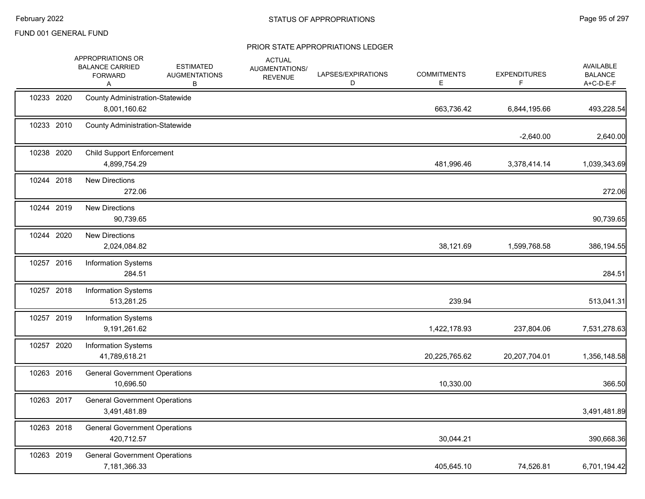|            | APPROPRIATIONS OR<br><b>BALANCE CARRIED</b><br><b>FORWARD</b><br>Α | <b>ESTIMATED</b><br><b>AUGMENTATIONS</b><br>в | <b>ACTUAL</b><br>AUGMENTATIONS/<br><b>REVENUE</b> | LAPSES/EXPIRATIONS<br>D | <b>COMMITMENTS</b><br>E | <b>EXPENDITURES</b><br>F | AVAILABLE<br><b>BALANCE</b><br>A+C-D-E-F |
|------------|--------------------------------------------------------------------|-----------------------------------------------|---------------------------------------------------|-------------------------|-------------------------|--------------------------|------------------------------------------|
| 10233 2020 | <b>County Administration-Statewide</b><br>8,001,160.62             |                                               |                                                   |                         | 663,736.42              | 6,844,195.66             | 493,228.54                               |
| 10233 2010 | <b>County Administration-Statewide</b>                             |                                               |                                                   |                         |                         | $-2,640.00$              | 2,640.00                                 |
| 10238 2020 | <b>Child Support Enforcement</b><br>4,899,754.29                   |                                               |                                                   |                         | 481,996.46              | 3,378,414.14             | 1,039,343.69                             |
| 10244 2018 | <b>New Directions</b><br>272.06                                    |                                               |                                                   |                         |                         |                          | 272.06                                   |
| 10244 2019 | <b>New Directions</b><br>90,739.65                                 |                                               |                                                   |                         |                         |                          | 90,739.65                                |
| 10244 2020 | <b>New Directions</b><br>2,024,084.82                              |                                               |                                                   |                         | 38,121.69               | 1,599,768.58             | 386,194.55                               |
| 10257 2016 | <b>Information Systems</b><br>284.51                               |                                               |                                                   |                         |                         |                          | 284.51                                   |
| 10257 2018 | <b>Information Systems</b><br>513,281.25                           |                                               |                                                   |                         | 239.94                  |                          | 513,041.31                               |
| 10257 2019 | <b>Information Systems</b><br>9,191,261.62                         |                                               |                                                   |                         | 1,422,178.93            | 237,804.06               | 7,531,278.63                             |
| 10257 2020 | <b>Information Systems</b><br>41,789,618.21                        |                                               |                                                   |                         | 20,225,765.62           | 20,207,704.01            | 1,356,148.58                             |
| 10263 2016 | <b>General Government Operations</b><br>10,696.50                  |                                               |                                                   |                         | 10,330.00               |                          | 366.50                                   |
| 10263 2017 | <b>General Government Operations</b><br>3,491,481.89               |                                               |                                                   |                         |                         |                          | 3,491,481.89                             |
| 10263 2018 | <b>General Government Operations</b><br>420,712.57                 |                                               |                                                   |                         | 30,044.21               |                          | 390,668.36                               |
| 10263 2019 | <b>General Government Operations</b><br>7,181,366.33               |                                               |                                                   |                         | 405,645.10              | 74,526.81                | 6,701,194.42                             |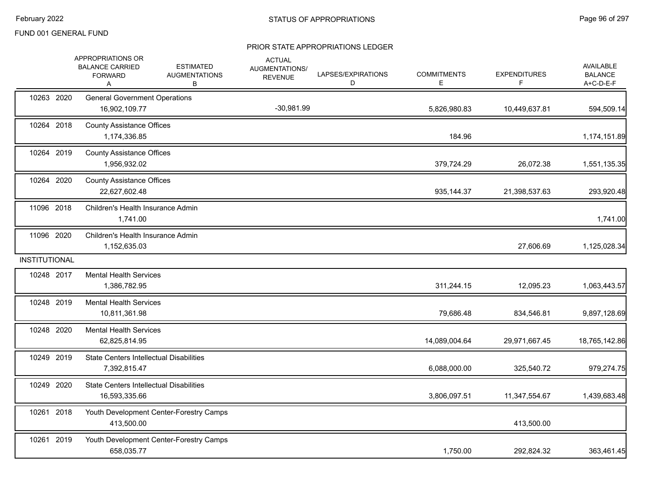|                      | APPROPRIATIONS OR<br><b>BALANCE CARRIED</b><br><b>FORWARD</b><br>Α | <b>ESTIMATED</b><br><b>AUGMENTATIONS</b><br>В | <b>ACTUAL</b><br>AUGMENTATIONS/<br><b>REVENUE</b> | LAPSES/EXPIRATIONS<br>D | <b>COMMITMENTS</b><br>E | <b>EXPENDITURES</b><br>F. | <b>AVAILABLE</b><br><b>BALANCE</b><br>A+C-D-E-F |
|----------------------|--------------------------------------------------------------------|-----------------------------------------------|---------------------------------------------------|-------------------------|-------------------------|---------------------------|-------------------------------------------------|
| 10263 2020           | <b>General Government Operations</b><br>16,902,109.77              |                                               | $-30,981.99$                                      |                         | 5,826,980.83            | 10,449,637.81             | 594,509.14                                      |
| 10264 2018           | <b>County Assistance Offices</b><br>1,174,336.85                   |                                               |                                                   |                         | 184.96                  |                           | 1,174,151.89                                    |
| 10264 2019           | <b>County Assistance Offices</b><br>1,956,932.02                   |                                               |                                                   |                         | 379,724.29              | 26,072.38                 | 1,551,135.35                                    |
| 10264 2020           | <b>County Assistance Offices</b><br>22,627,602.48                  |                                               |                                                   |                         | 935, 144. 37            | 21,398,537.63             | 293,920.48                                      |
| 11096 2018           | Children's Health Insurance Admin<br>1,741.00                      |                                               |                                                   |                         |                         |                           | 1,741.00                                        |
| 11096 2020           | Children's Health Insurance Admin<br>1,152,635.03                  |                                               |                                                   |                         |                         | 27,606.69                 | 1,125,028.34                                    |
| <b>INSTITUTIONAL</b> |                                                                    |                                               |                                                   |                         |                         |                           |                                                 |
| 10248 2017           | <b>Mental Health Services</b><br>1,386,782.95                      |                                               |                                                   |                         | 311,244.15              | 12,095.23                 | 1,063,443.57                                    |
| 10248 2019           | <b>Mental Health Services</b><br>10,811,361.98                     |                                               |                                                   |                         | 79,686.48               | 834,546.81                | 9,897,128.69                                    |
| 10248 2020           | <b>Mental Health Services</b><br>62,825,814.95                     |                                               |                                                   |                         | 14,089,004.64           | 29,971,667.45             | 18,765,142.86                                   |
| 10249 2019           | <b>State Centers Intellectual Disabilities</b><br>7,392,815.47     |                                               |                                                   |                         | 6,088,000.00            | 325,540.72                | 979,274.75                                      |
| 10249 2020           | <b>State Centers Intellectual Disabilities</b><br>16,593,335.66    |                                               |                                                   |                         | 3,806,097.51            | 11,347,554.67             | 1,439,683.48                                    |
| 10261 2018           | 413,500.00                                                         | Youth Development Center-Forestry Camps       |                                                   |                         |                         | 413,500.00                |                                                 |
| 10261 2019           | 658,035.77                                                         | Youth Development Center-Forestry Camps       |                                                   |                         | 1,750.00                | 292,824.32                | 363,461.45                                      |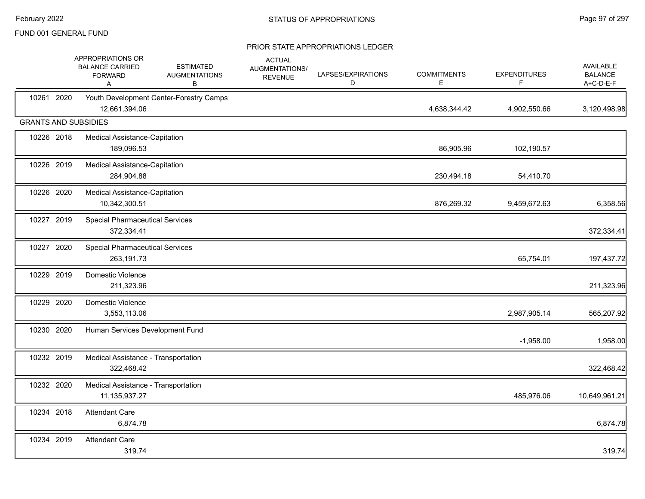|            | APPROPRIATIONS OR<br><b>BALANCE CARRIED</b><br><b>FORWARD</b><br>A | <b>ESTIMATED</b><br><b>AUGMENTATIONS</b><br>B | <b>ACTUAL</b><br>AUGMENTATIONS/<br><b>REVENUE</b> | LAPSES/EXPIRATIONS<br>D | <b>COMMITMENTS</b><br>Е | <b>EXPENDITURES</b><br>F | <b>AVAILABLE</b><br><b>BALANCE</b><br>A+C-D-E-F |
|------------|--------------------------------------------------------------------|-----------------------------------------------|---------------------------------------------------|-------------------------|-------------------------|--------------------------|-------------------------------------------------|
| 10261 2020 | 12,661,394.06                                                      | Youth Development Center-Forestry Camps       |                                                   |                         | 4,638,344.42            | 4,902,550.66             | 3,120,498.98                                    |
|            | <b>GRANTS AND SUBSIDIES</b>                                        |                                               |                                                   |                         |                         |                          |                                                 |
| 10226 2018 | Medical Assistance-Capitation<br>189,096.53                        |                                               |                                                   |                         | 86,905.96               | 102,190.57               |                                                 |
| 10226 2019 | Medical Assistance-Capitation<br>284,904.88                        |                                               |                                                   |                         | 230,494.18              | 54,410.70                |                                                 |
| 10226 2020 | Medical Assistance-Capitation<br>10,342,300.51                     |                                               |                                                   |                         | 876,269.32              | 9,459,672.63             | 6,358.56                                        |
| 10227 2019 | <b>Special Pharmaceutical Services</b><br>372,334.41               |                                               |                                                   |                         |                         |                          | 372,334.41                                      |
| 10227 2020 | <b>Special Pharmaceutical Services</b><br>263,191.73               |                                               |                                                   |                         |                         | 65,754.01                | 197,437.72                                      |
| 10229 2019 | Domestic Violence<br>211,323.96                                    |                                               |                                                   |                         |                         |                          | 211,323.96                                      |
| 10229 2020 | Domestic Violence<br>3,553,113.06                                  |                                               |                                                   |                         |                         | 2,987,905.14             | 565,207.92                                      |
| 10230 2020 | Human Services Development Fund                                    |                                               |                                                   |                         |                         | $-1,958.00$              | 1,958.00                                        |
| 10232 2019 | Medical Assistance - Transportation<br>322,468.42                  |                                               |                                                   |                         |                         |                          | 322,468.42                                      |
| 10232 2020 | Medical Assistance - Transportation<br>11, 135, 937. 27            |                                               |                                                   |                         |                         | 485,976.06               | 10,649,961.21                                   |
| 10234 2018 | <b>Attendant Care</b><br>6,874.78                                  |                                               |                                                   |                         |                         |                          | 6,874.78                                        |
| 10234 2019 | <b>Attendant Care</b><br>319.74                                    |                                               |                                                   |                         |                         |                          | 319.74                                          |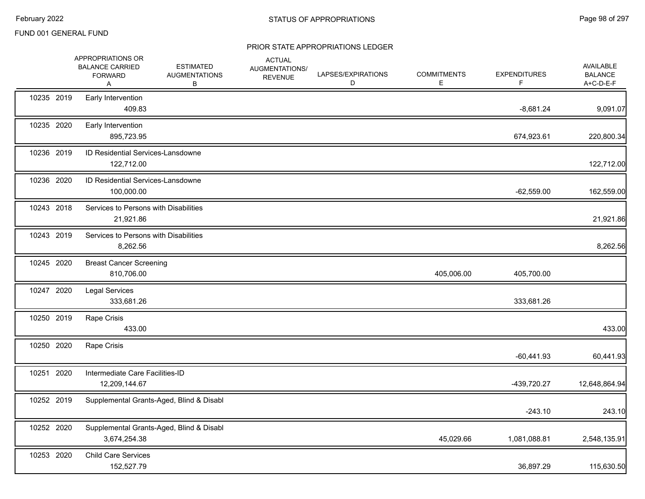|            | APPROPRIATIONS OR<br><b>BALANCE CARRIED</b><br><b>FORWARD</b><br>Α | <b>ESTIMATED</b><br><b>AUGMENTATIONS</b><br>В | <b>ACTUAL</b><br>AUGMENTATIONS/<br><b>REVENUE</b> | LAPSES/EXPIRATIONS<br>D | <b>COMMITMENTS</b><br>Е | <b>EXPENDITURES</b><br>F | <b>AVAILABLE</b><br><b>BALANCE</b><br>A+C-D-E-F |
|------------|--------------------------------------------------------------------|-----------------------------------------------|---------------------------------------------------|-------------------------|-------------------------|--------------------------|-------------------------------------------------|
| 10235 2019 | Early Intervention<br>409.83                                       |                                               |                                                   |                         |                         | $-8,681.24$              | 9,091.07                                        |
| 10235 2020 | Early Intervention<br>895,723.95                                   |                                               |                                                   |                         |                         | 674,923.61               | 220,800.34                                      |
| 10236 2019 | ID Residential Services-Lansdowne<br>122,712.00                    |                                               |                                                   |                         |                         |                          | 122,712.00                                      |
| 10236 2020 | ID Residential Services-Lansdowne<br>100,000.00                    |                                               |                                                   |                         |                         | $-62,559.00$             | 162,559.00                                      |
| 10243 2018 | Services to Persons with Disabilities<br>21,921.86                 |                                               |                                                   |                         |                         |                          | 21,921.86                                       |
| 10243 2019 | Services to Persons with Disabilities<br>8,262.56                  |                                               |                                                   |                         |                         |                          | 8,262.56                                        |
| 10245 2020 | <b>Breast Cancer Screening</b><br>810,706.00                       |                                               |                                                   |                         | 405,006.00              | 405,700.00               |                                                 |
| 10247 2020 | <b>Legal Services</b><br>333,681.26                                |                                               |                                                   |                         |                         | 333,681.26               |                                                 |
| 10250 2019 | Rape Crisis<br>433.00                                              |                                               |                                                   |                         |                         |                          | 433.00                                          |
| 10250 2020 | Rape Crisis                                                        |                                               |                                                   |                         |                         | $-60,441.93$             | 60,441.93                                       |
| 10251 2020 | Intermediate Care Facilities-ID<br>12,209,144.67                   |                                               |                                                   |                         |                         | -439,720.27              | 12,648,864.94                                   |
| 10252 2019 |                                                                    | Supplemental Grants-Aged, Blind & Disabl      |                                                   |                         |                         | $-243.10$                | 243.10                                          |
| 10252 2020 | 3,674,254.38                                                       | Supplemental Grants-Aged, Blind & Disabl      |                                                   |                         | 45,029.66               | 1,081,088.81             | 2,548,135.91                                    |
| 10253 2020 | <b>Child Care Services</b><br>152,527.79                           |                                               |                                                   |                         |                         | 36,897.29                | 115,630.50                                      |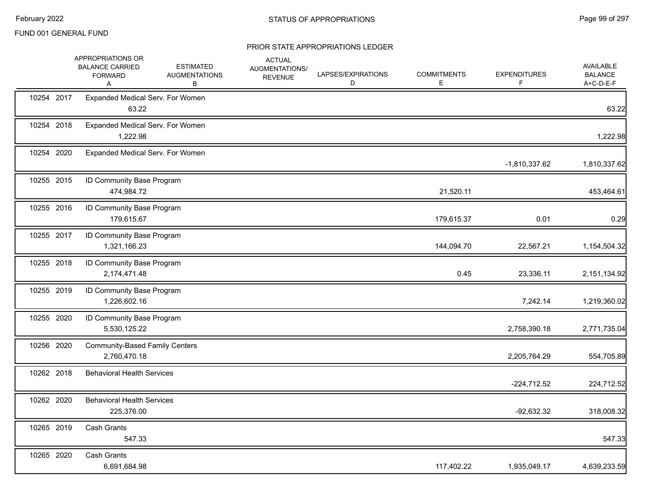|            | APPROPRIATIONS OR<br><b>BALANCE CARRIED</b><br><b>FORWARD</b><br>Α | <b>ESTIMATED</b><br><b>AUGMENTATIONS</b><br>В | <b>ACTUAL</b><br>AUGMENTATIONS/<br><b>REVENUE</b> | LAPSES/EXPIRATIONS<br>D | <b>COMMITMENTS</b><br>E | <b>EXPENDITURES</b><br>F. | AVAILABLE<br><b>BALANCE</b><br>A+C-D-E-F |
|------------|--------------------------------------------------------------------|-----------------------------------------------|---------------------------------------------------|-------------------------|-------------------------|---------------------------|------------------------------------------|
| 10254 2017 | Expanded Medical Serv. For Women<br>63.22                          |                                               |                                                   |                         |                         |                           | 63.22                                    |
| 10254 2018 | Expanded Medical Serv. For Women<br>1,222.98                       |                                               |                                                   |                         |                         |                           | 1,222.98                                 |
| 10254 2020 | Expanded Medical Serv. For Women                                   |                                               |                                                   |                         |                         | $-1,810,337.62$           | 1,810,337.62                             |
| 10255 2015 | ID Community Base Program<br>474,984.72                            |                                               |                                                   |                         | 21,520.11               |                           | 453,464.61                               |
| 10255 2016 | ID Community Base Program<br>179,615.67                            |                                               |                                                   |                         | 179,615.37              | 0.01                      | 0.29                                     |
| 10255 2017 | ID Community Base Program<br>1,321,166.23                          |                                               |                                                   |                         | 144,094.70              | 22,567.21                 | 1,154,504.32                             |
| 10255 2018 | ID Community Base Program<br>2,174,471.48                          |                                               |                                                   |                         | 0.45                    | 23,336.11                 | 2,151,134.92                             |
| 10255 2019 | ID Community Base Program<br>1,226,602.16                          |                                               |                                                   |                         |                         | 7,242.14                  | 1,219,360.02                             |
| 10255 2020 | ID Community Base Program<br>5,530,125.22                          |                                               |                                                   |                         |                         | 2,758,390.18              | 2,771,735.04                             |
| 10256 2020 | <b>Community-Based Family Centers</b><br>2,760,470.18              |                                               |                                                   |                         |                         | 2,205,764.29              | 554,705.89                               |
| 10262 2018 | <b>Behavioral Health Services</b>                                  |                                               |                                                   |                         |                         | $-224,712.52$             | 224,712.52                               |
| 10262 2020 | <b>Behavioral Health Services</b><br>225,376.00                    |                                               |                                                   |                         |                         | $-92,632.32$              | 318,008.32                               |
| 10265 2019 | Cash Grants<br>547.33                                              |                                               |                                                   |                         |                         |                           | 547.33                                   |
| 10265 2020 | <b>Cash Grants</b><br>6,691,684.98                                 |                                               |                                                   |                         | 117,402.22              | 1,935,049.17              | 4,639,233.59                             |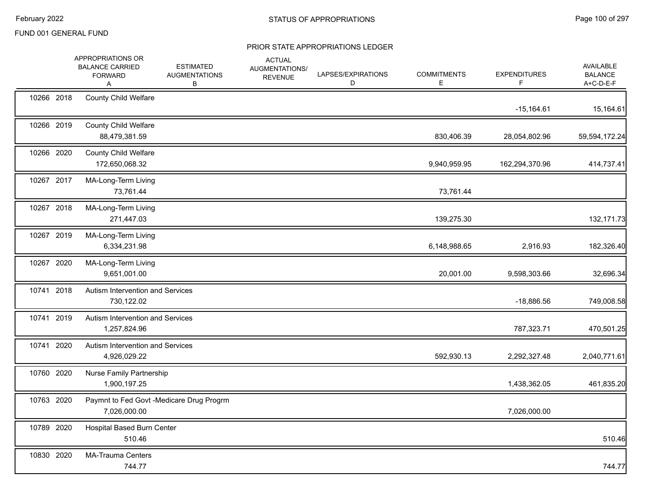|            | APPROPRIATIONS OR<br><b>BALANCE CARRIED</b><br><b>FORWARD</b><br>Α | <b>ESTIMATED</b><br><b>AUGMENTATIONS</b><br>В | <b>ACTUAL</b><br>AUGMENTATIONS/<br><b>REVENUE</b> | LAPSES/EXPIRATIONS<br>D | <b>COMMITMENTS</b><br>Е | <b>EXPENDITURES</b><br>F | AVAILABLE<br><b>BALANCE</b><br>A+C-D-E-F |
|------------|--------------------------------------------------------------------|-----------------------------------------------|---------------------------------------------------|-------------------------|-------------------------|--------------------------|------------------------------------------|
| 10266 2018 | <b>County Child Welfare</b>                                        |                                               |                                                   |                         |                         | $-15,164.61$             | 15,164.61                                |
| 10266 2019 | <b>County Child Welfare</b><br>88,479,381.59                       |                                               |                                                   |                         | 830,406.39              | 28,054,802.96            | 59,594,172.24                            |
| 10266 2020 | <b>County Child Welfare</b><br>172,650,068.32                      |                                               |                                                   |                         | 9,940,959.95            | 162,294,370.96           | 414,737.41                               |
| 10267 2017 | MA-Long-Term Living<br>73,761.44                                   |                                               |                                                   |                         | 73,761.44               |                          |                                          |
| 10267 2018 | MA-Long-Term Living<br>271,447.03                                  |                                               |                                                   |                         | 139,275.30              |                          | 132, 171.73                              |
| 10267 2019 | MA-Long-Term Living<br>6,334,231.98                                |                                               |                                                   |                         | 6,148,988.65            | 2,916.93                 | 182,326.40                               |
| 10267 2020 | MA-Long-Term Living<br>9,651,001.00                                |                                               |                                                   |                         | 20,001.00               | 9,598,303.66             | 32,696.34                                |
| 10741 2018 | Autism Intervention and Services<br>730,122.02                     |                                               |                                                   |                         |                         | $-18,886.56$             | 749,008.58                               |
| 10741 2019 | Autism Intervention and Services<br>1,257,824.96                   |                                               |                                                   |                         |                         | 787,323.71               | 470,501.25                               |
| 10741 2020 | Autism Intervention and Services<br>4,926,029.22                   |                                               |                                                   |                         | 592,930.13              | 2,292,327.48             | 2,040,771.61                             |
| 10760 2020 | Nurse Family Partnership<br>1,900,197.25                           |                                               |                                                   |                         |                         | 1,438,362.05             | 461,835.20                               |
| 10763 2020 | Paymnt to Fed Govt -Medicare Drug Progrm<br>7,026,000.00           |                                               |                                                   |                         |                         | 7,026,000.00             |                                          |
| 10789 2020 | Hospital Based Burn Center<br>510.46                               |                                               |                                                   |                         |                         |                          | 510.46                                   |
| 10830 2020 | <b>MA-Trauma Centers</b><br>744.77                                 |                                               |                                                   |                         |                         |                          | 744.77                                   |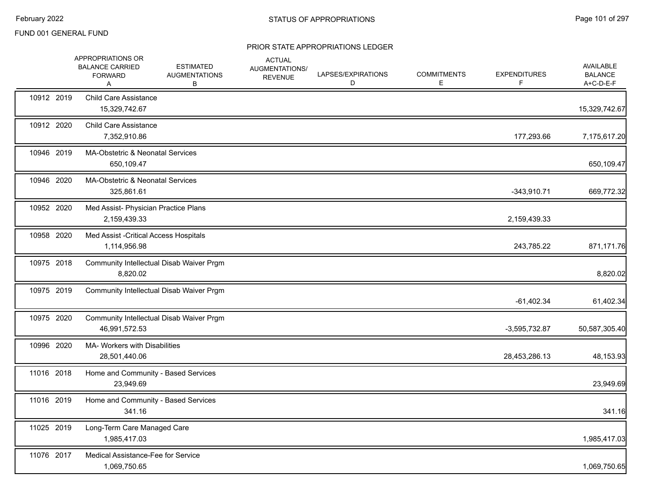|            | APPROPRIATIONS OR<br><b>BALANCE CARRIED</b><br><b>FORWARD</b><br>Α | <b>ESTIMATED</b><br><b>AUGMENTATIONS</b><br>В | <b>ACTUAL</b><br>AUGMENTATIONS/<br><b>REVENUE</b> | LAPSES/EXPIRATIONS<br>D | <b>COMMITMENTS</b><br>E. | <b>EXPENDITURES</b><br>F. | AVAILABLE<br><b>BALANCE</b><br>A+C-D-E-F |
|------------|--------------------------------------------------------------------|-----------------------------------------------|---------------------------------------------------|-------------------------|--------------------------|---------------------------|------------------------------------------|
| 10912 2019 | <b>Child Care Assistance</b><br>15,329,742.67                      |                                               |                                                   |                         |                          |                           | 15,329,742.67                            |
| 10912 2020 | <b>Child Care Assistance</b><br>7,352,910.86                       |                                               |                                                   |                         |                          | 177,293.66                | 7,175,617.20                             |
| 10946 2019 | MA-Obstetric & Neonatal Services<br>650,109.47                     |                                               |                                                   |                         |                          |                           | 650,109.47                               |
| 10946 2020 | MA-Obstetric & Neonatal Services<br>325,861.61                     |                                               |                                                   |                         |                          | $-343,910.71$             | 669,772.32                               |
| 10952 2020 | Med Assist- Physician Practice Plans<br>2,159,439.33               |                                               |                                                   |                         |                          | 2,159,439.33              |                                          |
| 10958 2020 | Med Assist - Critical Access Hospitals<br>1,114,956.98             |                                               |                                                   |                         |                          | 243,785.22                | 871,171.76                               |
| 10975 2018 | 8,820.02                                                           | Community Intellectual Disab Waiver Prgm      |                                                   |                         |                          |                           | 8,820.02                                 |
| 10975 2019 |                                                                    | Community Intellectual Disab Waiver Prgm      |                                                   |                         |                          | $-61,402.34$              | 61,402.34                                |
| 10975 2020 | Community Intellectual Disab Waiver Prgm<br>46,991,572.53          |                                               |                                                   |                         |                          | $-3,595,732.87$           | 50,587,305.40                            |
| 10996 2020 | <b>MA- Workers with Disabilities</b><br>28,501,440.06              |                                               |                                                   |                         |                          | 28,453,286.13             | 48,153.93                                |
| 11016 2018 | Home and Community - Based Services<br>23,949.69                   |                                               |                                                   |                         |                          |                           | 23,949.69                                |
| 11016 2019 | Home and Community - Based Services<br>341.16                      |                                               |                                                   |                         |                          |                           | 341.16                                   |
| 11025 2019 | Long-Term Care Managed Care<br>1,985,417.03                        |                                               |                                                   |                         |                          |                           | 1,985,417.03                             |
| 11076 2017 | Medical Assistance-Fee for Service<br>1,069,750.65                 |                                               |                                                   |                         |                          |                           | 1,069,750.65                             |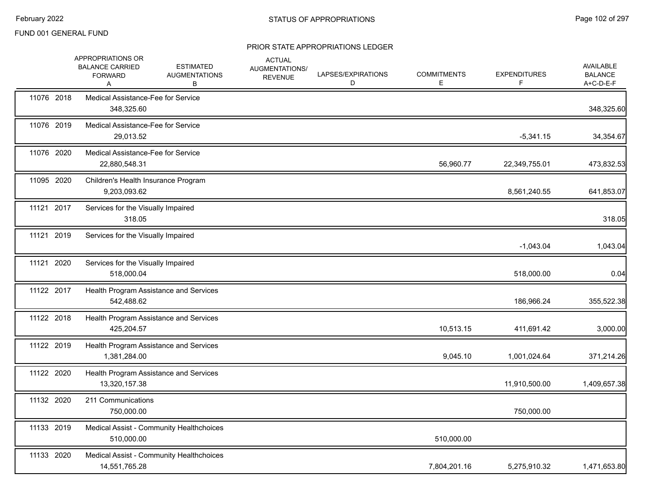|            | APPROPRIATIONS OR<br><b>BALANCE CARRIED</b><br><b>FORWARD</b><br>A | <b>ESTIMATED</b><br><b>AUGMENTATIONS</b><br>в | <b>ACTUAL</b><br>AUGMENTATIONS/<br><b>REVENUE</b> | LAPSES/EXPIRATIONS<br>D | <b>COMMITMENTS</b><br>Е | <b>EXPENDITURES</b><br>F | AVAILABLE<br><b>BALANCE</b><br>A+C-D-E-F |
|------------|--------------------------------------------------------------------|-----------------------------------------------|---------------------------------------------------|-------------------------|-------------------------|--------------------------|------------------------------------------|
| 11076 2018 | 348,325.60                                                         | Medical Assistance-Fee for Service            |                                                   |                         |                         |                          | 348,325.60                               |
| 11076 2019 | 29,013.52                                                          | Medical Assistance-Fee for Service            |                                                   |                         |                         | $-5,341.15$              | 34,354.67                                |
| 11076 2020 | 22,880,548.31                                                      | Medical Assistance-Fee for Service            |                                                   |                         | 56,960.77               | 22,349,755.01            | 473,832.53                               |
| 11095 2020 | 9,203,093.62                                                       | Children's Health Insurance Program           |                                                   |                         |                         | 8,561,240.55             | 641,853.07                               |
| 11121 2017 | 318.05                                                             | Services for the Visually Impaired            |                                                   |                         |                         |                          | 318.05                                   |
| 11121 2019 |                                                                    | Services for the Visually Impaired            |                                                   |                         |                         | $-1,043.04$              | 1,043.04                                 |
| 11121 2020 | 518,000.04                                                         | Services for the Visually Impaired            |                                                   |                         |                         | 518,000.00               | 0.04                                     |
| 11122 2017 | 542,488.62                                                         | Health Program Assistance and Services        |                                                   |                         |                         | 186,966.24               | 355,522.38                               |
| 11122 2018 | 425,204.57                                                         | Health Program Assistance and Services        |                                                   |                         | 10,513.15               | 411,691.42               | 3,000.00                                 |
| 11122 2019 | 1,381,284.00                                                       | Health Program Assistance and Services        |                                                   |                         | 9,045.10                | 1,001,024.64             | 371,214.26                               |
| 11122 2020 | 13,320,157.38                                                      | Health Program Assistance and Services        |                                                   |                         |                         | 11,910,500.00            | 1,409,657.38                             |
| 11132 2020 | 211 Communications<br>750,000.00                                   |                                               |                                                   |                         |                         | 750,000.00               |                                          |
| 11133 2019 | 510,000.00                                                         | Medical Assist - Community Healthchoices      |                                                   |                         | 510,000.00              |                          |                                          |
| 11133 2020 | 14,551,765.28                                                      | Medical Assist - Community Healthchoices      |                                                   |                         | 7,804,201.16            | 5,275,910.32             | 1,471,653.80                             |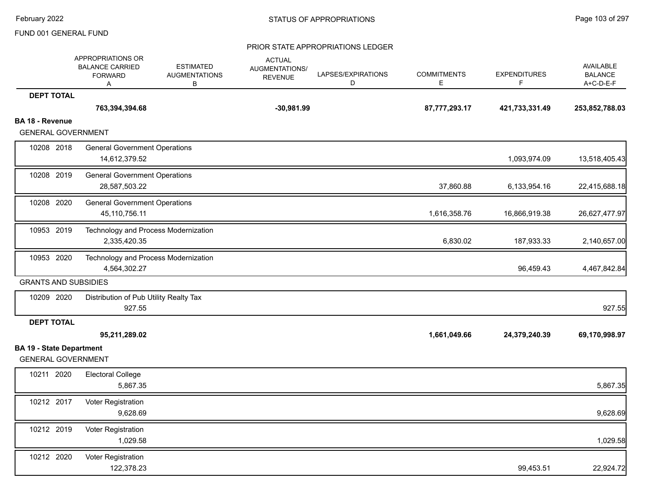|                                                              | APPROPRIATIONS OR<br><b>BALANCE CARRIED</b><br><b>FORWARD</b><br>Α | <b>ESTIMATED</b><br><b>AUGMENTATIONS</b><br>в | <b>ACTUAL</b><br>AUGMENTATIONS/<br><b>REVENUE</b> | LAPSES/EXPIRATIONS<br>D | <b>COMMITMENTS</b><br>E | <b>EXPENDITURES</b><br>F. | AVAILABLE<br><b>BALANCE</b><br>A+C-D-E-F |
|--------------------------------------------------------------|--------------------------------------------------------------------|-----------------------------------------------|---------------------------------------------------|-------------------------|-------------------------|---------------------------|------------------------------------------|
| <b>DEPT TOTAL</b>                                            |                                                                    |                                               |                                                   |                         |                         |                           |                                          |
|                                                              | 763,394,394.68                                                     |                                               | $-30,981.99$                                      |                         | 87,777,293.17           | 421,733,331.49            | 253,852,788.03                           |
| <b>BA 18 - Revenue</b>                                       |                                                                    |                                               |                                                   |                         |                         |                           |                                          |
| <b>GENERAL GOVERNMENT</b>                                    |                                                                    |                                               |                                                   |                         |                         |                           |                                          |
| 10208 2018                                                   | <b>General Government Operations</b><br>14,612,379.52              |                                               |                                                   |                         |                         | 1,093,974.09              | 13,518,405.43                            |
| 10208 2019                                                   | <b>General Government Operations</b>                               |                                               |                                                   |                         |                         |                           |                                          |
|                                                              | 28,587,503.22                                                      |                                               |                                                   |                         | 37,860.88               | 6,133,954.16              | 22,415,688.18                            |
| 10208 2020                                                   | <b>General Government Operations</b><br>45,110,756.11              |                                               |                                                   |                         | 1,616,358.76            | 16,866,919.38             | 26,627,477.97                            |
| 10953 2019                                                   | Technology and Process Modernization<br>2,335,420.35               |                                               |                                                   |                         | 6,830.02                | 187,933.33                | 2,140,657.00                             |
| 10953 2020                                                   | Technology and Process Modernization<br>4,564,302.27               |                                               |                                                   |                         |                         | 96,459.43                 | 4,467,842.84                             |
| <b>GRANTS AND SUBSIDIES</b>                                  |                                                                    |                                               |                                                   |                         |                         |                           |                                          |
| 10209 2020                                                   | Distribution of Pub Utility Realty Tax<br>927.55                   |                                               |                                                   |                         |                         |                           | 927.55                                   |
| <b>DEPT TOTAL</b>                                            |                                                                    |                                               |                                                   |                         |                         |                           |                                          |
|                                                              | 95,211,289.02                                                      |                                               |                                                   |                         | 1,661,049.66            | 24,379,240.39             | 69,170,998.97                            |
| <b>BA 19 - State Department</b><br><b>GENERAL GOVERNMENT</b> |                                                                    |                                               |                                                   |                         |                         |                           |                                          |
| 10211 2020                                                   | <b>Electoral College</b><br>5,867.35                               |                                               |                                                   |                         |                         |                           | 5,867.35                                 |
| 10212 2017                                                   | Voter Registration<br>9,628.69                                     |                                               |                                                   |                         |                         |                           | 9,628.69                                 |
| 10212 2019                                                   | Voter Registration<br>1,029.58                                     |                                               |                                                   |                         |                         |                           | 1,029.58                                 |
| 10212 2020                                                   | Voter Registration<br>122,378.23                                   |                                               |                                                   |                         |                         | 99,453.51                 | 22,924.72                                |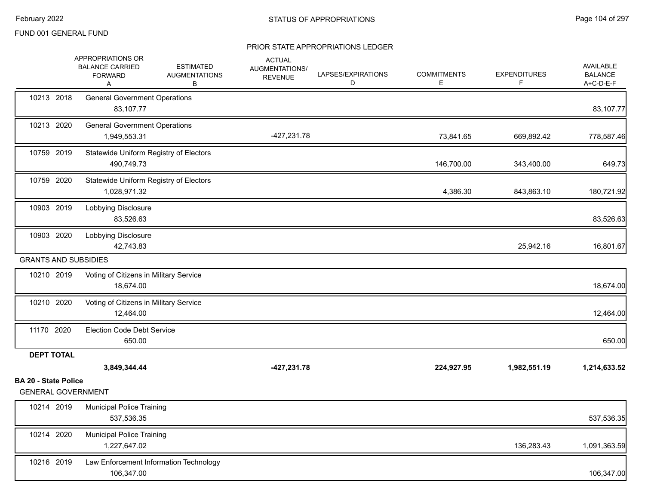|                                                          | APPROPRIATIONS OR<br><b>BALANCE CARRIED</b><br><b>FORWARD</b><br>A | <b>ESTIMATED</b><br><b>AUGMENTATIONS</b><br>В | <b>ACTUAL</b><br>AUGMENTATIONS/<br><b>REVENUE</b> | LAPSES/EXPIRATIONS<br>D | <b>COMMITMENTS</b><br>Е | <b>EXPENDITURES</b><br>F | AVAILABLE<br><b>BALANCE</b><br>A+C-D-E-F |
|----------------------------------------------------------|--------------------------------------------------------------------|-----------------------------------------------|---------------------------------------------------|-------------------------|-------------------------|--------------------------|------------------------------------------|
| 10213 2018                                               | <b>General Government Operations</b><br>83,107.77                  |                                               |                                                   |                         |                         |                          | 83,107.77                                |
| 10213 2020                                               | <b>General Government Operations</b><br>1,949,553.31               |                                               | -427,231.78                                       |                         | 73,841.65               | 669,892.42               | 778,587.46                               |
| 10759 2019                                               | Statewide Uniform Registry of Electors<br>490,749.73               |                                               |                                                   |                         | 146,700.00              | 343,400.00               | 649.73                                   |
| 10759 2020                                               | Statewide Uniform Registry of Electors<br>1,028,971.32             |                                               |                                                   |                         | 4,386.30                | 843,863.10               | 180,721.92                               |
| 10903 2019                                               | Lobbying Disclosure<br>83,526.63                                   |                                               |                                                   |                         |                         |                          | 83,526.63                                |
| 10903 2020                                               | Lobbying Disclosure<br>42,743.83                                   |                                               |                                                   |                         |                         | 25,942.16                | 16,801.67                                |
| <b>GRANTS AND SUBSIDIES</b>                              |                                                                    |                                               |                                                   |                         |                         |                          |                                          |
| 10210 2019                                               | Voting of Citizens in Military Service<br>18,674.00                |                                               |                                                   |                         |                         |                          | 18,674.00                                |
| 10210 2020                                               | Voting of Citizens in Military Service<br>12,464.00                |                                               |                                                   |                         |                         |                          | 12,464.00                                |
| 11170 2020                                               | Election Code Debt Service<br>650.00                               |                                               |                                                   |                         |                         |                          | 650.00                                   |
| <b>DEPT TOTAL</b>                                        |                                                                    |                                               |                                                   |                         |                         |                          |                                          |
|                                                          | 3,849,344.44                                                       |                                               | -427,231.78                                       |                         | 224,927.95              | 1,982,551.19             | 1,214,633.52                             |
| <b>BA 20 - State Police</b><br><b>GENERAL GOVERNMENT</b> |                                                                    |                                               |                                                   |                         |                         |                          |                                          |
| 10214 2019                                               | <b>Municipal Police Training</b><br>537,536.35                     |                                               |                                                   |                         |                         |                          | 537,536.35                               |
| 10214 2020                                               | <b>Municipal Police Training</b><br>1,227,647.02                   |                                               |                                                   |                         |                         | 136,283.43               | 1,091,363.59                             |
| 10216 2019                                               | 106,347.00                                                         | Law Enforcement Information Technology        |                                                   |                         |                         |                          | 106,347.00                               |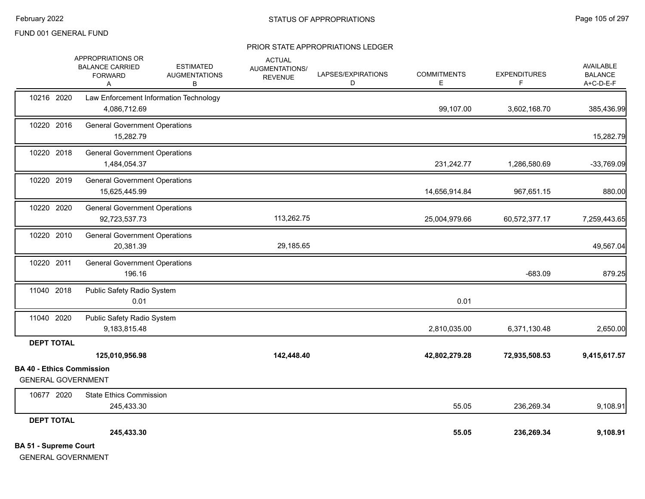#### PRIOR STATE APPROPRIATIONS LEDGER

|                                  | APPROPRIATIONS OR<br><b>BALANCE CARRIED</b>           | <b>ESTIMATED</b>                       | <b>ACTUAL</b><br>AUGMENTATIONS/ |                         |                         |                          | <b>AVAILABLE</b>            |
|----------------------------------|-------------------------------------------------------|----------------------------------------|---------------------------------|-------------------------|-------------------------|--------------------------|-----------------------------|
|                                  | <b>FORWARD</b><br>A                                   | <b>AUGMENTATIONS</b><br>В              | <b>REVENUE</b>                  | LAPSES/EXPIRATIONS<br>D | <b>COMMITMENTS</b><br>E | <b>EXPENDITURES</b><br>F | <b>BALANCE</b><br>A+C-D-E-F |
| 10216 2020                       |                                                       | Law Enforcement Information Technology |                                 |                         |                         |                          |                             |
|                                  | 4,086,712.69                                          |                                        |                                 |                         | 99,107.00               | 3,602,168.70             | 385,436.99                  |
| 10220 2016                       | <b>General Government Operations</b><br>15,282.79     |                                        |                                 |                         |                         |                          | 15,282.79                   |
| 10220 2018                       | <b>General Government Operations</b><br>1,484,054.37  |                                        |                                 |                         | 231,242.77              | 1,286,580.69             | $-33,769.09$                |
| 10220 2019                       | <b>General Government Operations</b><br>15,625,445.99 |                                        |                                 |                         | 14,656,914.84           | 967,651.15               | 880.00                      |
| 10220 2020                       | <b>General Government Operations</b><br>92,723,537.73 |                                        | 113,262.75                      |                         | 25,004,979.66           | 60,572,377.17            | 7,259,443.65                |
| 10220 2010                       | <b>General Government Operations</b><br>20,381.39     |                                        | 29,185.65                       |                         |                         |                          | 49,567.04                   |
| 10220 2011                       | <b>General Government Operations</b><br>196.16        |                                        |                                 |                         |                         | $-683.09$                | 879.25                      |
| 11040 2018                       | Public Safety Radio System<br>0.01                    |                                        |                                 |                         | 0.01                    |                          |                             |
| 11040 2020                       | Public Safety Radio System<br>9,183,815.48            |                                        |                                 |                         | 2,810,035.00            | 6,371,130.48             | 2,650.00                    |
| <b>DEPT TOTAL</b>                |                                                       |                                        |                                 |                         |                         |                          |                             |
|                                  | 125,010,956.98                                        |                                        | 142,448.40                      |                         | 42,802,279.28           | 72,935,508.53            | 9,415,617.57                |
| <b>BA 40 - Ethics Commission</b> |                                                       |                                        |                                 |                         |                         |                          |                             |
| <b>GENERAL GOVERNMENT</b>        |                                                       |                                        |                                 |                         |                         |                          |                             |
| 10677 2020                       | <b>State Ethics Commission</b><br>245,433.30          |                                        |                                 |                         | 55.05                   | 236,269.34               | 9,108.91                    |
| <b>DEPT TOTAL</b>                |                                                       |                                        |                                 |                         |                         |                          |                             |
|                                  | 245,433.30                                            |                                        |                                 |                         | 55.05                   | 236,269.34               | 9,108.91                    |
| <b>BA 51 - Supreme Court</b>     |                                                       |                                        |                                 |                         |                         |                          |                             |

GENERAL GOVERNMENT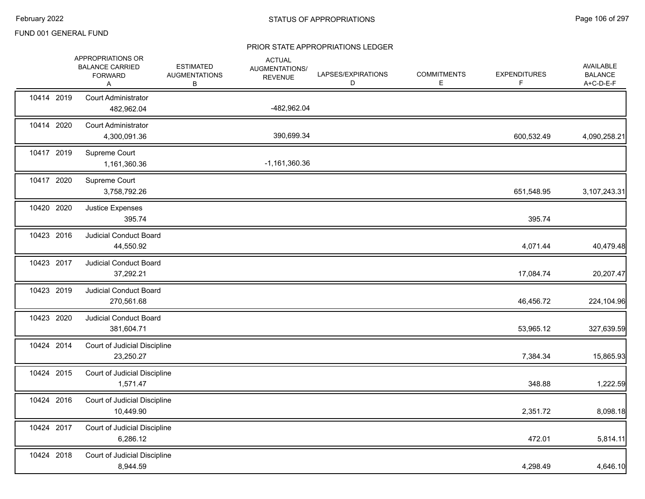|            | APPROPRIATIONS OR<br><b>BALANCE CARRIED</b><br><b>FORWARD</b><br>Α | <b>ESTIMATED</b><br><b>AUGMENTATIONS</b><br>В | <b>ACTUAL</b><br>AUGMENTATIONS/<br><b>REVENUE</b> | LAPSES/EXPIRATIONS<br>D | <b>COMMITMENTS</b><br>E | <b>EXPENDITURES</b><br>F | AVAILABLE<br><b>BALANCE</b><br>A+C-D-E-F |
|------------|--------------------------------------------------------------------|-----------------------------------------------|---------------------------------------------------|-------------------------|-------------------------|--------------------------|------------------------------------------|
| 10414 2019 | <b>Court Administrator</b><br>482,962.04                           |                                               | -482,962.04                                       |                         |                         |                          |                                          |
| 10414 2020 | <b>Court Administrator</b><br>4,300,091.36                         |                                               | 390,699.34                                        |                         |                         | 600,532.49               | 4,090,258.21                             |
| 10417 2019 | Supreme Court<br>1,161,360.36                                      |                                               | $-1,161,360.36$                                   |                         |                         |                          |                                          |
| 10417 2020 | Supreme Court<br>3,758,792.26                                      |                                               |                                                   |                         |                         | 651,548.95               | 3,107,243.31                             |
| 10420 2020 | Justice Expenses<br>395.74                                         |                                               |                                                   |                         |                         | 395.74                   |                                          |
| 10423 2016 | <b>Judicial Conduct Board</b><br>44,550.92                         |                                               |                                                   |                         |                         | 4,071.44                 | 40,479.48                                |
| 10423 2017 | Judicial Conduct Board<br>37,292.21                                |                                               |                                                   |                         |                         | 17,084.74                | 20,207.47                                |
| 10423 2019 | <b>Judicial Conduct Board</b><br>270,561.68                        |                                               |                                                   |                         |                         | 46,456.72                | 224,104.96                               |
| 10423 2020 | Judicial Conduct Board<br>381,604.71                               |                                               |                                                   |                         |                         | 53,965.12                | 327,639.59                               |
| 10424 2014 | Court of Judicial Discipline<br>23,250.27                          |                                               |                                                   |                         |                         | 7,384.34                 | 15,865.93                                |
| 10424 2015 | Court of Judicial Discipline<br>1,571.47                           |                                               |                                                   |                         |                         | 348.88                   | 1,222.59                                 |
| 10424 2016 | Court of Judicial Discipline<br>10,449.90                          |                                               |                                                   |                         |                         | 2,351.72                 | 8,098.18                                 |
| 10424 2017 | Court of Judicial Discipline<br>6,286.12                           |                                               |                                                   |                         |                         | 472.01                   | 5,814.11                                 |
| 10424 2018 | Court of Judicial Discipline<br>8,944.59                           |                                               |                                                   |                         |                         | 4,298.49                 | 4,646.10                                 |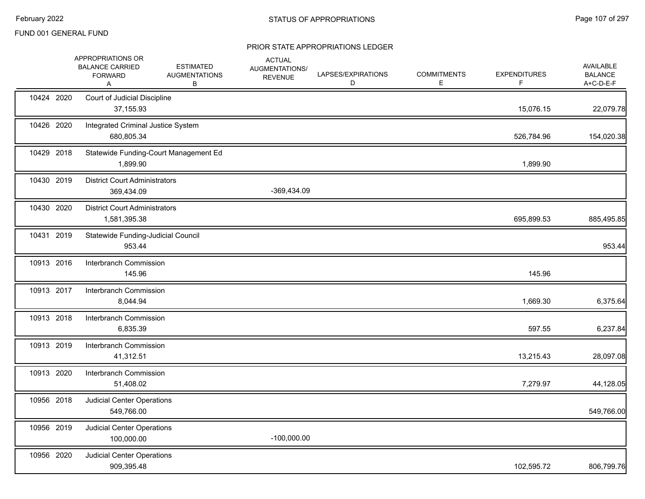|            | APPROPRIATIONS OR<br><b>BALANCE CARRIED</b><br><b>FORWARD</b><br>Α | <b>ESTIMATED</b><br><b>AUGMENTATIONS</b><br>в | <b>ACTUAL</b><br>AUGMENTATIONS/<br><b>REVENUE</b> | LAPSES/EXPIRATIONS<br>D | <b>COMMITMENTS</b><br>Е | <b>EXPENDITURES</b><br>F | AVAILABLE<br><b>BALANCE</b><br>A+C-D-E-F |
|------------|--------------------------------------------------------------------|-----------------------------------------------|---------------------------------------------------|-------------------------|-------------------------|--------------------------|------------------------------------------|
| 10424 2020 | Court of Judicial Discipline<br>37,155.93                          |                                               |                                                   |                         |                         | 15,076.15                | 22,079.78                                |
| 10426 2020 | Integrated Criminal Justice System<br>680,805.34                   |                                               |                                                   |                         |                         | 526,784.96               | 154,020.38                               |
| 10429 2018 | 1,899.90                                                           | Statewide Funding-Court Management Ed         |                                                   |                         |                         | 1,899.90                 |                                          |
| 10430 2019 | <b>District Court Administrators</b><br>369,434.09                 |                                               | -369,434.09                                       |                         |                         |                          |                                          |
| 10430 2020 | <b>District Court Administrators</b><br>1,581,395.38               |                                               |                                                   |                         |                         | 695,899.53               | 885,495.85                               |
| 10431 2019 | Statewide Funding-Judicial Council<br>953.44                       |                                               |                                                   |                         |                         |                          | 953.44                                   |
| 10913 2016 | Interbranch Commission<br>145.96                                   |                                               |                                                   |                         |                         | 145.96                   |                                          |
| 10913 2017 | Interbranch Commission<br>8,044.94                                 |                                               |                                                   |                         |                         | 1,669.30                 | 6,375.64                                 |
| 10913 2018 | Interbranch Commission<br>6,835.39                                 |                                               |                                                   |                         |                         | 597.55                   | 6,237.84                                 |
| 10913 2019 | Interbranch Commission<br>41,312.51                                |                                               |                                                   |                         |                         | 13,215.43                | 28,097.08                                |
| 10913 2020 | Interbranch Commission<br>51,408.02                                |                                               |                                                   |                         |                         | 7,279.97                 | 44,128.05                                |
| 10956 2018 | <b>Judicial Center Operations</b><br>549,766.00                    |                                               |                                                   |                         |                         |                          | 549,766.00                               |
| 10956 2019 | <b>Judicial Center Operations</b><br>100,000.00                    |                                               | $-100,000.00$                                     |                         |                         |                          |                                          |
| 10956 2020 | <b>Judicial Center Operations</b><br>909,395.48                    |                                               |                                                   |                         |                         | 102,595.72               | 806,799.76                               |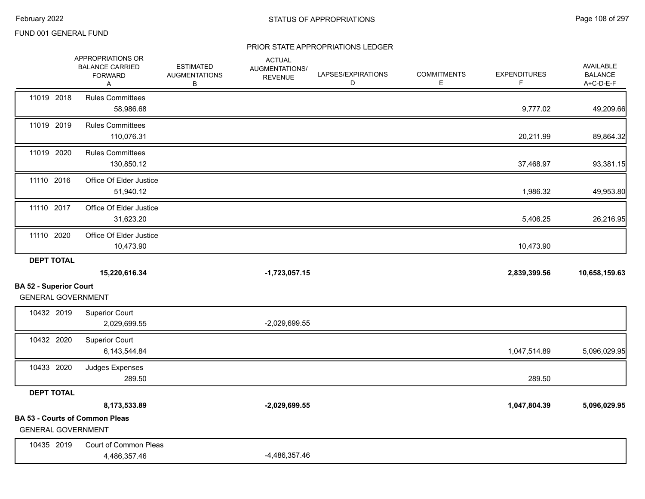|                                                            | APPROPRIATIONS OR<br><b>BALANCE CARRIED</b><br><b>FORWARD</b><br>Α | <b>ESTIMATED</b><br><b>AUGMENTATIONS</b><br>В | <b>ACTUAL</b><br>AUGMENTATIONS/<br><b>REVENUE</b> | LAPSES/EXPIRATIONS<br>D | <b>COMMITMENTS</b><br>E. | <b>EXPENDITURES</b><br>F. | AVAILABLE<br><b>BALANCE</b><br>A+C-D-E-F |
|------------------------------------------------------------|--------------------------------------------------------------------|-----------------------------------------------|---------------------------------------------------|-------------------------|--------------------------|---------------------------|------------------------------------------|
| 11019 2018                                                 | <b>Rules Committees</b><br>58,986.68                               |                                               |                                                   |                         |                          | 9,777.02                  | 49,209.66                                |
| 11019 2019                                                 | <b>Rules Committees</b><br>110,076.31                              |                                               |                                                   |                         |                          | 20,211.99                 | 89,864.32                                |
| 11019 2020                                                 | <b>Rules Committees</b><br>130,850.12                              |                                               |                                                   |                         |                          | 37,468.97                 | 93,381.15                                |
| 11110 2016                                                 | Office Of Elder Justice<br>51,940.12                               |                                               |                                                   |                         |                          | 1,986.32                  | 49,953.80                                |
| 11110 2017                                                 | Office Of Elder Justice<br>31,623.20                               |                                               |                                                   |                         |                          | 5,406.25                  | 26,216.95                                |
| 11110 2020                                                 | Office Of Elder Justice<br>10,473.90                               |                                               |                                                   |                         |                          | 10,473.90                 |                                          |
| <b>DEPT TOTAL</b>                                          |                                                                    |                                               |                                                   |                         |                          |                           |                                          |
|                                                            | 15,220,616.34                                                      |                                               | $-1,723,057.15$                                   |                         |                          | 2,839,399.56              | 10,658,159.63                            |
| <b>BA 52 - Superior Court</b><br><b>GENERAL GOVERNMENT</b> |                                                                    |                                               |                                                   |                         |                          |                           |                                          |
| 10432 2019                                                 | <b>Superior Court</b><br>2,029,699.55                              |                                               | $-2,029,699.55$                                   |                         |                          |                           |                                          |
| 10432 2020                                                 | <b>Superior Court</b><br>6,143,544.84                              |                                               |                                                   |                         |                          | 1,047,514.89              | 5,096,029.95                             |
| 10433 2020                                                 | Judges Expenses<br>289.50                                          |                                               |                                                   |                         |                          | 289.50                    |                                          |
| <b>DEPT TOTAL</b>                                          |                                                                    |                                               |                                                   |                         |                          |                           |                                          |
|                                                            | 8,173,533.89                                                       |                                               | $-2,029,699.55$                                   |                         |                          | 1,047,804.39              | 5,096,029.95                             |
| <b>GENERAL GOVERNMENT</b>                                  | <b>BA 53 - Courts of Common Pleas</b>                              |                                               |                                                   |                         |                          |                           |                                          |
| 10435 2019                                                 | Court of Common Pleas<br>4,486,357.46                              |                                               | $-4,486,357.46$                                   |                         |                          |                           |                                          |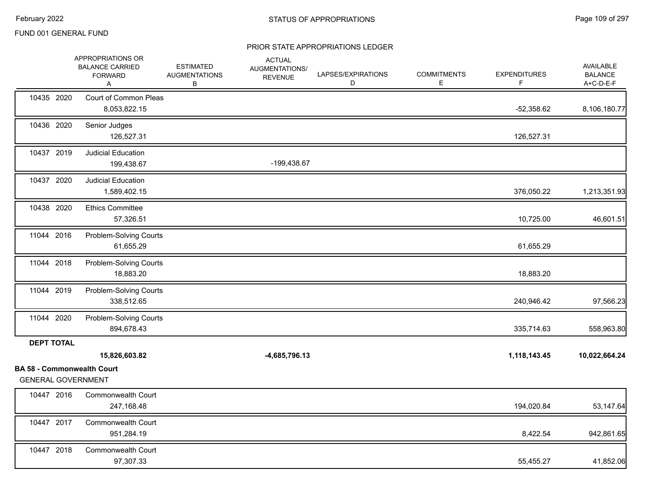#### PRIOR STATE APPROPRIATIONS LEDGER

|                   | APPROPRIATIONS OR<br><b>BALANCE CARRIED</b><br><b>FORWARD</b><br>A | <b>ESTIMATED</b><br><b>AUGMENTATIONS</b><br>В | <b>ACTUAL</b><br>AUGMENTATIONS/<br><b>REVENUE</b> | LAPSES/EXPIRATIONS<br>D | <b>COMMITMENTS</b><br>E. | <b>EXPENDITURES</b><br>F | <b>AVAILABLE</b><br><b>BALANCE</b><br>A+C-D-E-F |
|-------------------|--------------------------------------------------------------------|-----------------------------------------------|---------------------------------------------------|-------------------------|--------------------------|--------------------------|-------------------------------------------------|
| 10435 2020        | Court of Common Pleas<br>8,053,822.15                              |                                               |                                                   |                         |                          | $-52,358.62$             | 8,106,180.77                                    |
| 10436 2020        | Senior Judges<br>126,527.31                                        |                                               |                                                   |                         |                          | 126,527.31               |                                                 |
| 10437 2019        | <b>Judicial Education</b><br>199,438.67                            |                                               | -199,438.67                                       |                         |                          |                          |                                                 |
| 10437 2020        | <b>Judicial Education</b><br>1,589,402.15                          |                                               |                                                   |                         |                          | 376,050.22               | 1,213,351.93                                    |
| 10438 2020        | <b>Ethics Committee</b><br>57,326.51                               |                                               |                                                   |                         |                          | 10,725.00                | 46,601.51                                       |
| 11044 2016        | Problem-Solving Courts<br>61,655.29                                |                                               |                                                   |                         |                          | 61,655.29                |                                                 |
| 11044 2018        | <b>Problem-Solving Courts</b><br>18,883.20                         |                                               |                                                   |                         |                          | 18,883.20                |                                                 |
| 11044 2019        | Problem-Solving Courts<br>338,512.65                               |                                               |                                                   |                         |                          | 240,946.42               | 97,566.23                                       |
| 11044 2020        | Problem-Solving Courts<br>894,678.43                               |                                               |                                                   |                         |                          | 335,714.63               | 558,963.80                                      |
| <b>DEPT TOTAL</b> |                                                                    |                                               |                                                   |                         |                          |                          |                                                 |
|                   | 15,826,603.82                                                      |                                               | $-4,685,796.13$                                   |                         |                          | 1,118,143.45             | 10,022,664.24                                   |
|                   | <b>BA 58 - Commonwealth Court</b><br><b>GENERAL GOVERNMENT</b>     |                                               |                                                   |                         |                          |                          |                                                 |
| 10447 2016        | <b>Commonwealth Court</b><br>247,168.48                            |                                               |                                                   |                         |                          | 194,020.84               | 53,147.64                                       |
| 10447 2017        | <b>Commonwealth Court</b><br>951,284.19                            |                                               |                                                   |                         |                          | 8,422.54                 | 942,861.65                                      |
| 10447 2018        | <b>Commonwealth Court</b><br>97,307.33                             |                                               |                                                   |                         |                          | 55,455.27                | 41,852.06                                       |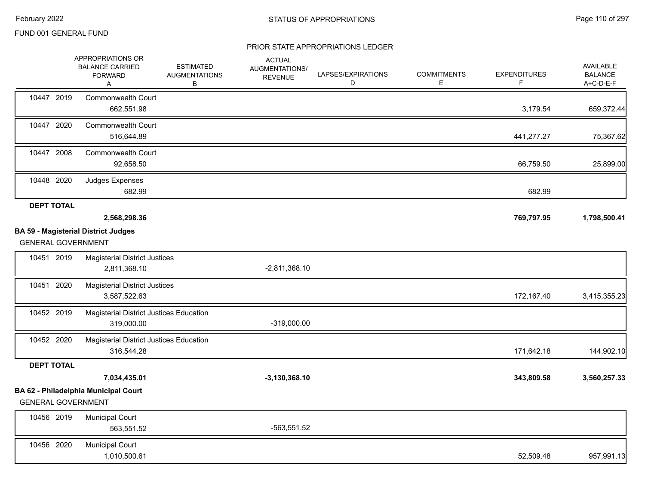#### PRIOR STATE APPROPRIATIONS LEDGER

|                           | APPROPRIATIONS OR<br><b>BALANCE CARRIED</b><br><b>FORWARD</b><br>Α | <b>ESTIMATED</b><br><b>AUGMENTATIONS</b><br>в | <b>ACTUAL</b><br>AUGMENTATIONS/<br><b>REVENUE</b> | LAPSES/EXPIRATIONS<br>D | <b>COMMITMENTS</b><br>Ε | <b>EXPENDITURES</b><br>F | AVAILABLE<br><b>BALANCE</b><br>A+C-D-E-F |
|---------------------------|--------------------------------------------------------------------|-----------------------------------------------|---------------------------------------------------|-------------------------|-------------------------|--------------------------|------------------------------------------|
| 10447 2019                | <b>Commonwealth Court</b><br>662,551.98                            |                                               |                                                   |                         |                         | 3,179.54                 | 659,372.44                               |
| 10447 2020                | Commonwealth Court<br>516,644.89                                   |                                               |                                                   |                         |                         | 441,277.27               | 75,367.62                                |
| 10447 2008                | Commonwealth Court<br>92,658.50                                    |                                               |                                                   |                         |                         | 66,759.50                | 25,899.00                                |
| 10448 2020                | Judges Expenses<br>682.99                                          |                                               |                                                   |                         |                         | 682.99                   |                                          |
| <b>DEPT TOTAL</b>         |                                                                    |                                               |                                                   |                         |                         |                          |                                          |
|                           | 2,568,298.36                                                       |                                               |                                                   |                         |                         | 769,797.95               | 1,798,500.41                             |
|                           | <b>BA 59 - Magisterial District Judges</b>                         |                                               |                                                   |                         |                         |                          |                                          |
| <b>GENERAL GOVERNMENT</b> |                                                                    |                                               |                                                   |                         |                         |                          |                                          |
| 10451 2019                | <b>Magisterial District Justices</b><br>2,811,368.10               |                                               | $-2,811,368.10$                                   |                         |                         |                          |                                          |
| 10451 2020                | <b>Magisterial District Justices</b><br>3,587,522.63               |                                               |                                                   |                         |                         | 172,167.40               | 3,415,355.23                             |
| 10452 2019                | Magisterial District Justices Education<br>319,000.00              |                                               | -319,000.00                                       |                         |                         |                          |                                          |
| 10452 2020                | Magisterial District Justices Education<br>316,544.28              |                                               |                                                   |                         |                         | 171,642.18               | 144,902.10                               |
| <b>DEPT TOTAL</b>         |                                                                    |                                               |                                                   |                         |                         |                          |                                          |
|                           | 7,034,435.01                                                       |                                               | $-3,130,368.10$                                   |                         |                         | 343,809.58               | 3,560,257.33                             |
|                           | BA 62 - Philadelphia Municipal Court                               |                                               |                                                   |                         |                         |                          |                                          |
| <b>GENERAL GOVERNMENT</b> |                                                                    |                                               |                                                   |                         |                         |                          |                                          |
| 10456 2019                | <b>Municipal Court</b><br>563,551.52                               |                                               | $-563,551.52$                                     |                         |                         |                          |                                          |
| 10456 2020                | <b>Municipal Court</b><br>1,010,500.61                             |                                               |                                                   |                         |                         | 52,509.48                | 957,991.13                               |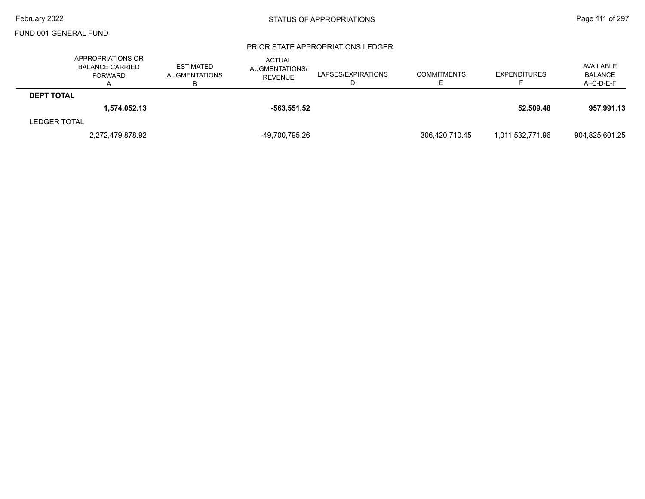#### PRIOR STATE APPROPRIATIONS LEDGER

|                     | APPROPRIATIONS OR<br><b>BALANCE CARRIED</b><br>FORWARD | <b>ESTIMATED</b><br><b>AUGMENTATIONS</b> | <b>ACTUAL</b><br>AUGMENTATIONS/<br><b>REVENUE</b> | LAPSES/EXPIRATIONS | <b>COMMITMENTS</b> | <b>EXPENDITURES</b> | AVAILABLE<br><b>BALANCE</b><br>$A+C-D-E-F$ |
|---------------------|--------------------------------------------------------|------------------------------------------|---------------------------------------------------|--------------------|--------------------|---------------------|--------------------------------------------|
| <b>DEPT TOTAL</b>   |                                                        |                                          |                                                   |                    |                    |                     |                                            |
|                     | 1.574.052.13                                           |                                          | $-563.551.52$                                     |                    |                    | 52.509.48           | 957.991.13                                 |
| <b>LEDGER TOTAL</b> |                                                        |                                          |                                                   |                    |                    |                     |                                            |
|                     | 2,272,479,878.92                                       |                                          | -49,700,795.26                                    |                    | 306,420,710.45     | 1,011,532,771.96    | 904,825,601.25                             |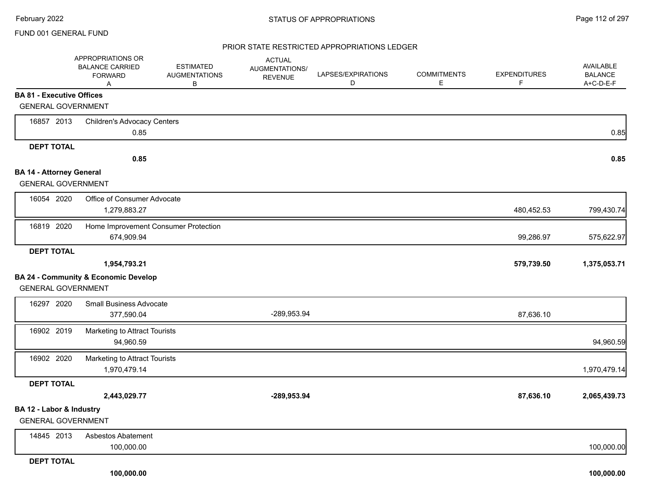#### PRIOR STATE RESTRICTED APPROPRIATIONS LEDGER

|                                  | APPROPRIATIONS OR<br><b>BALANCE CARRIED</b><br><b>FORWARD</b><br>A | <b>ESTIMATED</b><br><b>AUGMENTATIONS</b><br>В | <b>ACTUAL</b><br>AUGMENTATIONS/<br><b>REVENUE</b> | LAPSES/EXPIRATIONS<br>D | <b>COMMITMENTS</b><br>E | <b>EXPENDITURES</b><br>F. | AVAILABLE<br><b>BALANCE</b><br>A+C-D-E-F |
|----------------------------------|--------------------------------------------------------------------|-----------------------------------------------|---------------------------------------------------|-------------------------|-------------------------|---------------------------|------------------------------------------|
| <b>BA 81 - Executive Offices</b> |                                                                    |                                               |                                                   |                         |                         |                           |                                          |
| <b>GENERAL GOVERNMENT</b>        |                                                                    |                                               |                                                   |                         |                         |                           |                                          |
| 16857 2013                       | <b>Children's Advocacy Centers</b>                                 |                                               |                                                   |                         |                         |                           |                                          |
|                                  | 0.85                                                               |                                               |                                                   |                         |                         |                           | 0.85                                     |
| <b>DEPT TOTAL</b>                |                                                                    |                                               |                                                   |                         |                         |                           |                                          |
|                                  | 0.85                                                               |                                               |                                                   |                         |                         |                           | 0.85                                     |
| <b>BA 14 - Attorney General</b>  |                                                                    |                                               |                                                   |                         |                         |                           |                                          |
| <b>GENERAL GOVERNMENT</b>        |                                                                    |                                               |                                                   |                         |                         |                           |                                          |
| 16054 2020                       | Office of Consumer Advocate<br>1,279,883.27                        |                                               |                                                   |                         |                         | 480,452.53                | 799,430.74                               |
| 16819 2020                       | Home Improvement Consumer Protection<br>674,909.94                 |                                               |                                                   |                         |                         | 99,286.97                 | 575,622.97                               |
| <b>DEPT TOTAL</b>                |                                                                    |                                               |                                                   |                         |                         |                           |                                          |
|                                  | 1,954,793.21                                                       |                                               |                                                   |                         |                         | 579,739.50                | 1,375,053.71                             |
|                                  | <b>BA 24 - Community &amp; Economic Develop</b>                    |                                               |                                                   |                         |                         |                           |                                          |
| <b>GENERAL GOVERNMENT</b>        |                                                                    |                                               |                                                   |                         |                         |                           |                                          |
| 16297 2020                       | <b>Small Business Advocate</b>                                     |                                               |                                                   |                         |                         |                           |                                          |
|                                  | 377,590.04                                                         |                                               | -289,953.94                                       |                         |                         | 87,636.10                 |                                          |
| 16902 2019                       | Marketing to Attract Tourists<br>94,960.59                         |                                               |                                                   |                         |                         |                           | 94,960.59                                |
| 16902 2020                       | Marketing to Attract Tourists                                      |                                               |                                                   |                         |                         |                           |                                          |
|                                  | 1,970,479.14                                                       |                                               |                                                   |                         |                         |                           | 1,970,479.14                             |
| <b>DEPT TOTAL</b>                |                                                                    |                                               |                                                   |                         |                         |                           |                                          |
|                                  | 2,443,029.77                                                       |                                               | -289,953.94                                       |                         |                         | 87,636.10                 | 2,065,439.73                             |
| BA 12 - Labor & Industry         |                                                                    |                                               |                                                   |                         |                         |                           |                                          |
| <b>GENERAL GOVERNMENT</b>        |                                                                    |                                               |                                                   |                         |                         |                           |                                          |
| 14845 2013                       | Asbestos Abatement                                                 |                                               |                                                   |                         |                         |                           |                                          |
|                                  | 100,000.00                                                         |                                               |                                                   |                         |                         |                           | 100,000.00                               |
| DEDT TOTAL                       |                                                                    |                                               |                                                   |                         |                         |                           |                                          |

**DEPT TOTAL**

 **100,000.00 100,000.00**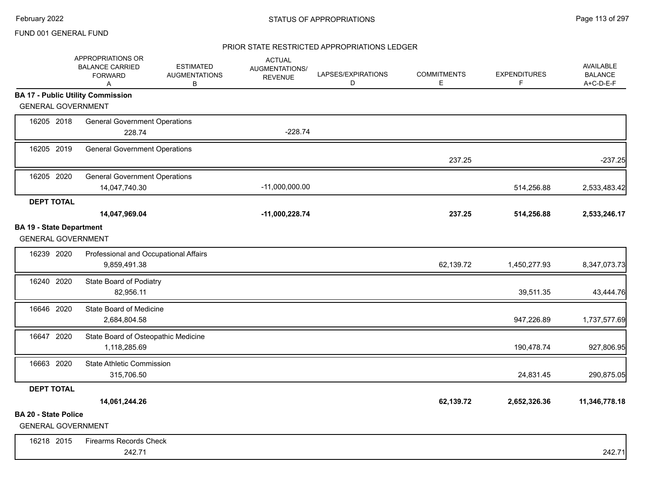# PRIOR STATE RESTRICTED APPROPRIATIONS LEDGER

|                                                              | APPROPRIATIONS OR<br><b>BALANCE CARRIED</b><br><b>FORWARD</b><br>Α | <b>ESTIMATED</b><br><b>AUGMENTATIONS</b><br>В | <b>ACTUAL</b><br>AUGMENTATIONS/<br><b>REVENUE</b> | LAPSES/EXPIRATIONS<br>D | <b>COMMITMENTS</b><br>E | <b>EXPENDITURES</b><br>F | <b>AVAILABLE</b><br><b>BALANCE</b><br>A+C-D-E-F |
|--------------------------------------------------------------|--------------------------------------------------------------------|-----------------------------------------------|---------------------------------------------------|-------------------------|-------------------------|--------------------------|-------------------------------------------------|
|                                                              | <b>BA 17 - Public Utility Commission</b>                           |                                               |                                                   |                         |                         |                          |                                                 |
| <b>GENERAL GOVERNMENT</b>                                    |                                                                    |                                               |                                                   |                         |                         |                          |                                                 |
| 16205 2018                                                   | <b>General Government Operations</b><br>228.74                     |                                               | $-228.74$                                         |                         |                         |                          |                                                 |
| 16205 2019                                                   | <b>General Government Operations</b>                               |                                               |                                                   |                         | 237.25                  |                          | $-237.25$                                       |
| 16205 2020                                                   | <b>General Government Operations</b><br>14,047,740.30              |                                               | $-11,000,000.00$                                  |                         |                         | 514,256.88               | 2,533,483.42                                    |
| <b>DEPT TOTAL</b>                                            | 14,047,969.04                                                      |                                               | -11,000,228.74                                    |                         | 237.25                  | 514,256.88               | 2,533,246.17                                    |
| <b>BA 19 - State Department</b><br><b>GENERAL GOVERNMENT</b> |                                                                    |                                               |                                                   |                         |                         |                          |                                                 |
| 16239 2020                                                   | Professional and Occupational Affairs<br>9,859,491.38              |                                               |                                                   |                         | 62,139.72               | 1,450,277.93             | 8,347,073.73                                    |
| 16240 2020                                                   | State Board of Podiatry<br>82,956.11                               |                                               |                                                   |                         |                         | 39,511.35                | 43,444.76                                       |
| 16646 2020                                                   | State Board of Medicine<br>2,684,804.58                            |                                               |                                                   |                         |                         | 947,226.89               | 1,737,577.69                                    |
| 16647 2020                                                   | State Board of Osteopathic Medicine<br>1,118,285.69                |                                               |                                                   |                         |                         | 190,478.74               | 927,806.95                                      |
| 16663 2020                                                   | <b>State Athletic Commission</b><br>315,706.50                     |                                               |                                                   |                         |                         | 24,831.45                | 290,875.05                                      |
| <b>DEPT TOTAL</b>                                            |                                                                    |                                               |                                                   |                         |                         |                          |                                                 |
|                                                              | 14,061,244.26                                                      |                                               |                                                   |                         | 62,139.72               | 2,652,326.36             | 11,346,778.18                                   |
| <b>BA 20 - State Police</b><br><b>GENERAL GOVERNMENT</b>     |                                                                    |                                               |                                                   |                         |                         |                          |                                                 |
| 16218 2015                                                   | <b>Firearms Records Check</b><br>242.71                            |                                               |                                                   |                         |                         |                          | 242.71                                          |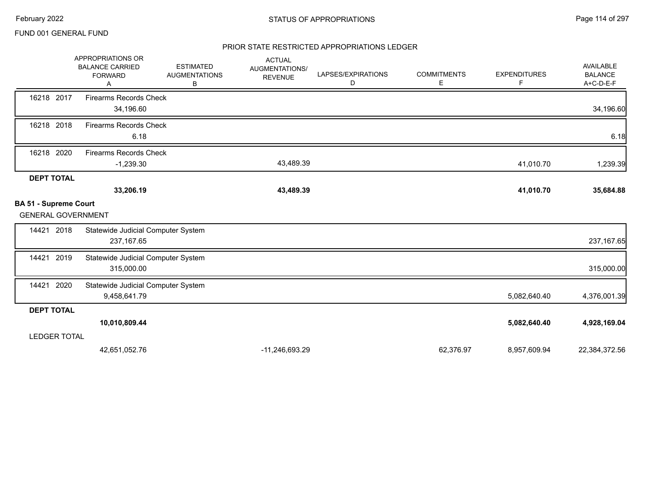#### PRIOR STATE RESTRICTED APPROPRIATIONS LEDGER

|                                                           | APPROPRIATIONS OR<br><b>BALANCE CARRIED</b><br><b>FORWARD</b><br>A | <b>ESTIMATED</b><br><b>AUGMENTATIONS</b><br>В | <b>ACTUAL</b><br>AUGMENTATIONS/<br><b>REVENUE</b> | LAPSES/EXPIRATIONS<br>D | <b>COMMITMENTS</b><br>Е | <b>EXPENDITURES</b><br>F | <b>AVAILABLE</b><br><b>BALANCE</b><br>A+C-D-E-F |
|-----------------------------------------------------------|--------------------------------------------------------------------|-----------------------------------------------|---------------------------------------------------|-------------------------|-------------------------|--------------------------|-------------------------------------------------|
| 16218 2017                                                | <b>Firearms Records Check</b><br>34,196.60                         |                                               |                                                   |                         |                         |                          | 34,196.60                                       |
| 16218 2018                                                | <b>Firearms Records Check</b><br>6.18                              |                                               |                                                   |                         |                         |                          | 6.18                                            |
| 16218 2020                                                | <b>Firearms Records Check</b><br>$-1,239.30$                       |                                               | 43,489.39                                         |                         |                         | 41,010.70                | 1,239.39                                        |
| <b>DEPT TOTAL</b>                                         | 33,206.19                                                          |                                               | 43,489.39                                         |                         |                         | 41,010.70                | 35,684.88                                       |
| <b>BA 51 - Supreme Court</b><br><b>GENERAL GOVERNMENT</b> |                                                                    |                                               |                                                   |                         |                         |                          |                                                 |
| 2018<br>14421                                             | Statewide Judicial Computer System<br>237, 167.65                  |                                               |                                                   |                         |                         |                          | 237, 167.65                                     |
| 2019<br>14421                                             | Statewide Judicial Computer System<br>315,000.00                   |                                               |                                                   |                         |                         |                          | 315,000.00                                      |
| 2020<br>14421                                             | Statewide Judicial Computer System<br>9,458,641.79                 |                                               |                                                   |                         |                         | 5,082,640.40             | 4,376,001.39                                    |
| <b>DEPT TOTAL</b>                                         |                                                                    |                                               |                                                   |                         |                         |                          |                                                 |
|                                                           | 10,010,809.44                                                      |                                               |                                                   |                         |                         | 5,082,640.40             | 4,928,169.04                                    |
| <b>LEDGER TOTAL</b>                                       |                                                                    |                                               |                                                   |                         |                         |                          |                                                 |
|                                                           | 42,651,052.76                                                      |                                               | -11,246,693.29                                    |                         | 62,376.97               | 8,957,609.94             | 22,384,372.56                                   |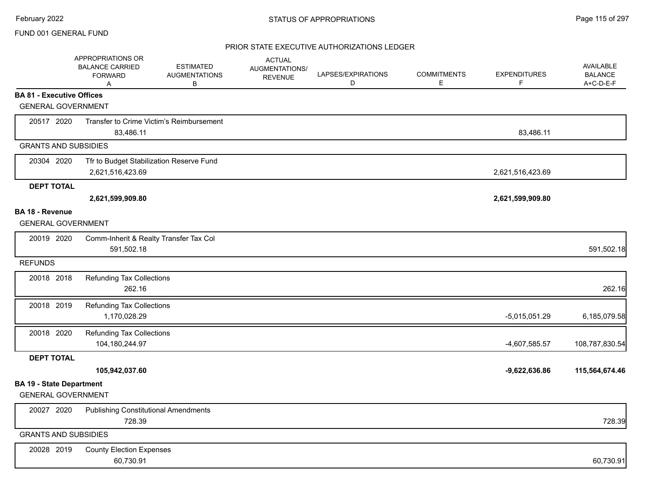## PRIOR STATE EXECUTIVE AUTHORIZATIONS LEDGER

|                                  | APPROPRIATIONS OR<br><b>BALANCE CARRIED</b><br><b>FORWARD</b><br>A | <b>ESTIMATED</b><br><b>AUGMENTATIONS</b><br>В | <b>ACTUAL</b><br>AUGMENTATIONS/<br><b>REVENUE</b> | LAPSES/EXPIRATIONS<br>D | <b>COMMITMENTS</b><br>Е | <b>EXPENDITURES</b><br>F | AVAILABLE<br><b>BALANCE</b><br>A+C-D-E-F |
|----------------------------------|--------------------------------------------------------------------|-----------------------------------------------|---------------------------------------------------|-------------------------|-------------------------|--------------------------|------------------------------------------|
| <b>BA 81 - Executive Offices</b> |                                                                    |                                               |                                                   |                         |                         |                          |                                          |
| <b>GENERAL GOVERNMENT</b>        |                                                                    |                                               |                                                   |                         |                         |                          |                                          |
| 20517 2020                       |                                                                    | Transfer to Crime Victim's Reimbursement      |                                                   |                         |                         |                          |                                          |
|                                  | 83,486.11                                                          |                                               |                                                   |                         |                         | 83,486.11                |                                          |
| <b>GRANTS AND SUBSIDIES</b>      |                                                                    |                                               |                                                   |                         |                         |                          |                                          |
| 20304 2020                       | Tfr to Budget Stabilization Reserve Fund<br>2,621,516,423.69       |                                               |                                                   |                         |                         | 2,621,516,423.69         |                                          |
| <b>DEPT TOTAL</b>                |                                                                    |                                               |                                                   |                         |                         |                          |                                          |
|                                  | 2,621,599,909.80                                                   |                                               |                                                   |                         |                         | 2,621,599,909.80         |                                          |
| BA 18 - Revenue                  |                                                                    |                                               |                                                   |                         |                         |                          |                                          |
| <b>GENERAL GOVERNMENT</b>        |                                                                    |                                               |                                                   |                         |                         |                          |                                          |
| 20019 2020                       | Comm-Inherit & Realty Transfer Tax Col<br>591,502.18               |                                               |                                                   |                         |                         |                          | 591,502.18                               |
| <b>REFUNDS</b>                   |                                                                    |                                               |                                                   |                         |                         |                          |                                          |
| 20018 2018                       | <b>Refunding Tax Collections</b>                                   |                                               |                                                   |                         |                         |                          |                                          |
|                                  | 262.16                                                             |                                               |                                                   |                         |                         |                          | 262.16                                   |
| 20018 2019                       | <b>Refunding Tax Collections</b>                                   |                                               |                                                   |                         |                         |                          |                                          |
|                                  | 1,170,028.29                                                       |                                               |                                                   |                         |                         | $-5,015,051.29$          | 6,185,079.58                             |
| 20018 2020                       | <b>Refunding Tax Collections</b>                                   |                                               |                                                   |                         |                         |                          |                                          |
|                                  | 104,180,244.97                                                     |                                               |                                                   |                         |                         | -4,607,585.57            | 108,787,830.54                           |
| <b>DEPT TOTAL</b>                |                                                                    |                                               |                                                   |                         |                         |                          |                                          |
|                                  | 105,942,037.60                                                     |                                               |                                                   |                         |                         | $-9,622,636.86$          | 115,564,674.46                           |
| <b>BA 19 - State Department</b>  |                                                                    |                                               |                                                   |                         |                         |                          |                                          |
| <b>GENERAL GOVERNMENT</b>        |                                                                    |                                               |                                                   |                         |                         |                          |                                          |
| 20027 2020                       | <b>Publishing Constitutional Amendments</b>                        |                                               |                                                   |                         |                         |                          |                                          |
|                                  | 728.39                                                             |                                               |                                                   |                         |                         |                          | 728.39                                   |
| <b>GRANTS AND SUBSIDIES</b>      |                                                                    |                                               |                                                   |                         |                         |                          |                                          |
| 20028 2019                       | <b>County Election Expenses</b>                                    |                                               |                                                   |                         |                         |                          |                                          |
|                                  | 60,730.91                                                          |                                               |                                                   |                         |                         |                          | 60,730.91                                |
|                                  |                                                                    |                                               |                                                   |                         |                         |                          |                                          |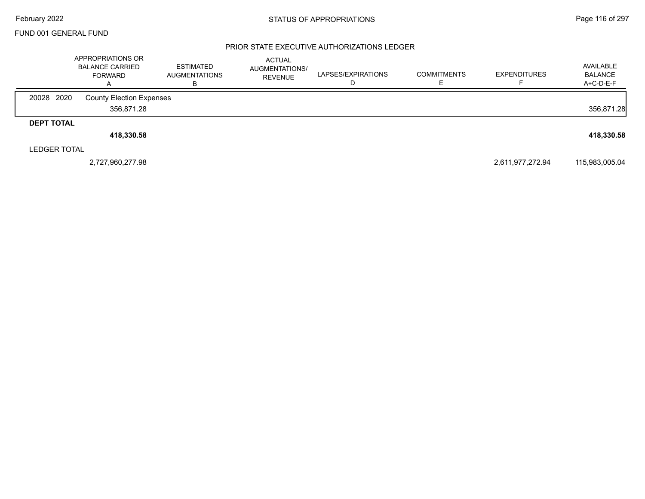#### PRIOR STATE EXECUTIVE AUTHORIZATIONS LEDGER

|                     | APPROPRIATIONS OR<br><b>BALANCE CARRIED</b><br><b>FORWARD</b> | <b>ESTIMATED</b><br><b>AUGMENTATIONS</b><br>в | ACTUAL<br><b>AUGMENTATIONS/</b><br><b>REVENUE</b> | LAPSES/EXPIRATIONS | <b>COMMITMENTS</b> | <b>EXPENDITURES</b> | AVAILABLE<br><b>BALANCE</b><br>A+C-D-E-F |
|---------------------|---------------------------------------------------------------|-----------------------------------------------|---------------------------------------------------|--------------------|--------------------|---------------------|------------------------------------------|
| 20028 2020          | <b>County Election Expenses</b>                               |                                               |                                                   |                    |                    |                     |                                          |
|                     | 356.871.28                                                    |                                               |                                                   |                    |                    |                     | 356,871.28                               |
| <b>DEPT TOTAL</b>   |                                                               |                                               |                                                   |                    |                    |                     |                                          |
|                     | 418,330.58                                                    |                                               |                                                   |                    |                    |                     | 418,330.58                               |
| <b>LEDGER TOTAL</b> |                                                               |                                               |                                                   |                    |                    |                     |                                          |
|                     | 2,727,960,277.98                                              |                                               |                                                   |                    |                    | 2,611,977,272.94    | 115,983,005.04                           |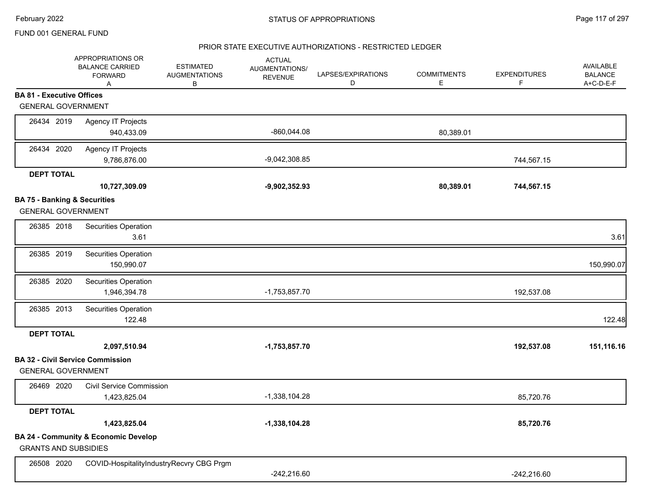#### PRIOR STATE EXECUTIVE AUTHORIZATIONS - RESTRICTED LEDGER

|                                         | APPROPRIATIONS OR<br><b>BALANCE CARRIED</b><br><b>FORWARD</b><br>A | <b>ESTIMATED</b><br><b>AUGMENTATIONS</b><br>В | <b>ACTUAL</b><br>AUGMENTATIONS/<br><b>REVENUE</b> | LAPSES/EXPIRATIONS<br>D | <b>COMMITMENTS</b><br>E | <b>EXPENDITURES</b><br>F. | AVAILABLE<br><b>BALANCE</b><br>A+C-D-E-F |
|-----------------------------------------|--------------------------------------------------------------------|-----------------------------------------------|---------------------------------------------------|-------------------------|-------------------------|---------------------------|------------------------------------------|
| <b>BA 81 - Executive Offices</b>        |                                                                    |                                               |                                                   |                         |                         |                           |                                          |
| <b>GENERAL GOVERNMENT</b>               |                                                                    |                                               |                                                   |                         |                         |                           |                                          |
| 26434 2019                              | <b>Agency IT Projects</b>                                          |                                               |                                                   |                         |                         |                           |                                          |
|                                         | 940,433.09                                                         |                                               | $-860,044.08$                                     |                         | 80,389.01               |                           |                                          |
| 26434 2020                              | <b>Agency IT Projects</b>                                          |                                               |                                                   |                         |                         |                           |                                          |
|                                         | 9,786,876.00                                                       |                                               | $-9,042,308.85$                                   |                         |                         | 744,567.15                |                                          |
| <b>DEPT TOTAL</b>                       |                                                                    |                                               |                                                   |                         |                         |                           |                                          |
|                                         | 10,727,309.09                                                      |                                               | $-9,902,352.93$                                   |                         | 80,389.01               | 744,567.15                |                                          |
| <b>BA 75 - Banking &amp; Securities</b> |                                                                    |                                               |                                                   |                         |                         |                           |                                          |
| <b>GENERAL GOVERNMENT</b>               |                                                                    |                                               |                                                   |                         |                         |                           |                                          |
| 26385 2018                              | Securities Operation                                               |                                               |                                                   |                         |                         |                           |                                          |
|                                         | 3.61                                                               |                                               |                                                   |                         |                         |                           | 3.61                                     |
| 26385 2019                              | Securities Operation                                               |                                               |                                                   |                         |                         |                           |                                          |
|                                         | 150,990.07                                                         |                                               |                                                   |                         |                         |                           | 150,990.07                               |
| 26385 2020                              | Securities Operation                                               |                                               |                                                   |                         |                         |                           |                                          |
|                                         | 1,946,394.78                                                       |                                               | $-1,753,857.70$                                   |                         |                         | 192,537.08                |                                          |
| 26385 2013                              | Securities Operation                                               |                                               |                                                   |                         |                         |                           |                                          |
|                                         | 122.48                                                             |                                               |                                                   |                         |                         |                           | 122.48                                   |
| <b>DEPT TOTAL</b>                       |                                                                    |                                               |                                                   |                         |                         |                           |                                          |
|                                         | 2,097,510.94                                                       |                                               | $-1,753,857.70$                                   |                         |                         | 192,537.08                | 151,116.16                               |
|                                         | <b>BA 32 - Civil Service Commission</b>                            |                                               |                                                   |                         |                         |                           |                                          |
| <b>GENERAL GOVERNMENT</b>               |                                                                    |                                               |                                                   |                         |                         |                           |                                          |
| 26469 2020                              | <b>Civil Service Commission</b>                                    |                                               |                                                   |                         |                         |                           |                                          |
|                                         | 1,423,825.04                                                       |                                               | $-1,338,104.28$                                   |                         |                         | 85,720.76                 |                                          |
| <b>DEPT TOTAL</b>                       |                                                                    |                                               |                                                   |                         |                         |                           |                                          |
|                                         | 1,423,825.04                                                       |                                               | $-1,338,104.28$                                   |                         |                         | 85,720.76                 |                                          |
|                                         | <b>BA 24 - Community &amp; Economic Develop</b>                    |                                               |                                                   |                         |                         |                           |                                          |
| <b>GRANTS AND SUBSIDIES</b>             |                                                                    |                                               |                                                   |                         |                         |                           |                                          |
| 26508 2020                              | COVID-HospitalityIndustryRecvry CBG Prgm                           |                                               |                                                   |                         |                         |                           |                                          |
|                                         |                                                                    |                                               | $-242,216.60$                                     |                         |                         | $-242,216.60$             |                                          |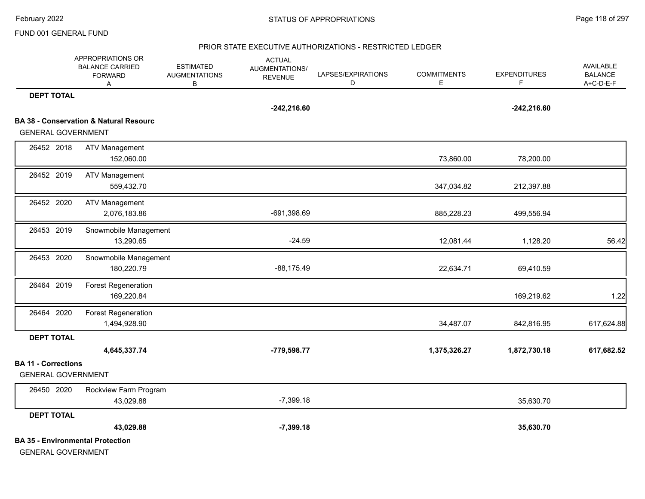#### PRIOR STATE EXECUTIVE AUTHORIZATIONS - RESTRICTED LEDGER

|                            | APPROPRIATIONS OR<br><b>BALANCE CARRIED</b><br><b>FORWARD</b><br>Α | <b>ESTIMATED</b><br><b>AUGMENTATIONS</b><br>В | <b>ACTUAL</b><br>AUGMENTATIONS/<br><b>REVENUE</b> | LAPSES/EXPIRATIONS<br>D | <b>COMMITMENTS</b><br>Е | <b>EXPENDITURES</b><br>F. | <b>AVAILABLE</b><br><b>BALANCE</b><br>A+C-D-E-F |
|----------------------------|--------------------------------------------------------------------|-----------------------------------------------|---------------------------------------------------|-------------------------|-------------------------|---------------------------|-------------------------------------------------|
| <b>DEPT TOTAL</b>          |                                                                    |                                               |                                                   |                         |                         |                           |                                                 |
|                            |                                                                    |                                               | $-242,216.60$                                     |                         |                         | $-242,216.60$             |                                                 |
|                            | <b>BA 38 - Conservation &amp; Natural Resourc</b>                  |                                               |                                                   |                         |                         |                           |                                                 |
| <b>GENERAL GOVERNMENT</b>  |                                                                    |                                               |                                                   |                         |                         |                           |                                                 |
| 26452 2018                 | <b>ATV Management</b>                                              |                                               |                                                   |                         |                         |                           |                                                 |
|                            | 152,060.00                                                         |                                               |                                                   |                         | 73,860.00               | 78,200.00                 |                                                 |
| 26452 2019                 | <b>ATV Management</b>                                              |                                               |                                                   |                         |                         |                           |                                                 |
|                            | 559,432.70                                                         |                                               |                                                   |                         | 347,034.82              | 212,397.88                |                                                 |
| 26452 2020                 | <b>ATV Management</b>                                              |                                               |                                                   |                         |                         |                           |                                                 |
|                            | 2,076,183.86                                                       |                                               | -691,398.69                                       |                         | 885,228.23              | 499,556.94                |                                                 |
| 26453 2019                 | Snowmobile Management                                              |                                               |                                                   |                         |                         |                           |                                                 |
|                            | 13,290.65                                                          |                                               | $-24.59$                                          |                         | 12,081.44               | 1,128.20                  | 56.42                                           |
| 26453 2020                 | Snowmobile Management                                              |                                               |                                                   |                         |                         |                           |                                                 |
|                            | 180,220.79                                                         |                                               | $-88,175.49$                                      |                         | 22,634.71               | 69,410.59                 |                                                 |
| 26464 2019                 | <b>Forest Regeneration</b>                                         |                                               |                                                   |                         |                         |                           |                                                 |
|                            | 169,220.84                                                         |                                               |                                                   |                         |                         | 169,219.62                | 1.22                                            |
| 26464 2020                 | <b>Forest Regeneration</b>                                         |                                               |                                                   |                         |                         |                           |                                                 |
|                            | 1,494,928.90                                                       |                                               |                                                   |                         | 34,487.07               | 842,816.95                | 617,624.88                                      |
| <b>DEPT TOTAL</b>          |                                                                    |                                               |                                                   |                         |                         |                           |                                                 |
|                            | 4,645,337.74                                                       |                                               | -779,598.77                                       |                         | 1,375,326.27            | 1,872,730.18              | 617,682.52                                      |
| <b>BA 11 - Corrections</b> |                                                                    |                                               |                                                   |                         |                         |                           |                                                 |
| <b>GENERAL GOVERNMENT</b>  |                                                                    |                                               |                                                   |                         |                         |                           |                                                 |
| 26450 2020                 | Rockview Farm Program                                              |                                               |                                                   |                         |                         |                           |                                                 |
|                            | 43,029.88                                                          |                                               | $-7,399.18$                                       |                         |                         | 35,630.70                 |                                                 |
| <b>DEPT TOTAL</b>          |                                                                    |                                               |                                                   |                         |                         |                           |                                                 |
|                            | 43,029.88                                                          |                                               | $-7,399.18$                                       |                         |                         | 35,630.70                 |                                                 |
|                            | <b>BA 35 - Environmental Protection</b>                            |                                               |                                                   |                         |                         |                           |                                                 |
| <b>GENERAL GOVERNMENT</b>  |                                                                    |                                               |                                                   |                         |                         |                           |                                                 |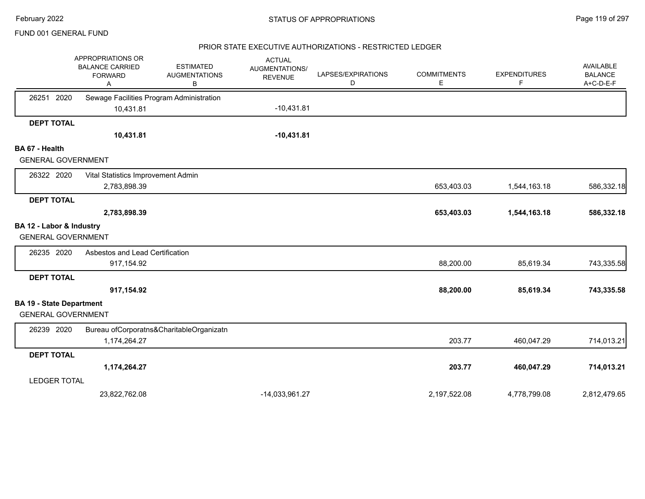#### PRIOR STATE EXECUTIVE AUTHORIZATIONS - RESTRICTED LEDGER

|                                 | APPROPRIATIONS OR<br><b>BALANCE CARRIED</b><br><b>FORWARD</b><br>A | <b>ESTIMATED</b><br><b>AUGMENTATIONS</b><br>В | <b>ACTUAL</b><br>AUGMENTATIONS/<br><b>REVENUE</b> | LAPSES/EXPIRATIONS<br>D | <b>COMMITMENTS</b><br>E | <b>EXPENDITURES</b><br>F | <b>AVAILABLE</b><br><b>BALANCE</b><br>A+C-D-E-F |
|---------------------------------|--------------------------------------------------------------------|-----------------------------------------------|---------------------------------------------------|-------------------------|-------------------------|--------------------------|-------------------------------------------------|
| 26251 2020                      | Sewage Facilities Program Administration                           |                                               |                                                   |                         |                         |                          |                                                 |
|                                 | 10,431.81                                                          |                                               | $-10,431.81$                                      |                         |                         |                          |                                                 |
| <b>DEPT TOTAL</b>               |                                                                    |                                               |                                                   |                         |                         |                          |                                                 |
|                                 | 10,431.81                                                          |                                               | $-10,431.81$                                      |                         |                         |                          |                                                 |
| BA 67 - Health                  |                                                                    |                                               |                                                   |                         |                         |                          |                                                 |
| <b>GENERAL GOVERNMENT</b>       |                                                                    |                                               |                                                   |                         |                         |                          |                                                 |
| 26322 2020                      | Vital Statistics Improvement Admin                                 |                                               |                                                   |                         |                         |                          |                                                 |
|                                 | 2,783,898.39                                                       |                                               |                                                   |                         | 653,403.03              | 1,544,163.18             | 586,332.18                                      |
| <b>DEPT TOTAL</b>               |                                                                    |                                               |                                                   |                         |                         |                          |                                                 |
|                                 | 2,783,898.39                                                       |                                               |                                                   |                         | 653,403.03              | 1,544,163.18             | 586,332.18                                      |
| BA 12 - Labor & Industry        |                                                                    |                                               |                                                   |                         |                         |                          |                                                 |
| <b>GENERAL GOVERNMENT</b>       |                                                                    |                                               |                                                   |                         |                         |                          |                                                 |
| 26235 2020                      | Asbestos and Lead Certification                                    |                                               |                                                   |                         |                         |                          |                                                 |
|                                 | 917,154.92                                                         |                                               |                                                   |                         | 88,200.00               | 85,619.34                | 743,335.58                                      |
| <b>DEPT TOTAL</b>               |                                                                    |                                               |                                                   |                         |                         |                          |                                                 |
|                                 | 917,154.92                                                         |                                               |                                                   |                         | 88,200.00               | 85,619.34                | 743,335.58                                      |
| <b>BA 19 - State Department</b> |                                                                    |                                               |                                                   |                         |                         |                          |                                                 |
| <b>GENERAL GOVERNMENT</b>       |                                                                    |                                               |                                                   |                         |                         |                          |                                                 |
| 26239 2020                      |                                                                    | Bureau ofCorporatns&CharitableOrganizatn      |                                                   |                         |                         |                          |                                                 |
|                                 | 1,174,264.27                                                       |                                               |                                                   |                         | 203.77                  | 460,047.29               | 714,013.21                                      |
| <b>DEPT TOTAL</b>               |                                                                    |                                               |                                                   |                         |                         |                          |                                                 |
|                                 | 1,174,264.27                                                       |                                               |                                                   |                         | 203.77                  | 460,047.29               | 714,013.21                                      |
| <b>LEDGER TOTAL</b>             |                                                                    |                                               |                                                   |                         |                         |                          |                                                 |
|                                 | 23,822,762.08                                                      |                                               | -14,033,961.27                                    |                         | 2,197,522.08            | 4,778,799.08             | 2,812,479.65                                    |
|                                 |                                                                    |                                               |                                                   |                         |                         |                          |                                                 |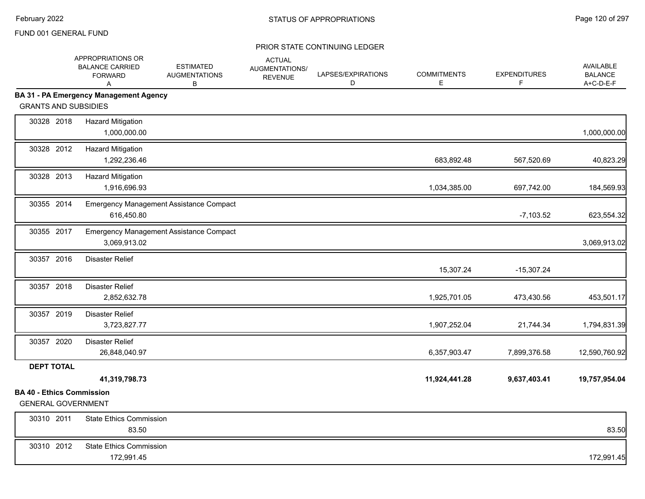|                                                               | APPROPRIATIONS OR<br><b>BALANCE CARRIED</b><br><b>FORWARD</b><br>A | <b>ESTIMATED</b><br><b>AUGMENTATIONS</b><br>B | <b>ACTUAL</b><br>AUGMENTATIONS/<br><b>REVENUE</b> | LAPSES/EXPIRATIONS<br>D | <b>COMMITMENTS</b><br>E | <b>EXPENDITURES</b><br>F. | AVAILABLE<br><b>BALANCE</b><br>A+C-D-E-F |
|---------------------------------------------------------------|--------------------------------------------------------------------|-----------------------------------------------|---------------------------------------------------|-------------------------|-------------------------|---------------------------|------------------------------------------|
|                                                               | <b>BA 31 - PA Emergency Management Agency</b>                      |                                               |                                                   |                         |                         |                           |                                          |
| <b>GRANTS AND SUBSIDIES</b>                                   |                                                                    |                                               |                                                   |                         |                         |                           |                                          |
| 30328 2018                                                    | <b>Hazard Mitigation</b><br>1,000,000.00                           |                                               |                                                   |                         |                         |                           | 1,000,000.00                             |
| 30328 2012                                                    | <b>Hazard Mitigation</b><br>1,292,236.46                           |                                               |                                                   |                         | 683,892.48              | 567,520.69                | 40,823.29                                |
| 30328 2013                                                    | <b>Hazard Mitigation</b><br>1,916,696.93                           |                                               |                                                   |                         | 1,034,385.00            | 697,742.00                | 184,569.93                               |
| 30355 2014                                                    | 616,450.80                                                         | Emergency Management Assistance Compact       |                                                   |                         |                         | $-7,103.52$               | 623,554.32                               |
| 30355 2017                                                    | 3,069,913.02                                                       | Emergency Management Assistance Compact       |                                                   |                         |                         |                           | 3,069,913.02                             |
| 30357 2016                                                    | <b>Disaster Relief</b>                                             |                                               |                                                   |                         | 15,307.24               | $-15,307.24$              |                                          |
| 30357 2018                                                    | <b>Disaster Relief</b><br>2,852,632.78                             |                                               |                                                   |                         | 1,925,701.05            | 473,430.56                | 453,501.17                               |
| 30357 2019                                                    | Disaster Relief<br>3,723,827.77                                    |                                               |                                                   |                         | 1,907,252.04            | 21,744.34                 | 1,794,831.39                             |
| 30357 2020                                                    | <b>Disaster Relief</b><br>26,848,040.97                            |                                               |                                                   |                         | 6,357,903.47            | 7,899,376.58              | 12,590,760.92                            |
| <b>DEPT TOTAL</b>                                             |                                                                    |                                               |                                                   |                         |                         |                           |                                          |
|                                                               | 41,319,798.73                                                      |                                               |                                                   |                         | 11,924,441.28           | 9,637,403.41              | 19,757,954.04                            |
| <b>BA 40 - Ethics Commission</b><br><b>GENERAL GOVERNMENT</b> |                                                                    |                                               |                                                   |                         |                         |                           |                                          |
| 30310 2011                                                    | <b>State Ethics Commission</b><br>83.50                            |                                               |                                                   |                         |                         |                           | 83.50                                    |
| 30310 2012                                                    | <b>State Ethics Commission</b><br>172,991.45                       |                                               |                                                   |                         |                         |                           | 172,991.45                               |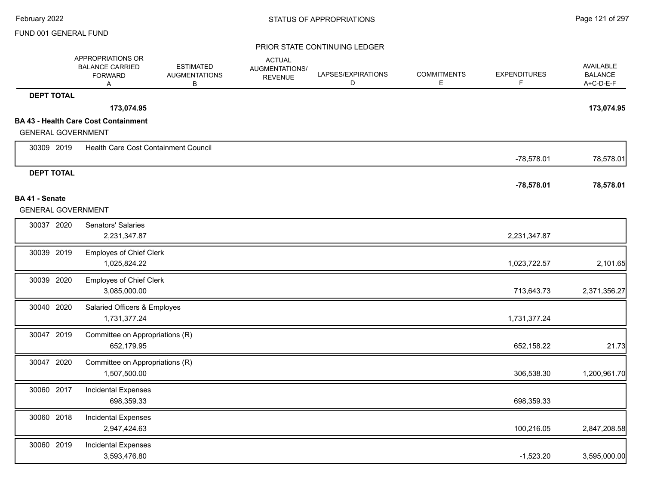|                           | APPROPRIATIONS OR<br><b>BALANCE CARRIED</b><br><b>FORWARD</b><br>Α | <b>ESTIMATED</b><br><b>AUGMENTATIONS</b><br>В | <b>ACTUAL</b><br>AUGMENTATIONS/<br><b>REVENUE</b> | LAPSES/EXPIRATIONS<br>D | <b>COMMITMENTS</b><br>Е | <b>EXPENDITURES</b><br>F | <b>AVAILABLE</b><br><b>BALANCE</b><br>A+C-D-E-F |
|---------------------------|--------------------------------------------------------------------|-----------------------------------------------|---------------------------------------------------|-------------------------|-------------------------|--------------------------|-------------------------------------------------|
| <b>DEPT TOTAL</b>         |                                                                    |                                               |                                                   |                         |                         |                          |                                                 |
|                           | 173,074.95                                                         |                                               |                                                   |                         |                         |                          | 173,074.95                                      |
|                           | <b>BA 43 - Health Care Cost Containment</b>                        |                                               |                                                   |                         |                         |                          |                                                 |
| <b>GENERAL GOVERNMENT</b> |                                                                    |                                               |                                                   |                         |                         |                          |                                                 |
| 30309 2019                | Health Care Cost Containment Council                               |                                               |                                                   |                         |                         | $-78,578.01$             | 78,578.01                                       |
| <b>DEPT TOTAL</b>         |                                                                    |                                               |                                                   |                         |                         |                          |                                                 |
|                           |                                                                    |                                               |                                                   |                         |                         | $-78,578.01$             | 78,578.01                                       |
| BA 41 - Senate            |                                                                    |                                               |                                                   |                         |                         |                          |                                                 |
| <b>GENERAL GOVERNMENT</b> |                                                                    |                                               |                                                   |                         |                         |                          |                                                 |
| 30037 2020                | <b>Senators' Salaries</b>                                          |                                               |                                                   |                         |                         |                          |                                                 |
|                           | 2,231,347.87                                                       |                                               |                                                   |                         |                         | 2,231,347.87             |                                                 |
| 30039 2019                | <b>Employes of Chief Clerk</b>                                     |                                               |                                                   |                         |                         |                          |                                                 |
|                           | 1,025,824.22                                                       |                                               |                                                   |                         |                         | 1,023,722.57             | 2,101.65                                        |
| 30039 2020                | <b>Employes of Chief Clerk</b>                                     |                                               |                                                   |                         |                         |                          |                                                 |
|                           | 3,085,000.00                                                       |                                               |                                                   |                         |                         | 713,643.73               | 2,371,356.27                                    |
| 30040 2020                | Salaried Officers & Employes                                       |                                               |                                                   |                         |                         |                          |                                                 |
|                           | 1,731,377.24                                                       |                                               |                                                   |                         |                         | 1,731,377.24             |                                                 |
| 30047 2019                | Committee on Appropriations (R)                                    |                                               |                                                   |                         |                         |                          |                                                 |
|                           | 652,179.95                                                         |                                               |                                                   |                         |                         | 652,158.22               | 21.73                                           |
| 30047 2020                | Committee on Appropriations (R)                                    |                                               |                                                   |                         |                         |                          |                                                 |
|                           | 1,507,500.00                                                       |                                               |                                                   |                         |                         | 306,538.30               | 1,200,961.70                                    |
| 30060 2017                | <b>Incidental Expenses</b>                                         |                                               |                                                   |                         |                         |                          |                                                 |
|                           | 698,359.33                                                         |                                               |                                                   |                         |                         | 698,359.33               |                                                 |
| 30060 2018                | <b>Incidental Expenses</b>                                         |                                               |                                                   |                         |                         |                          |                                                 |
|                           | 2,947,424.63                                                       |                                               |                                                   |                         |                         | 100,216.05               | 2,847,208.58                                    |
| 30060 2019                | <b>Incidental Expenses</b>                                         |                                               |                                                   |                         |                         |                          |                                                 |
|                           | 3,593,476.80                                                       |                                               |                                                   |                         |                         | $-1,523.20$              | 3,595,000.00                                    |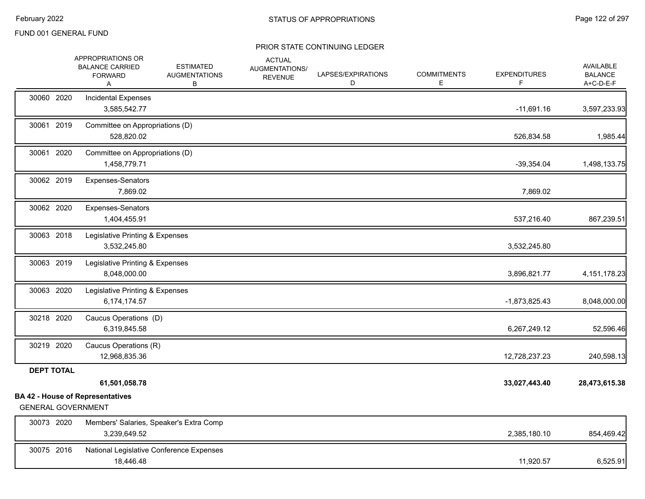|                           | APPROPRIATIONS OR<br><b>BALANCE CARRIED</b><br><b>FORWARD</b><br>A | <b>ESTIMATED</b><br><b>AUGMENTATIONS</b><br>В | <b>ACTUAL</b><br>AUGMENTATIONS/<br><b>REVENUE</b> | LAPSES/EXPIRATIONS<br>D | <b>COMMITMENTS</b><br>Е | <b>EXPENDITURES</b> | AVAILABLE<br><b>BALANCE</b><br>A+C-D-E-F |
|---------------------------|--------------------------------------------------------------------|-----------------------------------------------|---------------------------------------------------|-------------------------|-------------------------|---------------------|------------------------------------------|
| 30060 2020                | <b>Incidental Expenses</b><br>3,585,542.77                         |                                               |                                                   |                         |                         | $-11,691.16$        | 3,597,233.93                             |
| 30061 2019                | Committee on Appropriations (D)<br>528,820.02                      |                                               |                                                   |                         |                         | 526,834.58          | 1,985.44                                 |
| 30061 2020                | Committee on Appropriations (D)<br>1,458,779.71                    |                                               |                                                   |                         |                         | $-39,354.04$        | 1,498,133.75                             |
| 30062 2019                | Expenses-Senators<br>7,869.02                                      |                                               |                                                   |                         |                         | 7,869.02            |                                          |
| 30062 2020                | Expenses-Senators<br>1,404,455.91                                  |                                               |                                                   |                         |                         | 537,216.40          | 867,239.51                               |
| 30063 2018                | Legislative Printing & Expenses<br>3,532,245.80                    |                                               |                                                   |                         |                         | 3,532,245.80        |                                          |
| 30063 2019                | Legislative Printing & Expenses<br>8,048,000.00                    |                                               |                                                   |                         |                         | 3,896,821.77        | 4, 151, 178. 23                          |
| 30063 2020                | Legislative Printing & Expenses<br>6,174,174.57                    |                                               |                                                   |                         |                         | $-1,873,825.43$     | 8,048,000.00                             |
| 30218 2020                | Caucus Operations (D)<br>6,319,845.58                              |                                               |                                                   |                         |                         | 6,267,249.12        | 52,596.46                                |
| 30219 2020                | Caucus Operations (R)<br>12,968,835.36                             |                                               |                                                   |                         |                         | 12,728,237.23       | 240,598.13                               |
| <b>DEPT TOTAL</b>         | 61,501,058.78                                                      |                                               |                                                   |                         |                         | 33,027,443.40       | 28,473,615.38                            |
| <b>GENERAL GOVERNMENT</b> | <b>BA 42 - House of Representatives</b>                            |                                               |                                                   |                         |                         |                     |                                          |
| 30073 2020                | 3,239,649.52                                                       | Members' Salaries, Speaker's Extra Comp       |                                                   |                         |                         | 2,385,180.10        | 854,469.42                               |
| 30075 2016                | 18,446.48                                                          | National Legislative Conference Expenses      |                                                   |                         |                         | 11,920.57           | 6,525.91                                 |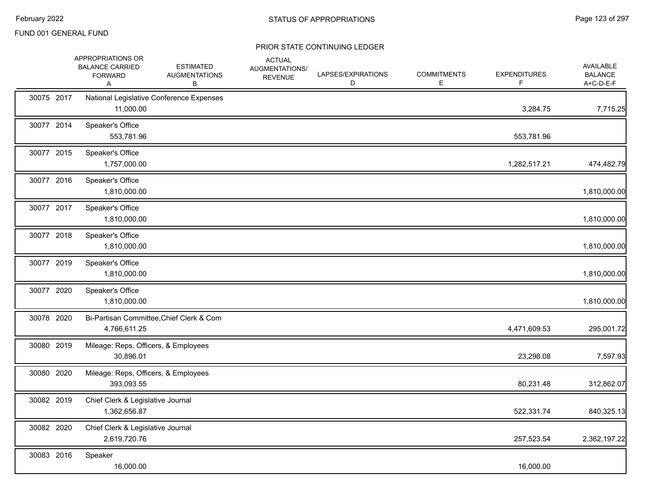|            | APPROPRIATIONS OR<br><b>BALANCE CARRIED</b><br><b>FORWARD</b><br>A | <b>ESTIMATED</b><br><b>AUGMENTATIONS</b><br>В | <b>ACTUAL</b><br>AUGMENTATIONS/<br><b>REVENUE</b> | LAPSES/EXPIRATIONS<br>D | <b>COMMITMENTS</b><br>E. | <b>EXPENDITURES</b><br>F | AVAILABLE<br><b>BALANCE</b><br>A+C-D-E-F |
|------------|--------------------------------------------------------------------|-----------------------------------------------|---------------------------------------------------|-------------------------|--------------------------|--------------------------|------------------------------------------|
| 30075 2017 | 11,000.00                                                          | National Legislative Conference Expenses      |                                                   |                         |                          | 3,284.75                 | 7,715.25                                 |
| 30077 2014 | Speaker's Office<br>553,781.96                                     |                                               |                                                   |                         |                          | 553,781.96               |                                          |
| 30077 2015 | Speaker's Office<br>1,757,000.00                                   |                                               |                                                   |                         |                          | 1,282,517.21             | 474,482.79                               |
| 30077 2016 | Speaker's Office<br>1,810,000.00                                   |                                               |                                                   |                         |                          |                          | 1,810,000.00                             |
| 30077 2017 | Speaker's Office<br>1,810,000.00                                   |                                               |                                                   |                         |                          |                          | 1,810,000.00                             |
| 30077 2018 | Speaker's Office<br>1,810,000.00                                   |                                               |                                                   |                         |                          |                          | 1,810,000.00                             |
| 30077 2019 | Speaker's Office<br>1,810,000.00                                   |                                               |                                                   |                         |                          |                          | 1,810,000.00                             |
| 30077 2020 | Speaker's Office<br>1,810,000.00                                   |                                               |                                                   |                         |                          |                          | 1,810,000.00                             |
| 30078 2020 | 4,766,611.25                                                       | Bi-Partisan Committee, Chief Clerk & Com      |                                                   |                         |                          | 4,471,609.53             | 295,001.72                               |
| 30080 2019 | Mileage: Reps, Officers, & Employees<br>30,896.01                  |                                               |                                                   |                         |                          | 23,298.08                | 7,597.93                                 |
| 30080 2020 | Mileage: Reps, Officers, & Employees<br>393,093.55                 |                                               |                                                   |                         |                          | 80,231.48                | 312,862.07                               |
| 30082 2019 | Chief Clerk & Legislative Journal<br>1,362,656.87                  |                                               |                                                   |                         |                          | 522,331.74               | 840,325.13                               |
| 30082 2020 | Chief Clerk & Legislative Journal<br>2,619,720.76                  |                                               |                                                   |                         |                          | 257,523.54               | 2,362,197.22                             |
| 30083 2016 | Speaker<br>16,000.00                                               |                                               |                                                   |                         |                          | 16,000.00                |                                          |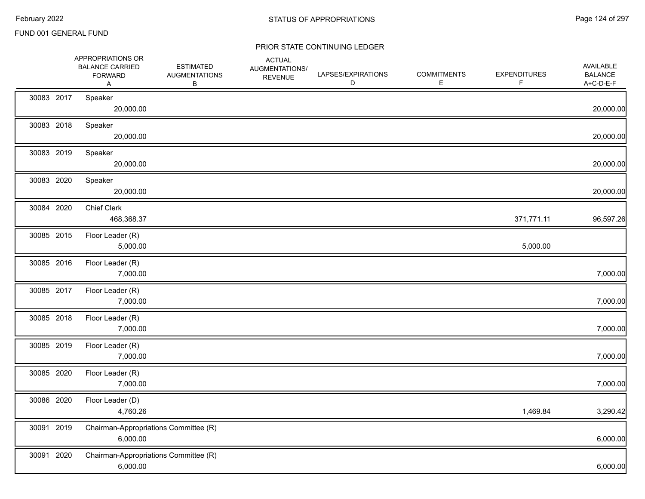|            | APPROPRIATIONS OR<br><b>BALANCE CARRIED</b><br><b>FORWARD</b><br>Α | <b>ESTIMATED</b><br><b>AUGMENTATIONS</b><br>B | <b>ACTUAL</b><br>AUGMENTATIONS/<br><b>REVENUE</b> | LAPSES/EXPIRATIONS<br>D | <b>COMMITMENTS</b><br>Е | <b>EXPENDITURES</b><br>F | AVAILABLE<br><b>BALANCE</b><br>A+C-D-E-F |
|------------|--------------------------------------------------------------------|-----------------------------------------------|---------------------------------------------------|-------------------------|-------------------------|--------------------------|------------------------------------------|
| 30083 2017 | Speaker<br>20,000.00                                               |                                               |                                                   |                         |                         |                          | 20,000.00                                |
| 30083 2018 | Speaker<br>20,000.00                                               |                                               |                                                   |                         |                         |                          | 20,000.00                                |
| 30083 2019 | Speaker<br>20,000.00                                               |                                               |                                                   |                         |                         |                          | 20,000.00                                |
| 30083 2020 | Speaker<br>20,000.00                                               |                                               |                                                   |                         |                         |                          | 20,000.00                                |
| 30084 2020 | <b>Chief Clerk</b><br>468,368.37                                   |                                               |                                                   |                         |                         | 371,771.11               | 96,597.26                                |
| 30085 2015 | Floor Leader (R)<br>5,000.00                                       |                                               |                                                   |                         |                         | 5,000.00                 |                                          |
| 30085 2016 | Floor Leader (R)<br>7,000.00                                       |                                               |                                                   |                         |                         |                          | 7,000.00                                 |
| 30085 2017 | Floor Leader (R)<br>7,000.00                                       |                                               |                                                   |                         |                         |                          | 7,000.00                                 |
| 30085 2018 | Floor Leader (R)<br>7,000.00                                       |                                               |                                                   |                         |                         |                          | 7,000.00                                 |
| 30085 2019 | Floor Leader (R)<br>7,000.00                                       |                                               |                                                   |                         |                         |                          | 7,000.00                                 |
| 30085 2020 | Floor Leader (R)<br>7,000.00                                       |                                               |                                                   |                         |                         |                          | 7,000.00                                 |
| 30086 2020 | Floor Leader (D)<br>4,760.26                                       |                                               |                                                   |                         |                         | 1,469.84                 | 3,290.42                                 |
| 30091 2019 | Chairman-Appropriations Committee (R)<br>6,000.00                  |                                               |                                                   |                         |                         |                          | 6,000.00                                 |
| 30091 2020 | Chairman-Appropriations Committee (R)<br>6,000.00                  |                                               |                                                   |                         |                         |                          | 6,000.00                                 |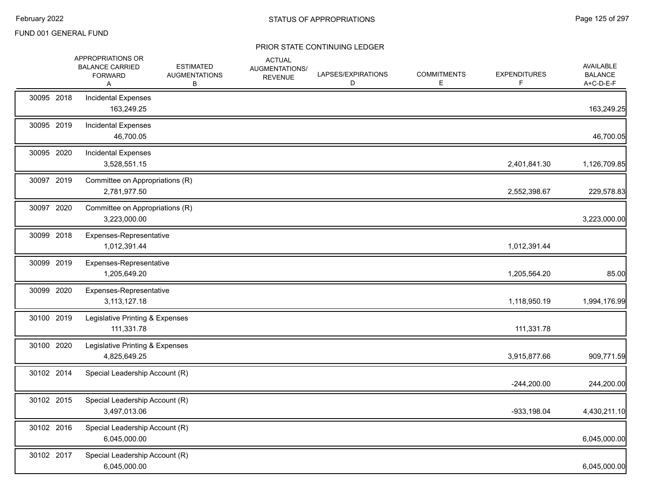|            | APPROPRIATIONS OR<br><b>BALANCE CARRIED</b><br><b>FORWARD</b><br>A | <b>ESTIMATED</b><br><b>AUGMENTATIONS</b><br>В | <b>ACTUAL</b><br>AUGMENTATIONS/<br><b>REVENUE</b> | LAPSES/EXPIRATIONS<br>D | <b>COMMITMENTS</b><br>E | <b>EXPENDITURES</b><br>F. | AVAILABLE<br><b>BALANCE</b><br>A+C-D-E-F |
|------------|--------------------------------------------------------------------|-----------------------------------------------|---------------------------------------------------|-------------------------|-------------------------|---------------------------|------------------------------------------|
| 30095 2018 | <b>Incidental Expenses</b><br>163,249.25                           |                                               |                                                   |                         |                         |                           | 163,249.25                               |
| 30095 2019 | <b>Incidental Expenses</b><br>46,700.05                            |                                               |                                                   |                         |                         |                           | 46,700.05                                |
| 30095 2020 | <b>Incidental Expenses</b><br>3,528,551.15                         |                                               |                                                   |                         |                         | 2,401,841.30              | 1,126,709.85                             |
| 30097 2019 | Committee on Appropriations (R)<br>2,781,977.50                    |                                               |                                                   |                         |                         | 2,552,398.67              | 229,578.83                               |
| 30097 2020 | Committee on Appropriations (R)<br>3,223,000.00                    |                                               |                                                   |                         |                         |                           | 3,223,000.00                             |
| 30099 2018 | Expenses-Representative<br>1,012,391.44                            |                                               |                                                   |                         |                         | 1,012,391.44              |                                          |
| 30099 2019 | Expenses-Representative<br>1,205,649.20                            |                                               |                                                   |                         |                         | 1,205,564.20              | 85.00                                    |
| 30099 2020 | Expenses-Representative<br>3,113,127.18                            |                                               |                                                   |                         |                         | 1,118,950.19              | 1,994,176.99                             |
| 30100 2019 | Legislative Printing & Expenses<br>111,331.78                      |                                               |                                                   |                         |                         | 111,331.78                |                                          |
| 30100 2020 | Legislative Printing & Expenses<br>4,825,649.25                    |                                               |                                                   |                         |                         | 3,915,877.66              | 909,771.59                               |
| 30102 2014 | Special Leadership Account (R)                                     |                                               |                                                   |                         |                         | $-244,200.00$             | 244,200.00                               |
| 30102 2015 | Special Leadership Account (R)<br>3,497,013.06                     |                                               |                                                   |                         |                         | $-933, 198.04$            | 4,430,211.10                             |
| 30102 2016 | Special Leadership Account (R)<br>6,045,000.00                     |                                               |                                                   |                         |                         |                           | 6,045,000.00                             |
| 30102 2017 | Special Leadership Account (R)<br>6,045,000.00                     |                                               |                                                   |                         |                         |                           | 6,045,000.00                             |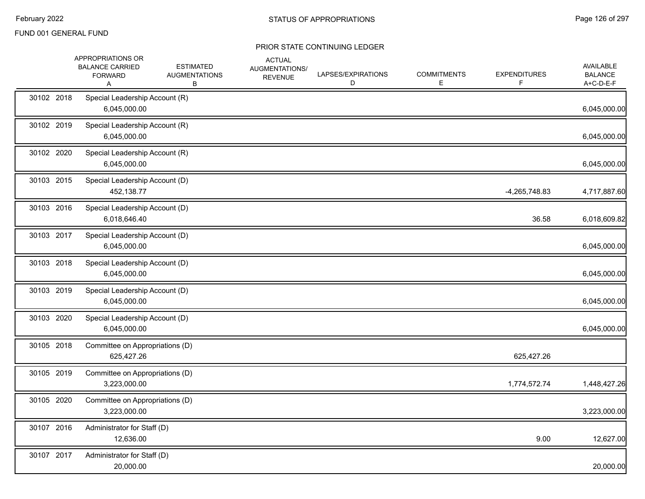|            | APPROPRIATIONS OR<br><b>BALANCE CARRIED</b><br><b>FORWARD</b><br>A | <b>ESTIMATED</b><br><b>AUGMENTATIONS</b><br>В | <b>ACTUAL</b><br>AUGMENTATIONS/<br><b>REVENUE</b> | LAPSES/EXPIRATIONS<br>D | <b>COMMITMENTS</b><br>Е | <b>EXPENDITURES</b> | <b>AVAILABLE</b><br><b>BALANCE</b><br>A+C-D-E-F |
|------------|--------------------------------------------------------------------|-----------------------------------------------|---------------------------------------------------|-------------------------|-------------------------|---------------------|-------------------------------------------------|
| 30102 2018 | Special Leadership Account (R)<br>6,045,000.00                     |                                               |                                                   |                         |                         |                     | 6,045,000.00                                    |
| 30102 2019 | Special Leadership Account (R)<br>6,045,000.00                     |                                               |                                                   |                         |                         |                     | 6,045,000.00                                    |
| 30102 2020 | Special Leadership Account (R)<br>6,045,000.00                     |                                               |                                                   |                         |                         |                     | 6,045,000.00                                    |
| 30103 2015 | Special Leadership Account (D)<br>452,138.77                       |                                               |                                                   |                         |                         | -4,265,748.83       | 4,717,887.60                                    |
| 30103 2016 | Special Leadership Account (D)<br>6,018,646.40                     |                                               |                                                   |                         |                         | 36.58               | 6,018,609.82                                    |
| 30103 2017 | Special Leadership Account (D)<br>6,045,000.00                     |                                               |                                                   |                         |                         |                     | 6,045,000.00                                    |
| 30103 2018 | Special Leadership Account (D)<br>6,045,000.00                     |                                               |                                                   |                         |                         |                     | 6,045,000.00                                    |
| 30103 2019 | Special Leadership Account (D)<br>6,045,000.00                     |                                               |                                                   |                         |                         |                     | 6,045,000.00                                    |
| 30103 2020 | Special Leadership Account (D)<br>6,045,000.00                     |                                               |                                                   |                         |                         |                     | 6,045,000.00                                    |
| 30105 2018 | Committee on Appropriations (D)<br>625,427.26                      |                                               |                                                   |                         |                         | 625,427.26          |                                                 |
| 30105 2019 | Committee on Appropriations (D)<br>3,223,000.00                    |                                               |                                                   |                         |                         | 1,774,572.74        | 1,448,427.26                                    |
| 30105 2020 | Committee on Appropriations (D)<br>3,223,000.00                    |                                               |                                                   |                         |                         |                     | 3,223,000.00                                    |
| 30107 2016 | Administrator for Staff (D)<br>12,636.00                           |                                               |                                                   |                         |                         | 9.00                | 12,627.00                                       |
| 30107 2017 | Administrator for Staff (D)<br>20,000.00                           |                                               |                                                   |                         |                         |                     | 20,000.00                                       |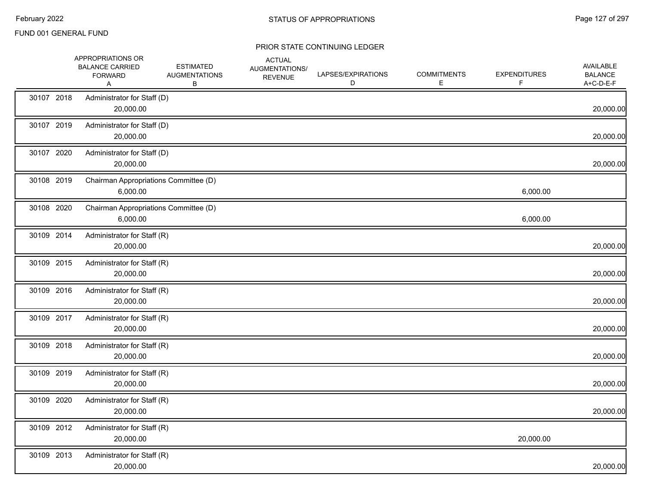|            | APPROPRIATIONS OR<br><b>BALANCE CARRIED</b><br><b>FORWARD</b><br>Α | <b>ESTIMATED</b><br><b>AUGMENTATIONS</b><br>В | <b>ACTUAL</b><br>AUGMENTATIONS/<br><b>REVENUE</b> | LAPSES/EXPIRATIONS<br>D | <b>COMMITMENTS</b><br>Е | <b>EXPENDITURES</b><br>F | <b>AVAILABLE</b><br><b>BALANCE</b><br>A+C-D-E-F |
|------------|--------------------------------------------------------------------|-----------------------------------------------|---------------------------------------------------|-------------------------|-------------------------|--------------------------|-------------------------------------------------|
| 30107 2018 | Administrator for Staff (D)<br>20,000.00                           |                                               |                                                   |                         |                         |                          | 20,000.00                                       |
| 30107 2019 | Administrator for Staff (D)<br>20,000.00                           |                                               |                                                   |                         |                         |                          | 20,000.00                                       |
| 30107 2020 | Administrator for Staff (D)<br>20,000.00                           |                                               |                                                   |                         |                         |                          | 20,000.00                                       |
| 30108 2019 | Chairman Appropriations Committee (D)<br>6,000.00                  |                                               |                                                   |                         |                         | 6,000.00                 |                                                 |
| 30108 2020 | Chairman Appropriations Committee (D)<br>6,000.00                  |                                               |                                                   |                         |                         | 6,000.00                 |                                                 |
| 30109 2014 | Administrator for Staff (R)<br>20,000.00                           |                                               |                                                   |                         |                         |                          | 20,000.00                                       |
| 30109 2015 | Administrator for Staff (R)<br>20,000.00                           |                                               |                                                   |                         |                         |                          | 20,000.00                                       |
| 30109 2016 | Administrator for Staff (R)<br>20,000.00                           |                                               |                                                   |                         |                         |                          | 20,000.00                                       |
| 30109 2017 | Administrator for Staff (R)<br>20,000.00                           |                                               |                                                   |                         |                         |                          | 20,000.00                                       |
| 30109 2018 | Administrator for Staff (R)<br>20,000.00                           |                                               |                                                   |                         |                         |                          | 20,000.00                                       |
| 30109 2019 | Administrator for Staff (R)<br>20,000.00                           |                                               |                                                   |                         |                         |                          | 20,000.00                                       |
| 30109 2020 | Administrator for Staff (R)<br>20,000.00                           |                                               |                                                   |                         |                         |                          | 20,000.00                                       |
| 30109 2012 | Administrator for Staff (R)<br>20,000.00                           |                                               |                                                   |                         |                         | 20,000.00                |                                                 |
| 30109 2013 | Administrator for Staff (R)<br>20,000.00                           |                                               |                                                   |                         |                         |                          | 20,000.00                                       |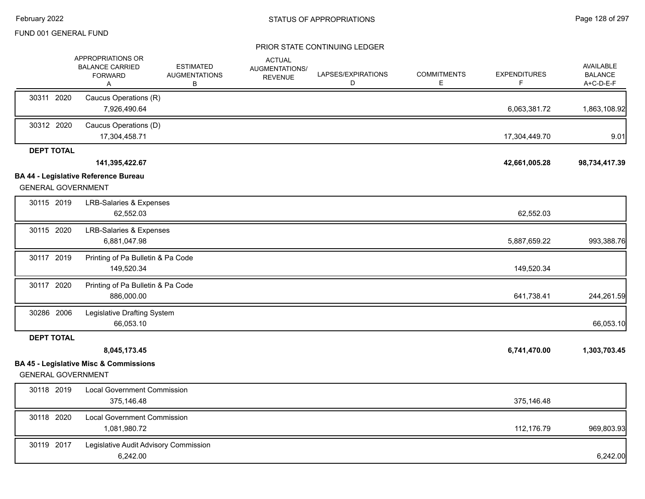|                   | APPROPRIATIONS OR<br><b>BALANCE CARRIED</b><br><b>FORWARD</b><br>A             | <b>ESTIMATED</b><br><b>AUGMENTATIONS</b><br>в | <b>ACTUAL</b><br>AUGMENTATIONS/<br><b>REVENUE</b> | LAPSES/EXPIRATIONS<br>D | <b>COMMITMENTS</b><br>Е | <b>EXPENDITURES</b><br>F | AVAILABLE<br><b>BALANCE</b><br>A+C-D-E-F |
|-------------------|--------------------------------------------------------------------------------|-----------------------------------------------|---------------------------------------------------|-------------------------|-------------------------|--------------------------|------------------------------------------|
| 30311 2020        | Caucus Operations (R)<br>7,926,490.64                                          |                                               |                                                   |                         |                         | 6,063,381.72             | 1,863,108.92                             |
| 30312 2020        | Caucus Operations (D)<br>17,304,458.71                                         |                                               |                                                   |                         |                         | 17,304,449.70            | 9.01                                     |
| <b>DEPT TOTAL</b> |                                                                                |                                               |                                                   |                         |                         |                          |                                          |
|                   | 141,395,422.67                                                                 |                                               |                                                   |                         |                         | 42,661,005.28            | 98,734,417.39                            |
|                   | <b>BA 44 - Legislative Reference Bureau</b><br><b>GENERAL GOVERNMENT</b>       |                                               |                                                   |                         |                         |                          |                                          |
| 30115 2019        | <b>LRB-Salaries &amp; Expenses</b><br>62,552.03                                |                                               |                                                   |                         |                         | 62,552.03                |                                          |
| 30115 2020        | <b>LRB-Salaries &amp; Expenses</b><br>6,881,047.98                             |                                               |                                                   |                         |                         | 5,887,659.22             | 993,388.76                               |
| 30117 2019        | Printing of Pa Bulletin & Pa Code<br>149,520.34                                |                                               |                                                   |                         |                         | 149,520.34               |                                          |
| 30117 2020        | Printing of Pa Bulletin & Pa Code<br>886,000.00                                |                                               |                                                   |                         |                         | 641,738.41               | 244,261.59                               |
| 30286 2006        | Legislative Drafting System<br>66,053.10                                       |                                               |                                                   |                         |                         |                          | 66,053.10                                |
| <b>DEPT TOTAL</b> |                                                                                |                                               |                                                   |                         |                         |                          |                                          |
|                   | 8,045,173.45                                                                   |                                               |                                                   |                         |                         | 6,741,470.00             | 1,303,703.45                             |
|                   | <b>BA 45 - Legislative Misc &amp; Commissions</b><br><b>GENERAL GOVERNMENT</b> |                                               |                                                   |                         |                         |                          |                                          |
| 30118 2019        | <b>Local Government Commission</b><br>375,146.48                               |                                               |                                                   |                         |                         | 375,146.48               |                                          |
| 30118 2020        | <b>Local Government Commission</b><br>1,081,980.72                             |                                               |                                                   |                         |                         | 112,176.79               | 969,803.93                               |
| 30119 2017        | Legislative Audit Advisory Commission<br>6,242.00                              |                                               |                                                   |                         |                         |                          | 6,242.00                                 |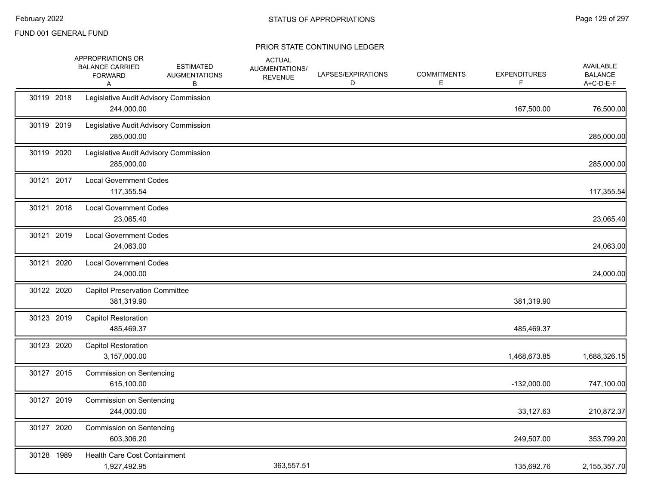|            | APPROPRIATIONS OR<br><b>BALANCE CARRIED</b><br><b>FORWARD</b><br>Α | <b>ESTIMATED</b><br><b>AUGMENTATIONS</b><br>В | <b>ACTUAL</b><br>AUGMENTATIONS/<br><b>REVENUE</b> | LAPSES/EXPIRATIONS<br>D | <b>COMMITMENTS</b><br>E. | <b>EXPENDITURES</b><br>F. | <b>AVAILABLE</b><br><b>BALANCE</b><br>A+C-D-E-F |
|------------|--------------------------------------------------------------------|-----------------------------------------------|---------------------------------------------------|-------------------------|--------------------------|---------------------------|-------------------------------------------------|
| 30119 2018 | Legislative Audit Advisory Commission<br>244,000.00                |                                               |                                                   |                         |                          | 167,500.00                | 76,500.00                                       |
| 30119 2019 | Legislative Audit Advisory Commission<br>285,000.00                |                                               |                                                   |                         |                          |                           | 285,000.00                                      |
| 30119 2020 | Legislative Audit Advisory Commission<br>285,000.00                |                                               |                                                   |                         |                          |                           | 285,000.00                                      |
| 30121 2017 | <b>Local Government Codes</b><br>117,355.54                        |                                               |                                                   |                         |                          |                           | 117,355.54                                      |
| 30121 2018 | <b>Local Government Codes</b><br>23,065.40                         |                                               |                                                   |                         |                          |                           | 23,065.40                                       |
| 30121 2019 | <b>Local Government Codes</b><br>24,063.00                         |                                               |                                                   |                         |                          |                           | 24,063.00                                       |
| 30121 2020 | <b>Local Government Codes</b><br>24,000.00                         |                                               |                                                   |                         |                          |                           | 24,000.00                                       |
| 30122 2020 | <b>Capitol Preservation Committee</b><br>381,319.90                |                                               |                                                   |                         |                          | 381,319.90                |                                                 |
| 30123 2019 | <b>Capitol Restoration</b><br>485,469.37                           |                                               |                                                   |                         |                          | 485,469.37                |                                                 |
| 30123 2020 | <b>Capitol Restoration</b><br>3,157,000.00                         |                                               |                                                   |                         |                          | 1,468,673.85              | 1,688,326.15                                    |
| 30127 2015 | <b>Commission on Sentencing</b><br>615,100.00                      |                                               |                                                   |                         |                          | $-132,000.00$             | 747,100.00                                      |
| 30127 2019 | <b>Commission on Sentencing</b><br>244,000.00                      |                                               |                                                   |                         |                          | 33,127.63                 | 210,872.37                                      |
| 30127 2020 | Commission on Sentencing<br>603,306.20                             |                                               |                                                   |                         |                          | 249,507.00                | 353,799.20                                      |
| 30128 1989 | Health Care Cost Containment<br>1,927,492.95                       |                                               | 363,557.51                                        |                         |                          | 135,692.76                | 2,155,357.70                                    |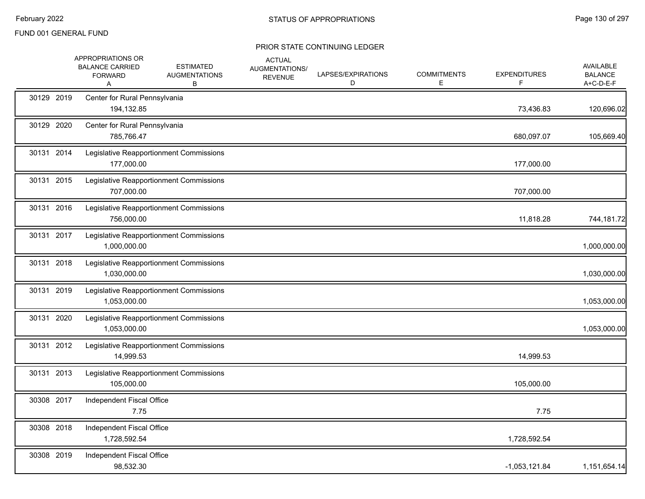|            | APPROPRIATIONS OR<br><b>BALANCE CARRIED</b><br><b>FORWARD</b><br>A | <b>ESTIMATED</b><br><b>AUGMENTATIONS</b><br>В | <b>ACTUAL</b><br>AUGMENTATIONS/<br><b>REVENUE</b> | LAPSES/EXPIRATIONS<br>D | <b>COMMITMENTS</b><br>Е | <b>EXPENDITURES</b><br>F. | AVAILABLE<br><b>BALANCE</b><br>A+C-D-E-F |
|------------|--------------------------------------------------------------------|-----------------------------------------------|---------------------------------------------------|-------------------------|-------------------------|---------------------------|------------------------------------------|
| 30129 2019 | Center for Rural Pennsylvania<br>194,132.85                        |                                               |                                                   |                         |                         | 73,436.83                 | 120,696.02                               |
| 30129 2020 | Center for Rural Pennsylvania<br>785,766.47                        |                                               |                                                   |                         |                         | 680,097.07                | 105,669.40                               |
| 30131 2014 | 177,000.00                                                         | Legislative Reapportionment Commissions       |                                                   |                         |                         | 177,000.00                |                                          |
| 30131 2015 | 707,000.00                                                         | Legislative Reapportionment Commissions       |                                                   |                         |                         | 707,000.00                |                                          |
| 30131 2016 | 756,000.00                                                         | Legislative Reapportionment Commissions       |                                                   |                         |                         | 11,818.28                 | 744,181.72                               |
| 30131 2017 | 1,000,000.00                                                       | Legislative Reapportionment Commissions       |                                                   |                         |                         |                           | 1,000,000.00                             |
| 30131 2018 | 1,030,000.00                                                       | Legislative Reapportionment Commissions       |                                                   |                         |                         |                           | 1,030,000.00                             |
| 30131 2019 | 1,053,000.00                                                       | Legislative Reapportionment Commissions       |                                                   |                         |                         |                           | 1,053,000.00                             |
| 30131 2020 | 1,053,000.00                                                       | Legislative Reapportionment Commissions       |                                                   |                         |                         |                           | 1,053,000.00                             |
| 30131 2012 | 14,999.53                                                          | Legislative Reapportionment Commissions       |                                                   |                         |                         | 14,999.53                 |                                          |
| 30131 2013 | 105,000.00                                                         | Legislative Reapportionment Commissions       |                                                   |                         |                         | 105,000.00                |                                          |
| 30308 2017 | Independent Fiscal Office<br>7.75                                  |                                               |                                                   |                         |                         | 7.75                      |                                          |
| 30308 2018 | Independent Fiscal Office<br>1,728,592.54                          |                                               |                                                   |                         |                         | 1,728,592.54              |                                          |
| 30308 2019 | Independent Fiscal Office<br>98,532.30                             |                                               |                                                   |                         |                         | $-1,053,121.84$           | 1,151,654.14                             |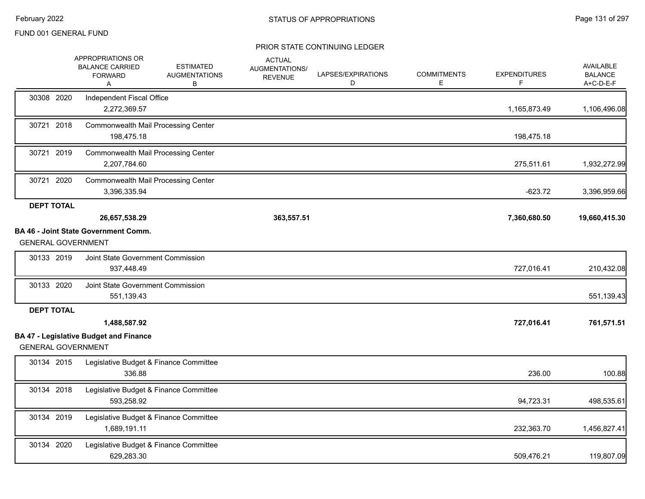|                           | APPROPRIATIONS OR<br><b>BALANCE CARRIED</b><br><b>FORWARD</b><br>Α | <b>ESTIMATED</b><br><b>AUGMENTATIONS</b><br>в | <b>ACTUAL</b><br>AUGMENTATIONS/<br><b>REVENUE</b> | LAPSES/EXPIRATIONS<br>D | <b>COMMITMENTS</b><br>E. | <b>EXPENDITURES</b><br>F. | <b>AVAILABLE</b><br><b>BALANCE</b><br>A+C-D-E-F |
|---------------------------|--------------------------------------------------------------------|-----------------------------------------------|---------------------------------------------------|-------------------------|--------------------------|---------------------------|-------------------------------------------------|
| 30308 2020                | Independent Fiscal Office<br>2,272,369.57                          |                                               |                                                   |                         |                          | 1,165,873.49              | 1,106,496.08                                    |
| 30721 2018                | <b>Commonwealth Mail Processing Center</b><br>198,475.18           |                                               |                                                   |                         |                          | 198,475.18                |                                                 |
| 30721 2019                | <b>Commonwealth Mail Processing Center</b><br>2,207,784.60         |                                               |                                                   |                         |                          | 275,511.61                | 1,932,272.99                                    |
| 30721 2020                | <b>Commonwealth Mail Processing Center</b><br>3,396,335.94         |                                               |                                                   |                         |                          | $-623.72$                 | 3,396,959.66                                    |
| <b>DEPT TOTAL</b>         | 26,657,538.29                                                      |                                               | 363,557.51                                        |                         |                          | 7,360,680.50              | 19,660,415.30                                   |
| <b>GENERAL GOVERNMENT</b> | <b>BA 46 - Joint State Government Comm.</b>                        |                                               |                                                   |                         |                          |                           |                                                 |
| 30133 2019                | Joint State Government Commission<br>937,448.49                    |                                               |                                                   |                         |                          | 727,016.41                | 210,432.08                                      |
| 30133 2020                | Joint State Government Commission<br>551,139.43                    |                                               |                                                   |                         |                          |                           | 551,139.43                                      |
| <b>DEPT TOTAL</b>         |                                                                    |                                               |                                                   |                         |                          |                           |                                                 |
| <b>GENERAL GOVERNMENT</b> | 1,488,587.92<br><b>BA 47 - Legislative Budget and Finance</b>      |                                               |                                                   |                         |                          | 727,016.41                | 761,571.51                                      |
| 30134 2015                | Legislative Budget & Finance Committee<br>336.88                   |                                               |                                                   |                         |                          | 236.00                    | 100.88                                          |
| 30134 2018                | Legislative Budget & Finance Committee<br>593,258.92               |                                               |                                                   |                         |                          | 94,723.31                 | 498,535.61                                      |
| 30134 2019                | Legislative Budget & Finance Committee<br>1,689,191.11             |                                               |                                                   |                         |                          | 232,363.70                | 1,456,827.41                                    |
| 30134 2020                | Legislative Budget & Finance Committee<br>629,283.30               |                                               |                                                   |                         |                          | 509,476.21                | 119,807.09                                      |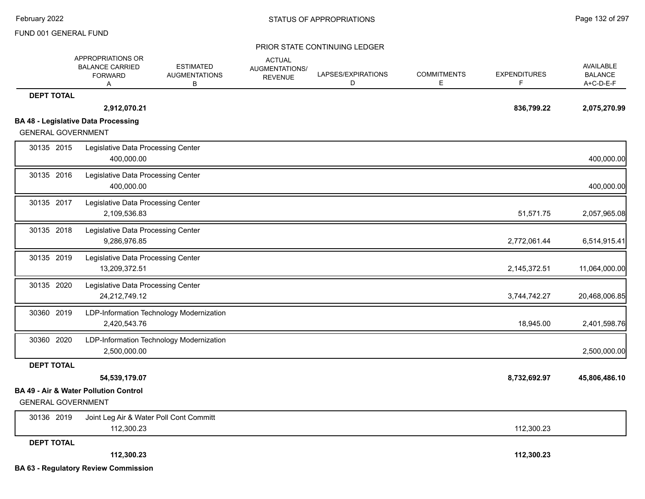|                           | APPROPRIATIONS OR<br><b>BALANCE CARRIED</b>         | <b>ESTIMATED</b>                         | <b>ACTUAL</b><br>AUGMENTATIONS/ |                         |                         |                          | AVAILABLE                   |
|---------------------------|-----------------------------------------------------|------------------------------------------|---------------------------------|-------------------------|-------------------------|--------------------------|-----------------------------|
|                           | <b>FORWARD</b><br>Α                                 | <b>AUGMENTATIONS</b><br>в                | <b>REVENUE</b>                  | LAPSES/EXPIRATIONS<br>D | <b>COMMITMENTS</b><br>E | <b>EXPENDITURES</b><br>F | <b>BALANCE</b><br>A+C-D-E-F |
| <b>DEPT TOTAL</b>         |                                                     |                                          |                                 |                         |                         |                          |                             |
|                           | 2,912,070.21                                        |                                          |                                 |                         |                         | 836,799.22               | 2,075,270.99                |
|                           | <b>BA 48 - Legislative Data Processing</b>          |                                          |                                 |                         |                         |                          |                             |
| <b>GENERAL GOVERNMENT</b> |                                                     |                                          |                                 |                         |                         |                          |                             |
| 30135 2015                | Legislative Data Processing Center<br>400,000.00    |                                          |                                 |                         |                         |                          | 400,000.00                  |
| 30135 2016                | Legislative Data Processing Center<br>400,000.00    |                                          |                                 |                         |                         |                          | 400,000.00                  |
| 30135 2017                | Legislative Data Processing Center<br>2,109,536.83  |                                          |                                 |                         |                         | 51,571.75                | 2,057,965.08                |
| 30135 2018                | Legislative Data Processing Center<br>9,286,976.85  |                                          |                                 |                         |                         | 2,772,061.44             | 6,514,915.41                |
| 30135 2019                | Legislative Data Processing Center<br>13,209,372.51 |                                          |                                 |                         |                         | 2,145,372.51             | 11,064,000.00               |
| 30135 2020                | Legislative Data Processing Center<br>24,212,749.12 |                                          |                                 |                         |                         | 3,744,742.27             | 20,468,006.85               |
| 30360 2019                | 2,420,543.76                                        | LDP-Information Technology Modernization |                                 |                         |                         | 18,945.00                | 2,401,598.76                |
| 30360 2020                | 2,500,000.00                                        | LDP-Information Technology Modernization |                                 |                         |                         |                          | 2,500,000.00                |
| <b>DEPT TOTAL</b>         |                                                     |                                          |                                 |                         |                         |                          |                             |
|                           | 54,539,179.07                                       |                                          |                                 |                         |                         | 8,732,692.97             | 45,806,486.10               |
| <b>GENERAL GOVERNMENT</b> | BA 49 - Air & Water Pollution Control               |                                          |                                 |                         |                         |                          |                             |
| 30136 2019                | 112,300.23                                          | Joint Leg Air & Water Poll Cont Committ  |                                 |                         |                         | 112,300.23               |                             |
| <b>DEPT TOTAL</b>         |                                                     |                                          |                                 |                         |                         |                          |                             |
|                           | 112,300.23                                          |                                          |                                 |                         |                         | 112,300.23               |                             |
|                           | <b>BA 63 - Regulatory Review Commission</b>         |                                          |                                 |                         |                         |                          |                             |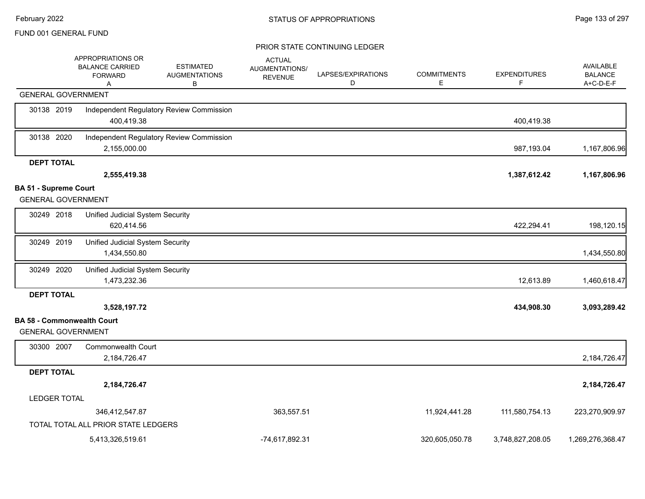|                                                                | APPROPRIATIONS OR<br><b>BALANCE CARRIED</b><br><b>FORWARD</b><br>A | <b>ESTIMATED</b><br><b>AUGMENTATIONS</b><br>в | <b>ACTUAL</b><br>AUGMENTATIONS/<br><b>REVENUE</b> | LAPSES/EXPIRATIONS<br>D | <b>COMMITMENTS</b><br>E | <b>EXPENDITURES</b><br>F | <b>AVAILABLE</b><br><b>BALANCE</b><br>A+C-D-E-F |
|----------------------------------------------------------------|--------------------------------------------------------------------|-----------------------------------------------|---------------------------------------------------|-------------------------|-------------------------|--------------------------|-------------------------------------------------|
| <b>GENERAL GOVERNMENT</b>                                      |                                                                    |                                               |                                                   |                         |                         |                          |                                                 |
| 30138 2019                                                     | 400,419.38                                                         | Independent Regulatory Review Commission      |                                                   |                         |                         | 400,419.38               |                                                 |
| 30138 2020                                                     | 2,155,000.00                                                       | Independent Regulatory Review Commission      |                                                   |                         |                         | 987,193.04               | 1,167,806.96                                    |
| <b>DEPT TOTAL</b>                                              |                                                                    |                                               |                                                   |                         |                         |                          |                                                 |
|                                                                | 2,555,419.38                                                       |                                               |                                                   |                         |                         | 1,387,612.42             | 1,167,806.96                                    |
| <b>BA 51 - Supreme Court</b><br><b>GENERAL GOVERNMENT</b>      |                                                                    |                                               |                                                   |                         |                         |                          |                                                 |
| 30249 2018                                                     | Unified Judicial System Security<br>620,414.56                     |                                               |                                                   |                         |                         | 422,294.41               | 198,120.15                                      |
| 30249 2019                                                     | Unified Judicial System Security<br>1,434,550.80                   |                                               |                                                   |                         |                         |                          | 1,434,550.80                                    |
| 30249 2020                                                     | Unified Judicial System Security<br>1,473,232.36                   |                                               |                                                   |                         |                         | 12,613.89                | 1,460,618.47                                    |
| <b>DEPT TOTAL</b>                                              |                                                                    |                                               |                                                   |                         |                         |                          |                                                 |
|                                                                | 3,528,197.72                                                       |                                               |                                                   |                         |                         | 434,908.30               | 3,093,289.42                                    |
| <b>BA 58 - Commonwealth Court</b><br><b>GENERAL GOVERNMENT</b> |                                                                    |                                               |                                                   |                         |                         |                          |                                                 |
| 30300 2007                                                     | <b>Commonwealth Court</b><br>2,184,726.47                          |                                               |                                                   |                         |                         |                          | 2,184,726.47                                    |
| <b>DEPT TOTAL</b>                                              |                                                                    |                                               |                                                   |                         |                         |                          |                                                 |
|                                                                | 2,184,726.47                                                       |                                               |                                                   |                         |                         |                          | 2,184,726.47                                    |
| <b>LEDGER TOTAL</b>                                            |                                                                    |                                               |                                                   |                         |                         |                          |                                                 |
|                                                                | 346,412,547.87                                                     |                                               | 363,557.51                                        |                         | 11,924,441.28           | 111,580,754.13           | 223,270,909.97                                  |
|                                                                | TOTAL TOTAL ALL PRIOR STATE LEDGERS                                |                                               |                                                   |                         |                         |                          |                                                 |
|                                                                | 5,413,326,519.61                                                   |                                               | -74.617.892.31                                    |                         | 320.605.050.78          | 3,748,827,208.05         | 1,269,276,368.47                                |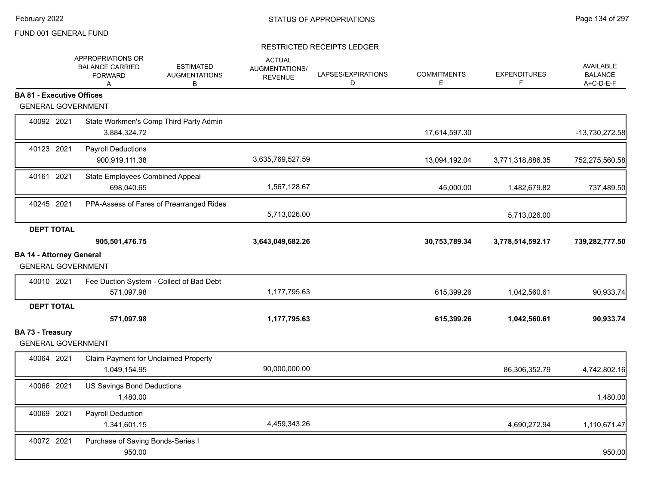|                                                              | APPROPRIATIONS OR<br><b>BALANCE CARRIED</b><br><b>FORWARD</b><br>A | <b>ESTIMATED</b><br><b>AUGMENTATIONS</b><br>В | <b>ACTUAL</b><br>AUGMENTATIONS/<br><b>REVENUE</b> | LAPSES/EXPIRATIONS<br>D | <b>COMMITMENTS</b><br>Е | <b>EXPENDITURES</b><br>F | <b>AVAILABLE</b><br><b>BALANCE</b><br>A+C-D-E-F |
|--------------------------------------------------------------|--------------------------------------------------------------------|-----------------------------------------------|---------------------------------------------------|-------------------------|-------------------------|--------------------------|-------------------------------------------------|
| <b>BA 81 - Executive Offices</b>                             |                                                                    |                                               |                                                   |                         |                         |                          |                                                 |
| <b>GENERAL GOVERNMENT</b>                                    |                                                                    |                                               |                                                   |                         |                         |                          |                                                 |
| 40092 2021                                                   | State Workmen's Comp Third Party Admin<br>3,884,324.72             |                                               |                                                   |                         | 17,614,597.30           |                          | -13,730,272.58                                  |
| 40123 2021                                                   | <b>Payroll Deductions</b><br>900,919,111.38                        |                                               | 3,635,769,527.59                                  |                         | 13,094,192.04           | 3,771,318,886.35         | 752,275,560.58                                  |
| 40161 2021                                                   | State Employees Combined Appeal<br>698,040.65                      |                                               | 1,567,128.67                                      |                         | 45,000.00               | 1,482,679.82             | 737,489.50                                      |
| 40245 2021                                                   | PPA-Assess of Fares of Prearranged Rides                           |                                               | 5,713,026.00                                      |                         |                         | 5,713,026.00             |                                                 |
| <b>DEPT TOTAL</b>                                            |                                                                    |                                               |                                                   |                         |                         |                          |                                                 |
|                                                              | 905,501,476.75                                                     |                                               | 3,643,049,682.26                                  |                         | 30,753,789.34           | 3,778,514,592.17         | 739,282,777.50                                  |
| <b>BA 14 - Attorney General</b><br><b>GENERAL GOVERNMENT</b> |                                                                    |                                               |                                                   |                         |                         |                          |                                                 |
| 40010 2021                                                   | Fee Duction System - Collect of Bad Debt<br>571,097.98             |                                               | 1,177,795.63                                      |                         | 615,399.26              | 1,042,560.61             | 90,933.74                                       |
| <b>DEPT TOTAL</b>                                            | 571,097.98                                                         |                                               | 1,177,795.63                                      |                         | 615,399.26              | 1,042,560.61             | 90,933.74                                       |
| BA 73 - Treasury<br><b>GENERAL GOVERNMENT</b>                |                                                                    |                                               |                                                   |                         |                         |                          |                                                 |
| 40064 2021                                                   | Claim Payment for Unclaimed Property<br>1,049,154.95               |                                               | 90,000,000.00                                     |                         |                         | 86,306,352.79            | 4,742,802.16                                    |
| 40066 2021                                                   | US Savings Bond Deductions<br>1,480.00                             |                                               |                                                   |                         |                         |                          | 1,480.00                                        |
| 40069 2021                                                   | Payroll Deduction<br>1,341,601.15                                  |                                               | 4,459,343.26                                      |                         |                         | 4,690,272.94             | 1,110,671.47                                    |
| 40072 2021                                                   | Purchase of Saving Bonds-Series I<br>950.00                        |                                               |                                                   |                         |                         |                          | 950.00                                          |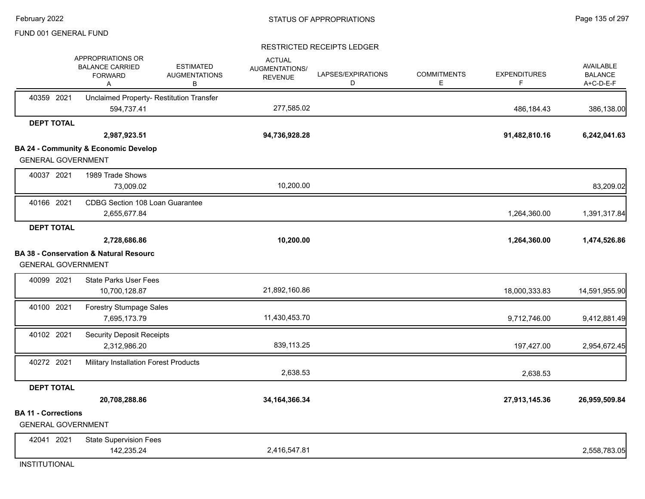#### RESTRICTED RECEIPTS LEDGER

|                                                         | APPROPRIATIONS OR<br><b>BALANCE CARRIED</b><br><b>FORWARD</b><br>Α | <b>ESTIMATED</b><br><b>AUGMENTATIONS</b><br>В | <b>ACTUAL</b><br>AUGMENTATIONS/<br><b>REVENUE</b> | LAPSES/EXPIRATIONS<br>D | <b>COMMITMENTS</b><br>Ε | <b>EXPENDITURES</b><br>F | AVAILABLE<br><b>BALANCE</b><br>A+C-D-E-F |
|---------------------------------------------------------|--------------------------------------------------------------------|-----------------------------------------------|---------------------------------------------------|-------------------------|-------------------------|--------------------------|------------------------------------------|
| 40359 2021                                              | Unclaimed Property- Restitution Transfer<br>594,737.41             |                                               | 277,585.02                                        |                         |                         | 486,184.43               | 386,138.00                               |
| <b>DEPT TOTAL</b>                                       |                                                                    |                                               |                                                   |                         |                         |                          |                                          |
|                                                         | 2,987,923.51                                                       |                                               | 94,736,928.28                                     |                         |                         | 91,482,810.16            | 6,242,041.63                             |
|                                                         | <b>BA 24 - Community &amp; Economic Develop</b>                    |                                               |                                                   |                         |                         |                          |                                          |
| <b>GENERAL GOVERNMENT</b>                               |                                                                    |                                               |                                                   |                         |                         |                          |                                          |
| 40037 2021                                              | 1989 Trade Shows                                                   |                                               |                                                   |                         |                         |                          |                                          |
|                                                         | 73,009.02                                                          |                                               | 10,200.00                                         |                         |                         |                          | 83,209.02                                |
| 40166 2021                                              | CDBG Section 108 Loan Guarantee<br>2,655,677.84                    |                                               |                                                   |                         |                         | 1,264,360.00             | 1,391,317.84                             |
| <b>DEPT TOTAL</b>                                       |                                                                    |                                               |                                                   |                         |                         |                          |                                          |
|                                                         | 2,728,686.86                                                       |                                               | 10,200.00                                         |                         |                         | 1,264,360.00             | 1,474,526.86                             |
|                                                         | <b>BA 38 - Conservation &amp; Natural Resourc</b>                  |                                               |                                                   |                         |                         |                          |                                          |
| <b>GENERAL GOVERNMENT</b>                               |                                                                    |                                               |                                                   |                         |                         |                          |                                          |
| 40099 2021                                              | <b>State Parks User Fees</b>                                       |                                               |                                                   |                         |                         |                          |                                          |
|                                                         | 10,700,128.87                                                      |                                               | 21,892,160.86                                     |                         |                         | 18,000,333.83            | 14,591,955.90                            |
| 40100 2021                                              | <b>Forestry Stumpage Sales</b>                                     |                                               |                                                   |                         |                         |                          |                                          |
|                                                         | 7,695,173.79                                                       |                                               | 11,430,453.70                                     |                         |                         | 9,712,746.00             | 9,412,881.49                             |
| 40102 2021                                              | <b>Security Deposit Receipts</b>                                   |                                               |                                                   |                         |                         |                          |                                          |
|                                                         | 2,312,986.20                                                       |                                               | 839,113.25                                        |                         |                         | 197,427.00               | 2,954,672.45                             |
| 40272 2021                                              | Military Installation Forest Products                              |                                               |                                                   |                         |                         |                          |                                          |
|                                                         |                                                                    |                                               | 2,638.53                                          |                         |                         | 2,638.53                 |                                          |
| <b>DEPT TOTAL</b>                                       |                                                                    |                                               |                                                   |                         |                         |                          |                                          |
|                                                         | 20,708,288.86                                                      |                                               | 34, 164, 366. 34                                  |                         |                         | 27,913,145.36            | 26,959,509.84                            |
| <b>BA 11 - Corrections</b><br><b>GENERAL GOVERNMENT</b> |                                                                    |                                               |                                                   |                         |                         |                          |                                          |
| 42041 2021                                              | <b>State Supervision Fees</b>                                      |                                               |                                                   |                         |                         |                          |                                          |
|                                                         | 142,235.24                                                         |                                               | 2,416,547.81                                      |                         |                         |                          | 2,558,783.05                             |

**INSTITUTIONAL**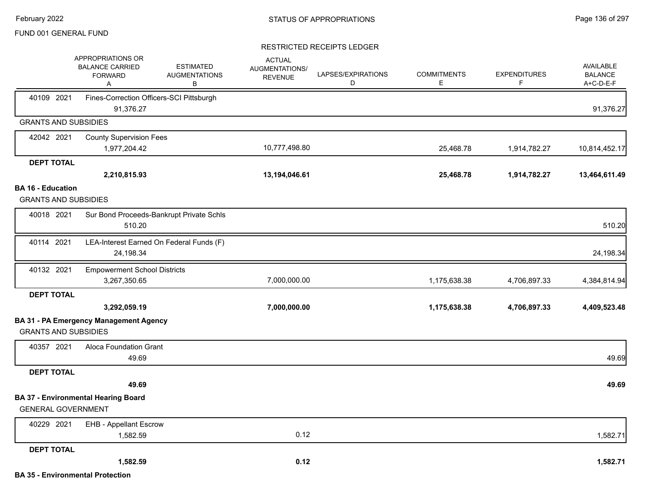|                                                         | APPROPRIATIONS OR<br><b>BALANCE CARRIED</b><br><b>FORWARD</b><br>A | <b>ESTIMATED</b><br><b>AUGMENTATIONS</b><br>B | <b>ACTUAL</b><br>AUGMENTATIONS/<br><b>REVENUE</b> | LAPSES/EXPIRATIONS<br>D | <b>COMMITMENTS</b><br>E. | <b>EXPENDITURES</b><br>F | AVAILABLE<br><b>BALANCE</b><br>A+C-D-E-F |
|---------------------------------------------------------|--------------------------------------------------------------------|-----------------------------------------------|---------------------------------------------------|-------------------------|--------------------------|--------------------------|------------------------------------------|
| 40109 2021                                              | 91,376.27                                                          | Fines-Correction Officers-SCI Pittsburgh      |                                                   |                         |                          |                          | 91,376.27                                |
| <b>GRANTS AND SUBSIDIES</b>                             |                                                                    |                                               |                                                   |                         |                          |                          |                                          |
| 42042 2021                                              | <b>County Supervision Fees</b>                                     |                                               |                                                   |                         |                          |                          |                                          |
|                                                         | 1,977,204.42                                                       |                                               | 10,777,498.80                                     |                         | 25,468.78                | 1,914,782.27             | 10,814,452.17                            |
| <b>DEPT TOTAL</b>                                       |                                                                    |                                               |                                                   |                         |                          |                          |                                          |
|                                                         | 2,210,815.93                                                       |                                               | 13,194,046.61                                     |                         | 25,468.78                | 1,914,782.27             | 13,464,611.49                            |
| <b>BA 16 - Education</b><br><b>GRANTS AND SUBSIDIES</b> |                                                                    |                                               |                                                   |                         |                          |                          |                                          |
|                                                         |                                                                    |                                               |                                                   |                         |                          |                          |                                          |
| 40018 2021                                              | 510.20                                                             | Sur Bond Proceeds-Bankrupt Private Schls      |                                                   |                         |                          |                          | 510.20                                   |
| 40114 2021                                              | 24,198.34                                                          | LEA-Interest Earned On Federal Funds (F)      |                                                   |                         |                          |                          | 24,198.34                                |
| 40132 2021                                              | <b>Empowerment School Districts</b><br>3,267,350.65                |                                               | 7,000,000.00                                      |                         | 1,175,638.38             | 4,706,897.33             | 4,384,814.94                             |
| <b>DEPT TOTAL</b>                                       |                                                                    |                                               |                                                   |                         |                          |                          |                                          |
|                                                         | 3,292,059.19                                                       |                                               | 7,000,000.00                                      |                         | 1,175,638.38             | 4,706,897.33             | 4,409,523.48                             |
| <b>GRANTS AND SUBSIDIES</b>                             | <b>BA 31 - PA Emergency Management Agency</b>                      |                                               |                                                   |                         |                          |                          |                                          |
| 40357 2021                                              | Aloca Foundation Grant<br>49.69                                    |                                               |                                                   |                         |                          |                          | 49.69                                    |
| <b>DEPT TOTAL</b>                                       |                                                                    |                                               |                                                   |                         |                          |                          |                                          |
|                                                         | 49.69                                                              |                                               |                                                   |                         |                          |                          | 49.69                                    |
| <b>GENERAL GOVERNMENT</b>                               | <b>BA 37 - Environmental Hearing Board</b>                         |                                               |                                                   |                         |                          |                          |                                          |
| 40229 2021                                              | <b>EHB - Appellant Escrow</b>                                      |                                               |                                                   |                         |                          |                          |                                          |
|                                                         | 1,582.59                                                           |                                               | 0.12                                              |                         |                          |                          | 1,582.71                                 |
| <b>DEPT TOTAL</b>                                       |                                                                    |                                               |                                                   |                         |                          |                          |                                          |
|                                                         | 1,582.59                                                           |                                               | 0.12                                              |                         |                          |                          | 1,582.71                                 |
|                                                         | <b>BA 35 - Environmental Protection</b>                            |                                               |                                                   |                         |                          |                          |                                          |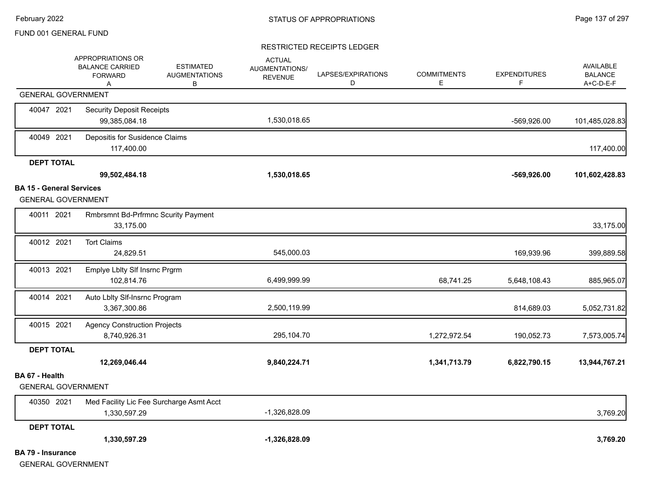|                                 | APPROPRIATIONS OR<br><b>BALANCE CARRIED</b><br><b>FORWARD</b><br>Α | <b>ESTIMATED</b><br><b>AUGMENTATIONS</b><br>B | <b>ACTUAL</b><br>AUGMENTATIONS/<br><b>REVENUE</b> | LAPSES/EXPIRATIONS<br>D | <b>COMMITMENTS</b><br>Е | <b>EXPENDITURES</b><br>F | AVAILABLE<br><b>BALANCE</b><br>A+C-D-E-F |
|---------------------------------|--------------------------------------------------------------------|-----------------------------------------------|---------------------------------------------------|-------------------------|-------------------------|--------------------------|------------------------------------------|
|                                 | <b>GENERAL GOVERNMENT</b>                                          |                                               |                                                   |                         |                         |                          |                                          |
| 40047 2021                      | <b>Security Deposit Receipts</b><br>99,385,084.18                  |                                               | 1,530,018.65                                      |                         |                         | -569,926.00              | 101,485,028.83                           |
| 40049 2021                      | Depositis for Susidence Claims<br>117,400.00                       |                                               |                                                   |                         |                         |                          | 117,400.00                               |
| <b>DEPT TOTAL</b>               |                                                                    |                                               |                                                   |                         |                         |                          |                                          |
|                                 | 99,502,484.18                                                      |                                               | 1,530,018.65                                      |                         |                         | $-569,926.00$            | 101,602,428.83                           |
| <b>BA 15 - General Services</b> |                                                                    |                                               |                                                   |                         |                         |                          |                                          |
|                                 | <b>GENERAL GOVERNMENT</b>                                          |                                               |                                                   |                         |                         |                          |                                          |
| 40011 2021                      | <b>Rmbrsmnt Bd-Prfrmnc Scurity Payment</b><br>33,175.00            |                                               |                                                   |                         |                         |                          | 33,175.00                                |
| 40012 2021                      | <b>Tort Claims</b><br>24,829.51                                    |                                               | 545,000.03                                        |                         |                         | 169,939.96               | 399,889.58                               |
| 40013 2021                      | Emplye Lblty SIf Insrnc Prgrm<br>102,814.76                        |                                               | 6,499,999.99                                      |                         | 68,741.25               | 5,648,108.43             | 885,965.07                               |
| 40014 2021                      | Auto Lblty Slf-Insrnc Program<br>3,367,300.86                      |                                               | 2,500,119.99                                      |                         |                         | 814,689.03               | 5,052,731.82                             |
| 40015 2021                      | <b>Agency Construction Projects</b><br>8,740,926.31                |                                               | 295,104.70                                        |                         | 1,272,972.54            | 190,052.73               | 7,573,005.74                             |
| <b>DEPT TOTAL</b>               |                                                                    |                                               |                                                   |                         |                         |                          |                                          |
|                                 | 12,269,046.44                                                      |                                               | 9,840,224.71                                      |                         | 1,341,713.79            | 6,822,790.15             | 13,944,767.21                            |
| BA 67 - Health                  | <b>GENERAL GOVERNMENT</b>                                          |                                               |                                                   |                         |                         |                          |                                          |
| 40350 2021                      | Med Facility Lic Fee Surcharge Asmt Acct<br>1,330,597.29           |                                               | -1,326,828.09                                     |                         |                         |                          | 3,769.20                                 |
| <b>DEPT TOTAL</b>               |                                                                    |                                               |                                                   |                         |                         |                          |                                          |
|                                 | 1,330,597.29                                                       |                                               | $-1,326,828.09$                                   |                         |                         |                          | 3,769.20                                 |
| <b>BA 79 - Insurance</b>        | <b>GENERAL GOVERNMENT</b>                                          |                                               |                                                   |                         |                         |                          |                                          |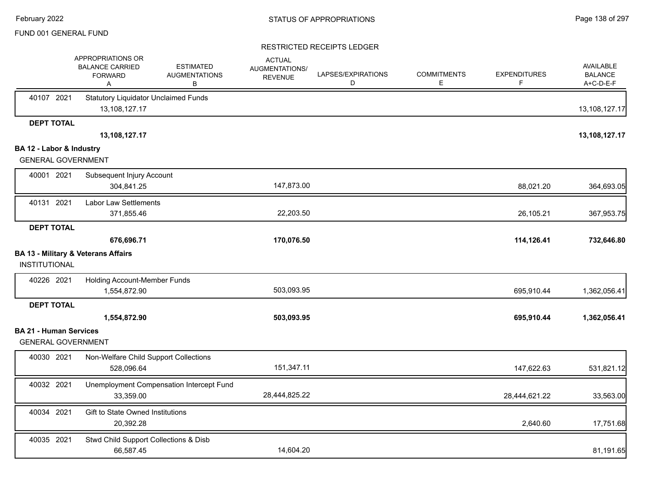|                                                       | APPROPRIATIONS OR<br><b>BALANCE CARRIED</b><br><b>FORWARD</b><br>Α | <b>ESTIMATED</b><br><b>AUGMENTATIONS</b><br>B | <b>ACTUAL</b><br>AUGMENTATIONS/<br><b>REVENUE</b> | LAPSES/EXPIRATIONS<br>D | <b>COMMITMENTS</b><br>Е | <b>EXPENDITURES</b><br>F | <b>AVAILABLE</b><br><b>BALANCE</b><br>A+C-D-E-F |
|-------------------------------------------------------|--------------------------------------------------------------------|-----------------------------------------------|---------------------------------------------------|-------------------------|-------------------------|--------------------------|-------------------------------------------------|
| 40107 2021                                            | <b>Statutory Liquidator Unclaimed Funds</b><br>13,108,127.17       |                                               |                                                   |                         |                         |                          | 13,108,127.17                                   |
| <b>DEPT TOTAL</b>                                     |                                                                    |                                               |                                                   |                         |                         |                          |                                                 |
|                                                       | 13,108,127.17                                                      |                                               |                                                   |                         |                         |                          | 13,108,127.17                                   |
| BA 12 - Labor & Industry<br><b>GENERAL GOVERNMENT</b> |                                                                    |                                               |                                                   |                         |                         |                          |                                                 |
|                                                       |                                                                    |                                               |                                                   |                         |                         |                          |                                                 |
| 40001 2021                                            | Subsequent Injury Account                                          |                                               |                                                   |                         |                         |                          |                                                 |
|                                                       | 304,841.25                                                         |                                               | 147,873.00                                        |                         |                         | 88,021.20                | 364,693.05                                      |
| 40131 2021                                            | <b>Labor Law Settlements</b>                                       |                                               |                                                   |                         |                         |                          |                                                 |
|                                                       | 371,855.46                                                         |                                               | 22,203.50                                         |                         |                         | 26,105.21                | 367,953.75                                      |
| <b>DEPT TOTAL</b>                                     |                                                                    |                                               |                                                   |                         |                         |                          |                                                 |
|                                                       | 676,696.71                                                         |                                               | 170,076.50                                        |                         |                         | 114,126.41               | 732,646.80                                      |
|                                                       | <b>BA 13 - Military &amp; Veterans Affairs</b>                     |                                               |                                                   |                         |                         |                          |                                                 |
| <b>INSTITUTIONAL</b>                                  |                                                                    |                                               |                                                   |                         |                         |                          |                                                 |
| 40226 2021                                            | Holding Account-Member Funds                                       |                                               |                                                   |                         |                         |                          |                                                 |
|                                                       | 1,554,872.90                                                       |                                               | 503,093.95                                        |                         |                         | 695,910.44               | 1,362,056.41                                    |
| <b>DEPT TOTAL</b>                                     |                                                                    |                                               |                                                   |                         |                         |                          |                                                 |
|                                                       | 1,554,872.90                                                       |                                               | 503,093.95                                        |                         |                         | 695,910.44               | 1,362,056.41                                    |
| <b>BA 21 - Human Services</b>                         |                                                                    |                                               |                                                   |                         |                         |                          |                                                 |
| <b>GENERAL GOVERNMENT</b>                             |                                                                    |                                               |                                                   |                         |                         |                          |                                                 |
| 40030 2021                                            | Non-Welfare Child Support Collections                              |                                               |                                                   |                         |                         |                          |                                                 |
|                                                       | 528,096.64                                                         |                                               | 151,347.11                                        |                         |                         | 147,622.63               | 531,821.12                                      |
| 40032 2021                                            |                                                                    | Unemployment Compensation Intercept Fund      |                                                   |                         |                         |                          |                                                 |
|                                                       | 33,359.00                                                          |                                               | 28,444,825.22                                     |                         |                         | 28,444,621.22            | 33,563.00                                       |
| 40034 2021                                            | Gift to State Owned Institutions                                   |                                               |                                                   |                         |                         |                          |                                                 |
|                                                       | 20,392.28                                                          |                                               |                                                   |                         |                         | 2,640.60                 | 17,751.68                                       |
| 40035 2021                                            | Stwd Child Support Collections & Disb                              |                                               |                                                   |                         |                         |                          |                                                 |
|                                                       | 66,587.45                                                          |                                               | 14,604.20                                         |                         |                         |                          | 81,191.65                                       |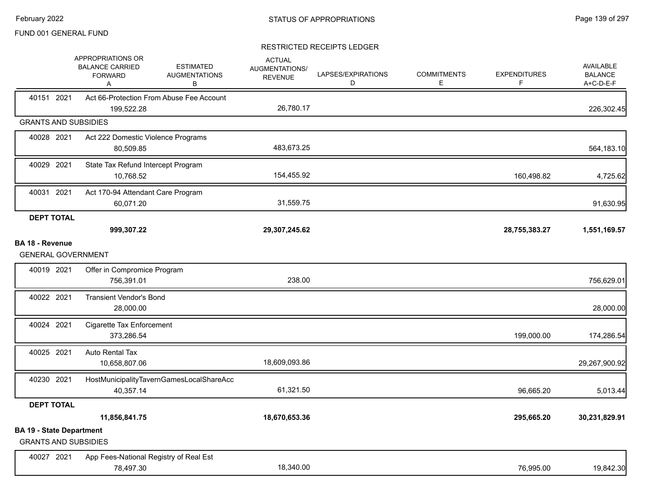|                                                                | APPROPRIATIONS OR<br><b>BALANCE CARRIED</b><br><b>FORWARD</b><br>Α | <b>ESTIMATED</b><br><b>AUGMENTATIONS</b><br>В | <b>ACTUAL</b><br>AUGMENTATIONS/<br><b>REVENUE</b> | LAPSES/EXPIRATIONS<br>D | <b>COMMITMENTS</b><br>E. | <b>EXPENDITURES</b><br>F | <b>AVAILABLE</b><br><b>BALANCE</b><br>A+C-D-E-F |
|----------------------------------------------------------------|--------------------------------------------------------------------|-----------------------------------------------|---------------------------------------------------|-------------------------|--------------------------|--------------------------|-------------------------------------------------|
| 40151 2021                                                     | 199,522.28                                                         | Act 66-Protection From Abuse Fee Account      | 26,780.17                                         |                         |                          |                          | 226,302.45                                      |
| <b>GRANTS AND SUBSIDIES</b>                                    |                                                                    |                                               |                                                   |                         |                          |                          |                                                 |
| 40028 2021                                                     | Act 222 Domestic Violence Programs<br>80,509.85                    |                                               | 483,673.25                                        |                         |                          |                          | 564,183.10                                      |
| 40029 2021                                                     | State Tax Refund Intercept Program<br>10,768.52                    |                                               | 154,455.92                                        |                         |                          | 160,498.82               | 4,725.62                                        |
| 40031 2021                                                     | Act 170-94 Attendant Care Program<br>60,071.20                     |                                               | 31,559.75                                         |                         |                          |                          | 91,630.95                                       |
| <b>DEPT TOTAL</b>                                              | 999,307.22                                                         |                                               | 29,307,245.62                                     |                         |                          | 28,755,383.27            | 1,551,169.57                                    |
| <b>BA 18 - Revenue</b><br><b>GENERAL GOVERNMENT</b>            |                                                                    |                                               |                                                   |                         |                          |                          |                                                 |
| 40019 2021                                                     | Offer in Compromice Program<br>756,391.01                          |                                               | 238.00                                            |                         |                          |                          | 756,629.01                                      |
| 40022 2021                                                     | <b>Transient Vendor's Bond</b><br>28,000.00                        |                                               |                                                   |                         |                          |                          | 28,000.00                                       |
| 40024 2021                                                     | Cigarette Tax Enforcement<br>373,286.54                            |                                               |                                                   |                         |                          | 199,000.00               | 174,286.54                                      |
| 40025 2021                                                     | Auto Rental Tax<br>10,658,807.06                                   |                                               | 18,609,093.86                                     |                         |                          |                          | 29,267,900.92                                   |
| 40230 2021                                                     | 40,357.14                                                          | HostMunicipalityTavernGamesLocalShareAcc      | 61,321.50                                         |                         |                          | 96,665.20                | 5,013.44                                        |
| <b>DEPT TOTAL</b>                                              |                                                                    |                                               |                                                   |                         |                          |                          |                                                 |
|                                                                | 11,856,841.75                                                      |                                               | 18,670,653.36                                     |                         |                          | 295,665.20               | 30,231,829.91                                   |
| <b>BA 19 - State Department</b><br><b>GRANTS AND SUBSIDIES</b> |                                                                    |                                               |                                                   |                         |                          |                          |                                                 |
| 40027 2021                                                     | App Fees-National Registry of Real Est<br>78,497.30                |                                               | 18,340.00                                         |                         |                          | 76,995.00                | 19,842.30                                       |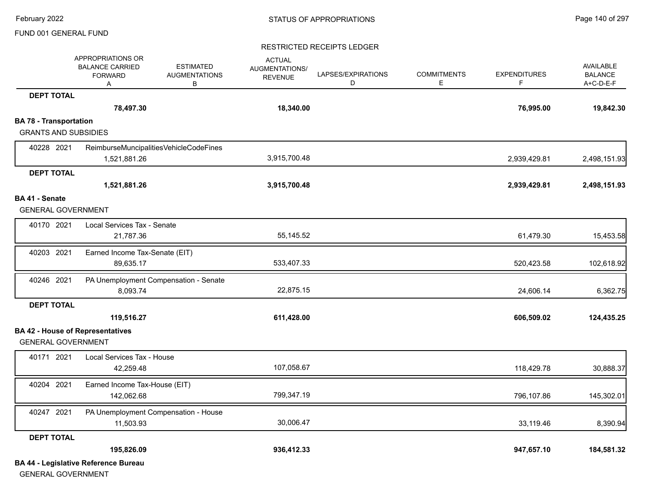#### RESTRICTED RECEIPTS LEDGER

|                               | APPROPRIATIONS OR<br><b>BALANCE CARRIED</b><br><b>FORWARD</b><br>Α | <b>ESTIMATED</b><br><b>AUGMENTATIONS</b><br>В | <b>ACTUAL</b><br>AUGMENTATIONS/<br><b>REVENUE</b> | LAPSES/EXPIRATIONS<br>D | <b>COMMITMENTS</b><br>E | <b>EXPENDITURES</b><br>F | <b>AVAILABLE</b><br><b>BALANCE</b><br>A+C-D-E-F |
|-------------------------------|--------------------------------------------------------------------|-----------------------------------------------|---------------------------------------------------|-------------------------|-------------------------|--------------------------|-------------------------------------------------|
| <b>DEPT TOTAL</b>             |                                                                    |                                               |                                                   |                         |                         |                          |                                                 |
|                               | 78,497.30                                                          |                                               | 18,340.00                                         |                         |                         | 76,995.00                | 19,842.30                                       |
| <b>BA 78 - Transportation</b> |                                                                    |                                               |                                                   |                         |                         |                          |                                                 |
| <b>GRANTS AND SUBSIDIES</b>   |                                                                    |                                               |                                                   |                         |                         |                          |                                                 |
| 40228 2021                    | ReimburseMuncipalitiesVehicleCodeFines                             |                                               |                                                   |                         |                         |                          |                                                 |
|                               | 1,521,881.26                                                       |                                               | 3,915,700.48                                      |                         |                         | 2,939,429.81             | 2,498,151.93                                    |
| <b>DEPT TOTAL</b>             |                                                                    |                                               |                                                   |                         |                         |                          |                                                 |
|                               | 1,521,881.26                                                       |                                               | 3,915,700.48                                      |                         |                         | 2,939,429.81             | 2,498,151.93                                    |
| BA 41 - Senate                |                                                                    |                                               |                                                   |                         |                         |                          |                                                 |
| <b>GENERAL GOVERNMENT</b>     |                                                                    |                                               |                                                   |                         |                         |                          |                                                 |
| 40170 2021                    | Local Services Tax - Senate                                        |                                               |                                                   |                         |                         |                          |                                                 |
|                               | 21,787.36                                                          |                                               | 55,145.52                                         |                         |                         | 61,479.30                | 15,453.58                                       |
| 40203 2021                    | Earned Income Tax-Senate (EIT)                                     |                                               |                                                   |                         |                         |                          |                                                 |
|                               | 89,635.17                                                          |                                               | 533,407.33                                        |                         |                         | 520,423.58               | 102,618.92                                      |
| 40246 2021                    | PA Unemployment Compensation - Senate                              |                                               |                                                   |                         |                         |                          |                                                 |
|                               | 8,093.74                                                           |                                               | 22,875.15                                         |                         |                         | 24,606.14                | 6,362.75                                        |
| <b>DEPT TOTAL</b>             |                                                                    |                                               |                                                   |                         |                         |                          |                                                 |
|                               | 119,516.27                                                         |                                               | 611,428.00                                        |                         |                         | 606,509.02               | 124,435.25                                      |
|                               | <b>BA 42 - House of Representatives</b>                            |                                               |                                                   |                         |                         |                          |                                                 |
| <b>GENERAL GOVERNMENT</b>     |                                                                    |                                               |                                                   |                         |                         |                          |                                                 |
| 40171 2021                    | Local Services Tax - House                                         |                                               |                                                   |                         |                         |                          |                                                 |
|                               | 42,259.48                                                          |                                               | 107,058.67                                        |                         |                         | 118,429.78               | 30,888.37                                       |
| 40204 2021                    | Earned Income Tax-House (EIT)                                      |                                               |                                                   |                         |                         |                          |                                                 |
|                               | 142,062.68                                                         |                                               | 799,347.19                                        |                         |                         | 796,107.86               | 145,302.01                                      |
| 40247 2021                    | PA Unemployment Compensation - House                               |                                               |                                                   |                         |                         |                          |                                                 |
|                               | 11,503.93                                                          |                                               | 30,006.47                                         |                         |                         | 33,119.46                | 8,390.94                                        |
| <b>DEPT TOTAL</b>             |                                                                    |                                               |                                                   |                         |                         |                          |                                                 |
|                               | 195,826.09                                                         |                                               | 936,412.33                                        |                         |                         | 947,657.10               | 184,581.32                                      |
|                               | <b>BA 44 - Legislative Reference Bureau</b>                        |                                               |                                                   |                         |                         |                          |                                                 |

GENERAL GOVERNMENT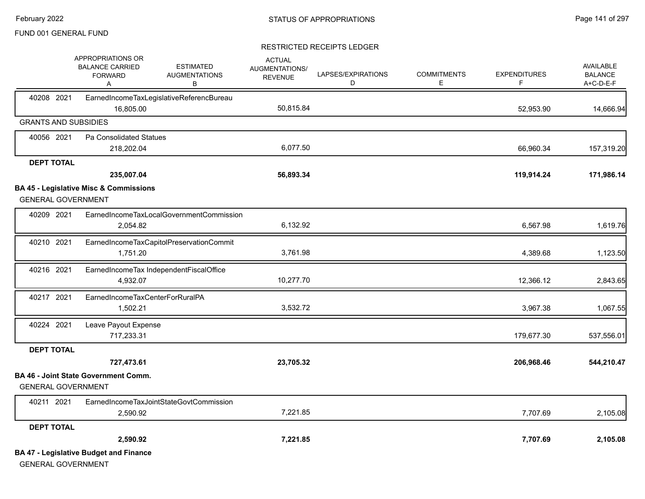|                             | APPROPRIATIONS OR<br><b>BALANCE CARRIED</b><br><b>FORWARD</b><br>Α | <b>ESTIMATED</b><br><b>AUGMENTATIONS</b><br>В | <b>ACTUAL</b><br>AUGMENTATIONS/<br><b>REVENUE</b> | LAPSES/EXPIRATIONS<br>D | <b>COMMITMENTS</b><br>E. | <b>EXPENDITURES</b><br>F. | AVAILABLE<br><b>BALANCE</b><br>A+C-D-E-F |
|-----------------------------|--------------------------------------------------------------------|-----------------------------------------------|---------------------------------------------------|-------------------------|--------------------------|---------------------------|------------------------------------------|
| 40208 2021                  | 16,805.00                                                          | EarnedIncomeTaxLegislativeReferencBureau      | 50,815.84                                         |                         |                          | 52,953.90                 | 14,666.94                                |
| <b>GRANTS AND SUBSIDIES</b> |                                                                    |                                               |                                                   |                         |                          |                           |                                          |
| 40056 2021                  | Pa Consolidated Statues                                            |                                               |                                                   |                         |                          |                           |                                          |
|                             | 218,202.04                                                         |                                               | 6,077.50                                          |                         |                          | 66,960.34                 | 157,319.20                               |
| <b>DEPT TOTAL</b>           |                                                                    |                                               |                                                   |                         |                          |                           |                                          |
|                             | 235,007.04                                                         |                                               | 56,893.34                                         |                         |                          | 119,914.24                | 171,986.14                               |
|                             | <b>BA 45 - Legislative Misc &amp; Commissions</b>                  |                                               |                                                   |                         |                          |                           |                                          |
| <b>GENERAL GOVERNMENT</b>   |                                                                    |                                               |                                                   |                         |                          |                           |                                          |
| 40209 2021                  |                                                                    | EarnedIncomeTaxLocalGovernmentCommission      |                                                   |                         |                          |                           |                                          |
|                             | 2,054.82                                                           |                                               | 6,132.92                                          |                         |                          | 6,567.98                  | 1,619.76                                 |
| 40210 2021                  |                                                                    | EarnedIncomeTaxCapitolPreservationCommit      |                                                   |                         |                          |                           |                                          |
|                             | 1,751.20                                                           |                                               | 3,761.98                                          |                         |                          | 4,389.68                  | 1,123.50                                 |
| 40216 2021                  |                                                                    | EarnedIncomeTax IndependentFiscalOffice       |                                                   |                         |                          |                           |                                          |
|                             | 4,932.07                                                           |                                               | 10,277.70                                         |                         |                          | 12,366.12                 | 2,843.65                                 |
| 40217 2021                  | EarnedIncomeTaxCenterForRuralPA                                    |                                               |                                                   |                         |                          |                           |                                          |
|                             | 1,502.21                                                           |                                               | 3,532.72                                          |                         |                          | 3,967.38                  | 1,067.55                                 |
| 40224 2021                  | Leave Payout Expense                                               |                                               |                                                   |                         |                          |                           |                                          |
|                             | 717,233.31                                                         |                                               |                                                   |                         |                          | 179,677.30                | 537,556.01                               |
| <b>DEPT TOTAL</b>           |                                                                    |                                               |                                                   |                         |                          |                           |                                          |
|                             | 727,473.61                                                         |                                               | 23,705.32                                         |                         |                          | 206,968.46                | 544,210.47                               |
| <b>GENERAL GOVERNMENT</b>   | <b>BA 46 - Joint State Government Comm.</b>                        |                                               |                                                   |                         |                          |                           |                                          |
| 40211 2021                  |                                                                    | EarnedIncomeTaxJointStateGovtCommission       |                                                   |                         |                          |                           |                                          |
|                             | 2,590.92                                                           |                                               | 7,221.85                                          |                         |                          | 7,707.69                  | 2,105.08                                 |
| <b>DEPT TOTAL</b>           |                                                                    |                                               |                                                   |                         |                          |                           |                                          |
|                             | 2,590.92                                                           |                                               | 7,221.85                                          |                         |                          | 7,707.69                  | 2,105.08                                 |
| <b>GENERAL GOVERNMENT</b>   | <b>BA 47 - Legislative Budget and Finance</b>                      |                                               |                                                   |                         |                          |                           |                                          |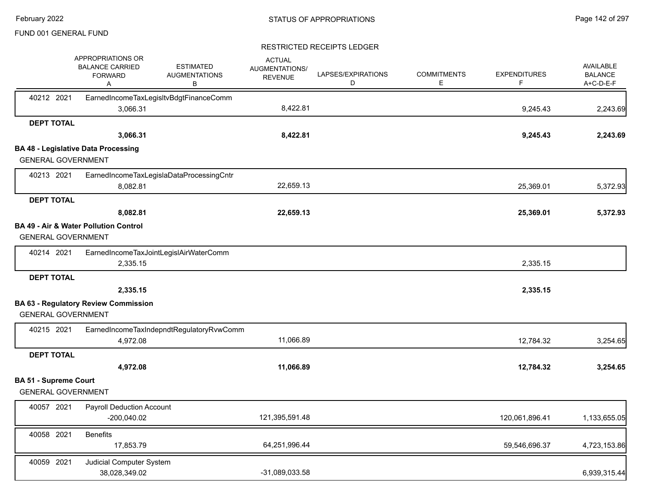|                              | APPROPRIATIONS OR<br><b>BALANCE CARRIED</b><br><b>FORWARD</b><br>A | <b>ESTIMATED</b><br><b>AUGMENTATIONS</b><br>В | <b>ACTUAL</b><br><b>AUGMENTATIONS/</b><br><b>REVENUE</b> | LAPSES/EXPIRATIONS<br>D | <b>COMMITMENTS</b><br>E. | <b>EXPENDITURES</b><br>F | <b>AVAILABLE</b><br><b>BALANCE</b><br>A+C-D-E-F |
|------------------------------|--------------------------------------------------------------------|-----------------------------------------------|----------------------------------------------------------|-------------------------|--------------------------|--------------------------|-------------------------------------------------|
| 40212 2021                   | 3,066.31                                                           | EarnedIncomeTaxLegisItvBdgtFinanceComm        | 8,422.81                                                 |                         |                          | 9,245.43                 | 2,243.69                                        |
| <b>DEPT TOTAL</b>            |                                                                    |                                               |                                                          |                         |                          |                          |                                                 |
|                              | 3,066.31                                                           |                                               | 8,422.81                                                 |                         |                          | 9,245.43                 | 2,243.69                                        |
|                              | <b>BA 48 - Legislative Data Processing</b>                         |                                               |                                                          |                         |                          |                          |                                                 |
| <b>GENERAL GOVERNMENT</b>    |                                                                    |                                               |                                                          |                         |                          |                          |                                                 |
| 40213 2021                   |                                                                    | EarnedIncomeTaxLegislaDataProcessingCntr      |                                                          |                         |                          |                          |                                                 |
|                              | 8,082.81                                                           |                                               | 22,659.13                                                |                         |                          | 25,369.01                | 5,372.93                                        |
| <b>DEPT TOTAL</b>            |                                                                    |                                               |                                                          |                         |                          |                          |                                                 |
|                              | 8,082.81                                                           |                                               | 22,659.13                                                |                         |                          | 25,369.01                | 5,372.93                                        |
| <b>GENERAL GOVERNMENT</b>    | <b>BA 49 - Air &amp; Water Pollution Control</b>                   |                                               |                                                          |                         |                          |                          |                                                 |
| 40214 2021                   |                                                                    | EarnedIncomeTaxJointLegislAirWaterComm        |                                                          |                         |                          |                          |                                                 |
|                              | 2,335.15                                                           |                                               |                                                          |                         |                          | 2,335.15                 |                                                 |
| <b>DEPT TOTAL</b>            |                                                                    |                                               |                                                          |                         |                          |                          |                                                 |
|                              | 2,335.15                                                           |                                               |                                                          |                         |                          | 2,335.15                 |                                                 |
|                              | <b>BA 63 - Regulatory Review Commission</b>                        |                                               |                                                          |                         |                          |                          |                                                 |
| <b>GENERAL GOVERNMENT</b>    |                                                                    |                                               |                                                          |                         |                          |                          |                                                 |
| 40215 2021                   |                                                                    | EarnedIncomeTaxIndepndtRegulatoryRvwComm      |                                                          |                         |                          |                          |                                                 |
|                              | 4,972.08                                                           |                                               | 11,066.89                                                |                         |                          | 12,784.32                | 3,254.65                                        |
| <b>DEPT TOTAL</b>            |                                                                    |                                               |                                                          |                         |                          |                          |                                                 |
|                              | 4,972.08                                                           |                                               | 11,066.89                                                |                         |                          | 12,784.32                | 3,254.65                                        |
| <b>BA 51 - Supreme Court</b> |                                                                    |                                               |                                                          |                         |                          |                          |                                                 |
| <b>GENERAL GOVERNMENT</b>    |                                                                    |                                               |                                                          |                         |                          |                          |                                                 |
| 40057 2021                   | <b>Payroll Deduction Account</b><br>$-200,040.02$                  |                                               | 121,395,591.48                                           |                         |                          | 120,061,896.41           | 1,133,655.05                                    |
| 40058 2021                   | <b>Benefits</b><br>17,853.79                                       |                                               | 64,251,996.44                                            |                         |                          | 59,546,696.37            | 4,723,153.86                                    |
| 40059 2021                   | Judicial Computer System<br>38,028,349.02                          |                                               | -31,089,033.58                                           |                         |                          |                          | 6,939,315.44                                    |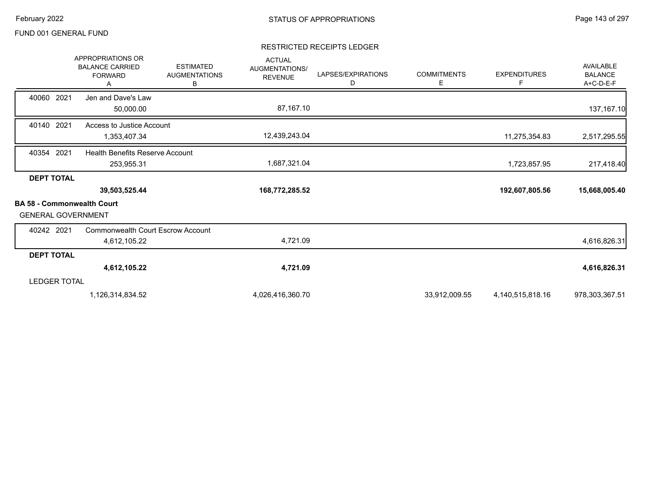|                                                        | <b>APPROPRIATIONS OR</b><br><b>BALANCE CARRIED</b><br><b>FORWARD</b><br>A | <b>ESTIMATED</b><br><b>AUGMENTATIONS</b><br>В | <b>ACTUAL</b><br><b>AUGMENTATIONS/</b><br><b>REVENUE</b> | LAPSES/EXPIRATIONS<br>D | <b>COMMITMENTS</b><br>Е | <b>EXPENDITURES</b><br>F. | AVAILABLE<br><b>BALANCE</b><br>A+C-D-E-F |
|--------------------------------------------------------|---------------------------------------------------------------------------|-----------------------------------------------|----------------------------------------------------------|-------------------------|-------------------------|---------------------------|------------------------------------------|
| 40060 2021                                             | Jen and Dave's Law<br>50,000.00                                           |                                               | 87,167.10                                                |                         |                         |                           | 137,167.10                               |
| 40140 2021                                             | Access to Justice Account<br>1,353,407.34                                 |                                               | 12,439,243.04                                            |                         |                         | 11,275,354.83             | 2,517,295.55                             |
| 40354 2021                                             | <b>Health Benefits Reserve Account</b><br>253,955.31                      |                                               | 1,687,321.04                                             |                         |                         | 1,723,857.95              | 217,418.40                               |
| <b>DEPT TOTAL</b><br><b>BA 58 - Commonwealth Court</b> | 39,503,525.44                                                             |                                               | 168,772,285.52                                           |                         |                         | 192,607,805.56            | 15,668,005.40                            |
| <b>GENERAL GOVERNMENT</b>                              |                                                                           |                                               |                                                          |                         |                         |                           |                                          |
| 40242 2021                                             | <b>Commonwealth Court Escrow Account</b><br>4,612,105.22                  |                                               | 4,721.09                                                 |                         |                         |                           | 4,616,826.31                             |
| <b>DEPT TOTAL</b>                                      |                                                                           |                                               |                                                          |                         |                         |                           |                                          |
| <b>LEDGER TOTAL</b>                                    | 4,612,105.22                                                              |                                               | 4,721.09                                                 |                         |                         |                           | 4,616,826.31                             |
|                                                        | 1,126,314,834.52                                                          |                                               | 4,026,416,360.70                                         |                         | 33,912,009.55           | 4,140,515,818.16          | 978,303,367.51                           |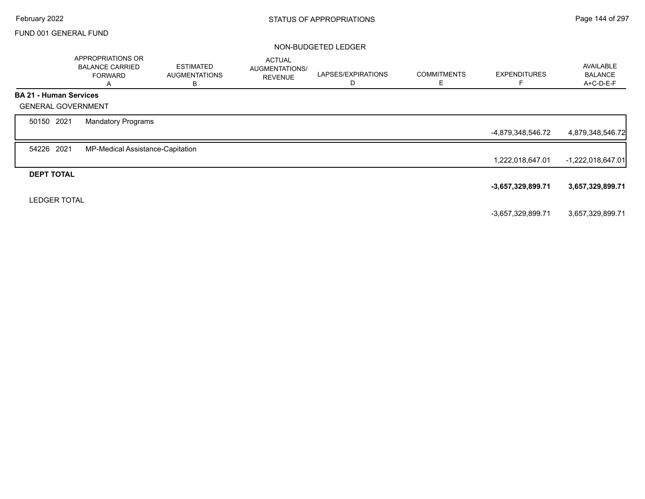#### NON-BUDGETED LEDGER

|                   | APPROPRIATIONS OR<br><b>BALANCE CARRIED</b><br><b>FORWARD</b><br>A | <b>ESTIMATED</b><br><b>AUGMENTATIONS</b><br>В | <b>ACTUAL</b><br>AUGMENTATIONS/<br><b>REVENUE</b> | LAPSES/EXPIRATIONS<br>D | <b>COMMITMENTS</b><br>Е | <b>EXPENDITURES</b> | AVAILABLE<br><b>BALANCE</b><br>A+C-D-E-F |
|-------------------|--------------------------------------------------------------------|-----------------------------------------------|---------------------------------------------------|-------------------------|-------------------------|---------------------|------------------------------------------|
|                   | <b>BA 21 - Human Services</b>                                      |                                               |                                                   |                         |                         |                     |                                          |
|                   | <b>GENERAL GOVERNMENT</b>                                          |                                               |                                                   |                         |                         |                     |                                          |
| 50150 2021        | <b>Mandatory Programs</b>                                          |                                               |                                                   |                         |                         |                     |                                          |
|                   |                                                                    |                                               |                                                   |                         |                         | -4,879,348,546.72   | 4,879,348,546.72                         |
| 54226 2021        | MP-Medical Assistance-Capitation                                   |                                               |                                                   |                         |                         |                     |                                          |
|                   |                                                                    |                                               |                                                   |                         |                         | 1,222,018,647.01    | $-1,222,018,647.01$                      |
| <b>DEPT TOTAL</b> |                                                                    |                                               |                                                   |                         |                         |                     |                                          |
|                   |                                                                    |                                               |                                                   |                         |                         | $-3,657,329,899.71$ | 3,657,329,899.71                         |
|                   | <b>LEDGER TOTAL</b>                                                |                                               |                                                   |                         |                         |                     |                                          |
|                   |                                                                    |                                               |                                                   |                         |                         | -3,657,329,899.71   | 3,657,329,899.71                         |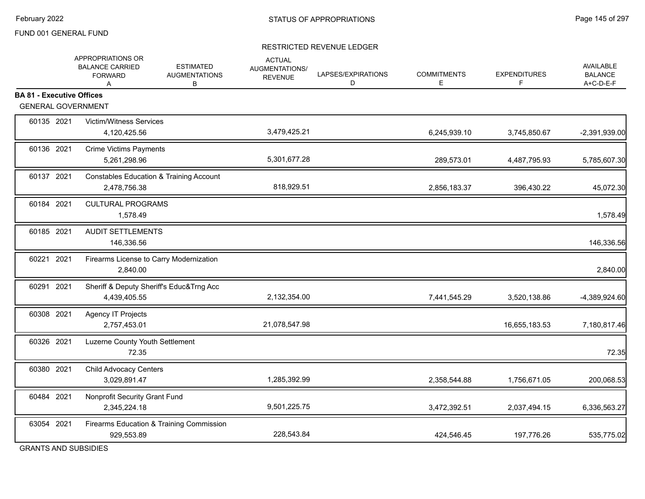### RESTRICTED REVENUE LEDGER

|                                                               | APPROPRIATIONS OR<br><b>ESTIMATED</b><br><b>BALANCE CARRIED</b><br><b>AUGMENTATIONS</b><br><b>FORWARD</b><br>B<br>A | <b>ACTUAL</b><br>AUGMENTATIONS/<br><b>REVENUE</b> | LAPSES/EXPIRATIONS<br>D | <b>COMMITMENTS</b><br>E | <b>EXPENDITURES</b><br>F | <b>AVAILABLE</b><br><b>BALANCE</b><br>A+C-D-E-F |
|---------------------------------------------------------------|---------------------------------------------------------------------------------------------------------------------|---------------------------------------------------|-------------------------|-------------------------|--------------------------|-------------------------------------------------|
| <b>BA 81 - Executive Offices</b><br><b>GENERAL GOVERNMENT</b> |                                                                                                                     |                                                   |                         |                         |                          |                                                 |
|                                                               |                                                                                                                     |                                                   |                         |                         |                          |                                                 |
| 60135 2021                                                    | <b>Victim/Witness Services</b><br>4,120,425.56                                                                      | 3,479,425.21                                      |                         | 6,245,939.10            | 3,745,850.67             | -2,391,939.00                                   |
| 60136 2021                                                    | <b>Crime Victims Payments</b><br>5,261,298.96                                                                       | 5,301,677.28                                      |                         | 289,573.01              | 4,487,795.93             | 5,785,607.30                                    |
| 60137 2021                                                    | <b>Constables Education &amp; Training Account</b><br>2,478,756.38                                                  | 818,929.51                                        |                         | 2,856,183.37            | 396,430.22               | 45,072.30                                       |
| 60184 2021                                                    | <b>CULTURAL PROGRAMS</b><br>1,578.49                                                                                |                                                   |                         |                         |                          | 1,578.49                                        |
| 60185 2021                                                    | <b>AUDIT SETTLEMENTS</b><br>146,336.56                                                                              |                                                   |                         |                         |                          | 146,336.56                                      |
| 60221 2021                                                    | Firearms License to Carry Modernization<br>2,840.00                                                                 |                                                   |                         |                         |                          | 2,840.00                                        |
| 60291 2021                                                    | Sheriff & Deputy Sheriff's Educ&Trng Acc<br>4,439,405.55                                                            | 2,132,354.00                                      |                         | 7,441,545.29            | 3,520,138.86             | -4,389,924.60                                   |
| 60308 2021                                                    | Agency IT Projects<br>2,757,453.01                                                                                  | 21,078,547.98                                     |                         |                         | 16,655,183.53            | 7,180,817.46                                    |
| 60326 2021                                                    | Luzerne County Youth Settlement<br>72.35                                                                            |                                                   |                         |                         |                          | 72.35                                           |
| 60380 2021                                                    | Child Advocacy Centers<br>3,029,891.47                                                                              | 1,285,392.99                                      |                         | 2,358,544.88            | 1,756,671.05             | 200,068.53                                      |
| 60484 2021                                                    | Nonprofit Security Grant Fund<br>2,345,224.18                                                                       | 9,501,225.75                                      |                         | 3,472,392.51            | 2,037,494.15             | 6,336,563.27                                    |
| 63054 2021                                                    | Firearms Education & Training Commission<br>929,553.89                                                              | 228,543.84                                        |                         | 424,546.45              | 197,776.26               | 535,775.02                                      |

GRANTS AND SUBSIDIES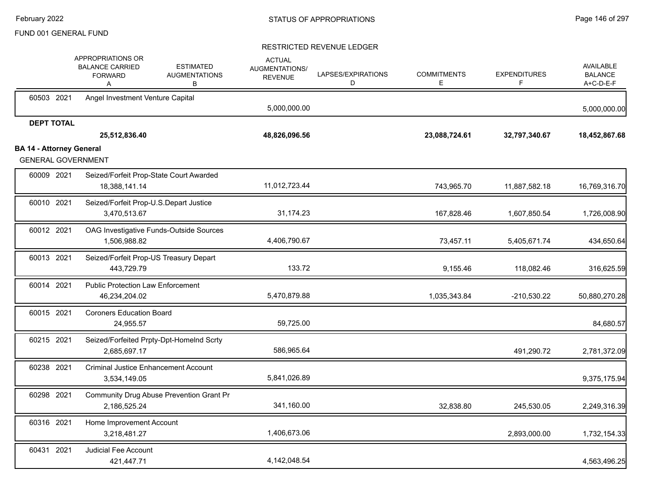|                                 |                   | APPROPRIATIONS OR<br><b>BALANCE CARRIED</b><br><b>FORWARD</b><br>Α | <b>ESTIMATED</b><br><b>AUGMENTATIONS</b><br>В | <b>ACTUAL</b><br>AUGMENTATIONS/<br><b>REVENUE</b> | LAPSES/EXPIRATIONS<br>D | <b>COMMITMENTS</b><br>Е | <b>EXPENDITURES</b><br>F | AVAILABLE<br><b>BALANCE</b><br>A+C-D-E-F |
|---------------------------------|-------------------|--------------------------------------------------------------------|-----------------------------------------------|---------------------------------------------------|-------------------------|-------------------------|--------------------------|------------------------------------------|
|                                 | 60503 2021        | Angel Investment Venture Capital                                   |                                               | 5,000,000.00                                      |                         |                         |                          | 5,000,000.00                             |
|                                 | <b>DEPT TOTAL</b> | 25,512,836.40                                                      |                                               | 48,826,096.56                                     |                         | 23,088,724.61           | 32,797,340.67            | 18,452,867.68                            |
| <b>BA 14 - Attorney General</b> |                   | <b>GENERAL GOVERNMENT</b>                                          |                                               |                                                   |                         |                         |                          |                                          |
|                                 | 60009 2021        | Seized/Forfeit Prop-State Court Awarded<br>18,388,141.14           |                                               | 11,012,723.44                                     |                         | 743,965.70              | 11,887,582.18            | 16,769,316.70                            |
|                                 | 60010 2021        | Seized/Forfeit Prop-U.S.Depart Justice<br>3,470,513.67             |                                               | 31,174.23                                         |                         | 167,828.46              | 1,607,850.54             | 1,726,008.90                             |
|                                 | 60012 2021        | OAG Investigative Funds-Outside Sources<br>1,506,988.82            |                                               | 4,406,790.67                                      |                         | 73,457.11               | 5,405,671.74             | 434,650.64                               |
|                                 | 60013 2021        | Seized/Forfeit Prop-US Treasury Depart<br>443,729.79               |                                               | 133.72                                            |                         | 9,155.46                | 118,082.46               | 316,625.59                               |
|                                 | 60014 2021        | <b>Public Protection Law Enforcement</b><br>46,234,204.02          |                                               | 5,470,879.88                                      |                         | 1,035,343.84            | $-210,530.22$            | 50,880,270.28                            |
|                                 | 60015 2021        | <b>Coroners Education Board</b><br>24.955.57                       |                                               | 59,725.00                                         |                         |                         |                          | 84,680.57                                |
|                                 | 60215 2021        | Seized/Forfeited Prpty-Dpt-HomeInd Scrty<br>2,685,697.17           |                                               | 586,965.64                                        |                         |                         | 491,290.72               | 2,781,372.09                             |
|                                 | 60238 2021        | <b>Criminal Justice Enhancement Account</b><br>3,534,149.05        |                                               | 5,841,026.89                                      |                         |                         |                          | 9,375,175.94                             |
|                                 | 60298 2021        | Community Drug Abuse Prevention Grant Pr<br>2,186,525.24           |                                               | 341,160.00                                        |                         | 32,838.80               | 245,530.05               | 2,249,316.39                             |
|                                 | 60316 2021        | Home Improvement Account<br>3,218,481.27                           |                                               | 1,406,673.06                                      |                         |                         | 2,893,000.00             | 1,732,154.33                             |
|                                 | 60431 2021        | <b>Judicial Fee Account</b><br>421,447.71                          |                                               | 4,142,048.54                                      |                         |                         |                          | 4,563,496.25                             |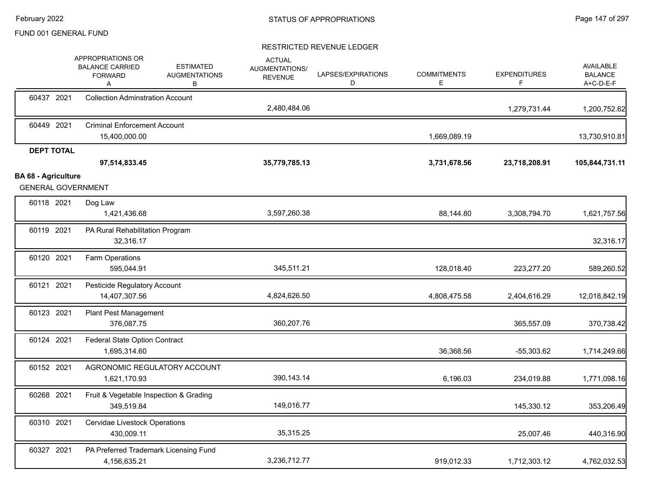|                                                         | APPROPRIATIONS OR<br><b>BALANCE CARRIED</b><br><b>FORWARD</b><br>A | <b>ESTIMATED</b><br><b>AUGMENTATIONS</b><br>В | <b>ACTUAL</b><br>AUGMENTATIONS/<br><b>REVENUE</b> | LAPSES/EXPIRATIONS<br>D | <b>COMMITMENTS</b><br>Е | <b>EXPENDITURES</b><br>F. | <b>AVAILABLE</b><br><b>BALANCE</b><br>A+C-D-E-F |
|---------------------------------------------------------|--------------------------------------------------------------------|-----------------------------------------------|---------------------------------------------------|-------------------------|-------------------------|---------------------------|-------------------------------------------------|
| 60437 2021                                              | <b>Collection Adminstration Account</b>                            |                                               | 2,480,484.06                                      |                         |                         | 1,279,731.44              | 1,200,752.62                                    |
| 60449 2021                                              | <b>Criminal Enforcement Account</b><br>15,400,000.00               |                                               |                                                   |                         | 1,669,089.19            |                           | 13,730,910.81                                   |
| <b>DEPT TOTAL</b>                                       | 97,514,833.45                                                      |                                               | 35,779,785.13                                     |                         | 3,731,678.56            | 23,718,208.91             | 105,844,731.11                                  |
| <b>BA 68 - Agriculture</b><br><b>GENERAL GOVERNMENT</b> |                                                                    |                                               |                                                   |                         |                         |                           |                                                 |
| 60118 2021                                              | Dog Law<br>1,421,436.68                                            |                                               | 3,597,260.38                                      |                         | 88,144.80               | 3,308,794.70              | 1,621,757.56                                    |
| 60119 2021                                              | PA Rural Rehabilitation Program<br>32,316.17                       |                                               |                                                   |                         |                         |                           | 32,316.17                                       |
| 60120 2021                                              | Farm Operations<br>595,044.91                                      |                                               | 345,511.21                                        |                         | 128,018.40              | 223,277.20                | 589,260.52                                      |
| 60121 2021                                              | Pesticide Regulatory Account<br>14,407,307.56                      |                                               | 4,824,626.50                                      |                         | 4,808,475.58            | 2,404,616.29              | 12,018,842.19                                   |
| 60123 2021                                              | <b>Plant Pest Management</b><br>376,087.75                         |                                               | 360,207.76                                        |                         |                         | 365,557.09                | 370,738.42                                      |
| 60124 2021                                              | <b>Federal State Option Contract</b><br>1,695,314.60               |                                               |                                                   |                         | 36,368.56               | $-55,303.62$              | 1,714,249.66                                    |
| 60152 2021                                              | AGRONOMIC REGULATORY ACCOUNT<br>1,621,170.93                       |                                               | 390,143.14                                        |                         | 6,196.03                | 234,019.88                | 1,771,098.16                                    |
| 60268 2021                                              | Fruit & Vegetable Inspection & Grading<br>349,519.84               |                                               | 149,016.77                                        |                         |                         | 145,330.12                | 353,206.49                                      |
| 60310 2021                                              | Cervidae Livestock Operations<br>430,009.11                        |                                               | 35,315.25                                         |                         |                         | 25,007.46                 | 440,316.90                                      |
| 60327 2021                                              | PA Preferred Trademark Licensing Fund<br>4,156,635.21              |                                               | 3,236,712.77                                      |                         | 919,012.33              | 1,712,303.12              | 4,762,032.53                                    |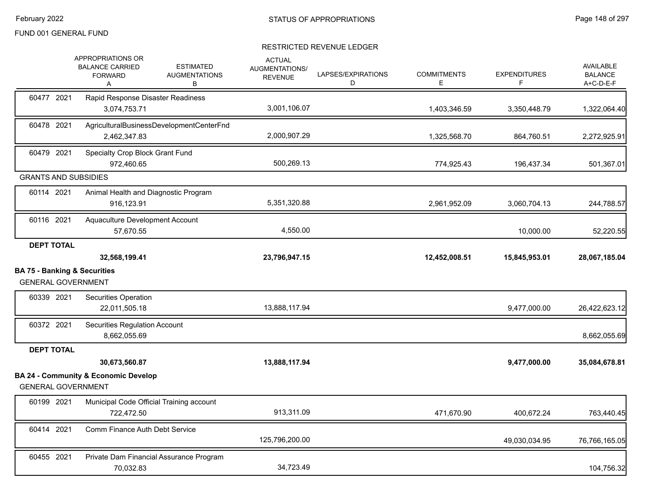|                                                                      | APPROPRIATIONS OR<br><b>BALANCE CARRIED</b><br><b>FORWARD</b><br>A | <b>ESTIMATED</b><br><b>AUGMENTATIONS</b><br>В | <b>ACTUAL</b><br><b>AUGMENTATIONS/</b><br><b>REVENUE</b> | LAPSES/EXPIRATIONS<br>D | <b>COMMITMENTS</b><br>E. | <b>EXPENDITURES</b><br>F | <b>AVAILABLE</b><br><b>BALANCE</b><br>A+C-D-E-F |
|----------------------------------------------------------------------|--------------------------------------------------------------------|-----------------------------------------------|----------------------------------------------------------|-------------------------|--------------------------|--------------------------|-------------------------------------------------|
| 60477 2021                                                           | Rapid Response Disaster Readiness<br>3,074,753.71                  |                                               | 3,001,106.07                                             |                         | 1,403,346.59             | 3,350,448.79             | 1,322,064.40                                    |
| 60478 2021                                                           | AgriculturalBusinessDevelopmentCenterFnd<br>2,462,347.83           |                                               | 2,000,907.29                                             |                         | 1,325,568.70             | 864,760.51               | 2,272,925.91                                    |
| 60479 2021                                                           | Specialty Crop Block Grant Fund<br>972,460.65                      |                                               | 500,269.13                                               |                         | 774,925.43               | 196,437.34               | 501,367.01                                      |
| <b>GRANTS AND SUBSIDIES</b>                                          |                                                                    |                                               |                                                          |                         |                          |                          |                                                 |
| 60114 2021                                                           | Animal Health and Diagnostic Program<br>916,123.91                 |                                               | 5,351,320.88                                             |                         | 2,961,952.09             | 3,060,704.13             | 244,788.57                                      |
| 60116 2021                                                           | Aquaculture Development Account<br>57,670.55                       |                                               | 4,550.00                                                 |                         |                          | 10,000.00                | 52,220.55                                       |
| <b>DEPT TOTAL</b>                                                    | 32,568,199.41                                                      |                                               | 23,796,947.15                                            |                         | 12,452,008.51            | 15,845,953.01            | 28,067,185.04                                   |
| <b>BA 75 - Banking &amp; Securities</b><br><b>GENERAL GOVERNMENT</b> |                                                                    |                                               |                                                          |                         |                          |                          |                                                 |
| 60339 2021                                                           | <b>Securities Operation</b><br>22,011,505.18                       |                                               | 13,888,117.94                                            |                         |                          | 9,477,000.00             | 26,422,623.12                                   |
| 60372 2021                                                           | <b>Securities Regulation Account</b><br>8,662,055.69               |                                               |                                                          |                         |                          |                          | 8,662,055.69                                    |
| <b>DEPT TOTAL</b>                                                    |                                                                    |                                               |                                                          |                         |                          |                          |                                                 |
|                                                                      | 30,673,560.87                                                      |                                               | 13,888,117.94                                            |                         |                          | 9,477,000.00             | 35,084,678.81                                   |
| <b>GENERAL GOVERNMENT</b>                                            | <b>BA 24 - Community &amp; Economic Develop</b>                    |                                               |                                                          |                         |                          |                          |                                                 |
| 60199 2021                                                           |                                                                    |                                               |                                                          |                         |                          |                          |                                                 |
|                                                                      | Municipal Code Official Training account<br>722,472.50             |                                               | 913,311.09                                               |                         | 471,670.90               | 400,672.24               |                                                 |
| 60414 2021                                                           | Comm Finance Auth Debt Service                                     |                                               | 125,796,200.00                                           |                         |                          | 49,030,034.95            | 763,440.45<br>76,766,165.05                     |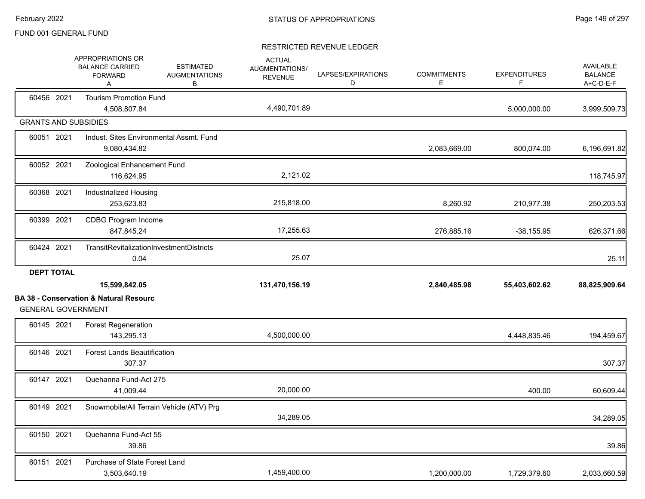|                             | APPROPRIATIONS OR<br><b>BALANCE CARRIED</b><br><b>FORWARD</b><br>A | <b>ESTIMATED</b><br><b>AUGMENTATIONS</b><br>В | <b>ACTUAL</b><br>AUGMENTATIONS/<br><b>REVENUE</b> | LAPSES/EXPIRATIONS<br>D | <b>COMMITMENTS</b><br>E | <b>EXPENDITURES</b><br>F | <b>AVAILABLE</b><br><b>BALANCE</b><br>A+C-D-E-F |
|-----------------------------|--------------------------------------------------------------------|-----------------------------------------------|---------------------------------------------------|-------------------------|-------------------------|--------------------------|-------------------------------------------------|
| 60456 2021                  | <b>Tourism Promotion Fund</b><br>4,508,807.84                      |                                               | 4,490,701.89                                      |                         |                         | 5,000,000.00             | 3,999,509.73                                    |
| <b>GRANTS AND SUBSIDIES</b> |                                                                    |                                               |                                                   |                         |                         |                          |                                                 |
| 60051 2021                  | Indust. Sites Environmental Assmt. Fund<br>9,080,434.82            |                                               |                                                   |                         | 2,083,669.00            | 800,074.00               | 6,196,691.82                                    |
| 60052 2021                  | Zoological Enhancement Fund<br>116,624.95                          |                                               | 2,121.02                                          |                         |                         |                          | 118,745.97                                      |
| 60368 2021                  | Industrialized Housing<br>253,623.83                               |                                               | 215,818.00                                        |                         | 8,260.92                | 210,977.38               | 250,203.53                                      |
| 60399 2021                  | <b>CDBG Program Income</b><br>847,845.24                           |                                               | 17,255.63                                         |                         | 276,885.16              | $-38,155.95$             | 626,371.66                                      |
| 60424 2021                  | TransitRevitalizationInvestmentDistricts<br>0.04                   |                                               | 25.07                                             |                         |                         |                          | 25.11                                           |
| <b>DEPT TOTAL</b>           | 15,599,842.05                                                      |                                               | 131,470,156.19                                    |                         | 2,840,485.98            | 55,403,602.62            | 88,825,909.64                                   |
| <b>GENERAL GOVERNMENT</b>   | <b>BA 38 - Conservation &amp; Natural Resourc</b>                  |                                               |                                                   |                         |                         |                          |                                                 |
| 60145 2021                  | <b>Forest Regeneration</b><br>143,295.13                           |                                               | 4,500,000.00                                      |                         |                         | 4,448,835.46             | 194,459.67                                      |
| 60146 2021                  | <b>Forest Lands Beautification</b><br>307.37                       |                                               |                                                   |                         |                         |                          | 307.37                                          |
| 60147 2021                  | Quehanna Fund-Act 275<br>41,009.44                                 |                                               | 20,000.00                                         |                         |                         | 400.00                   | 60,609.44                                       |
| 60149 2021                  | Snowmobile/All Terrain Vehicle (ATV) Prg                           |                                               | 34,289.05                                         |                         |                         |                          | 34,289.05                                       |
| 60150 2021                  | Quehanna Fund-Act 55<br>39.86                                      |                                               |                                                   |                         |                         |                          | 39.86                                           |
| 60151 2021                  | Purchase of State Forest Land<br>3,503,640.19                      |                                               | 1,459,400.00                                      |                         | 1,200,000.00            | 1,729,379.60             | 2,033,660.59                                    |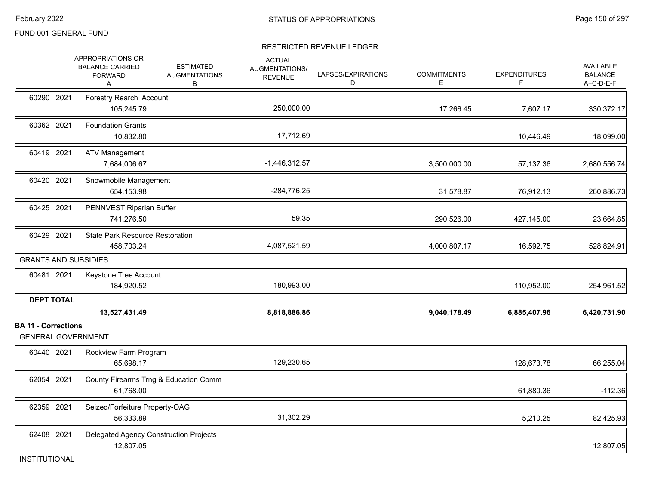## RESTRICTED REVENUE LEDGER

|                                                 | APPROPRIATIONS OR<br><b>BALANCE CARRIED</b><br><b>FORWARD</b><br>Α | <b>ESTIMATED</b><br><b>AUGMENTATIONS</b><br>В | <b>ACTUAL</b><br>AUGMENTATIONS/<br><b>REVENUE</b> | LAPSES/EXPIRATIONS<br>D | <b>COMMITMENTS</b><br>Е | <b>EXPENDITURES</b><br>F | <b>AVAILABLE</b><br><b>BALANCE</b><br>A+C-D-E-F |
|-------------------------------------------------|--------------------------------------------------------------------|-----------------------------------------------|---------------------------------------------------|-------------------------|-------------------------|--------------------------|-------------------------------------------------|
| 60290 2021                                      | Forestry Rearch Account<br>105,245.79                              |                                               | 250,000.00                                        |                         | 17,266.45               | 7,607.17                 | 330,372.17                                      |
| 60362 2021                                      | <b>Foundation Grants</b><br>10,832.80                              |                                               | 17,712.69                                         |                         |                         | 10,446.49                | 18,099.00                                       |
| 60419 2021                                      | <b>ATV Management</b><br>7,684,006.67                              |                                               | $-1,446,312.57$                                   |                         | 3,500,000.00            | 57,137.36                | 2,680,556.74                                    |
| 60420 2021                                      | Snowmobile Management<br>654,153.98                                |                                               | -284,776.25                                       |                         | 31,578.87               | 76,912.13                | 260,886.73                                      |
| 60425 2021                                      | PENNVEST Riparian Buffer<br>741,276.50                             |                                               | 59.35                                             |                         | 290,526.00              | 427,145.00               | 23,664.85                                       |
| 60429 2021                                      | <b>State Park Resource Restoration</b><br>458,703.24               |                                               | 4,087,521.59                                      |                         | 4,000,807.17            | 16,592.75                | 528,824.91                                      |
| <b>GRANTS AND SUBSIDIES</b>                     |                                                                    |                                               |                                                   |                         |                         |                          |                                                 |
| 60481 2021                                      | Keystone Tree Account<br>184,920.52                                |                                               | 180,993.00                                        |                         |                         | 110,952.00               | 254,961.52                                      |
| <b>DEPT TOTAL</b><br><b>BA 11 - Corrections</b> | 13,527,431.49                                                      |                                               | 8,818,886.86                                      |                         | 9,040,178.49            | 6,885,407.96             | 6,420,731.90                                    |
| <b>GENERAL GOVERNMENT</b>                       |                                                                    |                                               |                                                   |                         |                         |                          |                                                 |
| 60440 2021                                      | Rockview Farm Program<br>65,698.17                                 |                                               | 129,230.65                                        |                         |                         | 128,673.78               | 66,255.04                                       |
| 62054 2021                                      | 61,768.00                                                          | County Firearms Trng & Education Comm         |                                                   |                         |                         | 61,880.36                | $-112.36$                                       |
| 62359 2021                                      | Seized/Forfeiture Property-OAG<br>56,333.89                        |                                               | 31,302.29                                         |                         |                         | 5,210.25                 | 82,425.93                                       |
| 62408 2021                                      | Delegated Agency Construction Projects<br>12,807.05                |                                               |                                                   |                         |                         |                          | 12,807.05                                       |

INSTITUTIONAL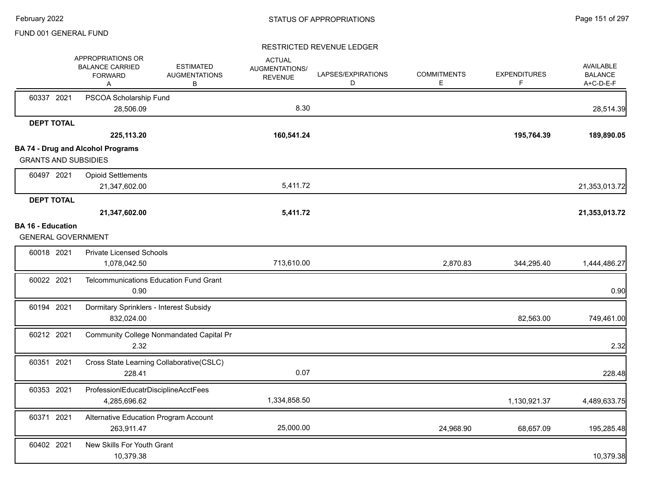|                          | APPROPRIATIONS OR<br><b>BALANCE CARRIED</b><br><b>FORWARD</b><br>Α | <b>ESTIMATED</b><br><b>AUGMENTATIONS</b><br>B | <b>ACTUAL</b><br><b>AUGMENTATIONS/</b><br><b>REVENUE</b> | LAPSES/EXPIRATIONS<br>D | <b>COMMITMENTS</b><br>E. | <b>EXPENDITURES</b><br>F | AVAILABLE<br><b>BALANCE</b><br>A+C-D-E-F |
|--------------------------|--------------------------------------------------------------------|-----------------------------------------------|----------------------------------------------------------|-------------------------|--------------------------|--------------------------|------------------------------------------|
| 60337 2021               | PSCOA Scholarship Fund<br>28,506.09                                |                                               | 8.30                                                     |                         |                          |                          | 28,514.39                                |
| <b>DEPT TOTAL</b>        |                                                                    |                                               |                                                          |                         |                          |                          |                                          |
|                          | 225,113.20                                                         |                                               | 160,541.24                                               |                         |                          | 195,764.39               | 189,890.05                               |
|                          | <b>BA 74 - Drug and Alcohol Programs</b>                           |                                               |                                                          |                         |                          |                          |                                          |
|                          | <b>GRANTS AND SUBSIDIES</b>                                        |                                               |                                                          |                         |                          |                          |                                          |
| 60497 2021               | <b>Opioid Settlements</b>                                          |                                               |                                                          |                         |                          |                          |                                          |
|                          | 21,347,602.00                                                      |                                               | 5,411.72                                                 |                         |                          |                          | 21,353,013.72                            |
| <b>DEPT TOTAL</b>        |                                                                    |                                               |                                                          |                         |                          |                          |                                          |
|                          | 21,347,602.00                                                      |                                               | 5,411.72                                                 |                         |                          |                          | 21,353,013.72                            |
| <b>BA 16 - Education</b> |                                                                    |                                               |                                                          |                         |                          |                          |                                          |
|                          | <b>GENERAL GOVERNMENT</b>                                          |                                               |                                                          |                         |                          |                          |                                          |
| 60018 2021               | <b>Private Licensed Schools</b>                                    |                                               |                                                          |                         |                          |                          |                                          |
|                          | 1,078,042.50                                                       |                                               | 713,610.00                                               |                         | 2,870.83                 | 344,295.40               | 1,444,486.27                             |
| 60022 2021               | <b>Telcommunications Education Fund Grant</b>                      |                                               |                                                          |                         |                          |                          |                                          |
|                          | 0.90                                                               |                                               |                                                          |                         |                          |                          | 0.90                                     |
| 60194 2021               | Dormitary Sprinklers - Interest Subsidy                            |                                               |                                                          |                         |                          |                          |                                          |
|                          | 832,024.00                                                         |                                               |                                                          |                         |                          | 82,563.00                | 749,461.00                               |
| 60212 2021               | Community College Nonmandated Capital Pr                           |                                               |                                                          |                         |                          |                          |                                          |
|                          | 2.32                                                               |                                               |                                                          |                         |                          |                          | 2.32                                     |
| 60351 2021               | Cross State Learning Collaborative(CSLC)                           |                                               |                                                          |                         |                          |                          |                                          |
|                          | 228.41                                                             |                                               | 0.07                                                     |                         |                          |                          | 228.48                                   |
| 60353 2021               | ProfessionIEducatrDisciplineAcctFees                               |                                               |                                                          |                         |                          |                          |                                          |
|                          | 4,285,696.62                                                       |                                               | 1,334,858.50                                             |                         |                          | 1,130,921.37             | 4,489,633.75                             |
| 60371 2021               | Alternative Education Program Account                              |                                               |                                                          |                         |                          |                          |                                          |
|                          | 263,911.47                                                         |                                               | 25,000.00                                                |                         | 24,968.90                | 68,657.09                | 195,285.48                               |
| 60402 2021               | New Skills For Youth Grant                                         |                                               |                                                          |                         |                          |                          |                                          |
|                          | 10,379.38                                                          |                                               |                                                          |                         |                          |                          | 10,379.38                                |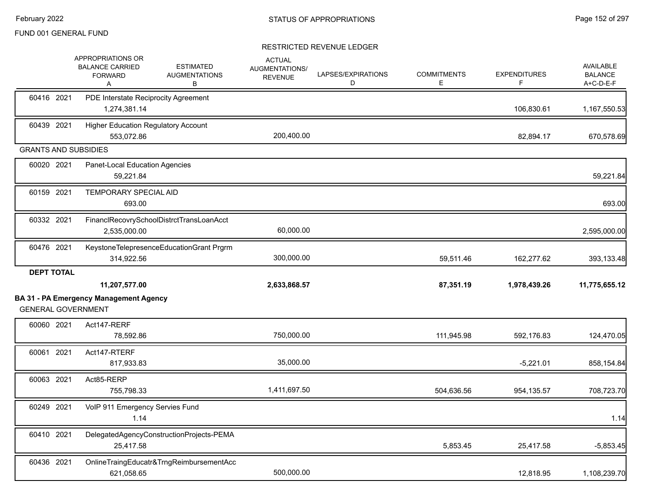|                             | APPROPRIATIONS OR<br><b>BALANCE CARRIED</b><br><b>FORWARD</b><br>A | <b>ESTIMATED</b><br><b>AUGMENTATIONS</b><br>В | <b>ACTUAL</b><br>AUGMENTATIONS/<br><b>REVENUE</b> | LAPSES/EXPIRATIONS<br>D | <b>COMMITMENTS</b><br>E. | <b>EXPENDITURES</b><br>F. | <b>AVAILABLE</b><br><b>BALANCE</b><br>A+C-D-E-F |
|-----------------------------|--------------------------------------------------------------------|-----------------------------------------------|---------------------------------------------------|-------------------------|--------------------------|---------------------------|-------------------------------------------------|
| 60416 2021                  | PDE Interstate Reciprocity Agreement<br>1,274,381.14               |                                               |                                                   |                         |                          | 106,830.61                | 1,167,550.53                                    |
| 60439 2021                  | <b>Higher Education Regulatory Account</b><br>553,072.86           |                                               | 200,400.00                                        |                         |                          | 82,894.17                 | 670,578.69                                      |
| <b>GRANTS AND SUBSIDIES</b> |                                                                    |                                               |                                                   |                         |                          |                           |                                                 |
| 60020 2021                  | Panet-Local Education Agencies<br>59,221.84                        |                                               |                                                   |                         |                          |                           | 59,221.84                                       |
| 60159 2021                  | TEMPORARY SPECIAL AID<br>693.00                                    |                                               |                                                   |                         |                          |                           | 693.00                                          |
| 60332 2021                  | FinanclRecovrySchoolDistrctTransLoanAcct<br>2,535,000.00           |                                               | 60,000.00                                         |                         |                          |                           | 2,595,000.00                                    |
| 60476 2021                  | KeystoneTelepresenceEducationGrant Prgrm<br>314,922.56             |                                               | 300,000.00                                        |                         | 59,511.46                | 162,277.62                | 393,133.48                                      |
| <b>DEPT TOTAL</b>           | 11,207,577.00                                                      |                                               | 2,633,868.57                                      |                         | 87,351.19                | 1,978,439.26              | 11,775,655.12                                   |
| <b>GENERAL GOVERNMENT</b>   | <b>BA 31 - PA Emergency Management Agency</b>                      |                                               |                                                   |                         |                          |                           |                                                 |
| 60060 2021                  | Act147-RERF<br>78,592.86                                           |                                               | 750,000.00                                        |                         | 111,945.98               | 592,176.83                | 124,470.05                                      |
| 60061 2021                  | Act147-RTERF<br>817,933.83                                         |                                               | 35,000.00                                         |                         |                          | $-5,221.01$               | 858,154.84                                      |
| 60063 2021                  | Act85-RERP<br>755,798.33                                           |                                               | 1,411,697.50                                      |                         | 504,636.56               | 954,135.57                | 708,723.70                                      |
| 60249 2021                  | VoIP 911 Emergency Servies Fund<br>1.14                            |                                               |                                                   |                         |                          |                           | 1.14                                            |
| 60410 2021                  | DelegatedAgencyConstructionProjects-PEMA<br>25,417.58              |                                               |                                                   |                         | 5,853.45                 | 25,417.58                 | $-5,853.45$                                     |
| 60436 2021                  | OnlineTraingEducatr&TrngReimbursementAcc<br>621,058.65             |                                               | 500,000.00                                        |                         |                          | 12,818.95                 | 1,108,239.70                                    |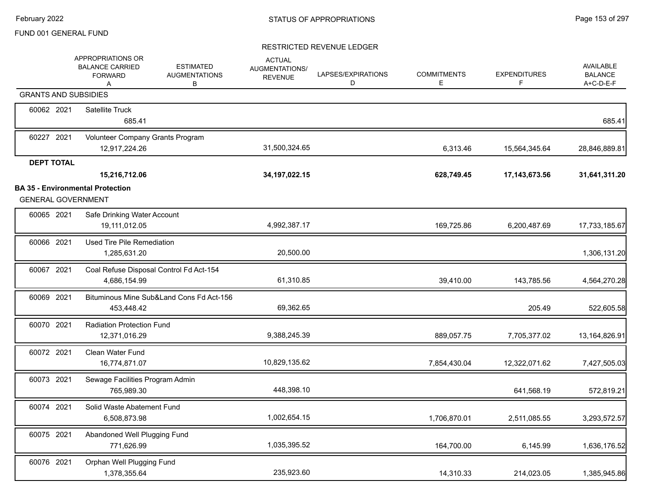|                             | APPROPRIATIONS OR<br><b>BALANCE CARRIED</b><br><b>FORWARD</b><br>A | <b>ESTIMATED</b><br><b>AUGMENTATIONS</b><br>В | <b>ACTUAL</b><br>AUGMENTATIONS/<br><b>REVENUE</b> | LAPSES/EXPIRATIONS<br>D | <b>COMMITMENTS</b><br>E | <b>EXPENDITURES</b><br>F. | <b>AVAILABLE</b><br><b>BALANCE</b><br>A+C-D-E-F |
|-----------------------------|--------------------------------------------------------------------|-----------------------------------------------|---------------------------------------------------|-------------------------|-------------------------|---------------------------|-------------------------------------------------|
| <b>GRANTS AND SUBSIDIES</b> |                                                                    |                                               |                                                   |                         |                         |                           |                                                 |
| 60062 2021                  | Satellite Truck<br>685.41                                          |                                               |                                                   |                         |                         |                           | 685.41                                          |
| 60227 2021                  | Volunteer Company Grants Program<br>12,917,224.26                  |                                               | 31,500,324.65                                     |                         | 6,313.46                | 15,564,345.64             | 28,846,889.81                                   |
| <b>DEPT TOTAL</b>           |                                                                    |                                               |                                                   |                         |                         |                           |                                                 |
|                             | 15,216,712.06                                                      |                                               | 34, 197, 022. 15                                  |                         | 628,749.45              | 17,143,673.56             | 31,641,311.20                                   |
| <b>GENERAL GOVERNMENT</b>   | <b>BA 35 - Environmental Protection</b>                            |                                               |                                                   |                         |                         |                           |                                                 |
| 60065 2021                  | Safe Drinking Water Account<br>19,111,012.05                       |                                               | 4,992,387.17                                      |                         | 169,725.86              | 6,200,487.69              | 17,733,185.67                                   |
| 60066 2021                  | Used Tire Pile Remediation<br>1,285,631.20                         |                                               | 20,500.00                                         |                         |                         |                           | 1,306,131.20                                    |
| 60067 2021                  | Coal Refuse Disposal Control Fd Act-154<br>4,686,154.99            |                                               | 61,310.85                                         |                         | 39,410.00               | 143,785.56                | 4,564,270.28                                    |
| 60069 2021                  | 453,448.42                                                         | Bituminous Mine Sub&Land Cons Fd Act-156      | 69,362.65                                         |                         |                         | 205.49                    | 522,605.58                                      |
| 60070 2021                  | <b>Radiation Protection Fund</b><br>12,371,016.29                  |                                               | 9,388,245.39                                      |                         | 889,057.75              | 7,705,377.02              | 13,164,826.91                                   |
| 60072 2021                  | <b>Clean Water Fund</b><br>16,774,871.07                           |                                               | 10,829,135.62                                     |                         | 7,854,430.04            | 12,322,071.62             | 7,427,505.03                                    |
| 60073 2021                  | Sewage Facilities Program Admin<br>765,989.30                      |                                               | 448,398.10                                        |                         |                         | 641,568.19                | 572,819.21                                      |
| 60074 2021                  | Solid Waste Abatement Fund<br>6,508,873.98                         |                                               | 1,002,654.15                                      |                         | 1,706,870.01            | 2,511,085.55              | 3,293,572.57                                    |
| 60075 2021                  | Abandoned Well Plugging Fund<br>771,626.99                         |                                               | 1,035,395.52                                      |                         | 164,700.00              | 6,145.99                  | 1,636,176.52                                    |
| 60076 2021                  | Orphan Well Plugging Fund<br>1,378,355.64                          |                                               | 235,923.60                                        |                         | 14,310.33               | 214,023.05                | 1,385,945.86                                    |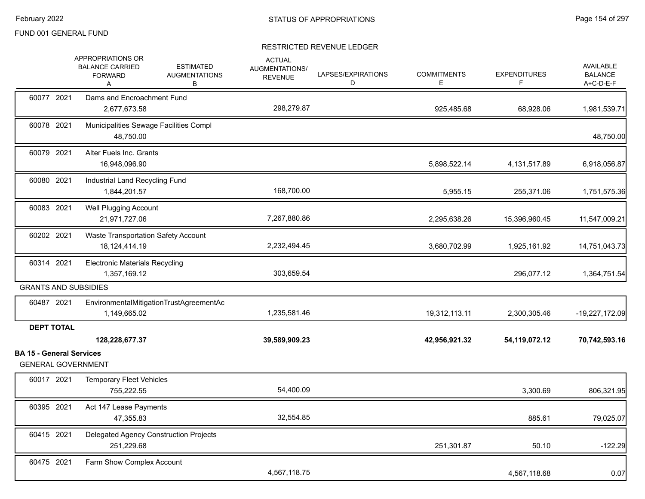|                                                              | APPROPRIATIONS OR<br><b>BALANCE CARRIED</b><br><b>FORWARD</b><br>A | <b>ESTIMATED</b><br><b>AUGMENTATIONS</b><br>В | <b>ACTUAL</b><br>AUGMENTATIONS/<br><b>REVENUE</b> | LAPSES/EXPIRATIONS<br>D | <b>COMMITMENTS</b><br>E. | <b>EXPENDITURES</b><br>F | <b>AVAILABLE</b><br><b>BALANCE</b><br>A+C-D-E-F |
|--------------------------------------------------------------|--------------------------------------------------------------------|-----------------------------------------------|---------------------------------------------------|-------------------------|--------------------------|--------------------------|-------------------------------------------------|
| 60077 2021                                                   | Dams and Encroachment Fund<br>2.677.673.58                         |                                               | 298,279.87                                        |                         | 925,485.68               | 68,928.06                | 1,981,539.71                                    |
| 60078 2021                                                   | 48,750.00                                                          | Municipalities Sewage Facilities Compl        |                                                   |                         |                          |                          | 48,750.00                                       |
| 60079 2021                                                   | Alter Fuels Inc. Grants<br>16,948,096.90                           |                                               |                                                   |                         | 5,898,522.14             | 4,131,517.89             | 6,918,056.87                                    |
| 60080 2021                                                   | Industrial Land Recycling Fund<br>1,844,201.57                     |                                               | 168,700.00                                        |                         | 5,955.15                 | 255,371.06               | 1,751,575.36                                    |
| 60083 2021                                                   | <b>Well Plugging Account</b><br>21,971,727.06                      |                                               | 7,267,880.86                                      |                         | 2,295,638.26             | 15,396,960.45            | 11,547,009.21                                   |
| 60202 2021                                                   | Waste Transportation Safety Account<br>18, 124, 414. 19            |                                               | 2,232,494.45                                      |                         | 3,680,702.99             | 1,925,161.92             | 14,751,043.73                                   |
| 60314 2021                                                   | <b>Electronic Materials Recycling</b><br>1,357,169.12              |                                               | 303,659.54                                        |                         |                          | 296,077.12               | 1,364,751.54                                    |
| <b>GRANTS AND SUBSIDIES</b>                                  |                                                                    |                                               |                                                   |                         |                          |                          |                                                 |
| 60487 2021                                                   | 1,149,665.02                                                       | EnvironmentalMitigationTrustAgreementAc       | 1,235,581.46                                      |                         | 19,312,113.11            | 2,300,305.46             | -19,227,172.09                                  |
| <b>DEPT TOTAL</b>                                            |                                                                    |                                               |                                                   |                         |                          |                          |                                                 |
|                                                              | 128,228,677.37                                                     |                                               | 39,589,909.23                                     |                         | 42,956,921.32            | 54,119,072.12            | 70,742,593.16                                   |
| <b>BA 15 - General Services</b><br><b>GENERAL GOVERNMENT</b> |                                                                    |                                               |                                                   |                         |                          |                          |                                                 |
| 60017 2021                                                   | <b>Temporary Fleet Vehicles</b><br>755,222.55                      |                                               | 54,400.09                                         |                         |                          | 3,300.69                 | 806,321.95                                      |
| 60395 2021                                                   | Act 147 Lease Payments<br>47,355.83                                |                                               | 32,554.85                                         |                         |                          | 885.61                   | 79,025.07                                       |
| 60415 2021                                                   | 251,229.68                                                         | Delegated Agency Construction Projects        |                                                   |                         | 251,301.87               | 50.10                    | $-122.29$                                       |
| 60475 2021                                                   | Farm Show Complex Account                                          |                                               | 4,567,118.75                                      |                         |                          | 4,567,118.68             | 0.07                                            |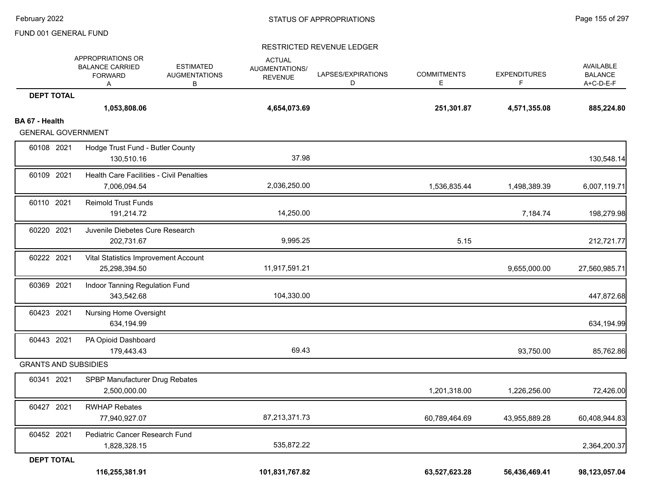|                                             | APPROPRIATIONS OR<br><b>BALANCE CARRIED</b><br><b>FORWARD</b><br>Α | <b>ESTIMATED</b><br><b>AUGMENTATIONS</b><br>в | <b>ACTUAL</b><br>AUGMENTATIONS/<br><b>REVENUE</b> | LAPSES/EXPIRATIONS<br>D | <b>COMMITMENTS</b><br>E | <b>EXPENDITURES</b><br>F | AVAILABLE<br><b>BALANCE</b><br>A+C-D-E-F |
|---------------------------------------------|--------------------------------------------------------------------|-----------------------------------------------|---------------------------------------------------|-------------------------|-------------------------|--------------------------|------------------------------------------|
| <b>DEPT TOTAL</b>                           |                                                                    |                                               |                                                   |                         |                         |                          |                                          |
|                                             | 1,053,808.06                                                       |                                               | 4,654,073.69                                      |                         | 251,301.87              | 4,571,355.08             | 885,224.80                               |
| BA 67 - Health<br><b>GENERAL GOVERNMENT</b> |                                                                    |                                               |                                                   |                         |                         |                          |                                          |
| 60108 2021                                  | Hodge Trust Fund - Butler County                                   |                                               |                                                   |                         |                         |                          |                                          |
|                                             | 130,510.16                                                         |                                               | 37.98                                             |                         |                         |                          | 130,548.14                               |
| 60109 2021                                  | Health Care Facilities - Civil Penalties                           |                                               |                                                   |                         |                         |                          |                                          |
|                                             | 7,006,094.54                                                       |                                               | 2,036,250.00                                      |                         | 1,536,835.44            | 1,498,389.39             | 6,007,119.71                             |
| 60110 2021                                  | <b>Reimold Trust Funds</b>                                         |                                               |                                                   |                         |                         |                          |                                          |
|                                             | 191,214.72                                                         |                                               | 14,250.00                                         |                         |                         | 7,184.74                 | 198,279.98                               |
| 60220 2021                                  | Juvenile Diebetes Cure Research                                    |                                               |                                                   |                         |                         |                          |                                          |
|                                             | 202,731.67                                                         |                                               | 9,995.25                                          |                         | 5.15                    |                          | 212,721.77                               |
| 60222 2021                                  | Vital Statistics Improvement Account                               |                                               |                                                   |                         |                         |                          |                                          |
|                                             | 25,298,394.50                                                      |                                               | 11,917,591.21                                     |                         |                         | 9,655,000.00             | 27,560,985.71                            |
| 60369 2021                                  | Indoor Tanning Regulation Fund                                     |                                               |                                                   |                         |                         |                          |                                          |
|                                             | 343,542.68                                                         |                                               | 104,330.00                                        |                         |                         |                          | 447,872.68                               |
| 60423 2021                                  | <b>Nursing Home Oversight</b>                                      |                                               |                                                   |                         |                         |                          |                                          |
|                                             | 634,194.99                                                         |                                               |                                                   |                         |                         |                          | 634,194.99                               |
| 60443 2021                                  | PA Opioid Dashboard                                                |                                               |                                                   |                         |                         |                          |                                          |
|                                             | 179,443.43                                                         |                                               | 69.43                                             |                         |                         | 93,750.00                | 85,762.86                                |
| <b>GRANTS AND SUBSIDIES</b>                 |                                                                    |                                               |                                                   |                         |                         |                          |                                          |
| 60341 2021                                  | SPBP Manufacturer Drug Rebates<br>2,500,000.00                     |                                               |                                                   |                         | 1,201,318.00            | 1,226,256.00             | 72,426.00                                |
|                                             |                                                                    |                                               |                                                   |                         |                         |                          |                                          |
| 60427 2021                                  | <b>RWHAP Rebates</b><br>77,940,927.07                              |                                               | 87,213,371.73                                     |                         | 60,789,464.69           | 43,955,889.28            | 60,408,944.83                            |
|                                             |                                                                    |                                               |                                                   |                         |                         |                          |                                          |
| 60452 2021                                  | Pediatric Cancer Research Fund<br>1,828,328.15                     |                                               | 535,872.22                                        |                         |                         |                          | 2,364,200.37                             |
| <b>DEPT TOTAL</b>                           |                                                                    |                                               |                                                   |                         |                         |                          |                                          |
|                                             | 116,255,381.91                                                     |                                               | 101,831,767.82                                    |                         | 63,527,623.28           | 56,436,469.41            | 98,123,057.04                            |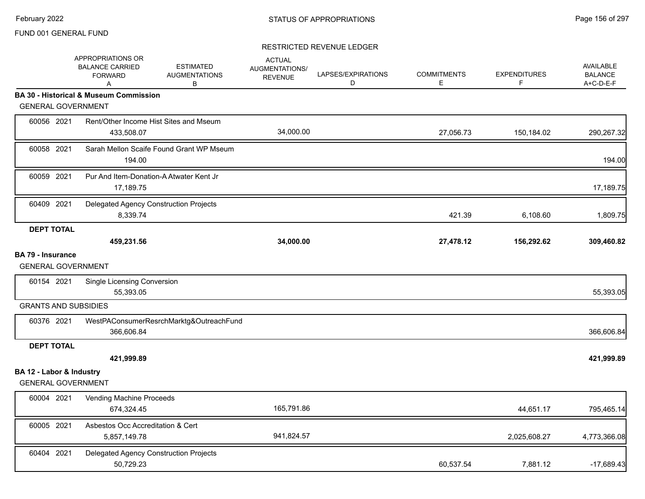|                                                       | APPROPRIATIONS OR<br><b>BALANCE CARRIED</b><br><b>FORWARD</b><br>A | <b>ESTIMATED</b><br><b>AUGMENTATIONS</b><br>В | <b>ACTUAL</b><br><b>AUGMENTATIONS/</b><br><b>REVENUE</b> | LAPSES/EXPIRATIONS<br>D | <b>COMMITMENTS</b><br>E | <b>EXPENDITURES</b><br>F | <b>AVAILABLE</b><br><b>BALANCE</b><br>A+C-D-E-F |
|-------------------------------------------------------|--------------------------------------------------------------------|-----------------------------------------------|----------------------------------------------------------|-------------------------|-------------------------|--------------------------|-------------------------------------------------|
|                                                       | <b>BA 30 - Historical &amp; Museum Commission</b>                  |                                               |                                                          |                         |                         |                          |                                                 |
| <b>GENERAL GOVERNMENT</b>                             |                                                                    |                                               |                                                          |                         |                         |                          |                                                 |
| 60056 2021                                            | Rent/Other Income Hist Sites and Mseum<br>433,508.07               |                                               | 34,000.00                                                |                         | 27,056.73               | 150,184.02               | 290,267.32                                      |
| 60058 2021                                            | 194.00                                                             | Sarah Mellon Scaife Found Grant WP Mseum      |                                                          |                         |                         |                          | 194.00                                          |
| 60059 2021                                            | Pur And Item-Donation-A Atwater Kent Jr<br>17,189.75               |                                               |                                                          |                         |                         |                          | 17,189.75                                       |
| 60409 2021                                            | Delegated Agency Construction Projects<br>8,339.74                 |                                               |                                                          |                         | 421.39                  | 6,108.60                 | 1,809.75                                        |
| <b>DEPT TOTAL</b>                                     |                                                                    |                                               |                                                          |                         |                         |                          |                                                 |
|                                                       | 459,231.56                                                         |                                               | 34,000.00                                                |                         | 27,478.12               | 156,292.62               | 309,460.82                                      |
| <b>BA 79 - Insurance</b><br><b>GENERAL GOVERNMENT</b> |                                                                    |                                               |                                                          |                         |                         |                          |                                                 |
| 60154 2021                                            | Single Licensing Conversion<br>55,393.05                           |                                               |                                                          |                         |                         |                          | 55,393.05                                       |
| <b>GRANTS AND SUBSIDIES</b>                           |                                                                    |                                               |                                                          |                         |                         |                          |                                                 |
| 60376 2021                                            | 366,606.84                                                         | WestPAConsumerResrchMarktg&OutreachFund       |                                                          |                         |                         |                          | 366,606.84                                      |
| <b>DEPT TOTAL</b>                                     |                                                                    |                                               |                                                          |                         |                         |                          |                                                 |
|                                                       | 421,999.89                                                         |                                               |                                                          |                         |                         |                          | 421,999.89                                      |
| BA 12 - Labor & Industry<br><b>GENERAL GOVERNMENT</b> |                                                                    |                                               |                                                          |                         |                         |                          |                                                 |
| 60004 2021                                            | Vending Machine Proceeds<br>674,324.45                             |                                               | 165,791.86                                               |                         |                         | 44,651.17                | 795,465.14                                      |
| 60005 2021                                            | Asbestos Occ Accreditation & Cert<br>5,857,149.78                  |                                               | 941,824.57                                               |                         |                         | 2,025,608.27             | 4,773,366.08                                    |
| 60404 2021                                            | Delegated Agency Construction Projects<br>50,729.23                |                                               |                                                          |                         | 60,537.54               | 7,881.12                 | $-17,689.43$                                    |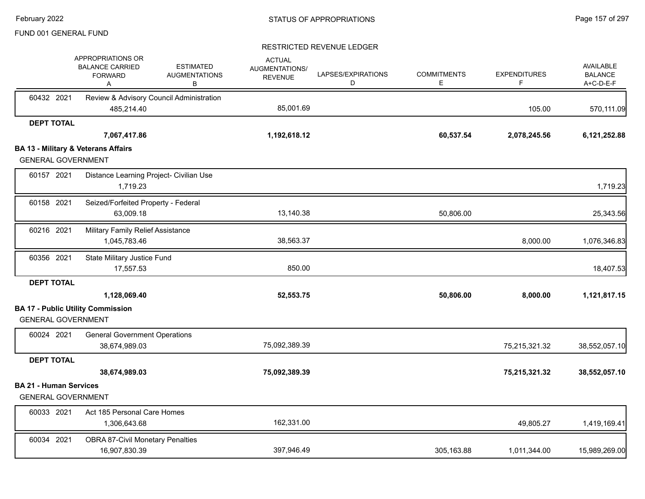|                               | APPROPRIATIONS OR<br><b>BALANCE CARRIED</b><br><b>FORWARD</b><br>Α | <b>ESTIMATED</b><br><b>AUGMENTATIONS</b><br>В | <b>ACTUAL</b><br><b>AUGMENTATIONS/</b><br><b>REVENUE</b> | LAPSES/EXPIRATIONS<br>D | <b>COMMITMENTS</b><br>Е | <b>EXPENDITURES</b><br>F | <b>AVAILABLE</b><br><b>BALANCE</b><br>A+C-D-E-F |
|-------------------------------|--------------------------------------------------------------------|-----------------------------------------------|----------------------------------------------------------|-------------------------|-------------------------|--------------------------|-------------------------------------------------|
| 60432 2021                    | Review & Advisory Council Administration                           |                                               |                                                          |                         |                         |                          |                                                 |
|                               | 485,214.40                                                         |                                               | 85,001.69                                                |                         |                         | 105.00                   | 570,111.09                                      |
| <b>DEPT TOTAL</b>             |                                                                    |                                               |                                                          |                         |                         |                          |                                                 |
|                               | 7,067,417.86                                                       |                                               | 1,192,618.12                                             |                         | 60,537.54               | 2,078,245.56             | 6,121,252.88                                    |
|                               | <b>BA 13 - Military &amp; Veterans Affairs</b>                     |                                               |                                                          |                         |                         |                          |                                                 |
| <b>GENERAL GOVERNMENT</b>     |                                                                    |                                               |                                                          |                         |                         |                          |                                                 |
| 60157 2021                    | Distance Learning Project- Civilian Use                            |                                               |                                                          |                         |                         |                          |                                                 |
|                               | 1,719.23                                                           |                                               |                                                          |                         |                         |                          | 1,719.23                                        |
| 60158 2021                    | Seized/Forfeited Property - Federal                                |                                               |                                                          |                         |                         |                          |                                                 |
|                               | 63,009.18                                                          |                                               | 13,140.38                                                |                         | 50,806.00               |                          | 25,343.56                                       |
| 60216 2021                    | Military Family Relief Assistance                                  |                                               |                                                          |                         |                         |                          |                                                 |
|                               | 1,045,783.46                                                       |                                               | 38,563.37                                                |                         |                         | 8,000.00                 | 1,076,346.83                                    |
| 60356 2021                    | State Military Justice Fund                                        |                                               |                                                          |                         |                         |                          |                                                 |
|                               | 17,557.53                                                          |                                               | 850.00                                                   |                         |                         |                          | 18,407.53                                       |
| <b>DEPT TOTAL</b>             |                                                                    |                                               |                                                          |                         |                         |                          |                                                 |
|                               | 1,128,069.40                                                       |                                               | 52,553.75                                                |                         | 50,806.00               | 8,000.00                 | 1,121,817.15                                    |
|                               | <b>BA 17 - Public Utility Commission</b>                           |                                               |                                                          |                         |                         |                          |                                                 |
| <b>GENERAL GOVERNMENT</b>     |                                                                    |                                               |                                                          |                         |                         |                          |                                                 |
| 60024 2021                    | <b>General Government Operations</b>                               |                                               |                                                          |                         |                         |                          |                                                 |
|                               | 38,674,989.03                                                      |                                               | 75,092,389.39                                            |                         |                         | 75,215,321.32            | 38,552,057.10                                   |
| <b>DEPT TOTAL</b>             |                                                                    |                                               |                                                          |                         |                         |                          |                                                 |
|                               | 38,674,989.03                                                      |                                               | 75,092,389.39                                            |                         |                         | 75,215,321.32            | 38,552,057.10                                   |
| <b>BA 21 - Human Services</b> |                                                                    |                                               |                                                          |                         |                         |                          |                                                 |
| <b>GENERAL GOVERNMENT</b>     |                                                                    |                                               |                                                          |                         |                         |                          |                                                 |
| 60033 2021                    | Act 185 Personal Care Homes                                        |                                               |                                                          |                         |                         |                          |                                                 |
|                               | 1,306,643.68                                                       |                                               | 162,331.00                                               |                         |                         | 49,805.27                | 1,419,169.41                                    |
| 60034 2021                    | <b>OBRA 87-Civil Monetary Penalties</b>                            |                                               |                                                          |                         |                         |                          |                                                 |
|                               | 16,907,830.39                                                      |                                               | 397,946.49                                               |                         | 305,163.88              | 1,011,344.00             | 15,989,269.00                                   |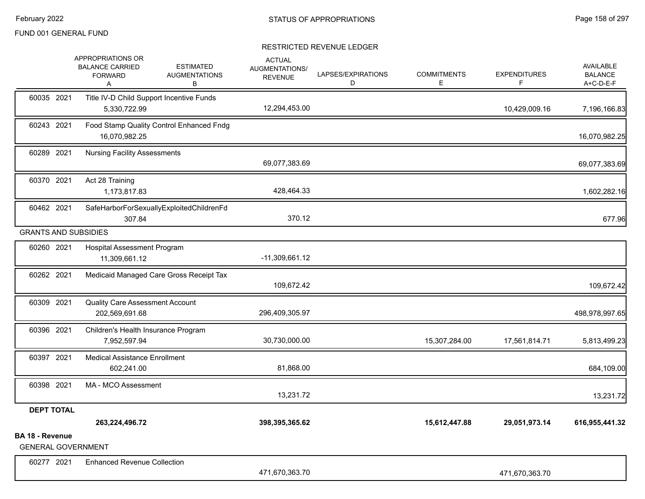|                        | APPROPRIATIONS OR<br><b>BALANCE CARRIED</b><br><b>FORWARD</b><br>A | <b>ESTIMATED</b><br><b>AUGMENTATIONS</b><br>В | <b>ACTUAL</b><br><b>AUGMENTATIONS/</b><br><b>REVENUE</b> | LAPSES/EXPIRATIONS<br>D | <b>COMMITMENTS</b><br>Е | <b>EXPENDITURES</b><br>F. | <b>AVAILABLE</b><br><b>BALANCE</b><br>A+C-D-E-F             |
|------------------------|--------------------------------------------------------------------|-----------------------------------------------|----------------------------------------------------------|-------------------------|-------------------------|---------------------------|-------------------------------------------------------------|
| 60035 2021             | Title IV-D Child Support Incentive Funds<br>5,330,722.99           |                                               | 12,294,453.00                                            |                         |                         | 10,429,009.16             | 7,196,166.83                                                |
| 60243 2021             | 16,070,982.25                                                      | Food Stamp Quality Control Enhanced Fndg      |                                                          |                         |                         |                           | 16,070,982.25                                               |
| 60289 2021             | <b>Nursing Facility Assessments</b>                                |                                               | 69,077,383.69                                            |                         |                         |                           | 69,077,383.69                                               |
| 60370 2021             | Act 28 Training<br>1,173,817.83                                    |                                               | 428,464.33                                               |                         |                         |                           | 1,602,282.16                                                |
| 60462 2021             | 307.84                                                             | SafeHarborForSexuallyExploitedChildrenFd      | 370.12                                                   |                         |                         |                           | 677.96                                                      |
|                        | <b>GRANTS AND SUBSIDIES</b>                                        |                                               |                                                          |                         |                         |                           |                                                             |
| 60260 2021             | <b>Hospital Assessment Program</b><br>11,309,661.12                |                                               | $-11,309,661.12$                                         |                         |                         |                           |                                                             |
| 60262 2021             |                                                                    | Medicaid Managed Care Gross Receipt Tax       | 109,672.42                                               |                         |                         |                           | 109,672.42                                                  |
| 60309 2021             | <b>Quality Care Assessment Account</b>                             |                                               |                                                          |                         |                         |                           |                                                             |
|                        | 202,569,691.68                                                     |                                               | 296,409,305.97                                           |                         |                         |                           |                                                             |
| 60396 2021             | Children's Health Insurance Program<br>7,952,597.94                |                                               | 30,730,000.00                                            |                         | 15,307,284.00           | 17,561,814.71             |                                                             |
| 60397 2021             | <b>Medical Assistance Enrollment</b><br>602,241.00                 |                                               | 81,868.00                                                |                         |                         |                           |                                                             |
| 60398 2021             | MA - MCO Assessment                                                |                                               | 13,231.72                                                |                         |                         |                           |                                                             |
| <b>DEPT TOTAL</b>      |                                                                    |                                               |                                                          |                         |                         |                           |                                                             |
|                        | 263,224,496.72                                                     |                                               | 398,395,365.62                                           |                         | 15,612,447.88           | 29,051,973.14             | 5,813,499.23                                                |
| <b>BA 18 - Revenue</b> | <b>GENERAL GOVERNMENT</b>                                          |                                               |                                                          |                         |                         |                           | 498,978,997.65<br>684,109.00<br>13,231.72<br>616,955,441.32 |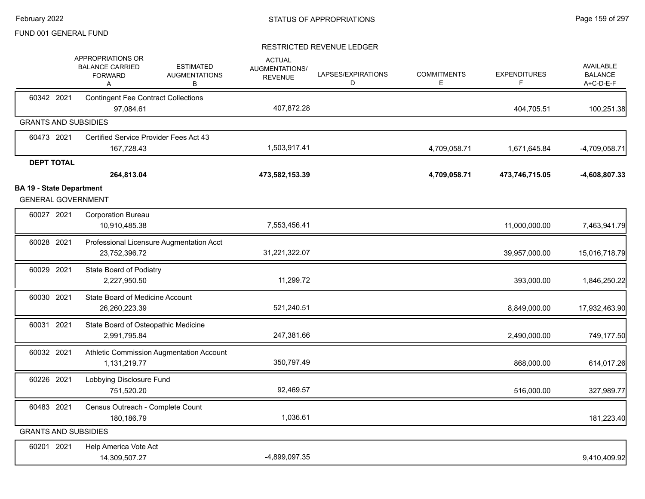|                                                              | APPROPRIATIONS OR<br><b>BALANCE CARRIED</b><br><b>FORWARD</b><br>A | <b>ESTIMATED</b><br><b>AUGMENTATIONS</b><br>В | <b>ACTUAL</b><br><b>AUGMENTATIONS/</b><br><b>REVENUE</b> | LAPSES/EXPIRATIONS<br>D | <b>COMMITMENTS</b><br>E. | <b>EXPENDITURES</b><br>F | <b>AVAILABLE</b><br><b>BALANCE</b><br>A+C-D-E-F |
|--------------------------------------------------------------|--------------------------------------------------------------------|-----------------------------------------------|----------------------------------------------------------|-------------------------|--------------------------|--------------------------|-------------------------------------------------|
| 60342 2021                                                   | <b>Contingent Fee Contract Collections</b><br>97,084.61            |                                               | 407,872.28                                               |                         |                          | 404,705.51               | 100,251.38                                      |
| <b>GRANTS AND SUBSIDIES</b>                                  |                                                                    |                                               |                                                          |                         |                          |                          |                                                 |
| 60473 2021                                                   | Certified Service Provider Fees Act 43<br>167,728.43               |                                               | 1,503,917.41                                             |                         | 4,709,058.71             | 1,671,645.84             | $-4,709,058.71$                                 |
| <b>DEPT TOTAL</b>                                            | 264,813.04                                                         |                                               | 473,582,153.39                                           |                         | 4,709,058.71             | 473,746,715.05           | -4,608,807.33                                   |
| <b>BA 19 - State Department</b><br><b>GENERAL GOVERNMENT</b> |                                                                    |                                               |                                                          |                         |                          |                          |                                                 |
| 60027 2021                                                   | <b>Corporation Bureau</b><br>10,910,485.38                         |                                               | 7,553,456.41                                             |                         |                          | 11,000,000.00            | 7,463,941.79                                    |
| 60028 2021                                                   | 23,752,396.72                                                      | Professional Licensure Augmentation Acct      | 31,221,322.07                                            |                         |                          | 39,957,000.00            | 15,016,718.79                                   |
| 60029 2021                                                   | State Board of Podiatry<br>2,227,950.50                            |                                               | 11,299.72                                                |                         |                          | 393,000.00               | 1,846,250.22                                    |
| 60030 2021                                                   | State Board of Medicine Account<br>26,260,223.39                   |                                               | 521,240.51                                               |                         |                          | 8,849,000.00             | 17,932,463.90                                   |
| 60031 2021                                                   | State Board of Osteopathic Medicine<br>2,991,795.84                |                                               | 247,381.66                                               |                         |                          | 2,490,000.00             | 749,177.50                                      |
| 60032 2021                                                   | 1,131,219.77                                                       | Athletic Commission Augmentation Account      | 350,797.49                                               |                         |                          | 868,000.00               | 614,017.26                                      |
| 60226 2021                                                   | Lobbying Disclosure Fund<br>751,520.20                             |                                               | 92,469.57                                                |                         |                          | 516,000.00               | 327,989.77                                      |
| 60483 2021                                                   | Census Outreach - Complete Count<br>180,186.79                     |                                               | 1,036.61                                                 |                         |                          |                          | 181,223.40                                      |
| <b>GRANTS AND SUBSIDIES</b>                                  |                                                                    |                                               |                                                          |                         |                          |                          |                                                 |
| 60201 2021                                                   | Help America Vote Act<br>14,309,507.27                             |                                               | -4,899,097.35                                            |                         |                          |                          | 9,410,409.92                                    |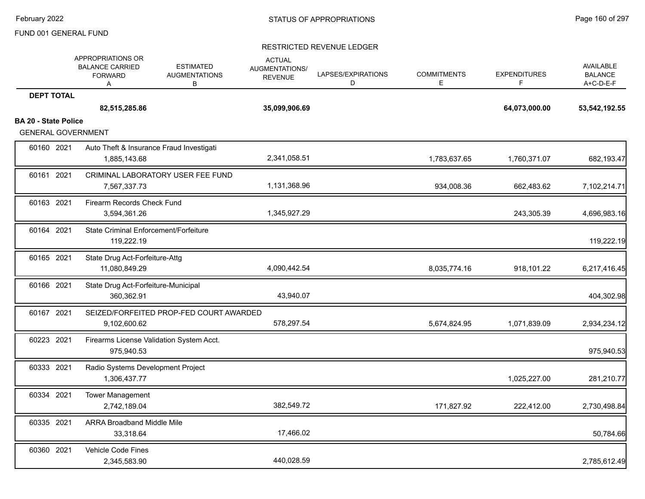|                             | APPROPRIATIONS OR<br><b>BALANCE CARRIED</b><br><b>FORWARD</b><br>A | <b>ESTIMATED</b><br><b>AUGMENTATIONS</b><br>B | <b>ACTUAL</b><br>AUGMENTATIONS/<br><b>REVENUE</b> | LAPSES/EXPIRATIONS<br>D | <b>COMMITMENTS</b><br>E. | <b>EXPENDITURES</b><br>F. | <b>AVAILABLE</b><br><b>BALANCE</b><br>A+C-D-E-F |
|-----------------------------|--------------------------------------------------------------------|-----------------------------------------------|---------------------------------------------------|-------------------------|--------------------------|---------------------------|-------------------------------------------------|
| <b>DEPT TOTAL</b>           |                                                                    |                                               |                                                   |                         |                          |                           |                                                 |
|                             | 82,515,285.86                                                      |                                               | 35,099,906.69                                     |                         |                          | 64,073,000.00             | 53,542,192.55                                   |
| <b>BA 20 - State Police</b> |                                                                    |                                               |                                                   |                         |                          |                           |                                                 |
| <b>GENERAL GOVERNMENT</b>   |                                                                    |                                               |                                                   |                         |                          |                           |                                                 |
| 60160 2021                  | 1,885,143.68                                                       | Auto Theft & Insurance Fraud Investigati      | 2,341,058.51                                      |                         | 1,783,637.65             | 1,760,371.07              | 682,193.47                                      |
| 60161 2021                  | 7,567,337.73                                                       | CRIMINAL LABORATORY USER FEE FUND             | 1,131,368.96                                      |                         | 934,008.36               | 662,483.62                | 7,102,214.71                                    |
| 60163 2021                  | Firearm Records Check Fund<br>3,594,361.26                         |                                               | 1,345,927.29                                      |                         |                          | 243,305.39                | 4,696,983.16                                    |
| 60164 2021                  | <b>State Criminal Enforcement/Forfeiture</b><br>119,222.19         |                                               |                                                   |                         |                          |                           | 119,222.19                                      |
| 60165 2021                  | State Drug Act-Forfeiture-Attg<br>11,080,849.29                    |                                               | 4,090,442.54                                      |                         | 8,035,774.16             | 918,101.22                | 6,217,416.45                                    |
| 60166 2021                  | State Drug Act-Forfeiture-Municipal<br>360,362.91                  |                                               | 43,940.07                                         |                         |                          |                           | 404,302.98                                      |
| 60167 2021                  | 9,102,600.62                                                       | SEIZED/FORFEITED PROP-FED COURT AWARDED       | 578,297.54                                        |                         | 5,674,824.95             | 1,071,839.09              | 2,934,234.12                                    |
| 60223 2021                  | 975,940.53                                                         | Firearms License Validation System Acct.      |                                                   |                         |                          |                           | 975,940.53                                      |
| 60333 2021                  | Radio Systems Development Project<br>1,306,437.77                  |                                               |                                                   |                         |                          | 1,025,227.00              | 281,210.77                                      |
| 60334 2021                  | <b>Tower Management</b><br>2,742,189.04                            |                                               | 382,549.72                                        |                         | 171,827.92               | 222,412.00                | 2,730,498.84                                    |
| 60335 2021                  | <b>ARRA Broadband Middle Mile</b><br>33,318.64                     |                                               | 17,466.02                                         |                         |                          |                           | 50,784.66                                       |
| 60360 2021                  | <b>Vehicle Code Fines</b><br>2,345,583.90                          |                                               | 440,028.59                                        |                         |                          |                           | 2,785,612.49                                    |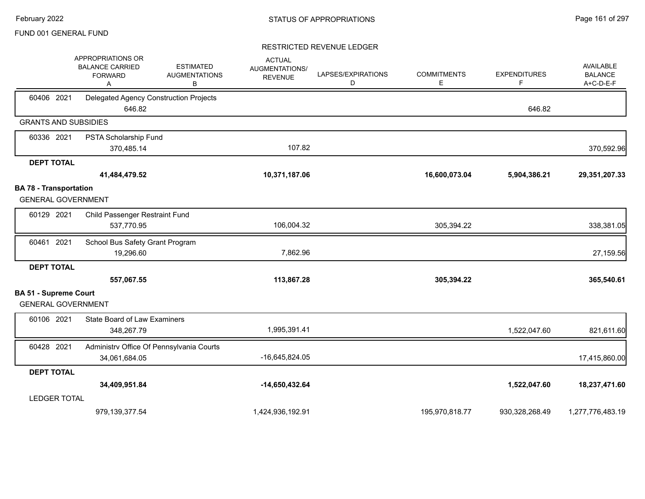|                                                            | APPROPRIATIONS OR<br><b>BALANCE CARRIED</b><br><b>ESTIMATED</b><br><b>AUGMENTATIONS</b><br><b>FORWARD</b><br>В<br>Α | <b>ACTUAL</b><br>AUGMENTATIONS/<br><b>REVENUE</b> | LAPSES/EXPIRATIONS<br>D | <b>COMMITMENTS</b><br>Ε | <b>EXPENDITURES</b><br>F | AVAILABLE<br><b>BALANCE</b><br>A+C-D-E-F |
|------------------------------------------------------------|---------------------------------------------------------------------------------------------------------------------|---------------------------------------------------|-------------------------|-------------------------|--------------------------|------------------------------------------|
| 60406 2021                                                 | Delegated Agency Construction Projects<br>646.82                                                                    |                                                   |                         |                         | 646.82                   |                                          |
| <b>GRANTS AND SUBSIDIES</b>                                |                                                                                                                     |                                                   |                         |                         |                          |                                          |
| 60336 2021                                                 | PSTA Scholarship Fund<br>370,485.14                                                                                 | 107.82                                            |                         |                         |                          | 370,592.96                               |
| <b>DEPT TOTAL</b>                                          |                                                                                                                     |                                                   |                         |                         |                          |                                          |
|                                                            | 41,484,479.52                                                                                                       | 10,371,187.06                                     |                         | 16,600,073.04           | 5,904,386.21             | 29,351,207.33                            |
| <b>BA 78 - Transportation</b><br><b>GENERAL GOVERNMENT</b> |                                                                                                                     |                                                   |                         |                         |                          |                                          |
| 60129 2021                                                 | Child Passenger Restraint Fund<br>537,770.95                                                                        | 106,004.32                                        |                         | 305,394.22              |                          | 338,381.05                               |
| 60461 2021                                                 | School Bus Safety Grant Program<br>19,296.60                                                                        | 7,862.96                                          |                         |                         |                          | 27,159.56                                |
| <b>DEPT TOTAL</b>                                          | 557,067.55                                                                                                          | 113,867.28                                        |                         | 305,394.22              |                          | 365,540.61                               |
| <b>BA 51 - Supreme Court</b><br><b>GENERAL GOVERNMENT</b>  |                                                                                                                     |                                                   |                         |                         |                          |                                          |
| 60106 2021                                                 | <b>State Board of Law Examiners</b><br>348,267.79                                                                   | 1,995,391.41                                      |                         |                         | 1,522,047.60             | 821,611.60                               |
| 60428 2021                                                 | Administrv Office Of Pennsylvania Courts<br>34,061,684.05                                                           | -16,645,824.05                                    |                         |                         |                          | 17,415,860.00                            |
| <b>DEPT TOTAL</b>                                          |                                                                                                                     |                                                   |                         |                         |                          |                                          |
|                                                            | 34,409,951.84                                                                                                       | $-14,650,432.64$                                  |                         |                         | 1,522,047.60             | 18,237,471.60                            |
| <b>LEDGER TOTAL</b>                                        |                                                                                                                     |                                                   |                         |                         |                          |                                          |
|                                                            | 979,139,377.54                                                                                                      | 1,424,936,192.91                                  |                         | 195,970,818.77          | 930,328,268.49           | 1,277,776,483.19                         |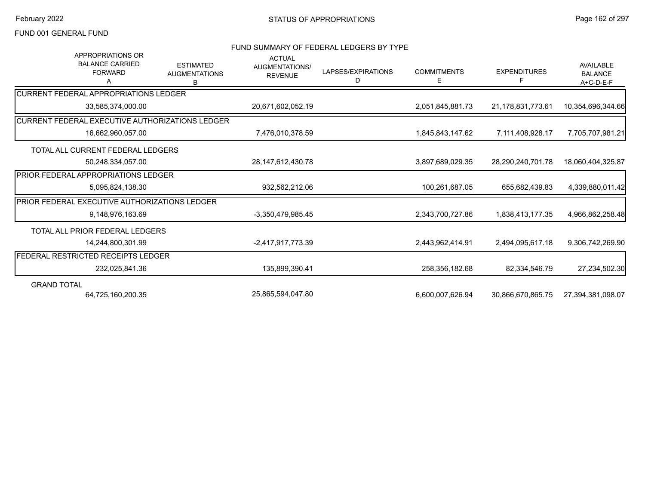# FUND SUMMARY OF FEDERAL LEDGERS BY TYPE

| APPROPRIATIONS OR<br><b>BALANCE CARRIED</b><br><b>FORWARD</b><br>А | <b>ESTIMATED</b><br><b>AUGMENTATIONS</b><br>B | <b>ACTUAL</b><br>AUGMENTATIONS/<br><b>REVENUE</b> | LAPSES/EXPIRATIONS<br>D | <b>COMMITMENTS</b><br>Е | <b>EXPENDITURES</b><br>F | <b>AVAILABLE</b><br><b>BALANCE</b><br>A+C-D-E-F |
|--------------------------------------------------------------------|-----------------------------------------------|---------------------------------------------------|-------------------------|-------------------------|--------------------------|-------------------------------------------------|
| <b>CURRENT FEDERAL APPROPRIATIONS LEDGER</b>                       |                                               |                                                   |                         |                         |                          |                                                 |
| 33,585,374,000.00                                                  |                                               | 20,671,602,052.19                                 |                         | 2,051,845,881.73        | 21,178,831,773.61        | 10,354,696,344.66                               |
| CURRENT FEDERAL EXECUTIVE AUTHORIZATIONS LEDGER                    |                                               |                                                   |                         |                         |                          |                                                 |
| 16,662,960,057.00                                                  |                                               | 7,476,010,378.59                                  |                         | 1,845,843,147.62        | 7,111,408,928.17         | 7,705,707,981.21                                |
| TOTAL ALL CURRENT FEDERAL LEDGERS                                  |                                               |                                                   |                         |                         |                          |                                                 |
| 50,248,334,057.00                                                  |                                               | 28, 147, 612, 430. 78                             |                         | 3,897,689,029.35        | 28,290,240,701.78        | 18,060,404,325.87                               |
| <b>PRIOR FEDERAL APPROPRIATIONS LEDGER</b>                         |                                               |                                                   |                         |                         |                          |                                                 |
| 5,095,824,138.30                                                   |                                               | 932,562,212.06                                    |                         | 100,261,687.05          | 655,682,439.83           | 4,339,880,011.42                                |
| PRIOR FEDERAL EXECUTIVE AUTHORIZATIONS LEDGER                      |                                               |                                                   |                         |                         |                          |                                                 |
| 9.148.976.163.69                                                   |                                               | -3,350,479,985.45                                 |                         | 2,343,700,727.86        | 1,838,413,177.35         | 4,966,862,258.48                                |
| TOTAL ALL PRIOR FEDERAL LEDGERS                                    |                                               |                                                   |                         |                         |                          |                                                 |
| 14,244,800,301.99                                                  |                                               | -2,417,917,773.39                                 |                         | 2,443,962,414.91        | 2,494,095,617.18         | 9,306,742,269.90                                |
| FEDERAL RESTRICTED RECEIPTS LEDGER                                 |                                               |                                                   |                         |                         |                          |                                                 |
| 232,025,841.36                                                     |                                               | 135,899,390.41                                    |                         | 258,356,182.68          | 82,334,546.79            | 27,234,502.30                                   |
| <b>GRAND TOTAL</b>                                                 |                                               |                                                   |                         |                         |                          |                                                 |
| 64,725,160,200.35                                                  |                                               | 25,865,594,047.80                                 |                         | 6,600,007,626.94        | 30,866,670,865.75        | 27,394,381,098.07                               |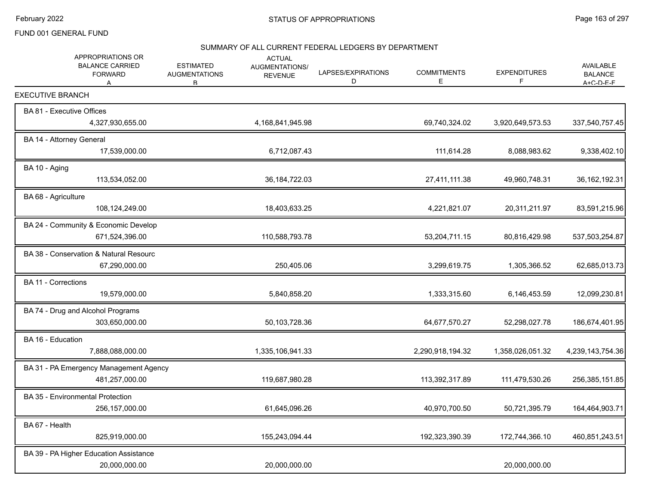# SUMMARY OF ALL CURRENT FEDERAL LEDGERS BY DEPARTMENT

|                            | APPROPRIATIONS OR<br><b>BALANCE CARRIED</b><br><b>FORWARD</b><br>A | <b>ESTIMATED</b><br><b>AUGMENTATIONS</b><br>R | <b>ACTUAL</b><br>AUGMENTATIONS/<br><b>REVENUE</b> | LAPSES/EXPIRATIONS<br>D | <b>COMMITMENTS</b><br>Е | <b>EXPENDITURES</b><br>F | <b>AVAILABLE</b><br><b>BALANCE</b><br>$A + C - D - F - F$ |
|----------------------------|--------------------------------------------------------------------|-----------------------------------------------|---------------------------------------------------|-------------------------|-------------------------|--------------------------|-----------------------------------------------------------|
| <b>EXECUTIVE BRANCH</b>    |                                                                    |                                               |                                                   |                         |                         |                          |                                                           |
| BA 81 - Executive Offices  | 4,327,930,655.00                                                   |                                               | 4,168,841,945.98                                  |                         | 69,740,324.02           | 3,920,649,573.53         | 337,540,757.45                                            |
| BA 14 - Attorney General   | 17,539,000.00                                                      |                                               | 6,712,087.43                                      |                         | 111,614.28              | 8,088,983.62             | 9,338,402.10                                              |
| BA 10 - Aging              | 113,534,052.00                                                     |                                               | 36, 184, 722.03                                   |                         | 27,411,111.38           | 49,960,748.31            | 36, 162, 192. 31                                          |
| BA 68 - Agriculture        | 108,124,249.00                                                     |                                               | 18,403,633.25                                     |                         | 4,221,821.07            | 20,311,211.97            | 83,591,215.96                                             |
|                            | BA 24 - Community & Economic Develop<br>671,524,396.00             |                                               | 110,588,793.78                                    |                         | 53,204,711.15           | 80,816,429.98            | 537,503,254.87                                            |
|                            | BA 38 - Conservation & Natural Resourc<br>67,290,000.00            |                                               | 250,405.06                                        |                         | 3,299,619.75            | 1,305,366.52             | 62,685,013.73                                             |
| <b>BA 11 - Corrections</b> | 19,579,000.00                                                      |                                               | 5,840,858.20                                      |                         | 1,333,315.60            | 6,146,453.59             | 12,099,230.81                                             |
|                            | BA 74 - Drug and Alcohol Programs<br>303,650,000.00                |                                               | 50,103,728.36                                     |                         | 64,677,570.27           | 52,298,027.78            | 186,674,401.95                                            |
| BA 16 - Education          | 7,888,088,000.00                                                   |                                               | 1,335,106,941.33                                  |                         | 2,290,918,194.32        | 1,358,026,051.32         | 4,239,143,754.36                                          |
|                            | BA 31 - PA Emergency Management Agency<br>481,257,000.00           |                                               | 119,687,980.28                                    |                         | 113,392,317.89          | 111,479,530.26           | 256,385,151.85                                            |
|                            | BA 35 - Environmental Protection<br>256, 157, 000.00               |                                               | 61,645,096.26                                     |                         | 40,970,700.50           | 50,721,395.79            | 164,464,903.71                                            |
| BA 67 - Health             | 825,919,000.00                                                     |                                               | 155,243,094.44                                    |                         | 192,323,390.39          | 172,744,366.10           | 460,851,243.51                                            |
|                            | BA 39 - PA Higher Education Assistance<br>20,000,000.00            |                                               | 20,000,000.00                                     |                         |                         | 20,000,000.00            |                                                           |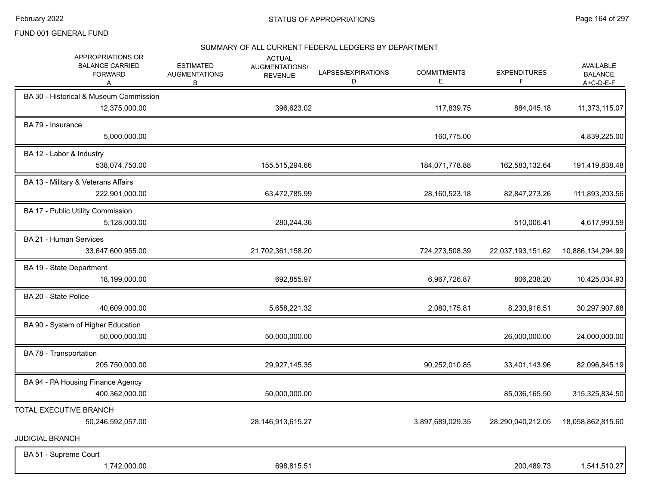#### SUMMARY OF ALL CURRENT FEDERAL LEDGERS BY DEPARTMENT

| APPROPRIATIONS OR<br><b>BALANCE CARRIED</b><br><b>FORWARD</b><br>А | <b>ESTIMATED</b><br><b>AUGMENTATIONS</b><br>R. | <b>ACTUAL</b><br>AUGMENTATIONS/<br><b>REVENUE</b> | LAPSES/EXPIRATIONS<br>D | <b>COMMITMENTS</b><br>E | <b>EXPENDITURES</b><br>F | AVAILABLE<br><b>BALANCE</b><br>$A + C - D - F - F$ |
|--------------------------------------------------------------------|------------------------------------------------|---------------------------------------------------|-------------------------|-------------------------|--------------------------|----------------------------------------------------|
| BA 30 - Historical & Museum Commission<br>12,375,000.00            |                                                | 396,623.02                                        |                         | 117,839.75              | 884,045.18               | 11,373,115.07                                      |
| BA 79 - Insurance<br>5,000,000.00                                  |                                                |                                                   |                         | 160,775.00              |                          | 4,839,225.00                                       |
| BA 12 - Labor & Industry<br>538,074,750.00                         |                                                | 155,515,294.66                                    |                         | 184,071,778.88          | 162,583,132.64           | 191,419,838.48                                     |
| BA 13 - Military & Veterans Affairs<br>222,901,000.00              |                                                | 63,472,785.99                                     |                         | 28,160,523.18           | 82,847,273.26            | 111,893,203.56                                     |
| BA 17 - Public Utility Commission<br>5,128,000.00                  |                                                | 280,244.36                                        |                         |                         | 510,006.41               | 4,617,993.59                                       |
| BA 21 - Human Services<br>33,647,600,955.00                        |                                                | 21,702,361,158.20                                 |                         | 724,273,508.39          | 22,037,193,151.62        | 10,886,134,294.99                                  |
| BA 19 - State Department<br>18,199,000.00                          |                                                | 692,855.97                                        |                         | 6,967,726.87            | 806,238.20               | 10,425,034.93                                      |
| BA 20 - State Police<br>40,609,000.00                              |                                                | 5,658,221.32                                      |                         | 2,080,175.81            | 8,230,916.51             | 30,297,907.68                                      |
| BA 90 - System of Higher Education<br>50,000,000.00                |                                                | 50,000,000.00                                     |                         |                         | 26,000,000.00            | 24,000,000.00                                      |
| BA 78 - Transportation<br>205,750,000.00                           |                                                | 29,927,145.35                                     |                         | 90,252,010.85           | 33,401,143.96            | 82,096,845.19                                      |
| BA 94 - PA Housing Finance Agency<br>400,362,000.00                |                                                | 50,000,000.00                                     |                         |                         | 85,036,165.50            | 315,325,834.50                                     |
| TOTAL EXECUTIVE BRANCH<br>50,246,592,057.00                        |                                                | 28, 146, 913, 615. 27                             |                         | 3,897,689,029.35        | 28,290,040,212.05        | 18,058,862,815.60                                  |
| <b>JUDICIAL BRANCH</b>                                             |                                                |                                                   |                         |                         |                          |                                                    |
| BA 51 - Supreme Court<br>1,742,000.00                              |                                                | 698,815.51                                        |                         |                         | 200,489.73               | 1,541,510.27                                       |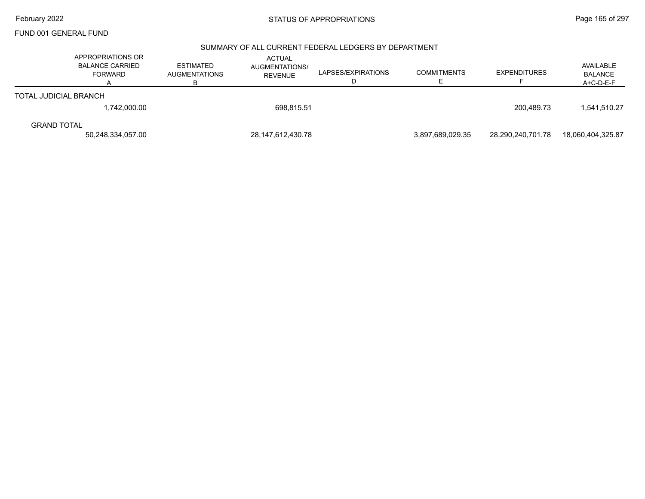#### SUMMARY OF ALL CURRENT FEDERAL LEDGERS BY DEPARTMENT

|                              | APPROPRIATIONS OR<br><b>BALANCE CARRIED</b><br><b>FORWARD</b> | <b>ESTIMATED</b><br><b>AUGMENTATIONS</b><br>R | <b>ACTUAL</b><br>AUGMENTATIONS/<br><b>REVENUE</b> | LAPSES/EXPIRATIONS<br>◡ | <b>COMMITMENTS</b> | <b>EXPENDITURES</b> | AVAILABLE<br><b>BALANCE</b><br>$A + C - D - F - F$ |
|------------------------------|---------------------------------------------------------------|-----------------------------------------------|---------------------------------------------------|-------------------------|--------------------|---------------------|----------------------------------------------------|
| <b>TOTAL JUDICIAL BRANCH</b> |                                                               |                                               |                                                   |                         |                    |                     |                                                    |
|                              | 1,742,000.00                                                  |                                               | 698.815.51                                        |                         |                    | 200.489.73          | 1,541,510.27                                       |
| <b>GRAND TOTAL</b>           |                                                               |                                               |                                                   |                         |                    |                     |                                                    |
|                              | 50,248,334,057.00                                             |                                               | 28,147,612,430.78                                 |                         | 3.897.689.029.35   | 28,290,240,701.78   | 18,060,404,325.87                                  |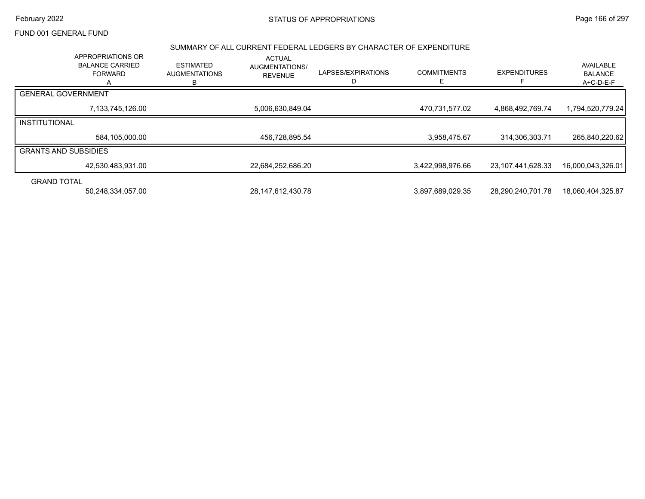## February 2022 **STATUS OF APPROPRIATIONS** STATUS OF APPROPRIATIONS

# FUND 001 GENERAL FUND

#### SUMMARY OF ALL CURRENT FEDERAL LEDGERS BY CHARACTER OF EXPENDITURE

|                             | APPROPRIATIONS OR<br><b>BALANCE CARRIED</b><br><b>FORWARD</b> | <b>ESTIMATED</b><br><b>AUGMENTATIONS</b><br>в | <b>ACTUAL</b><br><b>AUGMENTATIONS/</b><br><b>REVENUE</b> | LAPSES/EXPIRATIONS<br>D | <b>COMMITMENTS</b> | <b>EXPENDITURES</b> | AVAILABLE<br><b>BALANCE</b><br>A+C-D-E-F |
|-----------------------------|---------------------------------------------------------------|-----------------------------------------------|----------------------------------------------------------|-------------------------|--------------------|---------------------|------------------------------------------|
| <b>GENERAL GOVERNMENT</b>   |                                                               |                                               |                                                          |                         |                    |                     |                                          |
|                             | 7,133,745,126.00                                              |                                               | 5,006,630,849.04                                         |                         | 470,731,577.02     | 4,868,492,769.74    | 1,794,520,779.24                         |
| INSTITUTIONAL               |                                                               |                                               |                                                          |                         |                    |                     |                                          |
|                             | 584,105,000.00                                                |                                               | 456,728,895.54                                           |                         | 3,958,475.67       | 314,306,303.71      | 265,840,220.62                           |
| <b>GRANTS AND SUBSIDIES</b> |                                                               |                                               |                                                          |                         |                    |                     |                                          |
|                             | 42,530,483,931.00                                             |                                               | 22,684,252,686.20                                        |                         | 3,422,998,976.66   | 23,107,441,628.33   | 16,000,043,326.01                        |
| <b>GRAND TOTAL</b>          |                                                               |                                               |                                                          |                         |                    |                     |                                          |
|                             | 50,248,334,057.00                                             |                                               | 28, 147, 612, 430. 78                                    |                         | 3,897,689,029.35   | 28,290,240,701.78   | 18,060,404,325.87                        |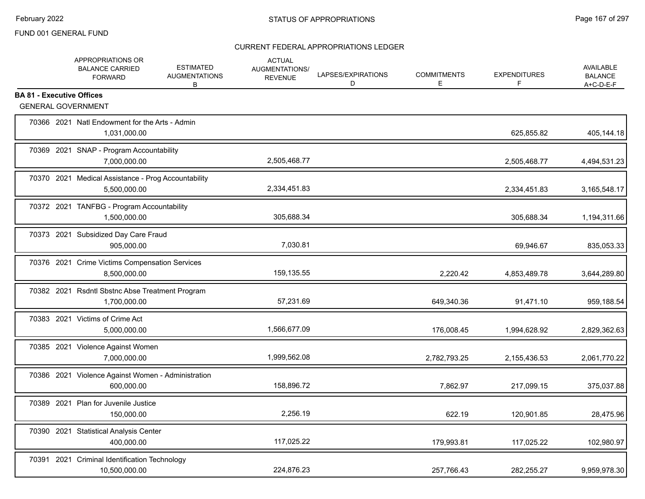|                                  | APPROPRIATIONS OR<br><b>BALANCE CARRIED</b><br><b>FORWARD</b>       | <b>ESTIMATED</b><br><b>AUGMENTATIONS</b><br>В | <b>ACTUAL</b><br>AUGMENTATIONS/<br><b>REVENUE</b> | LAPSES/EXPIRATIONS<br>D | <b>COMMITMENTS</b><br>E | <b>EXPENDITURES</b><br>F | <b>AVAILABLE</b><br><b>BALANCE</b><br>$A+C-D-E-F$ |
|----------------------------------|---------------------------------------------------------------------|-----------------------------------------------|---------------------------------------------------|-------------------------|-------------------------|--------------------------|---------------------------------------------------|
| <b>BA 81 - Executive Offices</b> | <b>GENERAL GOVERNMENT</b>                                           |                                               |                                                   |                         |                         |                          |                                                   |
|                                  | 70366 2021 Natl Endowment for the Arts - Admin<br>1,031,000.00      |                                               |                                                   |                         |                         | 625,855.82               | 405,144.18                                        |
|                                  | 70369 2021 SNAP - Program Accountability<br>7,000,000.00            |                                               | 2,505,468.77                                      |                         |                         | 2,505,468.77             | 4,494,531.23                                      |
|                                  | 70370 2021 Medical Assistance - Prog Accountability<br>5,500,000.00 |                                               | 2,334,451.83                                      |                         |                         | 2,334,451.83             | 3,165,548.17                                      |
|                                  | 70372 2021 TANFBG - Program Accountability<br>1,500,000.00          |                                               | 305,688.34                                        |                         |                         | 305,688.34               | 1,194,311.66                                      |
|                                  | 70373 2021 Subsidized Day Care Fraud<br>905,000.00                  |                                               | 7,030.81                                          |                         |                         | 69,946.67                | 835,053.33                                        |
|                                  | 70376 2021 Crime Victims Compensation Services<br>8,500,000.00      |                                               | 159,135.55                                        |                         | 2,220.42                | 4,853,489.78             | 3,644,289.80                                      |
|                                  | 70382 2021 Rsdntl Sbstnc Abse Treatment Program<br>1,700,000.00     |                                               | 57,231.69                                         |                         | 649,340.36              | 91,471.10                | 959,188.54                                        |
|                                  | 70383 2021 Victims of Crime Act<br>5,000,000.00                     |                                               | 1,566,677.09                                      |                         | 176,008.45              | 1,994,628.92             | 2,829,362.63                                      |
|                                  | 70385 2021 Violence Against Women<br>7,000,000.00                   |                                               | 1,999,562.08                                      |                         | 2,782,793.25            | 2,155,436.53             | 2,061,770.22                                      |
|                                  | 70386 2021 Violence Against Women - Administration<br>600.000.00    |                                               | 158,896.72                                        |                         | 7,862.97                | 217,099.15               | 375,037.88                                        |
|                                  | 70389 2021 Plan for Juvenile Justice<br>150,000.00                  |                                               | 2,256.19                                          |                         | 622.19                  | 120,901.85               | 28,475.96                                         |
|                                  | 70390 2021 Statistical Analysis Center<br>400,000.00                |                                               | 117,025.22                                        |                         | 179,993.81              | 117,025.22               | 102,980.97                                        |
|                                  | 70391 2021 Criminal Identification Technology<br>10,500,000.00      |                                               | 224,876.23                                        |                         | 257,766.43              | 282,255.27               | 9,959,978.30                                      |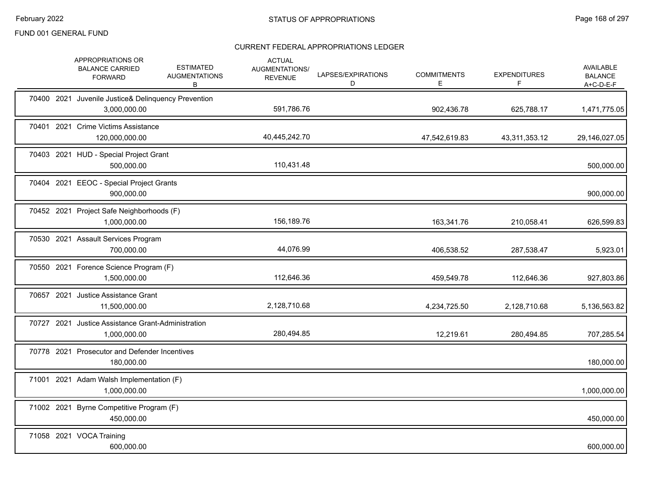|  | APPROPRIATIONS OR<br><b>BALANCE CARRIED</b><br><b>FORWARD</b>       | <b>ESTIMATED</b><br><b>AUGMENTATIONS</b><br>B | <b>ACTUAL</b><br>AUGMENTATIONS/<br><b>REVENUE</b> | LAPSES/EXPIRATIONS<br>D | <b>COMMITMENTS</b><br>Е | <b>EXPENDITURES</b><br>F. | <b>AVAILABLE</b><br><b>BALANCE</b><br>A+C-D-E-F |
|--|---------------------------------------------------------------------|-----------------------------------------------|---------------------------------------------------|-------------------------|-------------------------|---------------------------|-------------------------------------------------|
|  | 70400 2021 Juvenile Justice& Delinquency Prevention<br>3,000,000.00 |                                               | 591,786.76                                        |                         | 902,436.78              | 625,788.17                | 1,471,775.05                                    |
|  | 70401 2021 Crime Victims Assistance<br>120,000,000.00               |                                               | 40,445,242.70                                     |                         | 47,542,619.83           | 43,311,353.12             | 29,146,027.05                                   |
|  | 70403 2021 HUD - Special Project Grant<br>500,000.00                |                                               | 110,431.48                                        |                         |                         |                           | 500,000.00                                      |
|  | 70404 2021 EEOC - Special Project Grants<br>900,000.00              |                                               |                                                   |                         |                         |                           | 900,000.00                                      |
|  | 70452 2021 Project Safe Neighborhoods (F)<br>1,000,000.00           |                                               | 156,189.76                                        |                         | 163,341.76              | 210,058.41                | 626,599.83                                      |
|  | 70530 2021 Assault Services Program<br>700,000.00                   |                                               | 44,076.99                                         |                         | 406,538.52              | 287,538.47                | 5,923.01                                        |
|  | 70550 2021 Forence Science Program (F)<br>1,500,000.00              |                                               | 112,646.36                                        |                         | 459,549.78              | 112,646.36                | 927,803.86                                      |
|  | 70657 2021 Justice Assistance Grant<br>11,500,000.00                |                                               | 2,128,710.68                                      |                         | 4,234,725.50            | 2,128,710.68              | 5,136,563.82                                    |
|  | 70727 2021 Justice Assistance Grant-Administration<br>1,000,000.00  |                                               | 280,494.85                                        |                         | 12,219.61               | 280,494.85                | 707,285.54                                      |
|  | 70778 2021 Prosecutor and Defender Incentives<br>180,000.00         |                                               |                                                   |                         |                         |                           | 180,000.00                                      |
|  | 71001 2021 Adam Walsh Implementation (F)<br>1,000,000.00            |                                               |                                                   |                         |                         |                           | 1,000,000.00                                    |
|  | 71002 2021 Byrne Competitive Program (F)<br>450,000.00              |                                               |                                                   |                         |                         |                           | 450,000.00                                      |
|  | 71058 2021 VOCA Training<br>600,000.00                              |                                               |                                                   |                         |                         |                           | 600,000.00                                      |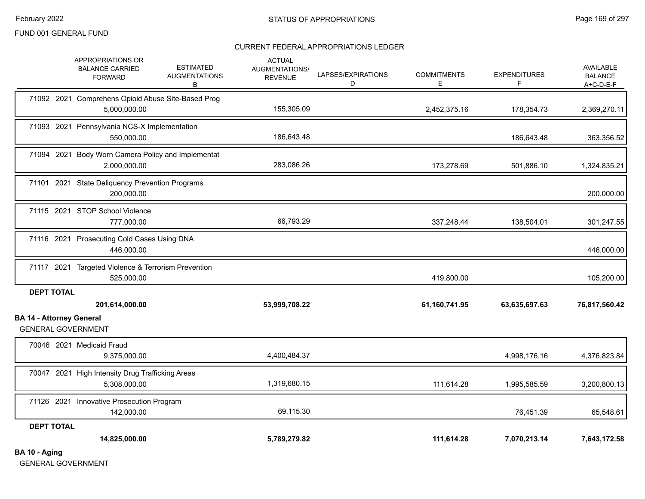## CURRENT FEDERAL APPROPRIATIONS LEDGER

|                                                              | APPROPRIATIONS OR<br><b>BALANCE CARRIED</b><br><b>FORWARD</b>      | <b>ESTIMATED</b><br><b>AUGMENTATIONS</b><br>В | <b>ACTUAL</b><br>AUGMENTATIONS/<br><b>REVENUE</b> | LAPSES/EXPIRATIONS<br>D | <b>COMMITMENTS</b><br>Е | <b>EXPENDITURES</b><br>F | <b>AVAILABLE</b><br><b>BALANCE</b><br>$A+C-D-E-F$ |
|--------------------------------------------------------------|--------------------------------------------------------------------|-----------------------------------------------|---------------------------------------------------|-------------------------|-------------------------|--------------------------|---------------------------------------------------|
|                                                              | 71092 2021 Comprehens Opioid Abuse Site-Based Prog<br>5,000,000.00 |                                               | 155,305.09                                        |                         | 2,452,375.16            | 178,354.73               | 2,369,270.11                                      |
|                                                              | 71093 2021 Pennsylvania NCS-X Implementation<br>550,000.00         |                                               | 186,643.48                                        |                         |                         | 186,643.48               | 363,356.52                                        |
|                                                              | 71094 2021 Body Worn Camera Policy and Implementat<br>2,000,000.00 |                                               | 283,086.26                                        |                         | 173,278.69              | 501,886.10               | 1,324,835.21                                      |
|                                                              | 71101 2021 State Deliquency Prevention Programs<br>200.000.00      |                                               |                                                   |                         |                         |                          | 200,000.00                                        |
|                                                              | 71115 2021 STOP School Violence<br>777,000.00                      |                                               | 66,793.29                                         |                         | 337,248.44              | 138,504.01               | 301,247.55                                        |
|                                                              | 71116 2021 Prosecuting Cold Cases Using DNA<br>446,000.00          |                                               |                                                   |                         |                         |                          | 446,000.00                                        |
|                                                              | 71117 2021 Targeted Violence & Terrorism Prevention<br>525,000.00  |                                               |                                                   |                         | 419,800.00              |                          | 105,200.00                                        |
| <b>DEPT TOTAL</b>                                            | 201,614,000.00                                                     |                                               | 53,999,708.22                                     |                         | 61,160,741.95           | 63,635,697.63            | 76,817,560.42                                     |
| <b>BA 14 - Attorney General</b><br><b>GENERAL GOVERNMENT</b> |                                                                    |                                               |                                                   |                         |                         |                          |                                                   |
|                                                              | 70046 2021 Medicaid Fraud<br>9,375,000.00                          |                                               | 4,400,484.37                                      |                         |                         | 4,998,176.16             | 4,376,823.84                                      |
|                                                              | 70047 2021 High Intensity Drug Trafficking Areas<br>5,308,000.00   |                                               | 1,319,680.15                                      |                         | 111,614.28              | 1,995,585.59             | 3,200,800.13                                      |
|                                                              | 71126 2021 Innovative Prosecution Program<br>142,000.00            |                                               | 69,115.30                                         |                         |                         | 76,451.39                | 65,548.61                                         |
| <b>DEPT TOTAL</b>                                            | 14,825,000.00                                                      |                                               | 5,789,279.82                                      |                         | 111,614.28              | 7,070,213.14             | 7,643,172.58                                      |
| BA 10 - Aging                                                |                                                                    |                                               |                                                   |                         |                         |                          |                                                   |

GENERAL GOVERNMENT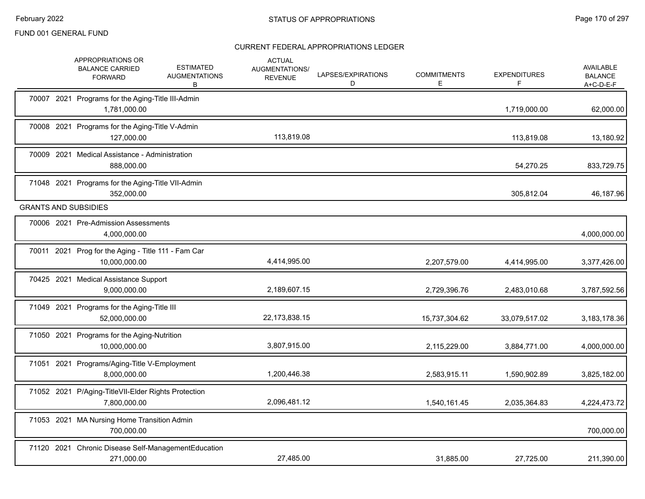|  | APPROPRIATIONS OR<br><b>ESTIMATED</b><br><b>BALANCE CARRIED</b><br><b>AUGMENTATIONS</b><br><b>FORWARD</b><br>В | <b>ACTUAL</b><br>AUGMENTATIONS/<br><b>REVENUE</b> | LAPSES/EXPIRATIONS<br>D | <b>COMMITMENTS</b><br>Е | <b>EXPENDITURES</b><br>F | AVAILABLE<br><b>BALANCE</b><br>$A+C-D-E-F$ |
|--|----------------------------------------------------------------------------------------------------------------|---------------------------------------------------|-------------------------|-------------------------|--------------------------|--------------------------------------------|
|  | 70007 2021 Programs for the Aging-Title III-Admin<br>1,781,000.00                                              |                                                   |                         |                         | 1,719,000.00             | 62,000.00                                  |
|  | 70008 2021 Programs for the Aging-Title V-Admin<br>127.000.00                                                  | 113,819.08                                        |                         |                         | 113,819.08               | 13,180.92                                  |
|  | 70009 2021 Medical Assistance - Administration<br>888,000.00                                                   |                                                   |                         |                         | 54,270.25                | 833,729.75                                 |
|  | 71048 2021 Programs for the Aging-Title VII-Admin<br>352,000.00                                                |                                                   |                         |                         | 305,812.04               | 46,187.96                                  |
|  | <b>GRANTS AND SUBSIDIES</b>                                                                                    |                                                   |                         |                         |                          |                                            |
|  | 70006 2021 Pre-Admission Assessments<br>4,000,000.00                                                           |                                                   |                         |                         |                          | 4,000,000.00                               |
|  | 70011 2021 Prog for the Aging - Title 111 - Fam Car<br>10,000,000.00                                           | 4,414,995.00                                      |                         | 2,207,579.00            | 4,414,995.00             | 3,377,426.00                               |
|  | 70425 2021 Medical Assistance Support<br>9.000.000.00                                                          | 2,189,607.15                                      |                         | 2,729,396.76            | 2,483,010.68             | 3,787,592.56                               |
|  | 71049 2021 Programs for the Aging-Title III<br>52,000,000.00                                                   | 22,173,838.15                                     |                         | 15,737,304.62           | 33,079,517.02            | 3,183,178.36                               |
|  | 71050 2021 Programs for the Aging-Nutrition<br>10,000,000.00                                                   | 3,807,915.00                                      |                         | 2,115,229.00            | 3,884,771.00             | 4,000,000.00                               |
|  | 71051 2021 Programs/Aging-Title V-Employment<br>8,000,000.00                                                   | 1,200,446.38                                      |                         | 2,583,915.11            | 1,590,902.89             | 3,825,182.00                               |
|  | 71052 2021 P/Aging-TitleVII-Elder Rights Protection<br>7,800,000.00                                            | 2,096,481.12                                      |                         | 1,540,161.45            | 2,035,364.83             | 4,224,473.72                               |
|  | 71053 2021 MA Nursing Home Transition Admin<br>700.000.00                                                      |                                                   |                         |                         |                          | 700,000.00                                 |
|  | 71120 2021 Chronic Disease Self-ManagementEducation<br>271,000.00                                              | 27,485.00                                         |                         | 31,885.00               | 27.725.00                | 211,390.00                                 |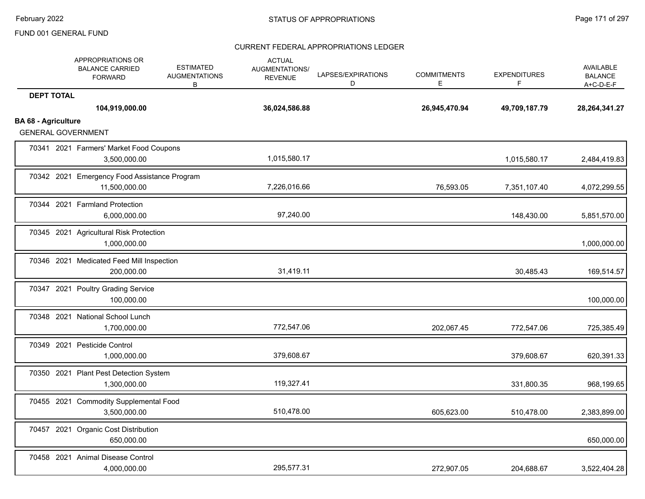|                            | APPROPRIATIONS OR<br><b>BALANCE CARRIED</b><br><b>FORWARD</b> | <b>ESTIMATED</b><br><b>AUGMENTATIONS</b><br>В | <b>ACTUAL</b><br>AUGMENTATIONS/<br><b>REVENUE</b> | LAPSES/EXPIRATIONS<br>D | <b>COMMITMENTS</b><br>Е | <b>EXPENDITURES</b><br>F | <b>AVAILABLE</b><br><b>BALANCE</b><br>$A+C-D-E-F$ |
|----------------------------|---------------------------------------------------------------|-----------------------------------------------|---------------------------------------------------|-------------------------|-------------------------|--------------------------|---------------------------------------------------|
| <b>DEPT TOTAL</b>          | 104,919,000.00                                                |                                               | 36,024,586.88                                     |                         | 26,945,470.94           | 49,709,187.79            | 28, 264, 341. 27                                  |
| <b>BA 68 - Agriculture</b> | <b>GENERAL GOVERNMENT</b>                                     |                                               |                                                   |                         |                         |                          |                                                   |
|                            | 70341 2021 Farmers' Market Food Coupons<br>3,500,000.00       |                                               | 1,015,580.17                                      |                         |                         | 1,015,580.17             | 2,484,419.83                                      |
|                            | 70342 2021 Emergency Food Assistance Program<br>11,500,000.00 |                                               | 7,226,016.66                                      |                         | 76,593.05               | 7,351,107.40             | 4,072,299.55                                      |
|                            | 70344 2021 Farmland Protection<br>6,000,000.00                |                                               | 97,240.00                                         |                         |                         | 148,430.00               | 5,851,570.00                                      |
|                            | 70345 2021 Agricultural Risk Protection<br>1,000,000.00       |                                               |                                                   |                         |                         |                          | 1,000,000.00                                      |
|                            | 70346 2021 Medicated Feed Mill Inspection<br>200,000.00       |                                               | 31,419.11                                         |                         |                         | 30,485.43                | 169,514.57                                        |
|                            | 70347 2021 Poultry Grading Service<br>100,000.00              |                                               |                                                   |                         |                         |                          | 100,000.00                                        |
|                            | 70348 2021 National School Lunch<br>1,700,000.00              |                                               | 772,547.06                                        |                         | 202,067.45              | 772,547.06               | 725,385.49                                        |
|                            | 70349 2021 Pesticide Control<br>1,000,000.00                  |                                               | 379,608.67                                        |                         |                         | 379,608.67               | 620,391.33                                        |
|                            | 70350 2021 Plant Pest Detection System<br>1,300,000.00        |                                               | 119,327.41                                        |                         |                         | 331,800.35               | 968,199.65                                        |
|                            | 70455 2021 Commodity Supplemental Food<br>3,500,000.00        |                                               | 510,478.00                                        |                         | 605,623.00              | 510,478.00               | 2,383,899.00                                      |
|                            | 70457 2021 Organic Cost Distribution<br>650,000.00            |                                               |                                                   |                         |                         |                          | 650,000.00                                        |
|                            | 70458 2021 Animal Disease Control<br>4,000,000.00             |                                               | 295,577.31                                        |                         | 272,907.05              | 204,688.67               | 3,522,404.28                                      |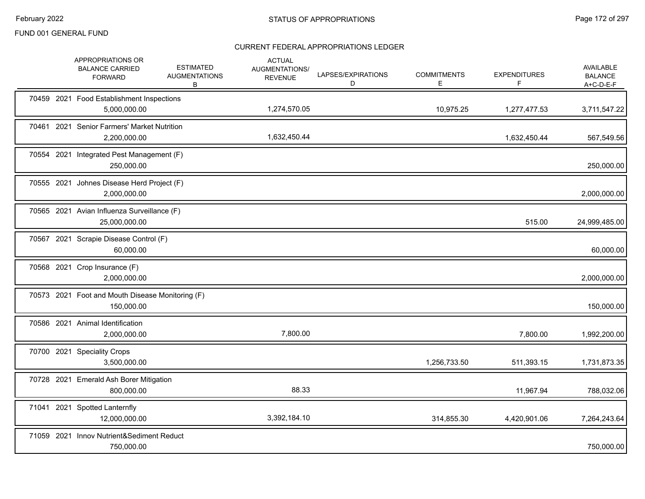|  | APPROPRIATIONS OR<br><b>BALANCE CARRIED</b><br><b>FORWARD</b>  | <b>ESTIMATED</b><br><b>AUGMENTATIONS</b><br>в | <b>ACTUAL</b><br>AUGMENTATIONS/<br><b>REVENUE</b> | LAPSES/EXPIRATIONS<br>D | <b>COMMITMENTS</b><br>E. | <b>EXPENDITURES</b><br>F | <b>AVAILABLE</b><br><b>BALANCE</b><br>$A+C-D-E-F$ |
|--|----------------------------------------------------------------|-----------------------------------------------|---------------------------------------------------|-------------------------|--------------------------|--------------------------|---------------------------------------------------|
|  | 70459 2021 Food Establishment Inspections<br>5,000,000.00      |                                               | 1,274,570.05                                      |                         | 10,975.25                | 1,277,477.53             | 3,711,547.22                                      |
|  | 70461 2021 Senior Farmers' Market Nutrition<br>2,200,000.00    |                                               | 1,632,450.44                                      |                         |                          | 1,632,450.44             | 567,549.56                                        |
|  | 70554 2021 Integrated Pest Management (F)<br>250,000.00        |                                               |                                                   |                         |                          |                          | 250,000.00                                        |
|  | 70555 2021 Johnes Disease Herd Project (F)<br>2,000,000.00     |                                               |                                                   |                         |                          |                          | 2,000,000.00                                      |
|  | 70565 2021 Avian Influenza Surveillance (F)<br>25,000,000.00   |                                               |                                                   |                         |                          | 515.00                   | 24,999,485.00                                     |
|  | 70567 2021 Scrapie Disease Control (F)<br>60,000.00            |                                               |                                                   |                         |                          |                          | 60,000.00                                         |
|  | 70568 2021 Crop Insurance (F)<br>2,000,000.00                  |                                               |                                                   |                         |                          |                          | 2,000,000.00                                      |
|  | 70573 2021 Foot and Mouth Disease Monitoring (F)<br>150,000.00 |                                               |                                                   |                         |                          |                          | 150,000.00                                        |
|  | 70586 2021 Animal Identification<br>2,000,000.00               |                                               | 7,800.00                                          |                         |                          | 7,800.00                 | 1,992,200.00                                      |
|  | 70700 2021 Speciality Crops<br>3,500,000.00                    |                                               |                                                   |                         | 1,256,733.50             | 511,393.15               | 1,731,873.35                                      |
|  | 70728 2021 Emerald Ash Borer Mitigation<br>800,000.00          |                                               | 88.33                                             |                         |                          | 11,967.94                | 788,032.06                                        |
|  | 71041 2021 Spotted Lanternfly<br>12,000,000.00                 |                                               | 3,392,184.10                                      |                         | 314,855.30               | 4,420,901.06             | 7,264,243.64                                      |
|  | 71059 2021 Innov Nutrient&Sediment Reduct<br>750,000.00        |                                               |                                                   |                         |                          |                          | 750,000.00                                        |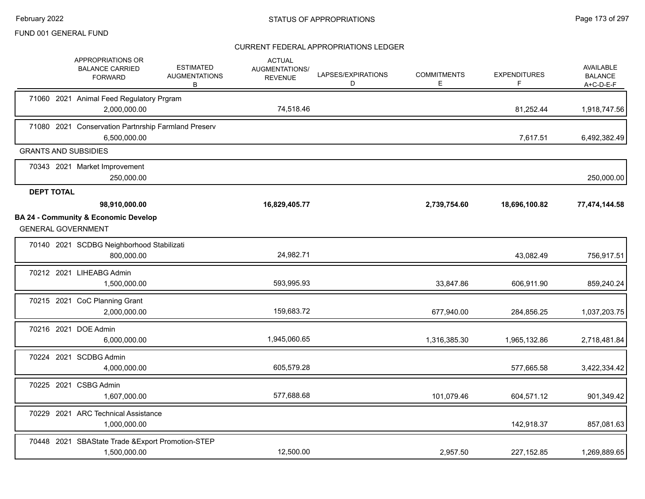|                   | APPROPRIATIONS OR<br><b>BALANCE CARRIED</b><br><b>FORWARD</b>                | <b>ESTIMATED</b><br><b>AUGMENTATIONS</b><br>В | <b>ACTUAL</b><br><b>AUGMENTATIONS/</b><br><b>REVENUE</b> | LAPSES/EXPIRATIONS<br>D | <b>COMMITMENTS</b><br>E. | <b>EXPENDITURES</b><br>F. | AVAILABLE<br><b>BALANCE</b><br>A+C-D-E-F |
|-------------------|------------------------------------------------------------------------------|-----------------------------------------------|----------------------------------------------------------|-------------------------|--------------------------|---------------------------|------------------------------------------|
|                   | 71060 2021 Animal Feed Regulatory Prgram<br>2,000,000.00                     |                                               | 74,518.46                                                |                         |                          | 81,252.44                 | 1,918,747.56                             |
|                   | 71080 2021 Conservation Partnrship Farmland Preserv<br>6,500,000.00          |                                               |                                                          |                         |                          | 7,617.51                  | 6,492,382.49                             |
|                   | <b>GRANTS AND SUBSIDIES</b>                                                  |                                               |                                                          |                         |                          |                           |                                          |
|                   | 70343 2021 Market Improvement<br>250,000.00                                  |                                               |                                                          |                         |                          |                           | 250,000.00                               |
| <b>DEPT TOTAL</b> |                                                                              |                                               |                                                          |                         |                          |                           |                                          |
|                   | 98,910,000.00                                                                |                                               | 16,829,405.77                                            |                         | 2,739,754.60             | 18,696,100.82             | 77,474,144.58                            |
|                   | <b>BA 24 - Community &amp; Economic Develop</b><br><b>GENERAL GOVERNMENT</b> |                                               |                                                          |                         |                          |                           |                                          |
|                   | 70140 2021 SCDBG Neighborhood Stabilizati<br>800,000.00                      |                                               | 24,982.71                                                |                         |                          | 43,082.49                 | 756,917.51                               |
|                   | 70212 2021 LIHEABG Admin<br>1,500,000.00                                     |                                               | 593,995.93                                               |                         | 33,847.86                | 606,911.90                | 859,240.24                               |
|                   | 70215 2021 CoC Planning Grant<br>2,000,000.00                                |                                               | 159,683.72                                               |                         | 677,940.00               | 284,856.25                | 1,037,203.75                             |
|                   | 70216 2021 DOE Admin<br>6,000,000.00                                         |                                               | 1,945,060.65                                             |                         | 1,316,385.30             | 1,965,132.86              | 2,718,481.84                             |
|                   | 70224 2021 SCDBG Admin<br>4,000,000.00                                       |                                               | 605,579.28                                               |                         |                          | 577,665.58                | 3,422,334.42                             |
|                   | 70225 2021 CSBG Admin<br>1,607,000.00                                        |                                               | 577,688.68                                               |                         | 101,079.46               | 604,571.12                | 901,349.42                               |
|                   | 70229 2021 ARC Technical Assistance<br>1,000,000.00                          |                                               |                                                          |                         |                          | 142,918.37                | 857,081.63                               |
|                   | 70448 2021 SBAState Trade & Export Promotion-STEP<br>1,500,000.00            |                                               | 12,500.00                                                |                         | 2,957.50                 | 227, 152.85               | 1,269,889.65                             |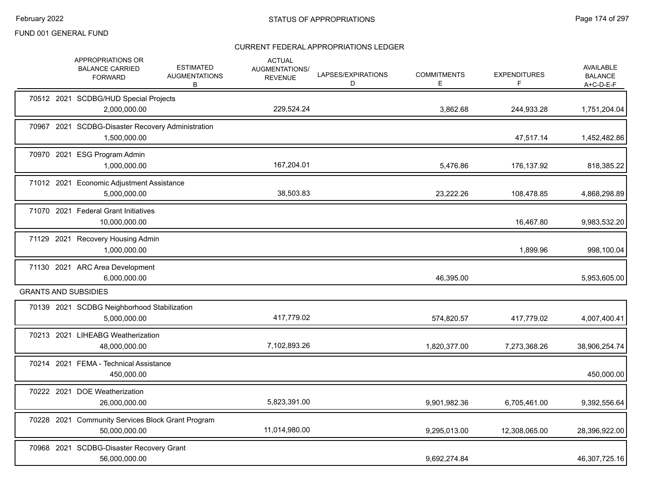|  | APPROPRIATIONS OR<br><b>BALANCE CARRIED</b><br><b>FORWARD</b>      | <b>ESTIMATED</b><br><b>AUGMENTATIONS</b><br>B | <b>ACTUAL</b><br><b>AUGMENTATIONS/</b><br><b>REVENUE</b> | LAPSES/EXPIRATIONS<br>D | <b>COMMITMENTS</b><br>E. | <b>EXPENDITURES</b><br>F | <b>AVAILABLE</b><br><b>BALANCE</b><br>$A+C-D-E-F$ |
|--|--------------------------------------------------------------------|-----------------------------------------------|----------------------------------------------------------|-------------------------|--------------------------|--------------------------|---------------------------------------------------|
|  | 70512 2021 SCDBG/HUD Special Projects<br>2,000,000.00              |                                               | 229,524.24                                               |                         | 3,862.68                 | 244,933.28               | 1,751,204.04                                      |
|  | 70967 2021 SCDBG-Disaster Recovery Administration<br>1,500,000.00  |                                               |                                                          |                         |                          | 47,517.14                | 1,452,482.86                                      |
|  | 70970 2021 ESG Program Admin<br>1,000,000.00                       |                                               | 167,204.01                                               |                         | 5,476.86                 | 176,137.92               | 818,385.22                                        |
|  | 71012 2021 Economic Adjustment Assistance<br>5,000,000.00          |                                               | 38,503.83                                                |                         | 23,222.26                | 108,478.85               | 4,868,298.89                                      |
|  | 71070 2021 Federal Grant Initiatives<br>10,000,000.00              |                                               |                                                          |                         |                          | 16,467.80                | 9,983,532.20                                      |
|  | 71129 2021 Recovery Housing Admin<br>1,000,000.00                  |                                               |                                                          |                         |                          | 1,899.96                 | 998,100.04                                        |
|  | 71130 2021 ARC Area Development<br>6,000,000.00                    |                                               |                                                          |                         | 46,395.00                |                          | 5,953,605.00                                      |
|  | <b>GRANTS AND SUBSIDIES</b>                                        |                                               |                                                          |                         |                          |                          |                                                   |
|  | 70139 2021 SCDBG Neighborhood Stabilization<br>5,000,000.00        |                                               | 417,779.02                                               |                         | 574,820.57               | 417,779.02               | 4,007,400.41                                      |
|  | 70213 2021 LIHEABG Weatherization<br>48,000,000.00                 |                                               | 7,102,893.26                                             |                         | 1,820,377.00             | 7,273,368.26             | 38,906,254.74                                     |
|  | 70214 2021 FEMA - Technical Assistance<br>450,000.00               |                                               |                                                          |                         |                          |                          | 450,000.00                                        |
|  | 70222 2021 DOE Weatherization<br>26,000,000.00                     |                                               | 5,823,391.00                                             |                         | 9,901,982.36             | 6,705,461.00             | 9,392,556.64                                      |
|  | 70228 2021 Community Services Block Grant Program<br>50,000,000.00 |                                               | 11,014,980.00                                            |                         | 9,295,013.00             | 12,308,065.00            | 28,396,922.00                                     |
|  | 70968 2021 SCDBG-Disaster Recovery Grant<br>56,000,000.00          |                                               |                                                          |                         | 9,692,274.84             |                          | 46,307,725.16                                     |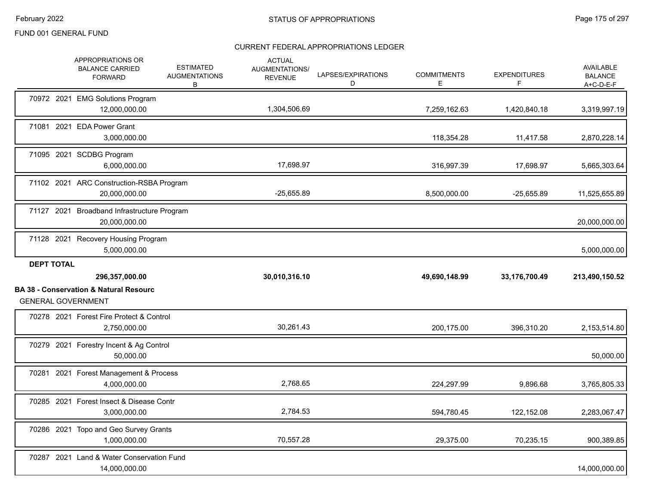|                   | APPROPRIATIONS OR<br><b>BALANCE CARRIED</b><br><b>FORWARD</b>                  | <b>ESTIMATED</b><br><b>AUGMENTATIONS</b><br>В | <b>ACTUAL</b><br><b>AUGMENTATIONS/</b><br><b>REVENUE</b> | LAPSES/EXPIRATIONS<br>D | <b>COMMITMENTS</b><br>E | <b>EXPENDITURES</b><br>F | <b>AVAILABLE</b><br><b>BALANCE</b><br>A+C-D-E-F |
|-------------------|--------------------------------------------------------------------------------|-----------------------------------------------|----------------------------------------------------------|-------------------------|-------------------------|--------------------------|-------------------------------------------------|
|                   | 70972 2021 EMG Solutions Program<br>12,000,000.00                              |                                               | 1,304,506.69                                             |                         | 7,259,162.63            | 1,420,840.18             | 3,319,997.19                                    |
|                   | 71081 2021 EDA Power Grant<br>3,000,000.00                                     |                                               |                                                          |                         | 118,354.28              | 11,417.58                | 2,870,228.14                                    |
|                   | 71095 2021 SCDBG Program<br>6,000,000.00                                       |                                               | 17,698.97                                                |                         | 316,997.39              | 17,698.97                | 5,665,303.64                                    |
|                   | 71102 2021 ARC Construction-RSBA Program<br>20,000,000.00                      |                                               | $-25,655.89$                                             |                         | 8,500,000.00            | $-25,655.89$             | 11,525,655.89                                   |
|                   | 71127 2021 Broadband Infrastructure Program<br>20,000,000.00                   |                                               |                                                          |                         |                         |                          | 20,000,000.00                                   |
|                   | 71128 2021 Recovery Housing Program<br>5,000,000.00                            |                                               |                                                          |                         |                         |                          | 5,000,000.00                                    |
|                   |                                                                                |                                               |                                                          |                         |                         |                          |                                                 |
| <b>DEPT TOTAL</b> | 296,357,000.00                                                                 |                                               | 30,010,316.10                                            |                         | 49,690,148.99           | 33,176,700.49            | 213,490,150.52                                  |
|                   | <b>BA 38 - Conservation &amp; Natural Resourc</b><br><b>GENERAL GOVERNMENT</b> |                                               |                                                          |                         |                         |                          |                                                 |
|                   | 70278 2021 Forest Fire Protect & Control<br>2,750,000.00                       |                                               | 30,261.43                                                |                         | 200,175.00              | 396,310.20               | 2,153,514.80                                    |
|                   | 70279 2021 Forestry Incent & Ag Control<br>50,000.00                           |                                               |                                                          |                         |                         |                          | 50,000.00                                       |
|                   | 70281 2021 Forest Management & Process<br>4,000,000.00                         |                                               | 2,768.65                                                 |                         | 224,297.99              | 9,896.68                 | 3,765,805.33                                    |
|                   | 70285 2021 Forest Insect & Disease Contr<br>3,000,000.00                       |                                               | 2,784.53                                                 |                         | 594,780.45              | 122,152.08               | 2,283,067.47                                    |
|                   | 70286 2021 Topo and Geo Survey Grants<br>1,000,000.00                          |                                               | 70,557.28                                                |                         | 29,375.00               | 70,235.15                | 900,389.85                                      |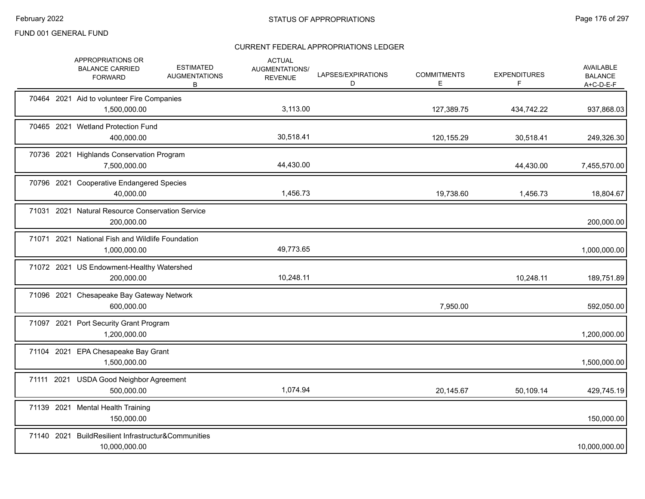|            | APPROPRIATIONS OR<br><b>BALANCE CARRIED</b><br><b>FORWARD</b>        | <b>ESTIMATED</b><br><b>AUGMENTATIONS</b><br>B | <b>ACTUAL</b><br>AUGMENTATIONS/<br><b>REVENUE</b> | LAPSES/EXPIRATIONS<br>D | <b>COMMITMENTS</b><br>Е | <b>EXPENDITURES</b><br>F | <b>AVAILABLE</b><br><b>BALANCE</b><br>A+C-D-E-F |
|------------|----------------------------------------------------------------------|-----------------------------------------------|---------------------------------------------------|-------------------------|-------------------------|--------------------------|-------------------------------------------------|
|            | 70464 2021 Aid to volunteer Fire Companies<br>1,500,000.00           |                                               | 3,113.00                                          |                         | 127,389.75              | 434,742.22               | 937,868.03                                      |
|            | 70465 2021 Wetland Protection Fund<br>400,000.00                     |                                               | 30,518.41                                         |                         | 120,155.29              | 30,518.41                | 249,326.30                                      |
|            | 70736 2021 Highlands Conservation Program<br>7,500,000.00            |                                               | 44,430.00                                         |                         |                         | 44,430.00                | 7,455,570.00                                    |
|            | 70796 2021 Cooperative Endangered Species<br>40,000.00               |                                               | 1,456.73                                          |                         | 19,738.60               | 1,456.73                 | 18,804.67                                       |
|            | 71031 2021 Natural Resource Conservation Service<br>200,000.00       |                                               |                                                   |                         |                         |                          | 200,000.00                                      |
|            | 71071 2021 National Fish and Wildlife Foundation<br>1,000,000.00     |                                               | 49,773.65                                         |                         |                         |                          | 1,000,000.00                                    |
|            | 71072 2021 US Endowment-Healthy Watershed<br>200,000.00              |                                               | 10,248.11                                         |                         |                         | 10,248.11                | 189,751.89                                      |
|            | 71096 2021 Chesapeake Bay Gateway Network<br>600,000.00              |                                               |                                                   |                         | 7,950.00                |                          | 592,050.00                                      |
|            | 71097 2021 Port Security Grant Program<br>1,200,000.00               |                                               |                                                   |                         |                         |                          | 1,200,000.00                                    |
|            | 71104 2021 EPA Chesapeake Bay Grant<br>1,500,000.00                  |                                               |                                                   |                         |                         |                          | 1,500,000.00                                    |
| 71111 2021 | <b>USDA Good Neighbor Agreement</b><br>500.000.00                    |                                               | 1,074.94                                          |                         | 20,145.67               | 50,109.14                | 429,745.19                                      |
|            | 71139 2021 Mental Health Training<br>150,000.00                      |                                               |                                                   |                         |                         |                          | 150,000.00                                      |
|            | 71140 2021 BuildResilient Infrastructur&Communities<br>10,000,000.00 |                                               |                                                   |                         |                         |                          | 10,000,000.00                                   |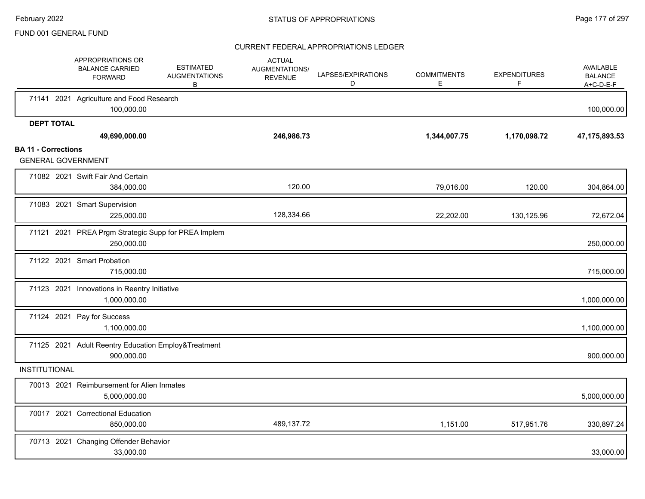|                            | APPROPRIATIONS OR<br><b>BALANCE CARRIED</b><br><b>FORWARD</b>     | <b>ESTIMATED</b><br><b>AUGMENTATIONS</b><br>B | <b>ACTUAL</b><br>AUGMENTATIONS/<br><b>REVENUE</b> | LAPSES/EXPIRATIONS<br>D | <b>COMMITMENTS</b><br>E. | <b>EXPENDITURES</b><br>F. | <b>AVAILABLE</b><br><b>BALANCE</b><br>$A+C-D-E-F$ |
|----------------------------|-------------------------------------------------------------------|-----------------------------------------------|---------------------------------------------------|-------------------------|--------------------------|---------------------------|---------------------------------------------------|
|                            | 71141 2021 Agriculture and Food Research<br>100,000.00            |                                               |                                                   |                         |                          |                           | 100,000.00                                        |
| <b>DEPT TOTAL</b>          | 49,690,000.00                                                     |                                               | 246,986.73                                        |                         | 1,344,007.75             | 1,170,098.72              | 47, 175, 893.53                                   |
| <b>BA 11 - Corrections</b> | <b>GENERAL GOVERNMENT</b>                                         |                                               |                                                   |                         |                          |                           |                                                   |
|                            | 71082 2021 Swift Fair And Certain<br>384,000.00                   |                                               | 120.00                                            |                         | 79,016.00                | 120.00                    | 304,864.00                                        |
|                            | 71083 2021 Smart Supervision<br>225,000.00                        |                                               | 128,334.66                                        |                         | 22,202.00                | 130,125.96                | 72,672.04                                         |
|                            | 71121 2021 PREA Prgm Strategic Supp for PREA Implem<br>250,000.00 |                                               |                                                   |                         |                          |                           | 250,000.00                                        |
|                            | 71122 2021 Smart Probation<br>715,000.00                          |                                               |                                                   |                         |                          |                           | 715,000.00                                        |
|                            | 71123 2021 Innovations in Reentry Initiative<br>1,000,000.00      |                                               |                                                   |                         |                          |                           | 1,000,000.00                                      |
|                            | 71124 2021 Pay for Success<br>1,100,000.00                        |                                               |                                                   |                         |                          |                           | 1,100,000.00                                      |
|                            | 71125 2021 Adult Reentry Education Employ&Treatment<br>900,000.00 |                                               |                                                   |                         |                          |                           | 900,000.00                                        |
| <b>INSTITUTIONAL</b>       |                                                                   |                                               |                                                   |                         |                          |                           |                                                   |
|                            | 70013 2021 Reimbursement for Alien Inmates<br>5,000,000.00        |                                               |                                                   |                         |                          |                           | 5,000,000.00                                      |
|                            | 70017 2021 Correctional Education<br>850,000.00                   |                                               | 489,137.72                                        |                         | 1,151.00                 | 517,951.76                | 330,897.24                                        |
|                            | 70713 2021 Changing Offender Behavior<br>33,000.00                |                                               |                                                   |                         |                          |                           | 33,000.00                                         |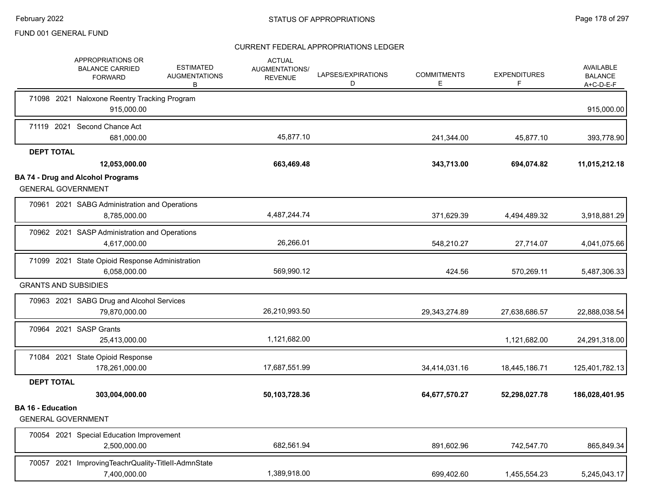|                          | APPROPRIATIONS OR<br><b>BALANCE CARRIED</b><br><b>FORWARD</b>         | <b>ESTIMATED</b><br><b>AUGMENTATIONS</b><br>В | <b>ACTUAL</b><br><b>AUGMENTATIONS/</b><br><b>REVENUE</b> | LAPSES/EXPIRATIONS<br>D | <b>COMMITMENTS</b><br>Е | <b>EXPENDITURES</b><br>F | AVAILABLE<br><b>BALANCE</b><br>A+C-D-E-F |
|--------------------------|-----------------------------------------------------------------------|-----------------------------------------------|----------------------------------------------------------|-------------------------|-------------------------|--------------------------|------------------------------------------|
|                          | 71098 2021 Naloxone Reentry Tracking Program<br>915,000.00            |                                               |                                                          |                         |                         |                          | 915,000.00                               |
|                          | 71119 2021 Second Chance Act<br>681,000.00                            |                                               | 45,877.10                                                |                         | 241,344.00              | 45,877.10                | 393,778.90                               |
| <b>DEPT TOTAL</b>        | 12,053,000.00                                                         |                                               | 663,469.48                                               |                         | 343,713.00              | 694,074.82               | 11,015,212.18                            |
|                          | <b>BA 74 - Drug and Alcohol Programs</b><br><b>GENERAL GOVERNMENT</b> |                                               |                                                          |                         |                         |                          |                                          |
|                          | 70961 2021 SABG Administration and Operations<br>8,785,000.00         |                                               | 4,487,244.74                                             |                         | 371,629.39              | 4,494,489.32             | 3,918,881.29                             |
|                          | 70962 2021 SASP Administration and Operations<br>4,617,000.00         |                                               | 26,266.01                                                |                         | 548,210.27              | 27,714.07                | 4,041,075.66                             |
|                          | 71099 2021 State Opioid Response Administration<br>6,058,000.00       |                                               | 569,990.12                                               |                         | 424.56                  | 570,269.11               | 5,487,306.33                             |
|                          | <b>GRANTS AND SUBSIDIES</b>                                           |                                               |                                                          |                         |                         |                          |                                          |
|                          | 70963 2021 SABG Drug and Alcohol Services<br>79,870,000.00            |                                               | 26,210,993.50                                            |                         | 29,343,274.89           | 27,638,686.57            | 22,888,038.54                            |
|                          | 70964 2021 SASP Grants<br>25,413,000.00                               |                                               | 1,121,682.00                                             |                         |                         | 1,121,682.00             | 24,291,318.00                            |
|                          | 71084 2021 State Opioid Response<br>178,261,000.00                    |                                               | 17,687,551.99                                            |                         | 34,414,031.16           | 18,445,186.71            | 125,401,782.13                           |
| <b>DEPT TOTAL</b>        | 303,004,000.00                                                        |                                               | 50,103,728.36                                            |                         | 64,677,570.27           | 52,298,027.78            | 186,028,401.95                           |
| <b>BA 16 - Education</b> | <b>GENERAL GOVERNMENT</b>                                             |                                               |                                                          |                         |                         |                          |                                          |
|                          | 70054 2021 Special Education Improvement<br>2,500,000.00              |                                               | 682,561.94                                               |                         | 891,602.96              | 742,547.70               | 865,849.34                               |
|                          | 70057 2021 ImprovingTeachrQuality-TitleII-AdmnState<br>7,400,000.00   |                                               | 1,389,918.00                                             |                         | 699,402.60              | 1,455,554.23             | 5,245,043.17                             |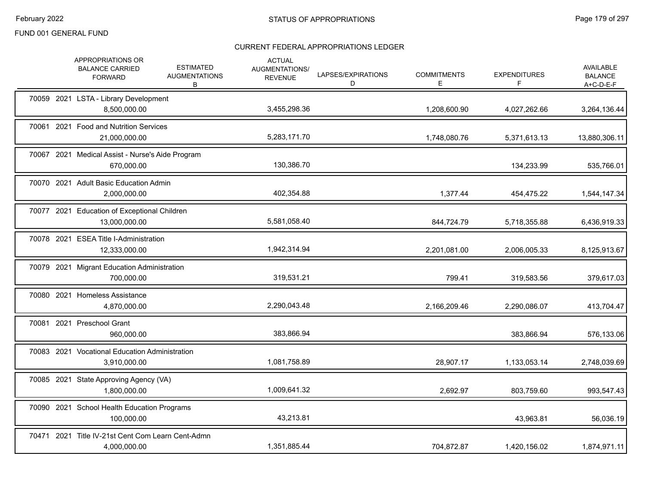| APPROPRIATIONS OR<br><b>BALANCE CARRIED</b><br><b>FORWARD</b>     | <b>ESTIMATED</b><br><b>AUGMENTATIONS</b><br>B | <b>ACTUAL</b><br>AUGMENTATIONS/<br><b>REVENUE</b> | LAPSES/EXPIRATIONS<br>D | <b>COMMITMENTS</b><br>Е | <b>EXPENDITURES</b><br>F | AVAILABLE<br><b>BALANCE</b><br>$A+C-D-E-F$ |
|-------------------------------------------------------------------|-----------------------------------------------|---------------------------------------------------|-------------------------|-------------------------|--------------------------|--------------------------------------------|
| 70059 2021 LSTA - Library Development<br>8,500,000.00             |                                               | 3,455,298.36                                      |                         | 1,208,600.90            | 4,027,262.66             | 3,264,136.44                               |
| 70061 2021 Food and Nutrition Services<br>21,000,000.00           |                                               | 5,283,171.70                                      |                         | 1,748,080.76            | 5,371,613.13             | 13,880,306.11                              |
| 70067 2021 Medical Assist - Nurse's Aide Program<br>670,000.00    |                                               | 130,386.70                                        |                         |                         | 134,233.99               | 535,766.01                                 |
| 70070 2021 Adult Basic Education Admin<br>2,000,000.00            |                                               | 402,354.88                                        |                         | 1,377.44                | 454,475.22               | 1,544,147.34                               |
| 70077 2021 Education of Exceptional Children<br>13,000,000.00     |                                               | 5,581,058.40                                      |                         | 844,724.79              | 5,718,355.88             | 6,436,919.33                               |
| 70078 2021 ESEA Title I-Administration<br>12,333,000.00           |                                               | 1,942,314.94                                      |                         | 2,201,081.00            | 2,006,005.33             | 8,125,913.67                               |
| 70079 2021 Migrant Education Administration<br>700,000.00         |                                               | 319,531.21                                        |                         | 799.41                  | 319,583.56               | 379,617.03                                 |
| 70080 2021 Homeless Assistance<br>4,870,000.00                    |                                               | 2,290,043.48                                      |                         | 2,166,209.46            | 2,290,086.07             | 413,704.47                                 |
| 70081 2021 Preschool Grant<br>960,000.00                          |                                               | 383,866.94                                        |                         |                         | 383,866.94               | 576,133.06                                 |
| 70083 2021 Vocational Education Administration<br>3,910,000.00    |                                               | 1,081,758.89                                      |                         | 28,907.17               | 1,133,053.14             | 2,748,039.69                               |
| 70085 2021 State Approving Agency (VA)<br>1,800,000.00            |                                               | 1,009,641.32                                      |                         | 2,692.97                | 803,759.60               | 993,547.43                                 |
| 70090 2021 School Health Education Programs<br>100,000.00         |                                               | 43,213.81                                         |                         |                         | 43,963.81                | 56,036.19                                  |
| 70471 2021 Title IV-21st Cent Com Learn Cent-Admn<br>4,000,000.00 |                                               | 1,351,885.44                                      |                         | 704,872.87              | 1,420,156.02             | 1,874,971.11                               |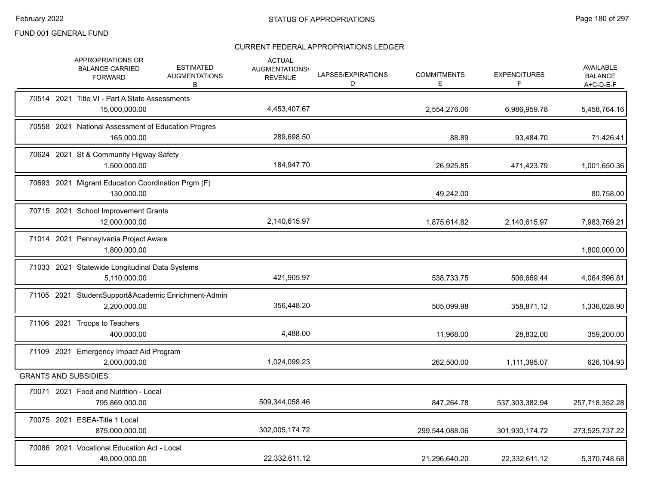|            | APPROPRIATIONS OR<br><b>BALANCE CARRIED</b><br><b>FORWARD</b>       | <b>ESTIMATED</b><br><b>AUGMENTATIONS</b><br>В | <b>ACTUAL</b><br><b>AUGMENTATIONS/</b><br><b>REVENUE</b> | LAPSES/EXPIRATIONS<br>D | <b>COMMITMENTS</b><br>E | <b>EXPENDITURES</b><br>F | <b>AVAILABLE</b><br><b>BALANCE</b><br>$A+C-D-E-F$ |
|------------|---------------------------------------------------------------------|-----------------------------------------------|----------------------------------------------------------|-------------------------|-------------------------|--------------------------|---------------------------------------------------|
|            | 70514 2021 Title VI - Part A State Assessments<br>15,000,000.00     |                                               | 4,453,407.67                                             |                         | 2,554,276.06            | 6,986,959.78             | 5,458,764.16                                      |
|            | 70558 2021 National Assessment of Education Progres<br>165,000.00   |                                               | 289,698.50                                               |                         | 88.89                   | 93,484.70                | 71,426.41                                         |
|            | 70624 2021 St & Community Higway Safety<br>1,500,000.00             |                                               | 184,947.70                                               |                         | 26,925.85               | 471,423.79               | 1,001,650.36                                      |
|            | 70693 2021 Migrant Education Coordination Prgm (F)<br>130,000.00    |                                               |                                                          |                         | 49,242.00               |                          | 80,758.00                                         |
|            | 70715 2021 School Improvement Grants<br>12,000,000.00               |                                               | 2,140,615.97                                             |                         | 1,875,614.82            | 2,140,615.97             | 7,983,769.21                                      |
|            | 71014 2021 Pennsylvania Project Aware<br>1,800,000.00               |                                               |                                                          |                         |                         |                          | 1,800,000.00                                      |
|            | 71033 2021 Statewide Longitudinal Data Systems<br>5,110,000.00      |                                               | 421,905.97                                               |                         | 538,733.75              | 506,669.44               | 4,064,596.81                                      |
|            | 71105 2021 StudentSupport&Academic Enrichment-Admin<br>2,200,000.00 |                                               | 356,448.20                                               |                         | 505,099.98              | 358,871.12               | 1,336,028.90                                      |
|            | 71106 2021 Troops to Teachers<br>400,000.00                         |                                               | 4,488.00                                                 |                         | 11,968.00               | 28,832.00                | 359,200.00                                        |
|            | 71109 2021 Emergency Impact Aid Program<br>2,000,000.00             |                                               | 1,024,099.23                                             |                         | 262,500.00              | 1,111,395.07             | 626,104.93                                        |
|            | <b>GRANTS AND SUBSIDIES</b>                                         |                                               |                                                          |                         |                         |                          |                                                   |
|            | 70071 2021 Food and Nutrition - Local<br>795,869,000.00             |                                               | 509,344,058.46                                           |                         | 847,264.78              | 537,303,382.94           | 257,718,352.28                                    |
| 70075 2021 | ESEA-Title 1 Local<br>875,000,000.00                                |                                               | 302,005,174.72                                           |                         | 299,544,088.06          | 301,930,174.72           | 273,525,737.22                                    |
|            | 70086 2021 Vocational Education Act - Local<br>49,000,000.00        |                                               | 22.332.611.12                                            |                         | 21,296,640.20           | 22,332,611.12            | 5,370,748.68                                      |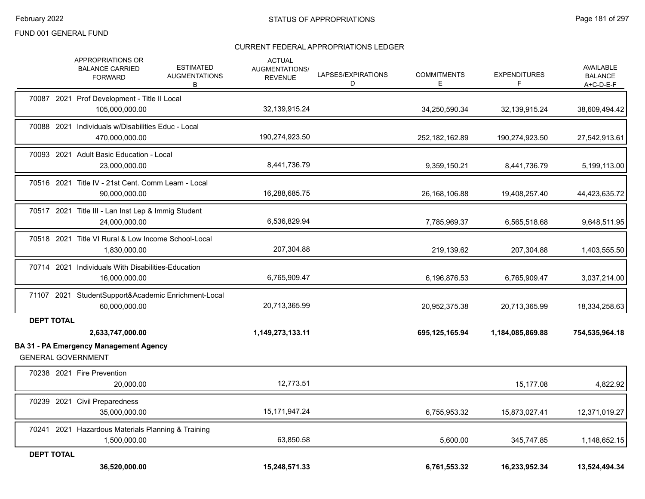|                   | APPROPRIATIONS OR<br><b>ESTIMATED</b><br><b>BALANCE CARRIED</b><br><b>AUGMENTATIONS</b><br><b>FORWARD</b><br>В | <b>ACTUAL</b><br><b>AUGMENTATIONS/</b><br><b>REVENUE</b> | LAPSES/EXPIRATIONS<br>D | <b>COMMITMENTS</b><br>E | <b>EXPENDITURES</b><br>F | <b>AVAILABLE</b><br><b>BALANCE</b><br>A+C-D-E-F |
|-------------------|----------------------------------------------------------------------------------------------------------------|----------------------------------------------------------|-------------------------|-------------------------|--------------------------|-------------------------------------------------|
|                   | 70087 2021 Prof Development - Title II Local<br>105,000,000.00                                                 | 32,139,915.24                                            |                         | 34,250,590.34           | 32,139,915.24            | 38,609,494.42                                   |
|                   | 70088 2021 Individuals w/Disabilities Educ - Local<br>470,000,000.00                                           | 190,274,923.50                                           |                         | 252, 182, 162.89        | 190,274,923.50           | 27,542,913.61                                   |
|                   | 70093 2021 Adult Basic Education - Local<br>23,000,000.00                                                      | 8,441,736.79                                             |                         | 9,359,150.21            | 8,441,736.79             | 5,199,113.00                                    |
|                   | 70516 2021 Title IV - 21st Cent. Comm Learn - Local<br>90,000,000.00                                           | 16,288,685.75                                            |                         | 26,168,106.88           | 19,408,257.40            | 44,423,635.72                                   |
|                   | 70517 2021 Title III - Lan Inst Lep & Immig Student<br>24,000,000.00                                           | 6,536,829.94                                             |                         | 7,785,969.37            | 6,565,518.68             | 9,648,511.95                                    |
|                   | 70518 2021 Title VI Rural & Low Income School-Local<br>1,830,000.00                                            | 207,304.88                                               |                         | 219,139.62              | 207,304.88               | 1,403,555.50                                    |
|                   | 70714 2021 Individuals With Disabilities-Education<br>16,000,000.00                                            | 6,765,909.47                                             |                         | 6,196,876.53            | 6,765,909.47             | 3,037,214.00                                    |
|                   | 71107 2021 StudentSupport&Academic Enrichment-Local<br>60,000,000.00                                           | 20,713,365.99                                            |                         | 20,952,375.38           | 20,713,365.99            | 18,334,258.63                                   |
| <b>DEPT TOTAL</b> | 2,633,747,000.00<br><b>BA 31 - PA Emergency Management Agency</b>                                              | 1,149,273,133.11                                         |                         | 695,125,165.94          | 1,184,085,869.88         | 754,535,964.18                                  |
|                   | <b>GENERAL GOVERNMENT</b>                                                                                      |                                                          |                         |                         |                          |                                                 |
|                   | 70238 2021 Fire Prevention<br>20,000.00                                                                        | 12,773.51                                                |                         |                         | 15,177.08                | 4,822.92                                        |
|                   | 70239 2021 Civil Preparedness<br>35,000,000.00                                                                 | 15, 171, 947. 24                                         |                         | 6,755,953.32            | 15,873,027.41            | 12,371,019.27                                   |
|                   | 70241 2021 Hazardous Materials Planning & Training<br>1,500,000.00                                             | 63,850.58                                                |                         | 5,600.00                | 345,747.85               | 1,148,652.15                                    |
| <b>DEPT TOTAL</b> | 36,520,000.00                                                                                                  | 15,248,571.33                                            |                         | 6,761,553.32            | 16,233,952.34            | 13,524,494.34                                   |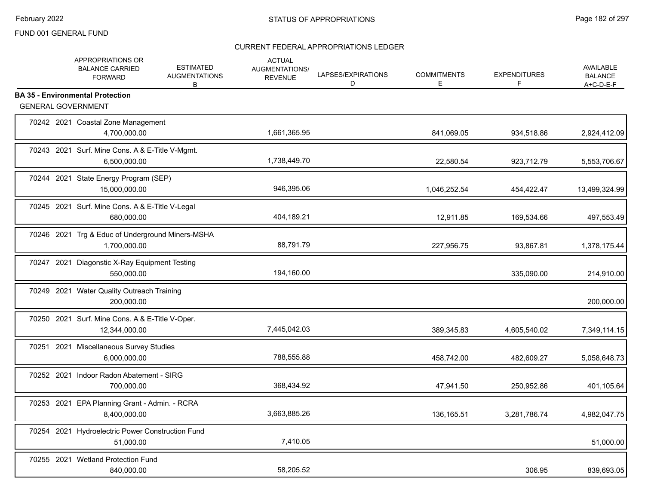|  | APPROPRIATIONS OR<br><b>BALANCE CARRIED</b><br><b>FORWARD</b>        | <b>ESTIMATED</b><br><b>AUGMENTATIONS</b><br>В | <b>ACTUAL</b><br>AUGMENTATIONS/<br><b>REVENUE</b> | LAPSES/EXPIRATIONS<br>D | <b>COMMITMENTS</b><br>Е | <b>EXPENDITURES</b><br>F | <b>AVAILABLE</b><br><b>BALANCE</b><br>$A+C-D-E-F$ |
|--|----------------------------------------------------------------------|-----------------------------------------------|---------------------------------------------------|-------------------------|-------------------------|--------------------------|---------------------------------------------------|
|  | <b>BA 35 - Environmental Protection</b><br><b>GENERAL GOVERNMENT</b> |                                               |                                                   |                         |                         |                          |                                                   |
|  | 70242 2021 Coastal Zone Management                                   |                                               |                                                   |                         |                         |                          |                                                   |
|  | 4,700,000.00                                                         |                                               | 1,661,365.95                                      |                         | 841,069.05              | 934,518.86               | 2,924,412.09                                      |
|  | 70243 2021 Surf. Mine Cons. A & E-Title V-Mgmt.<br>6,500,000.00      |                                               | 1,738,449.70                                      |                         | 22,580.54               | 923,712.79               | 5,553,706.67                                      |
|  | 70244 2021 State Energy Program (SEP)<br>15.000.000.00               |                                               | 946,395.06                                        |                         | 1,046,252.54            | 454,422.47               | 13,499,324.99                                     |
|  | 70245 2021 Surf. Mine Cons. A & E-Title V-Legal<br>680,000.00        |                                               | 404,189.21                                        |                         | 12,911.85               | 169,534.66               | 497,553.49                                        |
|  | 70246 2021 Trg & Educ of Underground Miners-MSHA<br>1,700,000.00     |                                               | 88,791.79                                         |                         | 227,956.75              | 93,867.81                | 1,378,175.44                                      |
|  | 70247 2021 Diagonstic X-Ray Equipment Testing<br>550,000.00          |                                               | 194,160.00                                        |                         |                         | 335,090.00               | 214,910.00                                        |
|  | 70249 2021 Water Quality Outreach Training<br>200,000.00             |                                               |                                                   |                         |                         |                          | 200,000.00                                        |
|  | 70250 2021 Surf. Mine Cons. A & E-Title V-Oper.<br>12,344,000.00     |                                               | 7,445,042.03                                      |                         | 389,345.83              | 4,605,540.02             | 7,349,114.15                                      |
|  | 70251 2021 Miscellaneous Survey Studies<br>6,000,000.00              |                                               | 788,555.88                                        |                         | 458,742.00              | 482,609.27               | 5,058,648.73                                      |
|  | 70252 2021 Indoor Radon Abatement - SIRG<br>700,000.00               |                                               | 368,434.92                                        |                         | 47,941.50               | 250,952.86               | 401,105.64                                        |
|  | 70253 2021 EPA Planning Grant - Admin. - RCRA<br>8,400,000.00        |                                               | 3,663,885.26                                      |                         | 136,165.51              | 3,281,786.74             | 4,982,047.75                                      |
|  | 70254 2021 Hydroelectric Power Construction Fund<br>51,000.00        |                                               | 7,410.05                                          |                         |                         |                          | 51,000.00                                         |
|  | 70255 2021 Wetland Protection Fund<br>840,000.00                     |                                               | 58,205.52                                         |                         |                         | 306.95                   | 839,693.05                                        |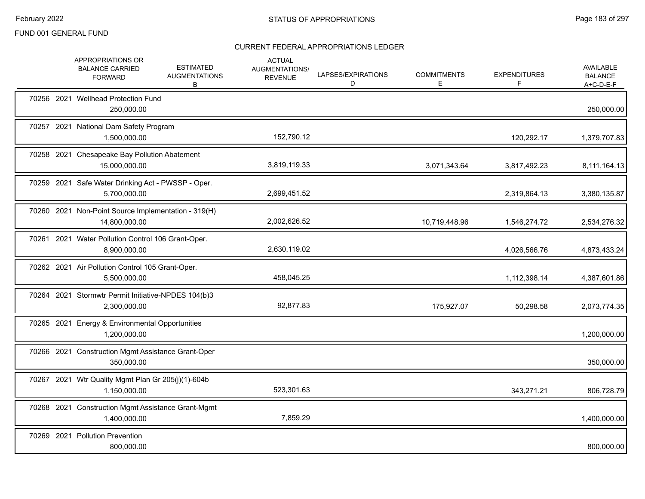|  | APPROPRIATIONS OR<br><b>BALANCE CARRIED</b><br><b>FORWARD</b>        | <b>ESTIMATED</b><br><b>AUGMENTATIONS</b><br>B | <b>ACTUAL</b><br>AUGMENTATIONS/<br><b>REVENUE</b> | LAPSES/EXPIRATIONS<br>D | <b>COMMITMENTS</b><br>Е | <b>EXPENDITURES</b><br>F | <b>AVAILABLE</b><br><b>BALANCE</b><br>$A+C-D-E-F$ |
|--|----------------------------------------------------------------------|-----------------------------------------------|---------------------------------------------------|-------------------------|-------------------------|--------------------------|---------------------------------------------------|
|  | 70256 2021 Wellhead Protection Fund<br>250,000.00                    |                                               |                                                   |                         |                         |                          | 250,000.00                                        |
|  | 70257 2021 National Dam Safety Program<br>1,500,000.00               |                                               | 152,790.12                                        |                         |                         | 120,292.17               | 1,379,707.83                                      |
|  | 70258 2021 Chesapeake Bay Pollution Abatement<br>15,000,000.00       |                                               | 3,819,119.33                                      |                         | 3,071,343.64            | 3,817,492.23             | 8,111,164.13                                      |
|  | 70259 2021 Safe Water Drinking Act - PWSSP - Oper.<br>5,700,000.00   |                                               | 2,699,451.52                                      |                         |                         | 2,319,864.13             | 3,380,135.87                                      |
|  | 70260 2021 Non-Point Source Implementation - 319(H)<br>14,800,000.00 |                                               | 2,002,626.52                                      |                         | 10,719,448.96           | 1,546,274.72             | 2,534,276.32                                      |
|  | 70261 2021 Water Pollution Control 106 Grant-Oper.<br>8,900,000.00   |                                               | 2,630,119.02                                      |                         |                         | 4,026,566.76             | 4,873,433.24                                      |
|  | 70262 2021 Air Pollution Control 105 Grant-Oper.<br>5,500,000.00     |                                               | 458,045.25                                        |                         |                         | 1,112,398.14             | 4,387,601.86                                      |
|  | 70264 2021 Stormwtr Permit Initiative-NPDES 104(b)3<br>2,300,000.00  |                                               | 92,877.83                                         |                         | 175,927.07              | 50,298.58                | 2,073,774.35                                      |
|  | 70265 2021 Energy & Environmental Opportunities<br>1,200,000.00      |                                               |                                                   |                         |                         |                          | 1,200,000.00                                      |
|  | 70266 2021 Construction Mgmt Assistance Grant-Oper<br>350,000.00     |                                               |                                                   |                         |                         |                          | 350,000.00                                        |
|  | 70267 2021 Wtr Quality Mgmt Plan Gr 205(j)(1)-604b<br>1,150,000.00   |                                               | 523,301.63                                        |                         |                         | 343,271.21               | 806,728.79                                        |
|  | 70268 2021 Construction Mgmt Assistance Grant-Mgmt<br>1,400,000.00   |                                               | 7,859.29                                          |                         |                         |                          | 1,400,000.00                                      |
|  | 70269 2021 Pollution Prevention<br>800,000.00                        |                                               |                                                   |                         |                         |                          | 800,000.00                                        |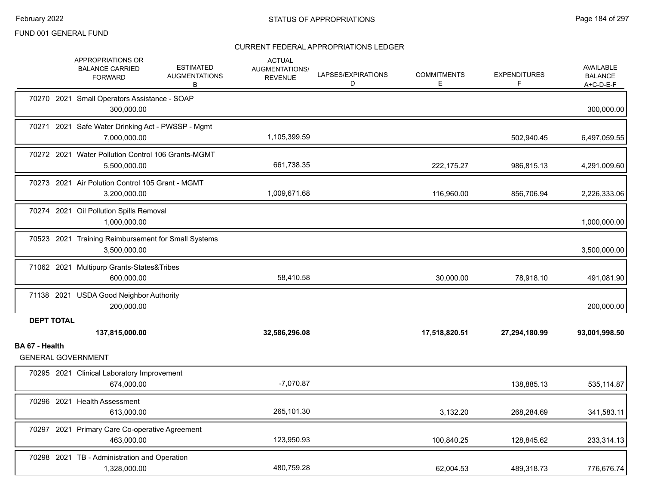|                   | APPROPRIATIONS OR<br><b>BALANCE CARRIED</b><br><b>FORWARD</b>       | <b>ESTIMATED</b><br><b>AUGMENTATIONS</b><br>В | <b>ACTUAL</b><br>AUGMENTATIONS/<br><b>REVENUE</b> | LAPSES/EXPIRATIONS<br>D | <b>COMMITMENTS</b><br>E. | <b>EXPENDITURES</b> | <b>AVAILABLE</b><br><b>BALANCE</b><br>A+C-D-E-F |
|-------------------|---------------------------------------------------------------------|-----------------------------------------------|---------------------------------------------------|-------------------------|--------------------------|---------------------|-------------------------------------------------|
|                   | 70270 2021 Small Operators Assistance - SOAP<br>300,000.00          |                                               |                                                   |                         |                          |                     | 300,000.00                                      |
|                   | 70271 2021 Safe Water Drinking Act - PWSSP - Mgmt<br>7.000.000.00   |                                               | 1,105,399.59                                      |                         |                          | 502,940.45          | 6,497,059.55                                    |
|                   | 70272 2021 Water Pollution Control 106 Grants-MGMT<br>5,500,000.00  |                                               | 661,738.35                                        |                         | 222,175.27               | 986,815.13          | 4,291,009.60                                    |
|                   | 70273 2021 Air Polution Control 105 Grant - MGMT<br>3,200,000.00    |                                               | 1,009,671.68                                      |                         | 116,960.00               | 856,706.94          | 2,226,333.06                                    |
|                   | 70274 2021 Oil Pollution Spills Removal<br>1,000,000.00             |                                               |                                                   |                         |                          |                     | 1,000,000.00                                    |
|                   | 70523 2021 Training Reimbursement for Small Systems<br>3.500.000.00 |                                               |                                                   |                         |                          |                     | 3,500,000.00                                    |
|                   | 71062 2021 Multipurp Grants-States&Tribes<br>600,000.00             |                                               | 58,410.58                                         |                         | 30,000.00                | 78,918.10           | 491,081.90                                      |
|                   | 71138 2021 USDA Good Neighbor Authority<br>200,000.00               |                                               |                                                   |                         |                          |                     | 200,000.00                                      |
| <b>DEPT TOTAL</b> |                                                                     |                                               |                                                   |                         |                          |                     |                                                 |
|                   | 137,815,000.00                                                      |                                               | 32,586,296.08                                     |                         | 17,518,820.51            | 27,294,180.99       | 93,001,998.50                                   |
| BA 67 - Health    | <b>GENERAL GOVERNMENT</b>                                           |                                               |                                                   |                         |                          |                     |                                                 |
|                   | 70295 2021 Clinical Laboratory Improvement<br>674,000.00            |                                               | $-7,070.87$                                       |                         |                          | 138,885.13          | 535,114.87                                      |
|                   | 70296 2021 Health Assessment<br>613,000.00                          |                                               | 265,101.30                                        |                         | 3,132.20                 | 268,284.69          | 341,583.11                                      |
|                   | 70297 2021 Primary Care Co-operative Agreement<br>463,000.00        |                                               | 123,950.93                                        |                         | 100,840.25               | 128,845.62          | 233,314.13                                      |
|                   | 70298 2021 TB - Administration and Operation<br>1,328,000.00        |                                               | 480,759.28                                        |                         | 62.004.53                | 489,318.73          | 776,676.74                                      |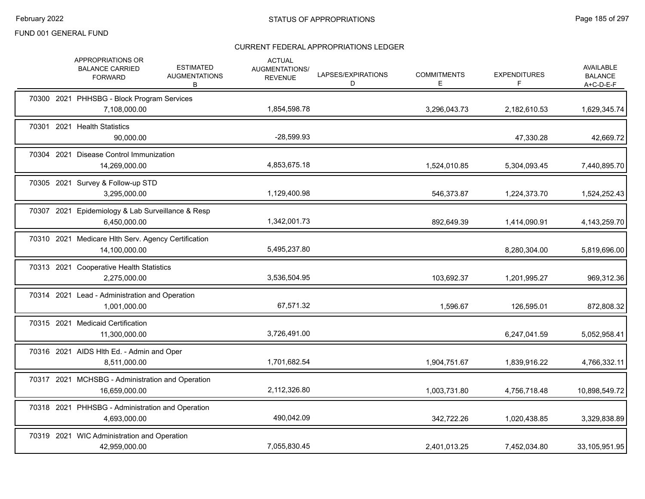|  | APPROPRIATIONS OR<br><b>BALANCE CARRIED</b><br><b>FORWARD</b>        | <b>ESTIMATED</b><br><b>AUGMENTATIONS</b><br>В | <b>ACTUAL</b><br>AUGMENTATIONS/<br><b>REVENUE</b> | LAPSES/EXPIRATIONS<br>D | <b>COMMITMENTS</b><br>E. | <b>EXPENDITURES</b><br>F | <b>AVAILABLE</b><br><b>BALANCE</b><br>$A+C-D-E-F$ |
|--|----------------------------------------------------------------------|-----------------------------------------------|---------------------------------------------------|-------------------------|--------------------------|--------------------------|---------------------------------------------------|
|  | 70300 2021 PHHSBG - Block Program Services<br>7,108,000.00           |                                               | 1,854,598.78                                      |                         | 3,296,043.73             | 2,182,610.53             | 1,629,345.74                                      |
|  | 70301 2021 Health Statistics<br>90,000.00                            |                                               | $-28,599.93$                                      |                         |                          | 47,330.28                | 42,669.72                                         |
|  | 70304 2021 Disease Control Immunization<br>14,269,000.00             |                                               | 4,853,675.18                                      |                         | 1,524,010.85             | 5,304,093.45             | 7,440,895.70                                      |
|  | 70305 2021 Survey & Follow-up STD<br>3,295,000.00                    |                                               | 1,129,400.98                                      |                         | 546,373.87               | 1,224,373.70             | 1,524,252.43                                      |
|  | 70307 2021 Epidemiology & Lab Surveillance & Resp<br>6,450,000.00    |                                               | 1,342,001.73                                      |                         | 892,649.39               | 1,414,090.91             | 4, 143, 259. 70                                   |
|  | 70310 2021 Medicare Hlth Serv. Agency Certification<br>14,100,000.00 |                                               | 5,495,237.80                                      |                         |                          | 8,280,304.00             | 5,819,696.00                                      |
|  | 70313 2021 Cooperative Health Statistics<br>2,275,000.00             |                                               | 3,536,504.95                                      |                         | 103,692.37               | 1,201,995.27             | 969,312.36                                        |
|  | 70314 2021 Lead - Administration and Operation<br>1,001,000.00       |                                               | 67,571.32                                         |                         | 1,596.67                 | 126,595.01               | 872,808.32                                        |
|  | 70315 2021 Medicaid Certification<br>11,300,000.00                   |                                               | 3,726,491.00                                      |                         |                          | 6,247,041.59             | 5,052,958.41                                      |
|  | 70316 2021 AIDS HIth Ed. - Admin and Oper<br>8,511,000.00            |                                               | 1,701,682.54                                      |                         | 1,904,751.67             | 1,839,916.22             | 4,766,332.11                                      |
|  | 70317 2021 MCHSBG - Administration and Operation<br>16,659,000.00    |                                               | 2,112,326.80                                      |                         | 1,003,731.80             | 4,756,718.48             | 10,898,549.72                                     |
|  | 70318 2021 PHHSBG - Administration and Operation<br>4,693,000.00     |                                               | 490,042.09                                        |                         | 342,722.26               | 1,020,438.85             | 3,329,838.89                                      |
|  | 70319 2021 WIC Administration and Operation<br>42,959,000.00         |                                               | 7,055,830.45                                      |                         | 2,401,013.25             | 7,452,034.80             | 33,105,951.95                                     |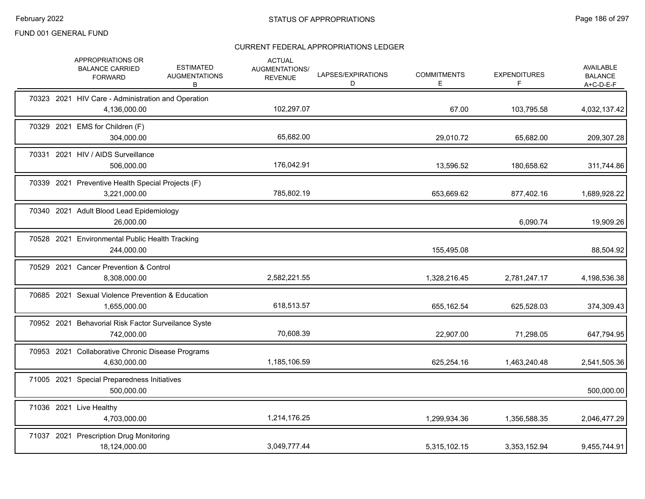| APPROPRIATIONS OR<br><b>BALANCE CARRIED</b><br><b>FORWARD</b>      | <b>ESTIMATED</b><br><b>AUGMENTATIONS</b><br>В | <b>ACTUAL</b><br>AUGMENTATIONS/<br><b>REVENUE</b> | LAPSES/EXPIRATIONS<br>D | <b>COMMITMENTS</b><br>E. | <b>EXPENDITURES</b><br>F | <b>AVAILABLE</b><br><b>BALANCE</b><br>$A+C-D-E-F$ |
|--------------------------------------------------------------------|-----------------------------------------------|---------------------------------------------------|-------------------------|--------------------------|--------------------------|---------------------------------------------------|
| 70323 2021 HIV Care - Administration and Operation<br>4,136,000.00 |                                               | 102,297.07                                        |                         | 67.00                    | 103,795.58               | 4,032,137.42                                      |
| 70329 2021 EMS for Children (F)<br>304,000.00                      |                                               | 65,682.00                                         |                         | 29,010.72                | 65,682.00                | 209,307.28                                        |
| 70331 2021 HIV / AIDS Surveillance<br>506,000.00                   |                                               | 176,042.91                                        |                         | 13,596.52                | 180,658.62               | 311,744.86                                        |
| 70339 2021 Preventive Health Special Projects (F)<br>3,221,000.00  |                                               | 785,802.19                                        |                         | 653,669.62               | 877,402.16               | 1,689,928.22                                      |
| 70340 2021 Adult Blood Lead Epidemiology<br>26,000.00              |                                               |                                                   |                         |                          | 6,090.74                 | 19,909.26                                         |
| 70528 2021 Environmental Public Health Tracking<br>244,000.00      |                                               |                                                   |                         | 155,495.08               |                          | 88,504.92                                         |
| 70529 2021 Cancer Prevention & Control<br>8,308,000.00             |                                               | 2,582,221.55                                      |                         | 1,328,216.45             | 2,781,247.17             | 4,198,536.38                                      |
| 70685 2021 Sexual Violence Prevention & Education<br>1,655,000.00  |                                               | 618,513.57                                        |                         | 655,162.54               | 625,528.03               | 374,309.43                                        |
| 70952 2021 Behavorial Risk Factor Surveilance Syste<br>742,000.00  |                                               | 70,608.39                                         |                         | 22,907.00                | 71,298.05                | 647,794.95                                        |
| 70953 2021 Collaborative Chronic Disease Programs<br>4,630,000.00  |                                               | 1,185,106.59                                      |                         | 625,254.16               | 1,463,240.48             | 2,541,505.36                                      |
| 71005 2021 Special Preparedness Initiatives<br>500,000.00          |                                               |                                                   |                         |                          |                          | 500,000.00                                        |
| 71036 2021 Live Healthy<br>4,703,000.00                            |                                               | 1,214,176.25                                      |                         | 1,299,934.36             | 1,356,588.35             | 2,046,477.29                                      |
| 71037 2021 Prescription Drug Monitoring<br>18,124,000.00           |                                               | 3,049,777.44                                      |                         | 5,315,102.15             | 3,353,152.94             | 9,455,744.91                                      |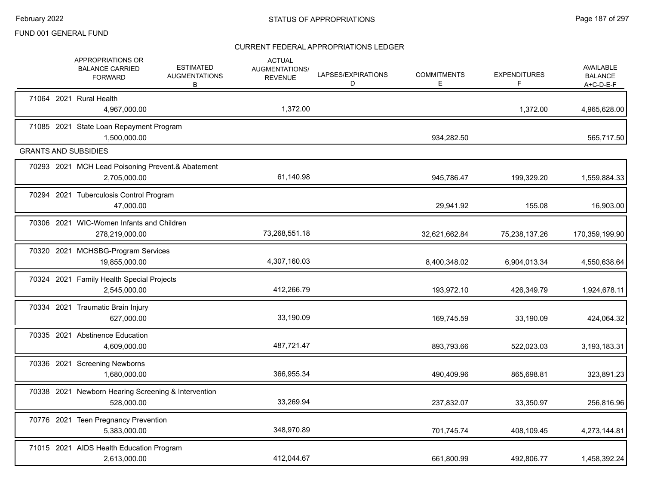|  | <b>APPROPRIATIONS OR</b><br><b>BALANCE CARRIED</b><br><b>FORWARD</b> | <b>ESTIMATED</b><br><b>AUGMENTATIONS</b><br>В | <b>ACTUAL</b><br>AUGMENTATIONS/<br><b>REVENUE</b> | LAPSES/EXPIRATIONS<br>D | <b>COMMITMENTS</b><br>Ε | <b>EXPENDITURES</b><br>F | AVAILABLE<br><b>BALANCE</b><br>$A+C-D-E-F$ |
|--|----------------------------------------------------------------------|-----------------------------------------------|---------------------------------------------------|-------------------------|-------------------------|--------------------------|--------------------------------------------|
|  | 71064 2021 Rural Health<br>4,967,000.00                              |                                               | 1,372.00                                          |                         |                         | 1,372.00                 | 4,965,628.00                               |
|  | 71085 2021 State Loan Repayment Program<br>1,500,000.00              |                                               |                                                   |                         | 934,282.50              |                          | 565,717.50                                 |
|  | <b>GRANTS AND SUBSIDIES</b>                                          |                                               |                                                   |                         |                         |                          |                                            |
|  | 70293 2021 MCH Lead Poisoning Prevent.& Abatement<br>2,705,000.00    |                                               | 61,140.98                                         |                         | 945,786.47              | 199,329.20               | 1,559,884.33                               |
|  | 70294 2021 Tuberculosis Control Program<br>47,000.00                 |                                               |                                                   |                         | 29,941.92               | 155.08                   | 16,903.00                                  |
|  | 70306 2021 WIC-Women Infants and Children<br>278,219,000.00          |                                               | 73,268,551.18                                     |                         | 32,621,662.84           | 75,238,137.26            | 170,359,199.90                             |
|  | 70320 2021 MCHSBG-Program Services<br>19,855,000.00                  |                                               | 4,307,160.03                                      |                         | 8,400,348.02            | 6,904,013.34             | 4,550,638.64                               |
|  | 70324 2021 Family Health Special Projects<br>2,545,000.00            |                                               | 412,266.79                                        |                         | 193,972.10              | 426,349.79               | 1,924,678.11                               |
|  | 70334 2021 Traumatic Brain Injury<br>627,000.00                      |                                               | 33,190.09                                         |                         | 169,745.59              | 33,190.09                | 424,064.32                                 |
|  | 70335 2021 Abstinence Education<br>4,609,000.00                      |                                               | 487,721.47                                        |                         | 893,793.66              | 522,023.03               | 3,193,183.31                               |
|  | 70336 2021 Screening Newborns<br>1,680,000.00                        |                                               | 366,955.34                                        |                         | 490,409.96              | 865,698.81               | 323,891.23                                 |
|  | 70338 2021 Newborn Hearing Screening & Intervention<br>528,000.00    |                                               | 33,269.94                                         |                         | 237,832.07              | 33,350.97                | 256,816.96                                 |
|  | 70776 2021 Teen Pregnancy Prevention<br>5,383,000.00                 |                                               | 348,970.89                                        |                         | 701,745.74              | 408,109.45               | 4,273,144.81                               |
|  | 71015 2021 AIDS Health Education Program<br>2,613,000.00             |                                               | 412,044.67                                        |                         | 661,800.99              | 492,806.77               | 1,458,392.24                               |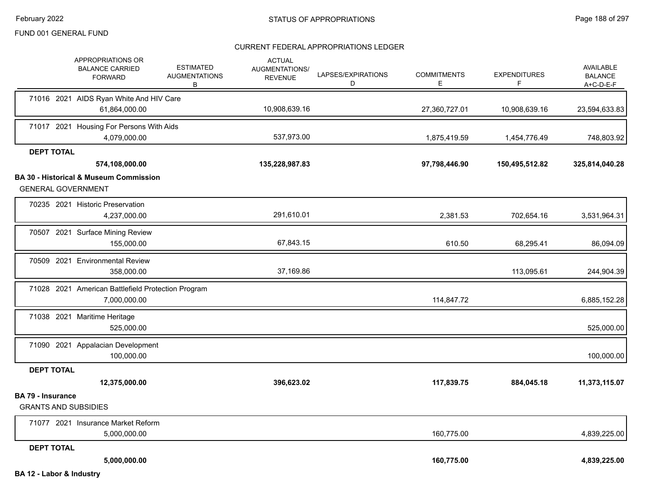|                                                         | APPROPRIATIONS OR<br><b>BALANCE CARRIED</b><br><b>FORWARD</b>      | <b>ESTIMATED</b><br><b>AUGMENTATIONS</b><br>В | <b>ACTUAL</b><br>AUGMENTATIONS/<br><b>REVENUE</b> | LAPSES/EXPIRATIONS<br>D | <b>COMMITMENTS</b><br>E. | <b>EXPENDITURES</b><br>F | <b>AVAILABLE</b><br><b>BALANCE</b><br>$A+C-D-E-F$ |
|---------------------------------------------------------|--------------------------------------------------------------------|-----------------------------------------------|---------------------------------------------------|-------------------------|--------------------------|--------------------------|---------------------------------------------------|
|                                                         | 71016 2021 AIDS Ryan White And HIV Care                            |                                               |                                                   |                         |                          |                          |                                                   |
|                                                         | 61,864,000.00                                                      |                                               | 10,908,639.16                                     |                         | 27,360,727.01            | 10,908,639.16            | 23,594,633.83                                     |
|                                                         | 71017 2021 Housing For Persons With Aids<br>4,079,000.00           |                                               | 537,973.00                                        |                         | 1,875,419.59             | 1,454,776.49             | 748,803.92                                        |
| <b>DEPT TOTAL</b>                                       |                                                                    |                                               |                                                   |                         |                          |                          |                                                   |
|                                                         | 574,108,000.00                                                     |                                               | 135,228,987.83                                    |                         | 97,798,446.90            | 150,495,512.82           | 325,814,040.28                                    |
|                                                         | <b>BA 30 - Historical &amp; Museum Commission</b>                  |                                               |                                                   |                         |                          |                          |                                                   |
| <b>GENERAL GOVERNMENT</b>                               |                                                                    |                                               |                                                   |                         |                          |                          |                                                   |
|                                                         | 70235 2021 Historic Preservation<br>4,237,000.00                   |                                               | 291,610.01                                        |                         | 2,381.53                 | 702,654.16               | 3,531,964.31                                      |
|                                                         | 70507 2021 Surface Mining Review<br>155,000.00                     |                                               | 67,843.15                                         |                         | 610.50                   | 68,295.41                | 86,094.09                                         |
|                                                         | 70509 2021 Environmental Review<br>358,000.00                      |                                               | 37,169.86                                         |                         |                          | 113,095.61               | 244,904.39                                        |
|                                                         | 71028 2021 American Battlefield Protection Program<br>7,000,000.00 |                                               |                                                   |                         | 114,847.72               |                          | 6,885,152.28                                      |
|                                                         | 71038 2021 Maritime Heritage<br>525,000.00                         |                                               |                                                   |                         |                          |                          | 525,000.00                                        |
|                                                         | 71090 2021 Appalacian Development<br>100,000.00                    |                                               |                                                   |                         |                          |                          | 100,000.00                                        |
| <b>DEPT TOTAL</b>                                       |                                                                    |                                               |                                                   |                         |                          |                          |                                                   |
|                                                         | 12,375,000.00                                                      |                                               | 396,623.02                                        |                         | 117,839.75               | 884,045.18               | 11,373,115.07                                     |
| <b>BA 79 - Insurance</b><br><b>GRANTS AND SUBSIDIES</b> |                                                                    |                                               |                                                   |                         |                          |                          |                                                   |
|                                                         | 71077 2021 Insurance Market Reform                                 |                                               |                                                   |                         |                          |                          |                                                   |
|                                                         | 5,000,000.00                                                       |                                               |                                                   |                         | 160,775.00               |                          | 4,839,225.00                                      |
| <b>DEPT TOTAL</b>                                       |                                                                    |                                               |                                                   |                         |                          |                          |                                                   |
|                                                         | 5,000,000.00                                                       |                                               |                                                   |                         | 160,775.00               |                          | 4,839,225.00                                      |
| BA 12 - Labor & Industry                                |                                                                    |                                               |                                                   |                         |                          |                          |                                                   |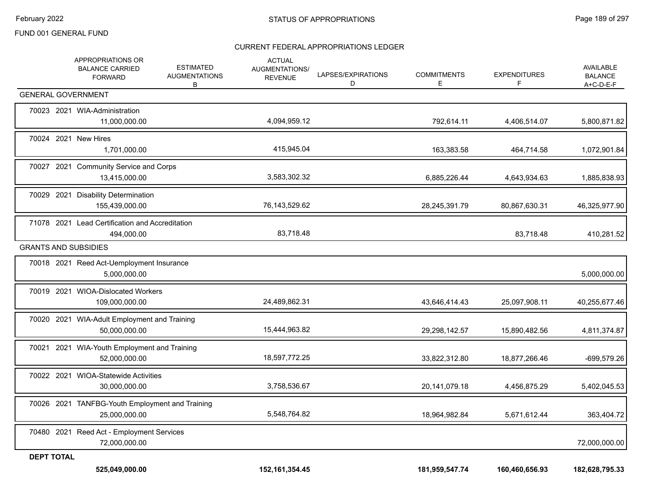|                   | APPROPRIATIONS OR<br><b>BALANCE CARRIED</b><br><b>FORWARD</b>    | <b>ESTIMATED</b><br><b>AUGMENTATIONS</b><br>В | <b>ACTUAL</b><br><b>AUGMENTATIONS/</b><br><b>REVENUE</b> | LAPSES/EXPIRATIONS<br>D | <b>COMMITMENTS</b><br>Е | <b>EXPENDITURES</b><br>F | <b>AVAILABLE</b><br><b>BALANCE</b><br>A+C-D-E-F |
|-------------------|------------------------------------------------------------------|-----------------------------------------------|----------------------------------------------------------|-------------------------|-------------------------|--------------------------|-------------------------------------------------|
|                   | <b>GENERAL GOVERNMENT</b>                                        |                                               |                                                          |                         |                         |                          |                                                 |
|                   | 70023 2021 WIA-Administration<br>11,000,000.00                   |                                               | 4,094,959.12                                             |                         | 792,614.11              | 4,406,514.07             | 5,800,871.82                                    |
|                   | 70024 2021 New Hires<br>1,701,000.00                             |                                               | 415,945.04                                               |                         | 163,383.58              | 464,714.58               | 1,072,901.84                                    |
|                   | 70027 2021 Community Service and Corps<br>13,415,000.00          |                                               | 3,583,302.32                                             |                         | 6,885,226.44            | 4,643,934.63             | 1,885,838.93                                    |
|                   | 70029 2021 Disability Determination<br>155,439,000.00            |                                               | 76,143,529.62                                            |                         | 28,245,391.79           | 80,867,630.31            | 46,325,977.90                                   |
|                   | 71078 2021 Lead Certification and Accreditation<br>494,000.00    |                                               | 83,718.48                                                |                         |                         | 83,718.48                | 410,281.52                                      |
|                   | <b>GRANTS AND SUBSIDIES</b>                                      |                                               |                                                          |                         |                         |                          |                                                 |
|                   | 70018 2021 Reed Act-Uemployment Insurance<br>5,000,000.00        |                                               |                                                          |                         |                         |                          | 5,000,000.00                                    |
|                   | 70019 2021 WIOA-Dislocated Workers<br>109,000,000.00             |                                               | 24,489,862.31                                            |                         | 43,646,414.43           | 25,097,908.11            | 40,255,677.46                                   |
|                   | 70020 2021 WIA-Adult Employment and Training<br>50,000,000.00    |                                               | 15,444,963.82                                            |                         | 29,298,142.57           | 15,890,482.56            | 4,811,374.87                                    |
|                   | 70021 2021 WIA-Youth Employment and Training<br>52,000,000.00    |                                               | 18,597,772.25                                            |                         | 33,822,312.80           | 18,877,266.46            | -699,579.26                                     |
|                   | 70022 2021 WIOA-Statewide Activities<br>30,000,000.00            |                                               | 3,758,536.67                                             |                         | 20,141,079.18           | 4,456,875.29             | 5,402,045.53                                    |
|                   | 70026 2021 TANFBG-Youth Employment and Training<br>25,000,000.00 |                                               | 5,548,764.82                                             |                         | 18,964,982.84           | 5,671,612.44             | 363,404.72                                      |
|                   | 70480 2021 Reed Act - Employment Services<br>72,000,000.00       |                                               |                                                          |                         |                         |                          | 72,000,000.00                                   |
| <b>DEPT TOTAL</b> | 525,049,000.00                                                   |                                               | 152, 161, 354. 45                                        |                         | 181,959,547.74          | 160,460,656.93           | 182,628,795.33                                  |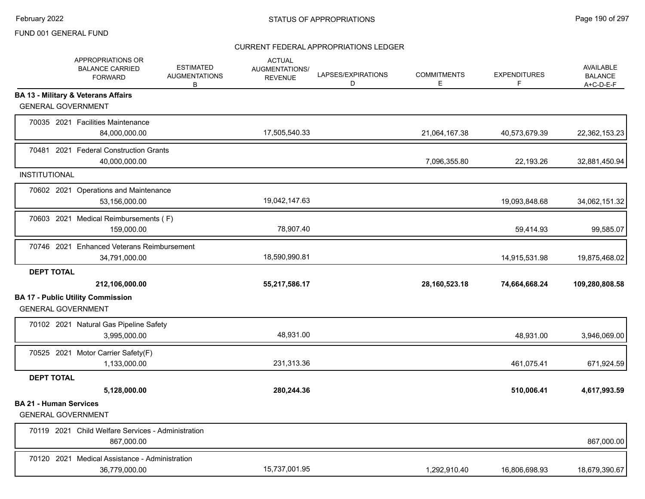|                                                            | APPROPRIATIONS OR<br><b>BALANCE CARRIED</b><br><b>FORWARD</b>    | <b>ESTIMATED</b><br><b>AUGMENTATIONS</b><br>В | <b>ACTUAL</b><br>AUGMENTATIONS/<br><b>REVENUE</b> | LAPSES/EXPIRATIONS<br>D | <b>COMMITMENTS</b><br>E. | <b>EXPENDITURES</b><br>F | <b>AVAILABLE</b><br><b>BALANCE</b><br>$A+C-D-E-F$ |
|------------------------------------------------------------|------------------------------------------------------------------|-----------------------------------------------|---------------------------------------------------|-------------------------|--------------------------|--------------------------|---------------------------------------------------|
| <b>GENERAL GOVERNMENT</b>                                  | <b>BA 13 - Military &amp; Veterans Affairs</b>                   |                                               |                                                   |                         |                          |                          |                                                   |
|                                                            |                                                                  |                                               |                                                   |                         |                          |                          |                                                   |
|                                                            | 70035 2021 Facilities Maintenance<br>84,000,000.00               |                                               | 17,505,540.33                                     |                         | 21,064,167.38            | 40,573,679.39            | 22,362,153.23                                     |
|                                                            | 70481 2021 Federal Construction Grants<br>40,000,000.00          |                                               |                                                   |                         | 7,096,355.80             | 22,193.26                | 32,881,450.94                                     |
| <b>INSTITUTIONAL</b>                                       |                                                                  |                                               |                                                   |                         |                          |                          |                                                   |
|                                                            | 70602 2021 Operations and Maintenance<br>53,156,000.00           |                                               | 19,042,147.63                                     |                         |                          | 19,093,848.68            | 34,062,151.32                                     |
|                                                            | 70603 2021 Medical Reimbursements (F)<br>159,000.00              |                                               | 78,907.40                                         |                         |                          | 59,414.93                | 99,585.07                                         |
|                                                            | 70746 2021 Enhanced Veterans Reimbursement<br>34,791,000.00      |                                               | 18,590,990.81                                     |                         |                          | 14,915,531.98            | 19,875,468.02                                     |
| <b>DEPT TOTAL</b>                                          |                                                                  |                                               |                                                   |                         |                          |                          |                                                   |
|                                                            | 212,106,000.00                                                   |                                               | 55,217,586.17                                     |                         | 28, 160, 523. 18         | 74,664,668.24            | 109,280,808.58                                    |
| <b>GENERAL GOVERNMENT</b>                                  | <b>BA 17 - Public Utility Commission</b>                         |                                               |                                                   |                         |                          |                          |                                                   |
|                                                            | 70102 2021 Natural Gas Pipeline Safety<br>3,995,000.00           |                                               | 48,931.00                                         |                         |                          | 48,931.00                | 3,946,069.00                                      |
|                                                            | 70525 2021 Motor Carrier Safety(F)<br>1,133,000.00               |                                               | 231,313.36                                        |                         |                          | 461,075.41               | 671,924.59                                        |
| <b>DEPT TOTAL</b>                                          |                                                                  |                                               |                                                   |                         |                          |                          |                                                   |
|                                                            | 5,128,000.00                                                     |                                               | 280,244.36                                        |                         |                          | 510,006.41               | 4,617,993.59                                      |
| <b>BA 21 - Human Services</b><br><b>GENERAL GOVERNMENT</b> |                                                                  |                                               |                                                   |                         |                          |                          |                                                   |
|                                                            | 70119 2021 Child Welfare Services - Administration<br>867,000.00 |                                               |                                                   |                         |                          |                          | 867,000.00                                        |
|                                                            | 70120 2021 Medical Assistance - Administration<br>36,779,000.00  |                                               | 15,737,001.95                                     |                         | 1,292,910.40             | 16,806,698.93            | 18,679,390.67                                     |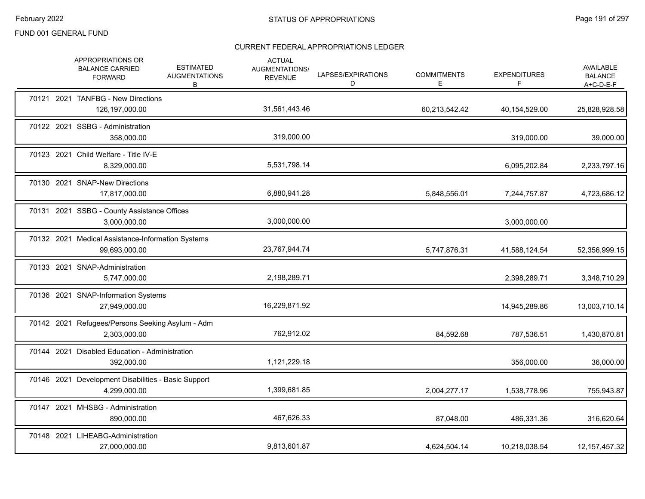|  | APPROPRIATIONS OR<br><b>BALANCE CARRIED</b><br><b>FORWARD</b>       | <b>ESTIMATED</b><br><b>AUGMENTATIONS</b><br>В | <b>ACTUAL</b><br>AUGMENTATIONS/<br><b>REVENUE</b> | LAPSES/EXPIRATIONS<br>D | <b>COMMITMENTS</b><br>E. | <b>EXPENDITURES</b><br>F | <b>AVAILABLE</b><br><b>BALANCE</b><br>$A+C-D-E-F$ |
|--|---------------------------------------------------------------------|-----------------------------------------------|---------------------------------------------------|-------------------------|--------------------------|--------------------------|---------------------------------------------------|
|  | 70121 2021 TANFBG - New Directions<br>126,197,000.00                |                                               | 31,561,443.46                                     |                         | 60,213,542.42            | 40,154,529.00            | 25,828,928.58                                     |
|  | 70122 2021 SSBG - Administration<br>358,000.00                      |                                               | 319,000.00                                        |                         |                          | 319,000.00               | 39,000.00                                         |
|  | 70123 2021 Child Welfare - Title IV-E<br>8,329,000.00               |                                               | 5,531,798.14                                      |                         |                          | 6,095,202.84             | 2,233,797.16                                      |
|  | 70130 2021 SNAP-New Directions<br>17,817,000.00                     |                                               | 6,880,941.28                                      |                         | 5,848,556.01             | 7,244,757.87             | 4,723,686.12                                      |
|  | 70131 2021 SSBG - County Assistance Offices<br>3,000,000.00         |                                               | 3,000,000.00                                      |                         |                          | 3,000,000.00             |                                                   |
|  | 70132 2021 Medical Assistance-Information Systems<br>99,693,000.00  |                                               | 23,767,944.74                                     |                         | 5,747,876.31             | 41,588,124.54            | 52,356,999.15                                     |
|  | 70133 2021 SNAP-Administration<br>5,747,000.00                      |                                               | 2,198,289.71                                      |                         |                          | 2,398,289.71             | 3,348,710.29                                      |
|  | 70136 2021 SNAP-Information Systems<br>27,949,000.00                |                                               | 16,229,871.92                                     |                         |                          | 14,945,289.86            | 13,003,710.14                                     |
|  | 70142 2021 Refugees/Persons Seeking Asylum - Adm<br>2,303,000.00    |                                               | 762,912.02                                        |                         | 84,592.68                | 787,536.51               | 1,430,870.81                                      |
|  | 70144 2021 Disabled Education - Administration<br>392,000.00        |                                               | 1,121,229.18                                      |                         |                          | 356,000.00               | 36,000.00                                         |
|  | 70146 2021 Development Disabilities - Basic Support<br>4,299,000.00 |                                               | 1,399,681.85                                      |                         | 2,004,277.17             | 1,538,778.96             | 755,943.87                                        |
|  | 70147 2021 MHSBG - Administration<br>890,000.00                     |                                               | 467,626.33                                        |                         | 87,048.00                | 486,331.36               | 316,620.64                                        |
|  | 70148 2021 LIHEABG-Administration<br>27,000,000.00                  |                                               | 9,813,601.87                                      |                         | 4,624,504.14             | 10,218,038.54            | 12, 157, 457. 32                                  |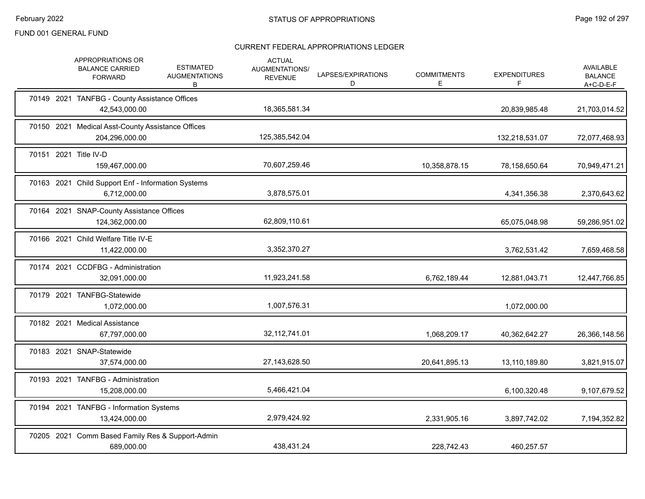|       | APPROPRIATIONS OR<br><b>BALANCE CARRIED</b><br><b>FORWARD</b>       | <b>ESTIMATED</b><br><b>AUGMENTATIONS</b><br>B | <b>ACTUAL</b><br>AUGMENTATIONS/<br><b>REVENUE</b> | LAPSES/EXPIRATIONS<br>D | <b>COMMITMENTS</b><br>E. | <b>EXPENDITURES</b><br>F. | <b>AVAILABLE</b><br><b>BALANCE</b><br>$A+C-D-E-F$ |
|-------|---------------------------------------------------------------------|-----------------------------------------------|---------------------------------------------------|-------------------------|--------------------------|---------------------------|---------------------------------------------------|
|       | 70149 2021 TANFBG - County Assistance Offices<br>42,543,000.00      |                                               | 18,365,581.34                                     |                         |                          | 20,839,985.48             | 21,703,014.52                                     |
|       | 70150 2021 Medical Asst-County Assistance Offices<br>204,296,000.00 |                                               | 125,385,542.04                                    |                         |                          | 132,218,531.07            | 72,077,468.93                                     |
| 70151 | 2021 Title IV-D<br>159,467,000.00                                   |                                               | 70,607,259.46                                     |                         | 10,358,878.15            | 78,158,650.64             | 70,949,471.21                                     |
|       | 70163 2021 Child Support Enf - Information Systems<br>6,712,000.00  |                                               | 3,878,575.01                                      |                         |                          | 4,341,356.38              | 2,370,643.62                                      |
|       | 70164 2021 SNAP-County Assistance Offices<br>124,362,000.00         |                                               | 62,809,110.61                                     |                         |                          | 65,075,048.98             | 59,286,951.02                                     |
|       | 70166 2021 Child Welfare Title IV-E<br>11,422,000.00                |                                               | 3,352,370.27                                      |                         |                          | 3,762,531.42              | 7,659,468.58                                      |
|       | 70174 2021 CCDFBG - Administration<br>32,091,000.00                 |                                               | 11,923,241.58                                     |                         | 6,762,189.44             | 12,881,043.71             | 12,447,766.85                                     |
|       | 70179 2021 TANFBG-Statewide<br>1,072,000.00                         |                                               | 1,007,576.31                                      |                         |                          | 1,072,000.00              |                                                   |
|       | 70182 2021 Medical Assistance<br>67,797,000.00                      |                                               | 32, 112, 741.01                                   |                         | 1,068,209.17             | 40,362,642.27             | 26,366,148.56                                     |
|       | 70183 2021 SNAP-Statewide<br>37,574,000.00                          |                                               | 27, 143, 628.50                                   |                         | 20,641,895.13            | 13,110,189.80             | 3,821,915.07                                      |
|       | 70193 2021 TANFBG - Administration<br>15,208,000.00                 |                                               | 5,466,421.04                                      |                         |                          | 6,100,320.48              | 9,107,679.52                                      |
|       | 70194 2021 TANFBG - Information Systems<br>13,424,000.00            |                                               | 2,979,424.92                                      |                         | 2,331,905.16             | 3,897,742.02              | 7,194,352.82                                      |
|       | 70205 2021 Comm Based Family Res & Support-Admin<br>689,000.00      |                                               | 438,431.24                                        |                         | 228,742.43               | 460,257.57                |                                                   |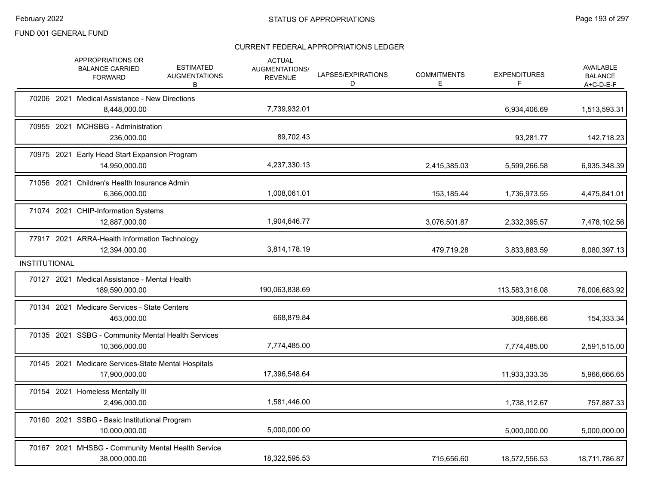|                      | APPROPRIATIONS OR<br><b>BALANCE CARRIED</b><br><b>FORWARD</b>        | <b>ESTIMATED</b><br><b>AUGMENTATIONS</b><br>В | <b>ACTUAL</b><br>AUGMENTATIONS/<br><b>REVENUE</b> | LAPSES/EXPIRATIONS<br>D | <b>COMMITMENTS</b><br>E. | <b>EXPENDITURES</b><br>F | AVAILABLE<br><b>BALANCE</b><br>$A+C-D-E-F$ |
|----------------------|----------------------------------------------------------------------|-----------------------------------------------|---------------------------------------------------|-------------------------|--------------------------|--------------------------|--------------------------------------------|
|                      | 70206 2021 Medical Assistance - New Directions<br>8,448,000.00       |                                               | 7,739,932.01                                      |                         |                          | 6,934,406.69             | 1,513,593.31                               |
|                      | 70955 2021 MCHSBG - Administration<br>236,000.00                     |                                               | 89,702.43                                         |                         |                          | 93,281.77                | 142,718.23                                 |
|                      | 70975 2021 Early Head Start Expansion Program<br>14,950,000.00       |                                               | 4,237,330.13                                      |                         | 2,415,385.03             | 5,599,266.58             | 6,935,348.39                               |
|                      | 71056 2021 Children's Health Insurance Admin<br>6,366,000.00         |                                               | 1,008,061.01                                      |                         | 153,185.44               | 1,736,973.55             | 4,475,841.01                               |
|                      | 71074 2021 CHIP-Information Systems<br>12,887,000.00                 |                                               | 1,904,646.77                                      |                         | 3,076,501.87             | 2,332,395.57             | 7,478,102.56                               |
|                      | 77917 2021 ARRA-Health Information Technology<br>12,394,000.00       |                                               | 3,814,178.19                                      |                         | 479,719.28               | 3,833,883.59             | 8,080,397.13                               |
| <b>INSTITUTIONAL</b> |                                                                      |                                               |                                                   |                         |                          |                          |                                            |
|                      | 70127 2021 Medical Assistance - Mental Health<br>189,590,000.00      |                                               | 190,063,838.69                                    |                         |                          | 113,583,316.08           | 76,006,683.92                              |
|                      | 70134 2021 Medicare Services - State Centers<br>463,000.00           |                                               | 668,879.84                                        |                         |                          | 308,666.66               | 154,333.34                                 |
|                      | 70135 2021 SSBG - Community Mental Health Services<br>10,366,000.00  |                                               | 7,774,485.00                                      |                         |                          | 7,774,485.00             | 2,591,515.00                               |
|                      | 70145 2021 Medicare Services-State Mental Hospitals<br>17,900,000.00 |                                               | 17,396,548.64                                     |                         |                          | 11,933,333.35            | 5,966,666.65                               |
|                      | 70154 2021 Homeless Mentally III<br>2,496,000.00                     |                                               | 1,581,446.00                                      |                         |                          | 1,738,112.67             | 757,887.33                                 |
|                      | 70160 2021 SSBG - Basic Institutional Program<br>10,000,000.00       |                                               | 5,000,000.00                                      |                         |                          | 5,000,000.00             | 5,000,000.00                               |
|                      | 70167 2021 MHSBG - Community Mental Health Service<br>38,000,000.00  |                                               | 18,322,595.53                                     |                         | 715,656.60               | 18,572,556.53            | 18,711,786.87                              |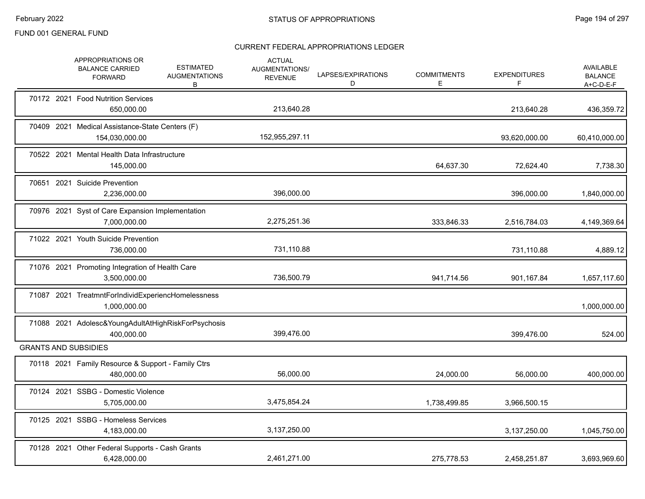|  | APPROPRIATIONS OR<br><b>BALANCE CARRIED</b><br><b>FORWARD</b>            | <b>ESTIMATED</b><br><b>AUGMENTATIONS</b><br>В | <b>ACTUAL</b><br>AUGMENTATIONS/<br><b>REVENUE</b> | LAPSES/EXPIRATIONS<br>D | <b>COMMITMENTS</b><br>E. | <b>EXPENDITURES</b> | <b>AVAILABLE</b><br><b>BALANCE</b><br>$A+C-D-E-F$ |
|--|--------------------------------------------------------------------------|-----------------------------------------------|---------------------------------------------------|-------------------------|--------------------------|---------------------|---------------------------------------------------|
|  | 70172 2021 Food Nutrition Services<br>650,000.00                         |                                               | 213,640.28                                        |                         |                          | 213,640.28          | 436,359.72                                        |
|  | 70409 2021 Medical Assistance-State Centers (F)<br>154,030,000.00        |                                               | 152,955,297.11                                    |                         |                          | 93,620,000.00       | 60,410,000.00                                     |
|  | 70522 2021 Mental Health Data Infrastructure<br>145,000.00               |                                               |                                                   |                         | 64,637.30                | 72,624.40           | 7,738.30                                          |
|  | 70651 2021 Suicide Prevention<br>2,236,000.00                            |                                               | 396,000.00                                        |                         |                          | 396,000.00          | 1,840,000.00                                      |
|  | 70976 2021 Syst of Care Expansion Implementation<br>7,000,000.00         |                                               | 2,275,251.36                                      |                         | 333,846.33               | 2,516,784.03        | 4,149,369.64                                      |
|  | 71022 2021 Youth Suicide Prevention<br>736,000.00                        |                                               | 731,110.88                                        |                         |                          | 731,110.88          | 4,889.12                                          |
|  | 71076 2021 Promoting Integration of Health Care<br>3,500,000.00          |                                               | 736,500.79                                        |                         | 941,714.56               | 901,167.84          | 1,657,117.60                                      |
|  | 71087 2021 TreatmntForIndividExperiencHomelessness<br>1,000,000.00       |                                               |                                                   |                         |                          |                     | 1,000,000.00                                      |
|  | 71088 2021 Adolesc& Young Adult At High Risk For Psychosis<br>400,000.00 |                                               | 399,476.00                                        |                         |                          | 399,476.00          | 524.00                                            |
|  | <b>GRANTS AND SUBSIDIES</b>                                              |                                               |                                                   |                         |                          |                     |                                                   |
|  | 70118 2021 Family Resource & Support - Family Ctrs<br>480,000.00         |                                               | 56,000.00                                         |                         | 24,000.00                | 56,000.00           | 400,000.00                                        |
|  | 70124 2021 SSBG - Domestic Violence<br>5,705,000.00                      |                                               | 3,475,854.24                                      |                         | 1,738,499.85             | 3,966,500.15        |                                                   |
|  | 70125 2021 SSBG - Homeless Services<br>4,183,000.00                      |                                               | 3,137,250.00                                      |                         |                          | 3,137,250.00        | 1,045,750.00                                      |
|  | 70128 2021 Other Federal Supports - Cash Grants<br>6,428,000.00          |                                               | 2,461,271.00                                      |                         | 275.778.53               | 2,458,251.87        | 3,693,969.60                                      |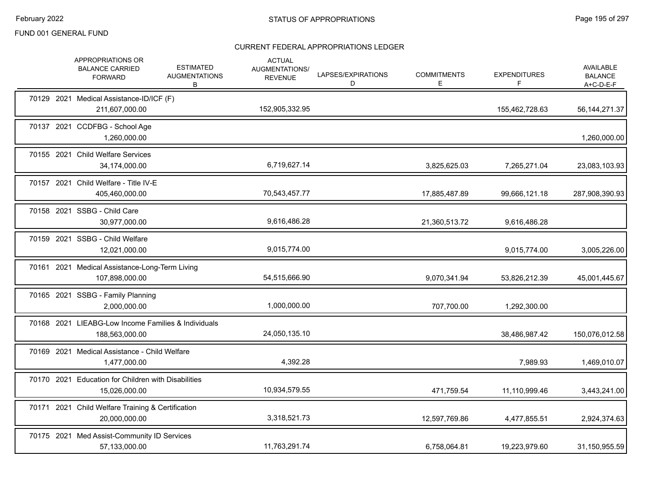|  | APPROPRIATIONS OR<br><b>BALANCE CARRIED</b><br><b>FORWARD</b>         | <b>ESTIMATED</b><br><b>AUGMENTATIONS</b><br>B | <b>ACTUAL</b><br>AUGMENTATIONS/<br><b>REVENUE</b> | LAPSES/EXPIRATIONS<br>D | <b>COMMITMENTS</b><br>E. | <b>EXPENDITURES</b><br>F | <b>AVAILABLE</b><br><b>BALANCE</b><br>$A+C-D-E-F$ |
|--|-----------------------------------------------------------------------|-----------------------------------------------|---------------------------------------------------|-------------------------|--------------------------|--------------------------|---------------------------------------------------|
|  | 70129 2021 Medical Assistance-ID/ICF (F)<br>211,607,000.00            |                                               | 152,905,332.95                                    |                         |                          | 155,462,728.63           | 56, 144, 271. 37                                  |
|  | 70137 2021 CCDFBG - School Age<br>1,260,000.00                        |                                               |                                                   |                         |                          |                          | 1,260,000.00                                      |
|  | 70155 2021 Child Welfare Services<br>34,174,000.00                    |                                               | 6,719,627.14                                      |                         | 3,825,625.03             | 7,265,271.04             | 23,083,103.93                                     |
|  | 70157 2021 Child Welfare - Title IV-E<br>405,460,000.00               |                                               | 70,543,457.77                                     |                         | 17,885,487.89            | 99,666,121.18            | 287,908,390.93                                    |
|  | 70158 2021 SSBG - Child Care<br>30,977,000.00                         |                                               | 9,616,486.28                                      |                         | 21,360,513.72            | 9,616,486.28             |                                                   |
|  | 70159 2021 SSBG - Child Welfare<br>12,021,000.00                      |                                               | 9,015,774.00                                      |                         |                          | 9,015,774.00             | 3,005,226.00                                      |
|  | 70161 2021 Medical Assistance-Long-Term Living<br>107,898,000.00      |                                               | 54,515,666.90                                     |                         | 9,070,341.94             | 53,826,212.39            | 45,001,445.67                                     |
|  | 70165 2021 SSBG - Family Planning<br>2,000,000.00                     |                                               | 1,000,000.00                                      |                         | 707,700.00               | 1,292,300.00             |                                                   |
|  | 70168 2021 LIEABG-Low Income Families & Individuals<br>188,563,000.00 |                                               | 24,050,135.10                                     |                         |                          | 38,486,987.42            | 150,076,012.58                                    |
|  | 70169 2021 Medical Assistance - Child Welfare<br>1,477,000.00         |                                               | 4,392.28                                          |                         |                          | 7,989.93                 | 1,469,010.07                                      |
|  | 70170 2021 Education for Children with Disabilities<br>15,026,000.00  |                                               | 10,934,579.55                                     |                         | 471,759.54               | 11,110,999.46            | 3,443,241.00                                      |
|  | 70171 2021 Child Welfare Training & Certification<br>20,000,000.00    |                                               | 3,318,521.73                                      |                         | 12,597,769.86            | 4,477,855.51             | 2,924,374.63                                      |
|  | 70175 2021 Med Assist-Community ID Services<br>57,133,000.00          |                                               | 11,763,291.74                                     |                         | 6,758,064.81             | 19,223,979.60            | 31,150,955.59                                     |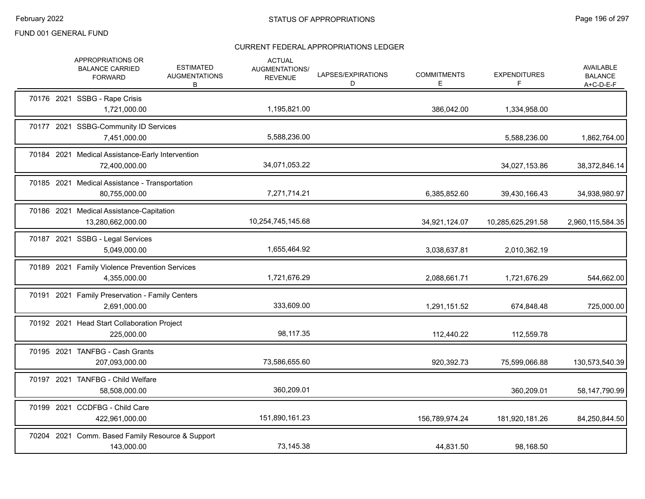|  | APPROPRIATIONS OR<br><b>BALANCE CARRIED</b><br><b>FORWARD</b>     | <b>ESTIMATED</b><br><b>AUGMENTATIONS</b><br>В | <b>ACTUAL</b><br>AUGMENTATIONS/<br><b>REVENUE</b> | LAPSES/EXPIRATIONS<br>D | <b>COMMITMENTS</b><br>E. | <b>EXPENDITURES</b><br>F | <b>AVAILABLE</b><br><b>BALANCE</b><br>$A+C-D-E-F$ |
|--|-------------------------------------------------------------------|-----------------------------------------------|---------------------------------------------------|-------------------------|--------------------------|--------------------------|---------------------------------------------------|
|  | 70176 2021 SSBG - Rape Crisis<br>1,721,000.00                     |                                               | 1,195,821.00                                      |                         | 386,042.00               | 1,334,958.00             |                                                   |
|  | 70177 2021 SSBG-Community ID Services<br>7,451,000.00             |                                               | 5,588,236.00                                      |                         |                          | 5,588,236.00             | 1,862,764.00                                      |
|  | 70184 2021 Medical Assistance-Early Intervention<br>72,400,000.00 |                                               | 34,071,053.22                                     |                         |                          | 34,027,153.86            | 38,372,846.14                                     |
|  | 70185 2021 Medical Assistance - Transportation<br>80,755,000.00   |                                               | 7,271,714.21                                      |                         | 6,385,852.60             | 39,430,166.43            | 34,938,980.97                                     |
|  | 70186 2021 Medical Assistance-Capitation<br>13,280,662,000.00     |                                               | 10,254,745,145.68                                 |                         | 34,921,124.07            | 10,285,625,291.58        | 2,960,115,584.35                                  |
|  | 70187 2021 SSBG - Legal Services<br>5,049,000.00                  |                                               | 1,655,464.92                                      |                         | 3,038,637.81             | 2,010,362.19             |                                                   |
|  | 70189 2021 Family Violence Prevention Services<br>4,355,000.00    |                                               | 1,721,676.29                                      |                         | 2,088,661.71             | 1,721,676.29             | 544,662.00                                        |
|  | 70191 2021 Family Preservation - Family Centers<br>2,691,000.00   |                                               | 333,609.00                                        |                         | 1,291,151.52             | 674,848.48               | 725,000.00                                        |
|  | 70192 2021 Head Start Collaboration Project<br>225,000.00         |                                               | 98,117.35                                         |                         | 112,440.22               | 112,559.78               |                                                   |
|  | 70195 2021 TANFBG - Cash Grants<br>207,093,000.00                 |                                               | 73,586,655.60                                     |                         | 920,392.73               | 75,599,066.88            | 130,573,540.39                                    |
|  | 70197 2021 TANFBG - Child Welfare<br>58,508,000.00                |                                               | 360,209.01                                        |                         |                          | 360,209.01               | 58,147,790.99                                     |
|  | 70199 2021 CCDFBG - Child Care<br>422,961,000.00                  |                                               | 151,890,161.23                                    |                         | 156,789,974.24           | 181,920,181.26           | 84,250,844.50                                     |
|  | 70204 2021 Comm. Based Family Resource & Support<br>143,000.00    |                                               | 73,145.38                                         |                         | 44,831.50                | 98,168.50                |                                                   |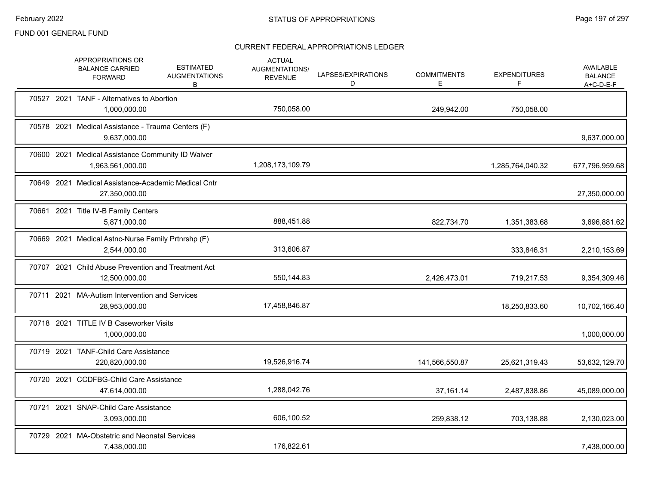|  | APPROPRIATIONS OR<br><b>BALANCE CARRIED</b><br><b>FORWARD</b>         | <b>ESTIMATED</b><br><b>AUGMENTATIONS</b><br>B | <b>ACTUAL</b><br>AUGMENTATIONS/<br><b>REVENUE</b> | LAPSES/EXPIRATIONS<br>D | <b>COMMITMENTS</b><br>E. | <b>EXPENDITURES</b><br>F. | AVAILABLE<br><b>BALANCE</b><br>A+C-D-E-F |
|--|-----------------------------------------------------------------------|-----------------------------------------------|---------------------------------------------------|-------------------------|--------------------------|---------------------------|------------------------------------------|
|  | 70527 2021 TANF - Alternatives to Abortion<br>1,000,000.00            |                                               | 750,058.00                                        |                         | 249,942.00               | 750,058.00                |                                          |
|  | 70578 2021 Medical Assistance - Trauma Centers (F)<br>9,637,000.00    |                                               |                                                   |                         |                          |                           | 9,637,000.00                             |
|  | 70600 2021 Medical Assistance Community ID Waiver<br>1,963,561,000.00 |                                               | 1,208,173,109.79                                  |                         |                          | 1,285,764,040.32          | 677,796,959.68                           |
|  | 70649 2021 Medical Assistance-Academic Medical Cntr<br>27,350,000.00  |                                               |                                                   |                         |                          |                           | 27,350,000.00                            |
|  | 70661 2021 Title IV-B Family Centers<br>5,871,000.00                  |                                               | 888,451.88                                        |                         | 822,734.70               | 1,351,383.68              | 3,696,881.62                             |
|  | 70669 2021 Medical Astnc-Nurse Family Prtnrshp (F)<br>2,544,000.00    |                                               | 313,606.87                                        |                         |                          | 333,846.31                | 2,210,153.69                             |
|  | 70707 2021 Child Abuse Prevention and Treatment Act<br>12,500,000.00  |                                               | 550,144.83                                        |                         | 2,426,473.01             | 719,217.53                | 9,354,309.46                             |
|  | 70711 2021 MA-Autism Intervention and Services<br>28,953,000.00       |                                               | 17,458,846.87                                     |                         |                          | 18,250,833.60             | 10,702,166.40                            |
|  | 70718 2021 TITLE IV B Caseworker Visits<br>1,000,000.00               |                                               |                                                   |                         |                          |                           | 1,000,000.00                             |
|  | 70719 2021 TANF-Child Care Assistance<br>220,820,000.00               |                                               | 19,526,916.74                                     |                         | 141,566,550.87           | 25,621,319.43             | 53,632,129.70                            |
|  | 70720 2021 CCDFBG-Child Care Assistance<br>47,614,000.00              |                                               | 1,288,042.76                                      |                         | 37,161.14                | 2,487,838.86              | 45,089,000.00                            |
|  | 70721 2021 SNAP-Child Care Assistance<br>3,093,000.00                 |                                               | 606,100.52                                        |                         | 259,838.12               | 703,138.88                | 2,130,023.00                             |
|  | 70729 2021 MA-Obstetric and Neonatal Services<br>7,438,000.00         |                                               | 176,822.61                                        |                         |                          |                           | 7,438,000.00                             |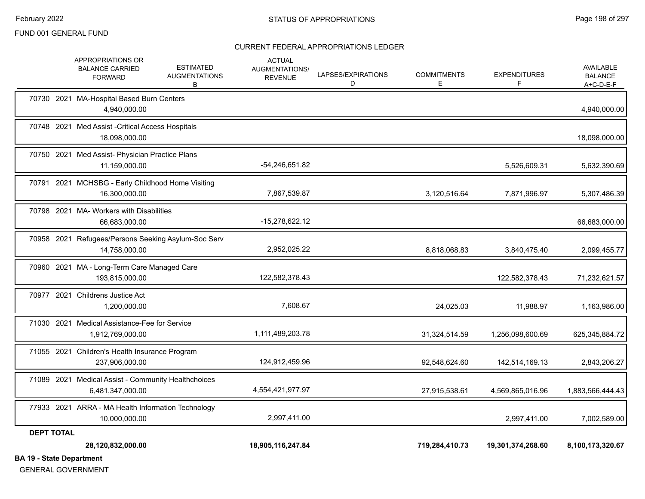#### CURRENT FEDERAL APPROPRIATIONS LEDGER

| <b>DEPT TOTAL</b> | 28,120,832,000.00                                                                                              | 18,905,116,247.84                                 |                         | 719,284,410.73          | 19,301,374,268.60        | 8,100,173,320.67                           |
|-------------------|----------------------------------------------------------------------------------------------------------------|---------------------------------------------------|-------------------------|-------------------------|--------------------------|--------------------------------------------|
|                   | 77933 2021 ARRA - MA Health Information Technology<br>10,000,000.00                                            | 2,997,411.00                                      |                         |                         | 2,997,411.00             | 7,002,589.00                               |
|                   | 71089 2021 Medical Assist - Community Healthchoices<br>6,481,347,000.00                                        | 4,554,421,977.97                                  |                         | 27,915,538.61           | 4,569,865,016.96         | 1,883,566,444.43                           |
|                   | 71055 2021 Children's Health Insurance Program<br>237,906,000.00                                               | 124,912,459.96                                    |                         | 92,548,624.60           | 142,514,169.13           | 2,843,206.27                               |
|                   | 71030 2021 Medical Assistance-Fee for Service<br>1,912,769,000.00                                              | 1,111,489,203.78                                  |                         | 31,324,514.59           | 1,256,098,600.69         | 625,345,884.72                             |
|                   | 70977 2021 Childrens Justice Act<br>1.200.000.00                                                               | 7,608.67                                          |                         | 24,025.03               | 11,988.97                | 1,163,986.00                               |
|                   | 70960 2021 MA - Long-Term Care Managed Care<br>193,815,000.00                                                  | 122,582,378.43                                    |                         |                         | 122,582,378.43           | 71,232,621.57                              |
|                   | 70958 2021 Refugees/Persons Seeking Asylum-Soc Serv<br>14,758,000.00                                           | 2,952,025.22                                      |                         | 8,818,068.83            | 3,840,475.40             | 2,099,455.77                               |
|                   | 70798 2021 MA- Workers with Disabilities<br>66,683,000.00                                                      | -15,278,622.12                                    |                         |                         |                          | 66,683,000.00                              |
|                   | 70791 2021 MCHSBG - Early Childhood Home Visiting<br>16,300,000.00                                             | 7,867,539.87                                      |                         | 3,120,516.64            | 7,871,996.97             | 5,307,486.39                               |
|                   | 70750 2021 Med Assist- Physician Practice Plans<br>11,159,000.00                                               | -54,246,651.82                                    |                         |                         | 5,526,609.31             | 5,632,390.69                               |
|                   | 70748 2021 Med Assist - Critical Access Hospitals<br>18,098,000.00                                             |                                                   |                         |                         |                          | 18,098,000.00                              |
|                   | 70730 2021 MA-Hospital Based Burn Centers<br>4,940,000.00                                                      |                                                   |                         |                         |                          | 4,940,000.00                               |
|                   | APPROPRIATIONS OR<br><b>ESTIMATED</b><br><b>BALANCE CARRIED</b><br><b>AUGMENTATIONS</b><br><b>FORWARD</b><br>B | <b>ACTUAL</b><br>AUGMENTATIONS/<br><b>REVENUE</b> | LAPSES/EXPIRATIONS<br>D | <b>COMMITMENTS</b><br>Е | <b>EXPENDITURES</b><br>F | AVAILABLE<br><b>BALANCE</b><br>$A+C-D-E-F$ |

**BA 19 - State Department**

GENERAL GOVERNMENT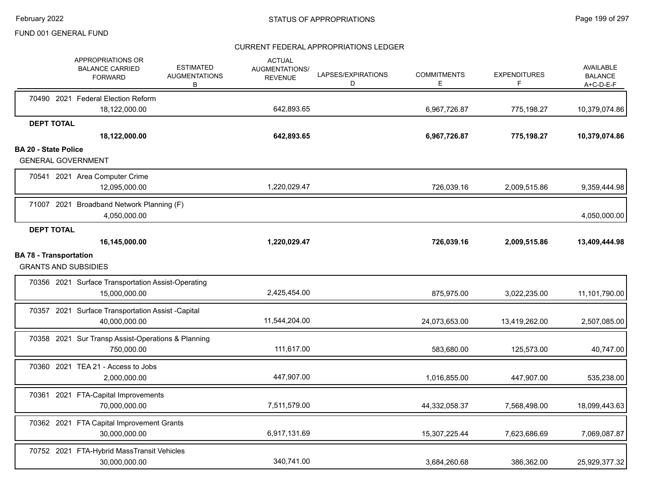|                             | <b>APPROPRIATIONS OR</b><br><b>BALANCE CARRIED</b><br><b>FORWARD</b> | <b>ESTIMATED</b><br><b>AUGMENTATIONS</b><br>В | <b>ACTUAL</b><br><b>AUGMENTATIONS/</b><br><b>REVENUE</b> | LAPSES/EXPIRATIONS<br>D | <b>COMMITMENTS</b><br>Е | <b>EXPENDITURES</b><br>F | <b>AVAILABLE</b><br><b>BALANCE</b><br>$A+C-D-E-F$ |
|-----------------------------|----------------------------------------------------------------------|-----------------------------------------------|----------------------------------------------------------|-------------------------|-------------------------|--------------------------|---------------------------------------------------|
|                             | 70490 2021 Federal Election Reform                                   |                                               |                                                          |                         |                         |                          |                                                   |
|                             | 18,122,000.00                                                        |                                               | 642,893.65                                               |                         | 6,967,726.87            | 775,198.27               | 10,379,074.86                                     |
|                             | <b>DEPT TOTAL</b><br>18,122,000.00                                   |                                               | 642,893.65                                               |                         | 6,967,726.87            | 775,198.27               | 10,379,074.86                                     |
| <b>BA 20 - State Police</b> |                                                                      |                                               |                                                          |                         |                         |                          |                                                   |
|                             | <b>GENERAL GOVERNMENT</b>                                            |                                               |                                                          |                         |                         |                          |                                                   |
|                             | 70541 2021 Area Computer Crime<br>12,095,000.00                      |                                               | 1,220,029.47                                             |                         | 726,039.16              | 2,009,515.86             | 9,359,444.98                                      |
|                             | 71007 2021 Broadband Network Planning (F)<br>4,050,000.00            |                                               |                                                          |                         |                         |                          | 4,050,000.00                                      |
|                             | <b>DEPT TOTAL</b>                                                    |                                               |                                                          |                         |                         |                          |                                                   |
|                             | 16,145,000.00                                                        |                                               | 1,220,029.47                                             |                         | 726,039.16              | 2,009,515.86             | 13,409,444.98                                     |
|                             | <b>BA 78 - Transportation</b><br><b>GRANTS AND SUBSIDIES</b>         |                                               |                                                          |                         |                         |                          |                                                   |
|                             | 70356 2021 Surface Transportation Assist-Operating<br>15,000,000.00  |                                               | 2,425,454.00                                             |                         | 875,975.00              | 3,022,235.00             | 11,101,790.00                                     |
|                             | 70357 2021 Surface Transportation Assist -Capital<br>40,000,000.00   |                                               | 11,544,204.00                                            |                         | 24,073,653.00           | 13,419,262.00            | 2,507,085.00                                      |
|                             | 70358 2021 Sur Transp Assist-Operations & Planning<br>750,000.00     |                                               | 111,617.00                                               |                         | 583,680.00              | 125,573.00               | 40,747.00                                         |
|                             | 70360 2021 TEA 21 - Access to Jobs<br>2,000,000.00                   |                                               | 447,907.00                                               |                         | 1,016,855.00            | 447,907.00               | 535,238.00                                        |
|                             | 70361 2021 FTA-Capital Improvements<br>70,000,000.00                 |                                               | 7,511,579.00                                             |                         | 44,332,058.37           | 7,568,498.00             | 18,099,443.63                                     |
|                             | 70362 2021 FTA Capital Improvement Grants<br>30.000.000.00           |                                               | 6,917,131.69                                             |                         | 15,307,225.44           | 7,623,686.69             | 7,069,087.87                                      |
|                             | 70752 2021 FTA-Hybrid MassTransit Vehicles<br>30,000,000.00          |                                               | 340,741.00                                               |                         | 3,684,260.68            | 386,362.00               | 25,929,377.32                                     |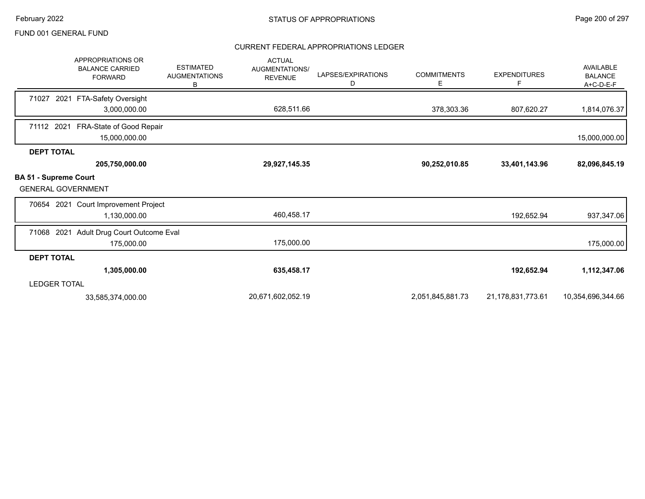|                                                           | <b>APPROPRIATIONS OR</b><br><b>BALANCE CARRIED</b><br><b>FORWARD</b> | <b>ESTIMATED</b><br><b>AUGMENTATIONS</b><br>в | <b>ACTUAL</b><br><b>AUGMENTATIONS/</b><br><b>REVENUE</b> | LAPSES/EXPIRATIONS<br>D | <b>COMMITMENTS</b><br>E | <b>EXPENDITURES</b><br>F | AVAILABLE<br><b>BALANCE</b><br>A+C-D-E-F |
|-----------------------------------------------------------|----------------------------------------------------------------------|-----------------------------------------------|----------------------------------------------------------|-------------------------|-------------------------|--------------------------|------------------------------------------|
| 71027<br>2021                                             | FTA-Safety Oversight                                                 |                                               |                                                          |                         |                         |                          |                                          |
|                                                           | 3,000,000.00                                                         |                                               | 628,511.66                                               |                         | 378,303.36              | 807,620.27               | 1,814,076.37                             |
| 71112 2021                                                | FRA-State of Good Repair<br>15,000,000.00                            |                                               |                                                          |                         |                         |                          | 15,000,000.00                            |
| <b>DEPT TOTAL</b>                                         |                                                                      |                                               |                                                          |                         |                         |                          |                                          |
|                                                           | 205,750,000.00                                                       |                                               | 29,927,145.35                                            |                         | 90,252,010.85           | 33,401,143.96            | 82,096,845.19                            |
| <b>BA 51 - Supreme Court</b><br><b>GENERAL GOVERNMENT</b> |                                                                      |                                               |                                                          |                         |                         |                          |                                          |
|                                                           | 70654 2021 Court Improvement Project                                 |                                               |                                                          |                         |                         |                          |                                          |
|                                                           | 1,130,000.00                                                         |                                               | 460,458.17                                               |                         |                         | 192,652.94               | 937,347.06                               |
| 71068 2021                                                | Adult Drug Court Outcome Eval                                        |                                               |                                                          |                         |                         |                          |                                          |
|                                                           | 175,000.00                                                           |                                               | 175,000.00                                               |                         |                         |                          | 175,000.00                               |
| <b>DEPT TOTAL</b>                                         |                                                                      |                                               |                                                          |                         |                         |                          |                                          |
|                                                           | 1,305,000.00                                                         |                                               | 635,458.17                                               |                         |                         | 192,652.94               | 1,112,347.06                             |
| <b>LEDGER TOTAL</b>                                       |                                                                      |                                               |                                                          |                         |                         |                          |                                          |
|                                                           | 33,585,374,000.00                                                    |                                               | 20,671,602,052.19                                        |                         | 2,051,845,881.73        | 21,178,831,773.61        | 10,354,696,344.66                        |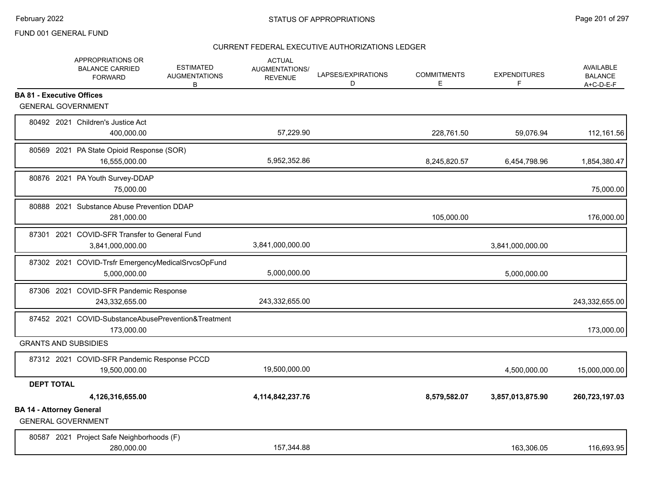|                                  | APPROPRIATIONS OR<br><b>BALANCE CARRIED</b><br><b>FORWARD</b>      | <b>ESTIMATED</b><br><b>AUGMENTATIONS</b><br>В | <b>ACTUAL</b><br>AUGMENTATIONS/<br><b>REVENUE</b> | LAPSES/EXPIRATIONS<br>D | <b>COMMITMENTS</b><br>E. | <b>EXPENDITURES</b><br>F | <b>AVAILABLE</b><br><b>BALANCE</b><br>$A+C-D-E-F$ |
|----------------------------------|--------------------------------------------------------------------|-----------------------------------------------|---------------------------------------------------|-------------------------|--------------------------|--------------------------|---------------------------------------------------|
| <b>BA 81 - Executive Offices</b> |                                                                    |                                               |                                                   |                         |                          |                          |                                                   |
|                                  | <b>GENERAL GOVERNMENT</b>                                          |                                               |                                                   |                         |                          |                          |                                                   |
|                                  | 80492 2021 Children's Justice Act<br>400.000.00                    |                                               | 57,229.90                                         |                         | 228,761.50               | 59,076.94                | 112,161.56                                        |
|                                  | 80569 2021 PA State Opioid Response (SOR)<br>16,555,000.00         |                                               | 5,952,352.86                                      |                         | 8,245,820.57             | 6,454,798.96             | 1,854,380.47                                      |
|                                  | 80876 2021 PA Youth Survey-DDAP<br>75,000.00                       |                                               |                                                   |                         |                          |                          | 75,000.00                                         |
|                                  | 80888 2021 Substance Abuse Prevention DDAP<br>281,000.00           |                                               |                                                   |                         | 105,000.00               |                          | 176,000.00                                        |
| 87301                            | 2021 COVID-SFR Transfer to General Fund<br>3,841,000,000.00        |                                               | 3,841,000,000.00                                  |                         |                          | 3,841,000,000.00         |                                                   |
|                                  | 87302 2021 COVID-Trsfr EmergencyMedicalSrvcsOpFund<br>5,000,000.00 |                                               | 5,000,000.00                                      |                         |                          | 5,000,000.00             |                                                   |
|                                  | 87306 2021 COVID-SFR Pandemic Response<br>243,332,655.00           |                                               | 243,332,655.00                                    |                         |                          |                          | 243,332,655.00                                    |
|                                  | 87452 2021 COVID-SubstanceAbusePrevention&Treatment<br>173,000.00  |                                               |                                                   |                         |                          |                          | 173,000.00                                        |
|                                  | <b>GRANTS AND SUBSIDIES</b>                                        |                                               |                                                   |                         |                          |                          |                                                   |
|                                  | 87312 2021 COVID-SFR Pandemic Response PCCD<br>19,500,000.00       |                                               | 19,500,000.00                                     |                         |                          | 4,500,000.00             | 15,000,000.00                                     |
| <b>DEPT TOTAL</b>                |                                                                    |                                               |                                                   |                         |                          |                          |                                                   |
|                                  | 4,126,316,655.00                                                   |                                               | 4,114,842,237.76                                  |                         | 8,579,582.07             | 3,857,013,875.90         | 260,723,197.03                                    |
| <b>BA 14 - Attorney General</b>  | <b>GENERAL GOVERNMENT</b>                                          |                                               |                                                   |                         |                          |                          |                                                   |
|                                  | 80587 2021 Project Safe Neighborhoods (F)<br>280,000.00            |                                               | 157,344.88                                        |                         |                          | 163,306.05               | 116,693.95                                        |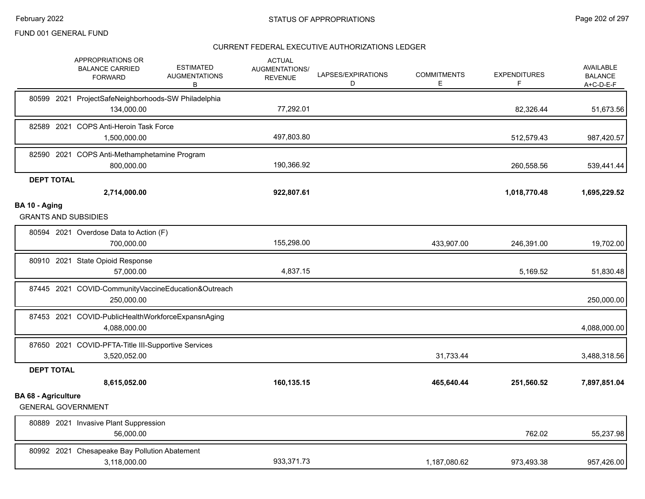|                            | APPROPRIATIONS OR<br><b>BALANCE CARRIED</b><br><b>FORWARD</b>       | <b>ESTIMATED</b><br><b>AUGMENTATIONS</b><br>В | <b>ACTUAL</b><br>AUGMENTATIONS/<br><b>REVENUE</b> | LAPSES/EXPIRATIONS<br>D | <b>COMMITMENTS</b><br>E | <b>EXPENDITURES</b><br>F | AVAILABLE<br><b>BALANCE</b><br>A+C-D-E-F |
|----------------------------|---------------------------------------------------------------------|-----------------------------------------------|---------------------------------------------------|-------------------------|-------------------------|--------------------------|------------------------------------------|
| 80599 2021                 | ProjectSafeNeighborhoods-SW Philadelphia<br>134,000.00              |                                               | 77,292.01                                         |                         |                         | 82,326.44                | 51,673.56                                |
|                            | 82589 2021 COPS Anti-Heroin Task Force<br>1,500,000.00              |                                               | 497,803.80                                        |                         |                         | 512,579.43               | 987,420.57                               |
|                            | 82590 2021 COPS Anti-Methamphetamine Program<br>800,000.00          |                                               | 190,366.92                                        |                         |                         | 260,558.56               | 539,441.44                               |
| <b>DEPT TOTAL</b>          |                                                                     |                                               |                                                   |                         |                         |                          |                                          |
|                            | 2,714,000.00                                                        |                                               | 922,807.61                                        |                         |                         | 1,018,770.48             | 1,695,229.52                             |
| BA 10 - Aging              | <b>GRANTS AND SUBSIDIES</b>                                         |                                               |                                                   |                         |                         |                          |                                          |
|                            | 80594 2021 Overdose Data to Action (F)<br>700,000.00                |                                               | 155,298.00                                        |                         | 433,907.00              | 246,391.00               | 19,702.00                                |
|                            | 80910 2021 State Opioid Response<br>57,000.00                       |                                               | 4,837.15                                          |                         |                         | 5,169.52                 | 51,830.48                                |
|                            | 87445 2021 COVID-CommunityVaccineEducation&Outreach<br>250,000.00   |                                               |                                                   |                         |                         |                          | 250,000.00                               |
|                            | 87453 2021 COVID-PublicHealthWorkforceExpansnAging<br>4,088,000.00  |                                               |                                                   |                         |                         |                          | 4,088,000.00                             |
|                            | 87650 2021 COVID-PFTA-Title III-Supportive Services<br>3,520,052.00 |                                               |                                                   |                         | 31,733.44               |                          | 3,488,318.56                             |
| <b>DEPT TOTAL</b>          |                                                                     |                                               |                                                   |                         |                         |                          |                                          |
|                            | 8,615,052.00                                                        |                                               | 160,135.15                                        |                         | 465,640.44              | 251,560.52               | 7,897,851.04                             |
| <b>BA 68 - Agriculture</b> | <b>GENERAL GOVERNMENT</b>                                           |                                               |                                                   |                         |                         |                          |                                          |
|                            | 80889 2021 Invasive Plant Suppression<br>56,000.00                  |                                               |                                                   |                         |                         | 762.02                   | 55,237.98                                |
|                            | 80992 2021 Chesapeake Bay Pollution Abatement<br>3,118,000.00       |                                               | 933,371.73                                        |                         | 1,187,080.62            | 973,493.38               | 957,426.00                               |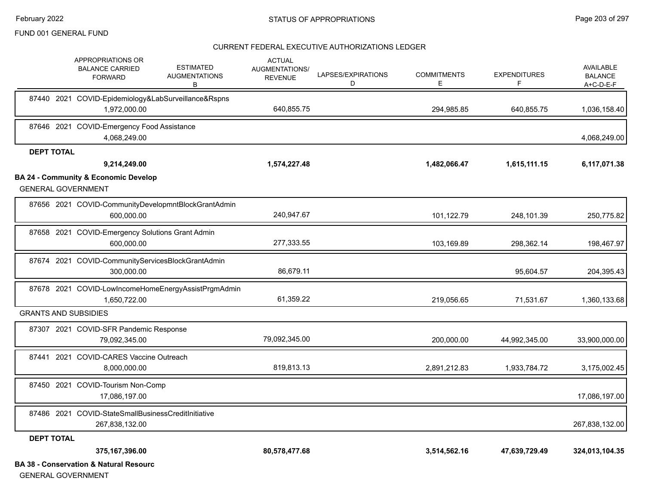#### CURRENT FEDERAL EXECUTIVE AUTHORIZATIONS LEDGER

|                   | APPROPRIATIONS OR<br><b>BALANCE CARRIED</b><br><b>FORWARD</b>                | <b>ESTIMATED</b><br><b>AUGMENTATIONS</b><br>В | <b>ACTUAL</b><br><b>AUGMENTATIONS/</b><br><b>REVENUE</b> | LAPSES/EXPIRATIONS<br>D | <b>COMMITMENTS</b><br>E. | <b>EXPENDITURES</b><br>F | AVAILABLE<br><b>BALANCE</b><br>$A+C-D-E-F$ |
|-------------------|------------------------------------------------------------------------------|-----------------------------------------------|----------------------------------------------------------|-------------------------|--------------------------|--------------------------|--------------------------------------------|
|                   | 87440 2021 COVID-Epidemiology&LabSurveillance&Rspns<br>1,972,000.00          |                                               | 640,855.75                                               |                         | 294,985.85               | 640,855.75               | 1,036,158.40                               |
|                   | 87646 2021 COVID-Emergency Food Assistance<br>4,068,249.00                   |                                               |                                                          |                         |                          |                          | 4,068,249.00                               |
| <b>DEPT TOTAL</b> |                                                                              |                                               |                                                          |                         |                          |                          |                                            |
|                   | 9,214,249.00                                                                 |                                               | 1,574,227.48                                             |                         | 1,482,066.47             | 1,615,111.15             | 6,117,071.38                               |
|                   | <b>BA 24 - Community &amp; Economic Develop</b><br><b>GENERAL GOVERNMENT</b> |                                               |                                                          |                         |                          |                          |                                            |
|                   | 87656 2021 COVID-CommunityDevelopmntBlockGrantAdmin<br>600,000.00            |                                               | 240,947.67                                               |                         | 101,122.79               | 248,101.39               | 250,775.82                                 |
|                   | 87658 2021 COVID-Emergency Solutions Grant Admin<br>600.000.00               |                                               | 277,333.55                                               |                         | 103,169.89               | 298,362.14               | 198,467.97                                 |
|                   | 87674 2021 COVID-CommunityServicesBlockGrantAdmin<br>300,000.00              |                                               | 86,679.11                                                |                         |                          | 95,604.57                | 204,395.43                                 |
|                   | 87678 2021 COVID-LowIncomeHomeEnergyAssistPrgmAdmin<br>1,650,722.00          |                                               | 61,359.22                                                |                         | 219,056.65               | 71,531.67                | 1,360,133.68                               |
|                   | <b>GRANTS AND SUBSIDIES</b>                                                  |                                               |                                                          |                         |                          |                          |                                            |
|                   | 87307 2021 COVID-SFR Pandemic Response<br>79,092,345.00                      |                                               | 79,092,345.00                                            |                         | 200,000.00               | 44,992,345.00            | 33,900,000.00                              |
|                   | 87441 2021 COVID-CARES Vaccine Outreach<br>8.000.000.00                      |                                               | 819,813.13                                               |                         | 2,891,212.83             | 1,933,784.72             | 3,175,002.45                               |
|                   | 87450 2021 COVID-Tourism Non-Comp<br>17,086,197.00                           |                                               |                                                          |                         |                          |                          | 17,086,197.00                              |
|                   | 87486 2021 COVID-StateSmallBusinessCreditInitiative<br>267,838,132.00        |                                               |                                                          |                         |                          |                          | 267,838,132.00                             |
| <b>DEPT TOTAL</b> |                                                                              |                                               |                                                          |                         |                          |                          |                                            |
|                   | 375,167,396.00                                                               |                                               | 80,578,477.68                                            |                         | 3,514,562.16             | 47,639,729.49            | 324,013,104.35                             |
|                   | <b>BA 38 - Conservation &amp; Natural Resourc</b>                            |                                               |                                                          |                         |                          |                          |                                            |

GENERAL GOVERNMENT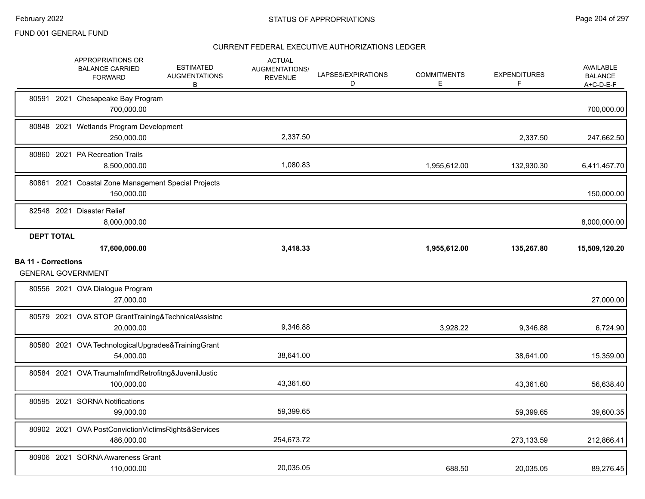|                            | APPROPRIATIONS OR<br><b>BALANCE CARRIED</b><br><b>FORWARD</b>     | <b>ESTIMATED</b><br><b>AUGMENTATIONS</b><br>В | <b>ACTUAL</b><br><b>AUGMENTATIONS/</b><br><b>REVENUE</b> | LAPSES/EXPIRATIONS<br>D | <b>COMMITMENTS</b><br>Е | <b>EXPENDITURES</b><br>F | <b>AVAILABLE</b><br><b>BALANCE</b><br>A+C-D-E-F |
|----------------------------|-------------------------------------------------------------------|-----------------------------------------------|----------------------------------------------------------|-------------------------|-------------------------|--------------------------|-------------------------------------------------|
|                            | 80591 2021 Chesapeake Bay Program<br>700,000.00                   |                                               |                                                          |                         |                         |                          | 700,000.00                                      |
|                            | 80848 2021 Wetlands Program Development<br>250,000.00             |                                               | 2,337.50                                                 |                         |                         | 2,337.50                 | 247,662.50                                      |
|                            | 80860 2021 PA Recreation Trails<br>8,500,000.00                   |                                               | 1,080.83                                                 |                         | 1,955,612.00            | 132,930.30               | 6,411,457.70                                    |
|                            | 80861 2021 Coastal Zone Management Special Projects<br>150,000.00 |                                               |                                                          |                         |                         |                          | 150,000.00                                      |
|                            | 82548 2021 Disaster Relief<br>8,000,000.00                        |                                               |                                                          |                         |                         |                          | 8,000,000.00                                    |
| <b>DEPT TOTAL</b>          | 17,600,000.00                                                     |                                               | 3,418.33                                                 |                         | 1,955,612.00            | 135,267.80               | 15,509,120.20                                   |
| <b>BA 11 - Corrections</b> |                                                                   |                                               |                                                          |                         |                         |                          |                                                 |
|                            | <b>GENERAL GOVERNMENT</b>                                         |                                               |                                                          |                         |                         |                          |                                                 |
|                            | 80556 2021 OVA Dialogue Program<br>27,000.00                      |                                               |                                                          |                         |                         |                          | 27,000.00                                       |
|                            | 80579 2021 OVA STOP GrantTraining&TechnicalAssistnc<br>20,000.00  |                                               | 9,346.88                                                 |                         | 3,928.22                | 9,346.88                 | 6,724.90                                        |
|                            | 80580 2021 OVA TechnologicalUpgrades&TrainingGrant<br>54,000.00   |                                               | 38,641.00                                                |                         |                         | 38,641.00                | 15,359.00                                       |
|                            | 80584 2021 OVA TraumaInfrmdRetrofitng&JuvenilJustic<br>100,000.00 |                                               | 43,361.60                                                |                         |                         | 43,361.60                | 56,638.40                                       |
|                            | 80595 2021 SORNA Notifications<br>99,000.00                       |                                               | 59,399.65                                                |                         |                         | 59,399.65                | 39,600.35                                       |
|                            | 80902 2021 OVA PostConvictionVictimsRights&Services<br>486,000.00 |                                               | 254,673.72                                               |                         |                         | 273,133.59               | 212,866.41                                      |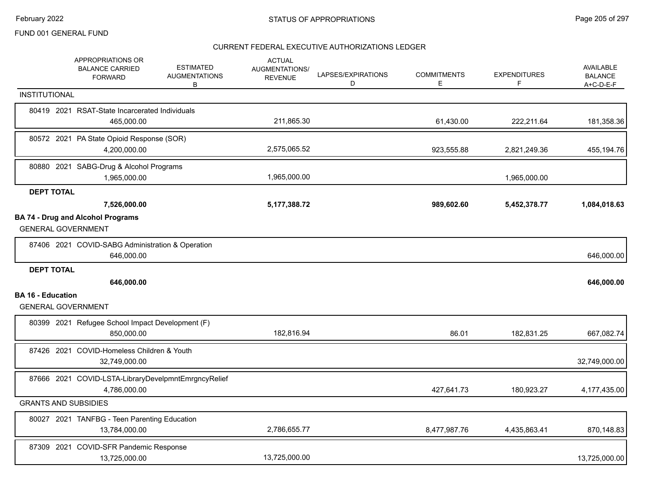|                             | APPROPRIATIONS OR<br><b>BALANCE CARRIED</b><br><b>FORWARD</b>       | <b>ESTIMATED</b><br><b>AUGMENTATIONS</b><br>В | <b>ACTUAL</b><br><b>AUGMENTATIONS/</b><br><b>REVENUE</b> | LAPSES/EXPIRATIONS<br>D | <b>COMMITMENTS</b><br>Е | <b>EXPENDITURES</b><br>F | <b>AVAILABLE</b><br><b>BALANCE</b><br>$A+C-D-E-F$ |
|-----------------------------|---------------------------------------------------------------------|-----------------------------------------------|----------------------------------------------------------|-------------------------|-------------------------|--------------------------|---------------------------------------------------|
| <b>INSTITUTIONAL</b>        |                                                                     |                                               |                                                          |                         |                         |                          |                                                   |
|                             | 80419 2021 RSAT-State Incarcerated Individuals<br>465,000.00        |                                               | 211,865.30                                               |                         | 61,430.00               | 222,211.64               | 181,358.36                                        |
|                             | 80572 2021 PA State Opioid Response (SOR)<br>4,200,000.00           |                                               | 2,575,065.52                                             |                         | 923,555.88              | 2,821,249.36             | 455,194.76                                        |
|                             | 80880 2021 SABG-Drug & Alcohol Programs<br>1,965,000.00             |                                               | 1,965,000.00                                             |                         |                         | 1,965,000.00             |                                                   |
| <b>DEPT TOTAL</b>           |                                                                     |                                               |                                                          |                         |                         |                          |                                                   |
|                             | 7,526,000.00                                                        |                                               | 5,177,388.72                                             |                         | 989,602.60              | 5,452,378.77             | 1,084,018.63                                      |
| <b>GENERAL GOVERNMENT</b>   | <b>BA 74 - Drug and Alcohol Programs</b>                            |                                               |                                                          |                         |                         |                          |                                                   |
|                             | 87406 2021 COVID-SABG Administration & Operation<br>646.000.00      |                                               |                                                          |                         |                         |                          | 646,000.00                                        |
| <b>DEPT TOTAL</b>           |                                                                     |                                               |                                                          |                         |                         |                          |                                                   |
|                             | 646,000.00                                                          |                                               |                                                          |                         |                         |                          | 646,000.00                                        |
| <b>BA 16 - Education</b>    | <b>GENERAL GOVERNMENT</b>                                           |                                               |                                                          |                         |                         |                          |                                                   |
|                             | 80399 2021 Refugee School Impact Development (F)<br>850,000.00      |                                               | 182,816.94                                               |                         | 86.01                   | 182,831.25               | 667,082.74                                        |
|                             | 87426 2021 COVID-Homeless Children & Youth<br>32,749,000.00         |                                               |                                                          |                         |                         |                          | 32,749,000.00                                     |
|                             | 87666 2021 COVID-LSTA-LibraryDevelpmntEmrgncyRelief<br>4,786,000.00 |                                               |                                                          |                         | 427,641.73              | 180,923.27               | 4,177,435.00                                      |
| <b>GRANTS AND SUBSIDIES</b> |                                                                     |                                               |                                                          |                         |                         |                          |                                                   |
|                             | 80027 2021 TANFBG - Teen Parenting Education<br>13,784,000.00       |                                               | 2,786,655.77                                             |                         | 8,477,987.76            | 4,435,863.41             | 870,148.83                                        |
|                             | 87309 2021 COVID-SFR Pandemic Response<br>13,725,000.00             |                                               | 13,725,000.00                                            |                         |                         |                          | 13,725,000.00                                     |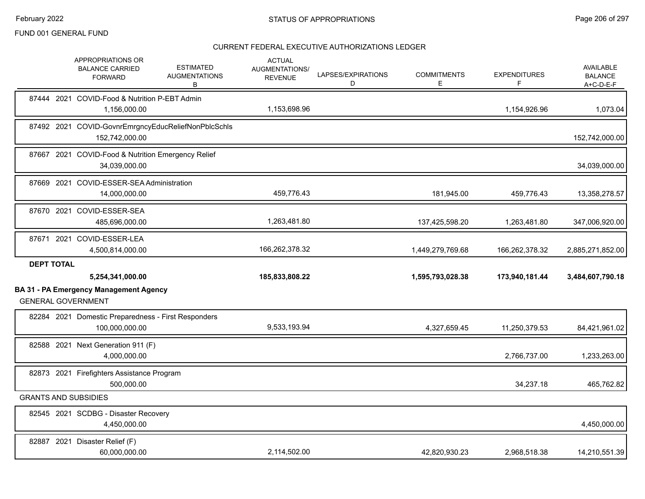|                   | APPROPRIATIONS OR<br><b>BALANCE CARRIED</b><br><b>FORWARD</b>              | <b>ESTIMATED</b><br><b>AUGMENTATIONS</b><br>В | <b>ACTUAL</b><br>AUGMENTATIONS/<br><b>REVENUE</b> | LAPSES/EXPIRATIONS<br>D | <b>COMMITMENTS</b><br>Е | <b>EXPENDITURES</b> | <b>AVAILABLE</b><br><b>BALANCE</b><br>A+C-D-E-F |
|-------------------|----------------------------------------------------------------------------|-----------------------------------------------|---------------------------------------------------|-------------------------|-------------------------|---------------------|-------------------------------------------------|
|                   | 87444 2021 COVID-Food & Nutrition P-EBT Admin<br>1,156,000.00              |                                               | 1,153,698.96                                      |                         |                         | 1,154,926.96        | 1,073.04                                        |
|                   | 87492 2021 COVID-GovnrEmrgncyEducReliefNonPblcSchls<br>152,742,000.00      |                                               |                                                   |                         |                         |                     | 152,742,000.00                                  |
|                   | 87667 2021 COVID-Food & Nutrition Emergency Relief<br>34,039,000.00        |                                               |                                                   |                         |                         |                     | 34,039,000.00                                   |
|                   | 87669 2021 COVID-ESSER-SEA Administration<br>14,000,000.00                 |                                               | 459,776.43                                        |                         | 181,945.00              | 459,776.43          | 13,358,278.57                                   |
|                   | 87670 2021 COVID-ESSER-SEA<br>485,696,000.00                               |                                               | 1,263,481.80                                      |                         | 137,425,598.20          | 1,263,481.80        | 347,006,920.00                                  |
|                   | 87671 2021 COVID-ESSER-LEA<br>4,500,814,000.00                             |                                               | 166,262,378.32                                    |                         | 1,449,279,769.68        | 166,262,378.32      | 2,885,271,852.00                                |
|                   |                                                                            |                                               |                                                   |                         |                         |                     |                                                 |
| <b>DEPT TOTAL</b> |                                                                            |                                               |                                                   |                         |                         |                     |                                                 |
|                   | 5,254,341,000.00                                                           |                                               | 185,833,808.22                                    |                         | 1,595,793,028.38        | 173,940,181.44      | 3,484,607,790.18                                |
|                   | <b>BA 31 - PA Emergency Management Agency</b><br><b>GENERAL GOVERNMENT</b> |                                               |                                                   |                         |                         |                     |                                                 |
|                   | 82284 2021 Domestic Preparedness - First Responders<br>100,000,000.00      |                                               | 9,533,193.94                                      |                         | 4,327,659.45            | 11,250,379.53       | 84,421,961.02                                   |
|                   | 82588 2021 Next Generation 911 (F)<br>4,000,000.00                         |                                               |                                                   |                         |                         | 2,766,737.00        | 1,233,263.00                                    |
|                   | 82873 2021 Firefighters Assistance Program<br>500,000.00                   |                                               |                                                   |                         |                         | 34,237.18           | 465,762.82                                      |
|                   | <b>GRANTS AND SUBSIDIES</b>                                                |                                               |                                                   |                         |                         |                     |                                                 |
|                   | 82545 2021 SCDBG - Disaster Recovery<br>4,450,000.00                       |                                               |                                                   |                         |                         |                     | 4,450,000.00                                    |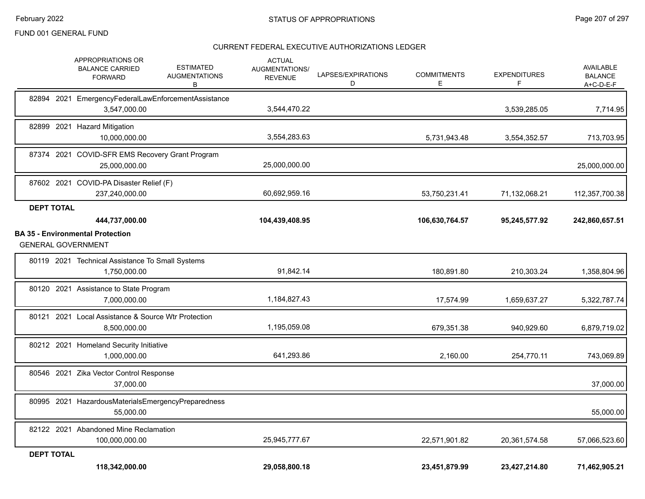|                   | 118,342,000.00                                                                                                 | 29,058,800.18                                            |                         | 23,451,879.99            | 23,427,214.80            | 71,462,905.21                                     |
|-------------------|----------------------------------------------------------------------------------------------------------------|----------------------------------------------------------|-------------------------|--------------------------|--------------------------|---------------------------------------------------|
| <b>DEPT TOTAL</b> |                                                                                                                |                                                          |                         |                          |                          |                                                   |
|                   | 82122 2021 Abandoned Mine Reclamation<br>100,000,000.00                                                        | 25,945,777.67                                            |                         | 22,571,901.82            | 20,361,574.58            | 57,066,523.60                                     |
|                   | 80995 2021 HazardousMaterialsEmergencyPreparedness<br>55,000.00                                                |                                                          |                         |                          |                          | 55,000.00                                         |
|                   | 80546 2021 Zika Vector Control Response<br>37.000.00                                                           |                                                          |                         |                          |                          | 37,000.00                                         |
|                   | 80212 2021 Homeland Security Initiative<br>1,000,000.00                                                        | 641,293.86                                               |                         | 2,160.00                 | 254,770.11               | 743,069.89                                        |
|                   | 80121 2021 Local Assistance & Source Wtr Protection<br>8,500,000.00                                            | 1,195,059.08                                             |                         | 679,351.38               | 940,929.60               | 6,879,719.02                                      |
|                   | 80120 2021 Assistance to State Program<br>7,000,000.00                                                         | 1,184,827.43                                             |                         | 17,574.99                | 1,659,637.27             | 5,322,787.74                                      |
|                   | 80119 2021 Technical Assistance To Small Systems<br>1,750,000.00                                               | 91,842.14                                                |                         | 180,891.80               | 210,303.24               | 1,358,804.96                                      |
|                   | <b>BA 35 - Environmental Protection</b><br><b>GENERAL GOVERNMENT</b>                                           |                                                          |                         |                          |                          |                                                   |
|                   | 444,737,000.00                                                                                                 | 104,439,408.95                                           |                         | 106,630,764.57           | 95,245,577.92            | 242,860,657.51                                    |
| <b>DEPT TOTAL</b> | 87602 2021 COVID-PA Disaster Relief (F)<br>237,240,000.00                                                      | 60,692,959.16                                            |                         | 53,750,231.41            | 71,132,068.21            | 112,357,700.38                                    |
|                   | 87374 2021 COVID-SFR EMS Recovery Grant Program<br>25,000,000.00                                               | 25,000,000.00                                            |                         |                          |                          | 25,000,000.00                                     |
|                   | 82899 2021 Hazard Mitigation<br>10.000.000.00                                                                  | 3,554,283.63                                             |                         | 5,731,943.48             | 3,554,352.57             | 713,703.95                                        |
|                   | 82894 2021 EmergencyFederalLawEnforcementAssistance<br>3,547,000.00                                            | 3,544,470.22                                             |                         |                          | 3,539,285.05             | 7,714.95                                          |
|                   | APPROPRIATIONS OR<br><b>ESTIMATED</b><br><b>BALANCE CARRIED</b><br><b>AUGMENTATIONS</b><br><b>FORWARD</b><br>В | <b>ACTUAL</b><br><b>AUGMENTATIONS/</b><br><b>REVENUE</b> | LAPSES/EXPIRATIONS<br>D | <b>COMMITMENTS</b><br>E. | <b>EXPENDITURES</b><br>F | <b>AVAILABLE</b><br><b>BALANCE</b><br>$A+C-D-E-F$ |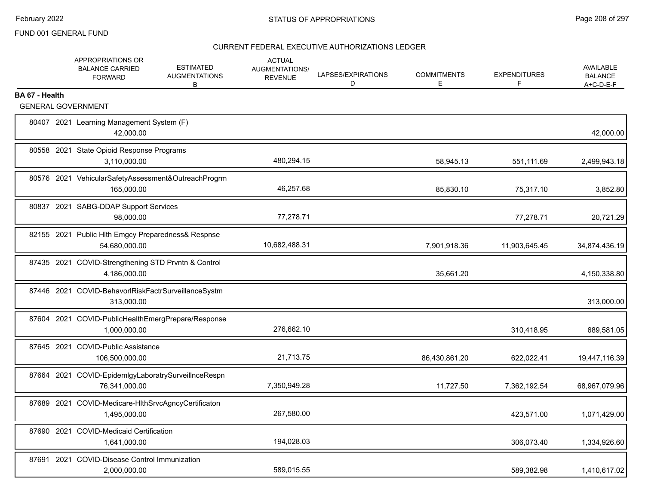|                | APPROPRIATIONS OR<br><b>BALANCE CARRIED</b><br><b>FORWARD</b>        | <b>ESTIMATED</b><br><b>AUGMENTATIONS</b><br>В | <b>ACTUAL</b><br>AUGMENTATIONS/<br><b>REVENUE</b> | LAPSES/EXPIRATIONS<br>D | <b>COMMITMENTS</b><br>E | <b>EXPENDITURES</b><br>F | AVAILABLE<br><b>BALANCE</b><br>$A+C-D-E-F$ |
|----------------|----------------------------------------------------------------------|-----------------------------------------------|---------------------------------------------------|-------------------------|-------------------------|--------------------------|--------------------------------------------|
| BA 67 - Health |                                                                      |                                               |                                                   |                         |                         |                          |                                            |
|                | <b>GENERAL GOVERNMENT</b>                                            |                                               |                                                   |                         |                         |                          |                                            |
|                | 80407 2021 Learning Management System (F)<br>42,000.00               |                                               |                                                   |                         |                         |                          | 42,000.00                                  |
|                | 80558 2021 State Opioid Response Programs<br>3,110,000.00            |                                               | 480,294.15                                        |                         | 58,945.13               | 551,111.69               | 2,499,943.18                               |
|                | 80576 2021 VehicularSafetyAssessment&OutreachProgrm<br>165.000.00    |                                               | 46,257.68                                         |                         | 85,830.10               | 75,317.10                | 3,852.80                                   |
|                | 80837 2021 SABG-DDAP Support Services<br>98,000.00                   |                                               | 77,278.71                                         |                         |                         | 77,278.71                | 20,721.29                                  |
|                | 82155 2021 Public Hlth Emgcy Preparedness& Respnse<br>54,680,000.00  |                                               | 10,682,488.31                                     |                         | 7,901,918.36            | 11,903,645.45            | 34,874,436.19                              |
|                | 87435 2021 COVID-Strengthening STD Prvntn & Control<br>4,186,000.00  |                                               |                                                   |                         | 35,661.20               |                          | 4,150,338.80                               |
|                | 87446 2021 COVID-BehavorlRiskFactrSurveillanceSystm<br>313,000.00    |                                               |                                                   |                         |                         |                          | 313,000.00                                 |
|                | 87604 2021 COVID-PublicHealthEmergPrepare/Response<br>1,000,000.00   |                                               | 276,662.10                                        |                         |                         | 310,418.95               | 689,581.05                                 |
|                | 87645 2021 COVID-Public Assistance<br>106,500,000.00                 |                                               | 21,713.75                                         |                         | 86,430,861.20           | 622,022.41               | 19,447,116.39                              |
|                | 87664 2021 COVID-EpidemlgyLaboratrySurveilInceRespn<br>76,341,000.00 |                                               | 7,350,949.28                                      |                         | 11,727.50               | 7,362,192.54             | 68,967,079.96                              |
|                | 87689 2021 COVID-Medicare-HIthSrvcAgncyCertificaton<br>1,495,000.00  |                                               | 267,580.00                                        |                         |                         | 423,571.00               | 1,071,429.00                               |
|                | 87690 2021 COVID-Medicaid Certification<br>1,641,000.00              |                                               | 194,028.03                                        |                         |                         | 306,073.40               | 1,334,926.60                               |
|                | 87691 2021 COVID-Disease Control Immunization<br>2,000,000.00        |                                               | 589,015.55                                        |                         |                         | 589,382.98               | 1,410,617.02                               |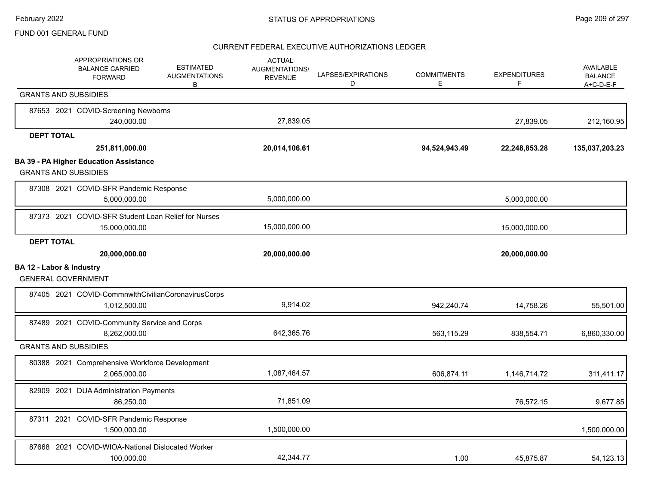|                          | APPROPRIATIONS OR<br><b>BALANCE CARRIED</b><br><b>FORWARD</b>                | <b>ESTIMATED</b><br><b>AUGMENTATIONS</b><br>B | <b>ACTUAL</b><br><b>AUGMENTATIONS/</b><br><b>REVENUE</b> | LAPSES/EXPIRATIONS<br>D | <b>COMMITMENTS</b><br>E | <b>EXPENDITURES</b><br>F | AVAILABLE<br><b>BALANCE</b><br>$A+C-D-E-F$ |
|--------------------------|------------------------------------------------------------------------------|-----------------------------------------------|----------------------------------------------------------|-------------------------|-------------------------|--------------------------|--------------------------------------------|
|                          | <b>GRANTS AND SUBSIDIES</b>                                                  |                                               |                                                          |                         |                         |                          |                                            |
|                          | 87653 2021 COVID-Screening Newborns<br>240,000.00                            |                                               | 27,839.05                                                |                         |                         | 27,839.05                | 212,160.95                                 |
| <b>DEPT TOTAL</b>        |                                                                              |                                               |                                                          |                         |                         |                          |                                            |
|                          | 251,811,000.00                                                               |                                               | 20,014,106.61                                            |                         | 94,524,943.49           | 22,248,853.28            | 135,037,203.23                             |
|                          | <b>BA 39 - PA Higher Education Assistance</b><br><b>GRANTS AND SUBSIDIES</b> |                                               |                                                          |                         |                         |                          |                                            |
|                          | 87308 2021 COVID-SFR Pandemic Response<br>5,000,000.00                       |                                               | 5,000,000.00                                             |                         |                         | 5,000,000.00             |                                            |
|                          | 87373 2021 COVID-SFR Student Loan Relief for Nurses<br>15,000,000.00         |                                               | 15,000,000.00                                            |                         |                         | 15,000,000.00            |                                            |
| <b>DEPT TOTAL</b>        |                                                                              |                                               |                                                          |                         |                         |                          |                                            |
|                          | 20,000,000.00                                                                |                                               | 20,000,000.00                                            |                         |                         | 20,000,000.00            |                                            |
| BA 12 - Labor & Industry | <b>GENERAL GOVERNMENT</b>                                                    |                                               |                                                          |                         |                         |                          |                                            |
|                          | 87405 2021 COVID-CommnwlthCivilianCoronavirusCorps<br>1,012,500.00           |                                               | 9,914.02                                                 |                         | 942,240.74              | 14,758.26                | 55,501.00                                  |
|                          | 87489 2021 COVID-Community Service and Corps<br>8,262,000.00                 |                                               | 642.365.76                                               |                         | 563,115.29              | 838,554.71               | 6,860,330.00                               |
|                          | <b>GRANTS AND SUBSIDIES</b>                                                  |                                               |                                                          |                         |                         |                          |                                            |
|                          | 80388 2021 Comprehensive Workforce Development<br>2,065,000.00               |                                               | 1,087,464.57                                             |                         | 606,874.11              | 1,146,714.72             | 311,411.17                                 |
|                          | 82909 2021 DUA Administration Payments<br>86,250.00                          |                                               | 71,851.09                                                |                         |                         | 76,572.15                | 9,677.85                                   |
|                          | 87311 2021 COVID-SFR Pandemic Response<br>1,500,000.00                       |                                               | 1,500,000.00                                             |                         |                         |                          | 1,500,000.00                               |
|                          | 87668 2021 COVID-WIOA-National Dislocated Worker<br>100,000.00               |                                               | 42.344.77                                                |                         | 1.00                    | 45.875.87                | 54,123.13                                  |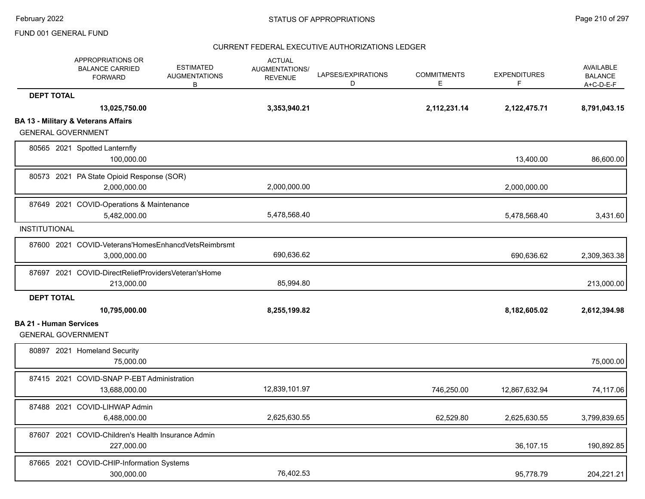|                               | APPROPRIATIONS OR<br><b>BALANCE CARRIED</b><br><b>FORWARD</b>               | <b>ESTIMATED</b><br><b>AUGMENTATIONS</b><br>B | <b>ACTUAL</b><br><b>AUGMENTATIONS/</b><br><b>REVENUE</b> | LAPSES/EXPIRATIONS<br>D | <b>COMMITMENTS</b><br>E | <b>EXPENDITURES</b><br>F | <b>AVAILABLE</b><br><b>BALANCE</b><br>$A+C-D-E-F$ |
|-------------------------------|-----------------------------------------------------------------------------|-----------------------------------------------|----------------------------------------------------------|-------------------------|-------------------------|--------------------------|---------------------------------------------------|
| <b>DEPT TOTAL</b>             |                                                                             |                                               |                                                          |                         |                         |                          |                                                   |
|                               | 13,025,750.00                                                               |                                               | 3,353,940.21                                             |                         | 2,112,231.14            | 2,122,475.71             | 8,791,043.15                                      |
|                               | <b>BA 13 - Military &amp; Veterans Affairs</b><br><b>GENERAL GOVERNMENT</b> |                                               |                                                          |                         |                         |                          |                                                   |
|                               | 80565 2021 Spotted Lanternfly<br>100,000.00                                 |                                               |                                                          |                         |                         | 13,400.00                | 86,600.00                                         |
|                               | 80573 2021 PA State Opioid Response (SOR)<br>2,000,000.00                   |                                               | 2,000,000.00                                             |                         |                         | 2,000,000.00             |                                                   |
|                               | 87649 2021 COVID-Operations & Maintenance<br>5,482,000.00                   |                                               | 5,478,568.40                                             |                         |                         | 5,478,568.40             | 3,431.60                                          |
| <b>INSTITUTIONAL</b>          |                                                                             |                                               |                                                          |                         |                         |                          |                                                   |
|                               | 87600 2021 COVID-Veterans'HomesEnhancdVetsReimbrsmt<br>3,000,000.00         |                                               | 690,636.62                                               |                         |                         | 690,636.62               | 2,309,363.38                                      |
|                               | 87697 2021 COVID-DirectReliefProvidersVeteran'sHome<br>213,000.00           |                                               | 85,994.80                                                |                         |                         |                          | 213,000.00                                        |
| <b>DEPT TOTAL</b>             |                                                                             |                                               |                                                          |                         |                         |                          |                                                   |
|                               | 10,795,000.00                                                               |                                               | 8,255,199.82                                             |                         |                         | 8,182,605.02             | 2,612,394.98                                      |
| <b>BA 21 - Human Services</b> | <b>GENERAL GOVERNMENT</b>                                                   |                                               |                                                          |                         |                         |                          |                                                   |
|                               | 80897 2021 Homeland Security<br>75,000.00                                   |                                               |                                                          |                         |                         |                          | 75,000.00                                         |
|                               | 87415 2021 COVID-SNAP P-EBT Administration<br>13,688,000.00                 |                                               | 12,839,101.97                                            |                         | 746,250.00              | 12,867,632.94            | 74,117.06                                         |
|                               | 87488 2021 COVID-LIHWAP Admin<br>6,488,000.00                               |                                               | 2,625,630.55                                             |                         | 62,529.80               | 2,625,630.55             | 3,799,839.65                                      |
|                               | 87607 2021 COVID-Children's Health Insurance Admin<br>227,000.00            |                                               |                                                          |                         |                         | 36,107.15                | 190,892.85                                        |
|                               | 87665 2021 COVID-CHIP-Information Systems<br>300,000.00                     |                                               | 76,402.53                                                |                         |                         | 95,778.79                | 204,221.21                                        |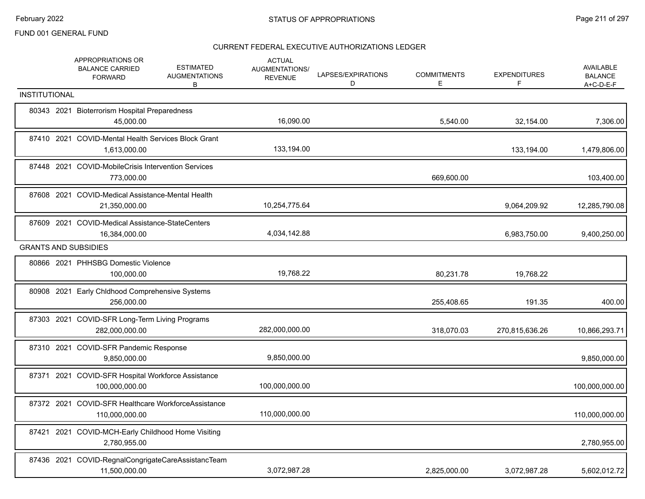|                             | APPROPRIATIONS OR<br><b>BALANCE CARRIED</b><br><b>FORWARD</b>         | <b>ESTIMATED</b><br><b>AUGMENTATIONS</b><br>В | <b>ACTUAL</b><br>AUGMENTATIONS/<br><b>REVENUE</b> | LAPSES/EXPIRATIONS<br>D | <b>COMMITMENTS</b><br>Е | <b>EXPENDITURES</b><br>F | AVAILABLE<br><b>BALANCE</b><br>A+C-D-E-F |
|-----------------------------|-----------------------------------------------------------------------|-----------------------------------------------|---------------------------------------------------|-------------------------|-------------------------|--------------------------|------------------------------------------|
| <b>INSTITUTIONAL</b>        |                                                                       |                                               |                                                   |                         |                         |                          |                                          |
|                             | 80343 2021 Bioterrorism Hospital Preparedness<br>45,000.00            |                                               | 16,090.00                                         |                         | 5,540.00                | 32,154.00                | 7,306.00                                 |
|                             | 87410 2021 COVID-Mental Health Services Block Grant<br>1,613,000.00   |                                               | 133,194.00                                        |                         |                         | 133,194.00               | 1,479,806.00                             |
|                             | 87448 2021 COVID-MobileCrisis Intervention Services<br>773,000.00     |                                               |                                                   |                         | 669,600.00              |                          | 103,400.00                               |
|                             | 87608 2021 COVID-Medical Assistance-Mental Health<br>21,350,000.00    |                                               | 10,254,775.64                                     |                         |                         | 9,064,209.92             | 12,285,790.08                            |
|                             | 87609 2021 COVID-Medical Assistance-StateCenters<br>16,384,000.00     |                                               | 4,034,142.88                                      |                         |                         | 6,983,750.00             | 9,400,250.00                             |
| <b>GRANTS AND SUBSIDIES</b> |                                                                       |                                               |                                                   |                         |                         |                          |                                          |
|                             | 80866 2021 PHHSBG Domestic Violence<br>100,000.00                     |                                               | 19,768.22                                         |                         | 80,231.78               | 19,768.22                |                                          |
|                             | 80908 2021 Early Chldhood Comprehensive Systems<br>256,000.00         |                                               |                                                   |                         | 255,408.65              | 191.35                   | 400.00                                   |
|                             | 87303 2021 COVID-SFR Long-Term Living Programs<br>282,000,000.00      |                                               | 282,000,000.00                                    |                         | 318,070.03              | 270,815,636.26           | 10,866,293.71                            |
|                             | 87310 2021 COVID-SFR Pandemic Response<br>9,850,000.00                |                                               | 9,850,000.00                                      |                         |                         |                          | 9,850,000.00                             |
|                             | 87371 2021 COVID-SFR Hospital Workforce Assistance<br>100,000,000.00  |                                               | 100,000,000.00                                    |                         |                         |                          | 100,000,000.00                           |
|                             | 87372 2021 COVID-SFR Healthcare WorkforceAssistance<br>110,000,000.00 |                                               | 110,000,000.00                                    |                         |                         |                          | 110,000,000.00                           |
| 87421                       | 2021 COVID-MCH-Early Childhood Home Visiting<br>2,780,955.00          |                                               |                                                   |                         |                         |                          | 2,780,955.00                             |
|                             | 87436 2021 COVID-RegnalCongrigateCareAssistancTeam<br>11,500,000.00   |                                               | 3,072,987.28                                      |                         | 2,825,000.00            | 3,072,987.28             | 5,602,012.72                             |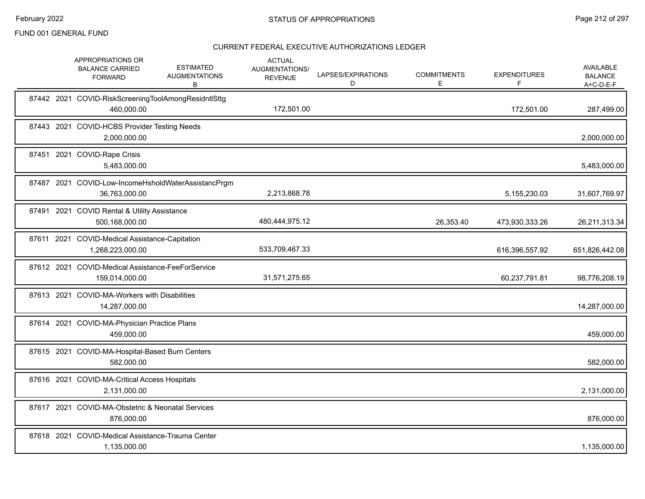|  | APPROPRIATIONS OR<br><b>BALANCE CARRIED</b><br><b>FORWARD</b>        | <b>ESTIMATED</b><br><b>AUGMENTATIONS</b><br>В | <b>ACTUAL</b><br><b>AUGMENTATIONS/</b><br><b>REVENUE</b> | LAPSES/EXPIRATIONS<br>D | <b>COMMITMENTS</b><br>Е | <b>EXPENDITURES</b><br>F | AVAILABLE<br><b>BALANCE</b><br>$A+C-D-E-F$ |
|--|----------------------------------------------------------------------|-----------------------------------------------|----------------------------------------------------------|-------------------------|-------------------------|--------------------------|--------------------------------------------|
|  | 87442 2021 COVID-RiskScreeningToolAmongResidntlSttg<br>460,000.00    |                                               | 172,501.00                                               |                         |                         | 172,501.00               | 287,499.00                                 |
|  | 87443 2021 COVID-HCBS Provider Testing Needs<br>2,000,000.00         |                                               |                                                          |                         |                         |                          | 2,000,000.00                               |
|  | 87451 2021 COVID-Rape Crisis<br>5,483,000.00                         |                                               |                                                          |                         |                         |                          | 5,483,000.00                               |
|  | 87487 2021 COVID-Low-IncomeHsholdWaterAssistancPrgm<br>36,763,000.00 |                                               | 2,213,868.78                                             |                         |                         | 5,155,230.03             | 31,607,769.97                              |
|  | 87491 2021 COVID Rental & Utility Assistance<br>500,168,000.00       |                                               | 480,444,975.12                                           |                         | 26,353.40               | 473,930,333.26           | 26,211,313.34                              |
|  | 87611 2021 COVID-Medical Assistance-Capitation<br>1,268,223,000.00   |                                               | 533,709,467.33                                           |                         |                         | 616,396,557.92           | 651,826,442.08                             |
|  | 87612 2021 COVID-Medical Assistance-FeeForService<br>159,014,000.00  |                                               | 31,571,275.65                                            |                         |                         | 60,237,791.81            | 98,776,208.19                              |
|  | 87613 2021 COVID-MA-Workers with Disabilities<br>14,287,000.00       |                                               |                                                          |                         |                         |                          | 14,287,000.00                              |
|  | 87614 2021 COVID-MA-Physician Practice Plans<br>459,000.00           |                                               |                                                          |                         |                         |                          | 459,000.00                                 |
|  | 87615 2021 COVID-MA-Hospital-Based Burn Centers<br>582,000.00        |                                               |                                                          |                         |                         |                          | 582,000.00                                 |
|  | 87616 2021 COVID-MA-Critical Access Hospitals<br>2,131,000.00        |                                               |                                                          |                         |                         |                          | 2,131,000.00                               |
|  | 87617 2021 COVID-MA-Obstetric & Neonatal Services<br>876,000.00      |                                               |                                                          |                         |                         |                          | 876,000.00                                 |
|  | 87618 2021 COVID-Medical Assistance-Trauma Center<br>1,135,000.00    |                                               |                                                          |                         |                         |                          | 1,135,000.00                               |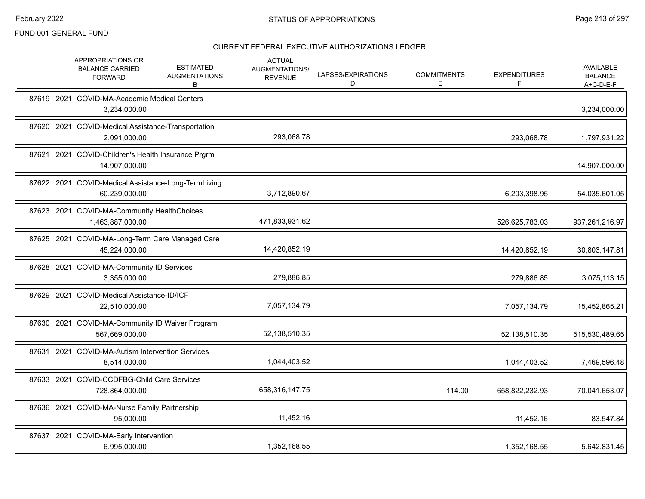|       | APPROPRIATIONS OR<br><b>BALANCE CARRIED</b><br><b>FORWARD</b>        | <b>ESTIMATED</b><br><b>AUGMENTATIONS</b><br>В | <b>ACTUAL</b><br>AUGMENTATIONS/<br><b>REVENUE</b> | LAPSES/EXPIRATIONS<br>D | <b>COMMITMENTS</b><br>E. | <b>EXPENDITURES</b><br>F | <b>AVAILABLE</b><br><b>BALANCE</b><br>$A+C-D-E-F$ |
|-------|----------------------------------------------------------------------|-----------------------------------------------|---------------------------------------------------|-------------------------|--------------------------|--------------------------|---------------------------------------------------|
|       | 87619 2021 COVID-MA-Academic Medical Centers<br>3,234,000.00         |                                               |                                                   |                         |                          |                          | 3,234,000.00                                      |
|       | 87620 2021 COVID-Medical Assistance-Transportation<br>2,091,000.00   |                                               | 293,068.78                                        |                         |                          | 293,068.78               | 1,797,931.22                                      |
|       | 87621 2021 COVID-Children's Health Insurance Prgrm<br>14,907,000.00  |                                               |                                                   |                         |                          |                          | 14,907,000.00                                     |
|       | 87622 2021 COVID-Medical Assistance-Long-TermLiving<br>60,239,000.00 |                                               | 3,712,890.67                                      |                         |                          | 6,203,398.95             | 54,035,601.05                                     |
|       | 87623 2021 COVID-MA-Community HealthChoices<br>1,463,887,000.00      |                                               | 471,833,931.62                                    |                         |                          | 526,625,783.03           | 937,261,216.97                                    |
|       | 87625 2021 COVID-MA-Long-Term Care Managed Care<br>45,224,000.00     |                                               | 14,420,852.19                                     |                         |                          | 14,420,852.19            | 30,803,147.81                                     |
|       | 87628 2021 COVID-MA-Community ID Services<br>3,355,000.00            |                                               | 279,886.85                                        |                         |                          | 279,886.85               | 3,075,113.15                                      |
|       | 87629 2021 COVID-Medical Assistance-ID/ICF<br>22,510,000.00          |                                               | 7,057,134.79                                      |                         |                          | 7,057,134.79             | 15,452,865.21                                     |
|       | 87630 2021 COVID-MA-Community ID Waiver Program<br>567,669,000.00    |                                               | 52,138,510.35                                     |                         |                          | 52,138,510.35            | 515,530,489.65                                    |
| 87631 | 2021 COVID-MA-Autism Intervention Services<br>8,514,000.00           |                                               | 1,044,403.52                                      |                         |                          | 1,044,403.52             | 7,469,596.48                                      |
|       | 87633 2021 COVID-CCDFBG-Child Care Services<br>728,864,000.00        |                                               | 658,316,147.75                                    |                         | 114.00                   | 658,822,232.93           | 70,041,653.07                                     |
|       | 87636 2021 COVID-MA-Nurse Family Partnership<br>95,000.00            |                                               | 11,452.16                                         |                         |                          | 11,452.16                | 83,547.84                                         |
|       | 87637 2021 COVID-MA-Early Intervention<br>6,995,000.00               |                                               | 1,352,168.55                                      |                         |                          | 1,352,168.55             | 5,642,831.45                                      |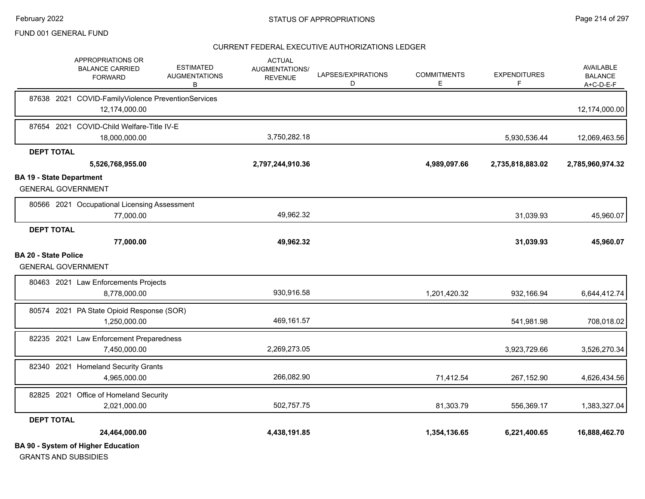|                                 | APPROPRIATIONS OR<br><b>BALANCE CARRIED</b><br><b>FORWARD</b>            | <b>ESTIMATED</b><br><b>AUGMENTATIONS</b><br>В | <b>ACTUAL</b><br>AUGMENTATIONS/<br><b>REVENUE</b> | LAPSES/EXPIRATIONS<br>D | <b>COMMITMENTS</b><br>Е | <b>EXPENDITURES</b><br>F | <b>AVAILABLE</b><br><b>BALANCE</b><br>A+C-D-E-F |
|---------------------------------|--------------------------------------------------------------------------|-----------------------------------------------|---------------------------------------------------|-------------------------|-------------------------|--------------------------|-------------------------------------------------|
|                                 | 87638 2021 COVID-FamilyViolence PreventionServices<br>12,174,000.00      |                                               |                                                   |                         |                         |                          | 12,174,000.00                                   |
|                                 | 87654 2021 COVID-Child Welfare-Title IV-E<br>18,000,000.00               |                                               | 3,750,282.18                                      |                         |                         | 5,930,536.44             | 12,069,463.56                                   |
| <b>DEPT TOTAL</b>               |                                                                          |                                               |                                                   |                         |                         |                          |                                                 |
|                                 | 5,526,768,955.00                                                         |                                               | 2,797,244,910.36                                  |                         | 4,989,097.66            | 2,735,818,883.02         | 2,785,960,974.32                                |
| <b>BA 19 - State Department</b> | <b>GENERAL GOVERNMENT</b>                                                |                                               |                                                   |                         |                         |                          |                                                 |
|                                 | 80566 2021 Occupational Licensing Assessment<br>77,000.00                |                                               | 49,962.32                                         |                         |                         | 31,039.93                | 45,960.07                                       |
| <b>DEPT TOTAL</b>               |                                                                          |                                               |                                                   |                         |                         |                          |                                                 |
|                                 | 77,000.00                                                                |                                               | 49,962.32                                         |                         |                         | 31,039.93                | 45,960.07                                       |
| <b>BA 20 - State Police</b>     | <b>GENERAL GOVERNMENT</b>                                                |                                               |                                                   |                         |                         |                          |                                                 |
|                                 | 80463 2021 Law Enforcements Projects<br>8,778,000.00                     |                                               | 930,916.58                                        |                         | 1,201,420.32            | 932,166.94               | 6,644,412.74                                    |
|                                 | 80574 2021 PA State Opioid Response (SOR)<br>1,250,000.00                |                                               | 469,161.57                                        |                         |                         | 541,981.98               | 708,018.02                                      |
|                                 | 82235 2021 Law Enforcement Preparedness<br>7,450,000.00                  |                                               | 2,269,273.05                                      |                         |                         | 3,923,729.66             | 3,526,270.34                                    |
|                                 | 82340 2021 Homeland Security Grants<br>4,965,000.00                      |                                               | 266,082.90                                        |                         | 71,412.54               | 267,152.90               | 4,626,434.56                                    |
|                                 | 82825 2021 Office of Homeland Security<br>2,021,000.00                   |                                               | 502,757.75                                        |                         | 81,303.79               | 556,369.17               | 1,383,327.04                                    |
| <b>DEPT TOTAL</b>               |                                                                          |                                               |                                                   |                         |                         |                          |                                                 |
|                                 | 24,464,000.00                                                            |                                               | 4,438,191.85                                      |                         | 1,354,136.65            | 6,221,400.65             | 16,888,462.70                                   |
|                                 | <b>BA 90 - System of Higher Education</b><br><b>GRANTS AND SUBSIDIES</b> |                                               |                                                   |                         |                         |                          |                                                 |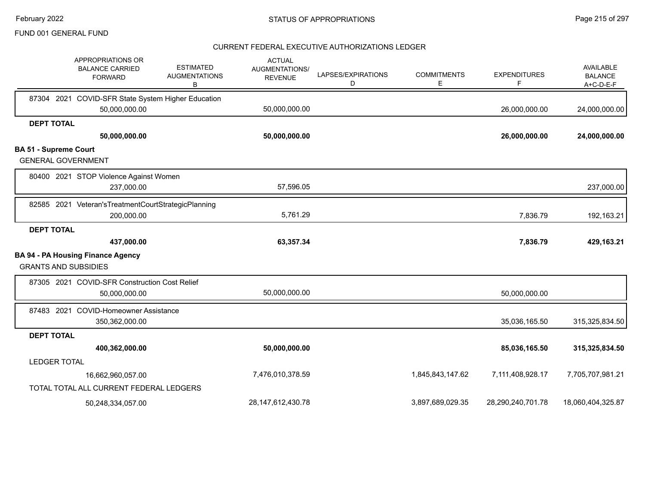| APPROPRIATIONS OR<br><b>BALANCE CARRIED</b><br><b>FORWARD</b> | <b>ESTIMATED</b><br><b>AUGMENTATIONS</b><br>В | <b>ACTUAL</b><br><b>AUGMENTATIONS/</b><br><b>REVENUE</b> | LAPSES/EXPIRATIONS<br>D | <b>COMMITMENTS</b><br>E | <b>EXPENDITURES</b><br>F | <b>AVAILABLE</b><br><b>BALANCE</b><br>A+C-D-E-F |
|---------------------------------------------------------------|-----------------------------------------------|----------------------------------------------------------|-------------------------|-------------------------|--------------------------|-------------------------------------------------|
| 87304 2021 COVID-SFR State System Higher Education            |                                               |                                                          |                         |                         |                          |                                                 |
| 50,000,000.00                                                 |                                               | 50,000,000.00                                            |                         |                         | 26,000,000.00            | 24,000,000.00                                   |
| <b>DEPT TOTAL</b>                                             |                                               |                                                          |                         |                         |                          |                                                 |
| 50,000,000.00                                                 |                                               | 50,000,000.00                                            |                         |                         | 26,000,000.00            | 24,000,000.00                                   |
| <b>BA 51 - Supreme Court</b><br><b>GENERAL GOVERNMENT</b>     |                                               |                                                          |                         |                         |                          |                                                 |
| 80400 2021 STOP Violence Against Women                        |                                               |                                                          |                         |                         |                          |                                                 |
| 237,000.00                                                    |                                               | 57,596.05                                                |                         |                         |                          | 237,000.00                                      |
| 82585 2021 Veteran's Treatment Court Strategic Planning       |                                               |                                                          |                         |                         |                          |                                                 |
| 200,000.00                                                    |                                               | 5,761.29                                                 |                         |                         | 7,836.79                 | 192,163.21                                      |
| <b>DEPT TOTAL</b>                                             |                                               |                                                          |                         |                         |                          |                                                 |
| 437,000.00                                                    |                                               | 63,357.34                                                |                         |                         | 7,836.79                 | 429,163.21                                      |
| <b>BA 94 - PA Housing Finance Agency</b>                      |                                               |                                                          |                         |                         |                          |                                                 |
| <b>GRANTS AND SUBSIDIES</b>                                   |                                               |                                                          |                         |                         |                          |                                                 |
| 87305 2021 COVID-SFR Construction Cost Relief                 |                                               |                                                          |                         |                         |                          |                                                 |
| 50,000,000.00                                                 |                                               | 50,000,000.00                                            |                         |                         | 50,000,000.00            |                                                 |
| 87483 2021 COVID-Homeowner Assistance                         |                                               |                                                          |                         |                         |                          |                                                 |
| 350,362,000.00                                                |                                               |                                                          |                         |                         | 35,036,165.50            | 315,325,834.50                                  |
| <b>DEPT TOTAL</b>                                             |                                               |                                                          |                         |                         |                          |                                                 |
| 400,362,000.00                                                |                                               | 50,000,000.00                                            |                         |                         | 85,036,165.50            | 315,325,834.50                                  |
| <b>LEDGER TOTAL</b>                                           |                                               |                                                          |                         |                         |                          |                                                 |
| 16,662,960,057.00                                             |                                               | 7,476,010,378.59                                         |                         | 1,845,843,147.62        | 7,111,408,928.17         | 7,705,707,981.21                                |
| TOTAL TOTAL ALL CURRENT FEDERAL LEDGERS                       |                                               |                                                          |                         |                         |                          |                                                 |
| 50,248,334,057.00                                             |                                               | 28, 147, 612, 430. 78                                    |                         | 3,897,689,029.35        | 28,290,240,701.78        | 18,060,404,325.87                               |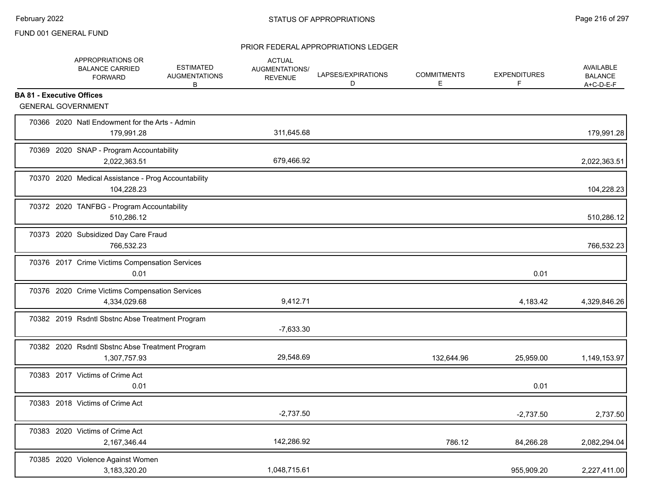# PRIOR FEDERAL APPROPRIATIONS LEDGER

|                                  | APPROPRIATIONS OR<br><b>BALANCE CARRIED</b><br><b>FORWARD</b>     | <b>ESTIMATED</b><br><b>AUGMENTATIONS</b><br>В | <b>ACTUAL</b><br>AUGMENTATIONS/<br><b>REVENUE</b> | LAPSES/EXPIRATIONS<br>D | <b>COMMITMENTS</b><br>E | <b>EXPENDITURES</b><br>F | <b>AVAILABLE</b><br><b>BALANCE</b><br>A+C-D-E-F |
|----------------------------------|-------------------------------------------------------------------|-----------------------------------------------|---------------------------------------------------|-------------------------|-------------------------|--------------------------|-------------------------------------------------|
| <b>BA 81 - Executive Offices</b> |                                                                   |                                               |                                                   |                         |                         |                          |                                                 |
|                                  | <b>GENERAL GOVERNMENT</b>                                         |                                               |                                                   |                         |                         |                          |                                                 |
|                                  | 70366 2020 Natl Endowment for the Arts - Admin<br>179,991.28      |                                               | 311,645.68                                        |                         |                         |                          | 179,991.28                                      |
|                                  | 70369 2020 SNAP - Program Accountability<br>2,022,363.51          |                                               | 679,466.92                                        |                         |                         |                          | 2,022,363.51                                    |
|                                  | 70370 2020 Medical Assistance - Prog Accountability<br>104,228.23 |                                               |                                                   |                         |                         |                          | 104,228.23                                      |
|                                  | 70372 2020 TANFBG - Program Accountability<br>510,286.12          |                                               |                                                   |                         |                         |                          | 510,286.12                                      |
|                                  | 70373 2020 Subsidized Day Care Fraud<br>766,532.23                |                                               |                                                   |                         |                         |                          | 766,532.23                                      |
|                                  | 70376 2017 Crime Victims Compensation Services<br>0.01            |                                               |                                                   |                         |                         | 0.01                     |                                                 |
|                                  | 70376 2020 Crime Victims Compensation Services<br>4,334,029.68    |                                               | 9,412.71                                          |                         |                         | 4,183.42                 | 4,329,846.26                                    |
|                                  | 70382 2019 Rsdntl Sbstnc Abse Treatment Program                   |                                               | $-7,633.30$                                       |                         |                         |                          |                                                 |
|                                  | 70382 2020 Rsdntl Sbstnc Abse Treatment Program<br>1,307,757.93   |                                               | 29,548.69                                         |                         | 132,644.96              | 25,959.00                | 1,149,153.97                                    |
|                                  | 70383 2017 Victims of Crime Act<br>0.01                           |                                               |                                                   |                         |                         | 0.01                     |                                                 |
|                                  | 70383 2018 Victims of Crime Act                                   |                                               | $-2,737.50$                                       |                         |                         | $-2,737.50$              | 2,737.50                                        |
|                                  | 70383 2020 Victims of Crime Act<br>2,167,346.44                   |                                               | 142,286.92                                        |                         | 786.12                  | 84,266.28                | 2,082,294.04                                    |
|                                  | 70385 2020 Violence Against Women<br>3,183,320.20                 |                                               | 1,048,715.61                                      |                         |                         | 955,909.20               | 2,227,411.00                                    |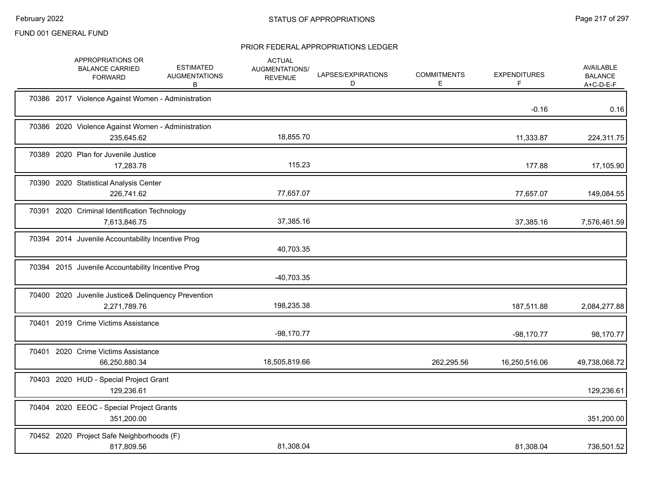|       | APPROPRIATIONS OR<br><b>BALANCE CARRIED</b><br><b>FORWARD</b>       | <b>ESTIMATED</b><br><b>AUGMENTATIONS</b><br>В | <b>ACTUAL</b><br>AUGMENTATIONS/<br><b>REVENUE</b> | LAPSES/EXPIRATIONS<br>D | <b>COMMITMENTS</b><br>E. | <b>EXPENDITURES</b> | <b>AVAILABLE</b><br><b>BALANCE</b><br>$A+C-D-E-F$ |
|-------|---------------------------------------------------------------------|-----------------------------------------------|---------------------------------------------------|-------------------------|--------------------------|---------------------|---------------------------------------------------|
|       | 70386 2017 Violence Against Women - Administration                  |                                               |                                                   |                         |                          | $-0.16$             | 0.16                                              |
|       | 70386 2020 Violence Against Women - Administration<br>235,645.62    |                                               | 18,855.70                                         |                         |                          | 11,333.87           | 224,311.75                                        |
|       | 70389 2020 Plan for Juvenile Justice<br>17,283.78                   |                                               | 115.23                                            |                         |                          | 177.88              | 17,105.90                                         |
|       | 70390 2020 Statistical Analysis Center<br>226,741.62                |                                               | 77,657.07                                         |                         |                          | 77,657.07           | 149,084.55                                        |
| 70391 | 2020 Criminal Identification Technology<br>7,613,846.75             |                                               | 37,385.16                                         |                         |                          | 37,385.16           | 7,576,461.59                                      |
|       | 70394 2014 Juvenile Accountability Incentive Prog                   |                                               | 40,703.35                                         |                         |                          |                     |                                                   |
|       | 70394 2015 Juvenile Accountability Incentive Prog                   |                                               | $-40,703.35$                                      |                         |                          |                     |                                                   |
|       | 70400 2020 Juvenile Justice& Delinquency Prevention<br>2,271,789.76 |                                               | 198,235.38                                        |                         |                          | 187,511.88          | 2,084,277.88                                      |
|       | 70401 2019 Crime Victims Assistance                                 |                                               | $-98,170.77$                                      |                         |                          | $-98,170.77$        | 98,170.77                                         |
|       | 70401 2020 Crime Victims Assistance<br>66,250,880.34                |                                               | 18,505,819.66                                     |                         | 262,295.56               | 16,250,516.06       | 49,738,068.72                                     |
|       | 70403 2020 HUD - Special Project Grant<br>129,236.61                |                                               |                                                   |                         |                          |                     | 129,236.61                                        |
|       | 70404 2020 EEOC - Special Project Grants<br>351,200.00              |                                               |                                                   |                         |                          |                     | 351,200.00                                        |
|       | 70452 2020 Project Safe Neighborhoods (F)<br>817,809.56             |                                               | 81,308.04                                         |                         |                          | 81,308.04           | 736,501.52                                        |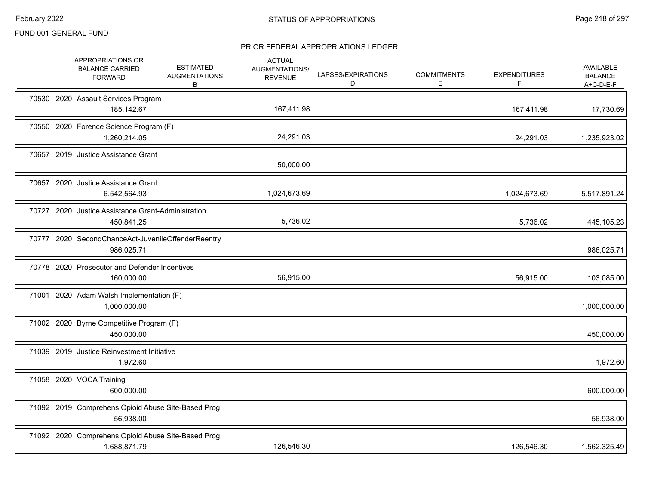| APPROPRIATIONS OR<br><b>BALANCE CARRIED</b><br><b>FORWARD</b>    | <b>ESTIMATED</b><br><b>AUGMENTATIONS</b><br>B      | <b>ACTUAL</b><br><b>AUGMENTATIONS/</b><br><b>REVENUE</b> | LAPSES/EXPIRATIONS<br>D | <b>COMMITMENTS</b><br>Е | <b>EXPENDITURES</b><br>F | AVAILABLE<br><b>BALANCE</b><br>$A+C-D-E-F$ |
|------------------------------------------------------------------|----------------------------------------------------|----------------------------------------------------------|-------------------------|-------------------------|--------------------------|--------------------------------------------|
| 70530 2020 Assault Services Program<br>185,142.67                |                                                    | 167,411.98                                               |                         |                         | 167,411.98               | 17,730.69                                  |
| 70550 2020 Forence Science Program (F)<br>1,260,214.05           |                                                    | 24,291.03                                                |                         |                         | 24,291.03                | 1,235,923.02                               |
| 70657 2019 Justice Assistance Grant                              |                                                    | 50,000.00                                                |                         |                         |                          |                                            |
| 70657 2020 Justice Assistance Grant<br>6,542,564.93              |                                                    | 1,024,673.69                                             |                         |                         | 1,024,673.69             | 5,517,891.24                               |
| 70727 2020 Justice Assistance Grant-Administration<br>450,841.25 |                                                    | 5,736.02                                                 |                         |                         | 5,736.02                 | 445,105.23                                 |
| 986,025.71                                                       | 70777 2020 SecondChanceAct-JuvenileOffenderReentry |                                                          |                         |                         |                          | 986,025.71                                 |
| 70778 2020 Prosecutor and Defender Incentives<br>160,000.00      |                                                    | 56,915.00                                                |                         |                         | 56,915.00                | 103,085.00                                 |
| 71001 2020 Adam Walsh Implementation (F)<br>1,000,000.00         |                                                    |                                                          |                         |                         |                          | 1,000,000.00                               |
| 71002 2020 Byrne Competitive Program (F)<br>450,000.00           |                                                    |                                                          |                         |                         |                          | 450,000.00                                 |
| 71039 2019 Justice Reinvestment Initiative<br>1,972.60           |                                                    |                                                          |                         |                         |                          | 1,972.60                                   |
| 71058 2020 VOCA Training<br>600.000.00                           |                                                    |                                                          |                         |                         |                          | 600,000.00                                 |
| 56,938.00                                                        | 71092 2019 Comprehens Opioid Abuse Site-Based Prog |                                                          |                         |                         |                          | 56,938.00                                  |
| 1,688,871.79                                                     | 71092 2020 Comprehens Opioid Abuse Site-Based Prog | 126,546.30                                               |                         |                         | 126,546.30               | 1,562,325.49                               |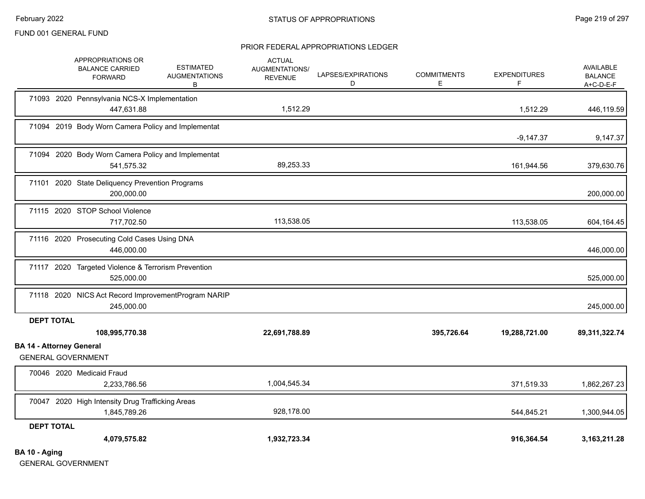#### PRIOR FEDERAL APPROPRIATIONS LEDGER

|                                 | APPROPRIATIONS OR<br><b>BALANCE CARRIED</b><br><b>FORWARD</b>     | <b>ESTIMATED</b><br><b>AUGMENTATIONS</b><br>В | <b>ACTUAL</b><br>AUGMENTATIONS/<br><b>REVENUE</b> | LAPSES/EXPIRATIONS<br>D | <b>COMMITMENTS</b><br>Е | <b>EXPENDITURES</b><br>F | AVAILABLE<br><b>BALANCE</b><br>$A+C-D-E-F$ |
|---------------------------------|-------------------------------------------------------------------|-----------------------------------------------|---------------------------------------------------|-------------------------|-------------------------|--------------------------|--------------------------------------------|
|                                 | 71093 2020 Pennsylvania NCS-X Implementation<br>447,631.88        |                                               | 1,512.29                                          |                         |                         | 1,512.29                 | 446,119.59                                 |
|                                 | 71094 2019 Body Worn Camera Policy and Implementat                |                                               |                                                   |                         |                         | $-9,147.37$              | 9,147.37                                   |
|                                 | 71094 2020 Body Worn Camera Policy and Implementat<br>541,575.32  |                                               | 89,253.33                                         |                         |                         | 161,944.56               | 379,630.76                                 |
|                                 | 71101 2020 State Deliquency Prevention Programs<br>200,000.00     |                                               |                                                   |                         |                         |                          | 200,000.00                                 |
|                                 | 71115 2020 STOP School Violence<br>717,702.50                     |                                               | 113,538.05                                        |                         |                         | 113,538.05               | 604,164.45                                 |
|                                 | 71116 2020 Prosecuting Cold Cases Using DNA<br>446,000.00         |                                               |                                                   |                         |                         |                          | 446,000.00                                 |
|                                 | 71117 2020 Targeted Violence & Terrorism Prevention<br>525,000.00 |                                               |                                                   |                         |                         |                          | 525,000.00                                 |
|                                 | 71118 2020 NICS Act Record ImprovementProgram NARIP<br>245,000.00 |                                               |                                                   |                         |                         |                          | 245,000.00                                 |
| <b>DEPT TOTAL</b>               | 108,995,770.38                                                    |                                               | 22,691,788.89                                     |                         | 395,726.64              | 19,288,721.00            | 89,311,322.74                              |
| <b>BA 14 - Attorney General</b> | <b>GENERAL GOVERNMENT</b>                                         |                                               |                                                   |                         |                         |                          |                                            |
|                                 | 70046 2020 Medicaid Fraud<br>2,233,786.56                         |                                               | 1,004,545.34                                      |                         |                         | 371,519.33               | 1,862,267.23                               |
|                                 | 70047 2020 High Intensity Drug Trafficking Areas<br>1,845,789.26  |                                               | 928,178.00                                        |                         |                         | 544,845.21               | 1,300,944.05                               |
| <b>DEPT TOTAL</b>               |                                                                   |                                               |                                                   |                         |                         |                          |                                            |
| BA 10 - Aging                   | 4,079,575.82                                                      |                                               | 1,932,723.34                                      |                         |                         | 916,364.54               | 3, 163, 211. 28                            |

GENERAL GOVERNMENT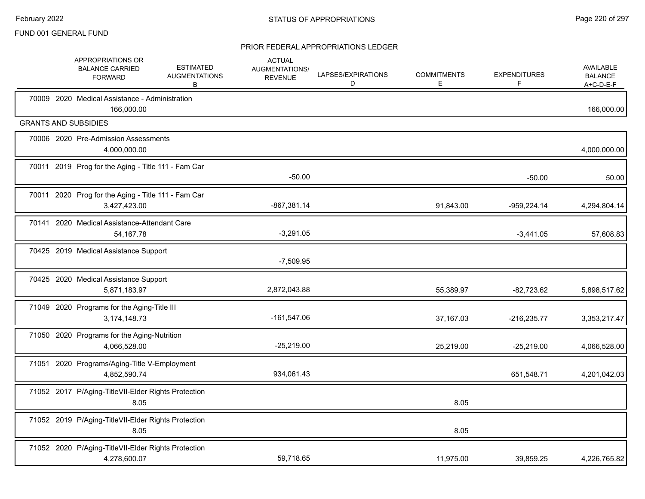|  | APPROPRIATIONS OR<br><b>BALANCE CARRIED</b><br><b>FORWARD</b>       | <b>ESTIMATED</b><br><b>AUGMENTATIONS</b><br>В | <b>ACTUAL</b><br>AUGMENTATIONS/<br><b>REVENUE</b> | LAPSES/EXPIRATIONS<br>D | <b>COMMITMENTS</b><br>E. | <b>EXPENDITURES</b><br>F | <b>AVAILABLE</b><br><b>BALANCE</b><br>A+C-D-E-F |
|--|---------------------------------------------------------------------|-----------------------------------------------|---------------------------------------------------|-------------------------|--------------------------|--------------------------|-------------------------------------------------|
|  | 70009 2020 Medical Assistance - Administration<br>166,000.00        |                                               |                                                   |                         |                          |                          | 166,000.00                                      |
|  | <b>GRANTS AND SUBSIDIES</b>                                         |                                               |                                                   |                         |                          |                          |                                                 |
|  | 70006 2020 Pre-Admission Assessments<br>4,000,000.00                |                                               |                                                   |                         |                          |                          | 4,000,000.00                                    |
|  | 70011 2019 Prog for the Aging - Title 111 - Fam Car                 |                                               | $-50.00$                                          |                         |                          | $-50.00$                 | 50.00                                           |
|  | 70011 2020 Prog for the Aging - Title 111 - Fam Car<br>3,427,423.00 |                                               | $-867,381.14$                                     |                         | 91,843.00                | $-959,224.14$            | 4,294,804.14                                    |
|  | 70141 2020 Medical Assistance-Attendant Care<br>54, 167. 78         |                                               | $-3,291.05$                                       |                         |                          | $-3,441.05$              | 57,608.83                                       |
|  | 70425 2019 Medical Assistance Support                               |                                               | $-7,509.95$                                       |                         |                          |                          |                                                 |
|  | 70425 2020 Medical Assistance Support<br>5,871,183.97               |                                               | 2,872,043.88                                      |                         | 55,389.97                | $-82,723.62$             | 5,898,517.62                                    |
|  | 71049 2020 Programs for the Aging-Title III<br>3,174,148.73         |                                               | $-161,547.06$                                     |                         | 37,167.03                | $-216,235.77$            | 3,353,217.47                                    |
|  | 71050 2020 Programs for the Aging-Nutrition<br>4,066,528.00         |                                               | $-25,219.00$                                      |                         | 25,219.00                | $-25,219.00$             | 4,066,528.00                                    |
|  | 71051 2020 Programs/Aging-Title V-Employment<br>4.852.590.74        |                                               | 934,061.43                                        |                         |                          | 651,548.71               | 4,201,042.03                                    |
|  | 71052 2017 P/Aging-TitleVII-Elder Rights Protection<br>8.05         |                                               |                                                   |                         | 8.05                     |                          |                                                 |
|  | 71052 2019 P/Aging-TitleVII-Elder Rights Protection<br>8.05         |                                               |                                                   |                         | 8.05                     |                          |                                                 |
|  | 71052 2020 P/Aging-TitleVII-Elder Rights Protection<br>4,278,600.07 |                                               | 59,718.65                                         |                         | 11,975.00                | 39,859.25                | 4,226,765.82                                    |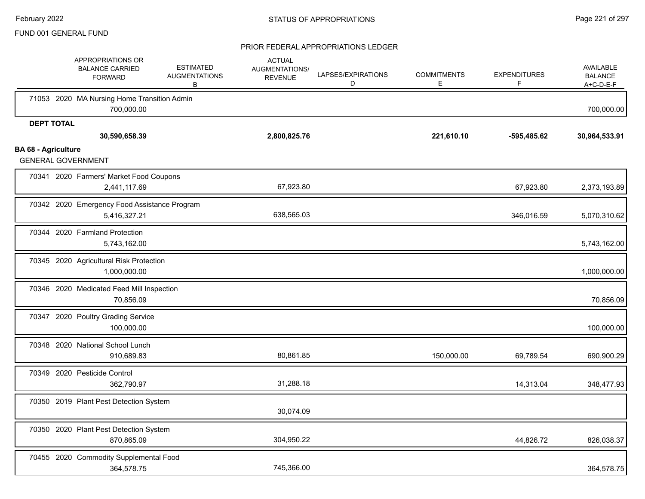|                            | APPROPRIATIONS OR<br><b>BALANCE CARRIED</b><br><b>FORWARD</b> | <b>ESTIMATED</b><br><b>AUGMENTATIONS</b><br>В | <b>ACTUAL</b><br>AUGMENTATIONS/<br><b>REVENUE</b> | LAPSES/EXPIRATIONS<br>D | <b>COMMITMENTS</b><br>E. | <b>EXPENDITURES</b> | <b>AVAILABLE</b><br><b>BALANCE</b><br>A+C-D-E-F |
|----------------------------|---------------------------------------------------------------|-----------------------------------------------|---------------------------------------------------|-------------------------|--------------------------|---------------------|-------------------------------------------------|
|                            | 71053 2020 MA Nursing Home Transition Admin<br>700,000.00     |                                               |                                                   |                         |                          |                     | 700,000.00                                      |
|                            | <b>DEPT TOTAL</b><br>30,590,658.39                            |                                               | 2,800,825.76                                      |                         | 221,610.10               | -595,485.62         | 30,964,533.91                                   |
| <b>BA 68 - Agriculture</b> | <b>GENERAL GOVERNMENT</b>                                     |                                               |                                                   |                         |                          |                     |                                                 |
|                            | 70341 2020 Farmers' Market Food Coupons<br>2,441,117.69       |                                               | 67,923.80                                         |                         |                          | 67,923.80           | 2,373,193.89                                    |
|                            | 70342 2020 Emergency Food Assistance Program<br>5,416,327.21  |                                               | 638,565.03                                        |                         |                          | 346,016.59          | 5,070,310.62                                    |
|                            | 70344 2020 Farmland Protection<br>5,743,162.00                |                                               |                                                   |                         |                          |                     | 5,743,162.00                                    |
|                            | 70345 2020 Agricultural Risk Protection<br>1,000,000.00       |                                               |                                                   |                         |                          |                     | 1,000,000.00                                    |
|                            | 70346 2020 Medicated Feed Mill Inspection<br>70,856.09        |                                               |                                                   |                         |                          |                     | 70,856.09                                       |
|                            | 70347 2020 Poultry Grading Service<br>100,000.00              |                                               |                                                   |                         |                          |                     | 100,000.00                                      |
|                            | 70348 2020 National School Lunch<br>910,689.83                |                                               | 80,861.85                                         |                         | 150,000.00               | 69,789.54           | 690,900.29                                      |
|                            | 70349 2020 Pesticide Control<br>362,790.97                    |                                               | 31,288.18                                         |                         |                          | 14,313.04           | 348,477.93                                      |
|                            | 70350 2019 Plant Pest Detection System                        |                                               | 30,074.09                                         |                         |                          |                     |                                                 |
|                            | 70350 2020 Plant Pest Detection System<br>870,865.09          |                                               | 304,950.22                                        |                         |                          | 44,826.72           | 826,038.37                                      |
|                            | 70455 2020 Commodity Supplemental Food<br>364,578.75          |                                               | 745,366.00                                        |                         |                          |                     | 364,578.75                                      |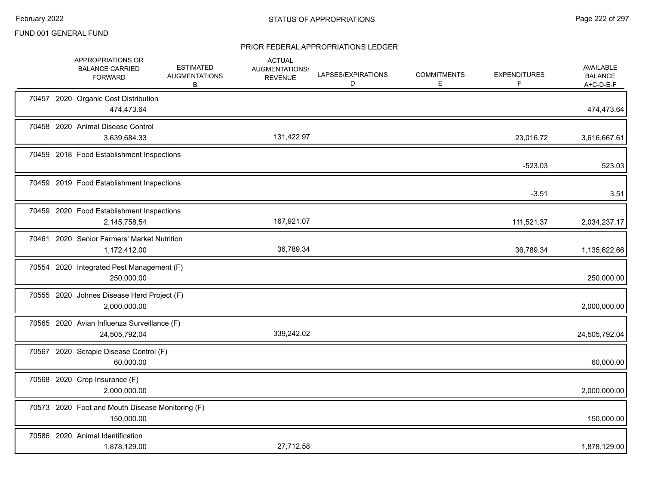|       | APPROPRIATIONS OR<br><b>BALANCE CARRIED</b><br><b>FORWARD</b>  | <b>ESTIMATED</b><br><b>AUGMENTATIONS</b><br>В | <b>ACTUAL</b><br>AUGMENTATIONS/<br><b>REVENUE</b> | LAPSES/EXPIRATIONS<br>D | <b>COMMITMENTS</b><br>Е | <b>EXPENDITURES</b><br>F | AVAILABLE<br><b>BALANCE</b><br>$A+C-D-E-F$ |
|-------|----------------------------------------------------------------|-----------------------------------------------|---------------------------------------------------|-------------------------|-------------------------|--------------------------|--------------------------------------------|
|       | 70457 2020 Organic Cost Distribution<br>474,473.64             |                                               |                                                   |                         |                         |                          | 474,473.64                                 |
|       | 70458 2020 Animal Disease Control<br>3,639,684.33              |                                               | 131,422.97                                        |                         |                         | 23,016.72                | 3,616,667.61                               |
|       | 70459 2018 Food Establishment Inspections                      |                                               |                                                   |                         |                         | $-523.03$                | 523.03                                     |
|       | 70459 2019 Food Establishment Inspections                      |                                               |                                                   |                         |                         | $-3.51$                  | 3.51                                       |
|       | 70459 2020 Food Establishment Inspections<br>2,145,758.54      |                                               | 167,921.07                                        |                         |                         | 111,521.37               | 2,034,237.17                               |
|       | 70461 2020 Senior Farmers' Market Nutrition<br>1,172,412.00    |                                               | 36,789.34                                         |                         |                         | 36,789.34                | 1,135,622.66                               |
|       | 70554 2020 Integrated Pest Management (F)<br>250,000.00        |                                               |                                                   |                         |                         |                          | 250,000.00                                 |
|       | 70555 2020 Johnes Disease Herd Project (F)<br>2,000,000.00     |                                               |                                                   |                         |                         |                          | 2,000,000.00                               |
|       | 70565 2020 Avian Influenza Surveillance (F)<br>24,505,792.04   |                                               | 339,242.02                                        |                         |                         |                          | 24,505,792.04                              |
| 70567 | 2020 Scrapie Disease Control (F)<br>60,000.00                  |                                               |                                                   |                         |                         |                          | 60,000.00                                  |
|       | 70568 2020 Crop Insurance (F)<br>2,000,000.00                  |                                               |                                                   |                         |                         |                          | 2,000,000.00                               |
|       | 70573 2020 Foot and Mouth Disease Monitoring (F)<br>150,000.00 |                                               |                                                   |                         |                         |                          | 150,000.00                                 |
|       | 70586 2020 Animal Identification<br>1,878,129.00               |                                               | 27,712.58                                         |                         |                         |                          | 1,878,129.00                               |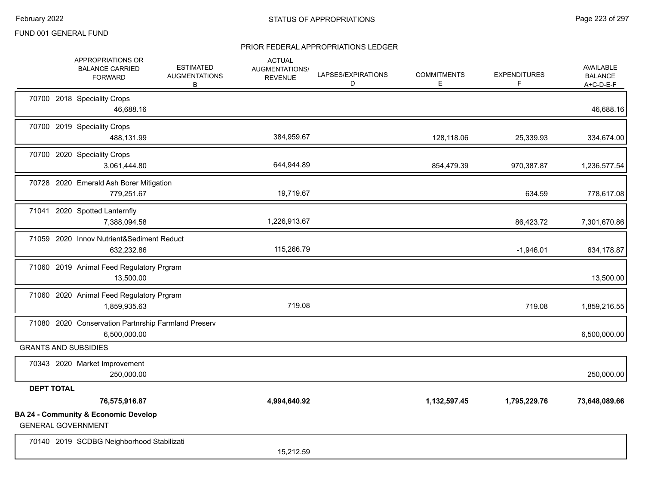|                   | APPROPRIATIONS OR<br><b>BALANCE CARRIED</b><br><b>FORWARD</b>                | <b>ESTIMATED</b><br><b>AUGMENTATIONS</b><br>В | <b>ACTUAL</b><br>AUGMENTATIONS/<br><b>REVENUE</b> | LAPSES/EXPIRATIONS<br>D | <b>COMMITMENTS</b><br>Е | <b>EXPENDITURES</b><br>F | AVAILABLE<br><b>BALANCE</b><br>$A+C-D-E-F$ |
|-------------------|------------------------------------------------------------------------------|-----------------------------------------------|---------------------------------------------------|-------------------------|-------------------------|--------------------------|--------------------------------------------|
|                   | 70700 2018 Speciality Crops<br>46,688.16                                     |                                               |                                                   |                         |                         |                          | 46,688.16                                  |
|                   | 70700 2019 Speciality Crops<br>488,131.99                                    |                                               | 384,959.67                                        |                         | 128,118.06              | 25,339.93                | 334,674.00                                 |
|                   | 70700 2020 Speciality Crops<br>3,061,444.80                                  |                                               | 644,944.89                                        |                         | 854,479.39              | 970,387.87               | 1,236,577.54                               |
|                   | 70728 2020 Emerald Ash Borer Mitigation<br>779,251.67                        |                                               | 19,719.67                                         |                         |                         | 634.59                   | 778,617.08                                 |
|                   | 71041 2020 Spotted Lanternfly<br>7,388,094.58                                |                                               | 1,226,913.67                                      |                         |                         | 86,423.72                | 7,301,670.86                               |
|                   | 71059 2020 Innov Nutrient&Sediment Reduct<br>632,232.86                      |                                               | 115,266.79                                        |                         |                         | $-1,946.01$              | 634,178.87                                 |
|                   | 71060 2019 Animal Feed Regulatory Prgram<br>13,500.00                        |                                               |                                                   |                         |                         |                          | 13,500.00                                  |
|                   | 71060 2020 Animal Feed Regulatory Prgram<br>1,859,935.63                     |                                               | 719.08                                            |                         |                         | 719.08                   | 1,859,216.55                               |
|                   | 71080 2020 Conservation Partnrship Farmland Preserv<br>6,500,000.00          |                                               |                                                   |                         |                         |                          | 6,500,000.00                               |
|                   | <b>GRANTS AND SUBSIDIES</b>                                                  |                                               |                                                   |                         |                         |                          |                                            |
|                   | 70343 2020 Market Improvement<br>250,000.00                                  |                                               |                                                   |                         |                         |                          | 250,000.00                                 |
| <b>DEPT TOTAL</b> |                                                                              |                                               |                                                   |                         |                         |                          |                                            |
|                   | 76,575,916.87                                                                |                                               | 4,994,640.92                                      |                         | 1,132,597.45            | 1,795,229.76             | 73,648,089.66                              |
|                   | <b>BA 24 - Community &amp; Economic Develop</b><br><b>GENERAL GOVERNMENT</b> |                                               |                                                   |                         |                         |                          |                                            |
|                   | 70140 2019 SCDBG Neighborhood Stabilizati                                    |                                               | 15.212.59                                         |                         |                         |                          |                                            |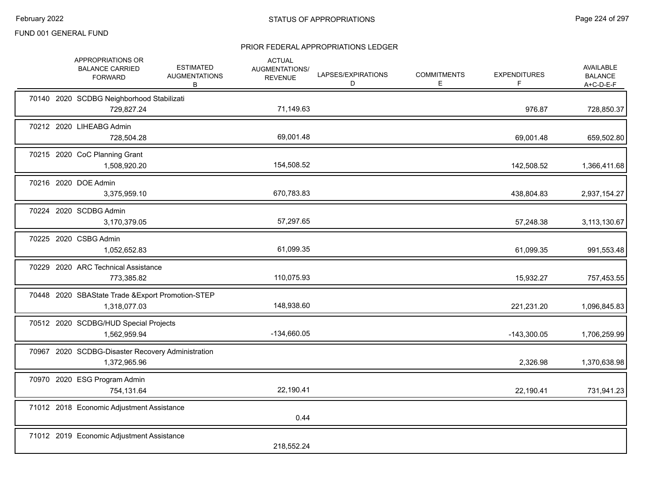|  | APPROPRIATIONS OR<br><b>BALANCE CARRIED</b><br><b>FORWARD</b>     | <b>ESTIMATED</b><br><b>AUGMENTATIONS</b><br>В | <b>ACTUAL</b><br>AUGMENTATIONS/<br><b>REVENUE</b> | LAPSES/EXPIRATIONS<br>D | <b>COMMITMENTS</b><br>Е | <b>EXPENDITURES</b><br>F | AVAILABLE<br><b>BALANCE</b><br>A+C-D-E-F |
|--|-------------------------------------------------------------------|-----------------------------------------------|---------------------------------------------------|-------------------------|-------------------------|--------------------------|------------------------------------------|
|  | 70140 2020 SCDBG Neighborhood Stabilizati<br>729,827.24           |                                               | 71,149.63                                         |                         |                         | 976.87                   | 728,850.37                               |
|  | 70212 2020 LIHEABG Admin<br>728,504.28                            |                                               | 69,001.48                                         |                         |                         | 69,001.48                | 659,502.80                               |
|  | 70215 2020 CoC Planning Grant<br>1,508,920.20                     |                                               | 154,508.52                                        |                         |                         | 142,508.52               | 1,366,411.68                             |
|  | 70216 2020 DOE Admin<br>3,375,959.10                              |                                               | 670,783.83                                        |                         |                         | 438,804.83               | 2,937,154.27                             |
|  | 70224 2020 SCDBG Admin<br>3,170,379.05                            |                                               | 57,297.65                                         |                         |                         | 57,248.38                | 3,113,130.67                             |
|  | 70225 2020 CSBG Admin<br>1,052,652.83                             |                                               | 61,099.35                                         |                         |                         | 61,099.35                | 991,553.48                               |
|  | 70229 2020 ARC Technical Assistance<br>773,385.82                 |                                               | 110,075.93                                        |                         |                         | 15,932.27                | 757,453.55                               |
|  | 70448 2020 SBAState Trade & Export Promotion-STEP<br>1,318,077.03 |                                               | 148,938.60                                        |                         |                         | 221,231.20               | 1,096,845.83                             |
|  | 70512 2020 SCDBG/HUD Special Projects<br>1,562,959.94             |                                               | -134,660.05                                       |                         |                         | $-143,300.05$            | 1,706,259.99                             |
|  | 70967 2020 SCDBG-Disaster Recovery Administration<br>1,372,965.96 |                                               |                                                   |                         |                         | 2,326.98                 | 1,370,638.98                             |
|  | 70970 2020 ESG Program Admin<br>754,131.64                        |                                               | 22,190.41                                         |                         |                         | 22,190.41                | 731,941.23                               |
|  | 71012 2018 Economic Adjustment Assistance                         |                                               | 0.44                                              |                         |                         |                          |                                          |
|  | 71012 2019 Economic Adjustment Assistance                         |                                               | 218,552.24                                        |                         |                         |                          |                                          |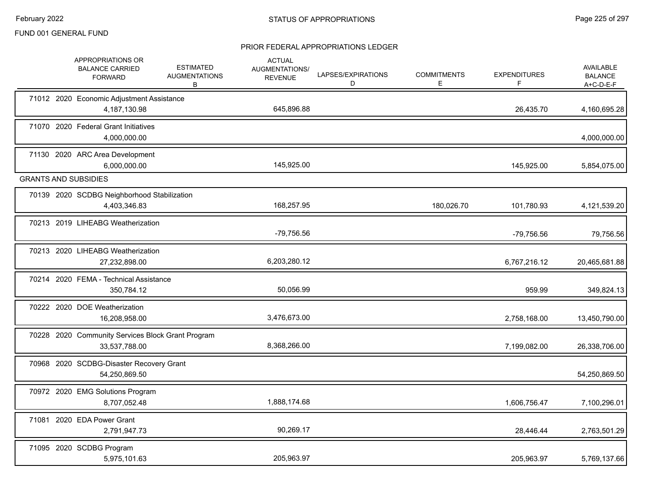|  | APPROPRIATIONS OR<br><b>BALANCE CARRIED</b><br><b>FORWARD</b>      | <b>ESTIMATED</b><br><b>AUGMENTATIONS</b><br>В | <b>ACTUAL</b><br>AUGMENTATIONS/<br><b>REVENUE</b> | LAPSES/EXPIRATIONS<br>D | <b>COMMITMENTS</b><br>Е. | <b>EXPENDITURES</b><br>F | AVAILABLE<br><b>BALANCE</b><br>$A+C-D-E-F$ |
|--|--------------------------------------------------------------------|-----------------------------------------------|---------------------------------------------------|-------------------------|--------------------------|--------------------------|--------------------------------------------|
|  | 71012 2020 Economic Adjustment Assistance<br>4,187,130.98          |                                               | 645,896.88                                        |                         |                          | 26,435.70                | 4,160,695.28                               |
|  | 71070 2020 Federal Grant Initiatives<br>4,000,000.00               |                                               |                                                   |                         |                          |                          | 4,000,000.00                               |
|  | 71130 2020 ARC Area Development<br>6,000,000.00                    |                                               | 145,925.00                                        |                         |                          | 145,925.00               | 5,854,075.00                               |
|  | <b>GRANTS AND SUBSIDIES</b>                                        |                                               |                                                   |                         |                          |                          |                                            |
|  | 70139 2020 SCDBG Neighborhood Stabilization<br>4,403,346.83        |                                               | 168,257.95                                        |                         | 180,026.70               | 101,780.93               | 4,121,539.20                               |
|  | 70213 2019 LIHEABG Weatherization                                  |                                               | -79,756.56                                        |                         |                          | -79,756.56               | 79,756.56                                  |
|  | 70213 2020 LIHEABG Weatherization<br>27,232,898.00                 |                                               | 6,203,280.12                                      |                         |                          | 6,767,216.12             | 20,465,681.88                              |
|  | 70214 2020 FEMA - Technical Assistance<br>350,784.12               |                                               | 50,056.99                                         |                         |                          | 959.99                   | 349,824.13                                 |
|  | 70222 2020 DOE Weatherization<br>16,208,958.00                     |                                               | 3,476,673.00                                      |                         |                          | 2,758,168.00             | 13,450,790.00                              |
|  | 70228 2020 Community Services Block Grant Program<br>33,537,788.00 |                                               | 8,368,266.00                                      |                         |                          | 7,199,082.00             | 26,338,706.00                              |
|  | 70968 2020 SCDBG-Disaster Recovery Grant<br>54,250,869.50          |                                               |                                                   |                         |                          |                          | 54,250,869.50                              |
|  | 70972 2020 EMG Solutions Program<br>8,707,052.48                   |                                               | 1,888,174.68                                      |                         |                          | 1,606,756.47             | 7,100,296.01                               |
|  | 71081 2020 EDA Power Grant<br>2,791,947.73                         |                                               | 90,269.17                                         |                         |                          | 28,446.44                | 2,763,501.29                               |
|  | 71095 2020 SCDBG Program<br>5,975,101.63                           |                                               | 205,963.97                                        |                         |                          | 205,963.97               | 5,769,137.66                               |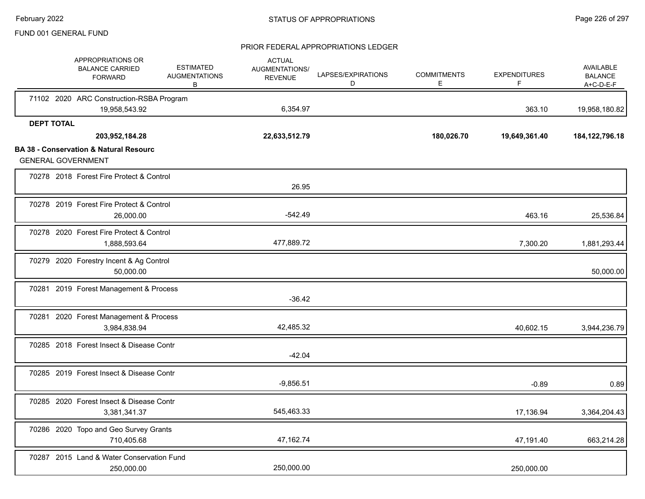|                   | APPROPRIATIONS OR<br><b>BALANCE CARRIED</b><br><b>FORWARD</b>                  | <b>ESTIMATED</b><br><b>AUGMENTATIONS</b><br>B | <b>ACTUAL</b><br><b>AUGMENTATIONS/</b><br><b>REVENUE</b> | LAPSES/EXPIRATIONS<br>D | <b>COMMITMENTS</b><br>Е | <b>EXPENDITURES</b><br>F | AVAILABLE<br><b>BALANCE</b><br>$A+C-D-E-F$ |
|-------------------|--------------------------------------------------------------------------------|-----------------------------------------------|----------------------------------------------------------|-------------------------|-------------------------|--------------------------|--------------------------------------------|
|                   | 71102 2020 ARC Construction-RSBA Program<br>19,958,543.92                      |                                               | 6,354.97                                                 |                         |                         | 363.10                   | 19,958,180.82                              |
| <b>DEPT TOTAL</b> |                                                                                |                                               |                                                          |                         |                         |                          |                                            |
|                   | 203,952,184.28                                                                 |                                               | 22,633,512.79                                            |                         | 180,026.70              | 19,649,361.40            | 184, 122, 796. 18                          |
|                   | <b>BA 38 - Conservation &amp; Natural Resourc</b><br><b>GENERAL GOVERNMENT</b> |                                               |                                                          |                         |                         |                          |                                            |
|                   | 70278 2018 Forest Fire Protect & Control                                       |                                               | 26.95                                                    |                         |                         |                          |                                            |
|                   | 70278 2019 Forest Fire Protect & Control<br>26,000.00                          |                                               | $-542.49$                                                |                         |                         | 463.16                   | 25,536.84                                  |
|                   | 70278 2020 Forest Fire Protect & Control<br>1,888,593.64                       |                                               | 477,889.72                                               |                         |                         | 7,300.20                 | 1,881,293.44                               |
|                   | 70279 2020 Forestry Incent & Ag Control<br>50,000.00                           |                                               |                                                          |                         |                         |                          | 50,000.00                                  |
|                   | 70281 2019 Forest Management & Process                                         |                                               | $-36.42$                                                 |                         |                         |                          |                                            |
|                   | 70281 2020 Forest Management & Process<br>3,984,838.94                         |                                               | 42,485.32                                                |                         |                         | 40,602.15                | 3,944,236.79                               |
|                   | 70285 2018 Forest Insect & Disease Contr                                       |                                               | $-42.04$                                                 |                         |                         |                          |                                            |
|                   | 70285 2019 Forest Insect & Disease Contr                                       |                                               | $-9,856.51$                                              |                         |                         | $-0.89$                  | 0.89                                       |
|                   | 70285 2020 Forest Insect & Disease Contr<br>3,381,341.37                       |                                               | 545,463.33                                               |                         |                         | 17,136.94                | 3,364,204.43                               |
|                   | 70286 2020 Topo and Geo Survey Grants<br>710,405.68                            |                                               | 47,162.74                                                |                         |                         | 47,191.40                | 663,214.28                                 |
|                   | 70287 2015 Land & Water Conservation Fund<br>250,000.00                        |                                               | 250,000.00                                               |                         |                         | 250,000.00               |                                            |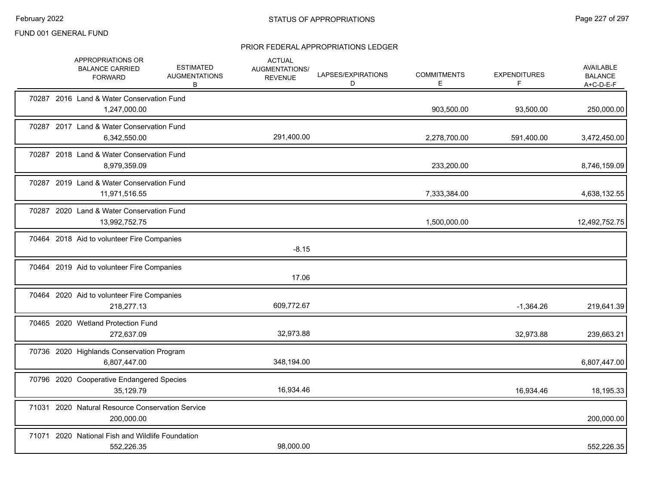|  | APPROPRIATIONS OR<br><b>BALANCE CARRIED</b><br><b>FORWARD</b>  | <b>ESTIMATED</b><br><b>AUGMENTATIONS</b><br>B | <b>ACTUAL</b><br>AUGMENTATIONS/<br><b>REVENUE</b> | LAPSES/EXPIRATIONS<br>D | <b>COMMITMENTS</b><br>Е. | <b>EXPENDITURES</b><br>F | <b>AVAILABLE</b><br><b>BALANCE</b><br>$A+C-D-E-F$ |
|--|----------------------------------------------------------------|-----------------------------------------------|---------------------------------------------------|-------------------------|--------------------------|--------------------------|---------------------------------------------------|
|  | 70287 2016 Land & Water Conservation Fund<br>1,247,000.00      |                                               |                                                   |                         | 903,500.00               | 93,500.00                | 250,000.00                                        |
|  | 70287 2017 Land & Water Conservation Fund<br>6,342,550.00      |                                               | 291,400.00                                        |                         | 2,278,700.00             | 591,400.00               | 3,472,450.00                                      |
|  | 70287 2018 Land & Water Conservation Fund<br>8,979,359.09      |                                               |                                                   |                         | 233,200.00               |                          | 8,746,159.09                                      |
|  | 70287 2019 Land & Water Conservation Fund<br>11,971,516.55     |                                               |                                                   |                         | 7,333,384.00             |                          | 4,638,132.55                                      |
|  | 70287 2020 Land & Water Conservation Fund<br>13,992,752.75     |                                               |                                                   |                         | 1,500,000.00             |                          | 12,492,752.75                                     |
|  | 70464 2018 Aid to volunteer Fire Companies                     |                                               | $-8.15$                                           |                         |                          |                          |                                                   |
|  | 70464 2019 Aid to volunteer Fire Companies                     |                                               | 17.06                                             |                         |                          |                          |                                                   |
|  | 70464 2020 Aid to volunteer Fire Companies<br>218,277.13       |                                               | 609,772.67                                        |                         |                          | $-1,364.26$              | 219,641.39                                        |
|  | 70465 2020 Wetland Protection Fund<br>272,637.09               |                                               | 32,973.88                                         |                         |                          | 32,973.88                | 239,663.21                                        |
|  | 70736 2020 Highlands Conservation Program<br>6,807,447.00      |                                               | 348,194.00                                        |                         |                          |                          | 6,807,447.00                                      |
|  | 70796 2020 Cooperative Endangered Species<br>35,129.79         |                                               | 16,934.46                                         |                         |                          | 16,934.46                | 18,195.33                                         |
|  | 71031 2020 Natural Resource Conservation Service<br>200,000.00 |                                               |                                                   |                         |                          |                          | 200,000.00                                        |
|  | 71071 2020 National Fish and Wildlife Foundation<br>552,226.35 |                                               | 98,000.00                                         |                         |                          |                          | 552,226.35                                        |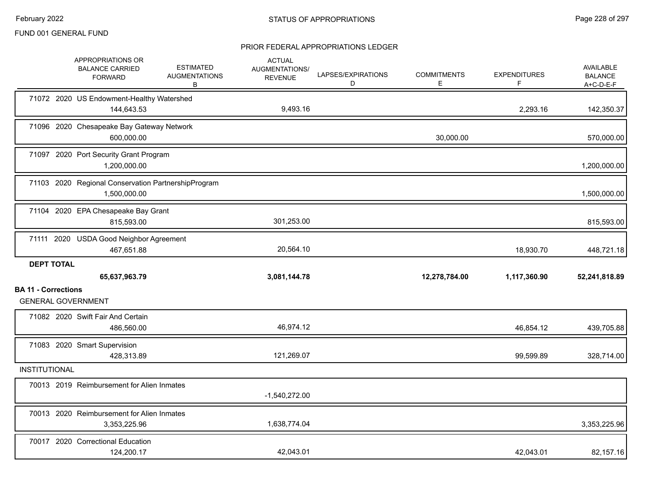|                            | APPROPRIATIONS OR<br><b>BALANCE CARRIED</b><br><b>FORWARD</b>       | <b>ESTIMATED</b><br><b>AUGMENTATIONS</b><br>B | <b>ACTUAL</b><br>AUGMENTATIONS/<br><b>REVENUE</b> | LAPSES/EXPIRATIONS<br>D | <b>COMMITMENTS</b><br>E. | <b>EXPENDITURES</b><br>F | <b>AVAILABLE</b><br><b>BALANCE</b><br>$A+C-D-E-F$ |
|----------------------------|---------------------------------------------------------------------|-----------------------------------------------|---------------------------------------------------|-------------------------|--------------------------|--------------------------|---------------------------------------------------|
|                            | 71072 2020 US Endowment-Healthy Watershed<br>144,643.53             |                                               | 9,493.16                                          |                         |                          | 2,293.16                 | 142,350.37                                        |
|                            | 71096 2020 Chesapeake Bay Gateway Network<br>600,000.00             |                                               |                                                   |                         | 30,000.00                |                          | 570,000.00                                        |
|                            | 71097 2020 Port Security Grant Program<br>1,200,000.00              |                                               |                                                   |                         |                          |                          | 1,200,000.00                                      |
|                            | 71103 2020 Regional Conservation PartnershipProgram<br>1,500,000.00 |                                               |                                                   |                         |                          |                          | 1,500,000.00                                      |
|                            | 71104 2020 EPA Chesapeake Bay Grant<br>815,593.00                   |                                               | 301,253.00                                        |                         |                          |                          | 815,593.00                                        |
|                            | 71111 2020 USDA Good Neighbor Agreement<br>467,651.88               |                                               | 20,564.10                                         |                         |                          | 18,930.70                | 448,721.18                                        |
| <b>DEPT TOTAL</b>          |                                                                     |                                               |                                                   |                         |                          |                          |                                                   |
|                            | 65,637,963.79                                                       |                                               | 3,081,144.78                                      |                         | 12,278,784.00            | 1,117,360.90             | 52,241,818.89                                     |
| <b>BA 11 - Corrections</b> | <b>GENERAL GOVERNMENT</b>                                           |                                               |                                                   |                         |                          |                          |                                                   |
|                            | 71082 2020 Swift Fair And Certain<br>486,560.00                     |                                               | 46,974.12                                         |                         |                          | 46,854.12                | 439,705.88                                        |
|                            | 71083 2020 Smart Supervision<br>428,313.89                          |                                               | 121,269.07                                        |                         |                          | 99,599.89                | 328,714.00                                        |
| <b>INSTITUTIONAL</b>       |                                                                     |                                               |                                                   |                         |                          |                          |                                                   |
|                            | 70013 2019 Reimbursement for Alien Inmates                          |                                               | $-1,540,272.00$                                   |                         |                          |                          |                                                   |
|                            | 70013 2020 Reimbursement for Alien Inmates<br>3,353,225.96          |                                               | 1,638,774.04                                      |                         |                          |                          | 3,353,225.96                                      |
|                            | 70017 2020 Correctional Education<br>124,200.17                     |                                               | 42.043.01                                         |                         |                          | 42,043.01                | 82,157.16                                         |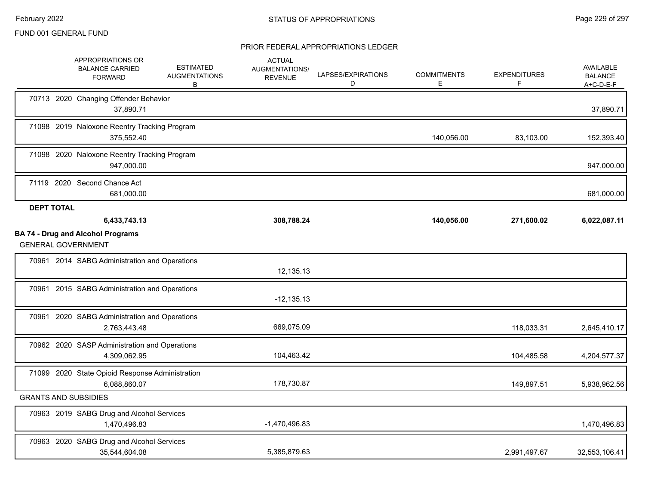|                   | APPROPRIATIONS OR<br><b>BALANCE CARRIED</b><br><b>FORWARD</b>   | <b>ESTIMATED</b><br><b>AUGMENTATIONS</b><br>В | <b>ACTUAL</b><br>AUGMENTATIONS/<br><b>REVENUE</b> | LAPSES/EXPIRATIONS<br>D | <b>COMMITMENTS</b><br>Е | <b>EXPENDITURES</b><br>F | AVAILABLE<br><b>BALANCE</b><br>$A+C-D-E-F$ |
|-------------------|-----------------------------------------------------------------|-----------------------------------------------|---------------------------------------------------|-------------------------|-------------------------|--------------------------|--------------------------------------------|
|                   | 70713 2020 Changing Offender Behavior<br>37,890.71              |                                               |                                                   |                         |                         |                          | 37,890.71                                  |
|                   | 71098 2019 Naloxone Reentry Tracking Program<br>375,552.40      |                                               |                                                   |                         | 140,056.00              | 83,103.00                | 152,393.40                                 |
|                   | 71098 2020 Naloxone Reentry Tracking Program<br>947,000.00      |                                               |                                                   |                         |                         |                          | 947,000.00                                 |
|                   | 71119 2020 Second Chance Act<br>681,000.00                      |                                               |                                                   |                         |                         |                          | 681,000.00                                 |
| <b>DEPT TOTAL</b> |                                                                 |                                               |                                                   |                         |                         |                          |                                            |
|                   | 6,433,743.13<br><b>BA 74 - Drug and Alcohol Programs</b>        |                                               | 308,788.24                                        |                         | 140,056.00              | 271,600.02               | 6,022,087.11                               |
|                   | <b>GENERAL GOVERNMENT</b>                                       |                                               |                                                   |                         |                         |                          |                                            |
|                   | 70961 2014 SABG Administration and Operations                   |                                               | 12,135.13                                         |                         |                         |                          |                                            |
|                   | 70961 2015 SABG Administration and Operations                   |                                               | $-12, 135.13$                                     |                         |                         |                          |                                            |
|                   | 70961 2020 SABG Administration and Operations<br>2,763,443.48   |                                               | 669,075.09                                        |                         |                         | 118,033.31               | 2,645,410.17                               |
|                   | 70962 2020 SASP Administration and Operations<br>4,309,062.95   |                                               | 104,463.42                                        |                         |                         | 104,485.58               | 4,204,577.37                               |
|                   | 71099 2020 State Opioid Response Administration<br>6,088,860.07 |                                               | 178,730.87                                        |                         |                         | 149,897.51               | 5,938,962.56                               |
|                   | <b>GRANTS AND SUBSIDIES</b>                                     |                                               |                                                   |                         |                         |                          |                                            |
|                   | 70963 2019 SABG Drug and Alcohol Services<br>1,470,496.83       |                                               | $-1,470,496.83$                                   |                         |                         |                          | 1,470,496.83                               |
|                   | 70963 2020 SABG Drug and Alcohol Services<br>35,544,604.08      |                                               | 5,385,879.63                                      |                         |                         | 2,991,497.67             | 32,553,106.41                              |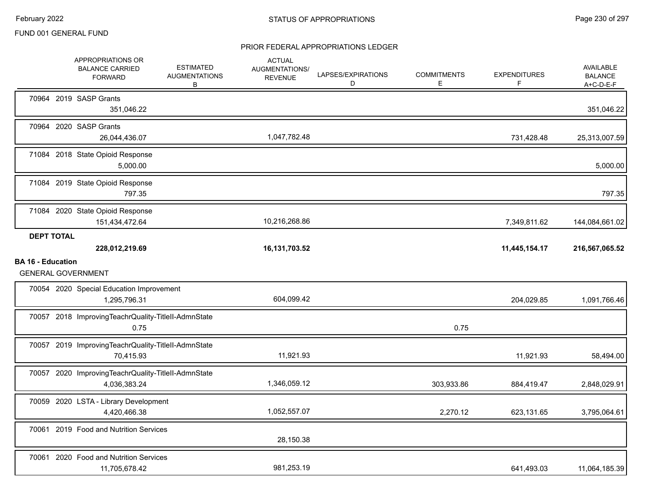|                          |                   | APPROPRIATIONS OR<br><b>BALANCE CARRIED</b><br><b>FORWARD</b>       | <b>ESTIMATED</b><br><b>AUGMENTATIONS</b><br>В | <b>ACTUAL</b><br>AUGMENTATIONS/<br><b>REVENUE</b> | LAPSES/EXPIRATIONS<br>D | <b>COMMITMENTS</b><br>E. | <b>EXPENDITURES</b><br>F | AVAILABLE<br><b>BALANCE</b><br>A+C-D-E-F |
|--------------------------|-------------------|---------------------------------------------------------------------|-----------------------------------------------|---------------------------------------------------|-------------------------|--------------------------|--------------------------|------------------------------------------|
|                          |                   | 70964 2019 SASP Grants<br>351,046.22                                |                                               |                                                   |                         |                          |                          | 351,046.22                               |
|                          |                   | 70964 2020 SASP Grants<br>26,044,436.07                             |                                               | 1,047,782.48                                      |                         |                          | 731,428.48               | 25,313,007.59                            |
|                          |                   | 71084 2018 State Opioid Response<br>5,000.00                        |                                               |                                                   |                         |                          |                          | 5,000.00                                 |
|                          |                   | 71084 2019 State Opioid Response<br>797.35                          |                                               |                                                   |                         |                          |                          | 797.35                                   |
|                          |                   | 71084 2020 State Opioid Response<br>151,434,472.64                  |                                               | 10,216,268.86                                     |                         |                          | 7,349,811.62             | 144,084,661.02                           |
|                          | <b>DEPT TOTAL</b> | 228,012,219.69                                                      |                                               | 16, 131, 703.52                                   |                         |                          | 11,445,154.17            | 216,567,065.52                           |
| <b>BA 16 - Education</b> |                   | <b>GENERAL GOVERNMENT</b>                                           |                                               |                                                   |                         |                          |                          |                                          |
|                          |                   | 70054 2020 Special Education Improvement<br>1,295,796.31            |                                               | 604,099.42                                        |                         |                          | 204,029.85               | 1,091,766.46                             |
|                          |                   | 70057 2018 ImprovingTeachrQuality-TitleII-AdmnState<br>0.75         |                                               |                                                   |                         | 0.75                     |                          |                                          |
|                          |                   | 70057 2019 ImprovingTeachrQuality-TitleII-AdmnState<br>70,415.93    |                                               | 11,921.93                                         |                         |                          | 11,921.93                | 58,494.00                                |
|                          |                   | 70057 2020 ImprovingTeachrQuality-TitleII-AdmnState<br>4,036,383.24 |                                               | 1,346,059.12                                      |                         | 303,933.86               | 884,419.47               | 2,848,029.91                             |
|                          |                   | 70059 2020 LSTA - Library Development<br>4,420,466.38               |                                               | 1,052,557.07                                      |                         | 2,270.12                 | 623,131.65               | 3,795,064.61                             |
|                          |                   | 70061 2019 Food and Nutrition Services                              |                                               |                                                   |                         |                          |                          |                                          |
|                          |                   |                                                                     |                                               | 28,150.38                                         |                         |                          |                          |                                          |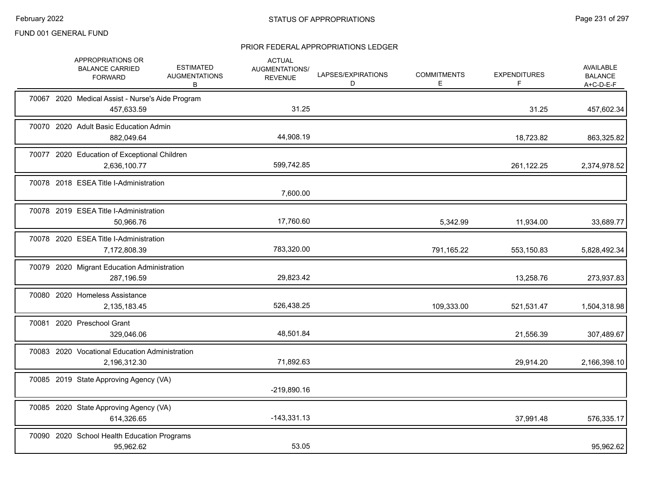|  | APPROPRIATIONS OR<br><b>BALANCE CARRIED</b><br><b>FORWARD</b>  | <b>ESTIMATED</b><br><b>AUGMENTATIONS</b><br>В | <b>ACTUAL</b><br>AUGMENTATIONS/<br><b>REVENUE</b> | LAPSES/EXPIRATIONS<br>D | <b>COMMITMENTS</b><br>E | <b>EXPENDITURES</b><br>F | <b>AVAILABLE</b><br><b>BALANCE</b><br>$A+C-D-E-F$ |
|--|----------------------------------------------------------------|-----------------------------------------------|---------------------------------------------------|-------------------------|-------------------------|--------------------------|---------------------------------------------------|
|  | 70067 2020 Medical Assist - Nurse's Aide Program<br>457,633.59 |                                               | 31.25                                             |                         |                         | 31.25                    | 457,602.34                                        |
|  | 70070 2020 Adult Basic Education Admin<br>882,049.64           |                                               | 44,908.19                                         |                         |                         | 18,723.82                | 863,325.82                                        |
|  | 70077 2020 Education of Exceptional Children<br>2,636,100.77   |                                               | 599,742.85                                        |                         |                         | 261,122.25               | 2,374,978.52                                      |
|  | 70078 2018 ESEA Title I-Administration                         |                                               | 7,600.00                                          |                         |                         |                          |                                                   |
|  | 70078 2019 ESEA Title I-Administration<br>50,966.76            |                                               | 17,760.60                                         |                         | 5,342.99                | 11,934.00                | 33,689.77                                         |
|  | 70078 2020 ESEA Title I-Administration<br>7,172,808.39         |                                               | 783,320.00                                        |                         | 791,165.22              | 553,150.83               | 5,828,492.34                                      |
|  | 70079 2020 Migrant Education Administration<br>287,196.59      |                                               | 29,823.42                                         |                         |                         | 13,258.76                | 273,937.83                                        |
|  | 70080 2020 Homeless Assistance<br>2,135,183.45                 |                                               | 526,438.25                                        |                         | 109,333.00              | 521,531.47               | 1,504,318.98                                      |
|  | 70081 2020 Preschool Grant<br>329,046.06                       |                                               | 48,501.84                                         |                         |                         | 21,556.39                | 307,489.67                                        |
|  | 70083 2020 Vocational Education Administration<br>2,196,312.30 |                                               | 71,892.63                                         |                         |                         | 29,914.20                | 2,166,398.10                                      |
|  | 70085 2019 State Approving Agency (VA)                         |                                               | $-219,890.16$                                     |                         |                         |                          |                                                   |
|  | 70085 2020 State Approving Agency (VA)<br>614,326.65           |                                               | $-143,331.13$                                     |                         |                         | 37,991.48                | 576,335.17                                        |
|  | 70090 2020 School Health Education Programs<br>95,962.62       |                                               | 53.05                                             |                         |                         |                          | 95,962.62                                         |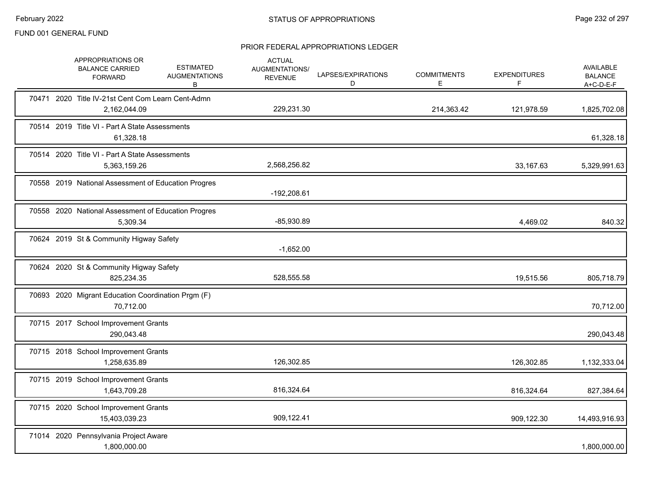|  | APPROPRIATIONS OR<br><b>BALANCE CARRIED</b><br><b>FORWARD</b>     | <b>ESTIMATED</b><br><b>AUGMENTATIONS</b><br>В | <b>ACTUAL</b><br>AUGMENTATIONS/<br><b>REVENUE</b> | LAPSES/EXPIRATIONS<br>D | <b>COMMITMENTS</b><br>Е | <b>EXPENDITURES</b><br>F | AVAILABLE<br><b>BALANCE</b><br>$A+C-D-E-F$ |
|--|-------------------------------------------------------------------|-----------------------------------------------|---------------------------------------------------|-------------------------|-------------------------|--------------------------|--------------------------------------------|
|  | 70471 2020 Title IV-21st Cent Com Learn Cent-Admn<br>2,162,044.09 |                                               | 229,231.30                                        |                         | 214,363.42              | 121,978.59               | 1,825,702.08                               |
|  | 70514 2019 Title VI - Part A State Assessments<br>61,328.18       |                                               |                                                   |                         |                         |                          | 61,328.18                                  |
|  | 70514 2020 Title VI - Part A State Assessments<br>5,363,159.26    |                                               | 2,568,256.82                                      |                         |                         | 33,167.63                | 5,329,991.63                               |
|  | 70558 2019 National Assessment of Education Progres               |                                               | $-192,208.61$                                     |                         |                         |                          |                                            |
|  | 70558 2020 National Assessment of Education Progres<br>5,309.34   |                                               | $-85,930.89$                                      |                         |                         | 4,469.02                 | 840.32                                     |
|  | 70624 2019 St & Community Higway Safety                           |                                               | $-1,652.00$                                       |                         |                         |                          |                                            |
|  | 70624 2020 St & Community Higway Safety<br>825,234.35             |                                               | 528,555.58                                        |                         |                         | 19,515.56                | 805,718.79                                 |
|  | 70693 2020 Migrant Education Coordination Prgm (F)<br>70,712.00   |                                               |                                                   |                         |                         |                          | 70,712.00                                  |
|  | 70715 2017 School Improvement Grants<br>290,043.48                |                                               |                                                   |                         |                         |                          | 290,043.48                                 |
|  | 70715 2018 School Improvement Grants<br>1,258,635.89              |                                               | 126,302.85                                        |                         |                         | 126,302.85               | 1,132,333.04                               |
|  | 70715 2019 School Improvement Grants<br>1,643,709.28              |                                               | 816,324.64                                        |                         |                         | 816,324.64               | 827,384.64                                 |
|  | 70715 2020 School Improvement Grants<br>15,403,039.23             |                                               | 909,122.41                                        |                         |                         | 909,122.30               | 14,493,916.93                              |
|  | 71014 2020 Pennsylvania Project Aware<br>1,800,000.00             |                                               |                                                   |                         |                         |                          | 1,800,000.00                               |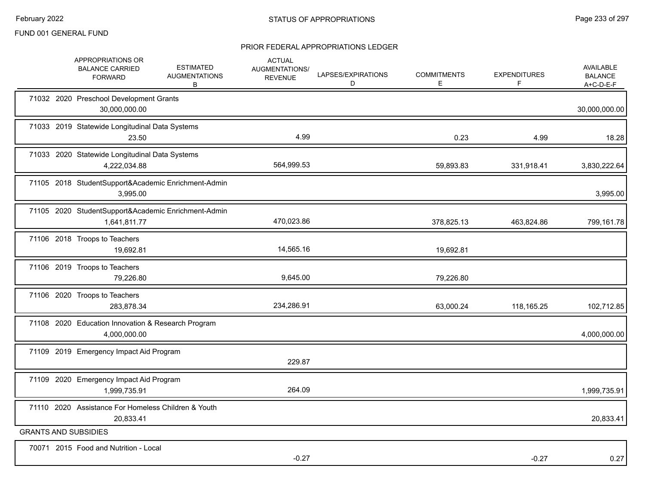| APPROPRIATIONS OR<br><b>BALANCE CARRIED</b><br><b>FORWARD</b>       | <b>ESTIMATED</b><br><b>AUGMENTATIONS</b><br>B | <b>ACTUAL</b><br>AUGMENTATIONS/<br><b>REVENUE</b> | LAPSES/EXPIRATIONS<br>D | <b>COMMITMENTS</b><br>E | <b>EXPENDITURES</b><br>F | <b>AVAILABLE</b><br><b>BALANCE</b><br>A+C-D-E-F |
|---------------------------------------------------------------------|-----------------------------------------------|---------------------------------------------------|-------------------------|-------------------------|--------------------------|-------------------------------------------------|
| 71032 2020 Preschool Development Grants<br>30,000,000.00            |                                               |                                                   |                         |                         |                          | 30,000,000.00                                   |
| 71033 2019 Statewide Longitudinal Data Systems<br>23.50             |                                               | 4.99                                              |                         | 0.23                    | 4.99                     | 18.28                                           |
| 71033 2020 Statewide Longitudinal Data Systems<br>4,222,034.88      |                                               | 564,999.53                                        |                         | 59,893.83               | 331,918.41               | 3,830,222.64                                    |
| 71105 2018 StudentSupport&Academic Enrichment-Admin<br>3,995.00     |                                               |                                                   |                         |                         |                          | 3,995.00                                        |
| 71105 2020 StudentSupport&Academic Enrichment-Admin<br>1,641,811.77 |                                               | 470,023.86                                        |                         | 378,825.13              | 463,824.86               | 799,161.78                                      |
| 71106 2018 Troops to Teachers<br>19,692.81                          |                                               | 14,565.16                                         |                         | 19,692.81               |                          |                                                 |
| 71106 2019 Troops to Teachers<br>79,226.80                          |                                               | 9,645.00                                          |                         | 79,226.80               |                          |                                                 |
| 71106 2020 Troops to Teachers<br>283,878.34                         |                                               | 234,286.91                                        |                         | 63,000.24               | 118,165.25               | 102,712.85                                      |
| 71108 2020 Education Innovation & Research Program<br>4,000,000.00  |                                               |                                                   |                         |                         |                          | 4,000,000.00                                    |
| 71109 2019 Emergency Impact Aid Program                             |                                               | 229.87                                            |                         |                         |                          |                                                 |
| 71109 2020 Emergency Impact Aid Program<br>1,999,735.91             |                                               | 264.09                                            |                         |                         |                          | 1,999,735.91                                    |
| 71110 2020 Assistance For Homeless Children & Youth<br>20,833.41    |                                               |                                                   |                         |                         |                          | 20,833.41                                       |
| <b>GRANTS AND SUBSIDIES</b>                                         |                                               |                                                   |                         |                         |                          |                                                 |
| 70071 2015 Food and Nutrition - Local                               |                                               | $-0.27$                                           |                         |                         | $-0.27$                  | 0.27                                            |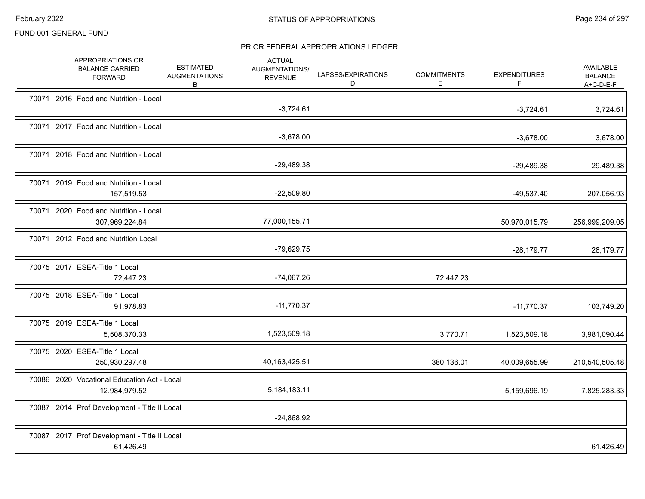|  | APPROPRIATIONS OR<br><b>BALANCE CARRIED</b><br><b>FORWARD</b> | <b>ESTIMATED</b><br><b>AUGMENTATIONS</b><br>B | <b>ACTUAL</b><br>AUGMENTATIONS/<br><b>REVENUE</b> | LAPSES/EXPIRATIONS<br>D | <b>COMMITMENTS</b><br>E | <b>EXPENDITURES</b><br>F | AVAILABLE<br><b>BALANCE</b><br>A+C-D-E-F |
|--|---------------------------------------------------------------|-----------------------------------------------|---------------------------------------------------|-------------------------|-------------------------|--------------------------|------------------------------------------|
|  | 70071 2016 Food and Nutrition - Local                         |                                               | $-3,724.61$                                       |                         |                         | $-3,724.61$              | 3,724.61                                 |
|  | 70071 2017 Food and Nutrition - Local                         |                                               | $-3,678.00$                                       |                         |                         | $-3,678.00$              | 3,678.00                                 |
|  | 70071 2018 Food and Nutrition - Local                         |                                               | $-29,489.38$                                      |                         |                         | $-29,489.38$             | 29,489.38                                |
|  | 70071 2019 Food and Nutrition - Local<br>157,519.53           |                                               | $-22,509.80$                                      |                         |                         | $-49,537.40$             | 207,056.93                               |
|  | 70071 2020 Food and Nutrition - Local<br>307,969,224.84       |                                               | 77,000,155.71                                     |                         |                         | 50,970,015.79            | 256,999,209.05                           |
|  | 70071 2012 Food and Nutrition Local                           |                                               | $-79,629.75$                                      |                         |                         | $-28,179.77$             | 28,179.77                                |
|  | 70075 2017 ESEA-Title 1 Local<br>72,447.23                    |                                               | $-74,067.26$                                      |                         | 72,447.23               |                          |                                          |
|  | 70075 2018 ESEA-Title 1 Local<br>91,978.83                    |                                               | $-11,770.37$                                      |                         |                         | $-11,770.37$             | 103,749.20                               |
|  | 70075 2019 ESEA-Title 1 Local<br>5,508,370.33                 |                                               | 1,523,509.18                                      |                         | 3,770.71                | 1,523,509.18             | 3,981,090.44                             |
|  | 70075 2020 ESEA-Title 1 Local<br>250,930,297.48               |                                               | 40,163,425.51                                     |                         | 380,136.01              | 40,009,655.99            | 210,540,505.48                           |
|  | 70086 2020 Vocational Education Act - Local<br>12,984,979.52  |                                               | 5,184,183.11                                      |                         |                         | 5,159,696.19             | 7,825,283.33                             |
|  | 70087 2014 Prof Development - Title II Local                  |                                               | $-24,868.92$                                      |                         |                         |                          |                                          |
|  | 70087 2017 Prof Development - Title II Local<br>61,426.49     |                                               |                                                   |                         |                         |                          | 61,426.49                                |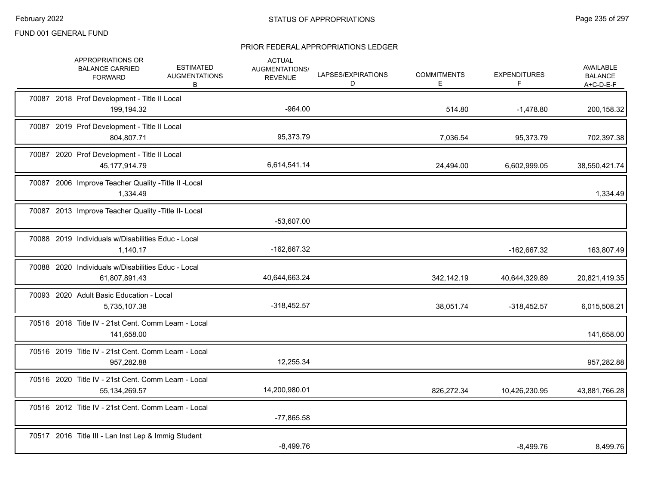| APPROPRIATIONS OR<br><b>ESTIMATED</b><br><b>BALANCE CARRIED</b><br><b>AUGMENTATIONS</b><br><b>FORWARD</b><br>B | <b>ACTUAL</b><br>AUGMENTATIONS/<br><b>REVENUE</b> | LAPSES/EXPIRATIONS<br>D | <b>COMMITMENTS</b><br>E. | <b>EXPENDITURES</b><br>F | <b>AVAILABLE</b><br><b>BALANCE</b><br>$A+C-D-E-F$ |
|----------------------------------------------------------------------------------------------------------------|---------------------------------------------------|-------------------------|--------------------------|--------------------------|---------------------------------------------------|
| 70087 2018 Prof Development - Title II Local<br>199,194.32                                                     | $-964.00$                                         |                         | 514.80                   | $-1,478.80$              | 200,158.32                                        |
| 70087 2019 Prof Development - Title II Local<br>804,807.71                                                     | 95,373.79                                         |                         | 7,036.54                 | 95,373.79                | 702,397.38                                        |
| 70087 2020 Prof Development - Title II Local<br>45, 177, 914. 79                                               | 6,614,541.14                                      |                         | 24,494.00                | 6,602,999.05             | 38,550,421.74                                     |
| 70087 2006 Improve Teacher Quality - Title II - Local<br>1,334.49                                              |                                                   |                         |                          |                          | 1,334.49                                          |
| 70087 2013 Improve Teacher Quality - Title II- Local                                                           | $-53,607.00$                                      |                         |                          |                          |                                                   |
| 70088 2019 Individuals w/Disabilities Educ - Local<br>1,140.17                                                 | -162,667.32                                       |                         |                          | $-162,667.32$            | 163,807.49                                        |
| 70088 2020 Individuals w/Disabilities Educ - Local<br>61,807,891.43                                            | 40,644,663.24                                     |                         | 342,142.19               | 40,644,329.89            | 20,821,419.35                                     |
| 70093 2020 Adult Basic Education - Local<br>5,735,107.38                                                       | $-318,452.57$                                     |                         | 38,051.74                | $-318,452.57$            | 6,015,508.21                                      |
| 70516 2018 Title IV - 21st Cent. Comm Learn - Local<br>141,658.00                                              |                                                   |                         |                          |                          | 141,658.00                                        |
| 70516 2019 Title IV - 21st Cent. Comm Learn - Local<br>957,282.88                                              | 12,255.34                                         |                         |                          |                          | 957,282.88                                        |
| 70516 2020 Title IV - 21st Cent. Comm Learn - Local<br>55, 134, 269. 57                                        | 14,200,980.01                                     |                         | 826,272.34               | 10,426,230.95            | 43,881,766.28                                     |
| 70516 2012 Title IV - 21st Cent. Comm Learn - Local                                                            | $-77,865.58$                                      |                         |                          |                          |                                                   |
| 70517 2016 Title III - Lan Inst Lep & Immig Student                                                            | $-8,499.76$                                       |                         |                          | $-8,499.76$              | 8,499.76                                          |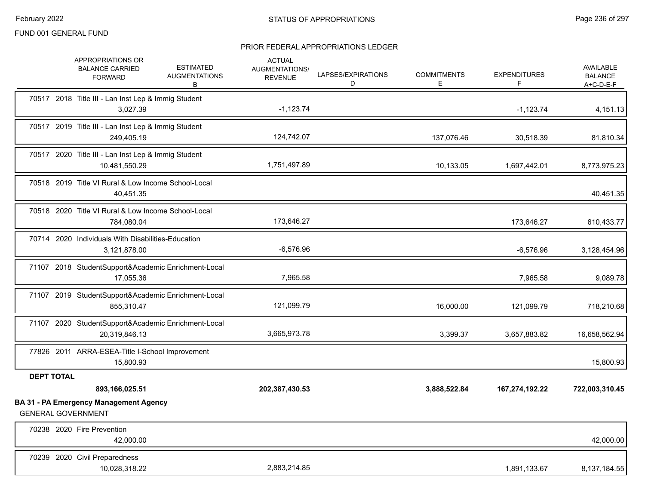|                   | APPROPRIATIONS OR<br><b>BALANCE CARRIED</b><br><b>FORWARD</b>              | <b>ESTIMATED</b><br><b>AUGMENTATIONS</b><br>в | <b>ACTUAL</b><br>AUGMENTATIONS/<br><b>REVENUE</b> | LAPSES/EXPIRATIONS<br>D | <b>COMMITMENTS</b><br>E | <b>EXPENDITURES</b><br>F. | AVAILABLE<br><b>BALANCE</b><br>$A+C-D-E-F$ |
|-------------------|----------------------------------------------------------------------------|-----------------------------------------------|---------------------------------------------------|-------------------------|-------------------------|---------------------------|--------------------------------------------|
|                   | 70517 2018 Title III - Lan Inst Lep & Immig Student<br>3,027.39            |                                               | $-1,123.74$                                       |                         |                         | $-1,123.74$               | 4,151.13                                   |
|                   | 70517 2019 Title III - Lan Inst Lep & Immig Student<br>249,405.19          |                                               | 124,742.07                                        |                         | 137,076.46              | 30,518.39                 | 81,810.34                                  |
|                   | 70517 2020 Title III - Lan Inst Lep & Immig Student<br>10,481,550.29       |                                               | 1,751,497.89                                      |                         | 10,133.05               | 1,697,442.01              | 8,773,975.23                               |
|                   | 70518 2019 Title VI Rural & Low Income School-Local<br>40,451.35           |                                               |                                                   |                         |                         |                           | 40,451.35                                  |
|                   | 70518 2020 Title VI Rural & Low Income School-Local<br>784,080.04          |                                               | 173,646.27                                        |                         |                         | 173,646.27                | 610,433.77                                 |
|                   | 70714 2020 Individuals With Disabilities-Education<br>3,121,878.00         |                                               | $-6,576.96$                                       |                         |                         | $-6,576.96$               | 3,128,454.96                               |
|                   | 71107 2018 StudentSupport&Academic Enrichment-Local<br>17,055.36           |                                               | 7,965.58                                          |                         |                         | 7,965.58                  | 9,089.78                                   |
|                   | 71107 2019 StudentSupport&Academic Enrichment-Local<br>855,310.47          |                                               | 121,099.79                                        |                         | 16,000.00               | 121,099.79                | 718,210.68                                 |
|                   | 71107 2020 StudentSupport&Academic Enrichment-Local<br>20,319,846.13       |                                               | 3,665,973.78                                      |                         | 3,399.37                | 3,657,883.82              | 16,658,562.94                              |
|                   | 77826 2011 ARRA-ESEA-Title I-School Improvement<br>15,800.93               |                                               |                                                   |                         |                         |                           | 15,800.93                                  |
| <b>DEPT TOTAL</b> | 893,166,025.51                                                             |                                               | 202,387,430.53                                    |                         | 3,888,522.84            | 167,274,192.22            | 722,003,310.45                             |
|                   | <b>BA 31 - PA Emergency Management Agency</b><br><b>GENERAL GOVERNMENT</b> |                                               |                                                   |                         |                         |                           |                                            |
|                   | 70238 2020 Fire Prevention<br>42,000.00                                    |                                               |                                                   |                         |                         |                           | 42,000.00                                  |
|                   | 70239 2020 Civil Preparedness<br>10,028,318.22                             |                                               | 2,883,214.85                                      |                         |                         | 1,891,133.67              | 8,137,184.55                               |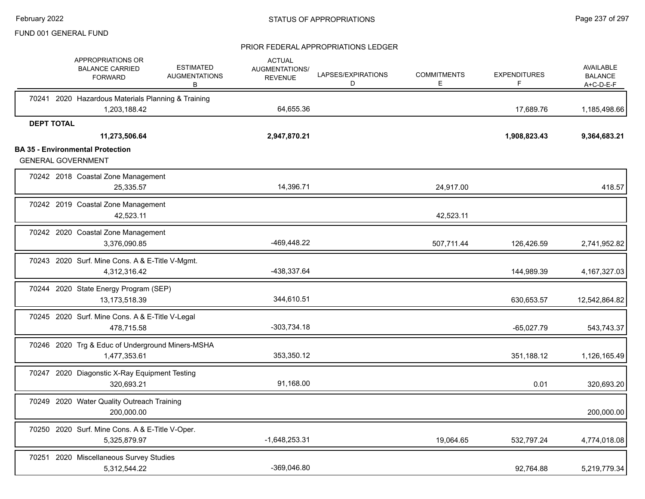|                           |                   | APPROPRIATIONS OR<br><b>BALANCE CARRIED</b><br><b>FORWARD</b>    | <b>ESTIMATED</b><br><b>AUGMENTATIONS</b><br>В | <b>ACTUAL</b><br><b>AUGMENTATIONS/</b><br><b>REVENUE</b> | LAPSES/EXPIRATIONS<br>D | <b>COMMITMENTS</b><br>Е | <b>EXPENDITURES</b><br>F | <b>AVAILABLE</b><br><b>BALANCE</b><br>$A+C-D-E-F$ |
|---------------------------|-------------------|------------------------------------------------------------------|-----------------------------------------------|----------------------------------------------------------|-------------------------|-------------------------|--------------------------|---------------------------------------------------|
|                           |                   | 70241 2020 Hazardous Materials Planning & Training               |                                               |                                                          |                         |                         |                          |                                                   |
|                           |                   | 1,203,188.42                                                     |                                               | 64,655.36                                                |                         |                         | 17,689.76                | 1,185,498.66                                      |
|                           | <b>DEPT TOTAL</b> | 11,273,506.64                                                    |                                               | 2,947,870.21                                             |                         |                         | 1,908,823.43             | 9,364,683.21                                      |
| <b>GENERAL GOVERNMENT</b> |                   | <b>BA 35 - Environmental Protection</b>                          |                                               |                                                          |                         |                         |                          |                                                   |
|                           |                   | 70242 2018 Coastal Zone Management                               |                                               |                                                          |                         |                         |                          |                                                   |
|                           |                   | 25,335.57                                                        |                                               | 14,396.71                                                |                         | 24,917.00               |                          | 418.57                                            |
|                           |                   | 70242 2019 Coastal Zone Management<br>42,523.11                  |                                               |                                                          |                         | 42,523.11               |                          |                                                   |
|                           |                   | 70242 2020 Coastal Zone Management<br>3,376,090.85               |                                               | -469,448.22                                              |                         | 507,711.44              | 126,426.59               | 2,741,952.82                                      |
|                           |                   | 70243 2020 Surf. Mine Cons. A & E-Title V-Mgmt.<br>4,312,316.42  |                                               | -438,337.64                                              |                         |                         | 144,989.39               | 4, 167, 327.03                                    |
|                           |                   | 70244 2020 State Energy Program (SEP)<br>13,173,518.39           |                                               | 344,610.51                                               |                         |                         | 630,653.57               | 12,542,864.82                                     |
|                           |                   | 70245 2020 Surf. Mine Cons. A & E-Title V-Legal<br>478,715.58    |                                               | $-303,734.18$                                            |                         |                         | $-65,027.79$             | 543,743.37                                        |
|                           |                   | 70246 2020 Trg & Educ of Underground Miners-MSHA<br>1,477,353.61 |                                               | 353,350.12                                               |                         |                         | 351,188.12               | 1,126,165.49                                      |
|                           |                   | 70247 2020 Diagonstic X-Ray Equipment Testing<br>320,693.21      |                                               | 91,168.00                                                |                         |                         | 0.01                     | 320,693.20                                        |
|                           |                   | 70249 2020 Water Quality Outreach Training<br>200.000.00         |                                               |                                                          |                         |                         |                          | 200,000.00                                        |
|                           |                   | 70250 2020 Surf. Mine Cons. A & E-Title V-Oper.<br>5,325,879.97  |                                               | $-1,648,253.31$                                          |                         | 19,064.65               | 532,797.24               | 4,774,018.08                                      |
|                           |                   | 70251 2020 Miscellaneous Survey Studies<br>5,312,544.22          |                                               | -369,046.80                                              |                         |                         | 92,764.88                | 5,219,779.34                                      |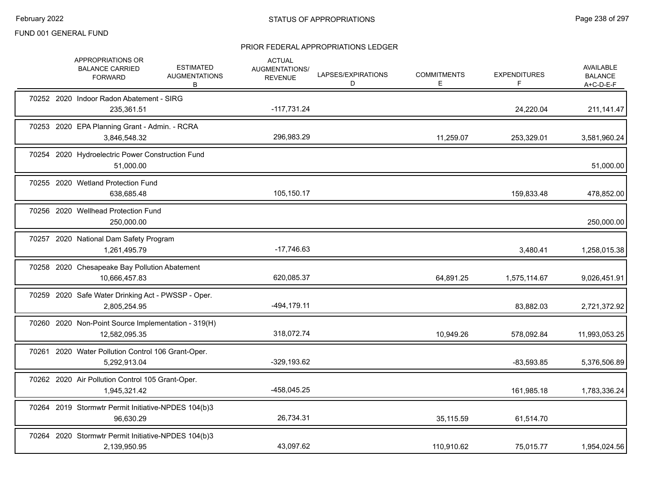|  | APPROPRIATIONS OR<br><b>BALANCE CARRIED</b><br><b>FORWARD</b>        | <b>ESTIMATED</b><br><b>AUGMENTATIONS</b><br>В | <b>ACTUAL</b><br>AUGMENTATIONS/<br><b>REVENUE</b> | LAPSES/EXPIRATIONS<br>D | <b>COMMITMENTS</b><br>E | <b>EXPENDITURES</b><br>F | <b>AVAILABLE</b><br><b>BALANCE</b><br>$A+C-D-E-F$ |
|--|----------------------------------------------------------------------|-----------------------------------------------|---------------------------------------------------|-------------------------|-------------------------|--------------------------|---------------------------------------------------|
|  | 70252 2020 Indoor Radon Abatement - SIRG<br>235,361.51               |                                               | $-117,731.24$                                     |                         |                         | 24,220.04                | 211, 141. 47                                      |
|  | 70253 2020 EPA Planning Grant - Admin. - RCRA<br>3,846,548.32        |                                               | 296,983.29                                        |                         | 11,259.07               | 253,329.01               | 3,581,960.24                                      |
|  | 70254 2020 Hydroelectric Power Construction Fund<br>51,000.00        |                                               |                                                   |                         |                         |                          | 51,000.00                                         |
|  | 70255 2020 Wetland Protection Fund<br>638,685.48                     |                                               | 105,150.17                                        |                         |                         | 159,833.48               | 478,852.00                                        |
|  | 70256 2020 Wellhead Protection Fund<br>250,000.00                    |                                               |                                                   |                         |                         |                          | 250,000.00                                        |
|  | 70257 2020 National Dam Safety Program<br>1,261,495.79               |                                               | $-17,746.63$                                      |                         |                         | 3,480.41                 | 1,258,015.38                                      |
|  | 70258 2020 Chesapeake Bay Pollution Abatement<br>10,666,457.83       |                                               | 620,085.37                                        |                         | 64,891.25               | 1,575,114.67             | 9,026,451.91                                      |
|  | 70259 2020 Safe Water Drinking Act - PWSSP - Oper.<br>2,805,254.95   |                                               | $-494, 179.11$                                    |                         |                         | 83.882.03                | 2,721,372.92                                      |
|  | 70260 2020 Non-Point Source Implementation - 319(H)<br>12,582,095.35 |                                               | 318,072.74                                        |                         | 10,949.26               | 578,092.84               | 11,993,053.25                                     |
|  | 70261 2020 Water Pollution Control 106 Grant-Oper.<br>5,292,913.04   |                                               | $-329, 193.62$                                    |                         |                         | $-83,593.85$             | 5,376,506.89                                      |
|  | 70262 2020 Air Pollution Control 105 Grant-Oper.<br>1,945,321.42     |                                               | -458,045.25                                       |                         |                         | 161,985.18               | 1,783,336.24                                      |
|  | 70264 2019 Stormwtr Permit Initiative-NPDES 104(b)3<br>96,630.29     |                                               | 26,734.31                                         |                         | 35,115.59               | 61,514.70                |                                                   |
|  | 70264 2020 Stormwtr Permit Initiative-NPDES 104(b)3<br>2,139,950.95  |                                               | 43,097.62                                         |                         | 110,910.62              | 75,015.77                | 1,954,024.56                                      |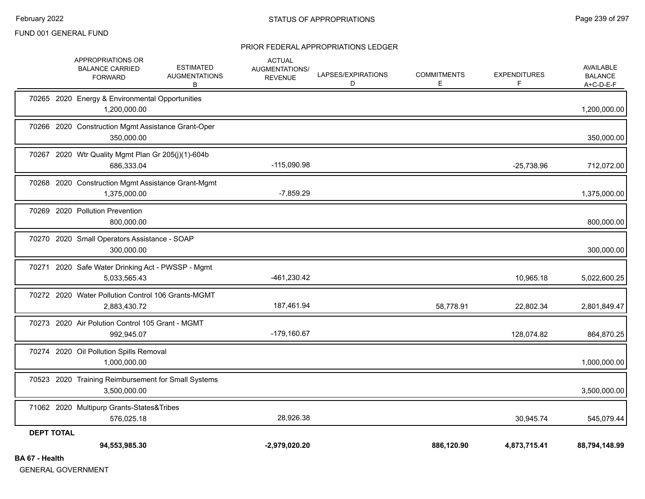#### PRIOR FEDERAL APPROPRIATIONS LEDGER

| $A = 11.11$       | 94,553,985.30                                                                                                  | $-2,979,020.20$                                          |                         | 886,120.90              | 4,873,715.41             | 88,794,148.99                              |
|-------------------|----------------------------------------------------------------------------------------------------------------|----------------------------------------------------------|-------------------------|-------------------------|--------------------------|--------------------------------------------|
| <b>DEPT TOTAL</b> |                                                                                                                |                                                          |                         |                         |                          |                                            |
|                   | 71062 2020 Multipurp Grants-States&Tribes<br>576,025.18                                                        | 28,926.38                                                |                         |                         | 30,945.74                | 545,079.44                                 |
|                   | 70523 2020 Training Reimbursement for Small Systems<br>3,500,000.00                                            |                                                          |                         |                         |                          | 3,500,000.00                               |
|                   | 70274 2020 Oil Pollution Spills Removal<br>1,000,000.00                                                        |                                                          |                         |                         |                          | 1,000,000.00                               |
|                   | 70273 2020 Air Polution Control 105 Grant - MGMT<br>992,945.07                                                 | $-179,160.67$                                            |                         |                         | 128,074.82               | 864,870.25                                 |
|                   | 70272 2020 Water Pollution Control 106 Grants-MGMT<br>2,883,430.72                                             | 187,461.94                                               |                         | 58,778.91               | 22,802.34                | 2,801,849.47                               |
|                   | 70271 2020 Safe Water Drinking Act - PWSSP - Mgmt<br>5,033,565.43                                              | -461,230.42                                              |                         |                         | 10,965.18                | 5,022,600.25                               |
|                   | 70270 2020 Small Operators Assistance - SOAP<br>300,000.00                                                     |                                                          |                         |                         |                          | 300,000.00                                 |
|                   | 70269 2020 Pollution Prevention<br>800,000.00                                                                  |                                                          |                         |                         |                          | 800,000.00                                 |
|                   | 70268 2020 Construction Mgmt Assistance Grant-Mgmt<br>1,375,000.00                                             | $-7,859.29$                                              |                         |                         |                          | 1,375,000.00                               |
|                   | 70267 2020 Wtr Quality Mgmt Plan Gr 205(j)(1)-604b<br>686,333.04                                               | $-115,090.98$                                            |                         |                         | $-25,738.96$             | 712,072.00                                 |
|                   | 70266 2020 Construction Mgmt Assistance Grant-Oper<br>350,000.00                                               |                                                          |                         |                         |                          | 350,000.00                                 |
|                   | 70265 2020 Energy & Environmental Opportunities<br>1,200,000.00                                                |                                                          |                         |                         |                          | 1,200,000.00                               |
|                   | APPROPRIATIONS OR<br><b>ESTIMATED</b><br><b>BALANCE CARRIED</b><br><b>AUGMENTATIONS</b><br><b>FORWARD</b><br>В | <b>ACTUAL</b><br><b>AUGMENTATIONS/</b><br><b>REVENUE</b> | LAPSES/EXPIRATIONS<br>D | <b>COMMITMENTS</b><br>Е | <b>EXPENDITURES</b><br>F | AVAILABLE<br><b>BALANCE</b><br>$A+C-D-E-F$ |

**BA 67 - Health**

GENERAL GOVERNMENT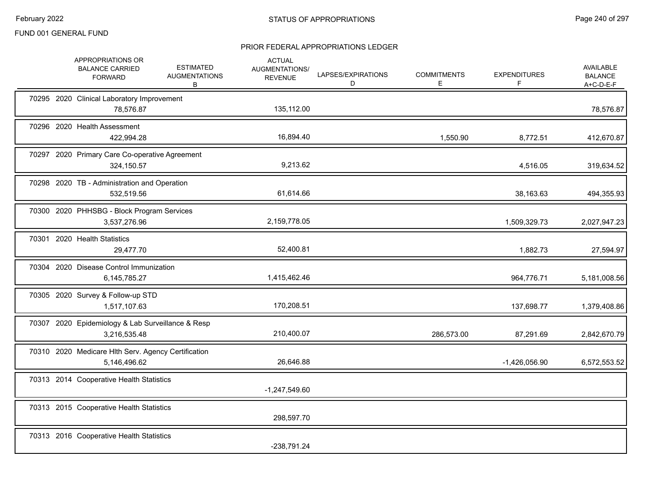|  | APPROPRIATIONS OR<br><b>BALANCE CARRIED</b><br><b>FORWARD</b>       | <b>ESTIMATED</b><br><b>AUGMENTATIONS</b><br>В | <b>ACTUAL</b><br>AUGMENTATIONS/<br><b>REVENUE</b> | LAPSES/EXPIRATIONS<br>D | <b>COMMITMENTS</b><br>Е | <b>EXPENDITURES</b><br>F | <b>AVAILABLE</b><br><b>BALANCE</b><br>$A+C-D-E-F$ |
|--|---------------------------------------------------------------------|-----------------------------------------------|---------------------------------------------------|-------------------------|-------------------------|--------------------------|---------------------------------------------------|
|  | 70295 2020 Clinical Laboratory Improvement<br>78,576.87             |                                               | 135,112.00                                        |                         |                         |                          | 78,576.87                                         |
|  | 70296 2020 Health Assessment<br>422,994.28                          |                                               | 16,894.40                                         |                         | 1,550.90                | 8,772.51                 | 412,670.87                                        |
|  | 70297 2020 Primary Care Co-operative Agreement<br>324,150.57        |                                               | 9,213.62                                          |                         |                         | 4,516.05                 | 319,634.52                                        |
|  | 70298 2020 TB - Administration and Operation<br>532,519.56          |                                               | 61,614.66                                         |                         |                         | 38,163.63                | 494,355.93                                        |
|  | 70300 2020 PHHSBG - Block Program Services<br>3,537,276.96          |                                               | 2,159,778.05                                      |                         |                         | 1,509,329.73             | 2,027,947.23                                      |
|  | 70301 2020 Health Statistics<br>29,477.70                           |                                               | 52,400.81                                         |                         |                         | 1,882.73                 | 27,594.97                                         |
|  | 70304 2020 Disease Control Immunization<br>6,145,785.27             |                                               | 1,415,462.46                                      |                         |                         | 964,776.71               | 5,181,008.56                                      |
|  | 70305 2020 Survey & Follow-up STD<br>1,517,107.63                   |                                               | 170,208.51                                        |                         |                         | 137,698.77               | 1,379,408.86                                      |
|  | 70307 2020 Epidemiology & Lab Surveillance & Resp<br>3,216,535.48   |                                               | 210,400.07                                        |                         | 286,573.00              | 87,291.69                | 2,842,670.79                                      |
|  | 70310 2020 Medicare Hlth Serv. Agency Certification<br>5,146,496.62 |                                               | 26,646.88                                         |                         |                         | $-1,426,056.90$          | 6,572,553.52                                      |
|  | 70313 2014 Cooperative Health Statistics                            |                                               | $-1,247,549.60$                                   |                         |                         |                          |                                                   |
|  | 70313 2015 Cooperative Health Statistics                            |                                               | 298,597.70                                        |                         |                         |                          |                                                   |
|  | 70313 2016 Cooperative Health Statistics                            |                                               | -238,791.24                                       |                         |                         |                          |                                                   |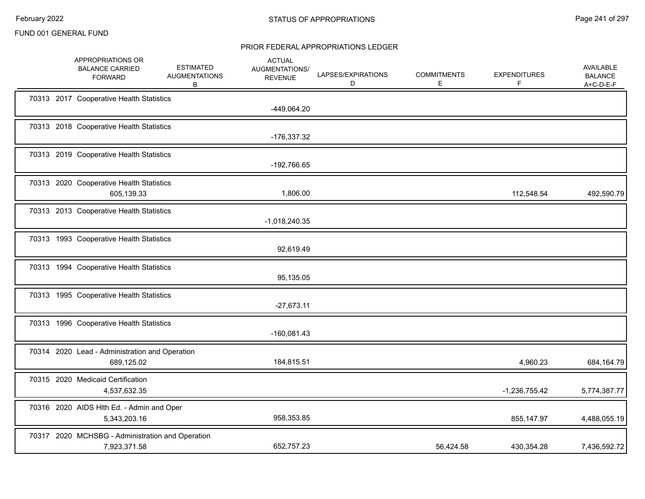|  | APPROPRIATIONS OR<br><b>BALANCE CARRIED</b><br><b>FORWARD</b>    | <b>ESTIMATED</b><br><b>AUGMENTATIONS</b><br>В | <b>ACTUAL</b><br>AUGMENTATIONS/<br><b>REVENUE</b> | LAPSES/EXPIRATIONS<br>D | <b>COMMITMENTS</b><br>Е | <b>EXPENDITURES</b><br>F | <b>AVAILABLE</b><br><b>BALANCE</b><br>$A+C-D-E-F$ |
|--|------------------------------------------------------------------|-----------------------------------------------|---------------------------------------------------|-------------------------|-------------------------|--------------------------|---------------------------------------------------|
|  | 70313 2017 Cooperative Health Statistics                         |                                               | -449,064.20                                       |                         |                         |                          |                                                   |
|  | 70313 2018 Cooperative Health Statistics                         |                                               | -176,337.32                                       |                         |                         |                          |                                                   |
|  | 70313 2019 Cooperative Health Statistics                         |                                               | -192,766.65                                       |                         |                         |                          |                                                   |
|  | 70313 2020 Cooperative Health Statistics<br>605,139.33           |                                               | 1,806.00                                          |                         |                         | 112,548.54               | 492,590.79                                        |
|  | 70313 2013 Cooperative Health Statistics                         |                                               | $-1,018,240.35$                                   |                         |                         |                          |                                                   |
|  | 70313 1993 Cooperative Health Statistics                         |                                               | 92,619.49                                         |                         |                         |                          |                                                   |
|  | 70313 1994 Cooperative Health Statistics                         |                                               | 95,135.05                                         |                         |                         |                          |                                                   |
|  | 70313 1995 Cooperative Health Statistics                         |                                               | $-27,673.11$                                      |                         |                         |                          |                                                   |
|  | 70313 1996 Cooperative Health Statistics                         |                                               | $-160,081.43$                                     |                         |                         |                          |                                                   |
|  | 70314 2020 Lead - Administration and Operation<br>689,125.02     |                                               | 184,815.51                                        |                         |                         | 4,960.23                 | 684,164.79                                        |
|  | 70315 2020 Medicaid Certification<br>4,537,632.35                |                                               |                                                   |                         |                         | $-1,236,755.42$          | 5,774,387.77                                      |
|  | 70316 2020 AIDS HIth Ed. - Admin and Oper<br>5,343,203.16        |                                               | 958,353.85                                        |                         |                         | 855,147.97               | 4,488,055.19                                      |
|  | 70317 2020 MCHSBG - Administration and Operation<br>7,923,371.58 |                                               | 652,757.23                                        |                         | 56,424.58               | 430,354.28               | 7,436,592.72                                      |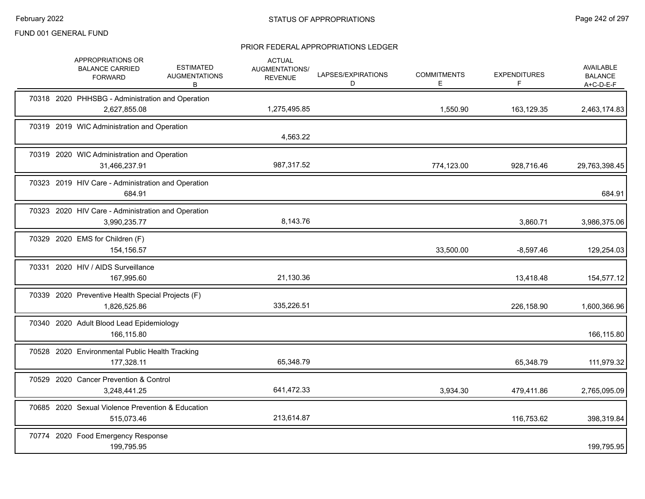|  | APPROPRIATIONS OR<br><b>BALANCE CARRIED</b><br><b>FORWARD</b>      | <b>ESTIMATED</b><br><b>AUGMENTATIONS</b><br>B | <b>ACTUAL</b><br>AUGMENTATIONS/<br><b>REVENUE</b> | LAPSES/EXPIRATIONS<br>D | <b>COMMITMENTS</b><br>Е | <b>EXPENDITURES</b><br>F. | AVAILABLE<br><b>BALANCE</b><br>$A+C-D-E-F$ |
|--|--------------------------------------------------------------------|-----------------------------------------------|---------------------------------------------------|-------------------------|-------------------------|---------------------------|--------------------------------------------|
|  | 70318 2020 PHHSBG - Administration and Operation<br>2,627,855.08   |                                               | 1,275,495.85                                      |                         | 1,550.90                | 163,129.35                | 2,463,174.83                               |
|  | 70319 2019 WIC Administration and Operation                        |                                               | 4,563.22                                          |                         |                         |                           |                                            |
|  | 70319 2020 WIC Administration and Operation<br>31,466,237.91       |                                               | 987,317.52                                        |                         | 774,123.00              | 928,716.46                | 29,763,398.45                              |
|  | 70323 2019 HIV Care - Administration and Operation<br>684.91       |                                               |                                                   |                         |                         |                           | 684.91                                     |
|  | 70323 2020 HIV Care - Administration and Operation<br>3,990,235.77 |                                               | 8,143.76                                          |                         |                         | 3,860.71                  | 3,986,375.06                               |
|  | 70329 2020 EMS for Children (F)<br>154,156.57                      |                                               |                                                   |                         | 33,500.00               | $-8,597.46$               | 129,254.03                                 |
|  | 70331 2020 HIV / AIDS Surveillance<br>167,995.60                   |                                               | 21,130.36                                         |                         |                         | 13,418.48                 | 154,577.12                                 |
|  | 70339 2020 Preventive Health Special Projects (F)<br>1,826,525.86  |                                               | 335,226.51                                        |                         |                         | 226,158.90                | 1,600,366.96                               |
|  | 70340 2020 Adult Blood Lead Epidemiology<br>166,115.80             |                                               |                                                   |                         |                         |                           | 166,115.80                                 |
|  | 70528 2020 Environmental Public Health Tracking<br>177,328.11      |                                               | 65,348.79                                         |                         |                         | 65,348.79                 | 111,979.32                                 |
|  | 70529 2020 Cancer Prevention & Control<br>3,248,441.25             |                                               | 641,472.33                                        |                         | 3,934.30                | 479,411.86                | 2,765,095.09                               |
|  | 70685 2020 Sexual Violence Prevention & Education<br>515,073.46    |                                               | 213,614.87                                        |                         |                         | 116,753.62                | 398,319.84                                 |
|  | 70774 2020 Food Emergency Response<br>199,795.95                   |                                               |                                                   |                         |                         |                           | 199,795.95                                 |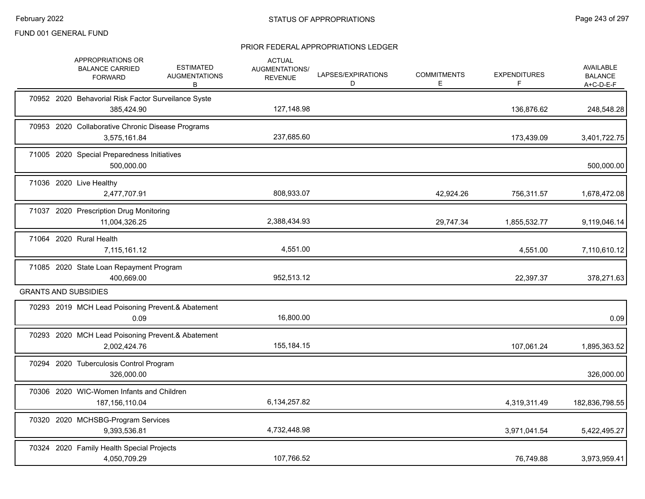|  | APPROPRIATIONS OR<br><b>BALANCE CARRIED</b><br><b>FORWARD</b>     | <b>ESTIMATED</b><br><b>AUGMENTATIONS</b><br>В | <b>ACTUAL</b><br><b>AUGMENTATIONS/</b><br><b>REVENUE</b> | LAPSES/EXPIRATIONS<br>D | <b>COMMITMENTS</b><br>E. | <b>EXPENDITURES</b><br>F | AVAILABLE<br><b>BALANCE</b><br>$A+C-D-E-F$ |
|--|-------------------------------------------------------------------|-----------------------------------------------|----------------------------------------------------------|-------------------------|--------------------------|--------------------------|--------------------------------------------|
|  | 70952 2020 Behavorial Risk Factor Surveilance Syste<br>385,424.90 |                                               | 127,148.98                                               |                         |                          | 136,876.62               | 248,548.28                                 |
|  | 70953 2020 Collaborative Chronic Disease Programs<br>3,575,161.84 |                                               | 237,685.60                                               |                         |                          | 173,439.09               | 3,401,722.75                               |
|  | 71005 2020 Special Preparedness Initiatives<br>500,000.00         |                                               |                                                          |                         |                          |                          | 500,000.00                                 |
|  | 71036 2020 Live Healthy<br>2,477,707.91                           |                                               | 808,933.07                                               |                         | 42,924.26                | 756,311.57               | 1,678,472.08                               |
|  | 71037 2020 Prescription Drug Monitoring<br>11,004,326.25          |                                               | 2,388,434.93                                             |                         | 29,747.34                | 1,855,532.77             | 9,119,046.14                               |
|  | 71064 2020 Rural Health<br>7,115,161.12                           |                                               | 4,551.00                                                 |                         |                          | 4,551.00                 | 7,110,610.12                               |
|  | 71085 2020 State Loan Repayment Program<br>400,669.00             |                                               | 952,513.12                                               |                         |                          | 22,397.37                | 378,271.63                                 |
|  | <b>GRANTS AND SUBSIDIES</b>                                       |                                               |                                                          |                         |                          |                          |                                            |
|  | 70293 2019 MCH Lead Poisoning Prevent.& Abatement<br>0.09         |                                               | 16,800.00                                                |                         |                          |                          | 0.09                                       |
|  | 70293 2020 MCH Lead Poisoning Prevent.& Abatement<br>2,002,424.76 |                                               | 155,184.15                                               |                         |                          | 107,061.24               | 1,895,363.52                               |
|  | 70294 2020 Tuberculosis Control Program<br>326,000.00             |                                               |                                                          |                         |                          |                          | 326,000.00                                 |
|  | 70306 2020 WIC-Women Infants and Children<br>187, 156, 110.04     |                                               | 6,134,257.82                                             |                         |                          | 4,319,311.49             | 182,836,798.55                             |
|  | 70320 2020 MCHSBG-Program Services<br>9,393,536.81                |                                               | 4,732,448.98                                             |                         |                          | 3,971,041.54             | 5,422,495.27                               |
|  | 70324 2020 Family Health Special Projects<br>4,050,709.29         |                                               | 107,766.52                                               |                         |                          | 76.749.88                | 3,973,959.41                               |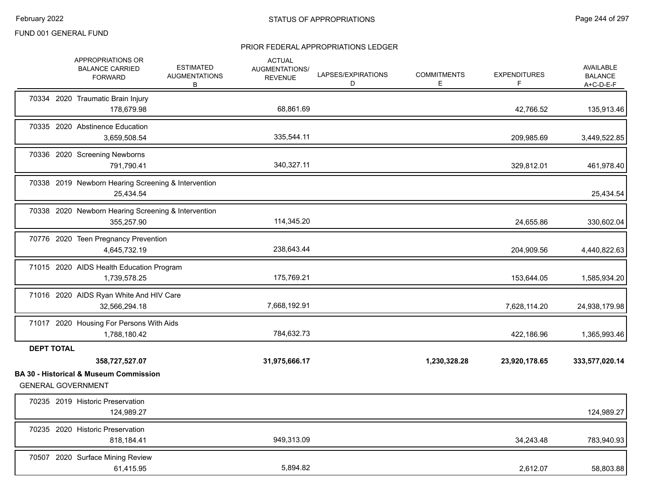|                   | APPROPRIATIONS OR<br><b>BALANCE CARRIED</b><br><b>FORWARD</b>                                    | <b>ESTIMATED</b><br><b>AUGMENTATIONS</b><br>B | <b>ACTUAL</b><br><b>AUGMENTATIONS/</b><br><b>REVENUE</b> | LAPSES/EXPIRATIONS<br>D | <b>COMMITMENTS</b><br>E. | <b>EXPENDITURES</b><br>F | AVAILABLE<br><b>BALANCE</b><br>$A+C-D-E-F$ |
|-------------------|--------------------------------------------------------------------------------------------------|-----------------------------------------------|----------------------------------------------------------|-------------------------|--------------------------|--------------------------|--------------------------------------------|
|                   | 70334 2020 Traumatic Brain Injury<br>178,679.98                                                  |                                               | 68,861.69                                                |                         |                          | 42,766.52                | 135,913.46                                 |
|                   | 70335 2020 Abstinence Education<br>3,659,508.54                                                  |                                               | 335,544.11                                               |                         |                          | 209,985.69               | 3,449,522.85                               |
|                   | 70336 2020 Screening Newborns<br>791,790.41                                                      |                                               | 340,327.11                                               |                         |                          | 329,812.01               | 461,978.40                                 |
|                   | 70338 2019 Newborn Hearing Screening & Intervention<br>25,434.54                                 |                                               |                                                          |                         |                          |                          | 25,434.54                                  |
|                   | 70338 2020 Newborn Hearing Screening & Intervention<br>355,257.90                                |                                               | 114,345.20                                               |                         |                          | 24,655.86                | 330,602.04                                 |
|                   | 70776 2020 Teen Pregnancy Prevention<br>4,645,732.19                                             |                                               | 238,643.44                                               |                         |                          | 204,909.56               | 4,440,822.63                               |
|                   | 71015 2020 AIDS Health Education Program<br>1,739,578.25                                         |                                               | 175,769.21                                               |                         |                          | 153,644.05               | 1,585,934.20                               |
|                   | 71016 2020 AIDS Ryan White And HIV Care<br>32,566,294.18                                         |                                               | 7,668,192.91                                             |                         |                          | 7,628,114.20             | 24,938,179.98                              |
|                   | 71017 2020 Housing For Persons With Aids<br>1,788,180.42                                         |                                               | 784,632.73                                               |                         |                          | 422,186.96               | 1,365,993.46                               |
| <b>DEPT TOTAL</b> |                                                                                                  |                                               |                                                          |                         |                          |                          |                                            |
|                   | 358,727,527.07<br><b>BA 30 - Historical &amp; Museum Commission</b><br><b>GENERAL GOVERNMENT</b> |                                               | 31,975,666.17                                            |                         | 1,230,328.28             | 23,920,178.65            | 333,577,020.14                             |
|                   | 70235 2019 Historic Preservation<br>124,989.27                                                   |                                               |                                                          |                         |                          |                          | 124,989.27                                 |
|                   | 70235 2020 Historic Preservation<br>818,184.41                                                   |                                               | 949,313.09                                               |                         |                          | 34,243.48                | 783,940.93                                 |
|                   | 70507 2020 Surface Mining Review<br>61,415.95                                                    |                                               | 5,894.82                                                 |                         |                          | 2,612.07                 | 58,803.88                                  |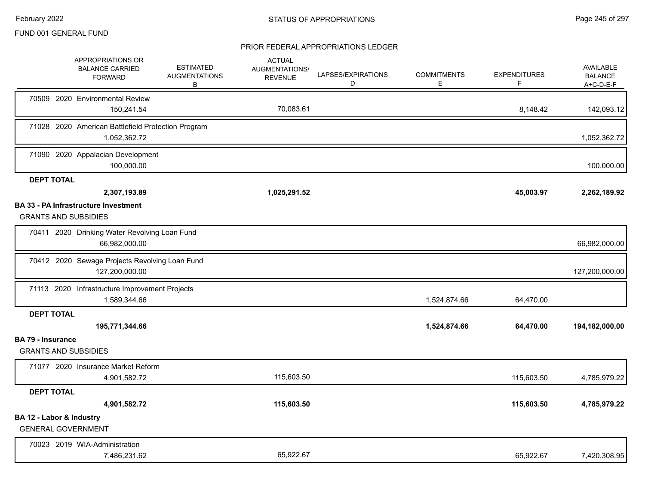|                          | APPROPRIATIONS OR<br><b>BALANCE CARRIED</b><br><b>FORWARD</b>              | <b>ESTIMATED</b><br><b>AUGMENTATIONS</b><br>В | <b>ACTUAL</b><br>AUGMENTATIONS/<br><b>REVENUE</b> | LAPSES/EXPIRATIONS<br>D | <b>COMMITMENTS</b><br>E. | <b>EXPENDITURES</b><br>F | <b>AVAILABLE</b><br><b>BALANCE</b><br>$A+C-D-E-F$ |
|--------------------------|----------------------------------------------------------------------------|-----------------------------------------------|---------------------------------------------------|-------------------------|--------------------------|--------------------------|---------------------------------------------------|
|                          | 70509 2020 Environmental Review<br>150,241.54                              |                                               | 70,083.61                                         |                         |                          | 8,148.42                 | 142,093.12                                        |
|                          | 71028 2020 American Battlefield Protection Program<br>1,052,362.72         |                                               |                                                   |                         |                          |                          | 1,052,362.72                                      |
|                          | 71090 2020 Appalacian Development<br>100,000.00                            |                                               |                                                   |                         |                          |                          | 100,000.00                                        |
| <b>DEPT TOTAL</b>        |                                                                            |                                               |                                                   |                         |                          |                          |                                                   |
|                          | 2,307,193.89                                                               |                                               | 1,025,291.52                                      |                         |                          | 45,003.97                | 2,262,189.92                                      |
|                          | <b>BA 33 - PA Infrastructure Investment</b><br><b>GRANTS AND SUBSIDIES</b> |                                               |                                                   |                         |                          |                          |                                                   |
|                          | 70411 2020 Drinking Water Revolving Loan Fund<br>66,982,000.00             |                                               |                                                   |                         |                          |                          | 66,982,000.00                                     |
|                          | 70412 2020 Sewage Projects Revolving Loan Fund<br>127,200,000.00           |                                               |                                                   |                         |                          |                          | 127,200,000.00                                    |
|                          | 71113 2020 Infrastructure Improvement Projects<br>1,589,344.66             |                                               |                                                   |                         | 1,524,874.66             | 64,470.00                |                                                   |
| <b>DEPT TOTAL</b>        | 195,771,344.66                                                             |                                               |                                                   |                         | 1,524,874.66             | 64,470.00                | 194,182,000.00                                    |
| <b>BA 79 - Insurance</b> | <b>GRANTS AND SUBSIDIES</b>                                                |                                               |                                                   |                         |                          |                          |                                                   |
|                          | 71077 2020 Insurance Market Reform<br>4,901,582.72                         |                                               | 115,603.50                                        |                         |                          | 115,603.50               | 4,785,979.22                                      |
| <b>DEPT TOTAL</b>        |                                                                            |                                               |                                                   |                         |                          |                          |                                                   |
|                          | 4,901,582.72                                                               |                                               | 115,603.50                                        |                         |                          | 115,603.50               | 4,785,979.22                                      |
| BA 12 - Labor & Industry | <b>GENERAL GOVERNMENT</b>                                                  |                                               |                                                   |                         |                          |                          |                                                   |
|                          | 70023 2019 WIA-Administration<br>7,486,231.62                              |                                               | 65,922.67                                         |                         |                          | 65,922.67                | 7,420,308.95                                      |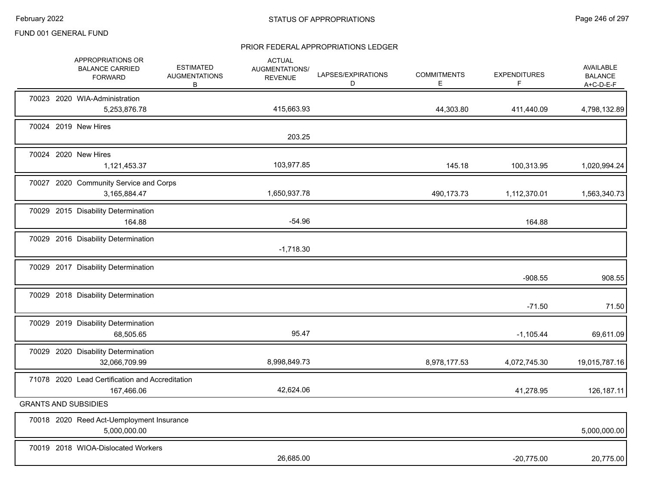|  | APPROPRIATIONS OR<br><b>BALANCE CARRIED</b><br><b>FORWARD</b> | <b>ESTIMATED</b><br><b>AUGMENTATIONS</b><br>В | <b>ACTUAL</b><br>AUGMENTATIONS/<br><b>REVENUE</b> | LAPSES/EXPIRATIONS<br>D | <b>COMMITMENTS</b><br>E. | <b>EXPENDITURES</b><br>F | AVAILABLE<br><b>BALANCE</b><br>$A+C-D-E-F$ |
|--|---------------------------------------------------------------|-----------------------------------------------|---------------------------------------------------|-------------------------|--------------------------|--------------------------|--------------------------------------------|
|  | 70023 2020 WIA-Administration<br>5,253,876.78                 |                                               | 415,663.93                                        |                         | 44,303.80                | 411,440.09               | 4,798,132.89                               |
|  | 70024 2019 New Hires                                          |                                               | 203.25                                            |                         |                          |                          |                                            |
|  | 70024 2020 New Hires<br>1,121,453.37                          |                                               | 103,977.85                                        |                         | 145.18                   | 100,313.95               | 1,020,994.24                               |
|  | 70027 2020 Community Service and Corps<br>3,165,884.47        |                                               | 1,650,937.78                                      |                         | 490,173.73               | 1,112,370.01             | 1,563,340.73                               |
|  | 70029 2015 Disability Determination<br>164.88                 |                                               | $-54.96$                                          |                         |                          | 164.88                   |                                            |
|  | 70029 2016 Disability Determination                           |                                               | $-1,718.30$                                       |                         |                          |                          |                                            |
|  | 70029 2017 Disability Determination                           |                                               |                                                   |                         |                          | $-908.55$                | 908.55                                     |
|  | 70029 2018 Disability Determination                           |                                               |                                                   |                         |                          | $-71.50$                 | 71.50                                      |
|  | 70029 2019 Disability Determination<br>68,505.65              |                                               | 95.47                                             |                         |                          | $-1,105.44$              | 69,611.09                                  |
|  | 70029 2020 Disability Determination<br>32,066,709.99          |                                               | 8,998,849.73                                      |                         | 8,978,177.53             | 4,072,745.30             | 19,015,787.16                              |
|  | 71078 2020 Lead Certification and Accreditation<br>167,466.06 |                                               | 42,624.06                                         |                         |                          | 41,278.95                | 126,187.11                                 |
|  | <b>GRANTS AND SUBSIDIES</b>                                   |                                               |                                                   |                         |                          |                          |                                            |
|  | 70018 2020 Reed Act-Uemployment Insurance<br>5,000,000.00     |                                               |                                                   |                         |                          |                          | 5,000,000.00                               |
|  | 70019 2018 WIOA-Dislocated Workers                            |                                               | 26,685.00                                         |                         |                          | $-20,775.00$             | 20,775.00                                  |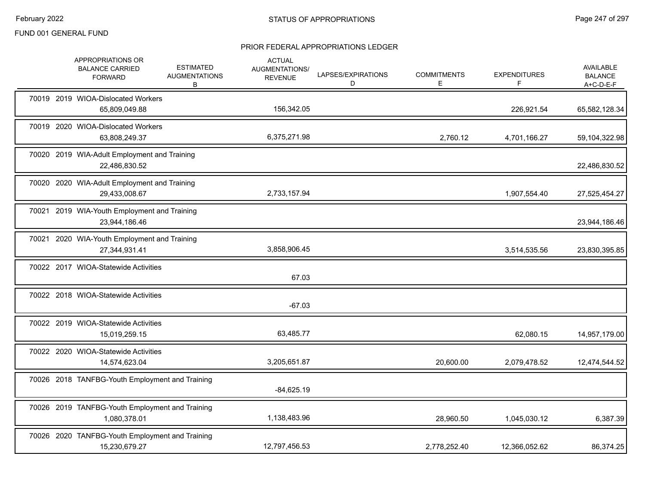|  | APPROPRIATIONS OR<br><b>BALANCE CARRIED</b><br><b>FORWARD</b>    | <b>ESTIMATED</b><br><b>AUGMENTATIONS</b><br>В | <b>ACTUAL</b><br>AUGMENTATIONS/<br><b>REVENUE</b> | LAPSES/EXPIRATIONS<br>D | <b>COMMITMENTS</b><br>E | <b>EXPENDITURES</b><br>F. | AVAILABLE<br><b>BALANCE</b><br>$A+C-D-E-F$ |
|--|------------------------------------------------------------------|-----------------------------------------------|---------------------------------------------------|-------------------------|-------------------------|---------------------------|--------------------------------------------|
|  | 70019 2019 WIOA-Dislocated Workers<br>65,809,049.88              |                                               | 156,342.05                                        |                         |                         | 226,921.54                | 65,582,128.34                              |
|  | 70019 2020 WIOA-Dislocated Workers<br>63,808,249.37              |                                               | 6,375,271.98                                      |                         | 2,760.12                | 4,701,166.27              | 59,104,322.98                              |
|  | 70020 2019 WIA-Adult Employment and Training<br>22,486,830.52    |                                               |                                                   |                         |                         |                           | 22,486,830.52                              |
|  | 70020 2020 WIA-Adult Employment and Training<br>29,433,008.67    |                                               | 2,733,157.94                                      |                         |                         | 1,907,554.40              | 27,525,454.27                              |
|  | 70021 2019 WIA-Youth Employment and Training<br>23,944,186.46    |                                               |                                                   |                         |                         |                           | 23,944,186.46                              |
|  | 70021 2020 WIA-Youth Employment and Training<br>27,344,931.41    |                                               | 3,858,906.45                                      |                         |                         | 3,514,535.56              | 23,830,395.85                              |
|  | 70022 2017 WIOA-Statewide Activities                             |                                               | 67.03                                             |                         |                         |                           |                                            |
|  | 70022 2018 WIOA-Statewide Activities                             |                                               | $-67.03$                                          |                         |                         |                           |                                            |
|  | 70022 2019 WIOA-Statewide Activities<br>15,019,259.15            |                                               | 63,485.77                                         |                         |                         | 62,080.15                 | 14,957,179.00                              |
|  | 70022 2020 WIOA-Statewide Activities<br>14,574,623.04            |                                               | 3,205,651.87                                      |                         | 20,600.00               | 2,079,478.52              | 12,474,544.52                              |
|  | 70026 2018 TANFBG-Youth Employment and Training                  |                                               | $-84,625.19$                                      |                         |                         |                           |                                            |
|  | 70026 2019 TANFBG-Youth Employment and Training<br>1,080,378.01  |                                               | 1,138,483.96                                      |                         | 28,960.50               | 1,045,030.12              | 6,387.39                                   |
|  | 70026 2020 TANFBG-Youth Employment and Training<br>15,230,679.27 |                                               | 12,797,456.53                                     |                         | 2,778,252.40            | 12,366,052.62             | 86,374.25                                  |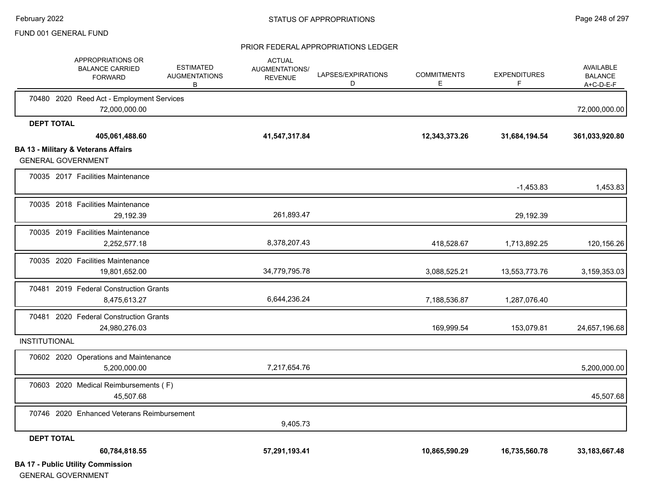#### PRIOR FEDERAL APPROPRIATIONS LEDGER

|                      | APPROPRIATIONS OR<br><b>BALANCE CARRIED</b><br><b>FORWARD</b>               | <b>ESTIMATED</b><br><b>AUGMENTATIONS</b><br>В | <b>ACTUAL</b><br><b>AUGMENTATIONS/</b><br><b>REVENUE</b> | LAPSES/EXPIRATIONS<br>D | <b>COMMITMENTS</b><br>Е | <b>EXPENDITURES</b><br>F | AVAILABLE<br><b>BALANCE</b><br>A+C-D-E-F |
|----------------------|-----------------------------------------------------------------------------|-----------------------------------------------|----------------------------------------------------------|-------------------------|-------------------------|--------------------------|------------------------------------------|
|                      | 70480 2020 Reed Act - Employment Services<br>72,000,000.00                  |                                               |                                                          |                         |                         |                          | 72,000,000.00                            |
| <b>DEPT TOTAL</b>    |                                                                             |                                               |                                                          |                         |                         |                          |                                          |
|                      | 405,061,488.60                                                              |                                               | 41,547,317.84                                            |                         | 12,343,373.26           | 31,684,194.54            | 361,033,920.80                           |
|                      | <b>BA 13 - Military &amp; Veterans Affairs</b><br><b>GENERAL GOVERNMENT</b> |                                               |                                                          |                         |                         |                          |                                          |
|                      | 70035 2017 Facilities Maintenance                                           |                                               |                                                          |                         |                         | $-1,453.83$              | 1,453.83                                 |
|                      | 70035 2018 Facilities Maintenance<br>29,192.39                              |                                               | 261,893.47                                               |                         |                         | 29,192.39                |                                          |
|                      | 70035 2019 Facilities Maintenance<br>2,252,577.18                           |                                               | 8,378,207.43                                             |                         | 418,528.67              | 1,713,892.25             | 120,156.26                               |
|                      | 70035 2020 Facilities Maintenance<br>19,801,652.00                          |                                               | 34,779,795.78                                            |                         | 3,088,525.21            | 13,553,773.76            | 3,159,353.03                             |
|                      | 70481 2019 Federal Construction Grants<br>8,475,613.27                      |                                               | 6,644,236.24                                             |                         | 7,188,536.87            | 1,287,076.40             |                                          |
|                      | 70481 2020 Federal Construction Grants<br>24,980,276.03                     |                                               |                                                          |                         | 169,999.54              | 153,079.81               | 24,657,196.68                            |
| <b>INSTITUTIONAL</b> |                                                                             |                                               |                                                          |                         |                         |                          |                                          |
|                      | 70602 2020 Operations and Maintenance<br>5,200,000.00                       |                                               | 7,217,654.76                                             |                         |                         |                          | 5,200,000.00                             |
|                      | 70603 2020 Medical Reimbursements (F)<br>45,507.68                          |                                               |                                                          |                         |                         |                          | 45,507.68                                |
|                      | 70746 2020 Enhanced Veterans Reimbursement                                  |                                               | 9,405.73                                                 |                         |                         |                          |                                          |
| <b>DEPT TOTAL</b>    |                                                                             |                                               |                                                          |                         |                         |                          |                                          |
|                      | 60,784,818.55                                                               |                                               | 57,291,193.41                                            |                         | 10,865,590.29           | 16,735,560.78            | 33, 183, 667. 48                         |
|                      | <b>BA 17 - Public Utility Commission</b>                                    |                                               |                                                          |                         |                         |                          |                                          |

GENERAL GOVERNMENT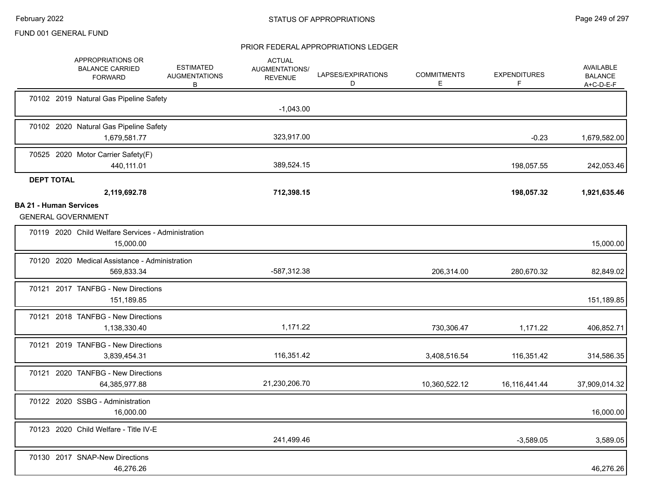|                                                            | APPROPRIATIONS OR<br><b>BALANCE CARRIED</b><br><b>FORWARD</b>   | <b>ESTIMATED</b><br><b>AUGMENTATIONS</b><br>В | <b>ACTUAL</b><br>AUGMENTATIONS/<br><b>REVENUE</b> | LAPSES/EXPIRATIONS<br>D | <b>COMMITMENTS</b><br>Ε | <b>EXPENDITURES</b><br>F | <b>AVAILABLE</b><br><b>BALANCE</b><br>A+C-D-E-F |
|------------------------------------------------------------|-----------------------------------------------------------------|-----------------------------------------------|---------------------------------------------------|-------------------------|-------------------------|--------------------------|-------------------------------------------------|
|                                                            | 70102 2019 Natural Gas Pipeline Safety                          |                                               | $-1,043.00$                                       |                         |                         |                          |                                                 |
|                                                            | 70102 2020 Natural Gas Pipeline Safety<br>1,679,581.77          |                                               | 323,917.00                                        |                         |                         | $-0.23$                  | 1,679,582.00                                    |
|                                                            | 70525 2020 Motor Carrier Safety(F)<br>440,111.01                |                                               | 389,524.15                                        |                         |                         | 198,057.55               | 242,053.46                                      |
| <b>DEPT TOTAL</b>                                          | 2,119,692.78                                                    |                                               | 712,398.15                                        |                         |                         | 198,057.32               | 1,921,635.46                                    |
| <b>BA 21 - Human Services</b><br><b>GENERAL GOVERNMENT</b> |                                                                 |                                               |                                                   |                         |                         |                          |                                                 |
|                                                            | 70119 2020 Child Welfare Services - Administration<br>15,000.00 |                                               |                                                   |                         |                         |                          | 15,000.00                                       |
|                                                            | 70120 2020 Medical Assistance - Administration<br>569,833.34    |                                               | -587,312.38                                       |                         | 206,314.00              | 280,670.32               | 82,849.02                                       |
|                                                            | 70121 2017 TANFBG - New Directions<br>151,189.85                |                                               |                                                   |                         |                         |                          | 151,189.85                                      |
|                                                            | 70121 2018 TANFBG - New Directions<br>1,138,330.40              |                                               | 1,171.22                                          |                         | 730,306.47              | 1,171.22                 | 406,852.71                                      |
|                                                            | 70121 2019 TANFBG - New Directions<br>3,839,454.31              |                                               | 116,351.42                                        |                         | 3,408,516.54            | 116,351.42               | 314,586.35                                      |
|                                                            | 70121 2020 TANFBG - New Directions<br>64,385,977.88             |                                               | 21,230,206.70                                     |                         | 10,360,522.12           | 16, 116, 441. 44         | 37,909,014.32                                   |
|                                                            | 70122 2020 SSBG - Administration<br>16,000.00                   |                                               |                                                   |                         |                         |                          | 16,000.00                                       |
|                                                            | 70123 2020 Child Welfare - Title IV-E                           |                                               | 241,499.46                                        |                         |                         | $-3,589.05$              | 3,589.05                                        |
|                                                            | 70130 2017 SNAP-New Directions<br>46,276.26                     |                                               |                                                   |                         |                         |                          | 46,276.26                                       |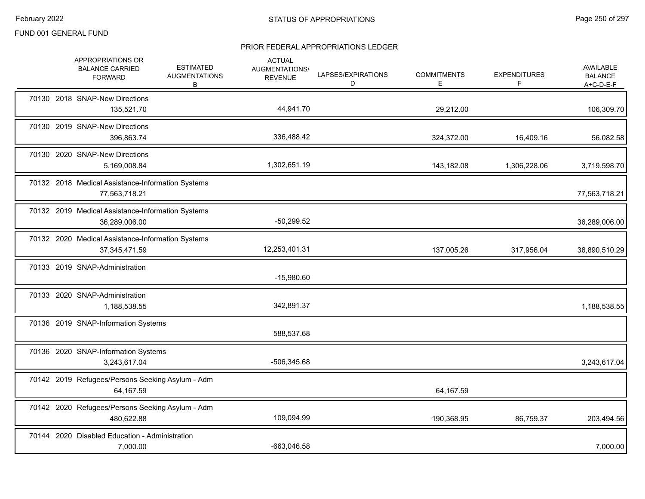|  | APPROPRIATIONS OR<br><b>BALANCE CARRIED</b><br><b>FORWARD</b>        | <b>ESTIMATED</b><br><b>AUGMENTATIONS</b><br>B | <b>ACTUAL</b><br>AUGMENTATIONS/<br><b>REVENUE</b> | LAPSES/EXPIRATIONS<br>D | <b>COMMITMENTS</b><br>E. | <b>EXPENDITURES</b><br>F | <b>AVAILABLE</b><br><b>BALANCE</b><br>$A+C-D-E-F$ |
|--|----------------------------------------------------------------------|-----------------------------------------------|---------------------------------------------------|-------------------------|--------------------------|--------------------------|---------------------------------------------------|
|  | 70130 2018 SNAP-New Directions<br>135,521.70                         |                                               | 44,941.70                                         |                         | 29,212.00                |                          | 106,309.70                                        |
|  | 70130 2019 SNAP-New Directions<br>396,863.74                         |                                               | 336,488.42                                        |                         | 324,372.00               | 16,409.16                | 56,082.58                                         |
|  | 70130 2020 SNAP-New Directions<br>5,169,008.84                       |                                               | 1,302,651.19                                      |                         | 143,182.08               | 1,306,228.06             | 3,719,598.70                                      |
|  | 70132 2018 Medical Assistance-Information Systems<br>77,563,718.21   |                                               |                                                   |                         |                          |                          | 77,563,718.21                                     |
|  | 70132 2019 Medical Assistance-Information Systems<br>36,289,006.00   |                                               | $-50,299.52$                                      |                         |                          |                          | 36,289,006.00                                     |
|  | 70132 2020 Medical Assistance-Information Systems<br>37, 345, 471.59 |                                               | 12,253,401.31                                     |                         | 137,005.26               | 317,956.04               | 36,890,510.29                                     |
|  | 70133 2019 SNAP-Administration                                       |                                               | $-15,980.60$                                      |                         |                          |                          |                                                   |
|  | 70133 2020 SNAP-Administration<br>1,188,538.55                       |                                               | 342,891.37                                        |                         |                          |                          | 1,188,538.55                                      |
|  | 70136 2019 SNAP-Information Systems                                  |                                               | 588,537.68                                        |                         |                          |                          |                                                   |
|  | 70136 2020 SNAP-Information Systems<br>3,243,617.04                  |                                               | -506,345.68                                       |                         |                          |                          | 3,243,617.04                                      |
|  | 70142 2019 Refugees/Persons Seeking Asylum - Adm<br>64,167.59        |                                               |                                                   |                         | 64,167.59                |                          |                                                   |
|  | 70142 2020 Refugees/Persons Seeking Asylum - Adm<br>480,622.88       |                                               | 109,094.99                                        |                         | 190,368.95               | 86,759.37                | 203,494.56                                        |
|  | 70144 2020 Disabled Education - Administration<br>7,000.00           |                                               | -663,046.58                                       |                         |                          |                          | 7,000.00                                          |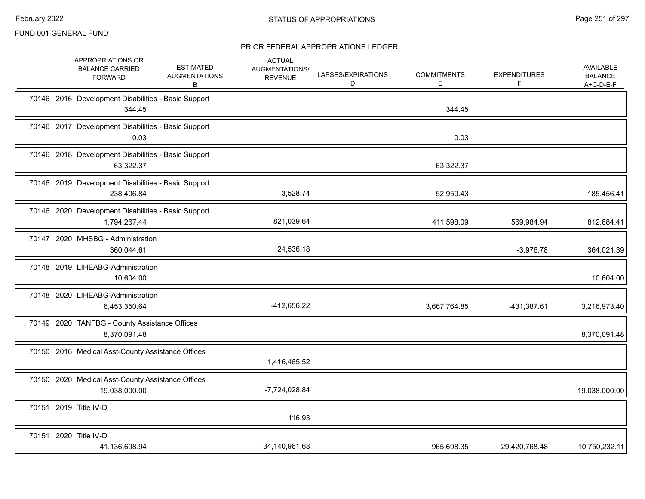|  | APPROPRIATIONS OR<br><b>BALANCE CARRIED</b><br><b>FORWARD</b>       | <b>ESTIMATED</b><br><b>AUGMENTATIONS</b><br>B | <b>ACTUAL</b><br>AUGMENTATIONS/<br><b>REVENUE</b> | LAPSES/EXPIRATIONS<br>D | <b>COMMITMENTS</b><br>E. | <b>EXPENDITURES</b><br>F | <b>AVAILABLE</b><br><b>BALANCE</b><br>A+C-D-E-F |
|--|---------------------------------------------------------------------|-----------------------------------------------|---------------------------------------------------|-------------------------|--------------------------|--------------------------|-------------------------------------------------|
|  | 70146 2016 Development Disabilities - Basic Support<br>344.45       |                                               |                                                   |                         | 344.45                   |                          |                                                 |
|  | 70146 2017 Development Disabilities - Basic Support<br>0.03         |                                               |                                                   |                         | 0.03                     |                          |                                                 |
|  | 70146 2018 Development Disabilities - Basic Support<br>63,322.37    |                                               |                                                   |                         | 63,322.37                |                          |                                                 |
|  | 70146 2019 Development Disabilities - Basic Support<br>238,406.84   |                                               | 3,528.74                                          |                         | 52,950.43                |                          | 185,456.41                                      |
|  | 70146 2020 Development Disabilities - Basic Support<br>1,794,267.44 |                                               | 821,039.64                                        |                         | 411,598.09               | 569,984.94               | 812,684.41                                      |
|  | 70147 2020 MHSBG - Administration<br>360,044.61                     |                                               | 24,536.18                                         |                         |                          | $-3,976.78$              | 364,021.39                                      |
|  | 70148 2019 LIHEABG-Administration<br>10,604.00                      |                                               |                                                   |                         |                          |                          | 10,604.00                                       |
|  | 70148 2020 LIHEABG-Administration<br>6,453,350.64                   |                                               | -412,656.22                                       |                         | 3,667,764.85             | -431,387.61              | 3,216,973.40                                    |
|  | 70149 2020 TANFBG - County Assistance Offices<br>8,370,091.48       |                                               |                                                   |                         |                          |                          | 8,370,091.48                                    |
|  | 70150 2016 Medical Asst-County Assistance Offices                   |                                               | 1,416,465.52                                      |                         |                          |                          |                                                 |
|  | 70150 2020 Medical Asst-County Assistance Offices<br>19,038,000.00  |                                               | -7,724,028.84                                     |                         |                          |                          | 19,038,000.00                                   |
|  | 70151 2019 Title IV-D                                               |                                               | 116.93                                            |                         |                          |                          |                                                 |
|  | 70151 2020 Title IV-D<br>41,136,698.94                              |                                               | 34,140,961.68                                     |                         | 965,698.35               | 29,420,768.48            | 10,750,232.11                                   |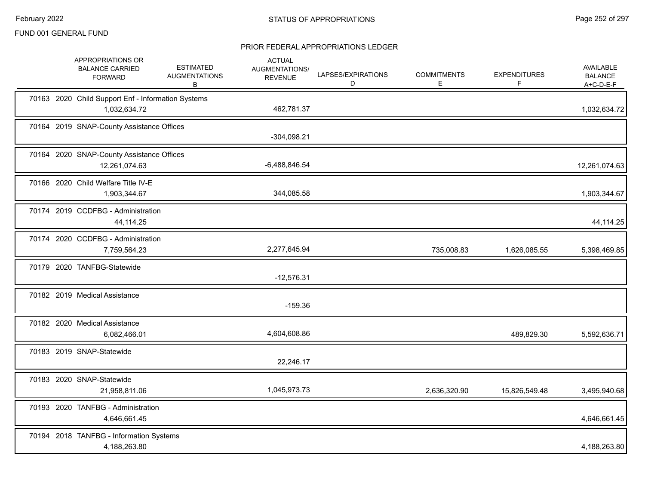|  | APPROPRIATIONS OR<br><b>BALANCE CARRIED</b><br><b>FORWARD</b>      | <b>ESTIMATED</b><br><b>AUGMENTATIONS</b><br>B | <b>ACTUAL</b><br>AUGMENTATIONS/<br><b>REVENUE</b> | LAPSES/EXPIRATIONS<br>D | <b>COMMITMENTS</b><br>E. | <b>EXPENDITURES</b><br>F | <b>AVAILABLE</b><br><b>BALANCE</b><br>A+C-D-E-F |
|--|--------------------------------------------------------------------|-----------------------------------------------|---------------------------------------------------|-------------------------|--------------------------|--------------------------|-------------------------------------------------|
|  | 70163 2020 Child Support Enf - Information Systems<br>1,032,634.72 |                                               | 462,781.37                                        |                         |                          |                          | 1,032,634.72                                    |
|  | 70164 2019 SNAP-County Assistance Offices                          |                                               | $-304,098.21$                                     |                         |                          |                          |                                                 |
|  | 70164 2020 SNAP-County Assistance Offices<br>12,261,074.63         |                                               | $-6,488,846.54$                                   |                         |                          |                          | 12,261,074.63                                   |
|  | 70166 2020 Child Welfare Title IV-E<br>1,903,344.67                |                                               | 344,085.58                                        |                         |                          |                          | 1,903,344.67                                    |
|  | 70174 2019 CCDFBG - Administration<br>44,114.25                    |                                               |                                                   |                         |                          |                          | 44,114.25                                       |
|  | 70174 2020 CCDFBG - Administration<br>7,759,564.23                 |                                               | 2,277,645.94                                      |                         | 735,008.83               | 1,626,085.55             | 5,398,469.85                                    |
|  | 70179 2020 TANFBG-Statewide                                        |                                               | $-12,576.31$                                      |                         |                          |                          |                                                 |
|  | 70182 2019 Medical Assistance                                      |                                               | $-159.36$                                         |                         |                          |                          |                                                 |
|  | 70182 2020 Medical Assistance<br>6,082,466.01                      |                                               | 4,604,608.86                                      |                         |                          | 489,829.30               | 5,592,636.71                                    |
|  | 70183 2019 SNAP-Statewide                                          |                                               | 22,246.17                                         |                         |                          |                          |                                                 |
|  | 70183 2020 SNAP-Statewide<br>21,958,811.06                         |                                               | 1,045,973.73                                      |                         | 2,636,320.90             | 15,826,549.48            | 3,495,940.68                                    |
|  | 70193 2020 TANFBG - Administration<br>4,646,661.45                 |                                               |                                                   |                         |                          |                          | 4,646,661.45                                    |
|  | 70194 2018 TANFBG - Information Systems<br>4,188,263.80            |                                               |                                                   |                         |                          |                          | 4,188,263.80                                    |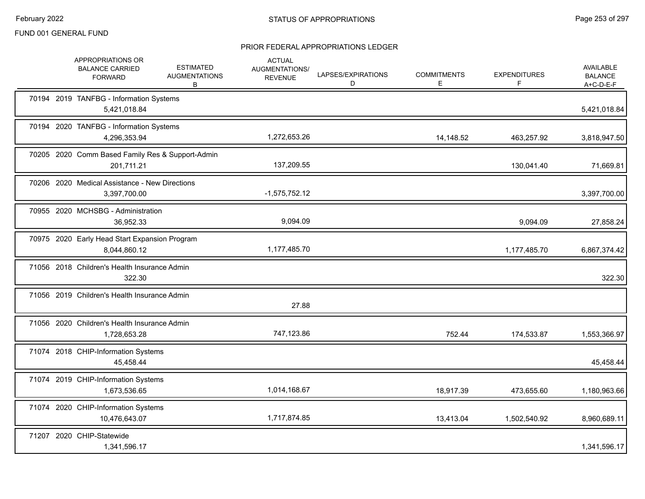|  | APPROPRIATIONS OR<br><b>BALANCE CARRIED</b><br><b>FORWARD</b>  | <b>ESTIMATED</b><br><b>AUGMENTATIONS</b><br>B | <b>ACTUAL</b><br>AUGMENTATIONS/<br><b>REVENUE</b> | LAPSES/EXPIRATIONS<br>D | <b>COMMITMENTS</b><br>E. | <b>EXPENDITURES</b><br>F. | AVAILABLE<br><b>BALANCE</b><br>$A+C-D-E-F$ |
|--|----------------------------------------------------------------|-----------------------------------------------|---------------------------------------------------|-------------------------|--------------------------|---------------------------|--------------------------------------------|
|  | 70194 2019 TANFBG - Information Systems<br>5,421,018.84        |                                               |                                                   |                         |                          |                           | 5,421,018.84                               |
|  | 70194 2020 TANFBG - Information Systems<br>4,296,353.94        |                                               | 1,272,653.26                                      |                         | 14,148.52                | 463,257.92                | 3,818,947.50                               |
|  | 70205 2020 Comm Based Family Res & Support-Admin<br>201,711.21 |                                               | 137,209.55                                        |                         |                          | 130,041.40                | 71,669.81                                  |
|  | 70206 2020 Medical Assistance - New Directions<br>3,397,700.00 |                                               | $-1,575,752.12$                                   |                         |                          |                           | 3,397,700.00                               |
|  | 70955 2020 MCHSBG - Administration<br>36,952.33                |                                               | 9,094.09                                          |                         |                          | 9,094.09                  | 27,858.24                                  |
|  | 70975 2020 Early Head Start Expansion Program<br>8,044,860.12  |                                               | 1,177,485.70                                      |                         |                          | 1,177,485.70              | 6,867,374.42                               |
|  | 71056 2018 Children's Health Insurance Admin<br>322.30         |                                               |                                                   |                         |                          |                           | 322.30                                     |
|  | 71056 2019 Children's Health Insurance Admin                   |                                               | 27.88                                             |                         |                          |                           |                                            |
|  | 71056 2020 Children's Health Insurance Admin<br>1,728,653.28   |                                               | 747,123.86                                        |                         | 752.44                   | 174,533.87                | 1,553,366.97                               |
|  | 71074 2018 CHIP-Information Systems<br>45,458.44               |                                               |                                                   |                         |                          |                           | 45,458.44                                  |
|  | 71074 2019 CHIP-Information Systems<br>1,673,536.65            |                                               | 1,014,168.67                                      |                         | 18,917.39                | 473,655.60                | 1,180,963.66                               |
|  | 71074 2020 CHIP-Information Systems<br>10,476,643.07           |                                               | 1,717,874.85                                      |                         | 13,413.04                | 1,502,540.92              | 8,960,689.11                               |
|  | 71207 2020 CHIP-Statewide<br>1,341,596.17                      |                                               |                                                   |                         |                          |                           | 1,341,596.17                               |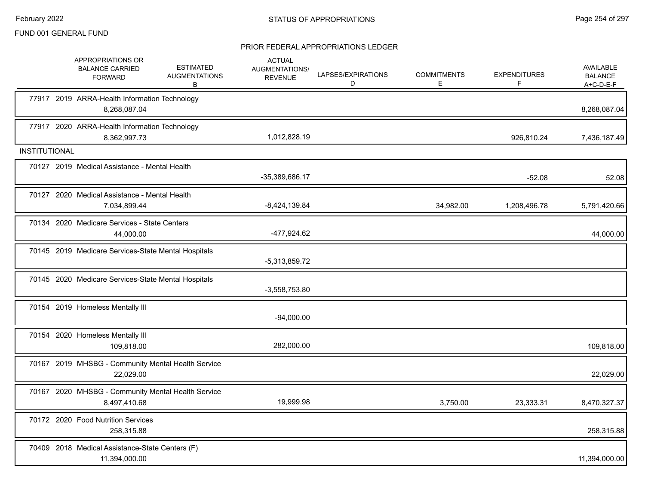|               | APPROPRIATIONS OR<br><b>BALANCE CARRIED</b><br><b>FORWARD</b>      | <b>ESTIMATED</b><br><b>AUGMENTATIONS</b><br>В | <b>ACTUAL</b><br>AUGMENTATIONS/<br><b>REVENUE</b> | LAPSES/EXPIRATIONS<br>D | <b>COMMITMENTS</b><br>Е | <b>EXPENDITURES</b><br>F | AVAILABLE<br><b>BALANCE</b><br>$A+C-D-E-F$ |
|---------------|--------------------------------------------------------------------|-----------------------------------------------|---------------------------------------------------|-------------------------|-------------------------|--------------------------|--------------------------------------------|
|               | 77917 2019 ARRA-Health Information Technology<br>8,268,087.04      |                                               |                                                   |                         |                         |                          | 8,268,087.04                               |
|               | 77917 2020 ARRA-Health Information Technology<br>8,362,997.73      |                                               | 1,012,828.19                                      |                         |                         | 926.810.24               | 7,436,187.49                               |
| INSTITUTIONAL |                                                                    |                                               |                                                   |                         |                         |                          |                                            |
|               | 70127 2019 Medical Assistance - Mental Health                      |                                               | -35,389,686.17                                    |                         |                         | $-52.08$                 | 52.08                                      |
|               | 70127 2020 Medical Assistance - Mental Health<br>7,034,899.44      |                                               | $-8,424,139.84$                                   |                         | 34,982.00               | 1,208,496.78             | 5,791,420.66                               |
|               | 70134 2020 Medicare Services - State Centers<br>44,000.00          |                                               | -477,924.62                                       |                         |                         |                          | 44,000.00                                  |
|               | 70145 2019 Medicare Services-State Mental Hospitals                |                                               | -5,313,859.72                                     |                         |                         |                          |                                            |
|               | 70145 2020 Medicare Services-State Mental Hospitals                |                                               | $-3,558,753.80$                                   |                         |                         |                          |                                            |
|               | 70154 2019 Homeless Mentally III                                   |                                               | $-94,000.00$                                      |                         |                         |                          |                                            |
|               | 70154 2020 Homeless Mentally III<br>109,818.00                     |                                               | 282,000.00                                        |                         |                         |                          | 109,818.00                                 |
|               | 70167 2019 MHSBG - Community Mental Health Service<br>22,029.00    |                                               |                                                   |                         |                         |                          | 22,029.00                                  |
|               | 70167 2020 MHSBG - Community Mental Health Service<br>8,497,410.68 |                                               | 19,999.98                                         |                         | 3,750.00                | 23,333.31                | 8,470,327.37                               |
|               | 70172 2020 Food Nutrition Services<br>258,315.88                   |                                               |                                                   |                         |                         |                          | 258,315.88                                 |
|               | 70409 2018 Medical Assistance-State Centers (F)<br>11,394,000.00   |                                               |                                                   |                         |                         |                          | 11,394,000.00                              |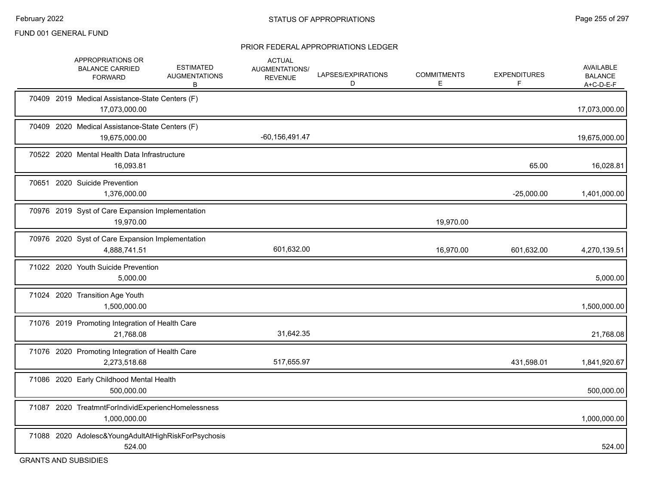#### PRIOR FEDERAL APPROPRIATIONS LEDGER

| APPROPRIATIONS OR<br><b>BALANCE CARRIED</b><br><b>FORWARD</b>      | <b>ESTIMATED</b><br><b>AUGMENTATIONS</b><br>В | <b>ACTUAL</b><br>AUGMENTATIONS/<br><b>REVENUE</b> | LAPSES/EXPIRATIONS<br>D | <b>COMMITMENTS</b><br>E | <b>EXPENDITURES</b><br>F | AVAILABLE<br><b>BALANCE</b><br>$A+C-D-E-F$ |
|--------------------------------------------------------------------|-----------------------------------------------|---------------------------------------------------|-------------------------|-------------------------|--------------------------|--------------------------------------------|
| 70409 2019 Medical Assistance-State Centers (F)<br>17,073,000.00   |                                               |                                                   |                         |                         |                          | 17,073,000.00                              |
| 70409 2020 Medical Assistance-State Centers (F)<br>19,675,000.00   |                                               | $-60, 156, 491.47$                                |                         |                         |                          | 19,675,000.00                              |
| 70522 2020 Mental Health Data Infrastructure<br>16,093.81          |                                               |                                                   |                         |                         | 65.00                    | 16,028.81                                  |
| 70651 2020 Suicide Prevention<br>1,376,000.00                      |                                               |                                                   |                         |                         | $-25,000.00$             | 1,401,000.00                               |
| 70976 2019 Syst of Care Expansion Implementation<br>19,970.00      |                                               |                                                   |                         | 19,970.00               |                          |                                            |
| 70976 2020 Syst of Care Expansion Implementation<br>4,888,741.51   |                                               | 601,632.00                                        |                         | 16,970.00               | 601,632.00               | 4,270,139.51                               |
| 71022 2020 Youth Suicide Prevention<br>5,000.00                    |                                               |                                                   |                         |                         |                          | 5,000.00                                   |
| 71024 2020 Transition Age Youth<br>1,500,000.00                    |                                               |                                                   |                         |                         |                          | 1,500,000.00                               |
| 71076 2019 Promoting Integration of Health Care<br>21,768.08       |                                               | 31,642.35                                         |                         |                         |                          | 21,768.08                                  |
| 71076 2020 Promoting Integration of Health Care<br>2,273,518.68    |                                               | 517,655.97                                        |                         |                         | 431,598.01               | 1,841,920.67                               |
| 71086 2020 Early Childhood Mental Health<br>500,000.00             |                                               |                                                   |                         |                         |                          | 500,000.00                                 |
| 71087 2020 TreatmntForIndividExperiencHomelessness<br>1,000,000.00 |                                               |                                                   |                         |                         |                          | 1,000,000.00                               |
| 71088 2020 Adolesc&YoungAdultAtHighRiskForPsychosis<br>524.00      |                                               |                                                   |                         |                         |                          | 524.00                                     |

GRANTS AND SUBSIDIES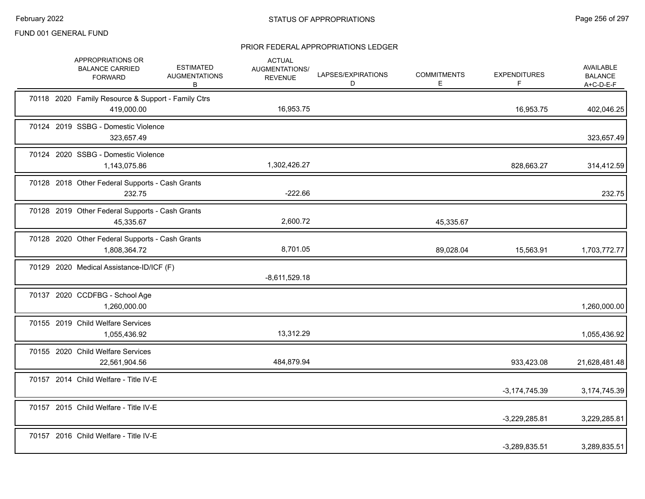|  | APPROPRIATIONS OR<br><b>BALANCE CARRIED</b><br><b>FORWARD</b>    | <b>ESTIMATED</b><br><b>AUGMENTATIONS</b><br>В | <b>ACTUAL</b><br>AUGMENTATIONS/<br><b>REVENUE</b> | LAPSES/EXPIRATIONS<br>D | <b>COMMITMENTS</b><br>E | <b>EXPENDITURES</b><br>F | AVAILABLE<br><b>BALANCE</b><br>$A+C-D-E-F$ |
|--|------------------------------------------------------------------|-----------------------------------------------|---------------------------------------------------|-------------------------|-------------------------|--------------------------|--------------------------------------------|
|  | 70118 2020 Family Resource & Support - Family Ctrs<br>419,000.00 |                                               | 16,953.75                                         |                         |                         | 16,953.75                | 402,046.25                                 |
|  | 70124 2019 SSBG - Domestic Violence<br>323,657.49                |                                               |                                                   |                         |                         |                          | 323,657.49                                 |
|  | 70124 2020 SSBG - Domestic Violence<br>1,143,075.86              |                                               | 1,302,426.27                                      |                         |                         | 828,663.27               | 314,412.59                                 |
|  | 70128 2018 Other Federal Supports - Cash Grants<br>232.75        |                                               | $-222.66$                                         |                         |                         |                          | 232.75                                     |
|  | 70128 2019 Other Federal Supports - Cash Grants<br>45,335.67     |                                               | 2,600.72                                          |                         | 45,335.67               |                          |                                            |
|  | 70128 2020 Other Federal Supports - Cash Grants<br>1,808,364.72  |                                               | 8,701.05                                          |                         | 89,028.04               | 15,563.91                | 1,703,772.77                               |
|  | 70129 2020 Medical Assistance-ID/ICF (F)                         |                                               | $-8,611,529.18$                                   |                         |                         |                          |                                            |
|  | 70137 2020 CCDFBG - School Age<br>1,260,000.00                   |                                               |                                                   |                         |                         |                          | 1,260,000.00                               |
|  | 70155 2019 Child Welfare Services<br>1,055,436.92                |                                               | 13,312.29                                         |                         |                         |                          | 1,055,436.92                               |
|  | 70155 2020 Child Welfare Services<br>22,561,904.56               |                                               | 484,879.94                                        |                         |                         | 933,423.08               | 21,628,481.48                              |
|  | 70157 2014 Child Welfare - Title IV-E                            |                                               |                                                   |                         |                         | $-3, 174, 745.39$        | 3,174,745.39                               |
|  | 70157 2015 Child Welfare - Title IV-E                            |                                               |                                                   |                         |                         | $-3,229,285.81$          | 3,229,285.81                               |
|  | 70157 2016 Child Welfare - Title IV-E                            |                                               |                                                   |                         |                         | $-3,289,835.51$          | 3,289,835.51                               |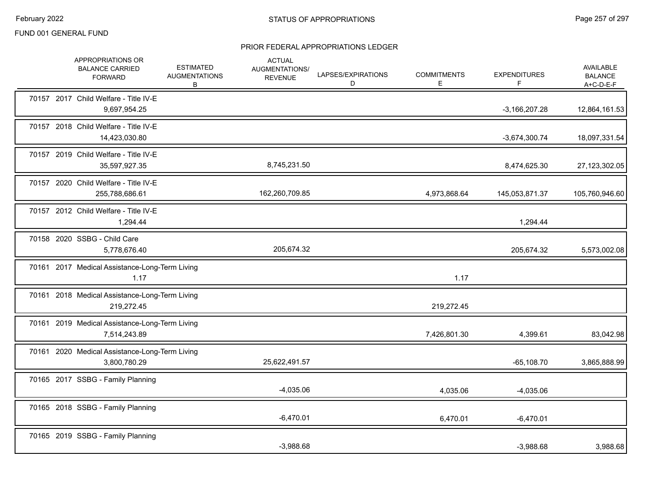|  | APPROPRIATIONS OR<br><b>BALANCE CARRIED</b><br><b>FORWARD</b>  | <b>ESTIMATED</b><br><b>AUGMENTATIONS</b><br>В | <b>ACTUAL</b><br>AUGMENTATIONS/<br><b>REVENUE</b> | LAPSES/EXPIRATIONS<br>D | <b>COMMITMENTS</b><br>E. | <b>EXPENDITURES</b><br>F | AVAILABLE<br><b>BALANCE</b><br>$A+C-D-E-F$ |
|--|----------------------------------------------------------------|-----------------------------------------------|---------------------------------------------------|-------------------------|--------------------------|--------------------------|--------------------------------------------|
|  | 70157 2017 Child Welfare - Title IV-E<br>9,697,954.25          |                                               |                                                   |                         |                          | $-3,166,207.28$          | 12,864,161.53                              |
|  | 70157 2018 Child Welfare - Title IV-E<br>14,423,030.80         |                                               |                                                   |                         |                          | $-3,674,300.74$          | 18,097,331.54                              |
|  | 70157 2019 Child Welfare - Title IV-E<br>35,597,927.35         |                                               | 8,745,231.50                                      |                         |                          | 8,474,625.30             | 27,123,302.05                              |
|  | 70157 2020 Child Welfare - Title IV-E<br>255,788,686.61        |                                               | 162,260,709.85                                    |                         | 4,973,868.64             | 145,053,871.37           | 105,760,946.60                             |
|  | 70157 2012 Child Welfare - Title IV-E<br>1,294.44              |                                               |                                                   |                         |                          | 1,294.44                 |                                            |
|  | 70158 2020 SSBG - Child Care<br>5,778,676.40                   |                                               | 205,674.32                                        |                         |                          | 205,674.32               | 5,573,002.08                               |
|  | 70161 2017 Medical Assistance-Long-Term Living<br>1.17         |                                               |                                                   |                         | 1.17                     |                          |                                            |
|  | 70161 2018 Medical Assistance-Long-Term Living<br>219,272.45   |                                               |                                                   |                         | 219,272.45               |                          |                                            |
|  | 70161 2019 Medical Assistance-Long-Term Living<br>7,514,243.89 |                                               |                                                   |                         | 7,426,801.30             | 4,399.61                 | 83,042.98                                  |
|  | 70161 2020 Medical Assistance-Long-Term Living<br>3,800,780.29 |                                               | 25,622,491.57                                     |                         |                          | $-65,108.70$             | 3,865,888.99                               |
|  | 70165 2017 SSBG - Family Planning                              |                                               | $-4,035.06$                                       |                         | 4,035.06                 | $-4,035.06$              |                                            |
|  | 70165 2018 SSBG - Family Planning                              |                                               | $-6,470.01$                                       |                         | 6,470.01                 | $-6,470.01$              |                                            |
|  | 70165 2019 SSBG - Family Planning                              |                                               | $-3,988.68$                                       |                         |                          | $-3,988.68$              | 3,988.68                                   |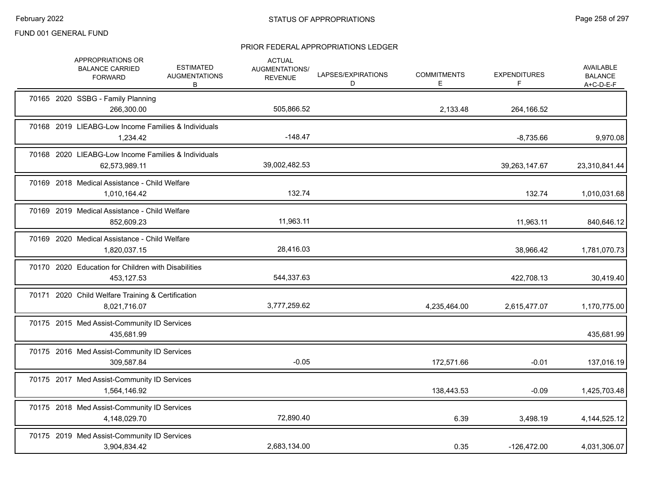|  | APPROPRIATIONS OR<br><b>BALANCE CARRIED</b><br><b>FORWARD</b>        | <b>ESTIMATED</b><br><b>AUGMENTATIONS</b><br>B | <b>ACTUAL</b><br>AUGMENTATIONS/<br><b>REVENUE</b> | LAPSES/EXPIRATIONS<br>D | <b>COMMITMENTS</b><br>Е | <b>EXPENDITURES</b><br>F | <b>AVAILABLE</b><br><b>BALANCE</b><br>A+C-D-E-F |
|--|----------------------------------------------------------------------|-----------------------------------------------|---------------------------------------------------|-------------------------|-------------------------|--------------------------|-------------------------------------------------|
|  | 70165 2020 SSBG - Family Planning<br>266,300.00                      |                                               | 505,866.52                                        |                         | 2,133.48                | 264,166.52               |                                                 |
|  | 70168 2019 LIEABG-Low Income Families & Individuals<br>1,234.42      |                                               | $-148.47$                                         |                         |                         | $-8,735.66$              | 9,970.08                                        |
|  | 70168 2020 LIEABG-Low Income Families & Individuals<br>62,573,989.11 |                                               | 39,002,482.53                                     |                         |                         | 39,263,147.67            | 23,310,841.44                                   |
|  | 70169 2018 Medical Assistance - Child Welfare<br>1,010,164.42        |                                               | 132.74                                            |                         |                         | 132.74                   | 1,010,031.68                                    |
|  | 70169 2019 Medical Assistance - Child Welfare<br>852,609.23          |                                               | 11,963.11                                         |                         |                         | 11,963.11                | 840,646.12                                      |
|  | 70169 2020 Medical Assistance - Child Welfare<br>1,820,037.15        |                                               | 28,416.03                                         |                         |                         | 38,966.42                | 1,781,070.73                                    |
|  | 70170 2020 Education for Children with Disabilities<br>453,127.53    |                                               | 544,337.63                                        |                         |                         | 422,708.13               | 30,419.40                                       |
|  | 70171 2020 Child Welfare Training & Certification<br>8,021,716.07    |                                               | 3,777,259.62                                      |                         | 4,235,464.00            | 2,615,477.07             | 1,170,775.00                                    |
|  | 70175 2015 Med Assist-Community ID Services<br>435,681.99            |                                               |                                                   |                         |                         |                          | 435,681.99                                      |
|  | 70175 2016 Med Assist-Community ID Services<br>309,587.84            |                                               | $-0.05$                                           |                         | 172,571.66              | $-0.01$                  | 137,016.19                                      |
|  | 70175 2017 Med Assist-Community ID Services<br>1,564,146.92          |                                               |                                                   |                         | 138,443.53              | $-0.09$                  | 1,425,703.48                                    |
|  | 70175 2018 Med Assist-Community ID Services<br>4,148,029.70          |                                               | 72,890.40                                         |                         | 6.39                    | 3,498.19                 | 4, 144, 525. 12                                 |
|  | 70175 2019 Med Assist-Community ID Services<br>3,904,834.42          |                                               | 2,683,134.00                                      |                         | 0.35                    | $-126,472.00$            | 4,031,306.07                                    |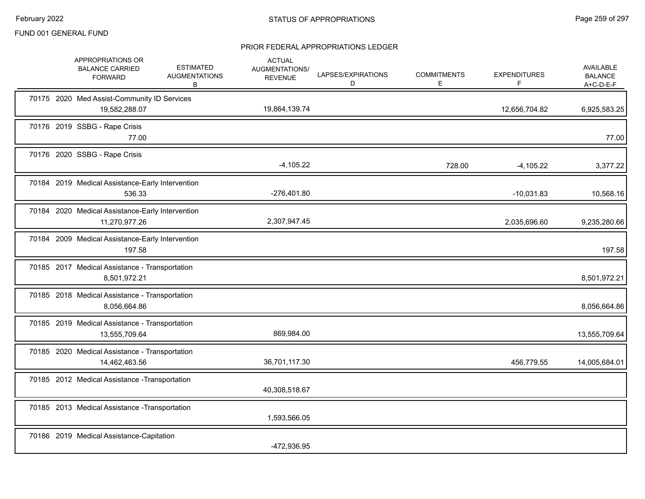|  | APPROPRIATIONS OR<br><b>BALANCE CARRIED</b><br><b>FORWARD</b>     | <b>ESTIMATED</b><br><b>AUGMENTATIONS</b><br>B | <b>ACTUAL</b><br>AUGMENTATIONS/<br><b>REVENUE</b> | LAPSES/EXPIRATIONS<br>D | <b>COMMITMENTS</b><br>E. | <b>EXPENDITURES</b><br>F. | <b>AVAILABLE</b><br><b>BALANCE</b><br>A+C-D-E-F |
|--|-------------------------------------------------------------------|-----------------------------------------------|---------------------------------------------------|-------------------------|--------------------------|---------------------------|-------------------------------------------------|
|  | 70175 2020 Med Assist-Community ID Services<br>19,582,288.07      |                                               | 19,864,139.74                                     |                         |                          | 12,656,704.82             | 6,925,583.25                                    |
|  | 70176 2019 SSBG - Rape Crisis<br>77.00                            |                                               |                                                   |                         |                          |                           | 77.00                                           |
|  | 70176 2020 SSBG - Rape Crisis                                     |                                               | $-4,105.22$                                       |                         | 728.00                   | $-4,105.22$               | 3,377.22                                        |
|  | 70184 2019 Medical Assistance-Early Intervention<br>536.33        |                                               | $-276,401.80$                                     |                         |                          | $-10,031.83$              | 10,568.16                                       |
|  | 70184 2020 Medical Assistance-Early Intervention<br>11,270,977.26 |                                               | 2,307,947.45                                      |                         |                          | 2,035,696.60              | 9,235,280.66                                    |
|  | 70184 2009 Medical Assistance-Early Intervention<br>197.58        |                                               |                                                   |                         |                          |                           | 197.58                                          |
|  | 70185 2017 Medical Assistance - Transportation<br>8,501,972.21    |                                               |                                                   |                         |                          |                           | 8,501,972.21                                    |
|  | 70185 2018 Medical Assistance - Transportation<br>8,056,664.86    |                                               |                                                   |                         |                          |                           | 8,056,664.86                                    |
|  | 70185 2019 Medical Assistance - Transportation<br>13,555,709.64   |                                               | 869,984.00                                        |                         |                          |                           | 13,555,709.64                                   |
|  | 70185 2020 Medical Assistance - Transportation<br>14,462,463.56   |                                               | 36,701,117.30                                     |                         |                          | 456,779.55                | 14,005,684.01                                   |
|  | 70185 2012 Medical Assistance - Transportation                    |                                               | 40,308,518.67                                     |                         |                          |                           |                                                 |
|  | 70185 2013 Medical Assistance - Transportation                    |                                               | 1,593,566.05                                      |                         |                          |                           |                                                 |
|  | 70186 2019 Medical Assistance-Capitation                          |                                               | -472,936.95                                       |                         |                          |                           |                                                 |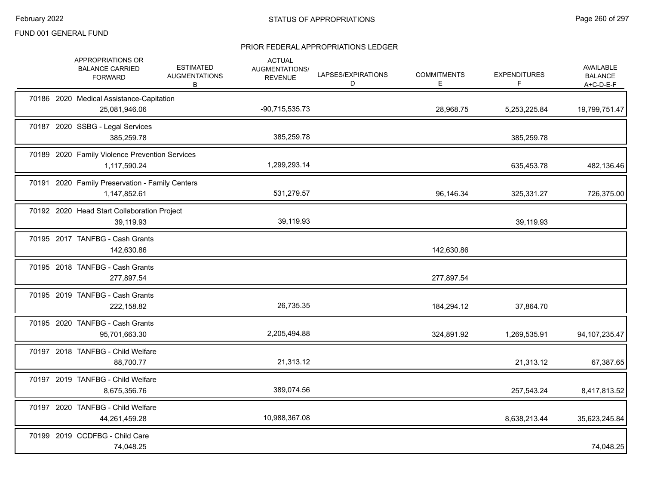|  | APPROPRIATIONS OR<br><b>BALANCE CARRIED</b><br><b>FORWARD</b>   | <b>ESTIMATED</b><br><b>AUGMENTATIONS</b><br>B | <b>ACTUAL</b><br>AUGMENTATIONS/<br><b>REVENUE</b> | LAPSES/EXPIRATIONS<br>D | <b>COMMITMENTS</b><br>E | <b>EXPENDITURES</b><br>F | AVAILABLE<br><b>BALANCE</b><br>A+C-D-E-F |
|--|-----------------------------------------------------------------|-----------------------------------------------|---------------------------------------------------|-------------------------|-------------------------|--------------------------|------------------------------------------|
|  | 70186 2020 Medical Assistance-Capitation<br>25,081,946.06       |                                               | $-90,715,535.73$                                  |                         | 28,968.75               | 5,253,225.84             | 19,799,751.47                            |
|  | 70187 2020 SSBG - Legal Services<br>385,259.78                  |                                               | 385,259.78                                        |                         |                         | 385,259.78               |                                          |
|  | 70189 2020 Family Violence Prevention Services<br>1,117,590.24  |                                               | 1,299,293.14                                      |                         |                         | 635,453.78               | 482,136.46                               |
|  | 70191 2020 Family Preservation - Family Centers<br>1,147,852.61 |                                               | 531,279.57                                        |                         | 96,146.34               | 325,331.27               | 726,375.00                               |
|  | 70192 2020 Head Start Collaboration Project<br>39,119.93        |                                               | 39,119.93                                         |                         |                         | 39,119.93                |                                          |
|  | 70195 2017 TANFBG - Cash Grants<br>142,630.86                   |                                               |                                                   |                         | 142,630.86              |                          |                                          |
|  | 70195 2018 TANFBG - Cash Grants<br>277,897.54                   |                                               |                                                   |                         | 277,897.54              |                          |                                          |
|  | 70195 2019 TANFBG - Cash Grants<br>222,158.82                   |                                               | 26,735.35                                         |                         | 184,294.12              | 37,864.70                |                                          |
|  | 70195 2020 TANFBG - Cash Grants<br>95,701,663.30                |                                               | 2,205,494.88                                      |                         | 324,891.92              | 1,269,535.91             | 94, 107, 235. 47                         |
|  | 70197 2018 TANFBG - Child Welfare<br>88,700.77                  |                                               | 21,313.12                                         |                         |                         | 21,313.12                | 67,387.65                                |
|  | 70197 2019 TANFBG - Child Welfare<br>8,675,356.76               |                                               | 389,074.56                                        |                         |                         | 257,543.24               | 8,417,813.52                             |
|  | 70197 2020 TANFBG - Child Welfare<br>44,261,459.28              |                                               | 10,988,367.08                                     |                         |                         | 8,638,213.44             | 35,623,245.84                            |
|  | 70199 2019 CCDFBG - Child Care<br>74,048.25                     |                                               |                                                   |                         |                         |                          | 74,048.25                                |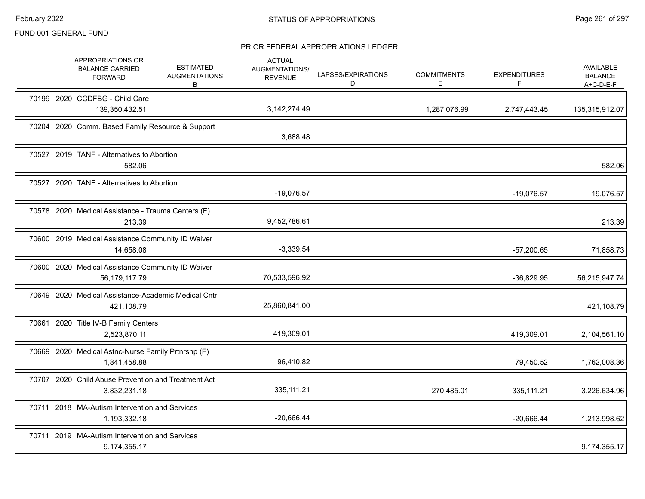|  | APPROPRIATIONS OR<br><b>BALANCE CARRIED</b><br><b>FORWARD</b>       | <b>ESTIMATED</b><br><b>AUGMENTATIONS</b><br>B | <b>ACTUAL</b><br>AUGMENTATIONS/<br><b>REVENUE</b> | LAPSES/EXPIRATIONS<br>D | <b>COMMITMENTS</b><br>Е. | <b>EXPENDITURES</b><br>F | <b>AVAILABLE</b><br><b>BALANCE</b><br>$A+C-D-E-F$ |
|--|---------------------------------------------------------------------|-----------------------------------------------|---------------------------------------------------|-------------------------|--------------------------|--------------------------|---------------------------------------------------|
|  | 70199 2020 CCDFBG - Child Care<br>139,350,432.51                    |                                               | 3,142,274.49                                      |                         | 1,287,076.99             | 2,747,443.45             | 135,315,912.07                                    |
|  | 70204 2020 Comm. Based Family Resource & Support                    |                                               | 3,688.48                                          |                         |                          |                          |                                                   |
|  | 70527 2019 TANF - Alternatives to Abortion<br>582.06                |                                               |                                                   |                         |                          |                          | 582.06                                            |
|  | 70527 2020 TANF - Alternatives to Abortion                          |                                               | $-19,076.57$                                      |                         |                          | $-19,076.57$             | 19,076.57                                         |
|  | 70578 2020 Medical Assistance - Trauma Centers (F)<br>213.39        |                                               | 9,452,786.61                                      |                         |                          |                          | 213.39                                            |
|  | 70600 2019 Medical Assistance Community ID Waiver<br>14,658.08      |                                               | $-3,339.54$                                       |                         |                          | $-57,200.65$             | 71,858.73                                         |
|  | 70600 2020 Medical Assistance Community ID Waiver<br>56,179,117.79  |                                               | 70,533,596.92                                     |                         |                          | $-36,829.95$             | 56,215,947.74                                     |
|  | 70649 2020 Medical Assistance-Academic Medical Cntr<br>421,108.79   |                                               | 25,860,841.00                                     |                         |                          |                          | 421,108.79                                        |
|  | 70661 2020 Title IV-B Family Centers<br>2,523,870.11                |                                               | 419,309.01                                        |                         |                          | 419,309.01               | 2,104,561.10                                      |
|  | 70669 2020 Medical Astnc-Nurse Family Prtnrshp (F)<br>1,841,458.88  |                                               | 96,410.82                                         |                         |                          | 79,450.52                | 1,762,008.36                                      |
|  | 70707 2020 Child Abuse Prevention and Treatment Act<br>3,832,231.18 |                                               | 335, 111.21                                       |                         | 270,485.01               | 335,111.21               | 3,226,634.96                                      |
|  | 70711 2018 MA-Autism Intervention and Services<br>1,193,332.18      |                                               | $-20,666.44$                                      |                         |                          | $-20,666.44$             | 1,213,998.62                                      |
|  | 70711 2019 MA-Autism Intervention and Services<br>9,174,355.17      |                                               |                                                   |                         |                          |                          | 9,174,355.17                                      |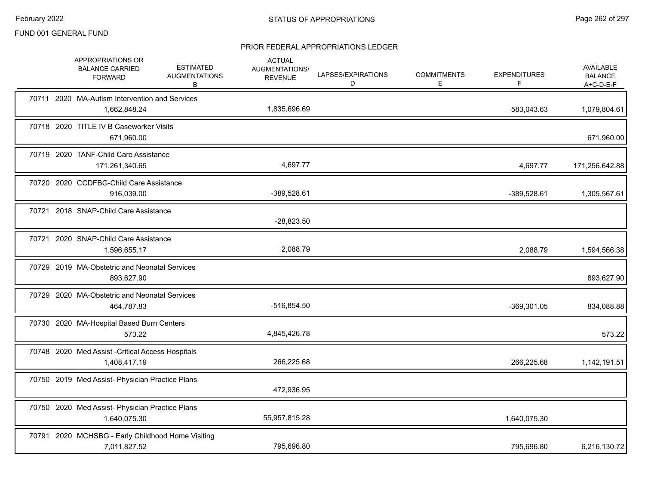|  | APPROPRIATIONS OR<br><b>BALANCE CARRIED</b><br><b>FORWARD</b>     | <b>ESTIMATED</b><br><b>AUGMENTATIONS</b><br>В | <b>ACTUAL</b><br>AUGMENTATIONS/<br><b>REVENUE</b> | LAPSES/EXPIRATIONS<br>D | <b>COMMITMENTS</b><br>E. | <b>EXPENDITURES</b><br>F. | <b>AVAILABLE</b><br><b>BALANCE</b><br>A+C-D-E-F |
|--|-------------------------------------------------------------------|-----------------------------------------------|---------------------------------------------------|-------------------------|--------------------------|---------------------------|-------------------------------------------------|
|  | 70711 2020 MA-Autism Intervention and Services<br>1,662,848.24    |                                               | 1,835,696.69                                      |                         |                          | 583,043.63                | 1,079,804.61                                    |
|  | 70718 2020 TITLE IV B Caseworker Visits<br>671,960.00             |                                               |                                                   |                         |                          |                           | 671,960.00                                      |
|  | 70719 2020 TANF-Child Care Assistance<br>171,261,340.65           |                                               | 4,697.77                                          |                         |                          | 4,697.77                  | 171,256,642.88                                  |
|  | 70720 2020 CCDFBG-Child Care Assistance<br>916,039.00             |                                               | -389,528.61                                       |                         |                          | -389,528.61               | 1,305,567.61                                    |
|  | 70721 2018 SNAP-Child Care Assistance                             |                                               | $-28,823.50$                                      |                         |                          |                           |                                                 |
|  | 70721 2020 SNAP-Child Care Assistance<br>1,596,655.17             |                                               | 2,088.79                                          |                         |                          | 2,088.79                  | 1,594,566.38                                    |
|  | 70729 2019 MA-Obstetric and Neonatal Services<br>893,627.90       |                                               |                                                   |                         |                          |                           | 893,627.90                                      |
|  | 70729 2020 MA-Obstetric and Neonatal Services<br>464,787.83       |                                               | -516,854.50                                       |                         |                          | -369,301.05               | 834,088.88                                      |
|  | 70730 2020 MA-Hospital Based Burn Centers<br>573.22               |                                               | 4,845,426.78                                      |                         |                          |                           | 573.22                                          |
|  | 70748 2020 Med Assist - Critical Access Hospitals<br>1,408,417.19 |                                               | 266,225.68                                        |                         |                          | 266,225.68                | 1,142,191.51                                    |
|  | 70750 2019 Med Assist- Physician Practice Plans                   |                                               | 472,936.95                                        |                         |                          |                           |                                                 |
|  | 70750 2020 Med Assist- Physician Practice Plans<br>1,640,075.30   |                                               | 55,957,815.28                                     |                         |                          | 1,640,075.30              |                                                 |
|  | 70791 2020 MCHSBG - Early Childhood Home Visiting<br>7,011,827.52 |                                               | 795,696.80                                        |                         |                          | 795,696.80                | 6,216,130.72                                    |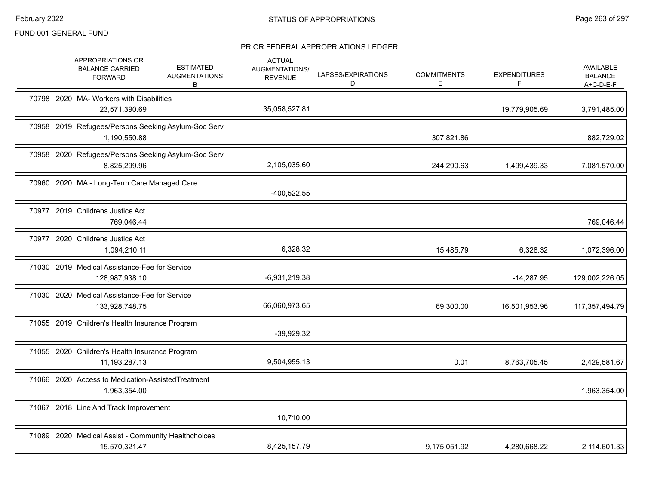|  | APPROPRIATIONS OR<br><b>BALANCE CARRIED</b><br><b>FORWARD</b>        | <b>ESTIMATED</b><br><b>AUGMENTATIONS</b><br>В | <b>ACTUAL</b><br>AUGMENTATIONS/<br><b>REVENUE</b> | LAPSES/EXPIRATIONS<br>D | <b>COMMITMENTS</b><br>E. | <b>EXPENDITURES</b> | <b>AVAILABLE</b><br><b>BALANCE</b><br>A+C-D-E-F |
|--|----------------------------------------------------------------------|-----------------------------------------------|---------------------------------------------------|-------------------------|--------------------------|---------------------|-------------------------------------------------|
|  | 70798 2020 MA- Workers with Disabilities<br>23,571,390.69            |                                               | 35,058,527.81                                     |                         |                          | 19,779,905.69       | 3,791,485.00                                    |
|  | 70958 2019 Refugees/Persons Seeking Asylum-Soc Serv<br>1,190,550.88  |                                               |                                                   |                         | 307,821.86               |                     | 882,729.02                                      |
|  | 70958 2020 Refugees/Persons Seeking Asylum-Soc Serv<br>8,825,299.96  |                                               | 2,105,035.60                                      |                         | 244,290.63               | 1,499,439.33        | 7,081,570.00                                    |
|  | 70960 2020 MA - Long-Term Care Managed Care                          |                                               | -400,522.55                                       |                         |                          |                     |                                                 |
|  | 70977 2019 Childrens Justice Act<br>769,046.44                       |                                               |                                                   |                         |                          |                     | 769,046.44                                      |
|  | 70977 2020 Childrens Justice Act<br>1,094,210.11                     |                                               | 6,328.32                                          |                         | 15,485.79                | 6,328.32            | 1,072,396.00                                    |
|  | 71030 2019 Medical Assistance-Fee for Service<br>128,987,938.10      |                                               | $-6,931,219.38$                                   |                         |                          | $-14,287.95$        | 129,002,226.05                                  |
|  | 71030 2020 Medical Assistance-Fee for Service<br>133,928,748.75      |                                               | 66,060,973.65                                     |                         | 69,300.00                | 16,501,953.96       | 117,357,494.79                                  |
|  | 71055 2019 Children's Health Insurance Program                       |                                               | $-39,929.32$                                      |                         |                          |                     |                                                 |
|  | 71055 2020 Children's Health Insurance Program<br>11, 193, 287. 13   |                                               | 9,504,955.13                                      |                         | 0.01                     | 8,763,705.45        | 2,429,581.67                                    |
|  | 71066 2020 Access to Medication-AssistedTreatment<br>1,963,354.00    |                                               |                                                   |                         |                          |                     | 1,963,354.00                                    |
|  | 71067 2018 Line And Track Improvement                                |                                               | 10,710.00                                         |                         |                          |                     |                                                 |
|  | 71089 2020 Medical Assist - Community Healthchoices<br>15,570,321.47 |                                               | 8,425,157.79                                      |                         | 9,175,051.92             | 4,280,668.22        | 2,114,601.33                                    |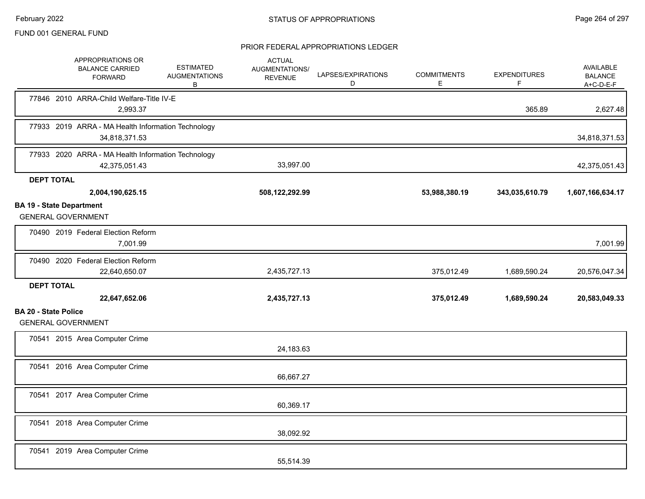|                                 | APPROPRIATIONS OR<br><b>BALANCE CARRIED</b><br><b>FORWARD</b>       | <b>ESTIMATED</b><br><b>AUGMENTATIONS</b><br>В | <b>ACTUAL</b><br>AUGMENTATIONS/<br><b>REVENUE</b> | LAPSES/EXPIRATIONS<br>D | <b>COMMITMENTS</b><br>E | <b>EXPENDITURES</b><br>F | <b>AVAILABLE</b><br><b>BALANCE</b><br>$A+C-D-E-F$ |
|---------------------------------|---------------------------------------------------------------------|-----------------------------------------------|---------------------------------------------------|-------------------------|-------------------------|--------------------------|---------------------------------------------------|
|                                 | 77846 2010 ARRA-Child Welfare-Title IV-E<br>2,993.37                |                                               |                                                   |                         |                         | 365.89                   | 2,627.48                                          |
|                                 | 77933 2019 ARRA - MA Health Information Technology<br>34,818,371.53 |                                               |                                                   |                         |                         |                          | 34,818,371.53                                     |
|                                 | 77933 2020 ARRA - MA Health Information Technology<br>42,375,051.43 |                                               | 33,997.00                                         |                         |                         |                          | 42,375,051.43                                     |
| <b>DEPT TOTAL</b>               |                                                                     |                                               |                                                   |                         |                         |                          |                                                   |
|                                 | 2,004,190,625.15                                                    |                                               | 508,122,292.99                                    |                         | 53,988,380.19           | 343,035,610.79           | 1,607,166,634.17                                  |
| <b>BA 19 - State Department</b> | <b>GENERAL GOVERNMENT</b>                                           |                                               |                                                   |                         |                         |                          |                                                   |
|                                 | 70490 2019 Federal Election Reform<br>7,001.99                      |                                               |                                                   |                         |                         |                          | 7,001.99                                          |
|                                 | 70490 2020 Federal Election Reform<br>22,640,650.07                 |                                               | 2,435,727.13                                      |                         | 375,012.49              | 1,689,590.24             | 20,576,047.34                                     |
| <b>DEPT TOTAL</b>               | 22,647,652.06                                                       |                                               | 2,435,727.13                                      |                         | 375,012.49              | 1,689,590.24             | 20,583,049.33                                     |
| <b>BA 20 - State Police</b>     |                                                                     |                                               |                                                   |                         |                         |                          |                                                   |
|                                 | <b>GENERAL GOVERNMENT</b>                                           |                                               |                                                   |                         |                         |                          |                                                   |
|                                 | 70541 2015 Area Computer Crime                                      |                                               | 24,183.63                                         |                         |                         |                          |                                                   |
|                                 | 70541 2016 Area Computer Crime                                      |                                               | 66,667.27                                         |                         |                         |                          |                                                   |
|                                 | 70541 2017 Area Computer Crime                                      |                                               | 60,369.17                                         |                         |                         |                          |                                                   |
|                                 | 70541 2018 Area Computer Crime                                      |                                               | 38,092.92                                         |                         |                         |                          |                                                   |
|                                 | 70541 2019 Area Computer Crime                                      |                                               | 55,514.39                                         |                         |                         |                          |                                                   |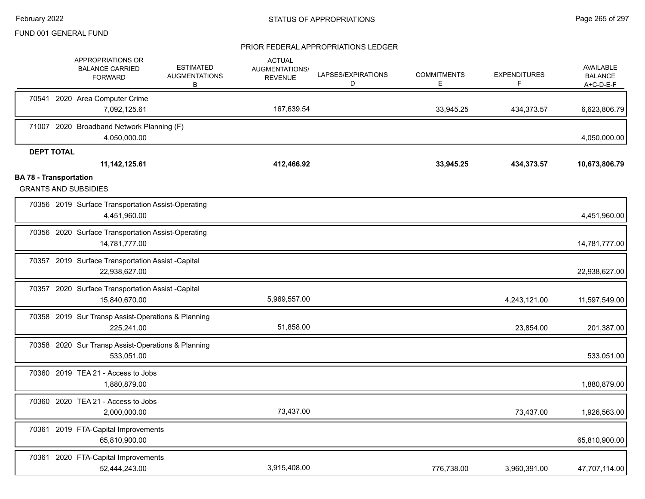|                               | APPROPRIATIONS OR<br><b>BALANCE CARRIED</b><br><b>FORWARD</b>       | <b>ESTIMATED</b><br><b>AUGMENTATIONS</b><br>В | <b>ACTUAL</b><br><b>AUGMENTATIONS/</b><br><b>REVENUE</b> | LAPSES/EXPIRATIONS<br>D | <b>COMMITMENTS</b><br>E. | <b>EXPENDITURES</b><br>F | AVAILABLE<br><b>BALANCE</b><br>A+C-D-E-F |
|-------------------------------|---------------------------------------------------------------------|-----------------------------------------------|----------------------------------------------------------|-------------------------|--------------------------|--------------------------|------------------------------------------|
|                               | 70541 2020 Area Computer Crime<br>7,092,125.61                      |                                               | 167,639.54                                               |                         | 33,945.25                | 434,373.57               | 6,623,806.79                             |
|                               | 71007 2020 Broadband Network Planning (F)<br>4,050,000.00           |                                               |                                                          |                         |                          |                          | 4,050,000.00                             |
| <b>DEPT TOTAL</b>             | 11, 142, 125.61                                                     |                                               | 412,466.92                                               |                         | 33,945.25                | 434,373.57               | 10,673,806.79                            |
| <b>BA 78 - Transportation</b> | <b>GRANTS AND SUBSIDIES</b>                                         |                                               |                                                          |                         |                          |                          |                                          |
|                               | 70356 2019 Surface Transportation Assist-Operating<br>4,451,960.00  |                                               |                                                          |                         |                          |                          | 4,451,960.00                             |
|                               | 70356 2020 Surface Transportation Assist-Operating<br>14,781,777.00 |                                               |                                                          |                         |                          |                          | 14,781,777.00                            |
|                               | 70357 2019 Surface Transportation Assist -Capital<br>22,938,627.00  |                                               |                                                          |                         |                          |                          | 22,938,627.00                            |
|                               | 70357 2020 Surface Transportation Assist -Capital<br>15,840,670.00  |                                               | 5,969,557.00                                             |                         |                          | 4,243,121.00             | 11,597,549.00                            |
|                               | 70358 2019 Sur Transp Assist-Operations & Planning<br>225,241.00    |                                               | 51,858.00                                                |                         |                          | 23,854.00                | 201,387.00                               |
|                               | 70358 2020 Sur Transp Assist-Operations & Planning<br>533,051.00    |                                               |                                                          |                         |                          |                          | 533,051.00                               |
|                               | 70360 2019 TEA 21 - Access to Jobs<br>1.880.879.00                  |                                               |                                                          |                         |                          |                          | 1,880,879.00                             |
| 70360                         | 2020 TEA 21 - Access to Jobs<br>2,000,000.00                        |                                               | 73,437.00                                                |                         |                          | 73,437.00                | 1,926,563.00                             |
| 70361                         | 2019 FTA-Capital Improvements<br>65,810,900.00                      |                                               |                                                          |                         |                          |                          | 65,810,900.00                            |
| 70361                         | 2020 FTA-Capital Improvements<br>52,444,243.00                      |                                               | 3,915,408.00                                             |                         | 776,738.00               | 3,960,391.00             | 47,707,114.00                            |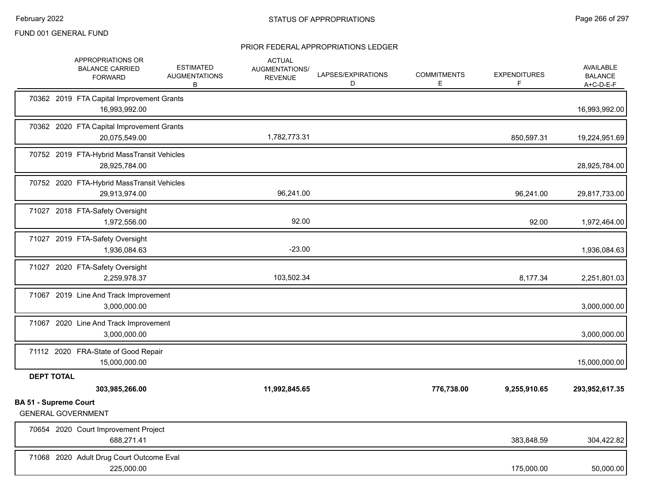|                              | APPROPRIATIONS OR<br><b>BALANCE CARRIED</b><br><b>FORWARD</b> | <b>ESTIMATED</b><br><b>AUGMENTATIONS</b><br>B | <b>ACTUAL</b><br>AUGMENTATIONS/<br><b>REVENUE</b> | LAPSES/EXPIRATIONS<br>D | <b>COMMITMENTS</b><br>E. | <b>EXPENDITURES</b><br>F | AVAILABLE<br><b>BALANCE</b><br>$A+C-D-E-F$ |
|------------------------------|---------------------------------------------------------------|-----------------------------------------------|---------------------------------------------------|-------------------------|--------------------------|--------------------------|--------------------------------------------|
|                              | 70362 2019 FTA Capital Improvement Grants<br>16,993,992.00    |                                               |                                                   |                         |                          |                          | 16,993,992.00                              |
|                              | 70362 2020 FTA Capital Improvement Grants<br>20,075,549.00    |                                               | 1,782,773.31                                      |                         |                          | 850,597.31               | 19,224,951.69                              |
|                              | 70752 2019 FTA-Hybrid MassTransit Vehicles<br>28,925,784.00   |                                               |                                                   |                         |                          |                          | 28,925,784.00                              |
|                              | 70752 2020 FTA-Hybrid MassTransit Vehicles<br>29,913,974.00   |                                               | 96,241.00                                         |                         |                          | 96,241.00                | 29,817,733.00                              |
|                              | 71027 2018 FTA-Safety Oversight<br>1,972,556.00               |                                               | 92.00                                             |                         |                          | 92.00                    | 1,972,464.00                               |
|                              | 71027 2019 FTA-Safety Oversight<br>1,936,084.63               |                                               | $-23.00$                                          |                         |                          |                          | 1,936,084.63                               |
|                              | 71027 2020 FTA-Safety Oversight<br>2,259,978.37               |                                               | 103,502.34                                        |                         |                          | 8,177.34                 | 2,251,801.03                               |
|                              | 71067 2019 Line And Track Improvement<br>3,000,000.00         |                                               |                                                   |                         |                          |                          | 3,000,000.00                               |
|                              | 71067 2020 Line And Track Improvement<br>3,000,000.00         |                                               |                                                   |                         |                          |                          | 3,000,000.00                               |
|                              | 71112 2020 FRA-State of Good Repair<br>15,000,000.00          |                                               |                                                   |                         |                          |                          | 15,000,000.00                              |
| <b>DEPT TOTAL</b>            | 303,985,266.00                                                |                                               | 11,992,845.65                                     |                         | 776,738.00               | 9,255,910.65             | 293,952,617.35                             |
| <b>BA 51 - Supreme Court</b> | <b>GENERAL GOVERNMENT</b>                                     |                                               |                                                   |                         |                          |                          |                                            |
|                              | 70654 2020 Court Improvement Project<br>688,271.41            |                                               |                                                   |                         |                          | 383,848.59               | 304,422.82                                 |
|                              | 71068 2020 Adult Drug Court Outcome Eval<br>225,000.00        |                                               |                                                   |                         |                          | 175,000.00               | 50,000.00                                  |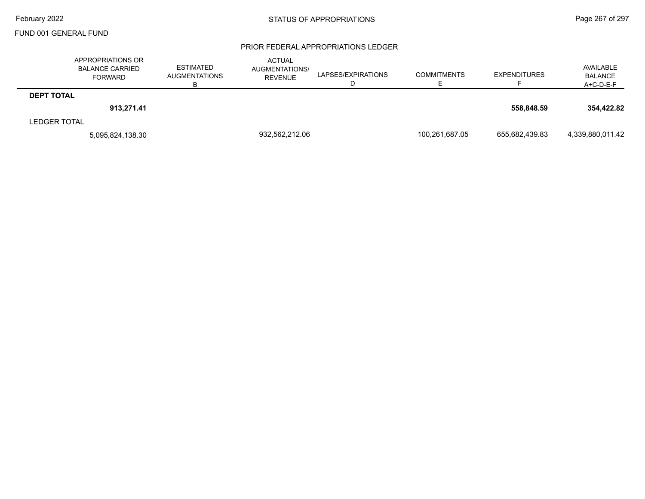|                     | APPROPRIATIONS OR<br><b>BALANCE CARRIED</b><br>FORWARD | <b>ESTIMATED</b><br><b>AUGMENTATIONS</b> | <b>ACTUAL</b><br><b>AUGMENTATIONS/</b><br><b>REVENUE</b> | LAPSES/EXPIRATIONS<br>ш | <b>COMMITMENTS</b> | <b>EXPENDITURES</b> | AVAILABLE<br><b>BALANCE</b><br>A+C-D-E-F |
|---------------------|--------------------------------------------------------|------------------------------------------|----------------------------------------------------------|-------------------------|--------------------|---------------------|------------------------------------------|
| <b>DEPT TOTAL</b>   |                                                        |                                          |                                                          |                         |                    |                     |                                          |
|                     | 913.271.41                                             |                                          |                                                          |                         |                    | 558.848.59          | 354.422.82                               |
| <b>LEDGER TOTAL</b> |                                                        |                                          |                                                          |                         |                    |                     |                                          |
|                     | 5,095,824,138.30                                       |                                          | 932,562,212.06                                           |                         | 100,261,687.05     | 655,682,439.83      | 4,339,880,011.42                         |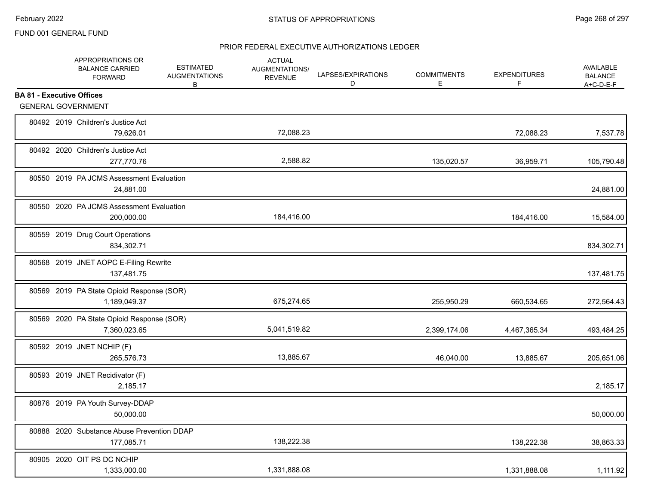|                                  | APPROPRIATIONS OR<br><b>BALANCE CARRIED</b><br><b>FORWARD</b> | <b>ESTIMATED</b><br><b>AUGMENTATIONS</b><br>В | <b>ACTUAL</b><br>AUGMENTATIONS/<br><b>REVENUE</b> | LAPSES/EXPIRATIONS<br>D | <b>COMMITMENTS</b><br>E | <b>EXPENDITURES</b><br>F | <b>AVAILABLE</b><br><b>BALANCE</b><br>A+C-D-E-F |
|----------------------------------|---------------------------------------------------------------|-----------------------------------------------|---------------------------------------------------|-------------------------|-------------------------|--------------------------|-------------------------------------------------|
| <b>BA 81 - Executive Offices</b> |                                                               |                                               |                                                   |                         |                         |                          |                                                 |
|                                  | <b>GENERAL GOVERNMENT</b>                                     |                                               |                                                   |                         |                         |                          |                                                 |
|                                  | 80492 2019 Children's Justice Act<br>79,626.01                |                                               | 72,088.23                                         |                         |                         | 72,088.23                | 7,537.78                                        |
|                                  | 80492 2020 Children's Justice Act<br>277,770.76               |                                               | 2,588.82                                          |                         | 135,020.57              | 36,959.71                | 105,790.48                                      |
|                                  | 80550 2019 PA JCMS Assessment Evaluation<br>24,881.00         |                                               |                                                   |                         |                         |                          | 24,881.00                                       |
|                                  | 80550 2020 PA JCMS Assessment Evaluation<br>200,000.00        |                                               | 184,416.00                                        |                         |                         | 184,416.00               | 15,584.00                                       |
|                                  | 80559 2019 Drug Court Operations<br>834,302.71                |                                               |                                                   |                         |                         |                          | 834,302.71                                      |
|                                  | 80568 2019 JNET AOPC E-Filing Rewrite<br>137,481.75           |                                               |                                                   |                         |                         |                          | 137,481.75                                      |
|                                  | 80569 2019 PA State Opioid Response (SOR)<br>1,189,049.37     |                                               | 675,274.65                                        |                         | 255,950.29              | 660,534.65               | 272,564.43                                      |
|                                  | 80569 2020 PA State Opioid Response (SOR)<br>7,360,023.65     |                                               | 5,041,519.82                                      |                         | 2,399,174.06            | 4,467,365.34             | 493,484.25                                      |
|                                  | 80592 2019 JNET NCHIP (F)<br>265,576.73                       |                                               | 13,885.67                                         |                         | 46,040.00               | 13,885.67                | 205,651.06                                      |
|                                  | 80593 2019 JNET Recidivator (F)<br>2,185.17                   |                                               |                                                   |                         |                         |                          | 2,185.17                                        |
|                                  | 80876 2019 PA Youth Survey-DDAP<br>50.000.00                  |                                               |                                                   |                         |                         |                          | 50,000.00                                       |
|                                  | 80888 2020 Substance Abuse Prevention DDAP<br>177,085.71      |                                               | 138,222.38                                        |                         |                         | 138,222.38               | 38,863.33                                       |
|                                  | 80905 2020 OIT PS DC NCHIP<br>1,333,000.00                    |                                               | 1,331,888.08                                      |                         |                         | 1,331,888.08             | 1,111.92                                        |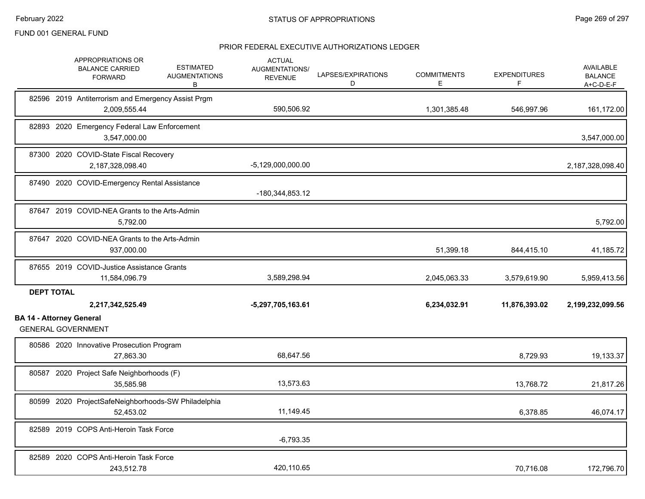|                                 | APPROPRIATIONS OR<br><b>ESTIMATED</b><br><b>BALANCE CARRIED</b><br><b>AUGMENTATIONS</b><br><b>FORWARD</b><br>В | <b>ACTUAL</b><br>AUGMENTATIONS/<br><b>REVENUE</b> | LAPSES/EXPIRATIONS<br>D | <b>COMMITMENTS</b><br>E. | <b>EXPENDITURES</b><br>F | AVAILABLE<br><b>BALANCE</b><br>A+C-D-E-F |
|---------------------------------|----------------------------------------------------------------------------------------------------------------|---------------------------------------------------|-------------------------|--------------------------|--------------------------|------------------------------------------|
|                                 | 82596 2019 Antiterrorism and Emergency Assist Prgm<br>2,009,555.44                                             | 590,506.92                                        |                         | 1,301,385.48             | 546,997.96               | 161,172.00                               |
|                                 | 82893 2020 Emergency Federal Law Enforcement<br>3,547,000.00                                                   |                                                   |                         |                          |                          | 3,547,000.00                             |
|                                 | 87300 2020 COVID-State Fiscal Recovery<br>2,187,328,098.40                                                     | $-5,129,000,000.00$                               |                         |                          |                          | 2,187,328,098.40                         |
|                                 | 87490 2020 COVID-Emergency Rental Assistance                                                                   | -180,344,853.12                                   |                         |                          |                          |                                          |
|                                 | 87647 2019 COVID-NEA Grants to the Arts-Admin<br>5,792.00                                                      |                                                   |                         |                          |                          | 5,792.00                                 |
|                                 | 87647 2020 COVID-NEA Grants to the Arts-Admin<br>937,000.00                                                    |                                                   |                         | 51,399.18                | 844,415.10               | 41,185.72                                |
|                                 | 87655 2019 COVID-Justice Assistance Grants<br>11,584,096.79                                                    | 3,589,298.94                                      |                         | 2,045,063.33             | 3,579,619.90             | 5,959,413.56                             |
| <b>DEPT TOTAL</b>               | 2,217,342,525.49                                                                                               | -5,297,705,163.61                                 |                         | 6,234,032.91             | 11,876,393.02            | 2,199,232,099.56                         |
| <b>BA 14 - Attorney General</b> | <b>GENERAL GOVERNMENT</b>                                                                                      |                                                   |                         |                          |                          |                                          |
|                                 | 80586 2020 Innovative Prosecution Program<br>27,863.30                                                         | 68,647.56                                         |                         |                          | 8,729.93                 | 19,133.37                                |
|                                 | 80587 2020 Project Safe Neighborhoods (F)<br>35,585.98                                                         | 13,573.63                                         |                         |                          | 13,768.72                | 21,817.26                                |
|                                 | 80599 2020 ProjectSafeNeighborhoods-SW Philadelphia<br>52,453.02                                               | 11,149.45                                         |                         |                          | 6,378.85                 | 46,074.17                                |
|                                 | 82589 2019 COPS Anti-Heroin Task Force                                                                         | $-6,793.35$                                       |                         |                          |                          |                                          |
|                                 | 82589 2020 COPS Anti-Heroin Task Force<br>243,512.78                                                           | 420,110.65                                        |                         |                          | 70,716.08                | 172,796.70                               |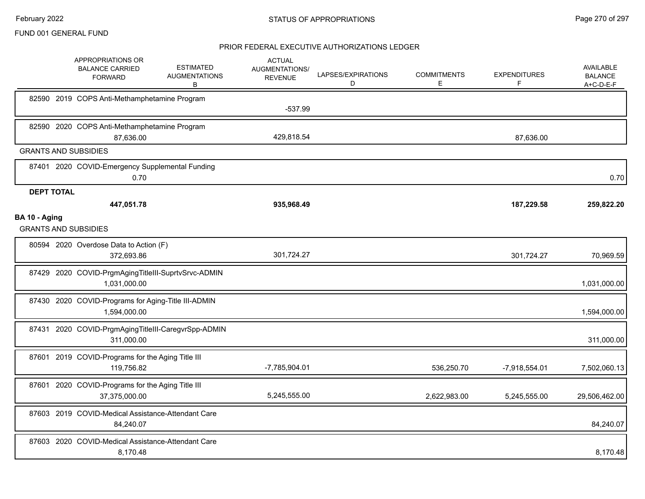|                   | APPROPRIATIONS OR<br><b>BALANCE CARRIED</b><br><b>FORWARD</b>       | <b>ESTIMATED</b><br><b>AUGMENTATIONS</b><br>B | <b>ACTUAL</b><br>AUGMENTATIONS/<br><b>REVENUE</b> | LAPSES/EXPIRATIONS<br>D | <b>COMMITMENTS</b><br>E | <b>EXPENDITURES</b><br>F | <b>AVAILABLE</b><br><b>BALANCE</b><br>A+C-D-E-F |
|-------------------|---------------------------------------------------------------------|-----------------------------------------------|---------------------------------------------------|-------------------------|-------------------------|--------------------------|-------------------------------------------------|
|                   | 82590 2019 COPS Anti-Methamphetamine Program                        |                                               | $-537.99$                                         |                         |                         |                          |                                                 |
|                   | 82590 2020 COPS Anti-Methamphetamine Program<br>87,636.00           |                                               | 429,818.54                                        |                         |                         | 87.636.00                |                                                 |
|                   | <b>GRANTS AND SUBSIDIES</b>                                         |                                               |                                                   |                         |                         |                          |                                                 |
|                   | 87401 2020 COVID-Emergency Supplemental Funding<br>0.70             |                                               |                                                   |                         |                         |                          | 0.70                                            |
| <b>DEPT TOTAL</b> |                                                                     |                                               |                                                   |                         |                         |                          |                                                 |
|                   | 447,051.78                                                          |                                               | 935,968.49                                        |                         |                         | 187,229.58               | 259,822.20                                      |
| BA 10 - Aging     | <b>GRANTS AND SUBSIDIES</b>                                         |                                               |                                                   |                         |                         |                          |                                                 |
|                   | 80594 2020 Overdose Data to Action (F)<br>372,693.86                |                                               | 301,724.27                                        |                         |                         | 301,724.27               | 70,969.59                                       |
|                   | 87429 2020 COVID-PrgmAgingTitleIII-SuprtvSrvc-ADMIN<br>1,031,000.00 |                                               |                                                   |                         |                         |                          | 1,031,000.00                                    |
|                   | 87430 2020 COVID-Programs for Aging-Title III-ADMIN<br>1,594,000.00 |                                               |                                                   |                         |                         |                          | 1,594,000.00                                    |
|                   | 87431 2020 COVID-PrgmAgingTitleIII-CaregvrSpp-ADMIN<br>311,000.00   |                                               |                                                   |                         |                         |                          | 311,000.00                                      |
|                   | 87601 2019 COVID-Programs for the Aging Title III<br>119,756.82     |                                               | -7,785,904.01                                     |                         | 536,250.70              | -7,918,554.01            | 7,502,060.13                                    |
|                   | 87601 2020 COVID-Programs for the Aging Title III<br>37,375,000.00  |                                               | 5,245,555.00                                      |                         | 2,622,983.00            | 5,245,555.00             | 29,506,462.00                                   |
|                   | 87603 2019 COVID-Medical Assistance-Attendant Care<br>84,240.07     |                                               |                                                   |                         |                         |                          | 84,240.07                                       |
|                   | 87603 2020 COVID-Medical Assistance-Attendant Care<br>8,170.48      |                                               |                                                   |                         |                         |                          | 8,170.48                                        |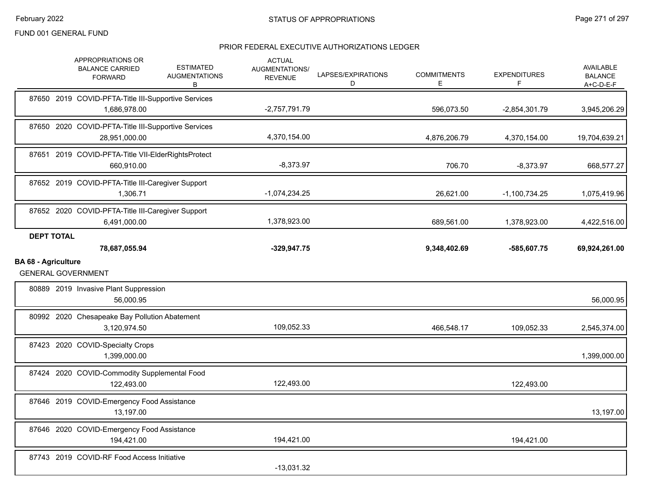|                            | APPROPRIATIONS OR<br><b>BALANCE CARRIED</b><br><b>FORWARD</b>        | <b>ESTIMATED</b><br><b>AUGMENTATIONS</b><br>В | <b>ACTUAL</b><br>AUGMENTATIONS/<br><b>REVENUE</b> | LAPSES/EXPIRATIONS<br>D | <b>COMMITMENTS</b><br>E. | <b>EXPENDITURES</b><br>F | AVAILABLE<br><b>BALANCE</b><br>A+C-D-E-F  |
|----------------------------|----------------------------------------------------------------------|-----------------------------------------------|---------------------------------------------------|-------------------------|--------------------------|--------------------------|-------------------------------------------|
|                            | 87650 2019 COVID-PFTA-Title III-Supportive Services<br>1,686,978.00  |                                               | $-2,757,791.79$                                   |                         | 596,073.50               | $-2,854,301.79$          | 3,945,206.29                              |
|                            | 87650 2020 COVID-PFTA-Title III-Supportive Services<br>28,951,000.00 |                                               | 4,370,154.00                                      |                         | 4,876,206.79             | 4,370,154.00             | 19,704,639.21                             |
|                            | 87651 2019 COVID-PFTA-Title VII-ElderRightsProtect<br>660,910.00     |                                               | $-8,373.97$                                       |                         | 706.70                   | $-8,373.97$              | 668,577.27                                |
|                            | 87652 2019 COVID-PFTA-Title III-Caregiver Support<br>1,306.71        |                                               | $-1,074,234.25$                                   |                         | 26,621.00                | $-1,100,734.25$          | 1,075,419.96                              |
|                            | 87652 2020 COVID-PFTA-Title III-Caregiver Support<br>6,491,000.00    |                                               | 1,378,923.00                                      |                         | 689,561.00               | 1,378,923.00             | 4,422,516.00                              |
| <b>DEPT TOTAL</b>          | 78,687,055.94                                                        |                                               | $-329,947.75$                                     |                         | 9,348,402.69             | -585,607.75              | 69,924,261.00                             |
| <b>BA 68 - Agriculture</b> |                                                                      |                                               |                                                   |                         |                          |                          |                                           |
|                            | <b>GENERAL GOVERNMENT</b>                                            |                                               |                                                   |                         |                          |                          |                                           |
|                            | 80889 2019 Invasive Plant Suppression<br>56,000.95                   |                                               |                                                   |                         |                          |                          |                                           |
|                            | 80992 2020 Chesapeake Bay Pollution Abatement<br>3,120,974.50        |                                               | 109,052.33                                        |                         | 466,548.17               | 109,052.33               |                                           |
|                            | 87423 2020 COVID-Specialty Crops<br>1,399,000.00                     |                                               |                                                   |                         |                          |                          | 56,000.95<br>2,545,374.00<br>1,399,000.00 |
|                            | 87424 2020 COVID-Commodity Supplemental Food<br>122,493.00           |                                               | 122,493.00                                        |                         |                          | 122,493.00               |                                           |
|                            | 87646 2019 COVID-Emergency Food Assistance<br>13,197.00              |                                               |                                                   |                         |                          |                          | 13,197.00                                 |
|                            | 87646 2020 COVID-Emergency Food Assistance<br>194,421.00             |                                               | 194,421.00                                        |                         |                          | 194,421.00               |                                           |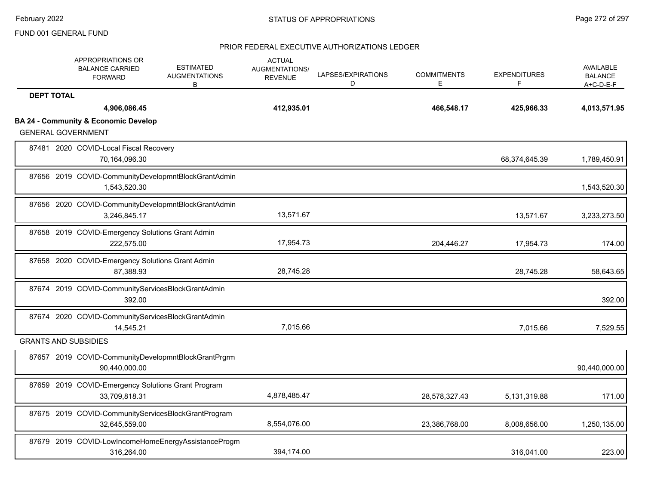|                   | APPROPRIATIONS OR<br><b>BALANCE CARRIED</b><br><b>FORWARD</b>                | <b>ESTIMATED</b><br><b>AUGMENTATIONS</b><br>B | <b>ACTUAL</b><br>AUGMENTATIONS/<br><b>REVENUE</b> | LAPSES/EXPIRATIONS<br>D | <b>COMMITMENTS</b><br>E | <b>EXPENDITURES</b><br>F | AVAILABLE<br><b>BALANCE</b><br>$A+C-D-E-F$ |
|-------------------|------------------------------------------------------------------------------|-----------------------------------------------|---------------------------------------------------|-------------------------|-------------------------|--------------------------|--------------------------------------------|
| <b>DEPT TOTAL</b> |                                                                              |                                               |                                                   |                         |                         |                          |                                            |
|                   | 4,906,086.45                                                                 |                                               | 412,935.01                                        |                         | 466,548.17              | 425,966.33               | 4,013,571.95                               |
|                   | <b>BA 24 - Community &amp; Economic Develop</b><br><b>GENERAL GOVERNMENT</b> |                                               |                                                   |                         |                         |                          |                                            |
|                   | 87481 2020 COVID-Local Fiscal Recovery<br>70,164,096.30                      |                                               |                                                   |                         |                         | 68,374,645.39            | 1,789,450.91                               |
|                   | 87656 2019 COVID-CommunityDevelopmntBlockGrantAdmin<br>1,543,520.30          |                                               |                                                   |                         |                         |                          | 1,543,520.30                               |
|                   | 87656 2020 COVID-CommunityDevelopmntBlockGrantAdmin<br>3,246,845.17          |                                               | 13,571.67                                         |                         |                         | 13,571.67                | 3,233,273.50                               |
|                   | 87658 2019 COVID-Emergency Solutions Grant Admin<br>222.575.00               |                                               | 17,954.73                                         |                         | 204,446.27              | 17,954.73                | 174.00                                     |
|                   | 87658 2020 COVID-Emergency Solutions Grant Admin<br>87,388.93                |                                               | 28,745.28                                         |                         |                         | 28,745.28                | 58,643.65                                  |
|                   | 87674 2019 COVID-CommunityServicesBlockGrantAdmin<br>392.00                  |                                               |                                                   |                         |                         |                          | 392.00                                     |
|                   | 87674 2020 COVID-CommunityServicesBlockGrantAdmin<br>14,545.21               |                                               | 7,015.66                                          |                         |                         | 7,015.66                 | 7,529.55                                   |
|                   | <b>GRANTS AND SUBSIDIES</b>                                                  |                                               |                                                   |                         |                         |                          |                                            |
|                   | 87657 2019 COVID-CommunityDevelopmntBlockGrantPrgrm<br>90,440,000.00         |                                               |                                                   |                         |                         |                          | 90,440,000.00                              |
|                   | 87659 2019 COVID-Emergency Solutions Grant Program<br>33,709,818.31          |                                               | 4,878,485.47                                      |                         | 28,578,327.43           | 5,131,319.88             | 171.00                                     |
|                   | 87675 2019 COVID-CommunityServicesBlockGrantProgram<br>32,645,559.00         |                                               | 8,554,076.00                                      |                         | 23,386,768.00           | 8,008,656.00             | 1,250,135.00                               |
|                   | 87679 2019 COVID-LowIncomeHomeEnergyAssistanceProgm<br>316,264.00            |                                               | 394,174.00                                        |                         |                         | 316,041.00               | 223.00                                     |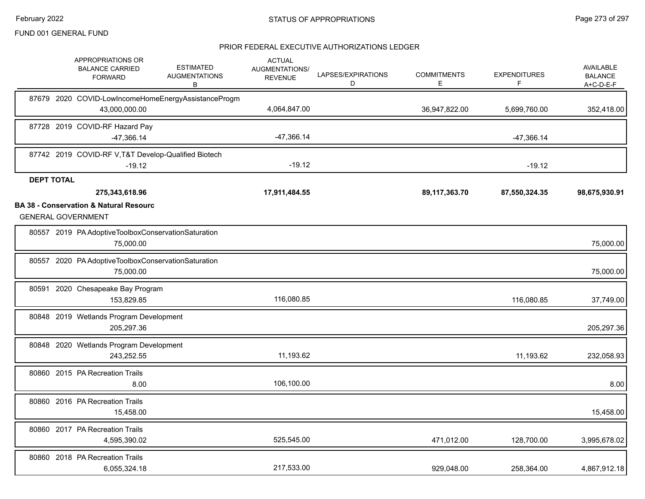|                   | APPROPRIATIONS OR<br><b>BALANCE CARRIED</b><br><b>FORWARD</b>                  | <b>ESTIMATED</b><br><b>AUGMENTATIONS</b><br>B       | <b>ACTUAL</b><br><b>AUGMENTATIONS/</b><br><b>REVENUE</b> | LAPSES/EXPIRATIONS<br>D | <b>COMMITMENTS</b><br>E. | <b>EXPENDITURES</b><br>F | AVAILABLE<br><b>BALANCE</b><br>A+C-D-E-F |
|-------------------|--------------------------------------------------------------------------------|-----------------------------------------------------|----------------------------------------------------------|-------------------------|--------------------------|--------------------------|------------------------------------------|
|                   | 43,000,000.00                                                                  | 87679 2020 COVID-LowIncomeHomeEnergyAssistanceProgm | 4,064,847.00                                             |                         | 36,947,822.00            | 5,699,760.00             | 352,418.00                               |
|                   | 87728 2019 COVID-RF Hazard Pay<br>-47,366.14                                   |                                                     | $-47,366.14$                                             |                         |                          | $-47,366.14$             |                                          |
|                   | 87742 2019 COVID-RF V, T&T Develop-Qualified Biotech<br>$-19.12$               |                                                     | $-19.12$                                                 |                         |                          | $-19.12$                 |                                          |
| <b>DEPT TOTAL</b> |                                                                                |                                                     |                                                          |                         |                          |                          |                                          |
|                   | 275,343,618.96                                                                 |                                                     | 17,911,484.55                                            |                         | 89,117,363.70            | 87,550,324.35            | 98,675,930.91                            |
|                   | <b>BA 38 - Conservation &amp; Natural Resourc</b><br><b>GENERAL GOVERNMENT</b> |                                                     |                                                          |                         |                          |                          |                                          |
|                   | 80557 2019 PA Adoptive Toolbox Conservation Saturation<br>75,000.00            |                                                     |                                                          |                         |                          |                          | 75,000.00                                |
|                   | 80557 2020 PA Adoptive Toolbox Conservation Saturation<br>75,000.00            |                                                     |                                                          |                         |                          |                          | 75,000.00                                |
|                   | 80591 2020 Chesapeake Bay Program<br>153,829.85                                |                                                     | 116,080.85                                               |                         |                          | 116,080.85               | 37,749.00                                |
|                   | 80848 2019 Wetlands Program Development<br>205,297.36                          |                                                     |                                                          |                         |                          |                          | 205,297.36                               |
|                   | 80848 2020 Wetlands Program Development<br>243.252.55                          |                                                     | 11,193.62                                                |                         |                          | 11,193.62                | 232,058.93                               |
|                   | 80860 2015 PA Recreation Trails<br>8.00                                        |                                                     | 106,100.00                                               |                         |                          |                          | 8.00                                     |
|                   | 80860 2016 PA Recreation Trails<br>15,458.00                                   |                                                     |                                                          |                         |                          |                          | 15,458.00                                |
|                   | 80860 2017 PA Recreation Trails<br>4,595,390.02                                |                                                     | 525,545.00                                               |                         | 471,012.00               | 128,700.00               | 3,995,678.02                             |
|                   | 80860 2018 PA Recreation Trails<br>6,055,324.18                                |                                                     | 217,533.00                                               |                         | 929,048.00               | 258,364.00               | 4,867,912.18                             |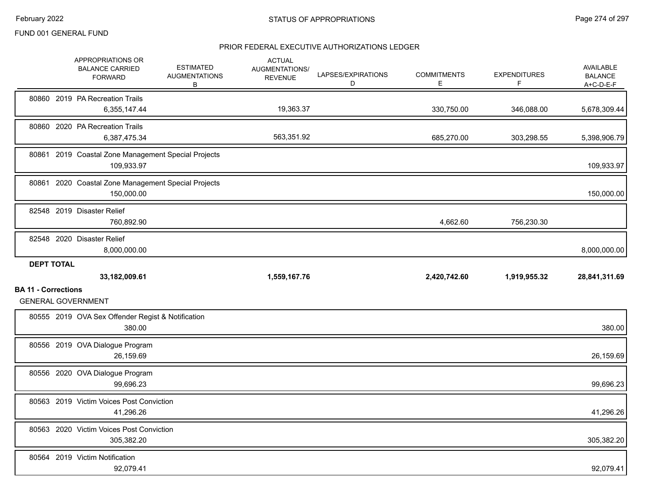|                            |                   | APPROPRIATIONS OR<br><b>BALANCE CARRIED</b><br><b>FORWARD</b>     | <b>ESTIMATED</b><br><b>AUGMENTATIONS</b><br>В | <b>ACTUAL</b><br>AUGMENTATIONS/<br><b>REVENUE</b> | LAPSES/EXPIRATIONS<br>D | <b>COMMITMENTS</b><br>Е | <b>EXPENDITURES</b><br>F | AVAILABLE<br><b>BALANCE</b><br>A+C-D-E-F |
|----------------------------|-------------------|-------------------------------------------------------------------|-----------------------------------------------|---------------------------------------------------|-------------------------|-------------------------|--------------------------|------------------------------------------|
|                            |                   | 80860 2019 PA Recreation Trails<br>6,355,147.44                   |                                               | 19,363.37                                         |                         | 330,750.00              | 346,088.00               | 5,678,309.44                             |
|                            |                   | 80860 2020 PA Recreation Trails<br>6,387,475.34                   |                                               | 563,351.92                                        |                         | 685,270.00              | 303,298.55               | 5,398,906.79                             |
|                            |                   | 80861 2019 Coastal Zone Management Special Projects<br>109,933.97 |                                               |                                                   |                         |                         |                          | 109,933.97                               |
|                            |                   | 80861 2020 Coastal Zone Management Special Projects<br>150,000.00 |                                               |                                                   |                         |                         |                          | 150,000.00                               |
|                            |                   | 82548 2019 Disaster Relief<br>760,892.90                          |                                               |                                                   |                         | 4,662.60                | 756,230.30               |                                          |
|                            |                   | 82548 2020 Disaster Relief<br>8,000,000.00                        |                                               |                                                   |                         |                         |                          | 8,000,000.00                             |
|                            | <b>DEPT TOTAL</b> |                                                                   |                                               |                                                   |                         |                         |                          |                                          |
|                            |                   | 33,182,009.61                                                     |                                               | 1,559,167.76                                      |                         | 2,420,742.60            | 1,919,955.32             | 28,841,311.69                            |
| <b>BA 11 - Corrections</b> |                   | <b>GENERAL GOVERNMENT</b>                                         |                                               |                                                   |                         |                         |                          |                                          |
|                            |                   | 80555 2019 OVA Sex Offender Regist & Notification<br>380.00       |                                               |                                                   |                         |                         |                          | 380.00                                   |
|                            |                   | 80556 2019 OVA Dialogue Program<br>26,159.69                      |                                               |                                                   |                         |                         |                          | 26,159.69                                |
|                            |                   | 80556 2020 OVA Dialogue Program<br>99,696.23                      |                                               |                                                   |                         |                         |                          | 99,696.23                                |
|                            |                   | 80563 2019 Victim Voices Post Conviction<br>41,296.26             |                                               |                                                   |                         |                         |                          | 41,296.26                                |
|                            |                   | 80563 2020 Victim Voices Post Conviction<br>305,382.20            |                                               |                                                   |                         |                         |                          | 305,382.20                               |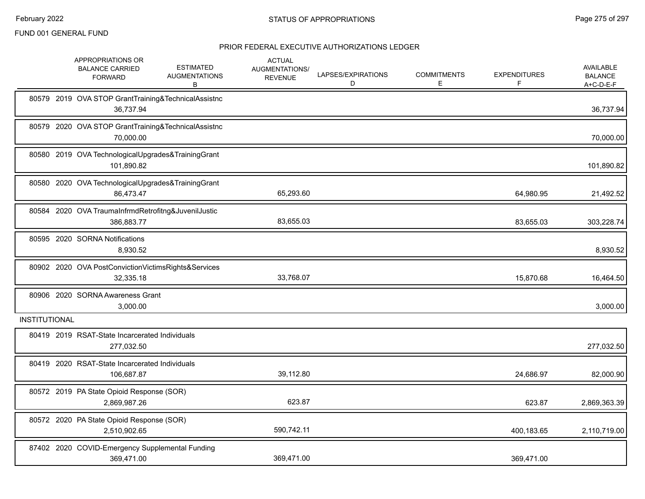|                      | APPROPRIATIONS OR<br><b>BALANCE CARRIED</b><br><b>FORWARD</b>     | <b>ESTIMATED</b><br><b>AUGMENTATIONS</b><br>В | <b>ACTUAL</b><br>AUGMENTATIONS/<br><b>REVENUE</b> | LAPSES/EXPIRATIONS<br>D | <b>COMMITMENTS</b><br>E | <b>EXPENDITURES</b><br>F. | AVAILABLE<br><b>BALANCE</b><br>$A+C-D-E-F$ |
|----------------------|-------------------------------------------------------------------|-----------------------------------------------|---------------------------------------------------|-------------------------|-------------------------|---------------------------|--------------------------------------------|
|                      | 80579 2019 OVA STOP GrantTraining&TechnicalAssistnc<br>36,737.94  |                                               |                                                   |                         |                         |                           | 36,737.94                                  |
|                      | 80579 2020 OVA STOP GrantTraining&TechnicalAssistnc<br>70,000.00  |                                               |                                                   |                         |                         |                           | 70,000.00                                  |
|                      | 80580 2019 OVA TechnologicalUpgrades&TrainingGrant<br>101,890.82  |                                               |                                                   |                         |                         |                           | 101,890.82                                 |
|                      | 80580 2020 OVA TechnologicalUpgrades&TrainingGrant<br>86,473.47   |                                               | 65,293.60                                         |                         |                         | 64,980.95                 | 21,492.52                                  |
|                      | 80584 2020 OVA TraumaInfrmdRetrofitng&JuvenilJustic<br>386,883.77 |                                               | 83,655.03                                         |                         |                         | 83,655.03                 | 303,228.74                                 |
|                      | 80595 2020 SORNA Notifications<br>8,930.52                        |                                               |                                                   |                         |                         |                           | 8,930.52                                   |
|                      | 80902 2020 OVA PostConvictionVictimsRights&Services<br>32,335.18  |                                               | 33,768.07                                         |                         |                         | 15,870.68                 | 16,464.50                                  |
|                      | 80906 2020 SORNA Awareness Grant<br>3,000.00                      |                                               |                                                   |                         |                         |                           | 3,000.00                                   |
| <b>INSTITUTIONAL</b> |                                                                   |                                               |                                                   |                         |                         |                           |                                            |
|                      | 80419 2019 RSAT-State Incarcerated Individuals<br>277,032.50      |                                               |                                                   |                         |                         |                           | 277,032.50                                 |
|                      | 80419 2020 RSAT-State Incarcerated Individuals<br>106,687.87      |                                               | 39,112.80                                         |                         |                         | 24,686.97                 | 82,000.90                                  |
|                      | 80572 2019 PA State Opioid Response (SOR)<br>2,869,987.26         |                                               | 623.87                                            |                         |                         | 623.87                    | 2,869,363.39                               |
|                      | 80572 2020 PA State Opioid Response (SOR)<br>2,510,902.65         |                                               | 590,742.11                                        |                         |                         | 400,183.65                | 2,110,719.00                               |
|                      | 87402 2020 COVID-Emergency Supplemental Funding<br>369,471.00     |                                               | 369,471.00                                        |                         |                         | 369.471.00                |                                            |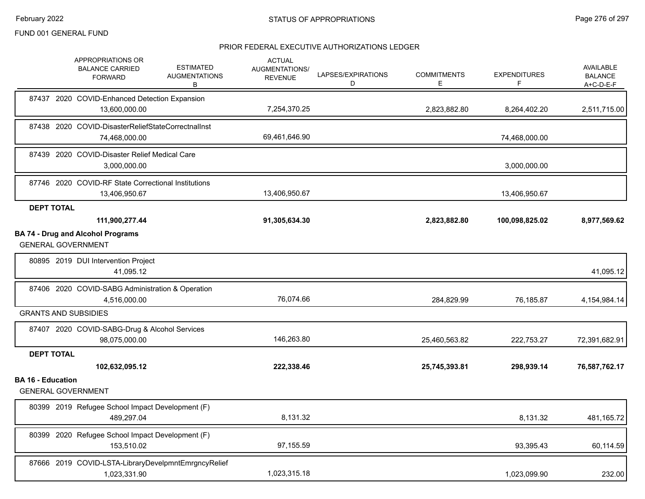|                          | APPROPRIATIONS OR<br><b>BALANCE CARRIED</b><br><b>FORWARD</b>         | <b>ESTIMATED</b><br><b>AUGMENTATIONS</b><br>В | <b>ACTUAL</b><br>AUGMENTATIONS/<br><b>REVENUE</b> | LAPSES/EXPIRATIONS<br>D | <b>COMMITMENTS</b><br>E | <b>EXPENDITURES</b><br>F | <b>AVAILABLE</b><br><b>BALANCE</b><br>A+C-D-E-F |
|--------------------------|-----------------------------------------------------------------------|-----------------------------------------------|---------------------------------------------------|-------------------------|-------------------------|--------------------------|-------------------------------------------------|
|                          | 87437 2020 COVID-Enhanced Detection Expansion<br>13,600,000.00        |                                               | 7,254,370.25                                      |                         | 2,823,882.80            | 8,264,402.20             | 2,511,715.00                                    |
|                          | 87438 2020 COVID-DisasterReliefStateCorrectnalInst<br>74,468,000.00   |                                               | 69,461,646.90                                     |                         |                         | 74,468,000.00            |                                                 |
|                          | 87439 2020 COVID-Disaster Relief Medical Care<br>3,000,000.00         |                                               |                                                   |                         |                         | 3,000,000.00             |                                                 |
|                          | 87746 2020 COVID-RF State Correctional Institutions<br>13,406,950.67  |                                               | 13,406,950.67                                     |                         |                         | 13,406,950.67            |                                                 |
| <b>DEPT TOTAL</b>        | 111,900,277.44                                                        |                                               | 91,305,634.30                                     |                         | 2,823,882.80            | 100,098,825.02           | 8,977,569.62                                    |
|                          | <b>BA 74 - Drug and Alcohol Programs</b><br><b>GENERAL GOVERNMENT</b> |                                               |                                                   |                         |                         |                          |                                                 |
|                          | 80895 2019 DUI Intervention Project<br>41,095.12                      |                                               |                                                   |                         |                         |                          | 41,095.12                                       |
|                          | 87406 2020 COVID-SABG Administration & Operation<br>4,516,000.00      |                                               | 76,074.66                                         |                         | 284,829.99              | 76.185.87                | 4,154,984.14                                    |
|                          | <b>GRANTS AND SUBSIDIES</b>                                           |                                               |                                                   |                         |                         |                          |                                                 |
|                          | 87407 2020 COVID-SABG-Drug & Alcohol Services<br>98,075,000.00        |                                               | 146,263.80                                        |                         | 25,460,563.82           | 222,753.27               | 72,391,682.91                                   |
| <b>DEPT TOTAL</b>        |                                                                       |                                               |                                                   |                         |                         |                          |                                                 |
|                          | 102,632,095.12                                                        |                                               | 222,338.46                                        |                         | 25,745,393.81           | 298,939.14               | 76,587,762.17                                   |
| <b>BA 16 - Education</b> | <b>GENERAL GOVERNMENT</b>                                             |                                               |                                                   |                         |                         |                          |                                                 |
|                          | 80399 2019 Refugee School Impact Development (F)<br>489,297.04        |                                               | 8,131.32                                          |                         |                         | 8,131.32                 | 481,165.72                                      |
|                          | 80399 2020 Refugee School Impact Development (F)<br>153.510.02        |                                               | 97,155.59                                         |                         |                         | 93,395.43                | 60,114.59                                       |
|                          | 87666 2019 COVID-LSTA-LibraryDevelpmntEmrgncyRelief<br>1,023,331.90   |                                               | 1,023,315.18                                      |                         |                         | 1,023,099.90             | 232.00                                          |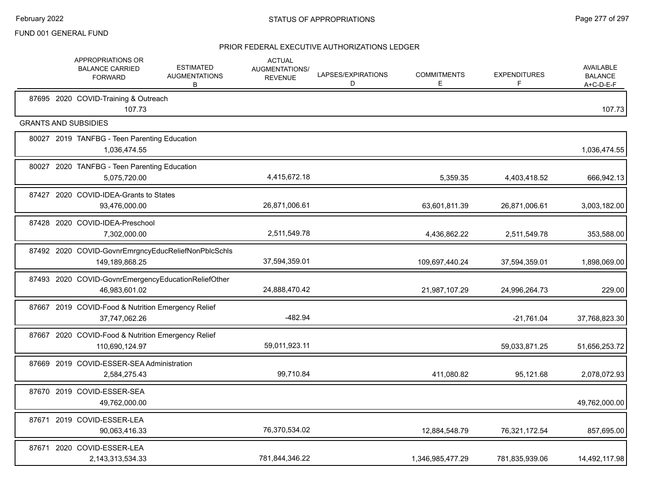|       | APPROPRIATIONS OR<br><b>BALANCE CARRIED</b><br><b>FORWARD</b>         | <b>ESTIMATED</b><br><b>AUGMENTATIONS</b><br>В | <b>ACTUAL</b><br>AUGMENTATIONS/<br><b>REVENUE</b> | LAPSES/EXPIRATIONS<br>D | <b>COMMITMENTS</b><br>E. | <b>EXPENDITURES</b><br>F | <b>AVAILABLE</b><br><b>BALANCE</b><br>A+C-D-E-F |
|-------|-----------------------------------------------------------------------|-----------------------------------------------|---------------------------------------------------|-------------------------|--------------------------|--------------------------|-------------------------------------------------|
|       | 87695 2020 COVID-Training & Outreach<br>107.73                        |                                               |                                                   |                         |                          |                          | 107.73                                          |
|       | <b>GRANTS AND SUBSIDIES</b>                                           |                                               |                                                   |                         |                          |                          |                                                 |
|       | 80027 2019 TANFBG - Teen Parenting Education<br>1,036,474.55          |                                               |                                                   |                         |                          |                          | 1,036,474.55                                    |
|       | 80027 2020 TANFBG - Teen Parenting Education<br>5,075,720.00          |                                               | 4,415,672.18                                      |                         | 5,359.35                 | 4,403,418.52             | 666,942.13                                      |
|       | 87427 2020 COVID-IDEA-Grants to States<br>93,476,000.00               |                                               | 26,871,006.61                                     |                         | 63,601,811.39            | 26,871,006.61            | 3,003,182.00                                    |
| 87428 | 2020 COVID-IDEA-Preschool<br>7,302,000.00                             |                                               | 2,511,549.78                                      |                         | 4,436,862.22             | 2,511,549.78             | 353,588.00                                      |
|       | 87492 2020 COVID-GovnrEmrgncyEducReliefNonPblcSchls<br>149,189,868.25 |                                               | 37,594,359.01                                     |                         | 109,697,440.24           | 37,594,359.01            | 1,898,069.00                                    |
|       | 87493 2020 COVID-GovnrEmergencyEducationReliefOther<br>46,983,601.02  |                                               | 24,888,470.42                                     |                         | 21,987,107.29            | 24,996,264.73            | 229.00                                          |
|       | 87667 2019 COVID-Food & Nutrition Emergency Relief<br>37,747,062.26   |                                               | $-482.94$                                         |                         |                          | $-21,761.04$             | 37,768,823.30                                   |
|       | 87667 2020 COVID-Food & Nutrition Emergency Relief<br>110,690,124.97  |                                               | 59,011,923.11                                     |                         |                          | 59,033,871.25            | 51,656,253.72                                   |
|       | 87669 2019 COVID-ESSER-SEA Administration<br>2,584,275.43             |                                               | 99,710.84                                         |                         | 411,080.82               | 95,121.68                | 2,078,072.93                                    |
|       | 87670 2019 COVID-ESSER-SEA<br>49,762,000.00                           |                                               |                                                   |                         |                          |                          | 49,762,000.00                                   |
|       | 87671 2019 COVID-ESSER-LEA<br>90,063,416.33                           |                                               | 76,370,534.02                                     |                         | 12,884,548.79            | 76,321,172.54            | 857,695.00                                      |
|       | 87671 2020 COVID-ESSER-LEA<br>2,143,313,534.33                        |                                               | 781,844,346.22                                    |                         | 1,346,985,477.29         | 781,835,939.06           | 14,492,117.98                                   |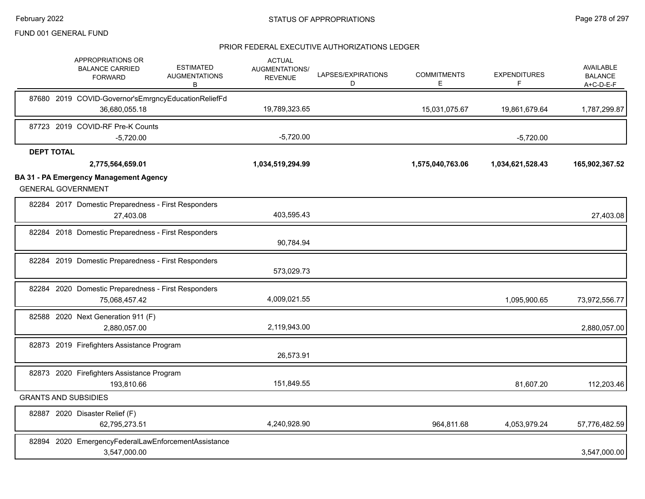|                   | APPROPRIATIONS OR<br><b>BALANCE CARRIED</b><br><b>FORWARD</b>              | <b>ESTIMATED</b><br><b>AUGMENTATIONS</b><br>В       | <b>ACTUAL</b><br>AUGMENTATIONS/<br><b>REVENUE</b> | LAPSES/EXPIRATIONS<br>D | <b>COMMITMENTS</b><br>E. | <b>EXPENDITURES</b><br>F. | AVAILABLE<br><b>BALANCE</b><br>$A+C-D-E-F$ |
|-------------------|----------------------------------------------------------------------------|-----------------------------------------------------|---------------------------------------------------|-------------------------|--------------------------|---------------------------|--------------------------------------------|
|                   |                                                                            | 87680 2019 COVID-Governor'sEmrgncyEducationReliefFd |                                                   |                         |                          |                           |                                            |
|                   | 36,680,055.18                                                              |                                                     | 19,789,323.65                                     |                         | 15,031,075.67            | 19,861,679.64             | 1,787,299.87                               |
|                   | 87723 2019 COVID-RF Pre-K Counts                                           |                                                     |                                                   |                         |                          |                           |                                            |
|                   | $-5,720.00$                                                                |                                                     | $-5,720.00$                                       |                         |                          | $-5,720.00$               |                                            |
| <b>DEPT TOTAL</b> |                                                                            |                                                     |                                                   |                         |                          |                           |                                            |
|                   | 2,775,564,659.01                                                           |                                                     | 1,034,519,294.99                                  |                         | 1,575,040,763.06         | 1,034,621,528.43          | 165,902,367.52                             |
|                   | <b>BA 31 - PA Emergency Management Agency</b><br><b>GENERAL GOVERNMENT</b> |                                                     |                                                   |                         |                          |                           |                                            |
|                   | 27,403.08                                                                  | 82284 2017 Domestic Preparedness - First Responders | 403,595.43                                        |                         |                          |                           | 27,403.08                                  |
|                   |                                                                            | 82284 2018 Domestic Preparedness - First Responders | 90,784.94                                         |                         |                          |                           |                                            |
|                   |                                                                            | 82284 2019 Domestic Preparedness - First Responders | 573,029.73                                        |                         |                          |                           |                                            |
|                   | 75,068,457.42                                                              | 82284 2020 Domestic Preparedness - First Responders | 4,009,021.55                                      |                         |                          | 1,095,900.65              | 73,972,556.77                              |
|                   | 82588 2020 Next Generation 911 (F)<br>2,880,057.00                         |                                                     | 2,119,943.00                                      |                         |                          |                           | 2,880,057.00                               |
|                   | 82873 2019 Firefighters Assistance Program                                 |                                                     | 26,573.91                                         |                         |                          |                           |                                            |
|                   | 82873 2020 Firefighters Assistance Program<br>193,810.66                   |                                                     | 151,849.55                                        |                         |                          | 81,607.20                 | 112,203.46                                 |
|                   | <b>GRANTS AND SUBSIDIES</b>                                                |                                                     |                                                   |                         |                          |                           |                                            |
|                   | 82887 2020 Disaster Relief (F)<br>62,795,273.51                            |                                                     | 4,240,928.90                                      |                         | 964,811.68               | 4,053,979.24              | 57,776,482.59                              |
|                   | 3,547,000.00                                                               | 82894 2020 EmergencyFederalLawEnforcementAssistance |                                                   |                         |                          |                           | 3,547,000.00                               |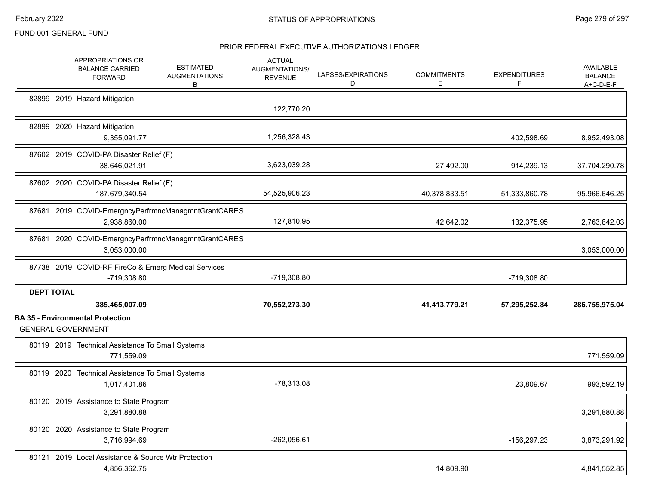|                   | APPROPRIATIONS OR<br><b>BALANCE CARRIED</b><br><b>FORWARD</b>        | <b>ESTIMATED</b><br><b>AUGMENTATIONS</b><br>B | <b>ACTUAL</b><br>AUGMENTATIONS/<br><b>REVENUE</b> | LAPSES/EXPIRATIONS<br>D | <b>COMMITMENTS</b><br>E. | <b>EXPENDITURES</b><br>F | <b>AVAILABLE</b><br><b>BALANCE</b><br>A+C-D-E-F |
|-------------------|----------------------------------------------------------------------|-----------------------------------------------|---------------------------------------------------|-------------------------|--------------------------|--------------------------|-------------------------------------------------|
|                   | 82899 2019 Hazard Mitigation                                         |                                               | 122,770.20                                        |                         |                          |                          |                                                 |
|                   | 82899 2020 Hazard Mitigation<br>9,355,091.77                         |                                               | 1,256,328.43                                      |                         |                          | 402,598.69               | 8,952,493.08                                    |
|                   | 87602 2019 COVID-PA Disaster Relief (F)<br>38,646,021.91             |                                               | 3,623,039.28                                      |                         | 27,492.00                | 914,239.13               | 37,704,290.78                                   |
|                   | 87602 2020 COVID-PA Disaster Relief (F)<br>187,679,340.54            |                                               | 54,525,906.23                                     |                         | 40,378,833.51            | 51,333,860.78            | 95,966,646.25                                   |
|                   | 87681 2019 COVID-EmergncyPerfrmncManagmntGrantCARES<br>2,938,860.00  |                                               | 127,810.95                                        |                         | 42,642.02                | 132,375.95               | 2,763,842.03                                    |
|                   | 87681 2020 COVID-EmergncyPerfrmncManagmntGrantCARES<br>3,053,000.00  |                                               |                                                   |                         |                          |                          | 3,053,000.00                                    |
|                   | 87738 2019 COVID-RF FireCo & Emerg Medical Services<br>-719,308.80   |                                               | -719,308.80                                       |                         |                          | -719,308.80              |                                                 |
| <b>DEPT TOTAL</b> | 385,465,007.09                                                       |                                               | 70,552,273.30                                     |                         | 41,413,779.21            | 57,295,252.84            | 286,755,975.04                                  |
|                   | <b>BA 35 - Environmental Protection</b><br><b>GENERAL GOVERNMENT</b> |                                               |                                                   |                         |                          |                          |                                                 |
|                   | 80119 2019 Technical Assistance To Small Systems<br>771,559.09       |                                               |                                                   |                         |                          |                          | 771,559.09                                      |
|                   | 80119 2020 Technical Assistance To Small Systems<br>1,017,401.86     |                                               | $-78,313.08$                                      |                         |                          | 23,809.67                | 993,592.19                                      |
|                   | 80120 2019 Assistance to State Program<br>3,291,880.88               |                                               |                                                   |                         |                          |                          | 3,291,880.88                                    |
|                   | 80120 2020 Assistance to State Program<br>3,716,994.69               |                                               | $-262,056.61$                                     |                         |                          | -156,297.23              | 3,873,291.92                                    |
|                   | 80121 2019 Local Assistance & Source Wtr Protection<br>4,856,362.75  |                                               |                                                   |                         | 14,809.90                |                          | 4,841,552.85                                    |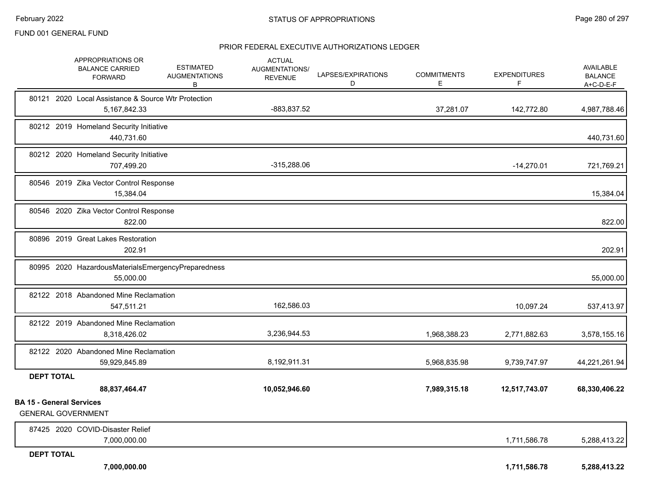|                                 | APPROPRIATIONS OR<br><b>BALANCE CARRIED</b><br><b>FORWARD</b>          | <b>ESTIMATED</b><br><b>AUGMENTATIONS</b><br>В | <b>ACTUAL</b><br>AUGMENTATIONS/<br><b>REVENUE</b> | LAPSES/EXPIRATIONS<br>D | <b>COMMITMENTS</b><br>E | <b>EXPENDITURES</b><br>F | AVAILABLE<br><b>BALANCE</b><br>$A+C-D-E-F$ |
|---------------------------------|------------------------------------------------------------------------|-----------------------------------------------|---------------------------------------------------|-------------------------|-------------------------|--------------------------|--------------------------------------------|
|                                 | 80121 2020 Local Assistance & Source Wtr Protection<br>5, 167, 842. 33 |                                               | -883,837.52                                       |                         | 37,281.07               | 142,772.80               | 4,987,788.46                               |
|                                 | 80212 2019 Homeland Security Initiative<br>440,731.60                  |                                               |                                                   |                         |                         |                          | 440,731.60                                 |
|                                 | 80212 2020 Homeland Security Initiative<br>707,499.20                  |                                               | $-315,288.06$                                     |                         |                         | $-14,270.01$             | 721,769.21                                 |
|                                 | 80546 2019 Zika Vector Control Response<br>15,384.04                   |                                               |                                                   |                         |                         |                          | 15,384.04                                  |
|                                 | 80546 2020 Zika Vector Control Response<br>822.00                      |                                               |                                                   |                         |                         |                          | 822.00                                     |
|                                 | 80896 2019 Great Lakes Restoration<br>202.91                           |                                               |                                                   |                         |                         |                          | 202.91                                     |
|                                 | 80995 2020 HazardousMaterialsEmergencyPreparedness<br>55,000.00        |                                               |                                                   |                         |                         |                          | 55,000.00                                  |
|                                 | 82122 2018 Abandoned Mine Reclamation<br>547,511.21                    |                                               | 162,586.03                                        |                         |                         | 10,097.24                | 537,413.97                                 |
|                                 | 82122 2019 Abandoned Mine Reclamation<br>8,318,426.02                  |                                               | 3,236,944.53                                      |                         | 1,968,388.23            | 2,771,882.63             | 3,578,155.16                               |
|                                 | 82122 2020 Abandoned Mine Reclamation<br>59,929,845.89                 |                                               | 8,192,911.31                                      |                         | 5,968,835.98            | 9,739,747.97             | 44,221,261.94                              |
| <b>DEPT TOTAL</b>               | 88,837,464.47                                                          |                                               | 10,052,946.60                                     |                         | 7,989,315.18            | 12,517,743.07            | 68,330,406.22                              |
| <b>BA 15 - General Services</b> |                                                                        |                                               |                                                   |                         |                         |                          |                                            |
|                                 | <b>GENERAL GOVERNMENT</b>                                              |                                               |                                                   |                         |                         |                          |                                            |
|                                 | 87425 2020 COVID-Disaster Relief<br>7,000,000.00                       |                                               |                                                   |                         |                         | 1,711,586.78             | 5,288,413.22                               |
| <b>DEPT TOTAL</b>               |                                                                        |                                               |                                                   |                         |                         |                          |                                            |
|                                 | 7,000,000.00                                                           |                                               |                                                   |                         |                         | 1,711,586.78             | 5,288,413.22                               |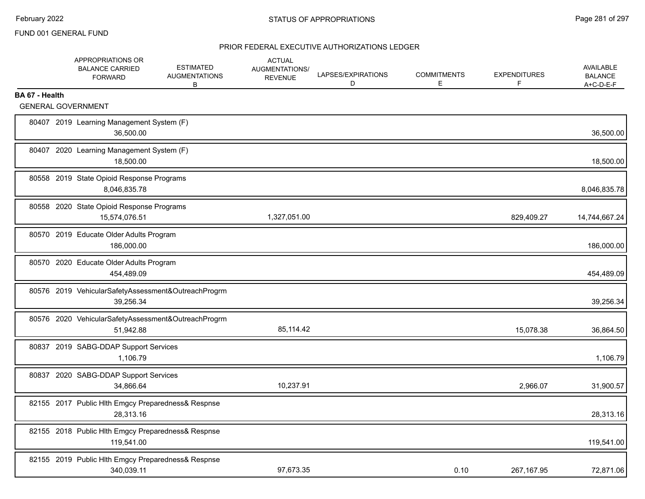|                | APPROPRIATIONS OR<br><b>BALANCE CARRIED</b><br><b>FORWARD</b>    | <b>ESTIMATED</b><br><b>AUGMENTATIONS</b><br>B | <b>ACTUAL</b><br>AUGMENTATIONS/<br><b>REVENUE</b> | LAPSES/EXPIRATIONS<br>D | <b>COMMITMENTS</b><br>E | <b>EXPENDITURES</b><br>F | <b>AVAILABLE</b><br><b>BALANCE</b><br>$A+C-D-E-F$ |
|----------------|------------------------------------------------------------------|-----------------------------------------------|---------------------------------------------------|-------------------------|-------------------------|--------------------------|---------------------------------------------------|
| BA 67 - Health |                                                                  |                                               |                                                   |                         |                         |                          |                                                   |
|                | <b>GENERAL GOVERNMENT</b>                                        |                                               |                                                   |                         |                         |                          |                                                   |
|                | 80407 2019 Learning Management System (F)<br>36,500.00           |                                               |                                                   |                         |                         |                          | 36,500.00                                         |
|                | 80407 2020 Learning Management System (F)<br>18,500.00           |                                               |                                                   |                         |                         |                          | 18,500.00                                         |
|                | 80558 2019 State Opioid Response Programs<br>8,046,835.78        |                                               |                                                   |                         |                         |                          | 8,046,835.78                                      |
|                | 80558 2020 State Opioid Response Programs<br>15,574,076.51       |                                               | 1,327,051.00                                      |                         |                         | 829,409.27               | 14,744,667.24                                     |
|                | 80570 2019 Educate Older Adults Program<br>186,000.00            |                                               |                                                   |                         |                         |                          | 186,000.00                                        |
|                | 80570 2020 Educate Older Adults Program<br>454,489.09            |                                               |                                                   |                         |                         |                          | 454,489.09                                        |
|                | 80576 2019 VehicularSafetyAssessment&OutreachProgrm<br>39,256.34 |                                               |                                                   |                         |                         |                          | 39,256.34                                         |
|                | 80576 2020 VehicularSafetyAssessment&OutreachProgrm<br>51,942.88 |                                               | 85,114.42                                         |                         |                         | 15,078.38                | 36,864.50                                         |
|                | 80837 2019 SABG-DDAP Support Services<br>1.106.79                |                                               |                                                   |                         |                         |                          | 1,106.79                                          |
|                | 80837 2020 SABG-DDAP Support Services<br>34,866.64               |                                               | 10,237.91                                         |                         |                         | 2,966.07                 | 31,900.57                                         |
|                | 82155 2017 Public Hlth Emgcy Preparedness& Respnse<br>28,313.16  |                                               |                                                   |                         |                         |                          | 28,313.16                                         |
|                | 82155 2018 Public Hlth Emgcy Preparedness& Respnse<br>119,541.00 |                                               |                                                   |                         |                         |                          | 119,541.00                                        |
|                | 82155 2019 Public Hlth Emgcy Preparedness& Respnse<br>340,039.11 |                                               | 97,673.35                                         |                         | 0.10                    | 267,167.95               | 72,871.06                                         |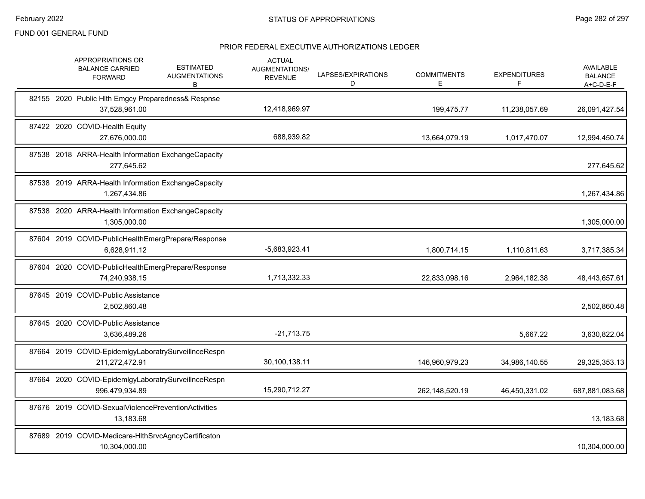|       | APPROPRIATIONS OR<br><b>BALANCE CARRIED</b><br><b>FORWARD</b>         | <b>ESTIMATED</b><br><b>AUGMENTATIONS</b><br>В | <b>ACTUAL</b><br><b>AUGMENTATIONS/</b><br><b>REVENUE</b> | LAPSES/EXPIRATIONS<br>D | <b>COMMITMENTS</b><br>Е | <b>EXPENDITURES</b><br>F | AVAILABLE<br><b>BALANCE</b><br>$A+C-D-E-F$ |
|-------|-----------------------------------------------------------------------|-----------------------------------------------|----------------------------------------------------------|-------------------------|-------------------------|--------------------------|--------------------------------------------|
|       | 82155 2020 Public Hlth Emgcy Preparedness& Respnse<br>37,528,961.00   |                                               | 12,418,969.97                                            |                         | 199,475.77              | 11,238,057.69            | 26,091,427.54                              |
|       | 87422 2020 COVID-Health Equity<br>27,676,000.00                       |                                               | 688,939.82                                               |                         | 13,664,079.19           | 1,017,470.07             | 12,994,450.74                              |
|       | 87538 2018 ARRA-Health Information ExchangeCapacity<br>277,645.62     |                                               |                                                          |                         |                         |                          | 277,645.62                                 |
|       | 87538 2019 ARRA-Health Information ExchangeCapacity<br>1,267,434.86   |                                               |                                                          |                         |                         |                          | 1,267,434.86                               |
|       | 87538 2020 ARRA-Health Information ExchangeCapacity<br>1,305,000.00   |                                               |                                                          |                         |                         |                          | 1,305,000.00                               |
|       | 87604 2019 COVID-PublicHealthEmergPrepare/Response<br>6,628,911.12    |                                               | $-5,683,923.41$                                          |                         | 1,800,714.15            | 1,110,811.63             | 3,717,385.34                               |
|       | 87604 2020 COVID-PublicHealthEmergPrepare/Response<br>74,240,938.15   |                                               | 1,713,332.33                                             |                         | 22,833,098.16           | 2,964,182.38             | 48,443,657.61                              |
|       | 87645 2019 COVID-Public Assistance<br>2.502.860.48                    |                                               |                                                          |                         |                         |                          | 2,502,860.48                               |
|       | 87645 2020 COVID-Public Assistance<br>3,636,489.26                    |                                               | $-21,713.75$                                             |                         |                         | 5,667.22                 | 3,630,822.04                               |
|       | 87664 2019 COVID-EpidemIgyLaboratrySurveilInceRespn<br>211,272,472.91 |                                               | 30,100,138.11                                            |                         | 146,960,979.23          | 34,986,140.55            | 29,325,353.13                              |
|       | 87664 2020 COVID-EpidemIgyLaboratrySurveilInceRespn<br>996,479,934.89 |                                               | 15,290,712.27                                            |                         | 262,148,520.19          | 46,450,331.02            | 687,881,083.68                             |
| 87676 | 2019 COVID-SexualViolencePreventionActivities<br>13,183.68            |                                               |                                                          |                         |                         |                          | 13,183.68                                  |
|       | 87689 2019 COVID-Medicare-HIthSrvcAgncyCertificaton<br>10,304,000.00  |                                               |                                                          |                         |                         |                          | 10,304,000.00                              |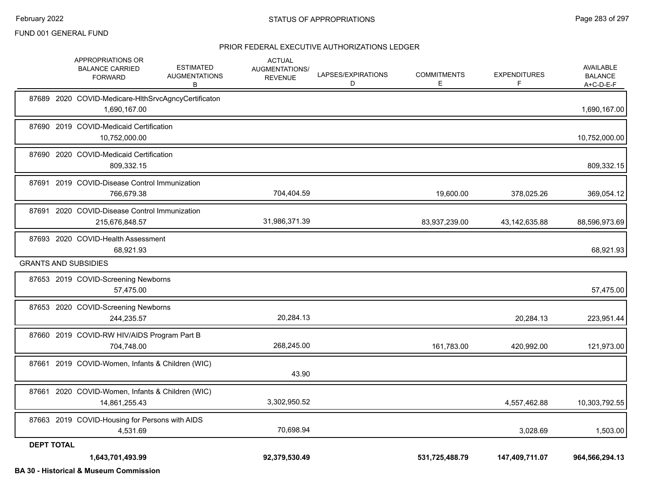#### PRIOR FEDERAL EXECUTIVE AUTHORIZATIONS LEDGER

|                   | APPROPRIATIONS OR<br><b>BALANCE CARRIED</b><br><b>FORWARD</b>       | <b>ESTIMATED</b><br><b>AUGMENTATIONS</b><br>В | <b>ACTUAL</b><br>AUGMENTATIONS/<br><b>REVENUE</b> | LAPSES/EXPIRATIONS<br>D | <b>COMMITMENTS</b><br>E. | <b>EXPENDITURES</b><br>F. | <b>AVAILABLE</b><br><b>BALANCE</b><br>$A+C-D-E-F$ |
|-------------------|---------------------------------------------------------------------|-----------------------------------------------|---------------------------------------------------|-------------------------|--------------------------|---------------------------|---------------------------------------------------|
|                   | 87689 2020 COVID-Medicare-HIthSrvcAgncyCertificaton<br>1,690,167.00 |                                               |                                                   |                         |                          |                           | 1,690,167.00                                      |
|                   | 87690 2019 COVID-Medicaid Certification<br>10,752,000.00            |                                               |                                                   |                         |                          |                           | 10,752,000.00                                     |
|                   | 87690 2020 COVID-Medicaid Certification<br>809,332.15               |                                               |                                                   |                         |                          |                           | 809,332.15                                        |
|                   | 87691 2019 COVID-Disease Control Immunization<br>766,679.38         |                                               | 704,404.59                                        |                         | 19,600.00                | 378,025.26                | 369,054.12                                        |
|                   | 87691 2020 COVID-Disease Control Immunization<br>215,676,848.57     |                                               | 31,986,371.39                                     |                         | 83,937,239.00            | 43, 142, 635.88           | 88,596,973.69                                     |
|                   | 87693 2020 COVID-Health Assessment<br>68,921.93                     |                                               |                                                   |                         |                          |                           | 68,921.93                                         |
|                   | <b>GRANTS AND SUBSIDIES</b>                                         |                                               |                                                   |                         |                          |                           |                                                   |
|                   | 87653 2019 COVID-Screening Newborns<br>57,475.00                    |                                               |                                                   |                         |                          |                           | 57,475.00                                         |
|                   | 87653 2020 COVID-Screening Newborns<br>244,235.57                   |                                               | 20,284.13                                         |                         |                          | 20,284.13                 | 223,951.44                                        |
|                   | 87660 2019 COVID-RW HIV/AIDS Program Part B<br>704,748.00           |                                               | 268,245.00                                        |                         | 161,783.00               | 420,992.00                | 121,973.00                                        |
|                   | 87661 2019 COVID-Women, Infants & Children (WIC)                    |                                               | 43.90                                             |                         |                          |                           |                                                   |
|                   | 87661 2020 COVID-Women, Infants & Children (WIC)<br>14,861,255.43   |                                               | 3,302,950.52                                      |                         |                          | 4,557,462.88              | 10,303,792.55                                     |
|                   | 87663 2019 COVID-Housing for Persons with AIDS<br>4,531.69          |                                               | 70,698.94                                         |                         |                          | 3,028.69                  | 1,503.00                                          |
| <b>DEPT TOTAL</b> | 1,643,701,493.99                                                    |                                               | 92,379,530.49                                     |                         | 531,725,488.79           | 147,409,711.07            | 964,566,294.13                                    |

**BA 30 - Historical & Museum Commission**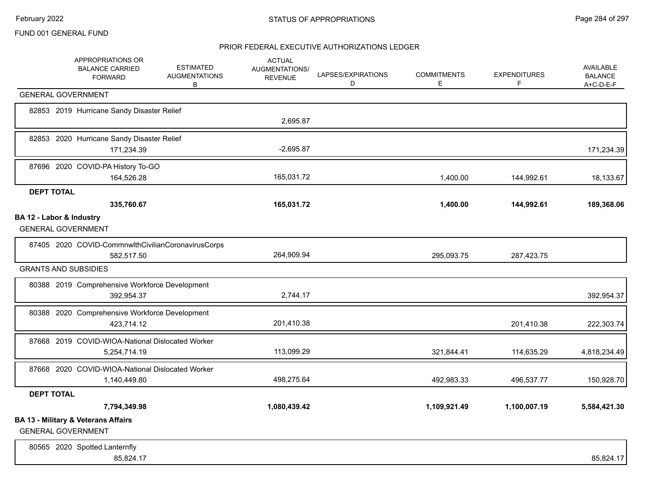|                          | APPROPRIATIONS OR<br><b>BALANCE CARRIED</b><br><b>FORWARD</b>               | <b>ESTIMATED</b><br><b>AUGMENTATIONS</b><br>B | <b>ACTUAL</b><br><b>AUGMENTATIONS/</b><br><b>REVENUE</b> | LAPSES/EXPIRATIONS<br>D | <b>COMMITMENTS</b><br>Е | <b>EXPENDITURES</b><br>F | AVAILABLE<br><b>BALANCE</b><br>$A+C-D-E-F$ |
|--------------------------|-----------------------------------------------------------------------------|-----------------------------------------------|----------------------------------------------------------|-------------------------|-------------------------|--------------------------|--------------------------------------------|
|                          | <b>GENERAL GOVERNMENT</b>                                                   |                                               |                                                          |                         |                         |                          |                                            |
|                          | 82853 2019 Hurricane Sandy Disaster Relief                                  |                                               | 2,695.87                                                 |                         |                         |                          |                                            |
|                          | 82853 2020 Hurricane Sandy Disaster Relief<br>171,234.39                    |                                               | $-2,695.87$                                              |                         |                         |                          | 171,234.39                                 |
|                          | 87696 2020 COVID-PA History To-GO<br>164,526.28                             |                                               | 165,031.72                                               |                         | 1,400.00                | 144,992.61               | 18,133.67                                  |
| <b>DEPT TOTAL</b>        | 335,760.67                                                                  |                                               | 165,031.72                                               |                         | 1,400.00                | 144,992.61               | 189,368.06                                 |
| BA 12 - Labor & Industry | <b>GENERAL GOVERNMENT</b>                                                   |                                               |                                                          |                         |                         |                          |                                            |
|                          | 87405 2020 COVID-CommnwlthCivilianCoronavirusCorps<br>582,517.50            |                                               | 264,909.94                                               |                         | 295,093.75              | 287,423.75               |                                            |
|                          | <b>GRANTS AND SUBSIDIES</b>                                                 |                                               |                                                          |                         |                         |                          |                                            |
|                          | 80388 2019 Comprehensive Workforce Development<br>392,954.37                |                                               | 2,744.17                                                 |                         |                         |                          | 392,954.37                                 |
|                          | 80388 2020 Comprehensive Workforce Development<br>423,714.12                |                                               | 201,410.38                                               |                         |                         | 201,410.38               | 222,303.74                                 |
|                          | 87668 2019 COVID-WIOA-National Dislocated Worker<br>5,254,714.19            |                                               | 113,099.29                                               |                         | 321,844.41              | 114,635.29               | 4,818,234.49                               |
|                          | 87668 2020 COVID-WIOA-National Dislocated Worker<br>1,140,449.80            |                                               | 498,275.64                                               |                         | 492,983.33              | 496,537.77               | 150,928.70                                 |
| <b>DEPT TOTAL</b>        |                                                                             |                                               |                                                          |                         |                         |                          |                                            |
|                          | 7,794,349.98                                                                |                                               | 1,080,439.42                                             |                         | 1,109,921.49            | 1,100,007.19             | 5,584,421.30                               |
|                          | <b>BA 13 - Military &amp; Veterans Affairs</b><br><b>GENERAL GOVERNMENT</b> |                                               |                                                          |                         |                         |                          |                                            |
|                          | 80565 2020 Spotted Lanternfly<br>85,824.17                                  |                                               |                                                          |                         |                         |                          | 85,824.17                                  |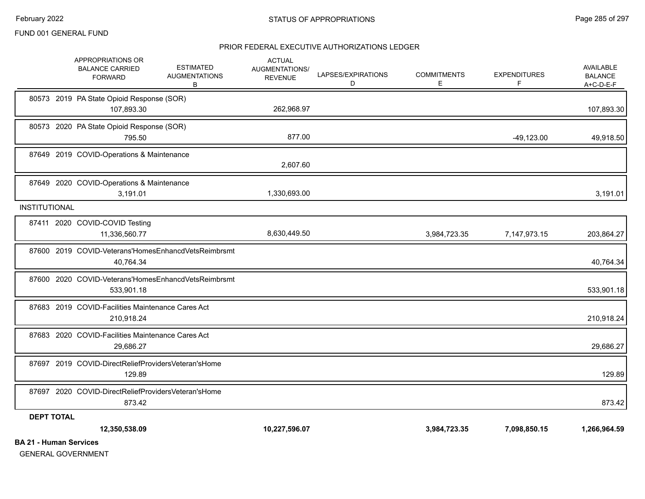# PRIOR FEDERAL EXECUTIVE AUTHORIZATIONS LEDGER

|                               | 87649 2020 COVID-Operations & Maintenance<br>3,191.01            |                                                     | 1,330,693.00  |              |              | 3,191.01     |
|-------------------------------|------------------------------------------------------------------|-----------------------------------------------------|---------------|--------------|--------------|--------------|
| <b>INSTITUTIONAL</b>          |                                                                  |                                                     |               |              |              |              |
|                               | 87411 2020 COVID-COVID Testing<br>11,336,560.77                  |                                                     | 8,630,449.50  | 3,984,723.35 | 7,147,973.15 | 203,864.27   |
|                               | 87600 2019 COVID-Veterans'HomesEnhancdVetsReimbrsmt<br>40,764.34 |                                                     |               |              |              | 40,764.34    |
|                               | 533,901.18                                                       | 87600 2020 COVID-Veterans'HomesEnhancdVetsReimbrsmt |               |              |              | 533,901.18   |
|                               | 87683 2019 COVID-Facilities Maintenance Cares Act<br>210,918.24  |                                                     |               |              |              | 210,918.24   |
|                               | 87683 2020 COVID-Facilities Maintenance Cares Act<br>29,686.27   |                                                     |               |              |              | 29,686.27    |
|                               | 87697 2019 COVID-DirectReliefProvidersVeteran'sHome<br>129.89    |                                                     |               |              |              | 129.89       |
|                               | 87697 2020 COVID-DirectReliefProvidersVeteran'sHome<br>873.42    |                                                     |               |              |              | 873.42       |
| <b>DEPT TOTAL</b>             |                                                                  |                                                     |               |              |              |              |
| <b>BA 21 - Human Services</b> | 12,350,538.09                                                    |                                                     | 10,227,596.07 | 3,984,723.35 | 7,098,850.15 | 1,266,964.59 |
|                               |                                                                  |                                                     |               |              |              |              |

GENERAL GOVERNMENT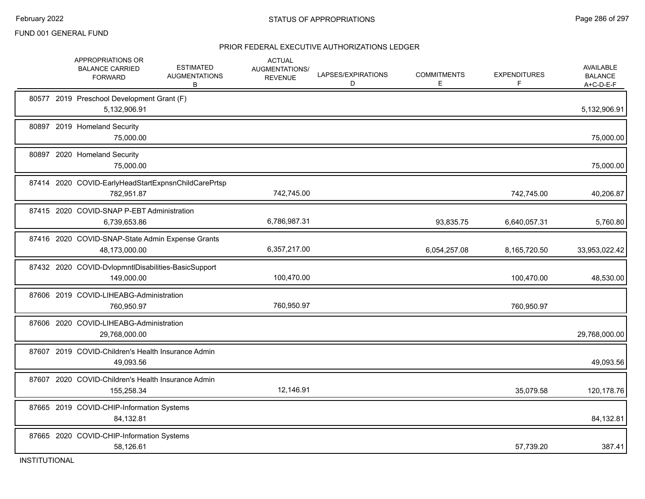## PRIOR FEDERAL EXECUTIVE AUTHORIZATIONS LEDGER

|  | APPROPRIATIONS OR<br><b>BALANCE CARRIED</b><br><b>FORWARD</b>     | <b>ESTIMATED</b><br><b>AUGMENTATIONS</b><br>B | <b>ACTUAL</b><br><b>AUGMENTATIONS/</b><br><b>REVENUE</b> | LAPSES/EXPIRATIONS<br>D | <b>COMMITMENTS</b><br>Е | <b>EXPENDITURES</b><br>F | AVAILABLE<br><b>BALANCE</b><br>$A+C-D-E-F$ |
|--|-------------------------------------------------------------------|-----------------------------------------------|----------------------------------------------------------|-------------------------|-------------------------|--------------------------|--------------------------------------------|
|  | 80577 2019 Preschool Development Grant (F)<br>5,132,906.91        |                                               |                                                          |                         |                         |                          | 5,132,906.91                               |
|  | 80897 2019 Homeland Security<br>75,000.00                         |                                               |                                                          |                         |                         |                          | 75,000.00                                  |
|  | 80897 2020 Homeland Security<br>75.000.00                         |                                               |                                                          |                         |                         |                          | 75,000.00                                  |
|  | 87414 2020 COVID-EarlyHeadStartExpnsnChildCarePrtsp<br>782,951.87 |                                               | 742,745.00                                               |                         |                         | 742,745.00               | 40,206.87                                  |
|  | 87415 2020 COVID-SNAP P-EBT Administration<br>6,739,653.86        |                                               | 6,786,987.31                                             |                         | 93,835.75               | 6,640,057.31             | 5,760.80                                   |
|  | 87416 2020 COVID-SNAP-State Admin Expense Grants<br>48,173,000.00 |                                               | 6,357,217.00                                             |                         | 6,054,257.08            | 8,165,720.50             | 33,953,022.42                              |
|  | 87432 2020 COVID-DvlopmntIDisabilities-BasicSupport<br>149,000.00 |                                               | 100,470.00                                               |                         |                         | 100,470.00               | 48,530.00                                  |
|  | 87606 2019 COVID-LIHEABG-Administration<br>760,950.97             |                                               | 760,950.97                                               |                         |                         | 760,950.97               |                                            |
|  | 87606 2020 COVID-LIHEABG-Administration<br>29,768,000.00          |                                               |                                                          |                         |                         |                          | 29,768,000.00                              |
|  | 87607 2019 COVID-Children's Health Insurance Admin<br>49,093.56   |                                               |                                                          |                         |                         |                          | 49,093.56                                  |
|  | 87607 2020 COVID-Children's Health Insurance Admin<br>155,258.34  |                                               | 12,146.91                                                |                         |                         | 35,079.58                | 120,178.76                                 |
|  | 87665 2019 COVID-CHIP-Information Systems<br>84,132.81            |                                               |                                                          |                         |                         |                          | 84,132.81                                  |
|  | 87665 2020 COVID-CHIP-Information Systems<br>58,126.61            |                                               |                                                          |                         |                         | 57,739.20                | 387.41                                     |

INSTITUTIONAL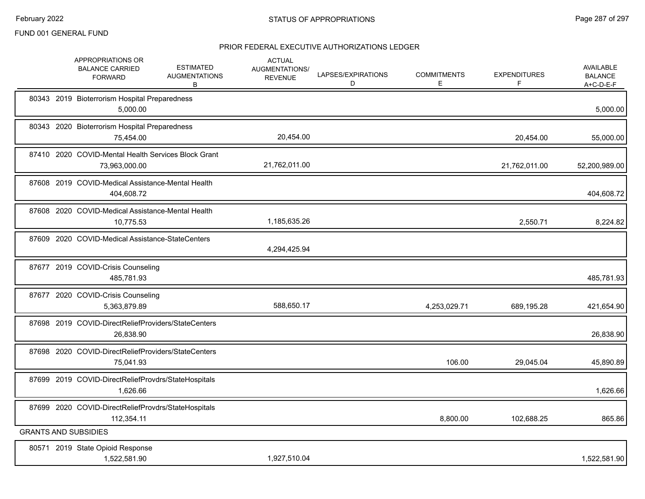|                             | APPROPRIATIONS OR<br><b>BALANCE CARRIED</b><br><b>FORWARD</b> | <b>ESTIMATED</b><br><b>AUGMENTATIONS</b><br>B       | <b>ACTUAL</b><br>AUGMENTATIONS/<br><b>REVENUE</b> | LAPSES/EXPIRATIONS<br>D | <b>COMMITMENTS</b><br>E | <b>EXPENDITURES</b><br>F. | <b>AVAILABLE</b><br><b>BALANCE</b><br>$A+C-D-E-F$ |
|-----------------------------|---------------------------------------------------------------|-----------------------------------------------------|---------------------------------------------------|-------------------------|-------------------------|---------------------------|---------------------------------------------------|
|                             | 80343 2019 Bioterrorism Hospital Preparedness<br>5,000.00     |                                                     |                                                   |                         |                         |                           | 5,000.00                                          |
|                             | 80343 2020 Bioterrorism Hospital Preparedness<br>75,454.00    |                                                     | 20,454.00                                         |                         |                         | 20,454.00                 | 55,000.00                                         |
|                             | 73,963,000.00                                                 | 87410 2020 COVID-Mental Health Services Block Grant | 21,762,011.00                                     |                         |                         | 21,762,011.00             | 52,200,989.00                                     |
|                             | 404,608.72                                                    | 87608 2019 COVID-Medical Assistance-Mental Health   |                                                   |                         |                         |                           | 404,608.72                                        |
|                             | 10,775.53                                                     | 87608 2020 COVID-Medical Assistance-Mental Health   | 1,185,635.26                                      |                         |                         | 2,550.71                  | 8,224.82                                          |
|                             | 87609 2020 COVID-Medical Assistance-StateCenters              |                                                     | 4,294,425.94                                      |                         |                         |                           |                                                   |
|                             | 87677 2019 COVID-Crisis Counseling<br>485,781.93              |                                                     |                                                   |                         |                         |                           | 485,781.93                                        |
|                             | 87677 2020 COVID-Crisis Counseling<br>5,363,879.89            |                                                     | 588,650.17                                        |                         | 4,253,029.71            | 689,195.28                | 421,654.90                                        |
|                             | 26,838.90                                                     | 87698 2019 COVID-DirectReliefProviders/StateCenters |                                                   |                         |                         |                           | 26,838.90                                         |
|                             | 75,041.93                                                     | 87698 2020 COVID-DirectReliefProviders/StateCenters |                                                   |                         | 106.00                  | 29,045.04                 | 45,890.89                                         |
|                             | 1,626.66                                                      | 87699 2019 COVID-DirectReliefProvdrs/StateHospitals |                                                   |                         |                         |                           | 1,626.66                                          |
|                             | 112,354.11                                                    | 87699 2020 COVID-DirectReliefProvdrs/StateHospitals |                                                   |                         | 8,800.00                | 102,688.25                | 865.86                                            |
| <b>GRANTS AND SUBSIDIES</b> |                                                               |                                                     |                                                   |                         |                         |                           |                                                   |
|                             | 80571 2019 State Opioid Response<br>1,522,581.90              |                                                     | 1,927,510.04                                      |                         |                         |                           | 1,522,581.90                                      |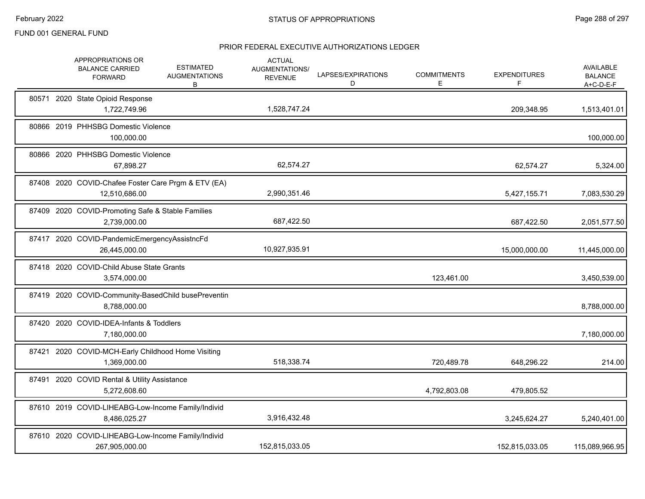|       | APPROPRIATIONS OR<br><b>BALANCE CARRIED</b><br><b>FORWARD</b>        | <b>ESTIMATED</b><br><b>AUGMENTATIONS</b><br>В | <b>ACTUAL</b><br>AUGMENTATIONS/<br><b>REVENUE</b> | LAPSES/EXPIRATIONS<br>D | <b>COMMITMENTS</b><br>E. | <b>EXPENDITURES</b><br>F. | <b>AVAILABLE</b><br><b>BALANCE</b><br>$A+C-D-E-F$ |
|-------|----------------------------------------------------------------------|-----------------------------------------------|---------------------------------------------------|-------------------------|--------------------------|---------------------------|---------------------------------------------------|
|       | 80571 2020 State Opioid Response<br>1,722,749.96                     |                                               | 1,528,747.24                                      |                         |                          | 209,348.95                | 1,513,401.01                                      |
|       | 80866 2019 PHHSBG Domestic Violence<br>100,000.00                    |                                               |                                                   |                         |                          |                           | 100,000.00                                        |
|       | 80866 2020 PHHSBG Domestic Violence<br>67,898.27                     |                                               | 62,574.27                                         |                         |                          | 62,574.27                 | 5,324.00                                          |
|       | 87408 2020 COVID-Chafee Foster Care Prgm & ETV (EA)<br>12,510,686.00 |                                               | 2,990,351.46                                      |                         |                          | 5,427,155.71              | 7,083,530.29                                      |
|       | 87409 2020 COVID-Promoting Safe & Stable Families<br>2,739,000.00    |                                               | 687,422.50                                        |                         |                          | 687,422.50                | 2,051,577.50                                      |
|       | 87417 2020 COVID-PandemicEmergencyAssistncFd<br>26,445,000.00        |                                               | 10,927,935.91                                     |                         |                          | 15,000,000.00             | 11,445,000.00                                     |
|       | 87418 2020 COVID-Child Abuse State Grants<br>3,574,000.00            |                                               |                                                   |                         | 123,461.00               |                           | 3,450,539.00                                      |
|       | 87419 2020 COVID-Community-BasedChild busePreventin<br>8,788,000.00  |                                               |                                                   |                         |                          |                           | 8,788,000.00                                      |
|       | 87420 2020 COVID-IDEA-Infants & Toddlers<br>7,180,000.00             |                                               |                                                   |                         |                          |                           | 7,180,000.00                                      |
| 87421 | 2020 COVID-MCH-Early Childhood Home Visiting<br>1,369,000.00         |                                               | 518,338.74                                        |                         | 720,489.78               | 648,296.22                | 214.00                                            |
|       | 87491 2020 COVID Rental & Utility Assistance<br>5,272,608.60         |                                               |                                                   |                         | 4,792,803.08             | 479,805.52                |                                                   |
|       | 87610 2019 COVID-LIHEABG-Low-Income Family/Individ<br>8,486,025.27   |                                               | 3,916,432.48                                      |                         |                          | 3,245,624.27              | 5,240,401.00                                      |
|       | 87610 2020 COVID-LIHEABG-Low-Income Family/Individ<br>267,905,000.00 |                                               | 152,815,033.05                                    |                         |                          | 152,815,033.05            | 115,089,966.95                                    |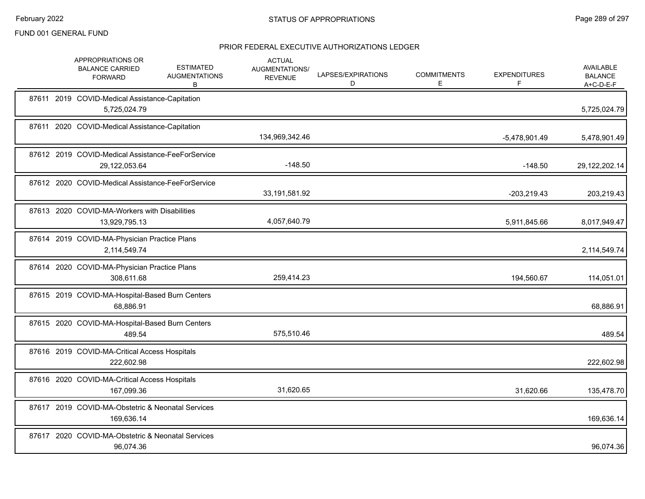| APPROPRIATIONS OR<br><b>BALANCE CARRIED</b><br><b>FORWARD</b>  | <b>ESTIMATED</b><br><b>AUGMENTATIONS</b><br>B             | <b>ACTUAL</b><br>AUGMENTATIONS/<br><b>REVENUE</b> | LAPSES/EXPIRATIONS<br>D | <b>COMMITMENTS</b><br>E | <b>EXPENDITURES</b><br>F | <b>AVAILABLE</b><br><b>BALANCE</b><br>$A+C-D-E-F$ |
|----------------------------------------------------------------|-----------------------------------------------------------|---------------------------------------------------|-------------------------|-------------------------|--------------------------|---------------------------------------------------|
| 87611 2019 COVID-Medical Assistance-Capitation<br>5,725,024.79 |                                                           |                                                   |                         |                         |                          | 5,725,024.79                                      |
| 87611 2020 COVID-Medical Assistance-Capitation                 |                                                           | 134,969,342.46                                    |                         |                         | -5,478,901.49            | 5,478,901.49                                      |
| 29,122,053.64                                                  | 87612 2019 COVID-Medical Assistance-FeeForService         | $-148.50$                                         |                         |                         | $-148.50$                | 29,122,202.14                                     |
|                                                                | 87612 2020 COVID-Medical Assistance-FeeForService         | 33,191,581.92                                     |                         |                         | $-203,219.43$            | 203,219.43                                        |
| 87613 2020 COVID-MA-Workers with Disabilities<br>13,929,795.13 |                                                           | 4,057,640.79                                      |                         |                         | 5,911,845.66             | 8,017,949.47                                      |
| 87614 2019 COVID-MA-Physician Practice Plans<br>2,114,549.74   |                                                           |                                                   |                         |                         |                          | 2,114,549.74                                      |
| 87614 2020 COVID-MA-Physician Practice Plans<br>308,611.68     |                                                           | 259,414.23                                        |                         |                         | 194,560.67               | 114,051.01                                        |
| 87615 2019 COVID-MA-Hospital-Based Burn Centers<br>68,886.91   |                                                           |                                                   |                         |                         |                          | 68,886.91                                         |
|                                                                | 87615 2020 COVID-MA-Hospital-Based Burn Centers<br>489.54 | 575,510.46                                        |                         |                         |                          | 489.54                                            |
| 87616 2019 COVID-MA-Critical Access Hospitals<br>222,602.98    |                                                           |                                                   |                         |                         |                          | 222,602.98                                        |
| 87616 2020 COVID-MA-Critical Access Hospitals<br>167,099.36    |                                                           | 31,620.65                                         |                         |                         | 31,620.66                | 135,478.70                                        |
| 169,636.14                                                     | 87617 2019 COVID-MA-Obstetric & Neonatal Services         |                                                   |                         |                         |                          | 169,636.14                                        |
| 96,074.36                                                      | 87617 2020 COVID-MA-Obstetric & Neonatal Services         |                                                   |                         |                         |                          | 96,074.36                                         |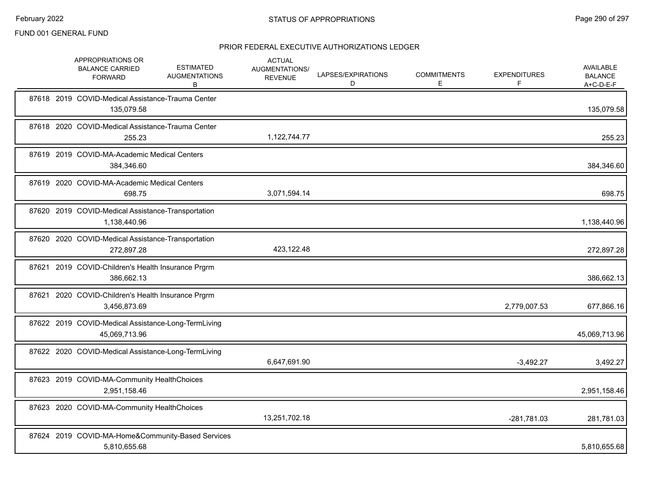|       | APPROPRIATIONS OR<br><b>BALANCE CARRIED</b><br><b>FORWARD</b>        | <b>ESTIMATED</b><br><b>AUGMENTATIONS</b><br>В | <b>ACTUAL</b><br>AUGMENTATIONS/<br><b>REVENUE</b> | LAPSES/EXPIRATIONS<br>D | <b>COMMITMENTS</b><br>E. | <b>EXPENDITURES</b><br>F | AVAILABLE<br><b>BALANCE</b><br>$A+C-D-E-F$ |
|-------|----------------------------------------------------------------------|-----------------------------------------------|---------------------------------------------------|-------------------------|--------------------------|--------------------------|--------------------------------------------|
|       | 87618 2019 COVID-Medical Assistance-Trauma Center<br>135,079.58      |                                               |                                                   |                         |                          |                          | 135,079.58                                 |
|       | 87618 2020 COVID-Medical Assistance-Trauma Center<br>255.23          |                                               | 1,122,744.77                                      |                         |                          |                          | 255.23                                     |
|       | 87619 2019 COVID-MA-Academic Medical Centers<br>384,346.60           |                                               |                                                   |                         |                          |                          | 384,346.60                                 |
| 87619 | 2020 COVID-MA-Academic Medical Centers<br>698.75                     |                                               | 3,071,594.14                                      |                         |                          |                          | 698.75                                     |
|       | 87620 2019 COVID-Medical Assistance-Transportation<br>1,138,440.96   |                                               |                                                   |                         |                          |                          | 1,138,440.96                               |
| 87620 | 2020 COVID-Medical Assistance-Transportation<br>272,897.28           |                                               | 423,122.48                                        |                         |                          |                          | 272,897.28                                 |
|       | 87621 2019 COVID-Children's Health Insurance Prgrm<br>386,662.13     |                                               |                                                   |                         |                          |                          | 386,662.13                                 |
| 87621 | 2020 COVID-Children's Health Insurance Prgrm<br>3,456,873.69         |                                               |                                                   |                         |                          | 2,779,007.53             | 677,866.16                                 |
|       | 87622 2019 COVID-Medical Assistance-Long-TermLiving<br>45,069,713.96 |                                               |                                                   |                         |                          |                          | 45,069,713.96                              |
|       | 87622 2020 COVID-Medical Assistance-Long-TermLiving                  |                                               | 6,647,691.90                                      |                         |                          | $-3,492.27$              | 3,492.27                                   |
|       | 87623 2019 COVID-MA-Community HealthChoices<br>2,951,158.46          |                                               |                                                   |                         |                          |                          | 2,951,158.46                               |
|       | 87623 2020 COVID-MA-Community HealthChoices                          |                                               | 13,251,702.18                                     |                         |                          | -281,781.03              | 281,781.03                                 |
|       | 87624 2019 COVID-MA-Home&Community-Based Services<br>5,810,655.68    |                                               |                                                   |                         |                          |                          | 5,810,655.68                               |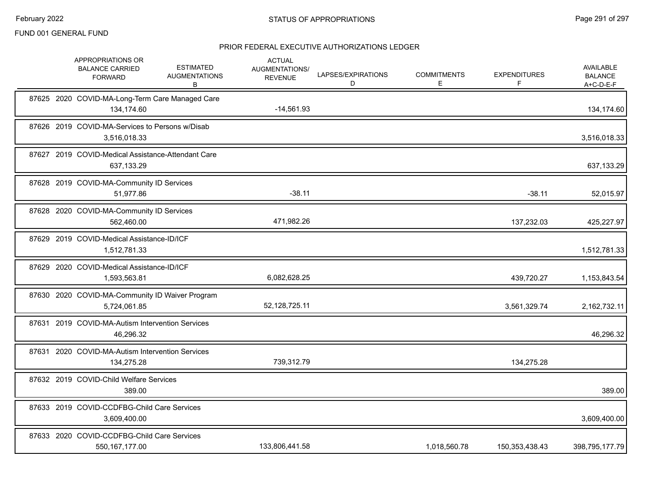|       | APPROPRIATIONS OR<br><b>BALANCE CARRIED</b><br><b>FORWARD</b>    | <b>ESTIMATED</b><br><b>AUGMENTATIONS</b><br>B | <b>ACTUAL</b><br><b>AUGMENTATIONS/</b><br><b>REVENUE</b> | LAPSES/EXPIRATIONS<br>D | <b>COMMITMENTS</b><br>E | <b>EXPENDITURES</b><br>F | <b>AVAILABLE</b><br><b>BALANCE</b><br>$A+C-D-E-F$ |
|-------|------------------------------------------------------------------|-----------------------------------------------|----------------------------------------------------------|-------------------------|-------------------------|--------------------------|---------------------------------------------------|
|       | 87625 2020 COVID-MA-Long-Term Care Managed Care<br>134,174.60    |                                               | $-14,561.93$                                             |                         |                         |                          | 134,174.60                                        |
|       | 87626 2019 COVID-MA-Services to Persons w/Disab<br>3,516,018.33  |                                               |                                                          |                         |                         |                          | 3,516,018.33                                      |
|       | 87627 2019 COVID-Medical Assistance-Attendant Care<br>637,133.29 |                                               |                                                          |                         |                         |                          | 637,133.29                                        |
|       | 87628 2019 COVID-MA-Community ID Services<br>51,977.86           |                                               | $-38.11$                                                 |                         |                         | $-38.11$                 | 52,015.97                                         |
|       | 87628 2020 COVID-MA-Community ID Services<br>562,460.00          |                                               | 471,982.26                                               |                         |                         | 137,232.03               | 425,227.97                                        |
|       | 87629 2019 COVID-Medical Assistance-ID/ICF<br>1,512,781.33       |                                               |                                                          |                         |                         |                          | 1,512,781.33                                      |
| 87629 | 2020 COVID-Medical Assistance-ID/ICF<br>1,593,563.81             |                                               | 6,082,628.25                                             |                         |                         | 439,720.27               | 1,153,843.54                                      |
|       | 87630 2020 COVID-MA-Community ID Waiver Program<br>5,724,061.85  |                                               | 52,128,725.11                                            |                         |                         | 3,561,329.74             | 2,162,732.11                                      |
|       | 87631 2019 COVID-MA-Autism Intervention Services<br>46,296.32    |                                               |                                                          |                         |                         |                          | 46,296.32                                         |
|       | 87631 2020 COVID-MA-Autism Intervention Services<br>134,275.28   |                                               | 739,312.79                                               |                         |                         | 134,275.28               |                                                   |
|       | 87632 2019 COVID-Child Welfare Services<br>389.00                |                                               |                                                          |                         |                         |                          | 389.00                                            |
|       | 87633 2019 COVID-CCDFBG-Child Care Services<br>3,609,400.00      |                                               |                                                          |                         |                         |                          | 3,609,400.00                                      |
|       | 87633 2020 COVID-CCDFBG-Child Care Services<br>550, 167, 177.00  |                                               | 133,806,441.58                                           |                         | 1,018,560.78            | 150,353,438.43           | 398,795,177.79                                    |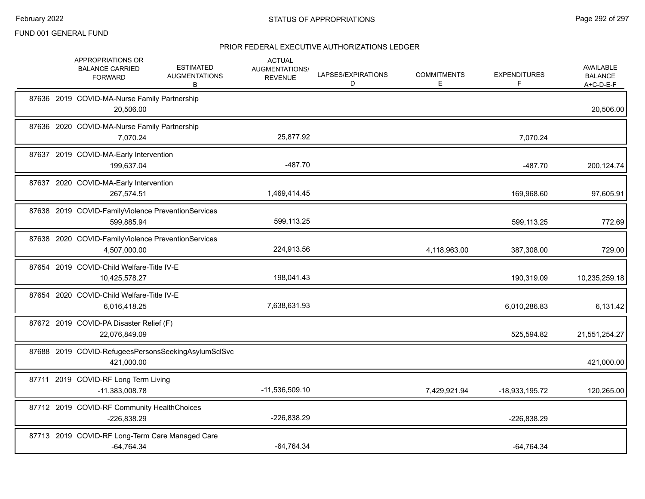|  | APPROPRIATIONS OR<br><b>BALANCE CARRIED</b><br><b>FORWARD</b>      | <b>ESTIMATED</b><br><b>AUGMENTATIONS</b><br>В | <b>ACTUAL</b><br>AUGMENTATIONS/<br><b>REVENUE</b> | LAPSES/EXPIRATIONS<br>D | <b>COMMITMENTS</b><br>E. | <b>EXPENDITURES</b><br>F | <b>AVAILABLE</b><br><b>BALANCE</b><br>A+C-D-E-F |
|--|--------------------------------------------------------------------|-----------------------------------------------|---------------------------------------------------|-------------------------|--------------------------|--------------------------|-------------------------------------------------|
|  | 87636 2019 COVID-MA-Nurse Family Partnership<br>20,506.00          |                                               |                                                   |                         |                          |                          | 20,506.00                                       |
|  | 87636 2020 COVID-MA-Nurse Family Partnership<br>7,070.24           |                                               | 25,877.92                                         |                         |                          | 7,070.24                 |                                                 |
|  | 87637 2019 COVID-MA-Early Intervention<br>199,637.04               |                                               | $-487.70$                                         |                         |                          | $-487.70$                | 200,124.74                                      |
|  | 87637 2020 COVID-MA-Early Intervention<br>267,574.51               |                                               | 1,469,414.45                                      |                         |                          | 169,968.60               | 97,605.91                                       |
|  | 87638 2019 COVID-FamilyViolence PreventionServices<br>599,885.94   |                                               | 599,113.25                                        |                         |                          | 599,113.25               | 772.69                                          |
|  | 87638 2020 COVID-FamilyViolence PreventionServices<br>4,507,000.00 |                                               | 224,913.56                                        |                         | 4,118,963.00             | 387,308.00               | 729.00                                          |
|  | 87654 2019 COVID-Child Welfare-Title IV-E<br>10,425,578.27         |                                               | 198,041.43                                        |                         |                          | 190,319.09               | 10,235,259.18                                   |
|  | 87654 2020 COVID-Child Welfare-Title IV-E<br>6,016,418.25          |                                               | 7,638,631.93                                      |                         |                          | 6,010,286.83             | 6,131.42                                        |
|  | 87672 2019 COVID-PA Disaster Relief (F)<br>22,076,849.09           |                                               |                                                   |                         |                          | 525,594.82               | 21,551,254.27                                   |
|  | 87688 2019 COVID-RefugeesPersonsSeekingAsylumSclSvc<br>421,000.00  |                                               |                                                   |                         |                          |                          | 421,000.00                                      |
|  | 87711 2019 COVID-RF Long Term Living<br>$-11,383,008.78$           |                                               | $-11,536,509.10$                                  |                         | 7,429,921.94             | -18,933,195.72           | 120,265.00                                      |
|  | 87712 2019 COVID-RF Community HealthChoices<br>$-226,838.29$       |                                               | -226,838.29                                       |                         |                          | -226,838.29              |                                                 |
|  | 87713 2019 COVID-RF Long-Term Care Managed Care<br>$-64,764.34$    |                                               | $-64,764.34$                                      |                         |                          | $-64,764.34$             |                                                 |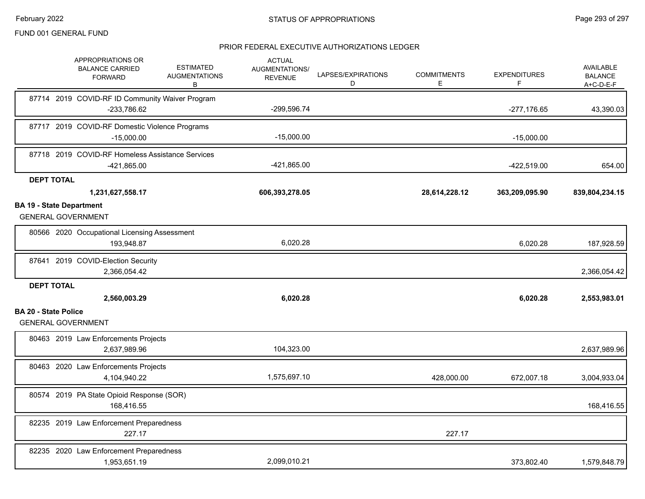|                                 | APPROPRIATIONS OR<br><b>BALANCE CARRIED</b><br><b>FORWARD</b>   | <b>ESTIMATED</b><br><b>AUGMENTATIONS</b><br>в | <b>ACTUAL</b><br><b>AUGMENTATIONS/</b><br><b>REVENUE</b> | LAPSES/EXPIRATIONS<br>D | <b>COMMITMENTS</b><br>E | <b>EXPENDITURES</b><br>F | <b>AVAILABLE</b><br><b>BALANCE</b><br>A+C-D-E-F |
|---------------------------------|-----------------------------------------------------------------|-----------------------------------------------|----------------------------------------------------------|-------------------------|-------------------------|--------------------------|-------------------------------------------------|
|                                 | 87714 2019 COVID-RF ID Community Waiver Program<br>-233,786.62  |                                               | -299,596.74                                              |                         |                         | $-277,176.65$            | 43,390.03                                       |
|                                 | 87717 2019 COVID-RF Domestic Violence Programs<br>$-15.000.00$  |                                               | $-15,000.00$                                             |                         |                         | $-15,000.00$             |                                                 |
|                                 | 87718 2019 COVID-RF Homeless Assistance Services<br>-421,865.00 |                                               | $-421,865.00$                                            |                         |                         | $-422,519.00$            | 654.00                                          |
| <b>DEPT TOTAL</b>               |                                                                 |                                               |                                                          |                         |                         |                          |                                                 |
|                                 | 1,231,627,558.17                                                |                                               | 606,393,278.05                                           |                         | 28,614,228.12           | 363,209,095.90           | 839,804,234.15                                  |
| <b>BA 19 - State Department</b> | <b>GENERAL GOVERNMENT</b>                                       |                                               |                                                          |                         |                         |                          |                                                 |
|                                 | 80566 2020 Occupational Licensing Assessment<br>193,948.87      |                                               | 6,020.28                                                 |                         |                         | 6,020.28                 | 187,928.59                                      |
|                                 | 87641 2019 COVID-Election Security<br>2,366,054.42              |                                               |                                                          |                         |                         |                          | 2,366,054.42                                    |
| <b>DEPT TOTAL</b>               | 2,560,003.29                                                    |                                               | 6,020.28                                                 |                         |                         | 6,020.28                 | 2,553,983.01                                    |
| <b>BA 20 - State Police</b>     |                                                                 |                                               |                                                          |                         |                         |                          |                                                 |
|                                 | <b>GENERAL GOVERNMENT</b>                                       |                                               |                                                          |                         |                         |                          |                                                 |
|                                 | 80463 2019 Law Enforcements Projects<br>2,637,989.96            |                                               | 104,323.00                                               |                         |                         |                          | 2,637,989.96                                    |
|                                 | 80463 2020 Law Enforcements Projects<br>4,104,940.22            |                                               | 1,575,697.10                                             |                         | 428,000.00              | 672,007.18               | 3,004,933.04                                    |
|                                 | 80574 2019 PA State Opioid Response (SOR)<br>168,416.55         |                                               |                                                          |                         |                         |                          | 168,416.55                                      |
|                                 | 82235 2019 Law Enforcement Preparedness<br>227.17               |                                               |                                                          |                         | 227.17                  |                          |                                                 |
|                                 | 82235 2020 Law Enforcement Preparedness<br>1,953,651.19         |                                               | 2,099,010.21                                             |                         |                         | 373,802.40               | 1,579,848.79                                    |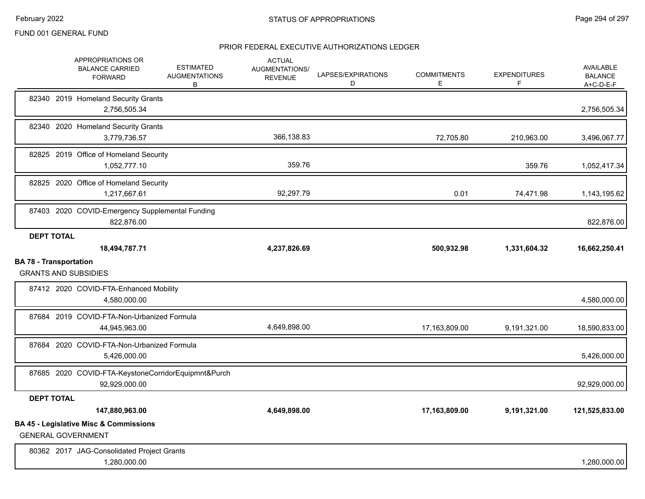|                   | <b>APPROPRIATIONS OR</b><br><b>BALANCE CARRIED</b><br><b>FORWARD</b>           | <b>ESTIMATED</b><br><b>AUGMENTATIONS</b><br>В       | <b>ACTUAL</b><br>AUGMENTATIONS/<br><b>REVENUE</b> | LAPSES/EXPIRATIONS<br>D | <b>COMMITMENTS</b><br>Е | <b>EXPENDITURES</b><br>F | AVAILABLE<br><b>BALANCE</b><br>$A+C-D-E-F$ |
|-------------------|--------------------------------------------------------------------------------|-----------------------------------------------------|---------------------------------------------------|-------------------------|-------------------------|--------------------------|--------------------------------------------|
|                   | 82340 2019 Homeland Security Grants<br>2,756,505.34                            |                                                     |                                                   |                         |                         |                          | 2,756,505.34                               |
|                   | 82340 2020 Homeland Security Grants<br>3,779,736.57                            |                                                     | 366,138.83                                        |                         | 72,705.80               | 210,963.00               | 3,496,067.77                               |
|                   | 82825 2019 Office of Homeland Security<br>1,052,777.10                         |                                                     | 359.76                                            |                         |                         | 359.76                   | 1,052,417.34                               |
|                   | 82825 2020 Office of Homeland Security<br>1,217,667.61                         |                                                     | 92,297.79                                         |                         | 0.01                    | 74,471.98                | 1,143,195.62                               |
|                   | 822,876.00                                                                     | 87403 2020 COVID-Emergency Supplemental Funding     |                                                   |                         |                         |                          | 822,876.00                                 |
| <b>DEPT TOTAL</b> |                                                                                |                                                     |                                                   |                         |                         |                          |                                            |
|                   | 18,494,787.71<br><b>BA 78 - Transportation</b>                                 |                                                     | 4,237,826.69                                      |                         | 500,932.98              | 1,331,604.32             | 16,662,250.41                              |
|                   | <b>GRANTS AND SUBSIDIES</b>                                                    |                                                     |                                                   |                         |                         |                          |                                            |
|                   | 87412 2020 COVID-FTA-Enhanced Mobility<br>4,580,000.00                         |                                                     |                                                   |                         |                         |                          | 4,580,000.00                               |
|                   | 87684 2019 COVID-FTA-Non-Urbanized Formula<br>44,945,963.00                    |                                                     | 4,649,898.00                                      |                         | 17,163,809.00           | 9,191,321.00             | 18,590,833.00                              |
|                   | 87684 2020 COVID-FTA-Non-Urbanized Formula<br>5,426,000.00                     |                                                     |                                                   |                         |                         |                          | 5,426,000.00                               |
|                   | 92,929,000.00                                                                  | 87685 2020 COVID-FTA-KeystoneCorridorEquipmnt&Purch |                                                   |                         |                         |                          | 92,929,000.00                              |
| <b>DEPT TOTAL</b> |                                                                                |                                                     |                                                   |                         |                         |                          |                                            |
|                   | 147,880,963.00                                                                 |                                                     | 4,649,898.00                                      |                         | 17,163,809.00           | 9,191,321.00             | 121,525,833.00                             |
|                   | <b>BA 45 - Legislative Misc &amp; Commissions</b><br><b>GENERAL GOVERNMENT</b> |                                                     |                                                   |                         |                         |                          |                                            |
|                   | 80362 2017 JAG-Consolidated Project Grants<br>1,280,000.00                     |                                                     |                                                   |                         |                         |                          | 1,280,000.00                               |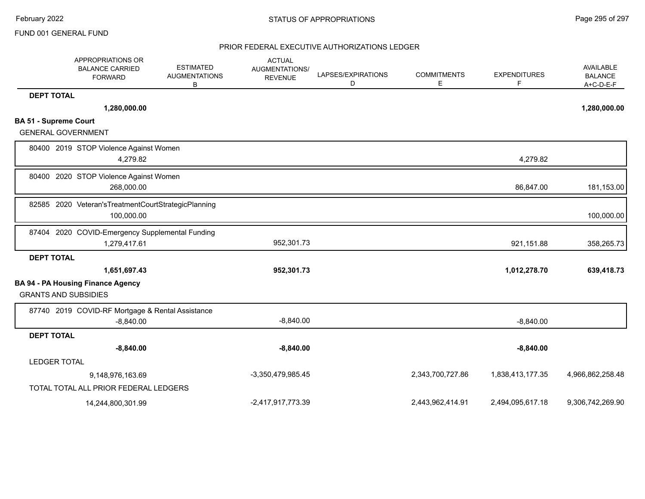|                              | APPROPRIATIONS OR<br><b>BALANCE CARRIED</b><br><b>FORWARD</b>         | <b>ESTIMATED</b><br><b>AUGMENTATIONS</b><br>в | <b>ACTUAL</b><br>AUGMENTATIONS/<br><b>REVENUE</b> | LAPSES/EXPIRATIONS<br>D | <b>COMMITMENTS</b><br>Е | <b>EXPENDITURES</b><br>F | AVAILABLE<br><b>BALANCE</b><br>$A+C-D-E-F$ |
|------------------------------|-----------------------------------------------------------------------|-----------------------------------------------|---------------------------------------------------|-------------------------|-------------------------|--------------------------|--------------------------------------------|
| <b>DEPT TOTAL</b>            |                                                                       |                                               |                                                   |                         |                         |                          |                                            |
|                              | 1,280,000.00                                                          |                                               |                                                   |                         |                         |                          | 1,280,000.00                               |
| <b>BA 51 - Supreme Court</b> |                                                                       |                                               |                                                   |                         |                         |                          |                                            |
| <b>GENERAL GOVERNMENT</b>    |                                                                       |                                               |                                                   |                         |                         |                          |                                            |
|                              | 80400 2019 STOP Violence Against Women<br>4,279.82                    |                                               |                                                   |                         |                         | 4,279.82                 |                                            |
| 80400                        | 2020 STOP Violence Against Women<br>268,000.00                        |                                               |                                                   |                         |                         | 86,847.00                | 181,153.00                                 |
|                              | 82585 2020 Veteran's Treatment Court Strategic Planning<br>100,000.00 |                                               |                                                   |                         |                         |                          | 100,000.00                                 |
| 87404                        | 2020 COVID-Emergency Supplemental Funding<br>1,279,417.61             |                                               | 952,301.73                                        |                         |                         | 921,151.88               | 358,265.73                                 |
| <b>DEPT TOTAL</b>            |                                                                       |                                               |                                                   |                         |                         |                          |                                            |
|                              | 1,651,697.43                                                          |                                               | 952,301.73                                        |                         |                         | 1,012,278.70             | 639,418.73                                 |
| <b>GRANTS AND SUBSIDIES</b>  | <b>BA 94 - PA Housing Finance Agency</b>                              |                                               |                                                   |                         |                         |                          |                                            |
|                              | 87740 2019 COVID-RF Mortgage & Rental Assistance<br>$-8,840.00$       |                                               | $-8,840.00$                                       |                         |                         | $-8,840.00$              |                                            |
| <b>DEPT TOTAL</b>            |                                                                       |                                               |                                                   |                         |                         |                          |                                            |
|                              | $-8,840.00$                                                           |                                               | $-8,840.00$                                       |                         |                         | $-8,840.00$              |                                            |
| <b>LEDGER TOTAL</b>          |                                                                       |                                               |                                                   |                         |                         |                          |                                            |
|                              | 9,148,976,163.69                                                      |                                               | -3,350,479,985.45                                 |                         | 2,343,700,727.86        | 1,838,413,177.35         | 4,966,862,258.48                           |
|                              | TOTAL TOTAL ALL PRIOR FEDERAL LEDGERS                                 |                                               |                                                   |                         |                         |                          |                                            |
|                              | 14,244,800,301.99                                                     |                                               | -2,417,917,773.39                                 |                         | 2,443,962,414.91        | 2,494,095,617.18         | 9,306,742,269.90                           |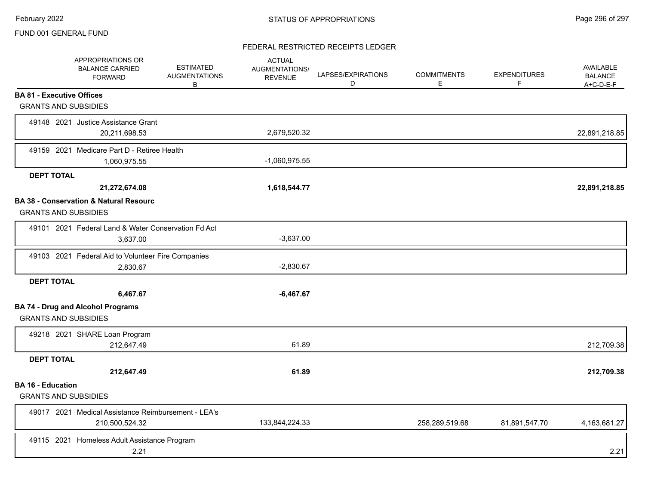## FEDERAL RESTRICTED RECEIPTS LEDGER

|                                                         | APPROPRIATIONS OR<br><b>BALANCE CARRIED</b><br><b>FORWARD</b>         | <b>ESTIMATED</b><br><b>AUGMENTATIONS</b><br>B | <b>ACTUAL</b><br>AUGMENTATIONS/<br><b>REVENUE</b> | LAPSES/EXPIRATIONS<br>D | <b>COMMITMENTS</b><br>Е | <b>EXPENDITURES</b><br>F | <b>AVAILABLE</b><br><b>BALANCE</b><br>$A+C-D-E-F$ |
|---------------------------------------------------------|-----------------------------------------------------------------------|-----------------------------------------------|---------------------------------------------------|-------------------------|-------------------------|--------------------------|---------------------------------------------------|
| <b>BA 81 - Executive Offices</b>                        |                                                                       |                                               |                                                   |                         |                         |                          |                                                   |
| <b>GRANTS AND SUBSIDIES</b>                             |                                                                       |                                               |                                                   |                         |                         |                          |                                                   |
|                                                         | 49148 2021 Justice Assistance Grant<br>20,211,698.53                  |                                               | 2,679,520.32                                      |                         |                         |                          | 22,891,218.85                                     |
|                                                         | 49159 2021 Medicare Part D - Retiree Health                           |                                               |                                                   |                         |                         |                          |                                                   |
|                                                         | 1,060,975.55                                                          |                                               | $-1,060,975.55$                                   |                         |                         |                          |                                                   |
| <b>DEPT TOTAL</b>                                       |                                                                       |                                               |                                                   |                         |                         |                          |                                                   |
|                                                         | 21,272,674.08                                                         |                                               | 1,618,544.77                                      |                         |                         |                          | 22,891,218.85                                     |
| <b>GRANTS AND SUBSIDIES</b>                             | <b>BA 38 - Conservation &amp; Natural Resourc</b>                     |                                               |                                                   |                         |                         |                          |                                                   |
|                                                         | 49101 2021 Federal Land & Water Conservation Fd Act<br>3,637.00       |                                               | $-3,637.00$                                       |                         |                         |                          |                                                   |
|                                                         | 49103 2021 Federal Aid to Volunteer Fire Companies                    |                                               |                                                   |                         |                         |                          |                                                   |
|                                                         | 2,830.67                                                              |                                               | $-2,830.67$                                       |                         |                         |                          |                                                   |
| <b>DEPT TOTAL</b>                                       |                                                                       |                                               |                                                   |                         |                         |                          |                                                   |
|                                                         | 6,467.67                                                              |                                               | $-6,467.67$                                       |                         |                         |                          |                                                   |
| <b>GRANTS AND SUBSIDIES</b>                             | <b>BA 74 - Drug and Alcohol Programs</b>                              |                                               |                                                   |                         |                         |                          |                                                   |
|                                                         | 49218 2021 SHARE Loan Program                                         |                                               |                                                   |                         |                         |                          |                                                   |
|                                                         | 212,647.49                                                            |                                               | 61.89                                             |                         |                         |                          | 212,709.38                                        |
| <b>DEPT TOTAL</b>                                       |                                                                       |                                               |                                                   |                         |                         |                          |                                                   |
|                                                         | 212,647.49                                                            |                                               | 61.89                                             |                         |                         |                          | 212,709.38                                        |
| <b>BA 16 - Education</b><br><b>GRANTS AND SUBSIDIES</b> |                                                                       |                                               |                                                   |                         |                         |                          |                                                   |
|                                                         | 49017 2021 Medical Assistance Reimbursement - LEA's<br>210,500,524.32 |                                               | 133,844,224.33                                    |                         | 258,289,519.68          | 81,891,547.70            | 4,163,681.27                                      |
|                                                         | 49115 2021 Homeless Adult Assistance Program<br>2.21                  |                                               |                                                   |                         |                         |                          | 2.21                                              |